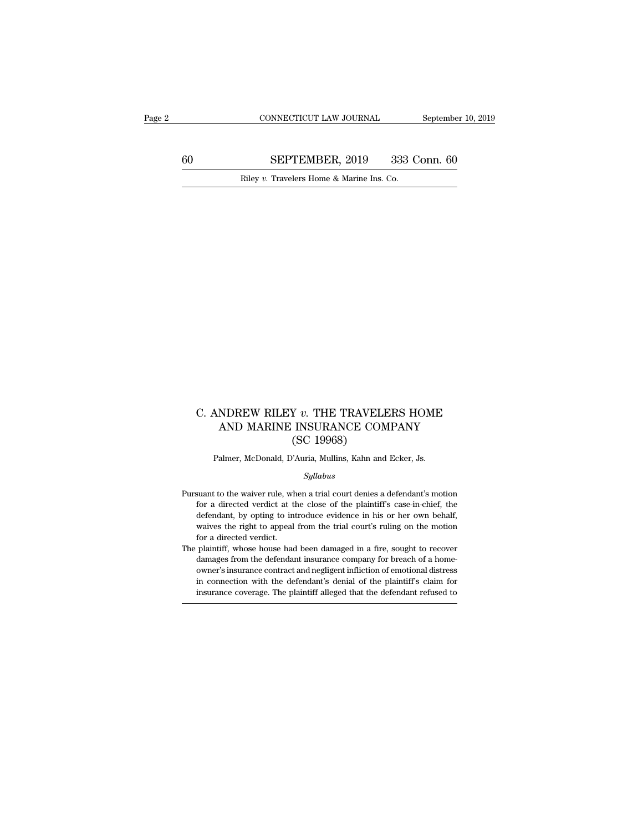CONNECTICUT LAW JOURNAL September 10, 2019<br>60 SEPTEMBER, 2019 333 Conn. 60<br>Riley v. Travelers Home & Marine Ins. Co. CONNECTICUT LAW JOURNAL September September 2019 SEPTEMBER, 2019 333 Conn. 60<br>Riley *v*. Travelers Home & Marine Ins. Co.

## C. ANDREW RILEY *v*. THE TRAVELERS HOME AND MARINE INSURANCE COMPANY (SC 19968)  $\begin{array}{ll} \texttt{NNDREW RILEY}\ v. \ \texttt{THE TRAVELERS HOME} \\ \texttt{AND MARINE INSURANCE COMPANY} \texttt{(SC 19968)} \end{array}$ Y v. THE TRAVELE<br>INSURANCE COM<br>(SC 19968)<br>'Auria, Mullins, Kahn and C. ANDREW RILEY  $v$ . THE TRAVELERS HOME<br>AND MARINE INSURANCE COMPANY<br>(SC 19968)<br>Palmer, McDonald, D'Auria, Mullins, Kahn and Ecker, Js.

## *Syllabus*

- (SC 19968)<br>
Palmer, McDonald, D'Auria, Mullins, Kahn and Ecker, Js.<br>  $Syllabus$ <br>
Pursuant to the waiver rule, when a trial court denies a defendant's motion<br>
for a directed verdict at the close of the plaintiff's case-in-chief For a directed verdict at the close of the plaintiff's case-in-chief, the defendant, by opting to introduce evidence in his or her own behalf, Palmer, McDonald, D'Auria, Mullins, Kahn and Ecker, Js.<br>
Syllabus<br>
suant to the waiver rule, when a trial court denies a defendant's motion<br>
for a directed verdict at the close of the plaintiff's case-in-chief, the<br>
defend *Syllabus*<br>suant to the waiver rule, when a trial court denies a defendant's motion<br>for a directed verdict at the close of the plaintiff's case-in-chief, the<br>defendant, by opting to introduce evidence in his or her own beh suant to the waiver rule, wh<br>for a directed verdict at the<br>defendant, by opting to intervalves the right to appeal<br>for a directed verdict.<br>plaintiff, whose house had Pursuant to the waiver rule, when a trial court denies a defendant's motion<br>for a directed verdict at the close of the plaintiff's case-in-chief, the<br>defendant, by opting to introduce evidence in his or her own behalf,<br>wai For a directed verdict at the close of the plaintiff's case-in-chief, the defendant, by opting to introduce evidence in his or her own behalf, waives the right to appeal from the trial court's ruling on the motion for a di
- of defendant, by opting to introduce evidence in his or her own behalf, waives the right to appeal from the trial court's ruling on the motion for a directed verdict.<br>
plaintiff, whose house had been damaged in a fire, sou waives the right to appeal from the trial court's ruling on the motion<br>for a directed verdict.<br>plaintiff, whose house had been damaged in a fire, sought to recover<br>damages from the defendant insurance company for breach of for a directed verdict.<br>
plaintiff, whose house had been damaged in a fire, sought to recover<br>
damages from the defendant insurance company for breach of a home-<br>
owner's insurance contract and negligent infliction of emot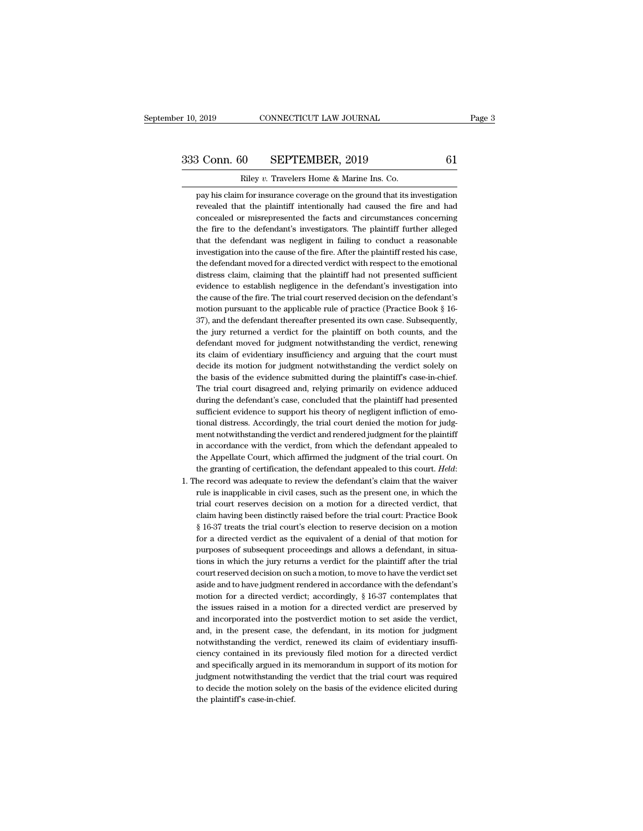r 10, 2019 CONNECTICUT LAW JOURNAL<br>
233 Conn. 60 SEPTEMBER, 2019 61<br>
Riley *v*. Travelers Home & Marine Ins. Co.<br>
pay his claim for insurance coverage on the ground that its investigation 3 Conn. 60 SEPTEMBER, 2019 61<br>
Riley v. Travelers Home & Marine Ins. Co.<br>
pay his claim for insurance coverage on the ground that its investigation<br>
revealed that the plaintiff intentionally had caused the fire and had 8 Conn. 60 SEPTEMBER, 2019 61<br>Riley v. Travelers Home & Marine Ins. Co.<br>pay his claim for insurance coverage on the ground that its investigation<br>revealed that the plaintiff intentionally had caused the fire and had<br>concea Conn. 60 SEPTEMBER, 2019 61<br>
Riley v. Travelers Home & Marine Ins. Co.<br>
pay his claim for insurance coverage on the ground that its investigation<br>
revealed that the plaintiff intentionally had caused the fire and had<br>
conc Riley  $v$ . Travelers Home  $\&$  Marine Ins. Co.<br>pay his claim for insurance coverage on the ground that its investigation<br>revealed that the plaintiff intentionally had caused the fire and had<br>concealed or misrepresented th Kiley v. Travelers Home & Marine Ins. Co.<br>
pay his claim for insurance coverage on the ground that its investigation<br>
revealed that the plaintiff intentionally had caused the fire and had<br>
concealed or misrepresented the f pay his claim for insurance coverage on the ground that its investigation revealed that the plaintiff intentionally had caused the fire and had concealed or misrepresented the facts and circumstances concerning the fire to revealed that the plaintiff intentionally had caused the fire and had concealed or misrepresented the facts and circumstances concerning the fire to the defendant was negligent in failing to conduct a reasonable investigat concealed or misrepresented the facts and circumstances concerning<br>the fire to the defendant's investigators. The plaintiff further alleged<br>that the defendant was negligent in failing to conduct a reasonable<br>investigation the fire to the defendant's investigators. The plaintiff further alleged<br>that the defendant was negligent in failing to conduct a reasonable<br>investigation into the cause of the fire. After the plaintiff rested his case,<br>th that the defendant was negligent in failing to conduct a reasonable<br>investigation into the cause of the fire. After the plaintiff rested his case,<br>the defendant moved for a directed verdict with respect to the emotional<br>di investigation into the cause of the fire. After the plaintiff rested his case, the defendant moved for a directed verdict with respect to the emotional distress claim, claiming that the plaintiff had not presented sufficie the defendant moved for a directed verdict with respect to the emotional<br>distress claim, claiming that the plaintiff had not presented sufficient<br>evidence to establish negligence in the defendant's investigation into<br>the c distress claim, claiming that the plaintiff had not presented sufficient<br>evidence to establish negligence in the defendant's investigation into<br>the cause of the fire. The trial court reserved decision on the defendant's<br>mo evidence to establish negligence in the defendant's investigation into<br>the cause of the fire. The trial court reserved decision on the defendant's<br>motion pursuant to the applicable rule of practice (Practice Book § 16-<br>37) the cause of the fire. The trial court reserved decision on the defendant's motion pursuant to the applicable rule of practice (Practice Book § 16-37), and the defendant thereafter presented its own case. Subsequently, the motion pursuant to the applicable rule of practice (Practice Book  $\S$  16-37), and the defendant thereafter presented its own case. Subsequently, the jury returned a verdict for the plaintiff on both counts, and the defend 37), and the defendant thereafter presented its own case. Subsequently, the jury returned a verdict for the plaintiff on both counts, and the defendant moved for judgment notwithstanding the verdict, renewing its claim of the jury returned a verdict for the plaintiff on both counts, and the defendant moved for judgment notwithstanding the verdict, renewing its claim of evidentiary insufficiency and arguing that the court must decide its mot defendant moved for judgment notwithstanding the verdict, renewing<br>its claim of evidentiary insufficiency and arguing that the court must<br>decide its motion for judgment notwithstanding the verdict solely on<br>the basis of th its claim of evidentiary insufficiency and arguing that the court must<br>decide its motion for judgment notwithstanding the verdict solely on<br>the basis of the evidence submitted during the plaintiff's case-in-chief.<br>The tria decide its motion for judgment notwithstanding the verdict solely on<br>the basis of the evidence submitted during the plaintiff's case-in-chief.<br>The trial court disagreed and, relying primarily on evidence adduced<br>during the the basis of the evidence submitted during the plaintiff's case-in-chief.<br>The trial court disagreed and, relying primarily on evidence adduced<br>during the defendant's case, concluded that the plaintiff had presented<br>suffici The trial court disagreed and, relying primarily on evidence adduced<br>during the defendant's case, concluded that the plaintiff had presented<br>sufficient evidence to support his theory of negligent infliction of emo-<br>tional during the defendant's case, concluded that the plaintiff had presented sufficient evidence to support his theory of negligent infliction of emotional distress. Accordingly, the trial court denied the motion for judgment n sufficient evidence to support his theory of negligent infliction of emotional distress. Accordingly, the trial court denied the motion for judgment not<br>withstanding the verdict, from which the defendant appealed to the Ap ment notwithstanding the verdict and rendered judgment for the plaintiff<br>in accordance with the verdict, from which the defendant appealed to<br>the Appellate Court, which affirmed the judgment of the trial court. On<br>the gran

in accordance with the verdict, from which the defendant appealed to<br>the Appellate Court, which affirmed the judgment of the trial court. On<br>the granting of certification, the defendant appealed to this court. Held:<br>he rec the Appellate Court, which affirmed the judgment of the trial court. On<br>the granting of certification, the defendant appealed to this court. *Held*:<br>he record was adequate to review the defendant's claim that the waiver<br>ru the granting of certification, the defendant appealed to this court. *Held*:<br>he record was adequate to review the defendant's claim that the waiver<br>rule is inapplicable in civil cases, such as the present one, in which the he record was adequate to review the defendant's claim that the waiver<br>rule is inapplicable in civil cases, such as the present one, in which the<br>trial court reserves decision on a motion for a directed verdict, that<br>claim rule is inapplicable in civil cases, such as the present one, in which the trial court reserves decision on a motion for a directed verdict, that claim having been distinctly raised before the trial court: Practice Book § trial court reserves decision on a motion for a directed verdict, that claim having been distinctly raised before the trial court. Practice Book § 16-37 treats the trial court's election to reserve decision on a motion for claim having been distinctly raised before the trial court: Practice Book § 16-37 treats the trial court's election to reserve decision on a motion for a directed verdict as the equivalent of a denial of that motion for pu  $\S$  16-37 treats the trial court's election to reserve decision on a motion<br>for a directed verdict as the equivalent of a denial of that motion for<br>purposes of subsequent proceedings and allows a defendant, in situa-<br>tion for a directed verdict as the equivalent of a denial of that motion for purposes of subsequent proceedings and allows a defendant, in situations in which the jury returns a verdict for the plaintiff after the trial court purposes of subsequent proceedings and allows a defendant, in situations in which the jury returns a verdict for the plaintiff after the trial court reserved decision on such a motion, to move to have the verdict set aside tions in which the jury returns a verdict for the plaintiff after the trial<br>court reserved decision on such a motion, to move to have the verdict set<br>aside and to have judgment rendered in accordance with the defendant's<br>m court reserved decision on such a motion, to move to have the verdict set aside and to have judgment rendered in accordance with the defendant's motion for a directed verdict; accordingly, § 16-37 contemplates that the iss aside and to have judgment rendered in accordance with the defendant's motion for a directed verdict; accordingly,  $§$  16-37 contemplates that the issues raised in a motion for a directed verdict are preserved by and inco motion for a directed verdict; accordingly,  $\S$  16-37 contemplates that the issues raised in a motion for a directed verdict are preserved by and incorporated into the postverdict motion to set aside the verdict, and, in the issues raised in a motion for a directed verdict are preserved by<br>and incorporated into the postverdict motion to set aside the verdict,<br>and, in the present case, the defendant, in its motion for judgment<br>notwithstandi and incorporated into the postverdict motion to set aside the verdict, and, in the present case, the defendant, in its motion for judgment notwithstanding the verdict, renewed its claim of evidentiary insufficiency contain and, in the present case, the defendant, in its motion for judgment notwithstanding the verdict, renewed its claim of evidentiary insufficiency contained in its previously filed motion for a directed verdict and specifical notwithstanding the verdic<br>ciency contained in its pre<br>and specifically argued in it<br>judgment notwithstanding<br>to decide the motion solely<br>the plaintiff's case-in-chief.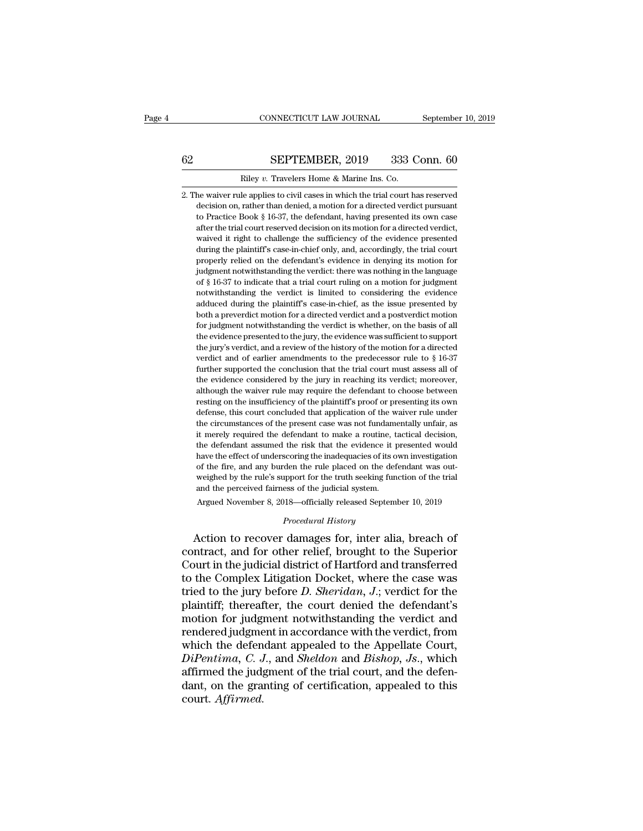## CONNECTICUT LAW JOURNAL September 10, 2019<br>62 SEPTEMBER, 2019 333 Conn. 60<br>Riley v. Travelers Home & Marine Ins. Co. CONNECTICUT LAW JOURNAL Septembe<br>
<u>Riley *v*. Travelers Home & Marine Ins. Co.</u><br>
2. The waiver rule applies to civil cases in which the trial court has reserved

32. SEPTEMBER, 2019 333 Conn. 60<br>
2. The waiver rule applies to civil cases in which the trial court has reserved<br>
decision on, rather than denied, a motion for a directed verdict pursuant SEPTEMBER, 2019 333 Conn. 60<br>
Riley v. Travelers Home & Marine Ins. Co.<br>
the waiver rule applies to civil cases in which the trial court has reserved<br>
decision on, rather than denied, a motion for a directed verdict pursua SEPTEMBER, 2019 333 Conn. 60<br>
Riley v. Travelers Home & Marine Ins. Co.<br>
the waiver rule applies to civil cases in which the trial court has reserved<br>
decision on, rather than denied, a motion for a directed verdict pursua Riley  $v$ . Travelers Home & Marine Ins. Co.<br>he waiver rule applies to civil cases in which the trial court has reserved<br>decision on, rather than denied, a motion for a directed verdict pursuant<br>to Practice Book § 16-37, t Riley v. Travelers Home & Marine Ins. Co.<br>he waiver rule applies to civil cases in which the trial court has reserved<br>decision on, rather than denied, a motion for a directed verdict pursuant<br>to Practice Book § 16-37, the he waiver rule applies to civil cases in which the trial court has reserved decision on, rather than denied, a motion for a directed verdict pursuant to Practice Book § 16-37, the defendant, having presented its own case a net wave rate uppress to evid cases in which are traditional decision on, rather than denied, a motion for a directed verdict pursuant to Practice Book § 16-37, the defendant, having presented its own case after the trial decision on, nation and actrica, a modion for a directed verdict parsame to Practice Book § 16-37, the defendant, having presented its own case after the trial court reserved decision on its motion for a directed verdict, of Fractice Book 3 16.97, are deteration, intring presented to some case<br>after the trial court reserved decision on its motion for a directed verdict,<br>during the plaintiff's case-in-chief only, and, accordingly, the trial meant and considered the sufficiency of the evidence presented<br>during the plaintiff's case-in-chief only, and, accordingly, the trial court<br>properly relied on the defendant's evidence in denying its motion for<br>judgment not maved it right to challenge are sumedering of an evidence presented<br>during the plaintiff's case-in-chief only, and, accordingly, the trial court<br>properly relied on the defendant's evidence in denying its motion for<br>judgmen both a preverties of a directed verdict is whether, on the basis of all a properly relied on the defendant's evidence in denying its motion for judgment notwithstanding the verdict: there was nothing in the language of § 1 for judgment notwithstanding the verdict: there was nothing in the language of § 16-37 to indicate that a trial court ruling on a motion for judgment notwithstanding the verdict is limited to considering the evidence adduc of § 16-37 to indicate that a trial court ruling on a motion for judgment not<br>withstanding the verdict is limited to considering the evidence adduced during the plaint<br>iff's case-in-chief, as the issue presented by both a or  $\frac{1}{3}$  to  $\frac{1}{3}$  to  $\frac{1}{3}$  to  $\frac{1}{3}$  and a review of the historic text of the evidence adduced during the plaintiff's case-in-chief, as the issue presented by both a preverdict motion for a directed verdict From and diverting the vertice is minical to considering the evidence adduced during the plaintiff's case-in-chief, as the issue presented by both a preverdict motion for judgment notwithstanding the verdict is whether, o further supported maniform of the conclusion to the conclusion of the conclusion for judgment notwithstanding the verdict is whether, on the basis of all the evidence presented to the jury, the evidence was sufficient to for judgment notwithstanding the verdict is whether, on the basis of all the evidence presented to the jury, the evidence was sufficient to support the jury's verdict, and a review of the history of the motion for a direc for judgment notwinstanting are vertice is whether, on are basis of an<br>the evidence presented to the jury, the evidence was sufficient to support<br>the jury's verdict, and a review of the history of the motion for a directed resting on the insufficiency of the plaintiff's proof or a directed energy of the jury's verdict, and a review of the history of the motion for a directed verdict and of earlier amendments to the predecessor rule to § 16-3 defanse, this courted the present of the predecessor rule to § 16-37 further supported the conclusion that the trial court must assess all of the evidence considered by the jury in reaching its verdict; moreover, although further supported the conclusion that the trial court must assess all of the evidence considered by the jury in reaching its verdict; moreover, although the waiver rule may require the defendant to choose between resting o ratated supported the considered by the jury in reaching its verdict; moreover, although the waiver rule may require the defendant to choose between resting on the insufficiency of the plaintiff's proof or presenting its o at evidence considered by all yary an reaching its verdict, indicated<br>athough the waiver rule may require the defendant to choose between<br>resting on the insufficiency of the plaintiff's proof or presenting its own<br>defense, have the insulficiency of the plaintiff's proof or presenting its own defense, this court concluded that application of the waiver rule under the circumstances of the present case was not fundamentally unfair, as it merely defense, this court concluded that application of the waiver rule under<br>the circumstances of the present case was not fundamentally unfair, as<br>it merely required the defendant to make a routine, tactical decision,<br>the defe definition, and contributed and approached by the rule and the circumstances of the present case was not fundamentally unfair, as it merely required the defendant to make a routine, tactical decision, the defendant assumed and the change of the percent case was not randamy<br>it merely required the defendant to make a routine, the<br>defendant assumed the risk that the evidence it p<br>have the effect of underscoring the inadequacies of its of<br>of the the defendant assumed the risk that the evidence it presented would<br>have the effect of underscoring the inadequacies of its own investigation<br>of the fire, and any burden the rule placed on the defendant was out-<br>weighed by *Procedural History*<br>*Procedural History*<br>*Procedural History*<br>*Procedural History*<br>*Procedural History*<br>*Procedural History*<br>*Procedural History* have the effect of underscoring the inadequacies of its own investigation<br>of the fire, and any burden the rule placed on the defendant was out-<br>weighed by the rule's support for the truth seeking function of the trial<br>and

of the fire, and any burden the rule placed on the defendant was out-<br>weighed by the rule's support for the truth seeking function of the trial<br>and the perceived fairness of the judicial system.<br>Argued November 8, 2018—off Exampled by the rile s support for the truth seeking function of the trial<br>and the perceived fairness of the judicial system.<br>Argued November 8, 2018—officially released September 10, 2019<br>*Procedural History*<br>Action to re Argued November 8, 2018—officially released September 10, 2019<br>
Procedural History<br>
Action to recover damages for, inter alia, breach of<br>
contract, and for other relief, brought to the Superior<br>
Court in the judicial distr *Procedural History*<br>*Procedural History*<br>Action to recover damages for, inter alia, breach of<br>contract, and for other relief, brought to the Superior<br>Court in the judicial district of Hartford and transferred<br>to the Compl *Procedural History*<br>Action to recover damages for, inter alia, breach of<br>contract, and for other relief, brought to the Superior<br>Court in the judicial district of Hartford and transferred<br>to the Complex Litigation Docket, Action to recover damages for, inter alia, breach of<br>contract, and for other relief, brought to the Superior<br>Court in the judicial district of Hartford and transferred<br>to the Complex Litigation Docket, where the case was<br>t contract, and for other relief, brought to the Superior<br>Court in the judicial district of Hartford and transferred<br>to the Complex Litigation Docket, where the case was<br>tried to the jury before *D. Sheridan*, *J*.; verdict Court in the judicial district of Hartford and transferred<br>to the Complex Litigation Docket, where the case was<br>tried to the jury before  $D$ . *Sheridan*,  $J$ , verdict for the<br>plaintiff; thereafter, the court denied the de to the Complex Litigation Docket, where the case was<br>tried to the jury before *D. Sheridan*, *J*.; verdict for the<br>plaintiff; thereafter, the court denied the defendant's<br>motion for judgment notwithstanding the verdict and tried to the jury before *D. Sheridan*, *J.*; verdict for the plaintiff; thereafter, the court denied the defendant's motion for judgment notwithstanding the verdict and rendered judgment in accordance with the verdict, fr plaintiff; thereafter, the court denied the defendant's<br>motion for judgment notwithstanding the verdict and<br>rendered judgment in accordance with the verdict, from<br>which the defendant appealed to the Appellate Court,<br> $DiPentima$ court. *Affirmed.*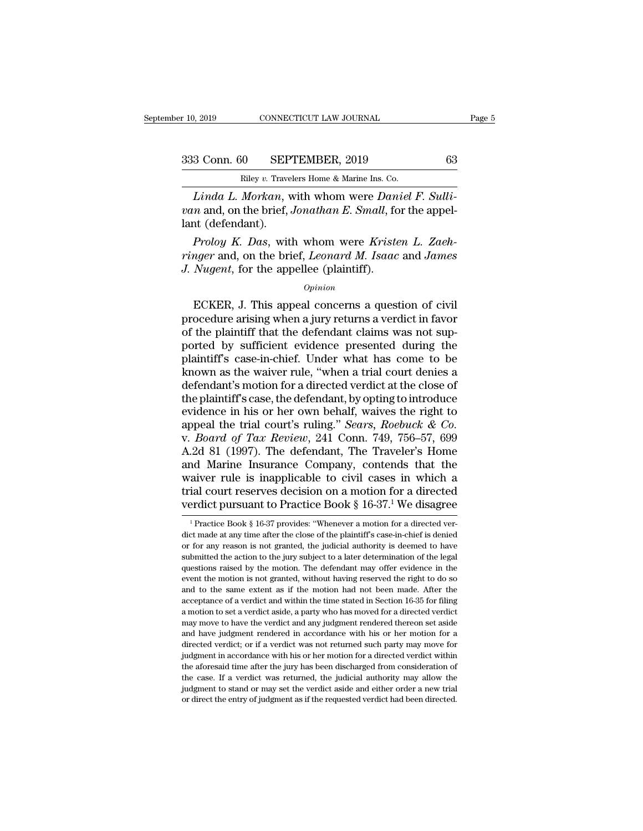10, 2019 CONNECTICUT LAW JOURNAL Page 5<br>333 Conn. 60 SEPTEMBER, 2019 63<br>Riley v. Travelers Home & Marine Ins. Co.

Property 1.4W JOURNAL<br>
Riley *v.* Travelers Home & Marine Ins. Co.<br> *Linda L. Morkan*, with whom were *Daniel F. Sulli-*<br> *n* and, on the brief, *Jonathan E. Small*, for the appel-<br>
and (dofondant) *van* and, 60 *van van van sEPTEMBER, 2019 63 Riley v. Travelers Home & Marine Ins. Co.*<br>*Linda L. Morkan, with whom were Daniel F. Sulli-*<br>*van* and, on the brief, *Jonathan E. Small*, for the appel-<br>lant (defen 333 Conn. 60 SEP<br>
Riley v. Travel<br>
Linda L. Morkan, v<br>
van and, on the brief, .<br>
lant (defendant).<br>
Proloy K. Das, with *Prology A. Berne & Marine Ins. Co.*<br> *Prology v. Travelers Home & Marine Ins. Co.*<br> *Prology A. Morkan*, with whom were *Daniel F. Sulli-*<br> *Prology K. Das, with whom were Kristen L. Zaeh-<br>
<i>Prology K. Das, with whom were* 

*Riley v. Travelers Home & Marine Ins. Co.*<br> *Linda L. Morkan*, with whom were *Daniel F. Sulli-*<br> *van* and, on the brief, *Jonathan E. Small*, for the appel-<br>
lant (defendant).<br> *Proloy K. Das*, with whom were *Kristen L Linda L. Morkan*, with whom were *Dan* van and, on the brief, *Jonathan E. Small*, for the distributional (defendant).<br>*Proloy K. Das*, with whom were *Kriste* ringer and, on the brief, *Leonard M. Isaac J. Nugent*, for t The Californian Control of the Ariston L. Zaeh-<br>
Froloy K. Das, with whom were Kristen L. Zaeh-<br>
ECKER, for the appellee (plaintiff).<br>
Opinion<br>
ECKER, J. This appeal concerns a question of civil<br>
ocedure arising when a jur

## *Opinion*

*Proloy K. Das*, with whom were *Kristen L. Zaeh-<br>
ringer* and, on the brief, *Leonard M. Isaac* and *James*<br> *J. Nugent*, for the appellee (plaintiff).<br> *Opinion*<br>
ECKER, J. This appeal concerns a question of civil<br>
proce Frow T. East, what when were Though E. Easter<br>
Finger and, on the brief, Leonard M. Isaac and James<br>
J. Nugent, for the appellee (plaintiff).<br>  $o_{pinion}$ <br>
ECKER, J. This appeal concerns a question of civil<br>
procedure arising *D. Nugent*, for the appellee (plaintiff).<br> *Opinion*<br>
ECKER, J. This appeal concerns a question of civil<br>
procedure arising when a jury returns a verdict in favor<br>
of the plaintiff that the defendant claims was not sup-<br>  $opinion$ <br>  $Opinion$ <br>
ECKER, J. This appeal concerns a question of civil<br>
procedure arising when a jury returns a verdict in favor<br>
of the plaintiff that the defendant claims was not sup-<br>
ported by sufficient evidence presented du  $o$ <sup>pinion</sup><br>ECKER, J. This appeal concerns a question of civil<br>procedure arising when a jury returns a verdict in favor<br>of the plaintiff that the defendant claims was not sup-<br>ported by sufficient evidence presented durin ECKER, J. This appeal concerns a question of civil<br>procedure arising when a jury returns a verdict in favor<br>of the plaintiff that the defendant claims was not sup-<br>ported by sufficient evidence presented during the<br>plainti procedure arising when a jury returns a verdict in favor<br>of the plaintiff that the defendant claims was not sup-<br>ported by sufficient evidence presented during the<br>plaintiff's case-in-chief. Under what has come to be<br>known of the plaintiff that the defendant claims was not sup-<br>ported by sufficient evidence presented during the<br>plaintiff's case-in-chief. Under what has come to be<br>known as the waiver rule, "when a trial court denies a<br>defenda ported by sufficient evidence presented during the plaintiff's case-in-chief. Under what has come to be known as the waiver rule, "when a trial court denies a defendant's motion for a directed verdict at the close of the p plaintiff's case-in-chief. Under what has come to be<br>known as the waiver rule, "when a trial court denies a<br>defendant's motion for a directed verdict at the close of<br>the plaintiff's case, the defendant, by opting to introd known as the waiver rule, "when a trial court denies a<br>defendant's motion for a directed verdict at the close of<br>the plaintiff's case, the defendant, by opting to introduce<br>evidence in his or her own behalf, waives the rig defendant's motion for a directed verdict at the close of<br>the plaintiff's case, the defendant, by opting to introduce<br>evidence in his or her own behalf, waives the right to<br>appeal the trial court's ruling." *Sears, Roebuck* the plaintiff's case, the defendant, by opting to introduce<br>evidence in his or her own behalf, waives the right to<br>appeal the trial court's ruling." *Sears, Roebuck & Co.*<br>v. *Board of Tax Review*, 241 Conn. 749, 756–57, evidence in his or her own behalf, waives the right to<br>appeal the trial court's ruling." *Sears, Roebuck & Co.*<br>v. *Board of Tax Review*, 241 Conn. 749, 756–57, 699<br>A.2d 81 (1997). The defendant, The Traveler's Home<br>and Ma appeal the trial court's ruling." *Sears, Roebuck & Co.*<br>v. *Board of Tax Review*, 241 Conn. 749, 756–57, 699<br>A.2d 81 (1997). The defendant, The Traveler's Home<br>and Marine Insurance Company, contends that the<br>waiver rule nd Marine Insurance Company, contends that the aiver rule is inapplicable to civil cases in which a fial court reserves decision on a motion for a directed erdict pursuant to Practice Book § 16-37.<sup>1</sup> We disagree  $\frac{1}{1}$ waiver rule is inapplicable to civil cases in which a<br>trial court reserves decision on a motion for a directed<br>verdict pursuant to Practice Book § 16-37.<sup>1</sup> We disagree<br> $\frac{1}{1}$ Practice Book § 16-37 provides: "Whenever a

trial court reserves decision on a motion for a directed<br>verdict pursuant to Practice Book § 16-37.<sup>1</sup> We disagree<br> $\frac{1}{1}$ Practice Book § 16-37 provides: "Whenever a motion for a directed ver-<br>dict made at any time afte verdict pursuant to Practice Book § 16-37.<sup>1</sup> We disagree<br>
<sup>1</sup> Practice Book § 16-37 provides: "Whenever a motion for a directed ver-<br>
dict made at any time after the close of the plaintiff's case-in-chief is denied<br>
or f vertuct pursuant to Practice BOOK § 10-57. We uisagree<br>  $\frac{1}{1}$  Practice Book § 16-37 provides: "Whenever a motion for a directed ver-<br>
dict made at any time after the close of the plaintiff's case-in-chief is denied<br>
o <sup>1</sup> Practice Book § 16-37 provides: "Whenever a motion for a directed verdict made at any time after the close of the plaintiff's case-in-chief is denied or for any reason is not granted, the judicial authority is deemed dict made at any time after the close of the plaintiff's case-in-chief is denied or for any tenson is not granted, the judicial authority is deemed to have submitted the action to the jury subject to a later determination acceptance of a verdict and within the time stated in Section 16-35 for filing and without the action to the jury subject to a later determination of the legal questions raised by the motion. The defendant may offer eviden submitted the action to the jury subject to a later determination of the legal questions raised by the motion. The defendant may offer evidence in the event the motion is not granted, without having reserved the right to d questions raised by the motion. The defendant may offer evidence in the event the motion is not granted, without having reserved the right to do so and to the same extent as if the motion had not been made. After the accep event the motion is not granted, without having reserved the right to do so and to the same extent as if the motion had not been made. After the acceptance of a verdict and within the time stated in Section 16-35 for filin and to the same extent as if the motion had not been made. After the acceptance of a verdict and within the time stated in Section 16-35 for filing a motion to set a verdict aside, a party who has moved for a directed verd acceptance of a verdict and within the time stated in Section 16-35 for filing a motion to set a verdict aside, a party who has moved for a directed verdict may move to have the verdict and any judgment rendered thereon se acceptance of a verdict and within the time stated in Section 16-35 for filing a motion to set a verdict aside, a party who has moved for a directed verdict may move to have the verdict and any judgment rendered thereon s In the case. If a verdict and any judgment rendered thereon set aside and have judgment rendered in accordance with his or her motion for a directed verdict; or if a verdict was not returned such party may move for judgmen judgment to stand or matched in accordance with his or her motion for a directed verdict; or if a verdict was not returned such party may move for judgment in accordance with his or her motion for a directed verdict withi directed verdict; or if a verdict was not returned such party may move for judgment in accordance with his or her motion for a directed verdict within the aforesaid time after the jury has been discharged from consideratio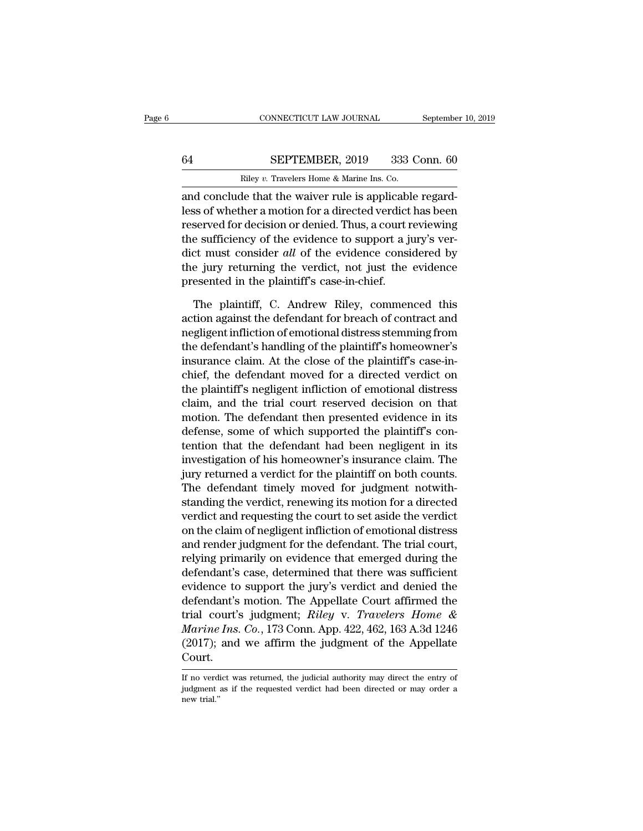# CONNECTICUT LAW JOURNAL September 10, 2019<br>64 SEPTEMBER, 2019 333 Conn. 60<br>Riley v. Travelers Home & Marine Ins. Co.

CONNECTICUT LAW JOURNAL Septembe<br>
<u>SEPTEMBER, 2019</u> 333 Conn. 60<br>
Riley *v.* Travelers Home & Marine Ins. Co.<br>
and conclude that the waiver rule is applicable regard-CONNECTICUT LAW JOURNAL September<br>
64 SEPTEMBER, 2019 333 Conn. 60<br>
Riley v. Travelers Home & Marine Ins. Co.<br>
2010 and conclude that the waiver rule is applicable regard-<br>
Less of whether a motion for a directed verdict h SEPTEMBER, 2019 333 Conn. 60<br>
Riley v. Travelers Home & Marine Ins. Co.<br>
and conclude that the waiver rule is applicable regard-<br>
less of whether a motion for a directed verdict has been<br>
reserved for decision or denied. T EXEPTEMBER, 2019 333 Conn. 60<br>
Riley v. Travelers Home & Marine Ins. Co.<br>
and conclude that the waiver rule is applicable regard-<br>
less of whether a motion for a directed verdict has been<br>
reserved for decision or denied. 64 SEPTEMBER, 2019 333 Conn. 60<br>
Riley v. Travelers Home & Marine Ins. Co.<br>
and conclude that the waiver rule is applicable regard-<br>
less of whether a motion for a directed verdict has been<br>
reserved for decision or denie Riley v. Travelers Home & Marine Ins. Co.<br>
and conclude that the waiver rule is applicable regard-<br>
less of whether a motion for a directed verdict has been<br>
reserved for decision or denied. Thus, a court reviewing<br>
the su and conclude that the waiver rule is applicable regard-<br>less of whether a motion for a directed verdict has been<br>reserved for decision or denied. Thus, a court reviewing<br>the sufficiency of the evidence to support a jury's and conclude that the waiver rule is applicabless of whether a motion for a directed verdict<br>reserved for decision or denied. Thus, a court r<br>the sufficiency of the evidence to support a ji<br>dict must consider *all* of the served for decision or denied. Thus, a court reviewing<br>e sufficiency of the evidence to support a jury's ver-<br>et must consider *all* of the evidence considered by<br>e jury returning the verdict, not just the evidence<br>esented the sufficiency of the evidence to support a jury's verdict must consider *all* of the evidence considered by<br>the jury returning the verdict, not just the evidence<br>presented in the plaintiff's case-in-chief.<br>The plaintiff,

dict must consider *all* of the evidence considered by<br>the jury returning the verdict, not just the evidence<br>presented in the plaintiff's case-in-chief.<br>The plaintiff, C. Andrew Riley, commenced this<br>action against the def the jury returning the verdict, not just the evidence<br>presented in the plaintiff's case-in-chief.<br>The plaintiff, C. Andrew Riley, commenced this<br>action against the defendant for breach of contract and<br>negligent infliction presented in the plaintiff's case-in-chief.<br>The plaintiff, C. Andrew Riley, commenced this<br>action against the defendant for breach of contract and<br>negligent infliction of emotional distress stemming from<br>the defendant's ha The plaintiff, C. Andrew Riley, commenced this<br>action against the defendant for breach of contract and<br>negligent infliction of emotional distress stemming from<br>the defendant's handling of the plaintiff's homeowner's<br>insura The plaintiff, C. Andrew Riley, commenced this<br>action against the defendant for breach of contract and<br>negligent infliction of emotional distress stemming from<br>the defendant's handling of the plaintiff's homeowner's<br>insura action against the defendant for breach of contract and<br>negligent infliction of emotional distress stemming from<br>the defendant's handling of the plaintiff's homeowner's<br>insurance claim. At the close of the plaintiff's case negligent infliction of emotional distress stemming from<br>the defendant's handling of the plaintiff's homeowner's<br>insurance claim. At the close of the plaintiff's case-in-<br>chief, the defendant moved for a directed verdict o the defendant's handling of the plaintiff's homeowner's<br>insurance claim. At the close of the plaintiff's case-in-<br>chief, the defendant moved for a directed verdict on<br>the plaintiff's negligent infliction of emotional distr insurance claim. At the close of the plaintiff's case-in-<br>chief, the defendant moved for a directed verdict on<br>the plaintiff's negligent infliction of emotional distress<br>claim, and the trial court reserved decision on that chief, the defendant moved for a directed verdict on<br>the plaintiff's negligent infliction of emotional distress<br>claim, and the trial court reserved decision on that<br>motion. The defendant then presented evidence in its<br>defe the plaintiff's negligent infliction of emotional distress<br>claim, and the trial court reserved decision on that<br>motion. The defendant then presented evidence in its<br>defense, some of which supported the plaintiff's con-<br>ten claim, and the trial court reserved decision on that<br>motion. The defendant then presented evidence in its<br>defense, some of which supported the plaintiff's con-<br>tention that the defendant had been negligent in its<br>investiga motion. The defendant then presented evidence in its<br>defense, some of which supported the plaintiff's con-<br>tention that the defendant had been negligent in its<br>investigation of his homeowner's insurance claim. The<br>jury ret defense, some of which supported the plantiff's contention that the defendant had been negligent in its investigation of his homeowner's insurance claim. The jury returned a verdict for the plaintiff on both counts.<br>The de tention that the defendant had been negligent in its<br>investigation of his homeowner's insurance claim. The<br>jury returned a verdict for the plaintiff on both counts.<br>The defendant timely moved for judgment notwith-<br>standing investigation of his homeowner's insurance claim. The<br>jury returned a verdict for the plaintiff on both counts.<br>The defendant timely moved for judgment notwith-<br>standing the verdict, renewing its motion for a directed<br>verd jury returned a verdict for the plaintiff on both counts.<br>The defendant timely moved for judgment notwith-<br>standing the verdict, renewing its motion for a directed<br>verdict and requesting the court to set aside the verdict<br> The defendant timely moved for judgment notwith-<br>standing the verdict, renewing its motion for a directed<br>verdict and requesting the court to set aside the verdict<br>on the claim of negligent infliction of emotional distress standing the verdict, renewing its motion for a directed<br>verdict and requesting the court to set aside the verdict<br>on the claim of negligent infliction of emotional distress<br>and render judgment for the defendant. The trial verdict and requesting the court to set aside the verdict<br>on the claim of negligent infliction of emotional distress<br>and render judgment for the defendant. The trial court,<br>relying primarily on evidence that emerged durin on the claim of negligent infliction of emotional distress<br>and render judgment for the defendant. The trial court,<br>relying primarily on evidence that emerged during the<br>defendant's case, determined that there was sufficien and render judgment for the defendant. The trial court,<br>relying primarily on evidence that emerged during the<br>defendant's case, determined that there was sufficient<br>evidence to support the jury's verdict and denied the<br>def relying primarily on evidence that emerged during the<br>defendant's case, determined that there was sufficient<br>evidence to support the jury's verdict and denied the<br>defendant's motion. The Appellate Court affirmed the<br>trial Court. If trial court's judgment; Riley v. Travelers Home & Marine Ins. Co., 173 Conn. App. 422, 462, 163 A.3d 1246 (2017); and we affirm the judgment of the Appellate Court.<br>If no verdict was returned, the judicial authority ma Marine Ins. Co., 173 Conn. App. 422, 462, 163 A.3d 1246 (2017); and we affirm the judgment of the Appellate Court.<br>
If no verdict was returned, the judicial authority may direct the entry of judgment as if the requested ve

 $\frac{\text{Court.}}{\text{If no verd}}$ <br>indgment<br>indgment<br>new trial."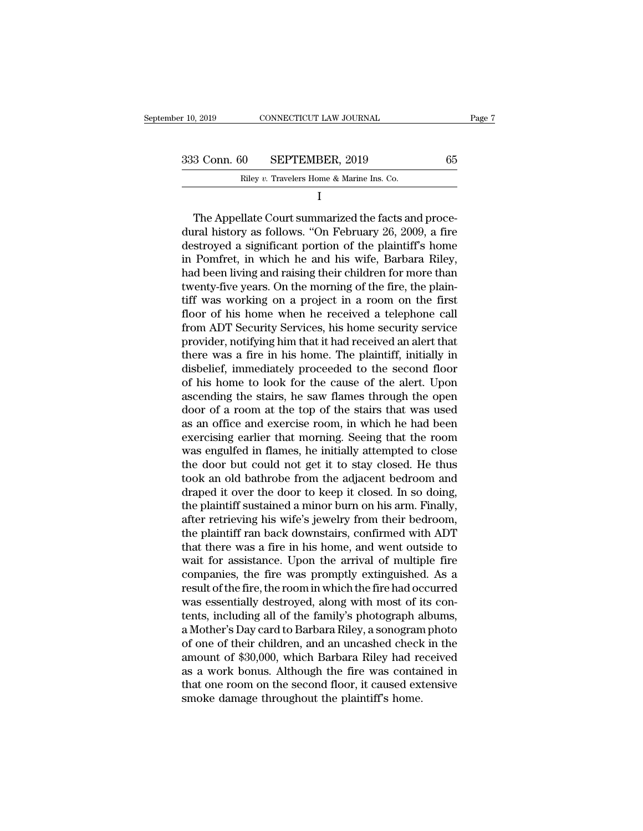| : 10, 2019   | CONNECTICUT LAW JOURNAL                   |    | Page 7 |
|--------------|-------------------------------------------|----|--------|
|              |                                           |    |        |
| 333 Conn. 60 | SEPTEMBER, 2019                           | 65 |        |
|              | Riley v. Travelers Home & Marine Ins. Co. |    |        |
|              |                                           |    |        |

3 Conn. 60 SEPTEMBER, 2019 65<br>
Riley v. Travelers Home & Marine Ins. Co.<br>
I<br>
The Appellate Court summarized the facts and proce-<br>
The Appellate Court summarized the facts and proce-<br>
The Appellate Court summarized the fac 333 Conn. 60 SEPTEMBER, 2019 65<br>
Riley v. Travelers Home & Marine Ins. Co.<br>
I<br>
The Appellate Court summarized the facts and procedural history as follows. "On February 26, 2009, a fire<br>
destroyed a significant portion of 333 Conn. 60 SEPTEMBER, 2019 65<br>
Riley v. Travelers Home & Marine Ins. Co.<br>
I<br>
The Appellate Court summarized the facts and proce-<br>
dural history as follows. "On February 26, 2009, a fire<br>
destroyed a significant portion Riley v. Travelers Home & Marine Ins. Co.<br>
I<br>
The Appellate Court summarized the facts and procedural history as follows. "On February 26, 2009, a fire<br>
destroyed a significant portion of the plaintiff's home<br>
in Pomfret, I<br>
The Appellate Court summarized the facts and proce-<br>
dural history as follows. "On February 26, 2009, a fire<br>
destroyed a significant portion of the plaintiff's home<br>
in Pomfret, in which he and his wife, Barbara Riley, The Appellate Court summarized the facts and proce-<br>dural history as follows. "On February 26, 2009, a fire<br>destroyed a significant portion of the plaintiff's home<br>in Pomfret, in which he and his wife, Barbara Riley,<br>had b The Appellate Court summarized the facts and proce-<br>dural history as follows. "On February 26, 2009, a fire<br>destroyed a significant portion of the plaintiff's home<br>in Pomfret, in which he and his wife, Barbara Riley,<br>had b dural history as follows. "On February 26, 2009, a fire<br>destroyed a significant portion of the plaintiff's home<br>in Pomfret, in which he and his wife, Barbara Riley,<br>had been living and raising their children for more than<br> destroyed a significant portion of the plaintiff's home<br>in Pomfret, in which he and his wife, Barbara Riley,<br>had been living and raising their children for more than<br>twenty-five years. On the morning of the fire, the plain in Pomfret, in which he and his wife, Barbara Riley,<br>had been living and raising their children for more than<br>twenty-five years. On the morning of the fire, the plain-<br>tiff was working on a project in a room on the first<br>f had been living and raising their children for more than<br>twenty-five years. On the morning of the fire, the plain-<br>tiff was working on a project in a room on the first<br>floor of his home when he received a telephone call<br>fr twenty-five years. On the morning of the fire, the plain-<br>tiff was working on a project in a room on the first<br>floor of his home when he received a telephone call<br>from ADT Security Services, his home security service<br>provi tiff was working on a project in a room on the first<br>floor of his home when he received a telephone call<br>from ADT Security Services, his home security service<br>provider, notifying him that it had received an alert that<br>ther floor of his home when he received a telephone call<br>from ADT Security Services, his home security service<br>provider, notifying him that it had received an alert that<br>there was a fire in his home. The plaintiff, initially in from ADT Security Services, his home security service<br>provider, notifying him that it had received an alert that<br>there was a fire in his home. The plaintiff, initially in<br>disbelief, immediately proceeded to the second floo provider, notifying him that it had received an alert that<br>there was a fire in his home. The plaintiff, initially in<br>disbelief, immediately proceeded to the second floor<br>of his home to look for the cause of the alert. Upon there was a fire in his home. The plaintiff, initially in disbelief, immediately proceeded to the second floor of his home to look for the cause of the alert. Upon ascending the stairs, he saw flames through the open door disbelief, immediately proceeded to the second floor<br>of his home to look for the cause of the alert. Upon<br>ascending the stairs, he saw flames through the open<br>door of a room at the top of the stairs that was used<br>as an off of his home to look for the cause of the alert. Upon<br>ascending the stairs, he saw flames through the open<br>door of a room at the top of the stairs that was used<br>as an office and exercise room, in which he had been<br>exercisin ascending the stairs, he saw flames through the open<br>door of a room at the top of the stairs that was used<br>as an office and exercise room, in which he had been<br>exercising earlier that morning. Seeing that the room<br>was engu door of a room at the top of the stairs that was used<br>as an office and exercise room, in which he had been<br>exercising earlier that morning. Seeing that the room<br>was engulfed in flames, he initially attempted to close<br>the d as an office and exercise room, in which he had been<br>exercising earlier that morning. Seeing that the room<br>was engulfed in flames, he initially attempted to close<br>the door but could not get it to stay closed. He thus<br>took exercising earlier that morning. Seeing that the room<br>was engulfed in flames, he initially attempted to close<br>the door but could not get it to stay closed. He thus<br>took an old bathrobe from the adjacent bedroom and<br>draped was engulfed in flames, he initially attempted to close<br>the door but could not get it to stay closed. He thus<br>took an old bathrobe from the adjacent bedroom and<br>draped it over the door to keep it closed. In so doing,<br>the p the door but could not get it to stay closed. He thus<br>took an old bathrobe from the adjacent bedroom and<br>draped it over the door to keep it closed. In so doing,<br>the plaintiff sustained a minor burn on his arm. Finally,<br>aft took an old bathrobe from the adjacent bedroom and<br>draped it over the door to keep it closed. In so doing,<br>the plaintiff sustained a minor burn on his arm. Finally,<br>after retrieving his wife's jewelry from their bedroom,<br>t draped it over the door to keep it closed. In so doing,<br>the plaintiff sustained a minor burn on his arm. Finally,<br>after retrieving his wife's jewelry from their bedroom,<br>the plaintiff ran back downstairs, confirmed with AD the plaintiff sustained a minor burn on his arm. Finally,<br>after retrieving his wife's jewelry from their bedroom,<br>the plaintiff ran back downstairs, confirmed with ADT<br>that there was a fire in his home, and went outside to after retrieving his wife's jewelry from their bedroom,<br>the plaintiff ran back downstairs, confirmed with ADT<br>that there was a fire in his home, and went outside to<br>wait for assistance. Upon the arrival of multiple fire<br>co the plaintiff ran back downstairs, confirmed with ADT<br>that there was a fire in his home, and went outside to<br>wait for assistance. Upon the arrival of multiple fire<br>companies, the fire was promptly extinguished. As a<br>result that there was a fire in his home, and went outside to<br>wait for assistance. Upon the arrival of multiple fire<br>companies, the fire was promptly extinguished. As a<br>result of the fire, the room in which the fire had occurred<br> wait for assistance. Upon the arrival of multiple fire<br>companies, the fire was promptly extinguished. As a<br>result of the fire, the room in which the fire had occurred<br>was essentially destroyed, along with most of its con-<br> companies, the fire was promptly extinguished. As a<br>result of the fire, the room in which the fire had occurred<br>was essentially destroyed, along with most of its con-<br>tents, including all of the family's photograph albums, result of the fire, the room in which the fire had occurred<br>was essentially destroyed, along with most of its con-<br>tents, including all of the family's photograph albums,<br>a Mother's Day card to Barbara Riley, a sonogram ph was essentially destroyed, along with most of its contents, including all of the family's photograph albums, a Mother's Day card to Barbara Riley, a sonogram photo of one of their children, and an uncashed check in the amo tents, including all of the family's photograph a<br>a Mother's Day card to Barbara Riley, a sonogram<br>of one of their children, and an uncashed check<br>amount of \$30,000, which Barbara Riley had re<br>as a work bonus. Although the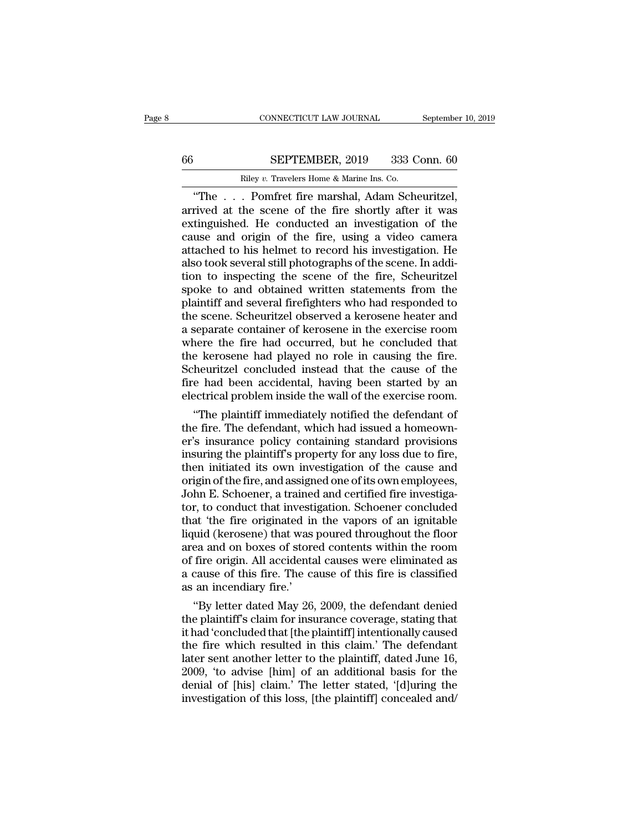## CONNECTICUT LAW JOURNAL September 10, 2019<br>66 SEPTEMBER, 2019 333 Conn. 60<br>Riley v. Travelers Home & Marine Ins. Co. CONNECTICUT LAW JOURNAL<br>
SEPTEMBER, 2019 333 C<br>
Riley *v.* Travelers Home & Marine Ins. Co.<br>
Pomfret fire marshal Adam Sch

CONNECTICUT LAW JOURNAL September 10, 2<br>
SEPTEMBER, 2019 333 Conn. 60<br>
Riley v. Travelers Home & Marine Ins. Co.<br>
"The . . . Pomfret fire marshal, Adam Scheuritzel,<br>
rived at the scene of the fire shortly after it was<br>
tin SEPTEMBER, 2019 333 Conn. 60<br>
Riley v. Travelers Home & Marine Ins. Co.<br>
"The . . . Pomfret fire marshal, Adam Scheuritzel,<br>
arrived at the scene of the fire shortly after it was<br>
extinguished. He conducted an investigatio EXTEMBER, 2019 333 Conn. 60<br>
Riley v. Travelers Home & Marine Ins. Co.<br>
"The . . . Pomfret fire marshal, Adam Scheuritzel,<br>
arrived at the scene of the fire shortly after it was<br>
extinguished. He conducted an investigatio EXEPTEMBER, 2019 333 Conn. 60<br>
Riley v. Travelers Home & Marine Ins. Co.<br>
"The . . . Pomfret fire marshal, Adam Scheuritzel,<br>
arrived at the scene of the fire shortly after it was<br>
extinguished. He conducted an investigat **EXECUTE:**  $\frac{1}{2010}$  and  $\frac{1}{2000}$  comes comes  $\frac{1}{2000}$ . The  $\frac{1}{2000}$  and  $\frac{1}{2000}$  arrived at the scene of the fire shortly after it was extinguished. He conducted an investigation of the cause and origi Riley v. Travelers Home & Marine Ins. Co.<br>
"The . . . Pomfret fire marshal, Adam Scheuritzel,<br>
arrived at the scene of the fire shortly after it was<br>
extinguished. He conducted an investigation of the<br>
cause and origin of "The  $\ldots$  Pomfret fire marshal, Adam Scheuritzel,<br>arrived at the scene of the fire shortly after it was<br>extinguished. He conducted an investigation of the<br>cause and origin of the fire, using a video camera<br>attached to hi arrived at the scene of the fire shortly after it was<br>extinguished. He conducted an investigation of the<br>cause and origin of the fire, using a video camera<br>attached to his helmet to record his investigation. He<br>also took s extinguished. He conducted an investigation of the<br>cause and origin of the fire, using a video camera<br>attached to his helmet to record his investigation. He<br>also took several still photographs of the scene. In addi-<br>tion t cause and origin of the fire, using a video camera<br>attached to his helmet to record his investigation. He<br>also took several still photographs of the scene. In addi-<br>tion to inspecting the scene of the fire, Scheuritzel<br>spo attached to his helmet to record his investigation. He<br>also took several still photographs of the scene. In addi-<br>tion to inspecting the scene of the fire, Scheuritzel<br>spoke to and obtained written statements from the<br>plai also took several still photographs of the scene. In addition to inspecting the scene of the fire, Scheuritzel<br>spoke to and obtained written statements from the<br>plaintiff and several firefighters who had responded to<br>the s tion to inspecting the scene of the fire, Scheuritzel<br>spoke to and obtained written statements from the<br>plaintiff and several firefighters who had responded to<br>the scene. Scheuritzel observed a kerosene heater and<br>a separa spoke to and obtained written statements from the plaintiff and several firefighters who had responded to the scene. Scheuritzel observed a kerosene heater and a separate container of kerosene in the exercise room where th plaintiff and several firefighters who had responded to<br>the scene. Scheuritzel observed a kerosene heater and<br>a separate container of kerosene in the exercise room<br>where the fire had occurred, but he concluded that<br>the ker the scene. Scheuritzel observed a kerosene heater and<br>a separate container of kerosene in the exercise room<br>where the fire had occurred, but he concluded that<br>the kerosene had played no role in causing the fire.<br>Scheuritze Separate container of kerosene in the exercise room<br>
nere the fire had occurred, but he concluded that<br>
e kerosene had played no role in causing the fire.<br>
heuritzel concluded instead that the cause of the<br>
e had been acci where the fire had occurred, but he concluded that<br>the kerosene had played no role in causing the fire.<br>Scheuritzel concluded instead that the cause of the<br>fire had been accidental, having been started by an<br>electrical pro

the kerosene had played no role in causing the fire.<br>Scheuritzel concluded instead that the cause of the<br>fire had been accidental, having been started by an<br>electrical problem inside the wall of the exercise room.<br>"The pla Scheuritzel concluded instead that the cause of the<br>fire had been accidental, having been started by an<br>electrical problem inside the wall of the exercise room.<br>"The plaintiff immediately notified the defendant of<br>the fire fire had been accidental, having been started by an<br>electrical problem inside the wall of the exercise room.<br>"The plaintiff immediately notified the defendant of<br>the fire. The defendant, which had issued a homeown-<br>er's in electrical problem inside the wall of the exercise room.<br>
"The plaintiff immediately notified the defendant of<br>
the fire. The defendant, which had issued a homeown-<br>
er's insurance policy containing standard provisions<br>
in "The plaintiff immediately notified the defendant of<br>the fire. The defendant, which had issued a homeown-<br>er's insurance policy containing standard provisions<br>insuring the plaintiff's property for any loss due to fire,<br>the the fire. The defendant, which had issued a homeown-<br>er's insurance policy containing standard provisions<br>insuring the plaintiff's property for any loss due to fire,<br>then initiated its own investigation of the cause and<br>or er's insurance policy containing standard provisions<br>insuring the plaintiff's property for any loss due to fire,<br>then initiated its own investigation of the cause and<br>origin of the fire, and assigned one of its own employe insuring the plaintiff's property for any loss due to fire,<br>then initiated its own investigation of the cause and<br>origin of the fire, and assigned one of its own employees,<br>John E. Schoener, a trained and certified fire in then initiated its own investigation of the cause and<br>origin of the fire, and assigned one of its own employees,<br>John E. Schoener, a trained and certified fire investiga-<br>tor, to conduct that investigation. Schoener conclu origin of the fire, and assigned one of its own employees,<br>John E. Schoener, a trained and certified fire investiga-<br>tor, to conduct that investigation. Schoener concluded<br>that 'the fire originated in the vapors of an igni John E. Schoener, a trained and certified fire investigator, to conduct that investigation. Schoener concluded that 'the fire originated in the vapors of an ignitable liquid (kerosene) that was poured throughout the floor tor, to conduct that investifithat 'the fire originated ir<br>liquid (kerosene) that was<br>area and on boxes of store<br>of fire origin. All accidenta<br>a cause of this fire. The ca<br>as an incendiary fire.'<br>"By letter dated May 26, at 'the fire originated in the vapors of an ignitable<br>
uid (kerosene) that was poured throughout the floor<br>
ea and on boxes of stored contents within the room<br>
fire origin. All accidental causes were eliminated as<br>
cause o liquid (kerosene) that was poured throughout the floor<br>area and on boxes of stored contents within the room<br>of fire origin. All accidental causes were eliminated as<br>a cause of this fire. The cause of this fire is classifie

area and on boxes of stored contents within the room<br>of fire origin. All accidental causes were eliminated as<br>a cause of this fire. The cause of this fire is classified<br>as an incendiary fire.'<br>"By letter dated May 26, 2009 of the origin. All accidental causes were eliminated as<br>a cause of this fire. The cause of this fire is classified<br>as an incendiary fire.'<br>"By letter dated May 26, 2009, the defendant denied<br>the plaintiff's claim for insur a cause of this fire. The cause of this fire is classified<br>as an incendiary fire.'<br>"By letter dated May 26, 2009, the defendant denied<br>the plaintiff's claim for insurance coverage, stating that<br>it had 'concluded that [the as an incendiary fire.'<br>
"By letter dated May 26, 2009, the defendant denied<br>
the plaintiff's claim for insurance coverage, stating that<br>
it had 'concluded that [the plaintiff] intentionally caused<br>
the fire which resulted "By letter dated May 26, 2009, the defendant denied<br>the plaintiff's claim for insurance coverage, stating that<br>it had 'concluded that [the plaintiff] intentionally caused<br>the fire which resulted in this claim.' The defend the plaintiff's claim for insurance coverage, stating that<br>it had 'concluded that [the plaintiff] intentionally caused<br>the fire which resulted in this claim.' The defendant<br>later sent another letter to the plaintiff, dated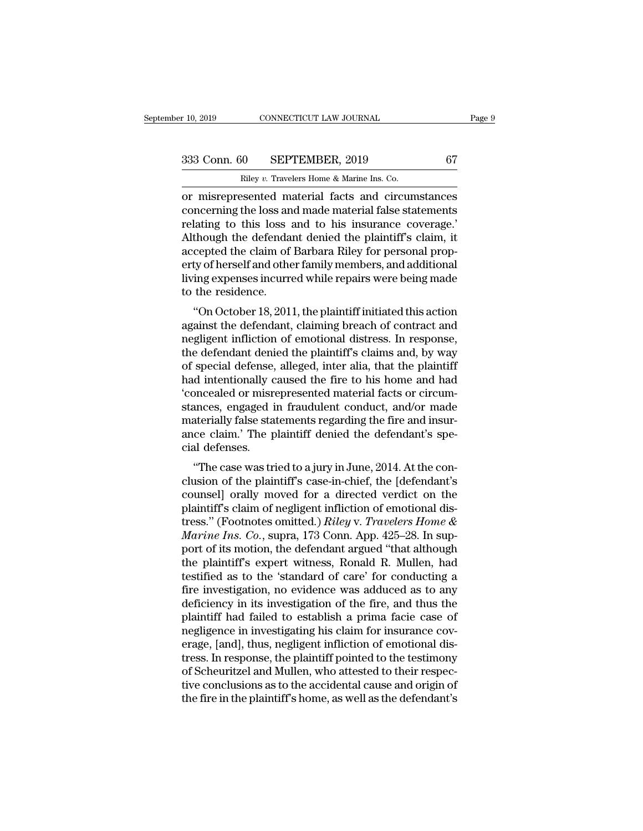r 10, 2019 CONNECTICUT LAW JOURNAL<br>
233 Conn. 60 SEPTEMBER, 2019 67<br>
Riley *v.* Travelers Home & Marine Ins. Co.<br>
or misrepresented material facts and circumstances r 10, 2019 CONNECTICUT LAW JOURNAL Page 9<br>
333 Conn. 60 SEPTEMBER, 2019 67<br>
Riley v. Travelers Home & Marine Ins. Co.<br>
or misrepresented material facts and circumstances<br>
concerning the loss and made material false stateme 333 Conn. 60 SEPTEMBER, 2019 67<br>
Riley v. Travelers Home & Marine Ins. Co.<br>
or misrepresented material facts and circumstances<br>
concerning the loss and made material false statements<br>
relating to this loss and to his insur 333 Conn. 60 SEPTEMBER, 2019 67<br>
Riley v. Travelers Home & Marine Ins. Co.<br>
or misrepresented material facts and circumstances<br>
concerning the loss and made material false statements<br>
relating to this loss and to his insu  $\frac{333 \text{ Conn. } 60 \qquad \text{SEPTEMBER, } 2019 \qquad \qquad 67 \qquad \text{Riley } v. \text{ Travelers Home & Marine Ins. Co.}$ <br>
or misrepresented material facts and circumstances<br>
concerning the loss and made material false statements<br>
relating to this loss and to his insuranc Riley v. Travelers Home & Marine Ins. Co.<br>
or misrepresented material facts and circumstances<br>
concerning the loss and made material false statements<br>
relating to this loss and to his insurance coverage.<br>
Although the defe Example we Travelers Home & Marine Ins. Co.<br>
or misrepresented material facts and circumstances<br>
concerning the loss and made material false statements<br>
relating to this loss and to his insurance coverage.<br>
Although the de or misrepresented material facts and circumstances<br>concerning the loss and made material false statements<br>relating to this loss and to his insurance coverage.'<br>Although the defendant denied the plaintiff's claim, it<br>accept concerning the loss an<br>relating to this loss ;<br>Although the defenda<br>accepted the claim of<br>erty of herself and othe<br>living expenses incurre<br>to the residence.<br>"On October 18, 201 rating to this loss and to his insurance coverage.<br>
though the defendant denied the plaintiff's claim, it<br>
cepted the claim of Barbara Riley for personal prop-<br>
ty of herself and other family members, and additional<br>
ing e Addogat the defendant defiled the plaintin's claim, it<br>accepted the claim of Barbara Riley for personal prop-<br>erty of herself and other family members, and additional<br>living expenses incurred while repairs were being made<br>

accepted the claim of Barbara Kiley for personal property of herself and other family members, and additional<br>living expenses incurred while repairs were being made<br>to the residence.<br>"On October 18, 2011, the plaintiff ini the defendant denied the first same and bad intentionally dependent of the residence.<br>
"On October 18, 2011, the plaintiff initiated this action<br>
against the defendant, claiming breach of contract and<br>
megligent infliction noing expenses incurred while repairs were being inade<br>to the residence.<br>"On October 18, 2011, the plaintiff initiated this action<br>against the defendant, claiming breach of contract and<br>negligent infliction of emotional di "On October 18, 2011, the plaintiff initiated this action<br>against the defendant, claiming breach of contract and<br>negligent infliction of emotional distress. In response,<br>the defendant denied the plaintiff's claims and, by "On October 18, 2011, the plaintiff initiated this action<br>against the defendant, claiming breach of contract and<br>negligent infliction of emotional distress. In response,<br>the defendant denied the plaintiff's claims and, by against the defendant, claiming breach of contract and<br>negligent infliction of emotional distress. In response,<br>the defendant denied the plaintiff's claims and, by way<br>of special defense, alleged, inter alia, that the plai negligent infliction of emotional distress. In response,<br>the defendant denied the plaintiff's claims and, by way<br>of special defense, alleged, inter alia, that the plaintiff<br>had intentionally caused the fire to his home and the defendant denied the plaintiff's claims and, by way<br>of special defense, alleged, inter alia, that the plaintiff<br>had intentionally caused the fire to his home and had<br>'concealed or misrepresented material facts or circu of special defense,<br>had intentionally c<br>'concealed or misre<br>stances, engaged i<br>materially false sta<br>ance claim.' The p<br>cial defenses.<br>"The case was tri ''The case was tried to a jury in June, 2014. At the conconceated of histepresented material racts of circum-<br>stances, engaged in fraudulent conduct, and/or made<br>materially false statements regarding the fire and insur-<br>ance claim.' The plaintiff denied the defendant's spe-<br>cia

stances, engaged in Traductient conduct, and/or made<br>materially false statements regarding the fire and insur-<br>ance claim.' The plaintiff denied the defendant's spe-<br>cial defenses.<br>"The case was tried to a jury in June, 2 materially hase statements regarding the me and insur-<br>ance claim.' The plaintiff denied the defendant's spe-<br>cial defenses.<br>"The case was tried to a jury in June, 2014. At the con-<br>clusion of the plaintiff's case-in-chie ance ciant. The plaintiff defined the defendant's special defenses.<br>
"The case was tried to a jury in June, 2014. At the conclusion of the plaintiff's case-in-chief, the [defendant's<br>
counsel] orally moved for a directed v <sup>2</sup> The case was tried to a jury in June, 2014. At the conclusion of the plaintiff's case-in-chief, the [defendant's counsel] orally moved for a directed verdict on the plaintiff's claim of negligent infliction of emotiona "The case was tried to a jury in June, 2014. At the conclusion of the plaintiff's case-in-chief, the [defendant's counsel] orally moved for a directed verdict on the plaintiff's claim of negligent infliction of emotional clusion of the plaintiff's case-in-chief, the [defendant's counsel] orally moved for a directed verdict on the plaintiff's claim of negligent infliction of emotional distress." (Footnotes omitted.) *Riley v. Travelers Home* counsel] orally moved for a directed verdict on the<br>plaintiff's claim of negligent infliction of emotional dis-<br>tress." (Footnotes omitted.) *Riley v. Travelers Home &*<br>*Marine Ins. Co.*, supra, 173 Conn. App. 425–28. In s plaintiff's claim of negligent infliction of emotional dis-<br>tress." (Footnotes omitted.) *Riley v. Travelers Home &*<br>*Marine Ins. Co.*, supra, 173 Conn. App. 425–28. In sup-<br>port of its motion, the defendant argued "that a tress." (Footnotes omitted.) *Riley v. Travelers Home & Marine Ins. Co.*, supra, 173 Conn. App. 425–28. In support of its motion, the defendant argued "that although the plaintiff's expert witness, Ronald R. Mullen, had te Marine Ins. Co., supra, 173 Conn. App. 425–28. In support of its motion, the defendant argued "that although<br>the plaintiff's expert witness, Ronald R. Mullen, had<br>testified as to the 'standard of care' for conducting a<br>fir port of its motion, the defendant argued "that although<br>the plaintiff's expert witness, Ronald R. Mullen, had<br>testified as to the 'standard of care' for conducting a<br>fire investigation, no evidence was adduced as to any<br>de the plaintiff's expert witness, Ronald R. Mullen, had<br>testified as to the 'standard of care' for conducting a<br>fire investigation, no evidence was adduced as to any<br>deficiency in its investigation of the fire, and thus the<br> testified as to the 'standard of care' for conducting a<br>fire investigation, no evidence was adduced as to any<br>deficiency in its investigation of the fire, and thus the<br>plaintiff had failed to establish a prima facie case o fire investigation, no evidence was adduced as to any<br>deficiency in its investigation of the fire, and thus the<br>plaintiff had failed to establish a prima facie case of<br>negligence in investigating his claim for insurance co deficiency in its investigation of the fire, and thus the plaintiff had failed to establish a prima facie case of negligence in investigating his claim for insurance coverage, [and], thus, negligent infliction of emotional plaintiff had failed to establish a prima facie case of negligence in investigating his claim for insurance coverage, [and], thus, negligent infliction of emotional distress. In response, the plaintiff pointed to the testi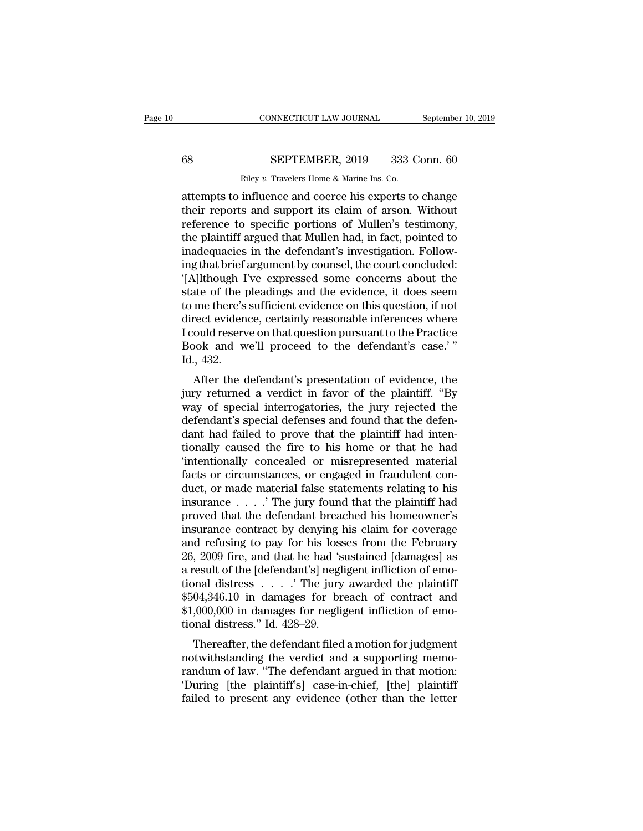# CONNECTICUT LAW JOURNAL September 10, 2019<br>68 SEPTEMBER, 2019 333 Conn. 60<br>Riley v. Travelers Home & Marine Ins. Co.

CONNECTICUT LAW JOURNAL Septembe<br>
Riley *v.* Travelers Home & Marine Ins. Co.<br>
Riley *v.* Travelers Home & Marine Ins. Co.<br>
attempts to influence and coerce his experts to change CONNECTICUT LAW JOURNAL September 10, 2019<br>
68 SEPTEMBER, 2019 333 Conn. 60<br>
Riley v. Travelers Home & Marine Ins. Co.<br>
attempts to influence and coerce his experts to change<br>
their reports and support its claim of arson. SEPTEMBER, 2019 333 Conn. 60<br>
Riley v. Travelers Home & Marine Ins. Co.<br>
attempts to influence and coerce his experts to change<br>
their reports and support its claim of arson. Without<br>
reference to specific portions of Mull EXEPTEMBER, 2019 333 Conn. 60<br>
Riley v. Travelers Home & Marine Ins. Co.<br>
attempts to influence and coerce his experts to change<br>
their reports and support its claim of arson. Without<br>
reference to specific portions of Mu SEPTEMBER, 2019 333 Conn. 60<br>
Riley v. Travelers Home & Marine Ins. Co.<br>
attempts to influence and coerce his experts to change<br>
their reports and support its claim of arson. Without<br>
reference to specific portions of Mul Riley v. Travelers Home & Marine Ins. Co.<br>
attempts to influence and coerce his experts to change<br>
their reports and support its claim of arson. Without<br>
reference to specific portions of Mullen's testimony,<br>
the plaintiff Example are and coerce his experts to change<br>attempts to influence and coerce his experts to change<br>their reports and support its claim of arson. Without<br>reference to specific portions of Mullen's testimony,<br>the plaintiff attempts to influence and coerce his experts to change<br>
their reports and support its claim of arson. Without<br>
reference to specific portions of Mullen's testimony,<br>
the plaintiff argued that Mullen had, in fact, pointed t their reports and support its claim of arson. Without<br>reference to specific portions of Mullen's testimony,<br>the plaintiff argued that Mullen had, in fact, pointed to<br>inadequacies in the defendant's investigation. Follow-<br>i reference to specific portions of Mullen's testimony,<br>the plaintiff argued that Mullen had, in fact, pointed to<br>inadequacies in the defendant's investigation. Follow-<br>ing that brief argument by counsel, the court concluded the plaintiff argued that Mullen had, in fact, pointed to<br>inadequacies in the defendant's investigation. Follow-<br>ing that brief argument by counsel, the court concluded:<br>'[A]lthough I've expressed some concerns about the<br>s inadequacies in the defendant's investigation. Following that brief argument by counsel, the court concluded:<br>'[A]lthough I've expressed some concerns about the<br>state of the pleadings and the evidence, it does seem<br>to me t ing that brief argument by counsel, the court concluded:<br>'[A]lthough I've expressed some concerns about the<br>state of the pleadings and the evidence, it does seem<br>to me there's sufficient evidence on this question, if not<br>d '[A]lthough I<br>state of the µ<br>to me there's<br>direct eviden<br>I could reserv<br>Book and w<br>Id., 432.<br>After the c The defendant's and the evidence, it does seen<br>the defendence of this question, if not<br>rect evidence, certainly reasonable inferences where<br>ould reserve on that question pursuant to the Practice<br>ook and we'll proceed to th to the there s sumcrent evidence on this question, if not<br>direct evidence, certainly reasonable inferences where<br>I could reserve on that question pursuant to the Practice<br>Book and we'll proceed to the defendant's case.'"<br>I

different textually reasonable interestes where<br>I could reserve on that question pursuant to the Practice<br>Book and we'll proceed to the defendant's case.'"<br>Id., 432.<br>After the defendant's presentation of evidence, the<br>jury Froud reserve on that question pursuant to the 1 ractice<br>Book and we'll proceed to the defendant's case.'"<br>Id., 432.<br>After the defendant's presentation of evidence, the<br>jury returned a verdict in favor of the plaintiff. "B Book and we'll proceed to the defendant's case.<br>Id., 432.<br>After the defendant's presentation of evidence, the<br>jury returned a verdict in favor of the plaintiff. "By<br>way of special interrogatories, the jury rejected the<br>def tion, 452.<br>
After the defendant's presentation of evidence, the<br>
jury returned a verdict in favor of the plaintiff. "By<br>
way of special interrogatories, the jury rejected the<br>
defendant's special defenses and found that th After the defendant's presentation of evidence, the<br>jury returned a verdict in favor of the plaintiff. "By<br>way of special interrogatories, the jury rejected the<br>defendant's special defenses and found that the defen-<br>dant h jury returned a verdict in favor of the plaintiff. "By<br>way of special interrogatories, the jury rejected the<br>defendant's special defenses and found that the defen-<br>dant had failed to prove that the plaintiff had inten-<br>tio way of special interrogatories, the jury rejected the<br>defendant's special defenses and found that the defen-<br>dant had failed to prove that the plaintiff had inten-<br>tionally caused the fire to his home or that he had<br>"inte defendant's special defenses and found that the defendant had failed to prove that the plaintiff had intentionally caused the fire to his home or that he had 'intentionally concealed or misrepresented material facts or cir dant had failed to prove that the plaintiff had intentionally caused the fire to his home or that he had<br>'intentionally concealed or misrepresented material<br>facts or circumstances, or engaged in fraudulent con-<br>duct, or ma tionally caused the fire to his home or that he had<br>
"intentionally concealed or misrepresented material<br>
facts or circumstances, or engaged in fraudulent con-<br>
duct, or made material false statements relating to his<br>
ins "intentionally concealed or misrepresented material facts or circumstances, or engaged in fraudulent conduct, or made material false statements relating to his insurance  $\ldots$  . The jury found that the plaintiff had prove facts or circumstances, or engaged in fraudulent conduct, or made material false statements relating to his<br>insurance  $\ldots$ . The jury found that the plaintiff had<br>proved that the defendant breached his homeowner's<br>insuran duct, or made material false statements relating to his<br>insurance . . . . . . The jury found that the plaintiff had<br>proved that the defendant breached his homeowner's<br>insurance contract by denying his claim for coverage<br>a tional distress . . . .' The jury awarded the plaintiff proved that the defendant breached his homeowner's<br>insurance contract by denying his claim for coverage<br>and refusing to pay for his losses from the February<br>26, 2009 fire, and that he had 'sustained [damages] as<br>a result insurance contract by denying his claim for coverage<br>and refusing to pay for his losses from the February<br>26, 2009 fire, and that he had 'sustained [damages] as<br>a result of the [defendant's] negligent infliction of emo-<br>t and refusing to pay for his loss<br>26, 2009 fire, and that he had 'sult of the [defendant's] negli<br>tional distress  $\ldots$ .' The jury<br> $$504,346.10$  in damages for bre<br> $$1,000,000$  in damages for neglig<br>tional distress." Id. 4  $(2009 \text{ m} \cdot \text{m})$  and that he had sustained [damages] as<br>result of the [defendant's] negligent infliction of emo-<br>nnal distress  $\ldots$  . The jury awarded the plaintiff<br> $04,346.10$  in damages for breach of contract and<br> $0$ a result of the pleneticiant spinley<br>tional distress  $\ldots$ . The jury awarded the plaintiff<br>\$504,346.10 in damages for breach of contract and<br>\$1,000,000 in damages for negligent infliction of emo-<br>tional distress." Id. 428

 $$504,346.10$  in damages for breach of contract and  $$1,000,000$  in damages for negligent infliction of emotional distress." Id.  $428-29$ .<br>Thereafter, the defendant filed a motion for judgment notwithstanding the verdict \$504,540.10 in damages for breach of contract and<br>\$1,000,000 in damages for negligent infliction of emo-<br>tional distress." Id. 428–29.<br>Thereafter, the defendant filed a motion for judgment<br>notwithstanding the verdict and a  $\phi$ <sub>1</sub>,000,000 in dantages for hegigent initiation of emotional distress." Id. 428–29.<br>Thereafter, the defendant filed a motion for judgment notwithstanding the verdict and a supporting memo-<br>randum of law. "The defendan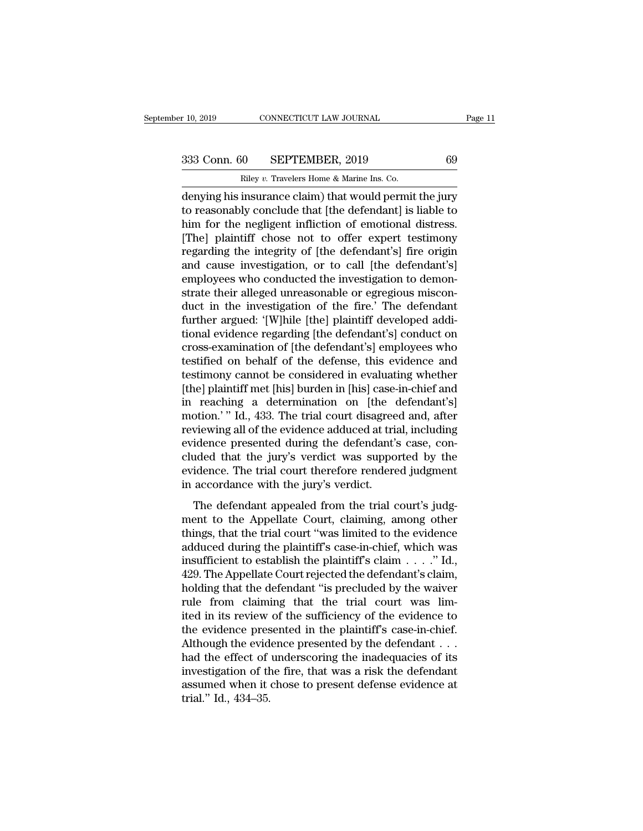r 10, 2019 CONNECTICUT LAW JOURNAL<br>
233 Conn. 60 SEPTEMBER, 2019 69<br>
Riley *v*. Travelers Home & Marine Ins. Co.<br>
denying his insurance claim) that would permit the jury r 10, 2019 CONNECTICUT LAW JOURNAL Page 11<br>
333 Conn. 60 SEPTEMBER, 2019 69<br>
Riley v. Travelers Home & Marine Ins. Co.<br>
denying his insurance claim) that would permit the jury<br>
to reasonably conclude that [the defendant] i 333 Conn. 60 SEPTEMBER, 2019 69<br>
Riley v. Travelers Home & Marine Ins. Co.<br>
denying his insurance claim) that would permit the jury<br>
to reasonably conclude that [the defendant] is liable to<br>
him for the negligent inflictio 333 Conn. 60 SEPTEMBER, 2019 69<br>
Riley v. Travelers Home & Marine Ins. Co.<br>
denying his insurance claim) that would permit the jury<br>
to reasonably conclude that [the defendant] is liable to<br>
him for the negligent inflicti  $\begin{array}{|l|l|} \hline \text{Billey } v \text{. Travelers Home & Marine Ins. Co.} \hline \text{denying his insurance claim) that would permit the jury to reasonably conclude that [the defendant] is liable to him for the neighbor influence of emotional distress. [The] plaintiff chose not to offer expert testimony regarding the integrity of [the defendant's] fire origin and cause investigation or to call [the defendant's]$ Riley v. Travelers Home & Marine Ins. Co.<br>
denying his insurance claim) that would permit the jury<br>
to reasonably conclude that [the defendant] is liable to<br>
him for the negligent infliction of emotional distress.<br>
[The] p Example in Soleman and Controller<br>denying his insurance claim) that would permit the jury<br>to reasonably conclude that [the defendant] is liable to<br>him for the negligent infliction of emotional distress.<br>[The] plaintiff cho denying his insurance claim) that would permit the jury<br>to reasonably conclude that [the defendant] is liable to<br>him for the negligent infliction of emotional distress.<br>[The] plaintiff chose not to offer expert testimony<br>r to reasonably conclude that [the defendant] is liable to<br>him for the negligent infliction of emotional distress.<br>[The] plaintiff chose not to offer expert testimony<br>regarding the integrity of [the defendant's] fire origin<br> him for the negligent infliction of emotional distress.<br>[The] plaintiff chose not to offer expert testimony<br>regarding the integrity of [the defendant's] fire origin<br>and cause investigation, or to call [the defendant's]<br>emp [The] plaintiff chose not to offer expert testimony<br>regarding the integrity of [the defendant's] fire origin<br>and cause investigation, or to call [the defendant's]<br>employees who conducted the investigation to demon-<br>strate regarding the integrity of [the defendant's] fire origin<br>and cause investigation, or to call [the defendant's]<br>employees who conducted the investigation to demon-<br>strate their alleged unreasonable or egregious miscon-<br>duct and cause investigation, or to call [the defendant's]<br>employees who conducted the investigation to demon-<br>strate their alleged unreasonable or egregious miscon-<br>duct in the investigation of the fire.' The defendant<br>further employees who conducted the investigation to demonstrate their alleged unreasonable or egregious misconduct in the investigation of the fire.' The defendant further argued: '[W]hile [the] plaintiff developed additional evi strate their alleged unreasonable or egregious misconduct in the investigation of the fire.' The defendant further argued: '[W]hile [the] plaintiff developed additional evidence regarding [the defendant's] conduct on cross duct in the investigation of the fire.' The defendant<br>further argued: '[W]hile [the] plaintiff developed addi-<br>tional evidence regarding [the defendant's] conduct on<br>cross-examination of [the defendant's] employees who<br>tes further argued: '[W]hile [the] plaintiff developed additional evidence regarding [the defendant's] conduct on<br>cross-examination of [the defendant's] employees who<br>testified on behalf of the defense, this evidence and<br>testi tional evidence regarding [the defendant's] conduct on<br>cross-examination of [the defendant's] employees who<br>testified on behalf of the defense, this evidence and<br>testimony cannot be considered in evaluating whether<br>[the] p cross-examination of [the defendant's] employees who<br>testified on behalf of the defense, this evidence and<br>testimony cannot be considered in evaluating whether<br>[the] plaintiff met [his] burden in [his] case-in-chief and<br>in testified on behalf of the defense, this evidence and<br>testimony cannot be considered in evaluating whether<br>[the] plaintiff met [his] burden in [his] case-in-chief and<br>in reaching a determination on [the defendant's]<br>motion testimony cannot be considered in evaluating whether<br>[the] plaintiff met [his] burden in [his] case-in-chief and<br>in reaching a determination on [the defendant's]<br>motion.' " Id., 433. The trial court disagreed and, after<br>re [the] plaintiff met [his] burden in [his] case-in-chief and<br>in reaching a determination on [the defendant's]<br>motion.'" Id., 433. The trial court disagreed and, after<br>reviewing all of the evidence adduced at trial, includin in reaching a determination on [the contion.'" Id., 433. The trial court disagree reviewing all of the evidence adduced at trial evidence presented during the defendant's cluded that the jury's verdict was supposevidence. The defendant appealed from the trial court's judg-<br>The defendant's case, con-<br>ded that the jury's verdict was supported by the<br>idence. The trial court therefore rendered judgment<br>accordance with the jury's verdict.<br>The de evidence presented during the defendant's case, concluded that the jury's verdict was supported by the evidence. The trial court therefore rendered judgment<br>in accordance with the jury's verdict.<br>The defendant appealed fro

chached that the jury's verdict was supported by the<br>evidence. The trial court therefore rendered judgment<br>in accordance with the jury's verdict.<br>The defendant appealed from the trial court's judg-<br>ment to the Appellate Co evidence. The trial court therefore rendered judgment<br>in accordance with the jury's verdict.<br>The defendant appealed from the trial court's judg-<br>ment to the Appellate Court, claiming, among other<br>things, that the trial co in accordance with the jury's verdict.<br>
The defendant appealed from the trial court's judg-<br>
ment to the Appellate Court, claiming, among other<br>
things, that the trial court "was limited to the evidence<br>
adduced during th The defendant appealed from the trial court's judg-<br>ment to the Appellate Court, claiming, among other<br>things, that the trial court "was limited to the evidence<br>adduced during the plaintiff's case-in-chief, which was<br>insu The defendant appealed from the trial court's judgment to the Appellate Court, claiming, among other things, that the trial court "was limited to the evidence adduced during the plaintiff's case-in-chief, which was insuff ment to the Appellate Court, claiming, among other<br>things, that the trial court "was limited to the evidence<br>adduced during the plaintiff's case-in-chief, which was<br>insufficient to establish the plaintiff's claim  $\ldots$ ." things, that the trial court "was limited to the evidence<br>adduced during the plaintiff's case-in-chief, which was<br>insufficient to establish the plaintiff's claim . . . . ." Id.,<br>429. The Appellate Court rejected the defend adduced during the plaintiff's case-in-chief, which was<br>insufficient to establish the plaintiff's claim  $\ldots$ ." Id.,<br>429. The Appellate Court rejected the defendant's claim,<br>holding that the defendant "is precluded by the insufficient to establish the plaintiff's claim  $\ldots$ ." Id.,<br>429. The Appellate Court rejected the defendant's claim,<br>holding that the defendant "is precluded by the waiver<br>rule from claiming that the trial court was lim-429. The Appellate Court rejected the defendant's claim,<br>holding that the defendant "is precluded by the waiver<br>rule from claiming that the trial court was lim-<br>ited in its review of the sufficiency of the evidence to<br>the holding that the defendant "is precluded by the waiver<br>rule from claiming that the trial court was lim-<br>ited in its review of the sufficiency of the evidence to<br>the evidence presented in the plaintiff's case-in-chief.<br>Alt rule from claiming that the trial court was limited in its review of the sufficiency of the evidence to the evidence presented in the plaintiff's case-in-chief.<br>Although the evidence presented by the defendant . . . had th ited in its review<br>the evidence pres<br>Although the evid<br>had the effect of<br>investigation of th<br>assumed when it<br>trial." Id., 434–35.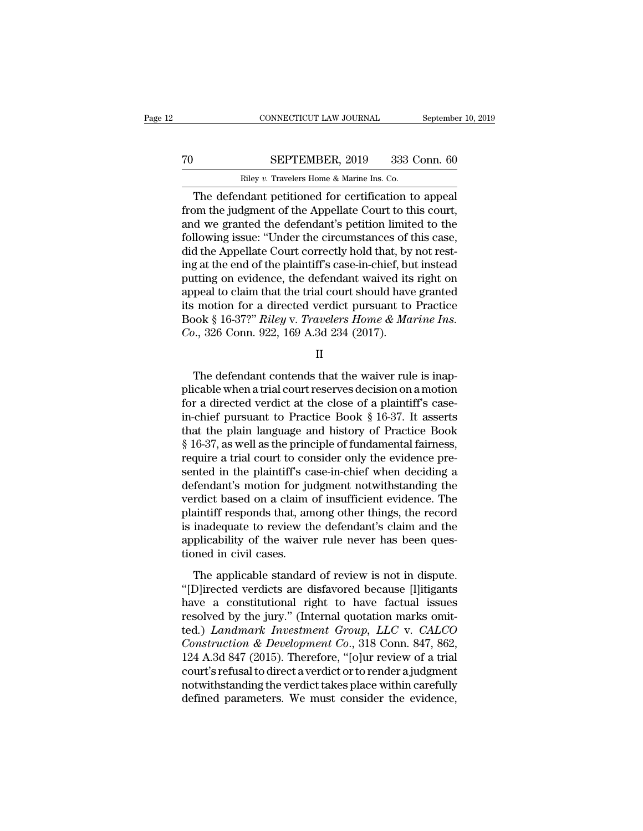# CONNECTICUT LAW JOURNAL September 10, 2019<br>
TO SEPTEMBER, 2019 333 Conn. 60<br>
Riley v. Travelers Home & Marine Ins. Co.

CONNECTICUT LAW JOURNAL Septembe<br>
SEPTEMBER, 2019 333 Conn. 60<br>
Riley *v.* Travelers Home & Marine Ins. Co.<br>
The defendant petitioned for certification to appeal CONNECTICUT LAW JOURNAL September 10, 20<br>
SEPTEMBER, 2019 333 Conn. 60<br>
Riley v. Travelers Home & Marine Ins. Co.<br>
The defendant petitioned for certification to appeal<br>
om the judgment of the Appellate Court to this court, From the judgment of the defendant petitioned for certification to appear of the judgment of the Appellate Court to this court,<br>and we granted the defendant's petition limited to the following issue: "Under the circumstanc To SEPTEMBER, 2019 333 Conn. 60<br>
Riley v. Travelers Home & Marine Ins. Co.<br>
The defendant petitioned for certification to appeal<br>
from the judgment of the Appellate Court to this court,<br>
and we granted the defendant's pet Following SEPTEMBER, 2019 333 Conn. 60<br>
Riley v. Travelers Home & Marine Ins. Co.<br>
The defendant petitioned for certification to appeal<br>
from the judgment of the Appellate Court to this court,<br>
and we granted the defendant Riley v. Travelers Home & Marine Ins. Co.<br>The defendant petitioned for certification to appeal<br>from the judgment of the Appellate Court to this court,<br>and we granted the defendant's petition limited to the<br>following issue: Example at Marine Ins. Co.<br>
The defendant petitioned for certification to appeal<br>
from the judgment of the Appellate Court to this court,<br>
and we granted the defendant's petition limited to the<br>
following issue: "Under the The defendant petitioned for certification to appeal<br>from the judgment of the Appellate Court to this court,<br>and we granted the defendant's petition limited to the<br>following issue: "Under the circumstances of this case,<br>di from the judgment of the Appellate Court to this court,<br>and we granted the defendant's petition limited to the<br>following issue: "Under the circumstances of this case,<br>did the Appellate Court correctly hold that, by not res and we granted the defendant's petition limited to the following issue: "Under the circumstances of this case, did the Appellate Court correctly hold that, by not resting at the end of the plaintiff's case-in-chief, but i following issue: "Under the circumstances of this case,<br>did the Appellate Court correctly hold that, by not rest-<br>ing at the end of the plaintiff's case-in-chief, but instead<br>putting on evidence, the defendant waived its r did the Appellate Court correctly hold that, by<br>ing at the end of the plaintiff's case-in-chief, bu<br>putting on evidence, the defendant waived its<br>appeal to claim that the trial court should have<br>its motion for a directed v peal to claim that the trial court should have granted<br>  $\alpha$  motion for a directed verdict pursuant to Practice<br>
ook § 16-37?" *Riley* v. *Travelers Home & Marine Ins.*<br>
.., 326 Conn. 922, 169 A.3d 234 (2017).<br>
II<br>
The de

II

its motion for a directed verdict pursuant to Practice<br>
Book § 16-37?" *Riley* v. *Travelers Home & Marine Ins.*<br>
Co., 326 Conn. 922, 169 A.3d 234 (2017).<br>
II<br>
The defendant contends that the waiver rule is inapplicable w Book § 16-37?" Riley v. Travelers Home & Marine Ins.<br>
Co., 326 Conn. 922, 169 A.3d 234 (2017).<br>
II<br>
The defendant contends that the waiver rule is inapplicable when a trial court reserves decision on a motion<br>
for a direc *Co.*, 326 Conn. 922, 169 A.3d 234 (2017).<br>
II<br>
The defendant contends that the waiver rule is inapplicable when a trial court reserves decision on a motion<br>
for a directed verdict at the close of a plaintiff's case-<br>
in-II<br>
The defendant contends that the waiver rule is inap-<br>
plicable when a trial court reserves decision on a motion<br>
for a directed verdict at the close of a plaintiff's case-<br>
in-chief pursuant to Practice Book § 16-37. I The defendant contends that the waiver rule is inap-<br>plicable when a trial court reserves decision on a motion<br>for a directed verdict at the close of a plaintiff's case-<br>in-chief pursuant to Practice Book § 16-37. It asser The defendant contends that the waiver rule is inapplicable when a trial court reserves decision on a motion<br>for a directed verdict at the close of a plaintiff's case-<br>in-chief pursuant to Practice Book § 16-37. It asserts plicable when a trial court reserves decision on a motion<br>for a directed verdict at the close of a plaintiff's case-<br>in-chief pursuant to Practice Book § 16-37. It asserts<br>that the plain language and history of Practice Bo for a directed verdict at the close of a plaintiff's case-<br>in-chief pursuant to Practice Book § 16-37. It asserts<br>that the plain language and history of Practice Book<br>§ 16-37, as well as the principle of fundamental fairn in-chief pursuant to Practice Book § 16-37. It asserts<br>that the plain language and history of Practice Book<br>§ 16-37, as well as the principle of fundamental fairness,<br>require a trial court to consider only the evidence pre that the plain language and history of Practice Book<br>§ 16-37, as well as the principle of fundamental fairness,<br>require a trial court to consider only the evidence pre-<br>sented in the plaintiff's case-in-chief when deciding § 16-37, as well as the principle of fundamental fairness,<br>require a trial court to consider only the evidence pre-<br>sented in the plaintiff's case-in-chief when deciding a<br>defendant's motion for judgment notwithstanding th require a trial court to consider only the evidence presented in the plaintiff's case-in-chief when deciding a defendant's motion for judgment notwithstanding the verdict based on a claim of insufficient evidence. The plai sented in the plaintiff's condefendant's motion for juverdict based on a claim<br>plaintiff responds that, and is inadequate to review the<br>applicability of the waive<br>tioned in civil cases.<br>The applicable standard The applicable standard of review the defendant's claim and the aintiff responds that, among other things, the record inadequate to review the defendant's claim and the plicability of the waiver rule never has been questio verdict sased on a claim of insufficent evidence. The<br>plaintiff responds that, among other things, the record<br>is inadequate to review the defendant's claim and the<br>applicability of the waiver rule never has been ques-<br>tion

plantant responds and, anong other analy, are record<br>is inadequate to review the defendant's claim and the<br>applicability of the waiver rule never has been ques-<br>tioned in civil cases.<br>The applicable standard of review is resolved in civil cases.<br>
The applicability of the waiver rule never has been questioned in civil cases.<br>
The applicable standard of review is not in dispute.<br>
"[D]irected verdicts are disfavored because [I]itigants<br>
have tioned in civil cases.<br>
The applicable standard of review is not in dispute.<br>
"[D]irected verdicts are disfavored because [I]itigants<br>
have a constitutional right to have factual issues<br>
resolved by the jury." (Internal qu The applicable standard of review is not in dispute.<br>
"[D]irected verdicts are disfavored because [l]itigants<br>
have a constitutional right to have factual issues<br>
resolved by the jury." (Internal quotation marks omit-<br>
ted The applicable standard of review is not in dispute.<br>
"[D]irected verdicts are disfavored because [I]itigants<br>
have a constitutional right to have factual issues<br>
resolved by the jury." (Internal quotation marks omit-<br>
te "[D]irected verdicts are disfavored because [I]itigants<br>have a constitutional right to have factual issues<br>resolved by the jury." (Internal quotation marks omit-<br>ted.) *Landmark Investment Group, LLC* v. *CALCO*<br>*Construc* have a constitutional right to have factual issues<br>resolved by the jury." (Internal quotation marks omit-<br>ted.) *Landmark Investment Group, LLC* v. *CALCO*<br>*Construction & Development Co.*, 318 Conn. 847, 862,<br>124 A.3d 847 resolved by the jury." (Internal quotation marks omitted.) Landmark Investment Group, LLC v. CALCO Construction & Development Co., 318 Conn. 847, 862, 124 A.3d 847 (2015). Therefore, "[o]ur review of a trial court's refus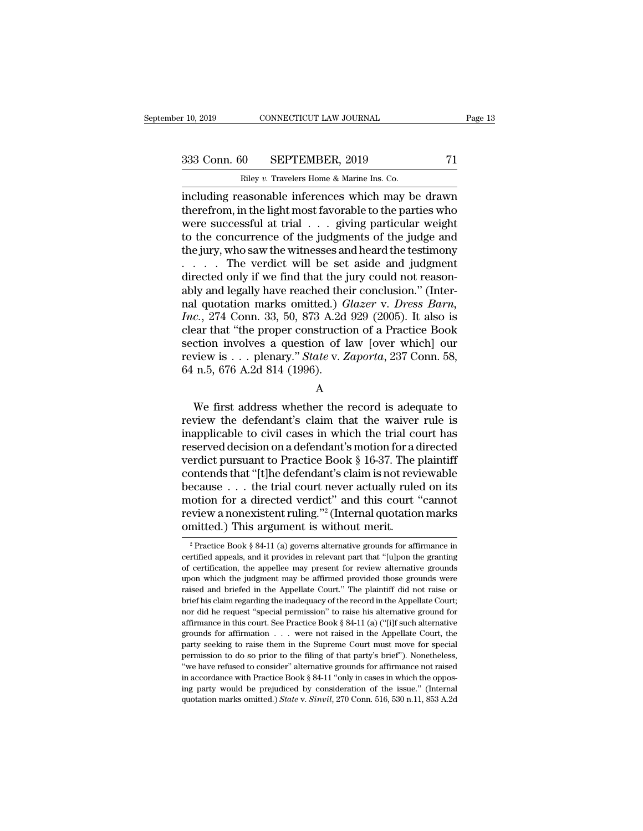10, 2019 CONNECTICUT LAW JOURNAL Page 13<br>333 Conn. 60 SEPTEMBER, 2019 71<br>Riley v. Travelers Home & Marine Ins. Co.

r 10, 2019 CONNECTICUT LAW JOURNAL<br>
233 Conn. 60 SEPTEMBER, 2019 71<br>
Riley *v*. Travelers Home & Marine Ins. Co.<br>
including reasonable inferences which may be drawn r 10, 2019 CONNECTICUT LAW JOURNAL Page 13<br>
333 Conn. 60 SEPTEMBER, 2019 71<br>
Riley v. Travelers Home & Marine Ins. Co.<br>
including reasonable inferences which may be drawn<br>
therefrom, in the light most favorable to the part 333 Conn. 60 SEPTEMBER, 2019 71<br>
Riley v. Travelers Home & Marine Ins. Co.<br>
including reasonable inferences which may be drawn<br>
therefrom, in the light most favorable to the parties who<br>
were successful at trial . . . . . 333 Conn. 60 SEPTEMBER, 2019 71<br>
Riley v. Travelers Home & Marine Ins. Co.<br>
including reasonable inferences which may be drawn<br>
therefrom, in the light most favorable to the parties who<br>
were successful at trial . . . giv 333 Conn. 60 SEPTEMBER, 2019 71<br>
Riley v. Travelers Home & Marine Ins. Co.<br>
including reasonable inferences which may be drawn<br>
therefrom, in the light most favorable to the parties who<br>
were successful at trial . . . giv Riley v. Travelers Home & Marine Ins. Co.<br>
including reasonable inferences which may be drawn<br>
therefrom, in the light most favorable to the parties who<br>
were successful at trial . . . giving particular weight<br>
to the con Example we are a Marine Ins. Co.<br>
including reasonable inferences which may be drawn<br>
therefrom, in the light most favorable to the parties who<br>
were successful at trial . . . giving particular weight<br>
to the concurrence including reasonable inferences which may be drawn<br>therefrom, in the light most favorable to the parties who<br>were successful at trial  $\ldots$  giving particular weight<br>to the concurrence of the judgments of the judge and<br>the therefrom, in the light most favorable to the parties who<br>were successful at trial . . . giving particular weight<br>to the concurrence of the judgments of the judge and<br>the jury, who saw the witnesses and heard the testimon were successful at trial . . . giving particular weight<br>to the concurrence of the judgments of the judge and<br>the jury, who saw the witnesses and heard the testimony<br>. . . . . The verdict will be set aside and judgment<br>dire to the concurrence of the judgments of the judge and<br>the jury, who saw the witnesses and heard the testimony<br>....... The verdict will be set aside and judgment<br>directed only if we find that the jury could not reason-<br>ably the jury, who saw the witnesses and heard the testimony<br>
. . . . . The verdict will be set aside and judgment<br>
directed only if we find that the jury could not reason-<br>
ably and legally have reached their conclusion." (In ... The verdict will be set aside and judgment<br>directed only if we find that the jury could not reason-<br>ably and legally have reached their conclusion." (Inter-<br>nal quotation marks omitted.) *Glazer v. Dress Barn*,<br>*Inc.* directed only if we find that the jury could not reasonably and legally have reached their conclusion." (Internal quotation marks omitted.) *Glazer v. Dress Barn*, *Inc.*, 274 Conn. 33, 50, 873 A.2d 929 (2005). It also is ably and legally have reached the<br>nal quotation marks omitted.)  $G$ <br>*Inc.*, 274 Conn. 33, 50, 873 A.2d<br>clear that "the proper construction<br>section involves a question of 1<br>review is . . . plenary." *State* v. 2<br>64 n.5, 67 Example 2.1 Fig. 2.1 Fig. 2.1 Fig. 2.1 Fig. 2.1 Fig. 2.1 Fig. 2.1 Fig. 2.1 Fig. 2.1 Fig. 2.1 Fig. 2.1 Fig. 2.1 Fig. 2.1 Fig. 2.1 Fig. 2.1 Fig. 2.1 Fig. 2.1 Fig. 2.1 Fig. 2.1 Fig. 2.1 Fig. 2.1 Fig. 2.1 Fig. 2.1 Fig. 2.1 St

A

section involves a question of law [over which] our<br>review is . . . plenary." *State v. Zaporta*, 237 Conn. 58,<br>64 n.5, 676 A.2d 814 (1996).<br>A<br>We first address whether the record is adequate to<br>review the defendant's clai review is . . . plenary." State v. Zaporta, 237 Conn. 58,<br>64 n.5, 676 A.2d 814 (1996).<br>A<br>We first address whether the record is adequate to<br>review the defendant's claim that the waiver rule is<br>inapplicable to civil cases Fortew B. F. F. prenary. State W. Experies, 25 February, 25, 64 n.5, 676 A.2d 814 (1996).<br>
A<br>
We first address whether the record is adequate to<br>
review the defendant's claim that the waiver rule is<br>
inapplicable to civil We first address whether the record is adequate to<br>review the defendant's claim that the waiver rule is<br>inapplicable to civil cases in which the trial court has<br>reserved decision on a defendant's motion for a directed<br>ver A<br>We first address whether the record is adequate to<br>review the defendant's claim that the waiver rule is<br>inapplicable to civil cases in which the trial court has<br>reserved decision on a defendant's motion for a directed<br>v We first address whether the record is adequate to<br>review the defendant's claim that the waiver rule is<br>inapplicable to civil cases in which the trial court has<br>reserved decision on a defendant's motion for a directed<br>ver review the defendant's claim that the waiver rule is<br>inapplicable to civil cases in which the trial court has<br>reserved decision on a defendant's motion for a directed<br>verdict pursuant to Practice Book § 16-37. The plainti inapplicable to civil cases in which the trial court has<br>reserved decision on a defendant's motion for a directed<br>verdict pursuant to Practice Book § 16-37. The plaintiff<br>contends that "[t]he defendant's claim is not revi reserved decision on a defendant's motion for a d<br>verdict pursuant to Practice Book § 16-37. The p<br>contends that "[t]he defendant's claim is not revi<br>because  $\dots$  the trial court never actually rule<br>motion for a directed ecause . . . the trial court never actually ruled on its<br>into for a directed verdict" and this court "cannot<br>eview a nonexistent ruling."<sup>2</sup> (Internal quotation marks<br>mitted.) This argument is without merit.<br> $\frac{1}{2}$ Prac motion for a directed verdict" and this court "cannot<br>review a nonexistent ruling."<sup>2</sup> (Internal quotation marks<br>omitted.) This argument is without merit.<br> $\frac{1}{2}$  Practice Book § 84-11 (a) governs alternative grounds fo

review a nonexistent ruling."<sup>2</sup> (Internal quotation marks omitted.) This argument is without merit.<br> $\frac{1}{2}$  Practice Book § 84-11 (a) governs alternative grounds for affirmance in certified appeals, and it provides in omitted.) This argument is without merit.<br>
<sup>2</sup> Practice Book § 84-11 (a) governs alternative grounds for affirmance in<br>
certified appeals, and it provides in relevant part that "[u]pon the granting<br>
of certification, the Practice Book § 84-11 (a) governs alternative grounds for affirmance in  $e^2$  Practice Book § 84-11 (a) governs alternative grounds for affirmance in certified appeals, and it provides in relevant part that "[u]pon the gr <sup>2</sup> Practice Book § 84-11 (a) governs alternative grounds for affirmance in certified appeals, and it provides in relevant part that "[u]pon the granting of certification, the appellee may present for review alternative g ertified appeals, and it provides in relevant part that "[u]pon the granting<br>of certification, the appellee may present for review alternative grounds<br>upon which the judgment may be affirmed provided those grounds were<br>rai of certification, the appellee may present for review alternative grounds upon which the judgment may be affirmed provided those grounds were raised and briefed in the Appellate Court." The plaintiff did not raise or brie upon which the judgment may be affirmed provided those grounds were raised and briefed in the Appellate Court." The plaintiff did not raise or brief his claim regarding the inadequacy of the record in the Appellate Court; Fraction and briefed in the Appellate Court." The plaintiff did not raise or brief his claim regarding the inadequacy of the record in the Appellate Court; nor did he request "special permission" to raise his alternative brief his claim regarding the inadequacy of the record in the Appellate Court;<br>nor did he request "special permission" to raise his alternative ground for<br>affirmance in this court. See Practice Book § 84-11 (a) ("[i]f suc From the request "special permission" to raise his alternative ground for affirmance in this court. See Practice Book § 84-11 (a) ("[i]f such alternative grounds for affirmation  $\ldots$  were not raised in the Appellate Cour affirmance in this court. See Practice Book § 84-11 (a) ("[i]f such alternative grounds for affirmation . . . were not raised in the Appellate Court, the party seeking to raise them in the Supreme Court must move for spec grounds for affirmation  $\ldots$  were not raised in the Appellate Court, the party seeking to raise them in the Supreme Court must move for special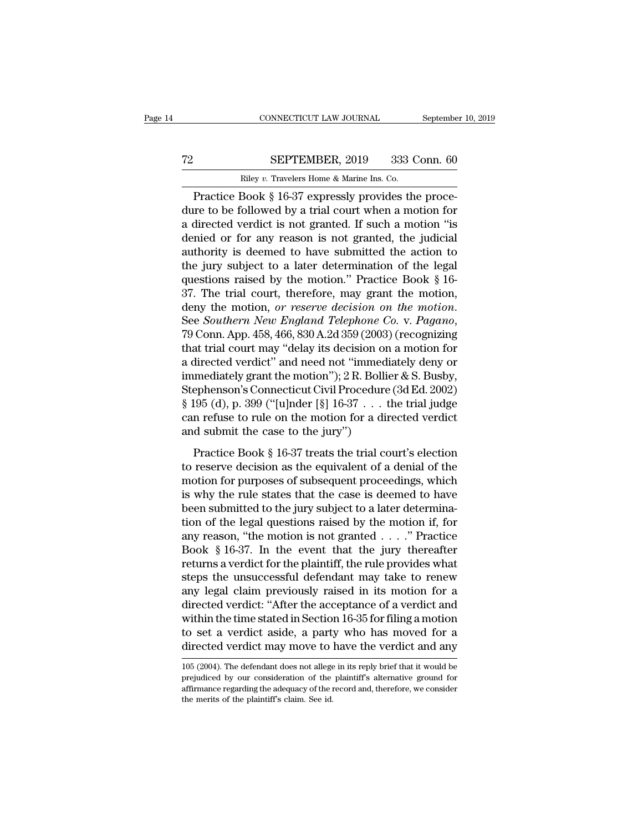# CONNECTICUT LAW JOURNAL September 10, 2019<br>
T2 SEPTEMBER, 2019 333 Conn. 60<br>
Riley v. Travelers Home & Marine Ins. Co.

CONNECTICUT LAW JOURNAL Septembe<br>
SEPTEMBER, 2019 333 Conn. 60<br>
Riley *v.* Travelers Home & Marine Ins. Co.<br>
Practice Book § 16-37 expressly provides the proce-CONNECTICUT LAW JOURNAL Septembe<br>
SEPTEMBER, 2019 333 Conn. 60<br>
Riley v. Travelers Home & Marine Ins. Co.<br>
Practice Book § 16-37 expressly provides the proce--<br>
Tractice Book § 16-37 expressly provides the proce--<br>
Tractic The SEPTEMBER, 2019 333 Conn. 60<br>
Riley v. Travelers Home & Marine Ins. Co.<br>
Practice Book § 16-37 expressly provides the procedure to be followed by a trial court when a motion for<br>
a directed verdict is not granted. If s The SEPTEMBER, 2019 333 Conn. 60<br>
Riley v. Travelers Home & Marine Ins. Co.<br>
Practice Book § 16-37 expressly provides the procedure to be followed by a trial court when a motion for<br>
a directed verdict is not granted. If The SEPTEMBER, 2019 333 Conn. 60<br>
Riley v. Travelers Home & Marine Ins. Co.<br>
Practice Book § 16-37 expressly provides the procedure to be followed by a trial court when a motion for<br>
a directed verdict is not granted. If Riley v. Travelers Home & Marine Ins. Co.<br>
Practice Book § 16-37 expressly provides the procedure to be followed by a trial court when a motion for<br>
a directed verdict is not granted. If such a motion "is<br>
denied or for a Example to be followed by a trial court when a motion for<br>a directed verdict is not granted. If such a motion for<br>a directed verdict is not granted. If such a motion "is<br>denied or for any reason is not granted, the judici Practice Book § 16-37 expressly provides the procedure to be followed by a trial court when a motion for a directed verdict is not granted. If such a motion "is denied or for any reason is not granted, the judicial author dure to be followed by a trial court when a motion for<br>a directed verdict is not granted. If such a motion "is<br>denied or for any reason is not granted, the judicial<br>authority is deemed to have submitted the action to<br>the j a directed verdict is not granted. If such a motion "is denied or for any reason is not granted, the judicial authority is deemed to have submitted the action to the jury subject to a later determination of the legal quest the jury subject to a later determination of the legal<br>questions raised by the motion." Practice Book § 16-<br>37. The trial court, therefore, may grant the motion,<br>deny the motion, *or reserve decision on the motion*.<br>See questions raised by the motion." Practice Book § 16-<br>37. The trial court, therefore, may grant the motion,<br>deny the motion, *or reserve decision on the motion*.<br>See *Southern New England Telephone Co.* v. *Pagano*,<br>79 Con 37. The trial court, therefore, may grant the motion,<br>deny the motion, *or reserve decision on the motion*.<br>See *Southern New England Telephone Co.* v. *Pagano*,<br>79 Conn. App. 458, 466, 830 A.2d 359 (2003) (recognizing<br>th deny the motion, *or reserve decision on the motion*.<br>See *Southern New England Telephone Co.* v. *Pagano*,<br>79 Conn. App. 458, 466, 830 A.2d 359 (2003) (recognizing<br>that trial court may "delay its decision on a motion for<br> See *Southern New England Telephone Co.* v. *Pagano*,<br>79 Conn. App. 458, 466, 830 A.2d 359 (2003) (recognizing<br>that trial court may "delay its decision on a motion for<br>a directed verdict" and need not "immediately deny or<br> 79 Conn. App. 458, 466, 830 A.2d 359 (2003) (recognizing<br>that trial court may "delay its decision on a motion for<br>a directed verdict" and need not "immediately deny or<br>immediately grant the motion"); 2 R. Bollier & S. Busb that trial court may "delay its decision on a motion for<br>a directed verdict" and need not "immediately deny or<br>immediately grant the motion"); 2 R. Bollier & S. Busby,<br>Stephenson's Connecticut Civil Procedure (3d Ed. 2002 mediately grant the motion"); 2 R. Bollier & S. Busby,<br>ephenson's Connecticut Civil Procedure (3d Ed. 2002)<br>195 (d), p. 399 ("[u]nder [§] 16-37 . . . the trial judge<br>n refuse to rule on the motion for a directed verdict<br>d Stephenson's Connecticut Civil Procedure (3d Ed. 2002)<br>
§ 195 (d), p. 399 ("[u]nder [§] 16-37 . . . the trial judge<br>
can refuse to rule on the motion for a directed verdict<br>
and submit the case to the jury")<br>
Practice Boo

 $\frac{1}{2}$  195 (d), p. 399 ("[u]nder [§] 16-37 . . . the trial judge<br>can refuse to rule on the motion for a directed verdict<br>and submit the case to the jury")<br>Practice Book § 16-37 treats the trial court's election<br>to rese can refuse to rule on the motion for a directed verdict<br>and submit the case to the jury")<br>Practice Book § 16-37 treats the trial court's election<br>to reserve decision as the equivalent of a denial of the<br>motion for purpose and submit the case to the jury")<br>
Practice Book § 16-37 treats the trial court's election<br>
to reserve decision as the equivalent of a denial of the<br>
motion for purposes of subsequent proceedings, which<br>
is why the rule s Practice Book § 16-37 treats the trial court's election<br>to reserve decision as the equivalent of a denial of the<br>motion for purposes of subsequent proceedings, which<br>is why the rule states that the case is deemed to have<br> Practice Book § 16-37 treats the trial court's election<br>to reserve decision as the equivalent of a denial of the<br>motion for purposes of subsequent proceedings, which<br>is why the rule states that the case is deemed to have<br> to reserve decision as the equivalent of a denial of the<br>motion for purposes of subsequent proceedings, which<br>is why the rule states that the case is deemed to have<br>been submitted to the jury subject to a later determinamotion for purposes of subsequent proceedings, which<br>is why the rule states that the case is deemed to have<br>been submitted to the jury subject to a later determina-<br>tion of the legal questions raised by the motion if, for is why the rule states that the case is deemed to have<br>been submitted to the jury subject to a later determina-<br>tion of the legal questions raised by the motion if, for<br>any reason, "the motion is not granted  $\ldots$ ." Pract been submitted to the jury subject to a later determination of the legal questions raised by the motion if, for any reason, "the motion is not granted  $\ldots$ ." Practice Book § 16-37. In the event that the jury thereafter r tion of the legal questions raised by the motion if, for<br>any reason, "the motion is not granted  $\ldots$ ." Practice<br>Book § 16-37. In the event that the jury thereafter<br>returns a verdict for the plaintiff, the rule provides w any reason, "the motion is not granted  $\ldots$ ." Practice<br>Book § 16-37. In the event that the jury thereafter<br>returns a verdict for the plaintiff, the rule provides what<br>steps the unsuccessful defendant may take to renew<br>an Book § 16-37. In the event that the jury thereafter<br>returns a verdict for the plaintiff, the rule provides what<br>steps the unsuccessful defendant may take to renew<br>any legal claim previously raised in its motion for a<br>direc returns a verdict for the plaintiff, the rule provides what<br>steps the unsuccessful defendant may take to renew<br>any legal claim previously raised in its motion for a<br>directed verdict: "After the acceptance of a verdict and<br> directed verdict: "After the acceptance of a verdict and<br>within the time stated in Section 16-35 for filing a motion<br>to set a verdict aside, a party who has moved for a<br>directed verdict may move to have the verdict and any within the time stated in Section 16-35 for filing a motion<br>to set a verdict aside, a party who has moved for a<br>directed verdict may move to have the verdict and any<br> $\frac{105 (2004)}{105 (2004)}$ . The defendant does not allege

to set a verdict aside, a party who has moved for a directed verdict may move to have the verdict and any  $105$  (2004). The defendant does not allege in its reply brief that it would be prejudiced by our consideration of t directed verdict may move to<br> $105$  (2004). The defendant does not allege<br>prejudiced by our consideration of the<br>affirmance regarding the adequacy of the r<br>the merits of the plaintiff's claim. See id.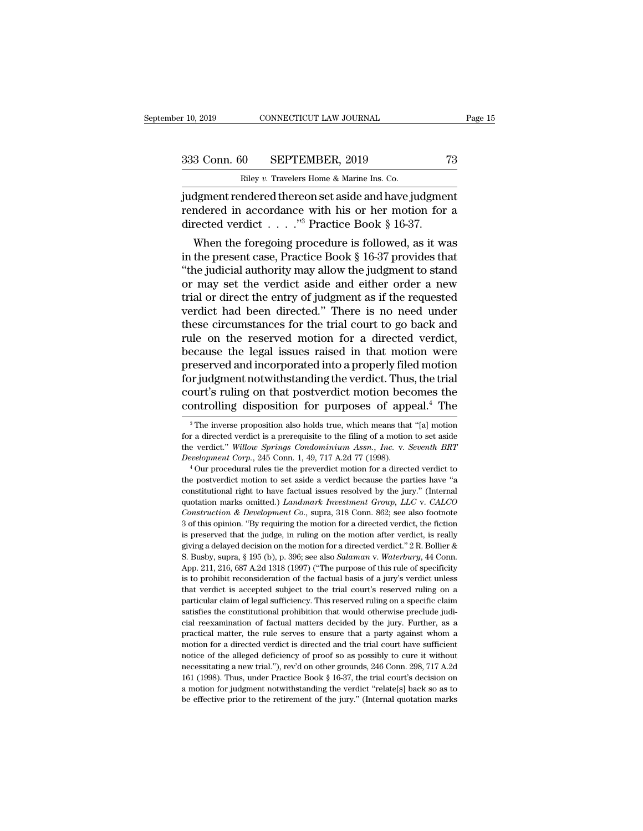10, 2019 CONNECTICUT LAW JOURNAL Page 15<br>333 Conn. 60 SEPTEMBER, 2019 73<br>Riley v. Travelers Home & Marine Ins. Co.

r 10, 2019 CONNECTICUT LAW JOURNAL<br>
233 Conn. 60 SEPTEMBER, 2019 73<br>
Riley *v*. Travelers Home & Marine Ins. Co.<br>
11 Judgment rendered thereon set aside and have judgment r 10, 2019 CONNECTICUT LAW JOURNAL Page 1<br>
333 Conn. 60 SEPTEMBER, 2019 73<br>
Riley v. Travelers Home & Marine Ins. Co.<br>
judgment rendered thereon set aside and have judgment<br>
rendered in accordance with his or her motion fo 333 Conn. 60 SEPTEMBER, 2019 73<br>Riley v. Travelers Home & Marine Ins. Co.<br>
indgment rendered thereon set aside and have judgment<br>
rendered in accordance with his or her motion for a<br>
directed verdict . . . . . . . . . . . 333 Conn. 60 SEPTEMBER, 2019<br>
Riley v. Travelers Home & Marine Ins. Co.<br>
judgment rendered thereon set aside and have judgment<br>
rendered in accordance with his or her motion for<br>
directed verdict . . . .."<sup>3</sup> Practice Boo 3 Conn. 60 SEPTEMBER, 2019 73<br>
Riley v. Travelers Home & Marine Ins. Co.<br>
dgment rendered thereon set aside and have judgment<br>
indered in accordance with his or her motion for a<br>
rected verdict . . . . . . . . . . . . . .

Riley v. Travelers Home & Marine Ins. Co.<br>
independent rendered thereon set aside and have judgment<br>
rendered in accordance with his or her motion for a<br>
directed verdict . . . . . "<sup>3</sup> Practice Book § 16-37.<br>
When the fo judgment rendered thereon set aside and have judgment<br>
rendered in accordance with his or her motion for a<br>
directed verdict . . . . . "<sup>3</sup> Practice Book § 16-37.<br>
When the foregoing procedure is followed, as it was<br>
in t quagment rendered thereon set aside and nave judgment<br>rendered in accordance with his or her motion for a<br>directed verdict . . . . ."<sup>3</sup> Practice Book § 16-37.<br>When the foregoing procedure is followed, as it was<br>in the pr Trendered in accordance with fils or her motion for a<br>directed verdict . . . . ."<sup>3</sup> Practice Book § 16-37.<br>When the foregoing procedure is followed, as it was<br>in the present case, Practice Book § 16-37 provides that<br>"the When the foregoing procedure is followed, as it was<br>in the present case, Practice Book § 16-37 provides that<br>"the judicial authority may allow the judgment to stand<br>or may set the verdict aside and either order a new<br>tria When the foregoing procedure is followed, as it was<br>in the present case, Practice Book § 16-37 provides that<br>"the judicial authority may allow the judgment to stand<br>or may set the verdict aside and either order a new<br>tria in the present case, Practice Book § 16-37 provides that<br>
"the judicial authority may allow the judgment to stand<br>
or may set the verdict aside and either order a new<br>
trial or direct the entry of judgment as if the reque "the judicial authority may allow the judgment to stand<br>or may set the verdict aside and either order a new<br>trial or direct the entry of judgment as if the requested<br>verdict had been directed." There is no need under<br>these or may set the verdict aside and either order a new<br>trial or direct the entry of judgment as if the requested<br>verdict had been directed." There is no need under<br>these circumstances for the trial court to go back and<br>rule o trial or direct the entry of judgment as if the requested<br>verdict had been directed." There is no need under<br>these circumstances for the trial court to go back and<br>rule on the reserved motion for a directed verdict,<br>becaus verdict had been directed." There is no need under<br>these circumstances for the trial court to go back and<br>rule on the reserved motion for a directed verdict,<br>because the legal issues raised in that motion were<br>preserved an these circumstances for the trial court to go back and<br>rule on the reserved motion for a directed verdict,<br>because the legal issues raised in that motion were<br>preserved and incorporated into a properly filed motion<br>for jud reserved and incorporated into a properly filed motion<br>or judgment notwithstanding the verdict. Thus, the trial<br>ourt's ruling on that postverdict motion becomes the<br>pontrolling disposition for purposes of appeal.<sup>4</sup> The<br><sup>3</sup> for judgment notwithstanding the verdict. Thus, the trial court's ruling on that postverdict motion becomes the controlling disposition for purposes of appeal.<sup>4</sup> The  $\frac{3}{10}$ <sup>3</sup>The inverse proposition also holds true,

court's ruling on that postverdict motion becomes the<br>
controlling disposition for purposes of appeal.<sup>4</sup> The<br>
<sup>3</sup>The inverse proposition also holds true, which means that "[a] motion<br>
for a directed verdict is a prerequis controlling disposition for purposes of appeal.<sup>4</sup> The <sup>3</sup>The inverse proposition also holds true, which means that "[a] motion for a directed verdict is a prerequisite to the filing of a motion to set aside the verdict." <sup>3</sup> The inverse proposition also holds true, which means that "[a] motion for a directed verdict is a prerequisite to the filing of a motion to set aside the verdict." Willow Springs Condominium Assn., Inc. v. Seventh BRT

for a directed verdict is a prerequisite to the filing of a motion to set aside the verdict." Willow Springs Condominium Assn., Inc. v. Seventh BRT Development Corp., 245 Conn. 1, 49, 717 A.2d 77 (1998).<br>
"Our procedural and the verdict." *Willow Springs Condominium Assn.*, *Inc.* v. *Seventh BRT Development Corp.*, 245 Conn. 1, 49, 717 A.2d 77 (1998).<br>
<sup>4</sup> Our procedural rules tie the preverdict motion for a directed verdict to the post *Construction & Development Construction & Development Corp.*, 245 Conn. 1, 49, 717 A.2d 77 (1998).<br>
<sup>4</sup> Our procedural rules tie the preverdict motion for a directed verdict to the postverdict motion to set aside a verdic <sup>4</sup> Our procedural rules tie the preverdict motion for a directed verdict to the postverdict motion to set aside a verdict because the parties have "a constitutional right to have factual issues resolved by the jury." (In the postverdict motion to set aside a verdict because the parties have "a constitutional right to have factual issues resolved by the jury." (Internal quotation marks omitted.) *Landmark Investment Group*, *LLC* v. *CALCO* constitutional right to have factual issues resolved by the jury." (Internal quotation marks omitted.) *Landmark Investment Group*, *LLC* v. *CALCO Construction & Development Co.*, supra, 318 Com. 862; see also footnote equotation marks omitted.) *Landmark Investment Group, LLC* v. *CALCO Construction & Development Co.*, supra, 318 Conn. 862; see also footnote 3 of this opinion. "By requiring the motion for a directed verdict, the ficti Construction & Development Co., supra, 318 Conn. 862; see also footnote 3 of this opinion. "By requiring the motion for a directed verdict, the fiction is preserved that the judge, in ruling on the motion after verdict, is 3 of this opinion. "By requiring the motion for a directed verdict, the fiction is preserved that the judge, in ruling on the motion after verdict, is really giving a delayed decision on the motion for a directed verdict. is preserved that the judge, in ruling on the motion after verdict, is really giving a delayed decision on the motion for a directed verdict." 2 R. Bollier & S. Busby, supra, § 195 (b), p. 396; see also *Salaman v. Waterb* giving a delayed decision on the motion for a directed verdict." 2 R. Bollier & S. Busby, supra, § 195 (b), p. 396; see also *Salaman v. Waterbury*, 44 Conn. App. 211, 216, 687 A.2d 1318 (1997) ("The purpose of this rule s. Busby, supra, § 195 (b), p. 396; see also *Salaman* v. *Waterbury*, 44 Conn. App. 211, 216, 687 A.2d 1318 (1997) ("The purpose of this rule of specificity is to prohibit reconsideration of the factual basis of a jury's App. 211, 216, 687 A.2d 1318 (1997) ("The purpose of this rule of specificity is to prohibit reconsideration of the factual basis of a jury's verdict unless that verdict is accepted subject to the trial court's reserved ru For probability reconsideration of the factual basis of a jury's verdict unless<br>that verdict is accepted subject to the trial court's reserved ruling on a<br>particular claim of legal sufficiency. This reserved ruling on a sp motive is accepted subject to the trial court's reserved ruling on a particular claim of legal sufficiency. This reserved ruling on a specific claim satisfies the constitutional prohibition that would otherwise preclude ju particular claim of legal sufficiency. This reserved ruling on a specific claim satisfies the constitutional prohibition that would otherwise preclude judicial reexamination of factual matters decided by the jury. Further parameter and constitutional prohibition that would otherwise preclude judi-<br>cial reexamination of factual matters decided by the jury. Further, as a<br>practical matter, the rule serves to ensure that a party against whom a<br> etal reexamination of factual matters decided by the jury. Further, as a practical matter, the rule serves to ensure that a party against whom a motion for a directed verdict is directed and the trial court have sufficient practical matter, the rule serves to ensure that a party against whom a motion for a directed verdict is directed and the trial court have sufficient notice of the alleged deficiency of proof so as possibly to cure it wit notice of the alleged deficiency of proof so as possibly to cure it without necessitating a new trial."), rev'd on other grounds, 246 Conn. 298, 717 A.2d 161 (1998). Thus, under Practice Book  $\S$  16-37, the trial court's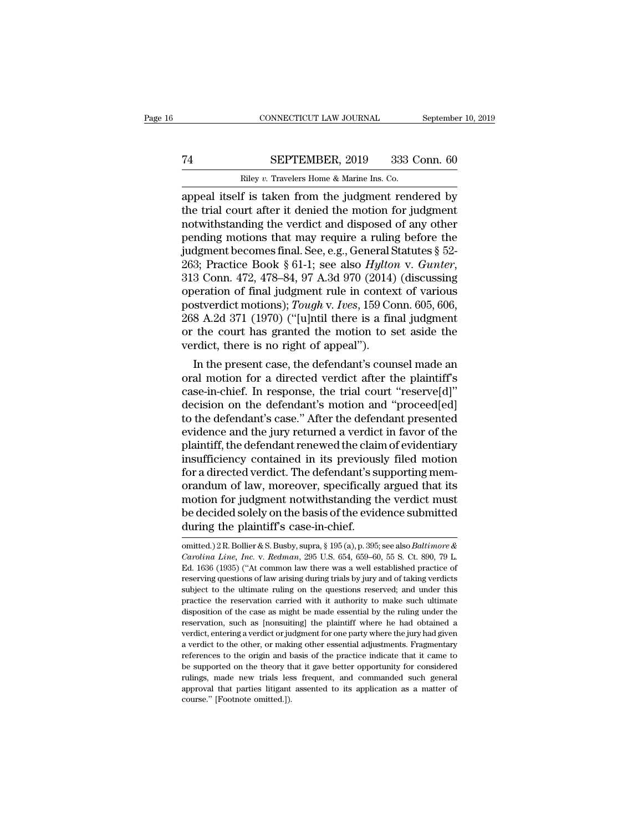# CONNECTICUT LAW JOURNAL September 10, 2019<br>
T4 SEPTEMBER, 2019 333 Conn. 60<br>
Riley v. Travelers Home & Marine Ins. Co.

CONNECTICUT LAW JOURNAL Septembe<br>
The SEPTEMBER, 2019 333 Conn. 60<br>
Riley *v.* Travelers Home & Marine Ins. Co.<br>
appeal itself is taken from the judgment rendered by CONNECTICUT LAW JOURNAL September 10, 2019<br>
T4 SEPTEMBER, 2019 333 Conn. 60<br>
Riley v. Travelers Home & Marine Ins. Co.<br>
appeal itself is taken from the judgment rendered by<br>
the trial court after it denied the motion for j TA SEPTEMBER, 2019 333 Conn. 60<br>
Riley v. Travelers Home & Marine Ins. Co.<br>
appeal itself is taken from the judgment rendered by<br>
the trial court after it denied the motion for judgment<br>
notwithstanding the verdict and dis T4 SEPTEMBER, 2019 333 Conn. 60<br>
Riley v. Travelers Home & Marine Ins. Co.<br>
appeal itself is taken from the judgment rendered by<br>
the trial court after it denied the motion for judgment<br>
notwithstanding the verdict and di Filey v. Travelers Home & Marine Ins. Co.<br>
Riley v. Travelers Home & Marine Ins. Co.<br>
appeal itself is taken from the judgment rendered by<br>
the trial court after it denied the motion for judgment<br>
notwithstanding the verd Riley v. Travelers Home & Marine Ins. Co.<br>
appeal itself is taken from the judgment rendered by<br>
the trial court after it denied the motion for judgment<br>
notwithstanding the verdict and disposed of any other<br>
pending moti <sup>263</sup> Energy *v.* Travelers Home & Marine Ins. Co.<br>
263)<br>
263; the trial court after it denied the motion for judgment<br>
notwithstanding the verdict and disposed of any other<br>
pending motions that may require a ruling befor the trial court after it denied the motion for judgment<br>notwithstanding the verdict and disposed of any other<br>pending motions that may require a ruling before the<br>judgment becomes final. See, e.g., General Statutes § 52-<br> notwithstanding the verdict and disposed of any other<br>pending motions that may require a ruling before the<br>judgment becomes final. See, e.g., General Statutes § 52-<br>263; Practice Book § 61-1; see also *Hylton* v. *Gunter*, pending motions that may require a ruling before the<br>judgment becomes final. See, e.g., General Statutes § 52-<br>263; Practice Book § 61-1; see also *Hylton v. Gunter*,<br>313 Conn. 472, 478–84, 97 A.3d 970 (2014) (discussing<br>o judgment becomes final. See, e.g., General Statutes § 52-<br>263; Practice Book § 61-1; see also *Hylton v. Gunter*,<br>313 Conn. 472, 478–84, 97 A.3d 970 (2014) (discussing<br>operation of final judgment rule in context of variou 263; Practice Book § 61-1; see also *Hylton* v. *Gunter*, 313 Conn. 472, 478–84, 97 A.3d 970 (2014) (discussing operation of final judgment rule in context of various postverdict motions); *Tough* v. *Ives*, 159 Conn. 605 3 Conn. 472, 478–84, 97 A.5d 970 (2014) (discussing<br>operation of final judgment rule in context of various<br>stverdict motions); Tough v. Ives, 159 Conn. 605, 606,<br>8 A.2d 371 (1970) ("[u]ntil there is a final judgment<br>the c operation of final judgment rule in context of various<br>postverdict motions); Tough v. Ives, 159 Conn. 605, 606,<br>268 A.2d 371 (1970) ("[u]ntil there is a final judgment<br>or the court has granted the motion to set aside the<br>v

postveract motions); *I ough* v. *rees*, 159 Conn. 605, 606, 268 A.2d 371 (1970) ("[u]ntil there is a final judgment<br>or the court has granted the motion to set aside the<br>verdict, there is no right of appeal").<br>In the prese 208 A.2d 371 (1970) ( [u]ntu there is a final judgment<br>or the court has granted the motion to set aside the<br>verdict, there is no right of appeal").<br>In the present case, the defendant's counsel made an<br>oral motion for a di or the court has granted the motion to set aside the<br>verdict, there is no right of appeal").<br>In the present case, the defendant's counsel made an<br>oral motion for a directed verdict after the plaintiff's<br>case-in-chief. In r veract, there is no right of appear ).<br>
In the present case, the defendant's counsel made an<br>
oral motion for a directed verdict after the plaintiff's<br>
case-in-chief. In response, the trial court "reserve[d]"<br>
decision on In the present case, the defendant's counsel made an<br>oral motion for a directed verdict after the plaintiff's<br>case-in-chief. In response, the trial court "reserve[d]"<br>decision on the defendant's motion and "proceed[ed]<br>to oral motion for a directed verdict after the plaintiff's<br>case-in-chief. In response, the trial court "reserve[d]"<br>decision on the defendant's motion and "proceed[ed]<br>to the defendant's case." After the defendant presented<br> case-in-chief. In response, the trial court "reserve[d]"<br>decision on the defendant's motion and "proceed[ed]<br>to the defendant's case." After the defendant presented<br>evidence and the jury returned a verdict in favor of the<br> decision on the defendant's motion and "proceed[ed]<br>to the defendant's case." After the defendant presented<br>evidence and the jury returned a verdict in favor of the<br>plaintiff, the defendant renewed the claim of evidentiary to the defendant's case." After the defendant presented<br>evidence and the jury returned a verdict in favor of the<br>plaintiff, the defendant renewed the claim of evidentiary<br>insufficiency contained in its previously filed mot evidence and the jury returned a verdict in favor of the plaintiff, the defendant renewed the claim of evidentiary insufficiency contained in its previously filed motion for a directed verdict. The defendant's supporting m plaintiff, the defendant renewed the clair<br>insufficiency contained in its previous<br>for a directed verdict. The defendant's su<br>orandum of law, moreover, specifically<br>motion for judgment notwithstanding th<br>be decided solely orandum of law, moreover, specifically argued that its<br>motion for judgment notwithstanding the verdict must<br>be decided solely on the basis of the evidence submitted<br>during the plaintiff's case-in-chief.<br>mitted.)2 R. Bollie motion for judgment notwithstanding the verdict must<br>be decided solely on the basis of the evidence submitted<br>during the plaintiff's case-in-chief.<br>omitted.) 2 R. Bollier & S. Busby, supra, § 195 (a), p. 395; see also *Bal* 

be decided solely on the basis of the evidence submitted<br>during the plaintiff's case-in-chief.<br>omitted.) 2 R. Bollier & S. Busby, supra, § 195(a), p. 395; see also *Baltimore &*<br>*Carolina Line, Inc.* v. *Redman*, 295 U.S. during the plaintiff's case-in-chief.<br>
omitted.) 2 R. Bollier & S. Busby, supra, § 195 (a), p. 395; see also *Baltimore &*<br> *Carolina Line, Inc.* v. *Redman*, 295 U.S. 654, 659–60, 55 S. Ct. 890, 79 L.<br>
Ed. 1636 (1935) (" during the plaintiff's case-in-chief.<br>
omitted.) 2R. Bollier & S. Busby, supra, § 195 (a), p. 395; see also *Baltimore &*<br> *Carolina Line, Inc.* v. *Redman*, 295 U.S. 654, 659–60, 55 S. Ct. 890, 79 L.<br>
Ed. 1636 (1935) ("A omitted.) 2R. Bollier & S. Busby, supra, § 195 (a), p. 395; see also *Baltimore & Carolina Line, Inc.* v. *Redman*, 295 U.S. 654, 659–60, 55 S. Ct. 890, 79 L. Ed. 1636 (1935) ("At common law there was a well established Carolina Line, Inc. v. Redman, 295 U.S. 654, 659–60, 55 S. Ct. 890, 79 L.<br>Ed. 1636 (1935) ("At common law there was a well established practice of<br>reserving questions of law arising during trials by jury and of taking verd Ed. 1636 (1935) ("At common law there was a well established practice of reserving questions of law arising during trials by jury and of taking verdicts subject to the ultimate ruling on the questions reserved; and under t reserving questions of law arising during trials by jury and of taking verdicts subject to the ultimate ruling on the questions reserved; and under this practice the reservation carried with it authority to make such ultim subject to the ultimate ruling on the questions reserved; and under this practice the reservation carried with it authority to make such ultimate disposition of the case as might be made essential by the ruling under the r practice the reservation carried with it authority to make such ultimate disposition of the case as might be made essential by the ruling under the reservation, such as [nonsuiting] the plaintiff where he had obtained a ve disposition of the case as might be made essential by the ruling under the reservation, such as [nonsuiting] the plaintiff where he had obtained a verdict, entering a verdict or judgment for one party where the jury had gi reservation, such as [nonsuiting] the plaintiff where he had obtained a verdict, entering a verdict or judgment for one party where the jury had given a verdict to the other, or making other essential adjustments. Fragmen verdict, entering a verdict or judgment for one party where the jury had given a verdict to the other, or making other essential adjustments. Fragmentary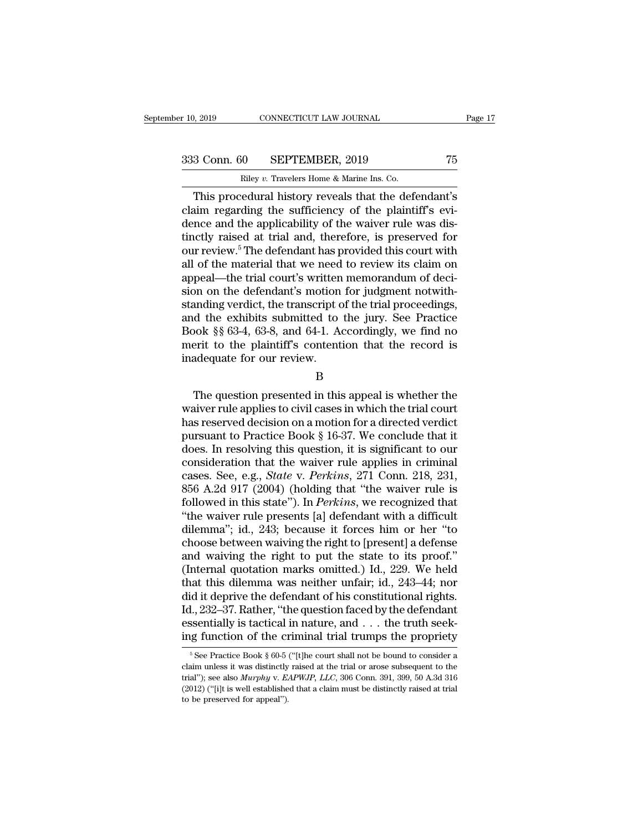r 10, 2019 CONNECTICUT LAW JOURNAL<br>
233 Conn. 60 SEPTEMBER, 2019 75<br>
Riley *v*. Travelers Home & Marine Ins. Co.<br>
This procedural history reveals that the defendant's This procedural history reveals that the defendant's<br>
This procedural history reveals that the defendant's<br>
this procedural history reveals that the defendant's<br>
tim regarding the sufficiency of the plaintiff's evi-<br>
This 333 Conn. 60 SEPTEMBER, 2019 75<br>
Riley v. Travelers Home & Marine Ins. Co.<br>
This procedural history reveals that the defendant's<br>
claim regarding the sufficiency of the plaintiff's evi-<br>
dence and the applicability of the 333 Conn. 60 SEPTEMBER, 2019 75<br>
Riley v. Travelers Home & Marine Ins. Co.<br>
This procedural history reveals that the defendant's<br>
claim regarding the sufficiency of the plaintiff's evi-<br>
dence and the applicability of the 333 Conn. 60 SEPTEMBER, 2019 75<br>
Riley v. Travelers Home & Marine Ins. Co.<br>
This procedural history reveals that the defendant's<br>
claim regarding the sufficiency of the plaintiff's evi-<br>
dence and the applicability of the Riley v. Travelers Home & Marine Ins. Co.<br>
This procedural history reveals that the defendant's<br>
claim regarding the sufficiency of the plaintiff's evi-<br>
dence and the applicability of the waiver rule was dis-<br>
tinctly ra Filey v. Travelers Home & Marine Ins. Co.<br>
This procedural history reveals that the defendant's<br>
claim regarding the sufficiency of the plaintiff's evi-<br>
dence and the applicability of the waiver rule was dis-<br>
tinctly ra This procedural history reveals that the defendant's<br>claim regarding the sufficiency of the plaintiff's evi-<br>dence and the applicability of the waiver rule was dis-<br>tinctly raised at trial and, therefore, is preserved for<br> claim regarding the sufficiency of the plaintiff's evidence and the applicability of the waiver rule was distinctly raised at trial and, therefore, is preserved for our review.<sup>5</sup> The defendant has provided this court wit dence and the applicability of the waiver rule was dis-<br>tinctly raised at trial and, therefore, is preserved for<br>our review.<sup>5</sup> The defendant has provided this court with<br>all of the material that we need to review its cla tinctly raised at trial and, therefore, is preserved for<br>our review.<sup>5</sup> The defendant has provided this court with<br>all of the material that we need to review its claim on<br>appeal—the trial court's written memorandum of deci our review.<sup>5</sup> The defendant has provided this court with<br>all of the material that we need to review its claim on<br>appeal—the trial court's written memorandum of deci-<br>sion on the defendant's motion for judgment notwith-<br>st all of the material that we need to review its claim on<br>appeal—the trial court's written memorandum of deci-<br>sion on the defendant's motion for judgment notwith-<br>standing verdict, the transcript of the trial proceedings,<br>a appeal—the trial court's written<br>sion on the defendant's motion<br>standing verdict, the transcript c<br>and the exhibits submitted to<br>Book §§ 63-4, 63-8, and 64-1. A<br>merit to the plaintiff's content<br>inadequate for our review.<br>B The exhibits submitted to the jury. See Practice<br>ook §§ 63-4, 63-8, and 64-1. Accordingly, we find no<br>erit to the plaintiff's contention that the record is<br>adequate for our review.<br>B<br>The question presented in this appeal i

B

Book §§ 63-4, 63-8, and 64-1. Accordingly, we find no<br>merit to the plaintiff's contention that the record is<br>inadequate for our review.<br>B<br>The question presented in this appeal is whether the<br>waiver rule applies to civil c  $\frac{1}{2}$  and  $\frac{1}{2}$  and  $\frac{1}{2}$  and  $\frac{1}{2}$  and  $\frac{1}{2}$  and  $\frac{1}{2}$  and  $\frac{1}{2}$  and  $\frac{1}{2}$  and  $\frac{1}{2}$  and  $\frac{1}{2}$  and  $\frac{1}{2}$  and  $\frac{1}{2}$  and  $\frac{1}{2}$  and  $\frac{1}{2}$  and  $\frac{1}{2}$  and  $\frac{1}{2}$  a madequate for our review.<br>
B<br>
The question presented in this appeal is whether the<br>
waiver rule applies to civil cases in which the trial court<br>
has reserved decision on a motion for a directed verdict<br>
pursuant to Practic B<br>
B<br>
The question presented in this appeal is whether the<br>
waiver rule applies to civil cases in which the trial court<br>
has reserved decision on a motion for a directed verdict<br>
pursuant to Practice Book § 16-37. We conc E<br>
The question presented in this appeal is whether the<br>
waiver rule applies to civil cases in which the trial court<br>
has reserved decision on a motion for a directed verdict<br>
pursuant to Practice Book § 16-37. We conclud The question presented in this appeal is whether the<br>waiver rule applies to civil cases in which the trial court<br>has reserved decision on a motion for a directed verdict<br>pursuant to Practice Book § 16-37. We conclude that waiver rule applies to civil cases in which the trial court<br>has reserved decision on a motion for a directed verdict<br>pursuant to Practice Book § 16-37. We conclude that it<br>does. In resolving this question, it is significa has reserved decision on a motion for a directed verdict<br>pursuant to Practice Book § 16-37. We conclude that it<br>does. In resolving this question, it is significant to our<br>consideration that the waiver rule applies in crimi pursuant to Practice Book § 16-37. We conclude that it<br>does. In resolving this question, it is significant to our<br>consideration that the waiver rule applies in criminal<br>cases. See, e.g., *State* v. *Perkins*, 271 Conn. 218 does. In resolving this question, it is significant to our consideration that the waiver rule applies in criminal cases. See, e.g., *State v. Perkins*, 271 Conn. 218, 231, 856 A.2d 917 (2004) (holding that "the waiver rule consideration that the waiver rule applies in criminal cases. See, e.g., *State* v. *Perkins*, 271 Conn. 218, 231, 856 A.2d 917 (2004) (holding that "the waiver rule is followed in this state"). In *Perkins*, we recognize cases. See, e.g., *State* v. *Perkins*, 271 Conn. 218, 231, 856 A.2d 917 (2004) (holding that "the waiver rule is followed in this state"). In *Perkins*, we recognized that "the waiver rule presents [a] defendant with a d 856 A.2d 917 (2004) (holding that "the waiver rule is<br>followed in this state"). In *Perkins*, we recognized that<br>"the waiver rule presents [a] defendant with a difficult<br>dilemma"; id., 243; because it forces him or her "t followed in this state"). In *Perkins*, we recognized that "the waiver rule presents [a] defendant with a difficult dilemma"; id., 243; because it forces him or her "to choose between waiving the right to [present] a defe "the waiver rule presents [a] defendant with a difficult<br>dilemma"; id., 243; because it forces him or her "to<br>choose between waiving the right to [present] a defense<br>and waiving the right to put the state to its proof."<br>( dilemma"; id., 243; because it forces him or her "to<br>choose between waiving the right to [present] a defense<br>and waiving the right to put the state to its proof."<br>(Internal quotation marks omitted.) Id., 229. We held<br>that choose between waiving the right to [present] a defense<br>and waiving the right to put the state to its proof."<br>(Internal quotation marks omitted.) Id., 229. We held<br>that this dilemma was neither unfair; id., 243–44; nor<br>di and waiving the right to put the state to its proof."<br>(Internal quotation marks omitted.) Id., 229. We held<br>that this dilemma was neither unfair; id., 243–44; nor<br>did it deprive the defendant of his constitutional rights. id it deprive the defendant of his constitutional rights.<br>
1., 232–37. Rather, "the question faced by the defendant<br>
ssentially is tactical in nature, and . . . the truth seek-<br>
1.g function of the criminal trial trumps t Id., 232–37. Rather, "the question faced by the defendant essentially is tactical in nature, and . . . the truth seeking function of the criminal trial trumps the propriety  $\frac{1}{\pi}$  See Practice Book § 60-5 ("[t]he cour ing function of the criminal trial trumps the propriety

essentially is tactical in nature, and  $\ldots$  the truth seeking function of the criminal trial trumps the propriety<br><sup>5</sup> See Practice Book § 60-5 ("[t]he court shall not be bound to consider a claim unless it was distinctly The preserved for the CI<br>  $\frac{1}{2}$ <br>  $\frac{1}{2}$ <br>  $\frac{1}{2}$ <br>  $\frac{1}{2}$ <br>  $\frac{1}{2}$ <br>  $\frac{1}{2}$ <br>  $\frac{1}{2}$ <br>  $\frac{1}{2}$ <br>  $\frac{1}{2}$ <br>  $\frac{1}{2}$ <br>  $\frac{1}{2}$ <br>  $\frac{1}{2}$ <br>  $\frac{1}{2}$ <br>  $\frac{1}{2}$ <br>  $\frac{1}{2}$ <br>  $\frac{1}{2}$ <br>  $\frac{1}{2}$ <br>  $\frac{1}{2}$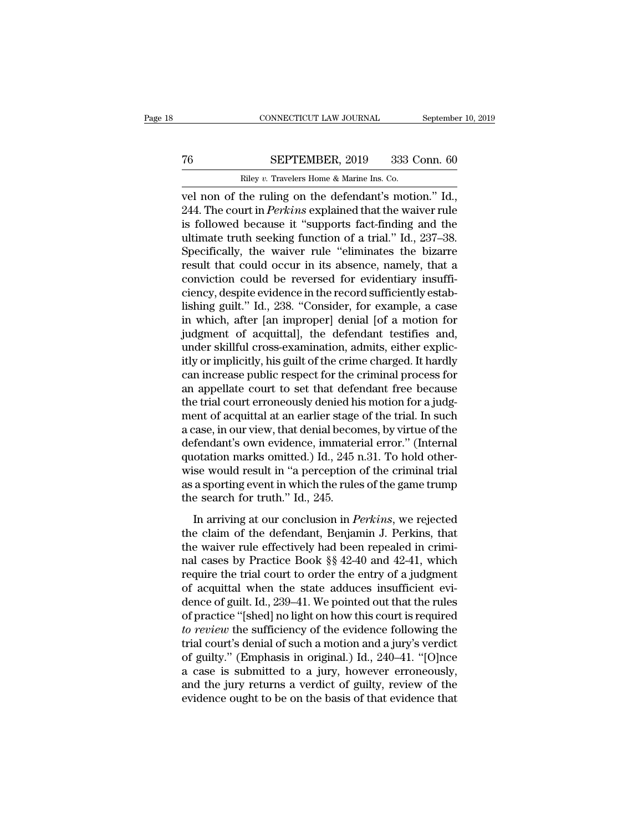# CONNECTICUT LAW JOURNAL September 10, 2019<br>
T6 SEPTEMBER, 2019 333 Conn. 60<br>
Riley v. Travelers Home & Marine Ins. Co.

CONNECTICUT LAW JOURNAL Septembe<br>
The SEPTEMBER, 2019 333 Conn. 60<br>
Riley *v.* Travelers Home & Marine Ins. Co.<br>
Vel non of the ruling on the defendant's motion." Id., CONNECTICUT LAW JOURNAL September 10, 2<br>
T6 SEPTEMBER, 2019 333 Conn. 60<br>
Riley v. Travelers Home & Marine Ins. Co.<br>
vel non of the ruling on the defendant's motion.'' Id.,<br>
244. The court in *Perkins* explained that the w **244.** The court in *Perkins* explained that the waiver rule is followed because it "supports fact-finding and the value in the value of a trial " Id. 244. The court in *Perkins* explained that the waiver rule is followed The SEPTEMBER, 2019 333 Conn. 60<br>
Riley v. Travelers Home & Marine Ins. Co.<br>
vel non of the ruling on the defendant's motion." Id.,<br>
244. The court in *Perkins* explained that the waiver rule<br>
is followed because it "supp The SEPTEMBER, 2019 333 Conn. 60<br>
Riley v. Travelers Home & Marine Ins. Co.<br>
vel non of the ruling on the defendant's motion." Id.,<br>
244. The court in *Perkins* explained that the waiver rule<br>
is followed because it "supp Riley v. Travelers Home & Marine Ins. Co.<br>
vel non of the ruling on the defendant's motion." Id.,<br>
244. The court in *Perkins* explained that the waiver rule<br>
is followed because it "supports fact-finding and the<br>
ultimat Example the ruling on the defendant's motion." Id.,<br>244. The court in *Perkins* explained that the waiver rule<br>is followed because it "supports fact-finding and the<br>ultimate truth seeking function of a trial." Id., 237–38 vel non of the ruling on the defendant's motion." Id., 244. The court in *Perkins* explained that the waiver rule is followed because it "supports fact-finding and the ultimate truth seeking function of a trial." Id., 237– 244. The court in *Perkins* explained that the waiver rule<br>is followed because it "supports fact-finding and the<br>ultimate truth seeking function of a trial." Id., 237–38.<br>Specifically, the waiver rule "eliminates the bizar is followed because it "supports fact-finding and the ultimate truth seeking function of a trial." Id., 237–38.<br>Specifically, the waiver rule "eliminates the bizarre result that could occur in its absence, namely, that a c ultimate truth seeking function of a trial." Id., 237–38.<br>Specifically, the waiver rule "eliminates the bizarre<br>result that could occur in its absence, namely, that a<br>conviction could be reversed for evidentiary insuffi-<br>c Specifically, the waiver rule "eliminates the bizarre<br>result that could occur in its absence, namely, that a<br>conviction could be reversed for evidentiary insuffi-<br>ciency, despite evidence in the record sufficiently estab-<br> result that could occur in its absence, namely, that a<br>conviction could be reversed for evidentiary insuffi-<br>ciency, despite evidence in the record sufficiently estab-<br>lishing guilt." Id., 238. "Consider, for example, a ca conviction could be reversed for evidentiary insufficiency, despite evidence in the record sufficiently establishing guilt." Id., 238. "Consider, for example, a case in which, after [an improper] denial [of a motion for ju ciency, despite evidence in the record sufficiently establishing guilt." Id., 238. "Consider, for example, a case<br>in which, after [an improper] denial [of a motion for<br>judgment of acquittal], the defendant testifies and,<br>u lishing guilt." Id., 238. "Consider, for example, a case<br>in which, after [an improper] denial [of a motion for<br>judgment of acquittal], the defendant testifies and,<br>under skillful cross-examination, admits, either explic-<br>i in which, after [an improper] denial [of a motion for<br>judgment of acquittal], the defendant testifies and,<br>under skillful cross-examination, admits, either explic-<br>itly or implicitly, his guilt of the crime charged. It har judgment of acquittal], the defendant testifies and,<br>under skillful cross-examination, admits, either explicitly or implicitly, his guilt of the crime charged. It hardly<br>can increase public respect for the criminal process under skillful cross-examination, admits, either explicitly or implicitly, his guilt of the crime charged. It hardly<br>can increase public respect for the criminal process for<br>an appellate court to set that defendant free b itly or implicitly, his guilt of the crime charged. It hardly<br>can increase public respect for the criminal process for<br>an appellate court to set that defendant free because<br>the trial court erroneously denied his motion for can increase public respect for the criminal process for<br>an appellate court to set that defendant free because<br>the trial court erroneously denied his motion for a judg-<br>ment of acquittal at an earlier stage of the trial. I an appellate court to set that defendant free because<br>the trial court erroneously denied his motion for a judg-<br>ment of acquittal at an earlier stage of the trial. In such<br>a case, in our view, that denial becomes, by virtu the trial court erroneously denied his motion for a judgment of acquittal at an earlier stage of the trial. In such a case, in our view, that denial becomes, by virtue of the defendant's own evidence, immaterial error." (I ment of acquittal at an earlier stage<br>a case, in our view, that denial becordefendant's own evidence, immater<br>quotation marks omitted.) Id., 245 i<br>wise would result in "a perception<br>as a sporting event in which the rule<br>th Fendant's own evidence, immaterial error." (Internal<br>fendant's own evidence, immaterial error." (Internal<br>otation marks omitted.) Id., 245 n.31. To hold other-<br>se would result in "a perception of the criminal trial<br>a sport quotation marks omitted.) Id., 245 n.31. To hold other-<br>wise would result in "a perception of the criminal trial<br>as a sporting event in which the rules of the game trump<br>the search for truth." Id., 245.<br>In arriving at our

wise would result in "a perception of the criminal trial<br>as a sporting event in which the rules of the game trump<br>the search for truth." Id., 245.<br>In arriving at our conclusion in *Perkins*, we rejected<br>the claim of the d which would result in a perception of the erminial that<br>as a sporting event in which the rules of the game trump<br>the search for truth." Id., 245.<br>In arriving at our conclusion in *Perkins*, we rejected<br>the claim of the de the search for truth." Id., 245.<br>In arriving at our conclusion in *Perkins*, we rejected<br>the claim of the defendant, Benjamin J. Perkins, that<br>the waiver rule effectively had been repealed in crimi-<br>nal cases by Practice In arriving at our conclusion in *Perkins*, we rejected<br>the claim of the defendant, Benjamin J. Perkins, that<br>the waiver rule effectively had been repealed in crimi-<br>nal cases by Practice Book  $\S$  42-40 and 42-41, which<br>r In arriving at our conclusion in *Perkins*, we rejected<br>the claim of the defendant, Benjamin J. Perkins, that<br>the waiver rule effectively had been repealed in crimi-<br>nal cases by Practice Book  $\S$  42–40 and 42–41, which<br>r the claim of the defendant, Benjamin J. Perkins, that<br>the waiver rule effectively had been repealed in crimi-<br>nal cases by Practice Book §§ 42-40 and 42-41, which<br>require the trial court to order the entry of a judgment<br>o the waiver rule effectively had been repealed in crimi-<br>
raal cases by Practice Book §§ 42-40 and 42-41, which<br>
require the trial court to order the entry of a judgment<br>
of acquittal when the state adduces insufficient evi nal cases by Practice Book  $\S$  42-40 and 42-41, which<br>require the trial court to order the entry of a judgment<br>of acquittal when the state adduces insufficient evi-<br>dence of guilt. Id., 239–41. We pointed out that the rul require the trial court to order the entry of a judgment<br>of acquittal when the state adduces insufficient evi-<br>dence of guilt. Id., 239–41. We pointed out that the rules<br>of practice "[shed] no light on how this court is re of acquittal when the state adduces insufficient evidence of guilt. Id., 239–41. We pointed out that the rules<br>of practice "[shed] no light on how this court is required<br>*to review* the sufficiency of the evidence followi dence of guilt. Id., 239–41. We pointed out that the rules<br>of practice "[shed] no light on how this court is required<br>*to review* the sufficiency of the evidence following the<br>trial court's denial of such a motion and a ju of practice "[shed] no light on how this court is required<br>to review the sufficiency of the evidence following the<br>trial court's denial of such a motion and a jury's verdict<br>of guilty." (Emphasis in original.) Id., 240–41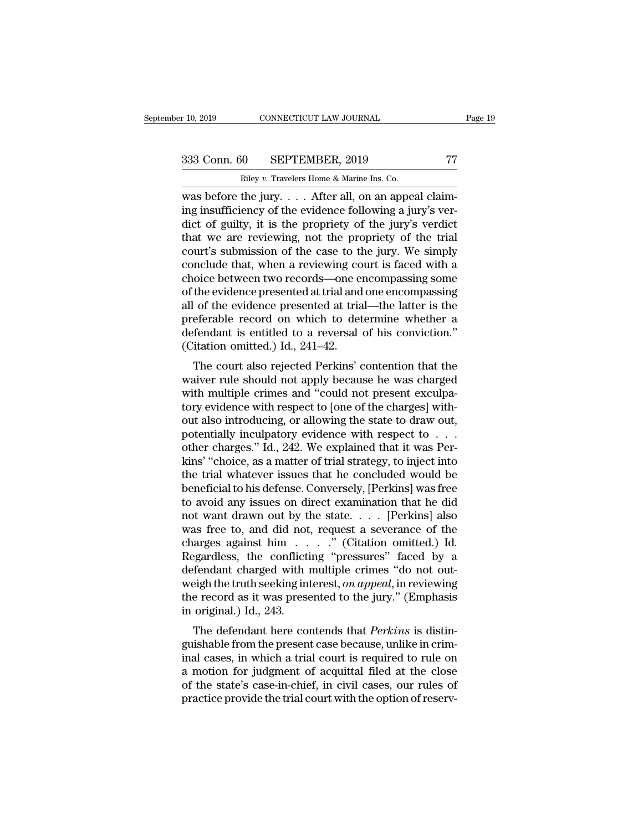r 10, 2019 CONNECTICUT LAW JOURNAL<br> **Riley** *v***. Travelers Home & Marine Ins. Co.**<br> **Riley** *v***. Travelers Home & Marine Ins. Co.<br>
Was before the jury.... After all, on an appeal claim**r 10, 2019 CONNECTICUT LAW JOURNAL<br>
333 Conn. 60 SEPTEMBER, 2019 77<br>
Riley v. Travelers Home & Marine Ins. Co.<br>
was before the jury. . . . After all, on an appeal claim-<br>
ing insufficiency of the evidence following a jury' 333 Conn. 60 SEPTEMBER, 2019 77<br>
Riley v. Travelers Home & Marine Ins. Co.<br>
was before the jury.... After all, on an appeal claim-<br>
ing insufficiency of the evidence following a jury's ver-<br>
dict of guilty, it is the prop 333 Conn. 60 SEPTEMBER, 2019 77<br>
Riley v. Travelers Home & Marine Ins. Co.<br>
was before the jury. . . . After all, on an appeal claim-<br>
ing insufficiency of the evidence following a jury's ver-<br>
dict of guilty, it is the p 333 Conn. 60 SEPTEMBER, 2019 77<br>
Riley v. Travelers Home & Marine Ins. Co.<br>
was before the jury. . . . After all, on an appeal claim-<br>
ing insufficiency of the evidence following a jury's ver-<br>
dict of guilty, it is the p Riley v. Travelers Home & Marine Ins. Co.<br>
was before the jury. . . . After all, on an appeal claim-<br>
ing insufficiency of the evidence following a jury's ver-<br>
dict of guilty, it is the propriety of the jury's verdict<br>
t Example that, when the summer is concluded that, when a reviewing conclude that, when a reviewing court is faced with a choice between two records—one encompassing some of the ovidence propriety of the trial court's submi was before the jury.  $\ldots$  After all, on an appeal claiming insufficiency of the evidence following a jury's verdict<br>dict of guilty, it is the propriety of the jury's verdict<br>that we are reviewing, not the propriety of th ing insufficiency of the evidence following a jury's verdict of guilty, it is the propriety of the jury's verdict<br>that we are reviewing, not the propriety of the trial<br>court's submission of the case to the jury. We simply<br> dict of guilty, it is the propriety of the jury's verdict<br>that we are reviewing, not the propriety of the trial<br>court's submission of the case to the jury. We simply<br>conclude that, when a reviewing court is faced with a<br>ch that we are reviewing, not the propriety of the trial<br>court's submission of the case to the jury. We simply<br>conclude that, when a reviewing court is faced with a<br>choice between two records—one encompassing some<br>of the evi court's submission of the case to the jury. We simply<br>conclude that, when a reviewing court is faced with a<br>choice between two records—one encompassing some<br>of the evidence presented at trial and one encompassing<br>all of th conclude that, when a reviewing co<br>choice between two records—one en<br>of the evidence presented at trial and<br>all of the evidence presented at tria<br>apreferable record on which to det<br>defendant is entitled to a reversal<br>(Cita once between two records—one encompassing some<br>the evidence presented at trial and one encompassing<br>of the evidence presented at trial—the latter is the<br>eferable record on which to determine whether a<br>fendant is entitled t of the evidence presented at trial and one encompassing<br>all of the evidence presented at trial—the latter is the<br>preferable record on which to determine whether a<br>defendant is entitled to a reversal of his conviction."<br>(Ci

an of the evidence presented at that—the fatter is the<br>preferable record on which to determine whether a<br>defendant is entitled to a reversal of his conviction."<br>(Citation omitted.) Id., 241–42.<br>The court also rejected Perk preferable record on which to determine whether a<br>defendant is entitled to a reversal of his conviction."<br>(Citation omitted.) Id., 241–42.<br>The court also rejected Perkins' contention that the<br>waiver rule should not apply b (Citation omitted.) Id., 241–42.<br>
The court also rejected Perkins' contention that the<br>
waiver rule should not apply because he was charged<br>
with multiple crimes and "could not present exculpa-<br>
tory evidence with respect The court also rejected Perkins' contention that the<br>waiver rule should not apply because he was charged<br>with multiple crimes and "could not present exculpa-<br>tory evidence with respect to [one of the charges] with-<br>out al The court also rejected Perkins' contention that the waiver rule should not apply because he was charged with multiple crimes and "could not present exculpatory evidence with respect to [one of the charges] without also in waiver rule should not apply because he was charged<br>with multiple crimes and "could not present exculpa-<br>tory evidence with respect to [one of the charges] with-<br>out also introducing, or allowing the state to draw out,<br>pot with multiple crimes and "could not present exculpatory evidence with respect to [one of the charges] without also introducing, or allowing the state to draw out, potentially inculpatory evidence with respect to . . . othe tory evidence with respect to [one of the charges] with-<br>out also introducing, or allowing the state to draw out,<br>potentially inculpatory evidence with respect to . . .<br>other charges." Id., 242. We explained that it was Pe out also introducing, or allowing the state to draw out,<br>potentially inculpatory evidence with respect to . . .<br>other charges." Id., 242. We explained that it was Per-<br>kins' "choice, as a matter of trial strategy, to injec potentially inculpatory evidence with respect to . . .<br>other charges." Id., 242. We explained that it was Perkins' "choice, as a matter of trial strategy, to inject into<br>the trial whatever issues that he concluded would be other charges." Id., 242. We explained that it was Perkins' "choice, as a matter of trial strategy, to inject into the trial whatever issues that he concluded would be beneficial to his defense. Conversely, [Perkins] was f kins' "choice, as a matter of trial strategy, to inject into<br>the trial whatever issues that he concluded would be<br>beneficial to his defense. Conversely, [Perkins] was free<br>to avoid any issues on direct examination that he the trial whatever issues that he concluded would be<br>beneficial to his defense. Conversely, [Perkins] was free<br>to avoid any issues on direct examination that he did<br>not want drawn out by the state. . . . [Perkins] also<br>wa beneficial to his defense. Conversely, [Perkins] was free<br>to avoid any issues on direct examination that he did<br>not want drawn out by the state. . . . . [Perkins] also<br>was free to, and did not, request a severance of the<br> to avoid any issues on direct examination that he did<br>not want drawn out by the state. . . . [Perkins] also<br>was free to, and did not, request a severance of the<br>charges against him . . . . ." (Citation omitted.) Id.<br>Regar not want drawn out by the state. . . . . [Perkins] also<br>was free to, and did not, request a severance of the<br>charges against him . . . . ." (Citation omitted.) Id.<br>Regardless, the conflicting "pressures" faced by a<br>defend was free to, and did not<br>charges against him . . .<br>Regardless, the conflicti<br>defendant charged with i<br>weigh the truth seeking in<br>the record as it was prese<br>in original.) Id., 243.<br>The defendant here con The defendant here contends that *Perkins* is distinregardless, the conflicting pressures raced by a<br>defendant charged with multiple crimes "do not out-<br>weigh the truth seeking interest, *on appeal*, in reviewing<br>the record as it was presented to the jury." (Emphasis<br>in ori

defendant charged whit indulpie crimes do not out-<br>weigh the truth seeking interest, *on appeal*, in reviewing<br>the record as it was presented to the jury." (Emphasis<br>in original.) Id., 243.<br>The defendant here contends that weight the truth seeking interest, *on uppeut*, in reviewing<br>the record as it was presented to the jury." (Emphasis<br>in original.) Id., 243.<br>The defendant here contends that *Perkins* is distin-<br>guishable from the present In original.) Id., 243.<br>
The defendant here contends that *Perkins* is distinguishable from the present case because, unlike in crim-<br>
inal cases, in which a trial court is required to rule on<br>
a motion for judgment of acq In original.) id., 245.<br>The defendant here contends that *Perkins* is distinguishable from the present case because, unlike in criminal cases, in which a trial court is required to rule on a motion for judgment of acquitta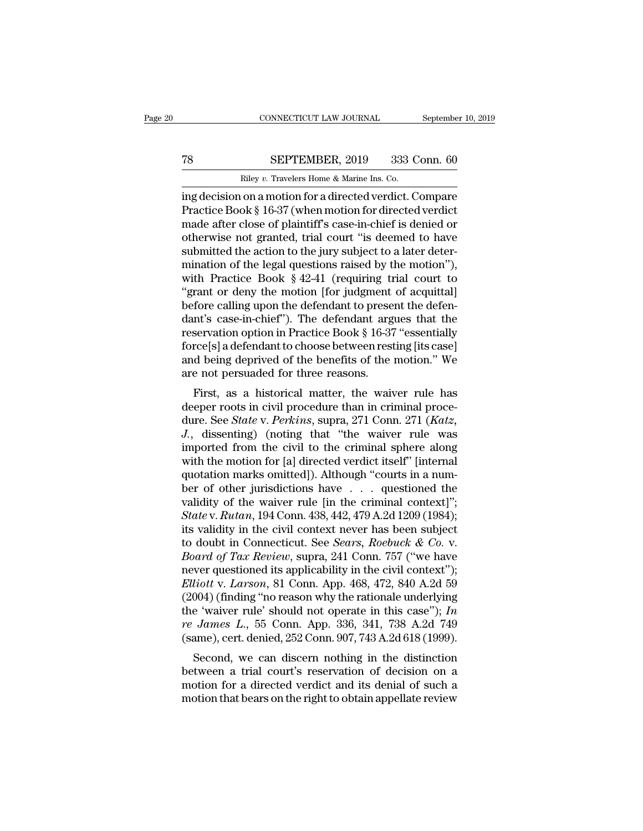# CONNECTICUT LAW JOURNAL September 10, 2019<br>
T8 SEPTEMBER, 2019 333 Conn. 60<br>
Riley v. Travelers Home & Marine Ins. Co.

CONNECTICUT LAW JOURNAL Septembe<br>
TRILEY *v.* Travelers Home & Marine Ins. Co.<br>
Trip decision on a motion for a directed verdict. Compare CONNECTICUT LAW JOURNAL September 10, 2019<br>
T8 SEPTEMBER, 2019 333 Conn. 60<br>
Riley v. Travelers Home & Marine Ins. Co.<br>
ing decision on a motion for a directed verdict. Compare<br>
Practice Book § 16-37 (when motion for direc SEPTEMBER, 2019 333 Conn. 60<br>
Riley v. Travelers Home & Marine Ins. Co.<br>
ing decision on a motion for a directed verdict. Compare<br>
Practice Book § 16-37 (when motion for directed verdict<br>
made after close of plaintiff's ca TR SEPTEMBER, 2019 333 Conn. 60<br>
Riley v. Travelers Home & Marine Ins. Co.<br>
ing decision on a motion for a directed verdict. Compare<br>
Practice Book § 16-37 (when motion for directed verdict<br>
made after close of plaintiff' TR SEPTEMBER, 2019 333 Conn. 60<br>
Riley v. Travelers Home & Marine Ins. Co.<br>
ing decision on a motion for a directed verdict. Compare<br>
Practice Book § 16-37 (when motion for directed verdict<br>
made after close of plaintiff' Riley v. Travelers Home & Marine Ins. Co.<br>ing decision on a motion for a directed verdict. Compare<br>Practice Book § 16-37 (when motion for directed verdict<br>made after close of plaintiff's case-in-chief is denied or<br>otherwi Example we Travelers Home & Marine Ins. Co.<br>
ing decision on a motion for a directed verdict. Compare<br>
Practice Book § 16-37 (when motion for directed verdict<br>
made after close of plaintiff's case-in-chief is denied or<br>
o ing decision on a motion for a directed verdict. Compare<br>Practice Book § 16-37 (when motion for directed verdict<br>made after close of plaintiff's case-in-chief is denied or<br>otherwise not granted, trial court "is deemed to h Practice Book § 16-37 (when motion for directed verdict<br>
made after close of plaintiff's case-in-chief is denied or<br>
otherwise not granted, trial court "is deemed to have<br>
submitted the action to the jury subject to a lat made after close of plaintiff's case-in-chief is denied or<br>otherwise not granted, trial court "is deemed to have<br>submitted the action to the jury subject to a later deter-<br>mination of the legal questions raised by the mot otherwise not granted, trial court "is deemed to have<br>submitted the action to the jury subject to a later deter-<br>mination of the legal questions raised by the motion"),<br>with Practice Book § 42-41 (requiring trial court to<br> submitted the action to the jury subject to a later deter-<br>mination of the legal questions raised by the motion"),<br>with Practice Book § 42-41 (requiring trial court to<br>"grant or deny the motion [for judgment of acquittal]<br> mination of the legal questions raised by the motion"),<br>with Practice Book § 42-41 (requiring trial court to<br>"grant or deny the motion [for judgment of acquittal]<br>before calling upon the defendant to present the defen-<br>dan with Practice Book § 42-41 (requiring trial court to<br>"grant or deny the motion [for judgment of acquittal]<br>before calling upon the defendant to present the defen-<br>dant's case-in-chief"). The defendant argues that the<br>reser "grant or deny the motion [for judgment<br>before calling upon the defendant to prese<br>dant's case-in-chief"). The defendant arg<br>reservation option in Practice Book § 16-37<br>force[s] a defendant to choose between rest<br>and being First, as a historical matter, the waiver rule has<br>eperation option in Practice Book § 16-37 "essentially<br>rce[s] a defendant to choose between resting [its case]<br>d being deprived of the benefits of the motion." We<br>e not p dant s case-in-ciner ). The defendant argues that the<br>reservation option in Practice Book § 16-37 "essentially<br>force[s] a defendant to choose between resting [its case]<br>and being deprived of the benefits of the motion." W

reservation option in Fractice Book § 10-57 essentially<br>force[s] a defendant to choose between resting [its case]<br>and being deprived of the benefits of the motion." We<br>are not persuaded for three reasons.<br>First, as a histo Force S<sub>I</sub> a defendant to choose between resung [its case]<br>and being deprived of the benefits of the motion." We<br>are not persuaded for three reasons.<br>First, as a historical matter, the waiver rule has<br>deeper roots in civil and being deprived of the benefits of the induform. We<br>are not persuaded for three reasons.<br>First, as a historical matter, the waiver rule has<br>deeper roots in civil procedure than in criminal proce-<br>dure. See *State* v. *P* First, as a historical matter, the waiver rule has<br>deeper roots in civil procedure than in criminal proce-<br>dure. See *State* v. *Perkins*, supra, 271 Conn. 271 (*Katz*,<br>*J.*, dissenting) (noting that "the waiver rule was<br>i First, as a historical matter, the waiver rule has deeper roots in civil procedure than in criminal procedure. See *State* v. *Perkins*, supra, 271 Conn. 271 (*Katz*, *J.*, dissenting) (noting that "the waiver rule was im deeper roots in civil procedure than in criminal procedure. See *State* v. *Perkins*, supra, 271 Conn. 271 (*Katz*, *J.*, dissenting) (noting that "the waiver rule was imported from the civil to the criminal sphere along dure. See *State* v. *Perkins*, supra, 271 Conn. 271 (*Katz*, *J.*, dissenting) (noting that "the waiver rule was imported from the civil to the criminal sphere along with the motion for [a] directed verdict itself" [inte *J.*, dissenting) (noting that "the waiver rule was<br>imported from the civil to the criminal sphere along<br>with the motion for [a] directed verdict itself" [internal<br>quotation marks omitted]). Although "courts in a num-<br>ber imported from the civil to the criminal sphere along<br>with the motion for [a] directed verdict itself" [internal<br>quotation marks omitted]). Although "courts in a num-<br>ber of other jurisdictions have  $\ldots$  questioned the<br>va with the motion for [a] directed verdict itself" [internal quotation marks omitted]). Although "courts in a number of other jurisdictions have . . . questioned the validity of the waiver rule [in the criminal context]"; St quotation marks omitted]). Although "courts in a num-<br>ber of other jurisdictions have . . . questioned the<br>validity of the waiver rule [in the criminal context]";<br>*State* v. *Rutan*, 194 Conn. 438, 442, 479 A.2d 1209 (1984 ber of other jurisdictions have  $\ldots$  questioned the validity of the waiver rule [in the criminal context]"; State v. Rutan, 194 Conn. 438, 442, 479 A.2d 1209 (1984); its validity in the civil context never has been subje *Elate v. Rutan, 194 Conn. 438, 442, 479 A.2d 1209 (1984);*<br>*Elate v. Rutan, 194 Conn. 438, 442, 479 A.2d 1209 (1984);*<br>*its validity in the civil context never has been subject*<br>*to doubt in Connecticut. See <i>Sears, Roebu* State v. Rutan, 194 Conn. 438, 442, 479 A.2d 1209 (1984);<br>its validity in the civil context never has been subject<br>to doubt in Connecticut. See *Sears, Roebuck & Co.* v.<br>*Board of Tax Review*, supra, 241 Conn. 757 ("we ha its validity in the civil context never has been subject<br>to doubt in Connecticut. See *Sears*, *Roebuck & Co.* v.<br>*Board of Tax Review*, supra, 241 Conn. 757 ("we have<br>never questioned its applicability in the civil conte to doubt in Connecticut. See *Sears*, *Roebuck & Co. v.*<br>*Board of Tax Review*, supra, 241 Conn. 757 ("we have<br>never questioned its applicability in the civil context");<br>*Elliott v. Larson*, 81 Conn. App. 468, 472, 840 A.2 Board of Tax Review, supra, 241 Conn. 757 ("we have<br>never questioned its applicability in the civil context");<br>Elliott v. Larson, 81 Conn. App. 468, 472, 840 A.2d 59<br>(2004) (finding "no reason why the rationale underlying<br> Wer questioned its applicability in the civil context 3,<br>liott v. Larson, 81 Conn. App. 468, 472, 840 A.2d 59<br>004) (finding "no reason why the rationale underlying<br>e 'waiver rule' should not operate in this case"); In<br>Jam *Etholt V. Larson*, 51 Collil. App. 408, 472, 640 A.2d 39<br>(2004) (finding "no reason why the rationale underlying<br>the 'waiver rule' should not operate in this case''); *In*<br>*re James L.*, 55 Conn. App. 336, 341, 738 A.2d

(2004) (intuity no reason with the fational directlying<br>the 'waiver rule' should not operate in this case''); In<br>re James L., 55 Conn. App. 336, 341, 738 A.2d 749<br>(same), cert. denied, 252 Conn. 907, 743 A.2d 618 (1999).<br> the waver rule should not operate in this case *f*, *m*<br>*re James L.*, 55 Conn. App. 336, 341, 738 A.2d 749<br>(same), cert. denied, 252 Conn. 907, 743 A.2d 618 (1999).<br>Second, we can discern nothing in the distinction<br>betwee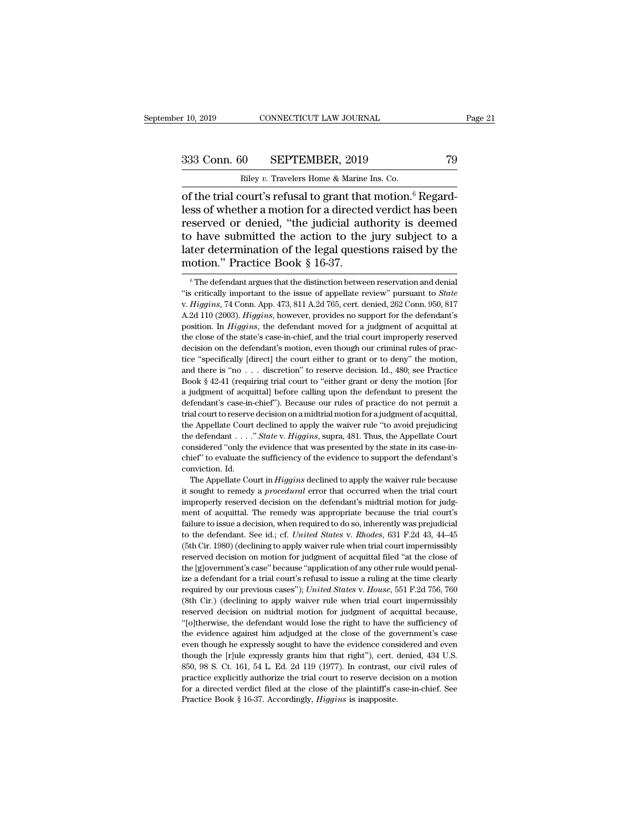r 10, 2019 CONNECTICUT LAW JOURNAL<br>
233 Conn. 60 SEPTEMBER, 2019 79<br>
Riley *v.* Travelers Home & Marine Ins. Co.<br>
of the trial court's refusal to grant that motion.<sup>6</sup> Regardr 10, 2019 CONNECTICUT LAW JOURNAL<br>
333 Conn. 60 SEPTEMBER, 2019 79<br>
Riley v. Travelers Home & Marine Ins. Co.<br>
of the trial court's refusal to grant that motion.<sup>6</sup> Regard-<br>
less of whether a motion for a directed verdict 333 Conn. 60 SEPTEMBER, 2019 79<br>
Riley v. Travelers Home & Marine Ins. Co.<br>
of the trial court's refusal to grant that motion.<sup>6</sup> Regard-<br>
less of whether a motion for a directed verdict has been<br>
reserved or denied, "the 333 Conn. 60 SEPTEMBER, 2019 79<br>
Riley v. Travelers Home & Marine Ins. Co.<br>
of the trial court's refusal to grant that motion.<sup>6</sup> Regard-<br>
less of whether a motion for a directed verdict has been<br>
reserved or denied, "the 333 Conn. 60 SEPTEMBER, 2019 79<br>
Riley v. Travelers Home & Marine Ins. Co.<br>
of the trial court's refusal to grant that motion.<sup>6</sup> Regard-<br>
less of whether a motion for a directed verdict has been<br>
reserved or denied, "the Riley v. Travelers Home & Marine Ins. Co.<br>
of the trial court's refusal to grant that motion.<sup>6</sup> Regard-<br>
less of whether a motion for a directed verdict has been<br>
reserved or denied, "the judicial authority is deemed<br>
to Example *v*. Travelers Home & Marine<br>
of the trial court's refusal to grant that<br>
less of whether a motion for a directed<br>
reserved or denied, "the judicial aut<br>
to have submitted the action to the<br>
later determination of See See The defendant argues that the distinction to the jury subject to a terr determination of the legal questions raised by the otion." Practice Book § 16-37.<br>
<sup>6</sup> The defendant argues that the distinction between rese

to have submitted the action to the jury subject to a<br>later determination of the legal questions raised by the<br>motion." Practice Book § 16-37.<br><sup>6</sup> The defendant argues that the distinction between reservation and denial<br>"i motion." Practice Book § 16-37.<br>
<sup>6</sup> The defendant argues that the distinction between reservation and denial<br>
"is critically important to the issue of appellate review" pursuant to *State*<br>
v. *Higgins*, 74 Conn. App. 473 position. In *Higgins*, the defendant moved for a judgment of acquital in the defendant argues that the distinction between reservation and denial is critically important to the issue of appellate review" pursuant to *Stat* <sup>6</sup> The defendant argues that the distinction between reservation and denial "is critically important to the issue of appellate review" pursuant to *State* v. *Higgins*, 74 Conn. App. 473, 811 A.2d 765, cert. denied, 262 "is critically important to the issue of appellate review" pursuant to *State*<br>v. *Higgins*, 74 Conn. App. 473, 811 A.2d 765, cert. denied, 262 Conn. 950, 817<br>A.2d 110 (2003). *Higgins*, however, provides no support for t v. Higgins, 74 Conn. App. 473, 811 A.2d 765, cert. denied, 262 Conn. 950, 817 A.2d 110 (2003). Higgins, however, provides no support for the defendant's position. In Higgins, the defendant moved for a judgment of acquitta A.2d 110 (2003). *Higgins*, however, provides no support for the defendant's position. In *Higgins*, the defendant moved for a judgment of acquittal at the close of the state's case-in-chief, and the trial court improperl **Example 3** (**b**) *Bosition.* In *Higgins*, the defendant moved for a judgment of acquittal at the close of the state's case-in-chief, and the trial court improperly reserved decision on the defendant's motion, even thoug the close of the state's case-in-chief, and the trial court improperly reserved decision on the defendant's motion, even though our criminal rules of practice "specifically [direct] the court either to grant or to deny" t decision on the defendant's motion, even though our criminal rules of practice "specifically [direct] the court either to grant or to deny" the motion, and there is "no . . . discretion" to reserve decision. Id., 480; see trial court of specifically [direct] the court either to grant or to deny" the motion, and there is "no . . . discretion" to reserve decision. Id., 480; see Practice Book § 42-41 (requiring trial court to "either grant or and there is "no . . . discretion" to reserve decision. Id., 480; see Practice Book § 42-41 (requiring trial court to "either grant or deny the motion [for a judgment of acquittal] before calling upon the defendant to pre Book § 42-41 (requiring trial court to "either grant or deny the motion [for a judgment of acquittal] before calling upon the defendant to present the defendant's case-in-chief"). Because our rules of practice do not permi a judgment of acquittal] before calling upon the defendant to present the defendant's case-in-chief"). Because our rules of practice do not permit a trial court to reserve decision on a midtrial motion for a judgment of a defendant's case-in-chief"). Because our rules of practice do not permit a trial court to reserve decision on a midtrial motion for a judgment of acquittal, the Appellate Court declined to apply the waiver rule "to avoid p trial court to reserve<br>the Appellate Court<br>the defendant . . . . .<br>considered "only the chief" to evaluate the<br>conviction. Id. e Appellate Court declined to apply the waiver rule "to avoid prejudicing<br>e defendant . . . ." *State* v. *Higgins*, supra, 481. Thus, the Appellate Court<br>nsidered "only the evidence that was presented by the state in its it is definited to remember that we will endeaf the defendant to reflect the defendant considered "only the evidence that was presented by the state in its case-inchief" to evaluate the sufficiency of the evidence to suppo

considered "only the evidence that was presented by the state in its case-in-<br>chief" to evaluate the sufficiency of the evidence to support the defendant's<br>conviction. Id.<br>The Appellate Court in *Higgins* declined to apply chief" to evaluate the sufficiency of the evidence to support the defendant's conviction. Id.<br>The Appellate Court in *Higgins* declined to apply the waiver rule because it sought to remedy a *procedural* error that occurre failure to issue a decision, when required to do so, inherently was prejudicial to the defendant of acquital. The remedy was appropriate because the trial court's failure to issue a decision, when required to do so, inhere The Appellate Court in *Higgins* declined to apply the waiver rule because<br>it sought to remedy a *procedural* error that occurred when the trial court<br>improperly reserved decision on the defendant's midtrial motion for jud It sought to remedy a *procedural* error that ocurred when the trial court<br>improperly reserved decision on the defendant's midtrial motion for judg-<br>ment of acquittal. The remedy was appropriate because the trial court's<br>f reserved decision on the defendant's midtrial motion for judgment of acquittal. The remedy was appropriate because the trial court's failure to issue a decision, when required to do so, inherently was prejudicial to the de ment of acquittal. The remedy was appropriate because the trial court's failure to issue a decision, when required to do so, inherently was prejudicial to the defendant. See id.; cf. *United States v. Rhodes*, 631 F.2d 43 failure to issue a decision, when required to do so, inherently was prejudicial<br>to the defendant. See id.; cf. *United States v. Rhodes*, 631 F.2d 43, 44–45<br>(5th Cir. 1980) (declining to apply waiver rule when trial court required by our previous cases''); *United States* v. *Rhodes*, 631 F.2d 43, 44–45 (5th Cir. 1980) (declining to apply waiver rule when trial court impermissibly reserved decision on motion for judgment of acquittal filed (5th Cir. 1980) (declining to apply waiver rule when trial court impermissibly reserved decision on motion for judgment of acquittal filed "at the close of the [g]overnment's case" because "application of any other rule w reserved decision on motion for judgment of acquittal filed "at the close of the [g]overnment's case" because "application of any other rule would penalize a defendant for a trial court's refusal to issue a ruling at the the [g]overnment's case" because "application of any other rule would penal-<br>ize a defendant for a trial court's refusal to issue a ruling at the time clearly<br>required by our previous cases"); *United States v. House*, 551 Example a defendant for a trial court's refusal to issue a ruling at the time clearly required by our previous cases"); United States v. House, 551 F.2d 756, 760 (8th Cir.) (declining to apply waiver rule when trial court required by our previous cases"); *United States v. House*, 551 F.2d 756, 760 (8th Cir.) (declining to apply waiver rule when trial court impermissibly reserved decision on midtrial motion for judgment of acquittal becaus Expressly grants him that right'), each expressive the evidence of acquital because, "[o]therwise, the defendant would lose the right to have the sufficiency of the evidence against him adjudged at the close of the govern reserved decision on midtrial motion for judgment of acquittal because, "[o]<br>therwise, the defendant would lose the right to have the sufficiency of<br>the evidence against him adjudged at the close of the government's case<br> "(o) the explicitly authorize the right to have the sufficiency of the evidence against him adjudged at the close of the government's case even though he expressly sought to have the evidence considered and even though th for a directed verdiction and individual control of the povernment's case<br>even though he expressly sought to have the evidence considered and even<br>though the [r]ule expressly grants him that right"), cert. denied, 434 U.S even though he expressly sought to have the evidence considered and even though the [r]ule expressly grants him that right"), cert. denied, 434 U.S. 850, 98 S. Ct. 161, 54 L. Ed. 2d 119 (1977). In contrast, our civil rules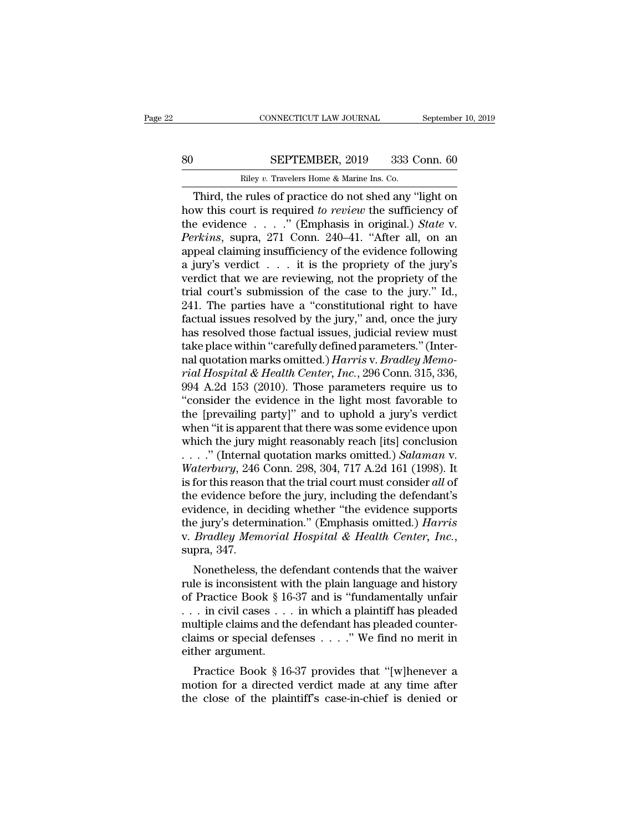# EXECUTE CONNECTICUT LAW JOURNAL September 10, 2019<br>80 SEPTEMBER, 2019 333 Conn. 60<br>Riley v. Travelers Home & Marine Ins. Co.

CONNECTICUT LAW JOURNAL Septembe<br>
SEPTEMBER, 2019 333 Conn. 60<br>
Riley *v.* Travelers Home & Marine Ins. Co.<br>
Third, the rules of practice do not shed any "light on CONNECTICUT LAW JOURNAL September 10, 2019<br>
SEPTEMBER, 2019 333 Conn. 60<br>
Riley v. Travelers Home & Marine Ins. Co.<br>
Third, the rules of practice do not shed any "light on<br>
w this court is required to review the sufficienc SEPTEMBER, 2019 333 Conn. 60<br>
Riley v. Travelers Home & Marine Ins. Co.<br>
Third, the rules of practice do not shed any "light on<br>
how this court is required *to review* the sufficiency of<br>
the evidence . . . . ." (Emphasis SEPTEMBER, 2019 333 Conn. 60<br>
Riley v. Travelers Home & Marine Ins. Co.<br>
Third, the rules of practice do not shed any "light on<br>
how this court is required to review the sufficiency of<br>
the evidence . . . . . " (Emphasis i *Perkins*, 2019 333 Conn. 60<br> *Percy v. Travelers Home & Marine Ins. Co.*<br> *Perkins, the rules of practice do not shed any "light on*<br> *Perkins*, court is required *to review* the sufficiency of<br> *Perkins*, supra, 271 Conn Riley v. Travelers Home & Marine Ins. Co.<br>
Third, the rules of practice do not shed any "light on<br>
how this court is required to review the sufficiency of<br>
the evidence  $\ldots$ . " (Emphasis in original.) *State* v.<br> *Perkin* Finally v. Travelers Home & Marine Ins. Co.<br>
Third, the rules of practice do not shed any "light on<br>
how this court is required to review the sufficiency of<br>
the evidence . . . . ." (Emphasis in original.) *State* v.<br> *Pe* Third, the rules of practice do not shed any "light on<br>how this court is required to review the sufficiency of<br>the evidence . . . . " (Emphasis in original.) *State* v.<br>*Perkins*, supra, 271 Conn. 240–41. "After all, on a how this court is required *to review* the sufficiency of the evidence . . . . ." (Emphasis in original.) *State* v. *Perkins*, supra, 271 Conn. 240–41. "After all, on an appeal claiming insufficiency of the evidence foll the evidence  $\ldots$  ." (Emphasis in original.) *State* v.<br> *Perkins*, supra, 271 Conn. 240–41. "After all, on an<br>
appeal claiming insufficiency of the evidence following<br>
a jury's verdict  $\ldots$  it is the propriety of the j *Perkins*, supra, 271 Conn. 240–41. "After all, on an appeal claiming insufficiency of the evidence following a jury's verdict . . . it is the propriety of the jury's verdict that we are reviewing, not the propriety of th appeal claiming insufficiency of the evidence following<br>a jury's verdict  $\dots$  it is the propriety of the jury's<br>verdict that we are reviewing, not the propriety of the<br>trial court's submission of the case to the jury." Id a jury's verdict  $\dots$  it is the propriety of the jury's verdict that we are reviewing, not the propriety of the trial court's submission of the case to the jury." Id., 241. The parties have a "constitutional right to have verdict that we are reviewing, not the propriety of the<br>trial court's submission of the case to the jury." Id.,<br>241. The parties have a "constitutional right to have<br>factual issues resolved by the jury," and, once the jury *rial court's submission of the case to the jury." Id.,* 241. The parties have a "constitutional right to have factual issues resolved by the jury," and, once the jury has resolved those factual issues, judicial review mus 241. The parties have a "constitutional right to have<br>factual issues resolved by the jury," and, once the jury<br>has resolved those factual issues, judicial review must<br>take place within "carefully defined parameters." (Int factual issues resolved by the jury," and, once the jury<br>has resolved those factual issues, judicial review must<br>take place within "carefully defined parameters." (Inter-<br>nal quotation marks omitted.) *Harris v. Bradley Me* has resolved those factual issues, judicial review must<br>take place within "carefully defined parameters." (Inter-<br>nal quotation marks omitted.) *Harris* v. *Bradley Memo-<br>rial Hospital & Health Center, Inc.*, 296 Conn. 315 take place within "carefully defined parameters." (Inter-<br>nal quotation marks omitted.) *Harris v. Bradley Memo-<br>rial Hospital & Health Center, Inc.*, 296 Conn. 315, 336,<br>994 A.2d 153 (2010). Those parameters require us to nal quotation marks omitted.) *Harris* v. *Bradley Memo-<br>rial Hospital & Health Center*, *Inc.*, 296 Conn. 315, 336,<br>994 A.2d 153 (2010). Those parameters require us to<br>"consider the evidence in the light most favorable t rial Hospital & Health Center, Inc., 296 Conn. 315, 336, 994 A.2d 153 (2010). Those parameters require us to<br>"consider the evidence in the light most favorable to<br>the [prevailing party]" and to uphold a jury's verdict<br>when 994 A.2d 153 (2010). Those parameters require us to<br>
"consider the evidence in the light most favorable to<br>
the [prevailing party]" and to uphold a jury's verdict<br>
when "it is apparent that there was some evidence upon<br>
wh "consider the evidence in the light most favorable to<br>the [prevailing party]" and to uphold a jury's verdict<br>when "it is apparent that there was some evidence upon<br>which the jury might reasonably reach [its] conclusion<br> $\$ the [prevailing party]" and to uphold a jury's verdict<br>when "it is apparent that there was some evidence upon<br>which the jury might reasonably reach [its] conclusion<br>...." (Internal quotation marks omitted.) *Salaman* v.<br>W when "it is apparent that there was some evidence upon<br>which the jury might reasonably reach [its] conclusion<br>...." (Internal quotation marks omitted.) *Salaman* v.<br>Waterbury, 246 Conn. 298, 304, 717 A.2d 161 (1998). It<br>i which the jury might reasonably reach [its] conclusion<br>...." (Internal quotation marks omitted.) *Salaman* v.<br>Waterbury, 246 Conn. 298, 304, 717 A.2d 161 (1998). It<br>is for this reason that the trial court must consider all waterbury, 246 Conn. 298, 304, 717 A.2d 161 (1998). It is for this reason that the trial court must consider *all* of the evidence before the jury, including the defendant's evidence, in deciding whether "the evidence supp For this reason that the trial court must consider *att* of<br>e evidence before the jury, including the defendant's<br>idence, in deciding whether "the evidence supports<br>e jury's determination." (Emphasis omitted.) *Harris*<br>*B* the evidence before the jury, including the defendant s<br>evidence, in deciding whether "the evidence supports<br>the jury's determination." (Emphasis omitted.) *Harris*<br>v. *Bradley Memorial Hospital & Health Center*, *Inc.*,<br>s

bevidence, in declaring whether the evidence supports<br>the jury's determination." (Emphasis omitted.) *Harris*<br>v. *Bradley Memorial Hospital & Health Center*, *Inc.*,<br>supra, 347.<br>Nonetheless, the defendant contends that th Let  $\mu$  and  $\mu$  means in contends that the waiver<br>v. *Bradley Memorial Hospital & Health Center*, *Inc.*,<br>supra, 347.<br>Nonetheless, the defendant contends that the waiver<br>rule is inconsistent with the plain language and w. *Bradley memorial Hospital*  $\alpha$  *Heath Center, Inc.*, supra, 347.<br>
Nonetheless, the defendant contends that the waiver<br>
rule is inconsistent with the plain language and history<br>
of Practice Book § 16-37 and is "fundam Supra, 547.<br>
Nonetheless, the defendant contends that the waiver<br>
rule is inconsistent with the plain language and history<br>
of Practice Book § 16-37 and is "fundamentally unfair<br>
. . . in civil cases . . . in which a plai Nonetheless, the de<br>rule is inconsistent wi<br>of Practice Book § 16<br>... in civil cases ...<br>multiple claims and th<br>claims or special defe<br>either argument.<br>Practice Book § 16 Fractice Book § 16-37 and is "fundamentally unfair<br>  $\therefore$  in civil cases  $\dots$  in which a plaintiff has pleaded<br>
ultiple claims and the defendant has pleaded counter-<br>
a simulation of special defenses  $\dots$ ." We find no mer or Fractice Book § 10-57 and is Tundamentally dilation... in civil cases ... in which a plaintiff has pleaded multiple claims and the defendant has pleaded counterclaims or special defenses ...." We find no merit in eithe the close of the plaintiff's case-in-chief is denied or<br>the close of the planning or special defenses  $\ldots$ ." We find no merit in<br>either argument.<br>Practice Book § 16-37 provides that "[w]henever a<br>motion for a directed ve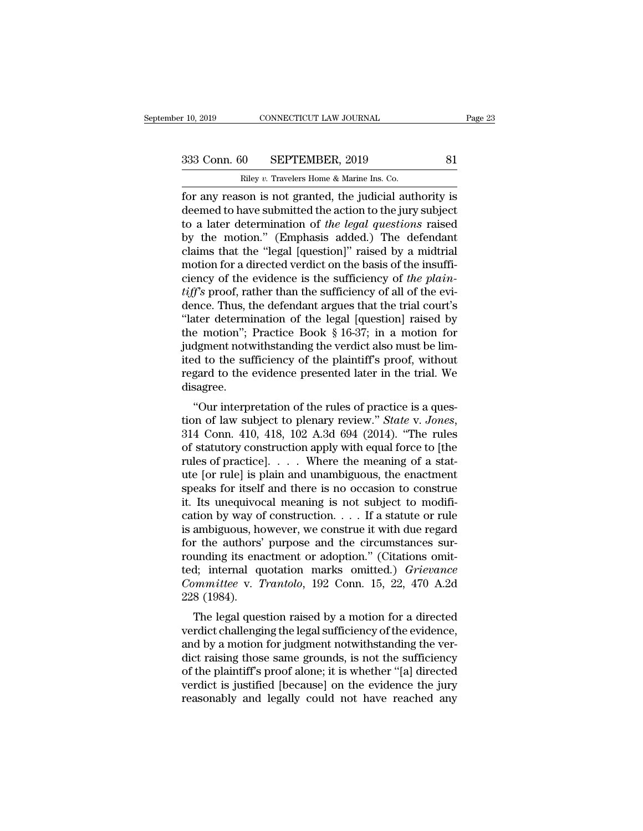r 10, 2019 CONNECTICUT LAW JOURNAL<br>
233 Conn. 60 SEPTEMBER, 2019 81<br>
Riley *v.* Travelers Home & Marine Ins. Co.<br>
for any reason is not granted, the judicial authority is For any reason is not granted, the judicial authority is<br>deemed to have submitted the action to the jury subject<br>to a later determination of the lead *cuestions* reason<br>to a later determination of the lead *cuestions* reas 333 Conn. 60 SEPTEMBER, 2019 81<br>
Riley v. Travelers Home & Marine Ins. Co.<br>
for any reason is not granted, the judicial authority is<br>
deemed to have submitted the action to the jury subject<br>
to a later determination of *t* 333 Conn. 60 SEPTEMBER, 2019 81<br>
Riley v. Travelers Home & Marine Ins. Co.<br>
for any reason is not granted, the judicial authority is<br>
deemed to have submitted the action to the jury subject<br>
to a later determination of *t*  $\begin{array}{|l|l|} \hline \text{Bilay } v. \text{ Travelers Home & Marine Ins. Co.} \hline \hline \text{for any reason is not granted, the judicial authority is deemed to have submitted the action to the jury subject to a later determination of the legal questions raised by the motion." (Emphasis added.) The defendant claims that the "legal [question]" raised by a midtrial motion for a directed vordict on the basis of the instriffi.} \hline \end{array}$ Riley v. Travelers Home & Marine Ins. Co.<br>
for any reason is not granted, the judicial authority is<br>
deemed to have submitted the action to the jury subject<br>
to a later determination of the legal questions raised<br>
by the Example v. Travelers Home & Marme Ins. Co.<br>
for any reason is not granted, the judicial authority is<br>
deemed to have submitted the action to the jury subject<br>
to a later determination of *the legal questions* raised<br>
by t for any reason is not granted, the judicial authority is<br>deemed to have submitted the action to the jury subject<br>to a later determination of *the legal questions* raised<br>by the motion." (Emphasis added.) The defendant<br>clai deemed to have submitted the action to the jury subject<br>to a later determination of *the legal questions* raised<br>by the motion." (Emphasis added.) The defendant<br>claims that the "legal [question]" raised by a midtrial<br>motio to a later determination of *the legal questions* raised<br>by the motion." (Emphasis added.) The defendant<br>claims that the "legal [question]" raised by a midtrial<br>motion for a directed verdict on the basis of the insuffi-<br>c by the motion." (Emphasis added.) The defendant<br>claims that the "legal [question]" raised by a midtrial<br>motion for a directed verdict on the basis of the insuffi-<br>ciency of the evidence is the sufficiency of *the plain-*<br> claims that the "legal [question]" raised by a midtrial<br>motion for a directed verdict on the basis of the insuffi-<br>ciency of the evidence is the sufficiency of the plain-<br>tiff's proof, rather than the sufficiency of all o motion for a directed verdict on the basis of the insufficiency of the evidence is the sufficiency of the plain-<br>tiff's proof, rather than the sufficiency of all of the evi-<br>dence. Thus, the defendant argues that the tria ciency of the evidence is the sufficiency of *the plain-<br>tiff's* proof, rather than the sufficiency of all of the evi-<br>dence. Thus, the defendant argues that the trial court's<br>"later determination of the legal [question] *tiff's* proof, rather than the sufficiency of all of the evidence. Thus, the defendant argues that the trial court's "later determination of the legal [question] raised by the motion"; Practice Book  $\S 16-37$ ; in a motio disagree. the determination of the regal [question] raised by<br>
e motion"; Practice Book § 16-37; in a motion for<br>
dgment notwithstanding the verdict also must be lim-<br>
d to the sufficiency of the plaintiff's proof, without<br>
gard to

the motion contribution of the plaintiff's proof, without<br>ited to the sufficiency of the plaintiff's proof, without<br>regard to the evidence presented later in the trial. We<br>disagree.<br>"Our interpretation of the rules of prac regard to the evidence presented later in the trial. We<br>disagree.<br>"Our interpretation of the rules of practice is a ques-<br>tion of law subject to plenary review." *State v. Jones*,<br>314 Conn. 410, 418, 102 A.3d 694 (2014). " regard to the evidence presented later in the trial. we<br>disagree.<br>"Our interpretation of the rules of practice is a ques-<br>tion of law subject to plenary review." *State* v. *Jones*,<br>314 Conn. 410, 418, 102 A.3d 694 (2014). "Our interpretation of the rules of practice is a question of law subject to plenary review." *State v. Jones*, 314 Conn. 410, 418, 102 A.3d 694 (2014). "The rules of statutory construction apply with equal force to [the "Our interpretation of the rules of practice is a question of law subject to plenary review." *State v. Jones*, 314 Conn. 410, 418, 102 A.3d 694 (2014). "The rules of statutory construction apply with equal force to [the tion of law subject to plenary review." *State* v. *Jones*, 314 Conn. 410, 418, 102 A.3d 694 (2014). "The rules of statutory construction apply with equal force to [the rules of practice].  $\ldots$  Where the meaning of a sta 314 Conn. 410, 418, 102 A.3d 694 (2014). "The rules<br>of statutory construction apply with equal force to [the<br>rules of practice]. . . . Where the meaning of a stat-<br>ute [or rule] is plain and unambiguous, the enactment<br>spe of statutory construction apply with equal force to [the<br>rules of practice].  $\dots$  Where the meaning of a stat-<br>ute [or rule] is plain and unambiguous, the enactment<br>speaks for itself and there is no occasion to construe<br>i rules of practice].  $\ldots$  Where the meaning of a statute [or rule] is plain and unambiguous, the enactment speaks for itself and there is no occasion to construe it. Its unequivocal meaning is not subject to modification ute [or rule] is plain and unambiguous, the enactment<br>speaks for itself and there is no occasion to construe<br>it. Its unequivocal meaning is not subject to modifi-<br>cation by way of construction. . . . If a statute or rule<br> speaks for itself and there is no occasion to construe<br>it. Its unequivocal meaning is not subject to modifi-<br>cation by way of construction. . . . If a statute or rule<br>is ambiguous, however, we construe it with due regard<br>f it. Its unequivocal meaning is not subject to modification by way of construction. . . . If a statute or rule is ambiguous, however, we construe it with due regard for the authors' purpose and the circumstances surrounding cation by way of<br>is ambiguous, he<br>for the authors'<br>rounding its ena<br>ted; internal qu<br>*Committee* v. 7<br>228 (1984).<br>The legal ques antion duested in the authors' purpose and the circumstances sur-<br>unding its enactment or adoption." (Citations omit-<br>d; internal quotation marks omitted.) *Grievance*<br>mamittee v. Trantolo, 192 Conn. 15, 22, 470 A.2d<br>8 (19 From the authors purpose and the circumstances sur-<br>rounding its enactment or adoption." (Citations omit-<br>ted; internal quotation marks omitted.) *Grievance*<br>*Committee* v. *Trantolo*, 192 Conn. 15, 22, 470 A.2d<br>228 (1984)

Founding its enactment of adoption. (Chations omit-<br>ted; internal quotation marks omitted.) *Grievance*<br>*Committee v. Trantolo*, 192 Conn. 15, 22, 470 A.2d<br>228 (1984).<br>The legal question raised by a motion for a directed<br>v dict, internal quotation marks onlitted.) Grietance<br>Committee v. Trantolo, 192 Conn. 15, 22, 470 A.2d<br>228 (1984).<br>The legal question raised by a motion for a directed<br>verdict challenging the legal sufficiency of the eviden Commutee v. Transoo, 192 Conn. 15, 22, 470 A.2d<br>
228 (1984).<br>
The legal question raised by a motion for a directed<br>
verdict challenging the legal sufficiency of the evidence,<br>
and by a motion for judgment notwithstanding The legal question raised by a motion for a directed<br>verdict challenging the legal sufficiency of the evidence,<br>and by a motion for judgment notwithstanding the ver-<br>dict raising those same grounds, is not the sufficiency The legal question raised by a motion for a directed<br>verdict challenging the legal sufficiency of the evidence,<br>and by a motion for judgment notwithstanding the ver-<br>dict raising those same grounds, is not the sufficiency<br>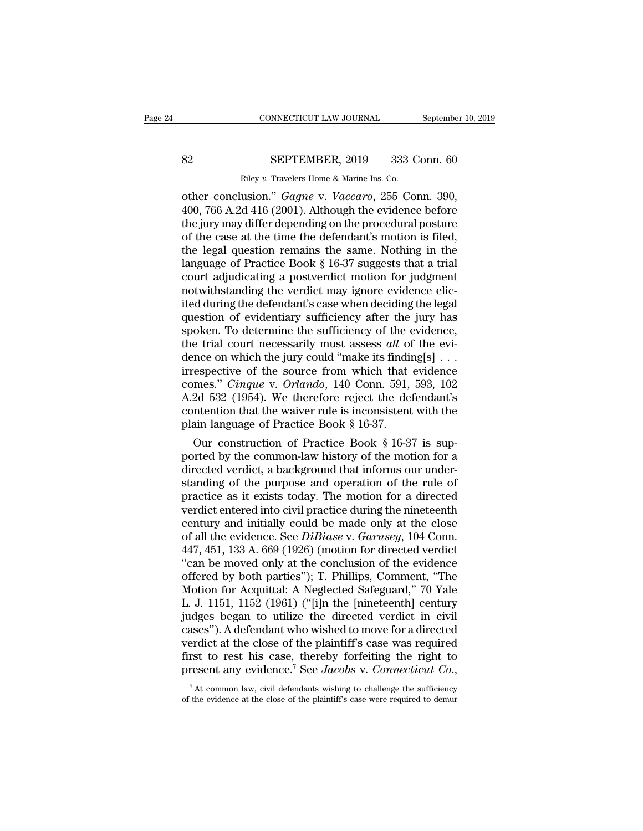# EXECUTE CONNECTICUT LAW JOURNAL September 10, 2019<br>82 SEPTEMBER, 2019 333 Conn. 60<br>Riley v. Travelers Home & Marine Ins. Co.

CONNECTICUT LAW JOURNAL Septembe<br>
Riley *v.* Travelers Home & Marine Ins. Co.<br>
Travelers Home & Marine Ins. Co.<br>
Travelers Home & Marine Ins. Co.<br>
Other conclusion." *Gagne v. Vaccaro*, 255 Conn. 390, connecticut LAW JOURNAL September 10, 2<br>
SEPTEMBER, 2019 333 Conn. 60<br>
Riley v. Travelers Home & Marine Ins. Co.<br>
other conclusion.'' *Gagne* v. *Vaccaro*, 255 Conn. 390,<br>
400, 766 A.2d 416 (2001). Although the evidence be SEPTEMBER, 2019 333 Conn. 60<br>
Riley v. Travelers Home & Marine Ins. Co.<br>
other conclusion." *Gagne v. Vaccaro*, 255 Conn. 390,<br>
400, 766 A.2d 416 (2001). Although the evidence before<br>
the jury may differ depending on the p SEPTEMBER, 2019 333 Conn. 60<br>
Riley v. Travelers Home & Marine Ins. Co.<br>
other conclusion." *Gagne v. Vaccaro*, 255 Conn. 390,<br>
400, 766 A.2d 416 (2001). Although the evidence before<br>
the jury may differ depending on the SEPTEMBER, 2019 333 Conn. 60<br>
Riley v. Travelers Home & Marine Ins. Co.<br>
other conclusion." *Gagne* v. *Vaccaro*, 255 Conn. 390,<br>
400, 766 A.2d 416 (2001). Although the evidence before<br>
the jury may differ depending on the Example 12. Travelers Home & Marine Ins. Co.<br>
other conclusion." Gagne v. Vaccaro, 255 Conn. 390,<br>
400, 766 A.2d 416 (2001). Although the evidence before<br>
the jury may differ depending on the procedural posture<br>
of the ca Riley v. Travelers Home & Marine Ins. Co.<br>
other conclusion."  $Gagne$  v.  $Vaccaro$ , 255 Conn. 390,<br>
400, 766 A.2d 416 (2001). Although the evidence before<br>
the jury may differ depending on the procedural posture<br>
of the case at other conclusion." *Gagne* v. *Vaccaro*, 255 Conn. 390, 400, 766 A.2d 416 (2001). Although the evidence before the jury may differ depending on the procedural posture of the case at the time the defendant's motion is filed 400, 766 A.2d 416 (2001). Although the evidence before<br>the jury may differ depending on the procedural posture<br>of the case at the time the defendant's motion is filed,<br>the legal question remains the same. Nothing in the<br>l the jury may differ depending on the procedural posture<br>of the case at the time the defendant's motion is filed,<br>the legal question remains the same. Nothing in the<br>language of Practice Book § 16-37 suggests that a trial<br>c of the case at the time the defendant's motion is filed,<br>the legal question remains the same. Nothing in the<br>language of Practice Book § 16-37 suggests that a trial<br>court adjudicating a postverdict motion for judgment<br>not the legal question remains the same. Nothing in the language of Practice Book  $\S$  16-37 suggests that a trial court adjudicating a postverdict motion for judgment notwithstanding the verdict may ignore evidence elicited d language of Practice Book § 16-37 suggests that a trial court adjudicating a postverdict motion for judgment notwithstanding the verdict may ignore evidence elicited during the defendant's case when deciding the legal ques court adjudicating a postverdict motion for judgment<br>notwithstanding the verdict may ignore evidence elic-<br>ited during the defendant's case when deciding the legal<br>question of evidentiary sufficiency after the jury has<br>sp notwithstanding the verdict may ignore evidence elicited during the defendant's case when deciding the legal<br>question of evidentiary sufficiency after the jury has<br>spoken. To determine the sufficiency of the evidence,<br>the ited during the defendant's case when deciding the legal<br>question of evidentiary sufficiency after the jury has<br>spoken. To determine the sufficiency of the evidence,<br>the trial court necessarily must assess *all* of the evi question of evidentiary sufficiency after the jury has<br>spoken. To determine the sufficiency of the evidence,<br>the trial court necessarily must assess *all* of the evi-<br>dence on which the jury could "make its finding[s] . . spoken. To determine the sufficiency of the evidence,<br>the trial court necessarily must assess *all* of the evi-<br>dence on which the jury could "make its finding[s] . . .<br>irrespective of the source from which that evidence<br> the trial court necessarily must assess *all* of dence on which the jury could "make its finding irrespective of the source from which that comes." *Cinque* v. *Orlando*, 140 Conn. 591, A.2d 532 (1954). We therefore reject nce on which the jury could "make its inding[s]...<br>
respective of the source from which that evidence<br>
mes." *Cinque* v. *Orlando*, 140 Conn. 591, 593, 102<br>
2d 532 (1954). We therefore reject the defendant's<br>
intention tha if irrespective of the source from which that evidence<br>comes." *Cinque v. Orlando*, 140 Conn. 591, 593, 102<br>A.2d 532 (1954). We therefore reject the defendant's<br>contention that the waiver rule is inconsistent with the<br>pla

comes." Cinque v. Ortando, 140 Conn. 591, 593, 102<br>A.2d 532 (1954). We therefore reject the defendant's<br>contention that the waiver rule is inconsistent with the<br>plain language of Practice Book § 16-37.<br>Our construction of A.2d 532 (1954). We therefore reject the detendant's<br>contention that the waiver rule is inconsistent with the<br>plain language of Practice Book § 16-37.<br>Our construction of Practice Book § 16-37 is sup-<br>ported by the common contention that the waiver rule is inconsistent with the<br>plain language of Practice Book § 16-37.<br>Our construction of Practice Book § 16-37 is sup-<br>ported by the common-law history of the motion for a<br>directed verdict, a plain language of Practice Book § 16-37.<br>
Our construction of Practice Book § 16-37 is sup-<br>
ported by the common-law history of the motion for a<br>
directed verdict, a background that informs our under-<br>
standing of the pu Our construction of Practice Book § 16-37 is sup-<br>ported by the common-law history of the motion for a<br>directed verdict, a background that informs our under-<br>standing of the purpose and operation of the rule of<br>practice a ported by the common-law history of the motion for a<br>directed verdict, a background that informs our under-<br>standing of the purpose and operation of the rule of<br>practice as it exists today. The motion for a directed<br>verdic directed verdict, a background that informs our understanding of the purpose and operation of the rule of practice as it exists today. The motion for a directed verdict entered into civil practice during the nineteenth cen standing of the purpose and operation of the rule of<br>practice as it exists today. The motion for a directed<br>verdict entered into civil practice during the nineteenth<br>century and initially could be made only at the close<br>o practice as it exists today. The motion for a directed<br>verdict entered into civil practice during the nineteenth<br>century and initially could be made only at the close<br>of all the evidence. See *DiBiase* v. Garnsey, 104 Conn verdict entered into civil practice during the nineteenth<br>century and initially could be made only at the close<br>of all the evidence. See *DiBiase* v. *Garnsey*, 104 Conn.<br>447, 451, 133 A. 669 (1926) (motion for directed ve century and initially could be made only at the close<br>of all the evidence. See *DiBiase* v. *Garnsey*, 104 Conn.<br>447, 451, 133 A. 669 (1926) (motion for directed verdict<br>"can be moved only at the conclusion of the evidence of all the evidence. See *DiBiase* v. *Garnsey*, 104 Conn.<br>447, 451, 133 A. 669 (1926) (motion for directed verdict<br>"can be moved only at the conclusion of the evidence<br>offered by both parties"); T. Phillips, Comment, "Th 447, 451, 133 A. 669 (1926) (motion for directed verdict<br>
"can be moved only at the conclusion of the evidence<br>
offered by both parties"); T. Phillips, Comment, "The<br>
Motion for Acquittal: A Neglected Safeguard," 70 Yale<br> "can be moved only at the conclusion of the evidence<br>offered by both parties"); T. Phillips, Comment, "The<br>Motion for Acquittal: A Neglected Safeguard," 70 Yale<br>L. J. 1151, 1152 (1961) ("[i]n the [nineteenth] century<br>judg offered by both parties"); T. Phillips, Comment, "The<br>Motion for Acquittal: A Neglected Safeguard," 70 Yale<br>L. J. 1151, 1152 (1961) ("[i]n the [nineteenth] century<br>judges began to utilize the directed verdict in civil<br>cas Motion for Acquittal: A Neglected Safeguard," 70 Yale L. J. 1151, 1152 (1961) ("[i]n the [nineteenth] century judges began to utilize the directed verdict in civil cases"). A defendant who wished to move for a directed ver ases"). A defendant who wished to move for a directed<br>erdict at the close of the plaintiff's case was required<br>rst to rest his case, thereby forfeiting the right to<br>resent any evidence.<sup>7</sup> See *Jacobs* v. *Connecticut Co.* verdict at the close of the plaintiff's case was required first to rest his case, thereby forfeiting the right to present any evidence.<sup>7</sup> See *Jacobs* v. *Connecticut Co.*,  $\frac{1}{4}$  at common law, civil defendants wishi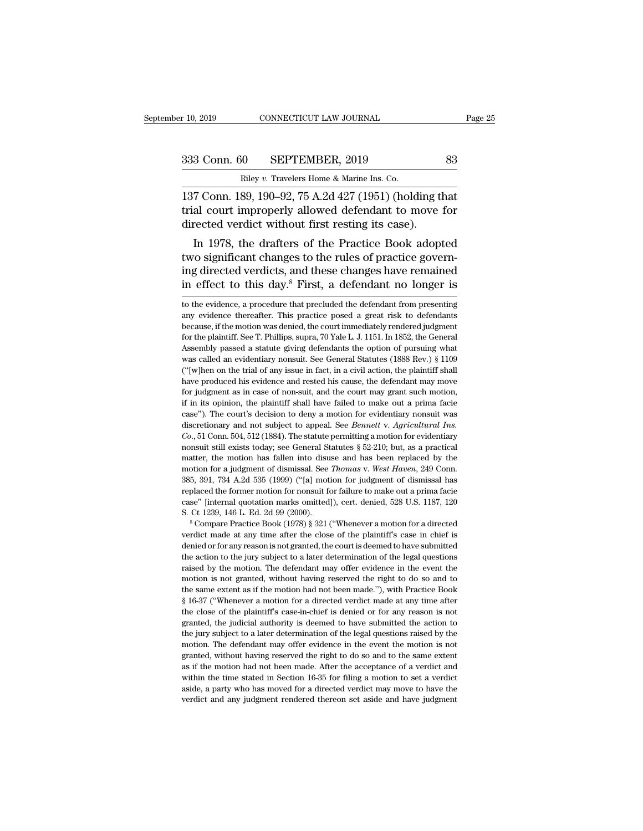10, 2019 CONNECTICUT LAW JOURNAL Page 2<br>
2333 Conn. 60 SEPTEMBER, 2019 83<br>
Riley v. Travelers Home & Marine Ins. Co.<br>
137 Conn. 189, 190–92, 75 A.2d 427 (1951) (holding that<br>
trial court improperly allowed defendant to mov 333 Conn. 60 SEPTEMBER, 2019 83<br>
Riley v. Travelers Home & Marine Ins. Co.<br>
137 Conn. 189, 190–92, 75 A.2d 427 (1951) (holding that<br>
trial court improperly allowed defendant to move for<br>
directed verdict without first rest 333 Conn. 60 SEPTEMBER, 2019<br>
Riley v. Travelers Home & Marine Ins. Co.<br>
137 Conn. 189, 190–92, 75 A.2d 427 (1951) (holding the trial court improperly allowed defendant to move directed verdict without first resting its ca 3 Conn. 60 SEPTEMBER, 2019 83<br>
Riley v. Travelers Home & Marine Ins. Co.<br>
7 Conn. 189, 190–92, 75 A.2d 427 (1951) (holding that<br>
al court improperly allowed defendant to move for<br>
rected verdict without first resting its

Riley v. Travelers Home & Marine Ins. Co.<br>137 Conn. 189, 190–92, 75 A.2d 427 (1951) (holding that<br>trial court improperly allowed defendant to move for<br>directed verdict without first resting its case).<br>In 1978, the drafter 137 Conn. 189, 190–92, 75 A.2d 427 (1951) (holding that<br>trial court improperly allowed defendant to move for<br>directed verdict without first resting its case).<br>In 1978, the drafters of the Practice Book adopted<br>two signifi For Collil. 189, 190–92, 79 A.2d 427 (1951) (holding that<br>trial court improperly allowed defendant to move for<br>directed verdict without first resting its case).<br>In 1978, the drafters of the Practice Book adopted<br>two signi In 1978, the drafters of the Practice Book adopted<br>two significant changes to the rules of practice govern-<br>ing directed verdicts, and these changes have remained<br>in effect to this day.<sup>8</sup> First, a defendant no longer is<br>t two significant changes to the rules of practice governing directed verdicts, and these changes have remained<br>in effect to this day.<sup>8</sup> First, a defendant no longer is<br>to the evidence, a procedure that precluded the defend

ing directed verdicts, and these changes have remained<br>in effect to this day.<sup>8</sup> First, a defendant no longer is<br>to the evidence, a procedure that precluded the defendant from presenting<br>any evidence thereafter. This pract in effect to this day.<sup>8</sup> First, a defendant no longer is<br>to the evidence, a procedure that precluded the defendant from presenting<br>any evidence thereafter. This practice posed a great risk to defendants<br>because, if the m In effect to this day. First, a deferment the longer is<br>to the evidence, a procedure that precluded the defendant from presenting<br>any evidence thereafter. This practice posed a great risk to defendants<br>because, if the moti to the evidence, a procedure that precluded the defendant from presenting<br>any evidence thereafter. This practice posed a great risk to defendants<br>because, if the motion was denied, the court immediately rendered judgment<br>f any evidence thereafter. This practice posed a great risk to defendants because, if the motion was denied, the court immediately rendered judgment for the plaintiff. See T. Phillips, supra, 70 Yale L. J. 1151. In 1852, the decause, if the motion was denied, the court immediately rendered judgment for the plaintiff. See T. Phillips, supra, 70 Yale L. J. 1151. In 1852, the General Assembly passed a statute giving defendants the option of pursu for the plaintiff. See T. Phillips, supra, 70 Yale L. J. 1151. In 1852, the General Assembly passed a statute giving defendants the option of pursuing what was called an evidentiary nonsuit. See General Statutes (1888 Rev In its assembly passed a statute giving defendants the option of pursuing what was called an evidentiary nonsuit. See General Statutes (1888 Rev.) § 1109 ("[w]hen on the trial of any issue in fact, in a civil action, the p was called an evidentiary nonsuit. See General Statutes (1888 Rev.) § 1109 ("[w]hen on the trial of any issue in fact, in a civil action, the plaintiff shall have produced his evidence and rested his cause, the defendant <sup>11</sup> ("[w]hen on the trial of any issue in fact, in a civil action, the plaintiff shall have produced his evidence and rested his cause, the defendant may move for judgment as in case of non-suit, and the court may grant s *Complement as in case of non-suit, and the court may grant such may move* for judgment as in case of non-suit, and the court may grant such motion, if in its opinion, the plaintiff shall have failed to make out a prima fa nonsulate in the court may grant such motion, if in its opinion, the plaintiff shall have failed to make out a prima facie case"). The court's decision to deny a motion for evidentiary nonsuit was discretionary and not su if in its opinion, the plaintiff shall have failed to make out a prima facie case"). The court's decision to deny a motion for evidentiary nonsuit was discretionary and not subject to appeal. See *Bennett* v. *Agricultura* motion for a judgment of dismissal. See *Thomas* v. *West Haven*, 249 Conn. discretionary and not subject to appeal. See *Bennett* v. Agricultural Ins.<br>Co., 51 Conn. 504, 512 (1884). The statute permitting a motion for evidentiary<br>nonsuit still exists today; see General Statutes § 52-210; but, as Co., 51 Conn. 504, 512 (1884). The statute permitting a motion for evidentiary nonsuit still exists today; see General Statutes § 52-210; but, as a practical matter, the motion has fallen into disuse and has been replaced consult still exists today; see General Statutes § 52-210; but, as a practical matter, the motion has fallen into disuse and has been replaced by the motion for a judgment of dismissal. See *Thomas v. West Haven*, 249 Con matter, the motion has fallen into disuse and has been replaced by the motion for a judgment of dismissal. See *Thomas v. West Haven*, 249 Conn. 385, 391, 734 A.2d 535 (1999) ("[a] motion for judgment of dismissal has rep 385, 391, 734 A.2d 535 (1999) ("[a] motion for judgment of dismissal has replaced the former motion for nonsuit for failure to make out a prima facie case" [internal quotation marks omitted]), cert. denied, 528 U.S. 1187,

beyond the former motion for nonsuit for failure to make out a prima facie case" [internal quotation marks omitted]), cert. denied, 528 U.S. 1187, 120 S. Ct 1239, 146 L. Ed. 2d 99 (2000).<br>
<sup>8</sup> Compare Practice Book (1978) replaced the former motion for nonsuit for failure to make out a prima facie case" [internal quotation marks omitted]), cert. denied, 528 U.S. 1187, 120 S. Ct 1239, 146 L. Ed. 2d 99 (2000).<br>
<sup>8</sup> Compare Practice Book (197 S. Ct 1239, 146 L. Ed. 2d 99 (2000).<br>
<sup>8</sup> Compare Practice Book (1978) § 321 ("Whenever a motion for a directed verdict made at any time after the close of the plaintiff's case in chief is denied or for any reason is not <sup>or</sup> <sup>8</sup> Compare Practice Book (1978) § 321 ("Whenever a motion for a directed verdict made at any time after the close of the plaintiff's case in chief is denied or for any reason is not granted, the court is deemed to h verdict made at any time after the close of the plaintiff's case in chief is denied or for any reason is not granted, the court is deemed to have submitted the action to the jury subject to a later determination of the leg verdied or for any reason is not granted, the court is deemed to have submitted the action to the jury subject to a later determination of the legal questions raised by the motion. The defendant may offer evidence in the e the action to the jury subject to a later determination of the legal questions raised by the motion. The defendant may offer evidence in the event the motion is not granted, without having reserved the right to do so and t raised by the motion. The defendant may offer evidence in the event the motion is not granted, without having reserved the right to do so and to the same extent as if the motion had not been made."), with Practice Book § motion is not granted, without having reserved the right to do so and to the same extent as if the motion had not been made."), with Practice Book § 16-37 ("Whenever a motion for a directed verdict made at any time after the same extent as if the motion had not been made."), with Practice Book  $§$  16-37 ("Whenever a motion for a directed verdict made at any time after the close of the plaintiff's case-in-chief is denied or for any reason  $\frac{1}{8}$  16-37 ("Whenever a motion for a directed verdict made at any time after the close of the plaintiff's case-in-chief is denied or for any reason is not granted, the judicial authority is deemed to have submitted t as the close of the plaintiff's case-in-chief is denied or for any reason is not granted, the judicial authority is deemed to have submitted the action to the jury subject to a later determination of the legal questions ra the close of the plaintiff's case-in-chief is denied or for any reason is not granted, the judicial authority is deemed to have submitted the action to the jury subject to a later determination of the legal questions raise gram as in the jury subject to a later determination of the legal questions raised by the motion. The defendant may offer evidence in the event the motion is not granted, without having reserved the right to do so and to t motion. The defendant may offer evidence in the event the motion is not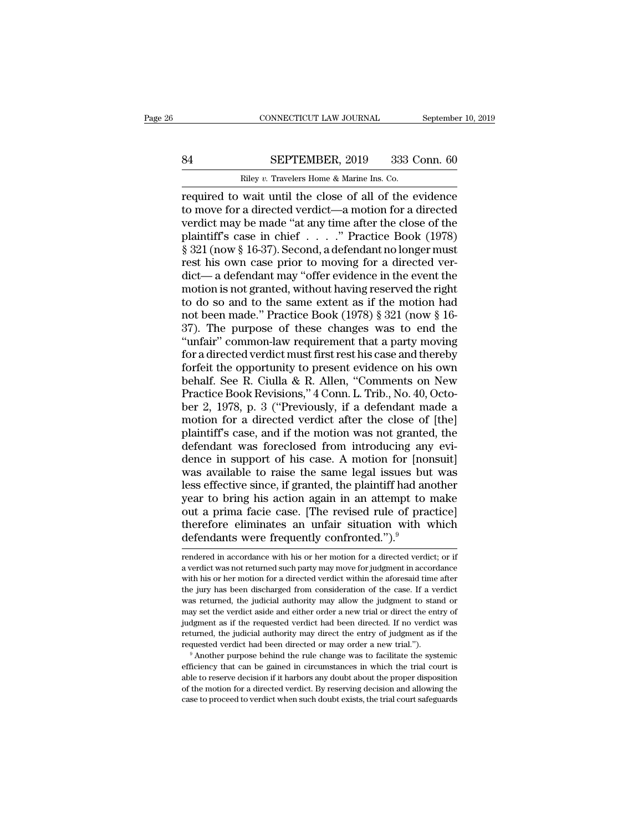# CONNECTICUT LAW JOURNAL September 10, 2019<br>84 SEPTEMBER, 2019 333 Conn. 60<br>Riley v. Travelers Home & Marine Ins. Co.

CONNECTICUT LAW JOURNAL Septembe<br>
Riley *v.* Travelers Home & Marine Ins. Co.<br>
Riley *v.* Travelers Home & Marine Ins. Co.<br>
Riley *v.* Travelers Home & Marine Ins. Co. CONNECTICUT LAW JOURNAL September 10, 2019<br>
84 SEPTEMBER, 2019 333 Conn. 60<br>
Riley v. Travelers Home & Marine Ins. Co.<br>
required to wait until the close of all of the evidence<br>
to move for a directed verdict—a motion for a SEPTEMBER, 2019 333 Conn. 60<br>
Riley v. Travelers Home & Marine Ins. Co.<br>
Travelers Home & Marine Ins. Co.<br>
Travelers do wait until the close of all of the evidence<br>
to move for a directed verdict—a motion for a directed<br>
v SEPTEMBER, 2019 333 Conn. 60<br>
Riley v. Travelers Home & Marine Ins. Co.<br>
required to wait until the close of all of the evidence<br>
to move for a directed verdict—a motion for a directed<br>
verdict may be made "at any time af SEPTEMBER, 2019 333 Conn. 60<br>
Riley v. Travelers Home & Marine Ins. Co.<br>
required to wait until the close of all of the evidence<br>
to move for a directed verdict—a motion for a directed<br>
verdict may be made "at any time aft Figure 321 TEMERT, 2019 800 Coldit. 60<br>
required to wait until the close of all of the evidence<br>
to move for a directed verdict—a motion for a directed<br>
verdict may be made "at any time after the close of the<br>
plaintiff's to move for a directed verdict—a motion for a directed<br>verdict may be made "at any time after the close of the<br>plaintiff's case in chief  $\dots$ ." Practice Book (1978)<br>§ 321 (now § 16-37). Second, a defendant no longer must<br> required to wait until the close of all of the evidence<br>to move for a directed verdict—a motion for a directed<br>verdict may be made "at any time after the close of the<br>plaintiff's case in chief . . . . ." Practice Book (197 to move for a directed verdict—a motion for a directed<br>verdict may be made "at any time after the close of the<br>plaintiff's case in chief . . . . ." Practice Book (1978)<br>§ 321 (now § 16-37). Second, a defendant no longer m verdict may be made "at any time after the close of the<br>plaintiff's case in chief . . . . ." Practice Book (1978)<br> $\S 321$  (now  $\S 16-37$ ). Second, a defendant no longer must<br>rest his own case prior to moving for a directe plaintiff's case in chief . . . . ." Practice Book (1978)<br>
§ 321 (now § 16-37). Second, a defendant no longer must<br>
rest his own case prior to moving for a directed ver-<br>
dict— a defendant may "offer evidence in the event  $\frac{2}{3}$  321 (now § 16-37). Second, a defendant no longer must<br>rest his own case prior to moving for a directed ver-<br>dict— a defendant may "offer evidence in the event the<br>motion is not granted, without having reserved t rest his own case prior to moving for a directed ver-<br>dict— a defendant may "offer evidence in the event the<br>motion is not granted, without having reserved the right<br>to do so and to the same extent as if the motion had<br>not dict—a defendant may "offer evidence in the event the<br>motion is not granted, without having reserved the right<br>to do so and to the same extent as if the motion had<br>not been made." Practice Book (1978) § 321 (now § 16-<br>37) motion is not granted, without having reserved the right<br>to do so and to the same extent as if the motion had<br>not been made." Practice Book (1978) § 321 (now § 16-<br>37). The purpose of these changes was to end the<br>"unfair" to do so and to the same extent as if the motion had<br>not been made." Practice Book (1978) § 321 (now § 16-<br>37). The purpose of these changes was to end the<br>"unfair" common-law requirement that a party moving<br>for a directe not been made." Practice Book (1978) § 321 (now § 16-<br>37). The purpose of these changes was to end the<br>"unfair" common-law requirement that a party moving<br>for a directed verdict must first rest his case and thereby<br>forfeit 37). The purpose of these changes was to end the<br>"unfair" common-law requirement that a party moving<br>for a directed verdict must first rest his case and thereby<br>forfeit the opportunity to present evidence on his own<br>behalf "unfair" common-law requirement that a party moving<br>for a directed verdict must first rest his case and thereby<br>forfeit the opportunity to present evidence on his own<br>behalf. See R. Ciulla & R. Allen, "Comments on New<br>Prac for a directed verdict must first rest his case and thereby<br>forfeit the opportunity to present evidence on his own<br>behalf. See R. Ciulla & R. Allen, "Comments on New<br>Practice Book Revisions," 4 Com. L. Trib., No. 40, Octoforfeit the opportunity to present evidence on his own<br>behalf. See R. Ciulla & R. Allen, "Comments on New<br>Practice Book Revisions," 4 Conn. L. Trib., No. 40, Octo-<br>ber 2, 1978, p. 3 ("Previously, if a defendant made a<br>mot behalf. See R. Ciulla & R. Allen, "Comments on New<br>Practice Book Revisions," 4 Conn. L. Trib., No. 40, Octo-<br>ber 2, 1978, p. 3 ("Previously, if a defendant made a<br>motion for a directed verdict after the close of [the]<br>plai Practice Book Revisions," 4 Conn. L. Trib., No. 40, October 2, 1978, p. 3 ("Previously, if a defendant made a motion for a directed verdict after the close of [the] plaintiff's case, and if the motion was not granted, the ber 2, 1978, p. 3 ("Previously, if a defendant made a<br>motion for a directed verdict after the close of [the]<br>plaintiff's case, and if the motion was not granted, the<br>defendant was foreclosed from introducing any evi-<br>dence motion for a directed verdict after the close of [the]<br>plaintiff's case, and if the motion was not granted, the<br>defendant was foreclosed from introducing any evi-<br>dence in support of his case. A motion for [nonsuit]<br>was av plaintiff's case, and if the motion was not granted, the<br>defendant was foreclosed from introducing any evi-<br>dence in support of his case. A motion for [nonsuit]<br>was available to raise the same legal issues but was<br>less eff defendant was foreclosed from introducing any evi-<br>dence in support of his case. A motion for [nonsuit]<br>was available to raise the same legal issues but was<br>less effective since, if granted, the plaintiff had another<br>year dence in support of his case. A motion for [nom was available to raise the same legal issues but less effective since, if granted, the plaintiff had an year to bring his action again in an attempt to out a prima facie cas year to bring his action again in an attempt to make<br>out a prima facie case. [The revised rule of practice]<br>therefore eliminates an unfair situation with which<br>defendants were frequently confronted.").<sup>9</sup><br>rendered in acco out a prima facie case. [The revised rule of practice]<br>therefore eliminates an unfair situation with which<br>defendants were frequently confronted.").<sup>9</sup><br>rendered in accordance with his or her motion for a directed verdict;

therefore eliminates an unfair situation with which<br>defendants were frequently confronted.").<sup>9</sup><br>rendered in accordance with his or her motion for a directed verdict; or if<br>a verdict was not returned such party may move fo defendants were frequently confronted.").<sup>9</sup><br>Tendered in accordance with his or her motion for a directed verdict; or if<br>a verdict was not returned such party may move for judgment in accordance<br>with his or her motion for experiments were trequently continuated. J.<br>
Trendered in accordance with his or her motion for a directed verdict; or if<br>
a verdict was not returned such party may move for judgment in accordance<br>
with his or her motion f rendered in accordance with his or her motion for a directed verdict; or if a verdict was not returned such party may move for judgment in accordance with his or her motion for a directed verdict within the aforesaid time a verdict was not returned such party may move for judgment in accordance with his or her motion for a directed verdict within the aforesaid time after the jury has been discharged from consideration of the case. If a verd with his or her motion for a directed verdict within the aforesaid time after the jury has been discharged from consideration of the case. If a verdict was returned, the judicial authority may allow the judgment to stand o Frequested verdict had been directed or may order a new trial or direct the entry of pudgment as if the verdict saide and either order a new trial or direct the entry of pudgment as if the requested verdict had been direc was returned, the judicial authority may allow the judgment to stand or may set the verdict aside and either order a new trial or direct the entry of judgment as if the requested verdict had been directed. If no verdict w

able to reserve decision if it harbors any doubt about the properties. The mediation is a set of pudicial authority may direct the entry of judgment as if the requested verdict had been directed or may order a new trial.") of the motion for a directed verdict. By reserving decision and allowing the motion of the mequested verdict had been directed or may order a new trial.").<br>
<sup>9</sup> Another purpose behind the rule change was to facilitate the  $\degree$  Another purpose behind the rule change was to facilitate the systemic efficiency that can be gained in circumstances in which the trial court is able to reserve decision if it harbors any doubt about the proper dispo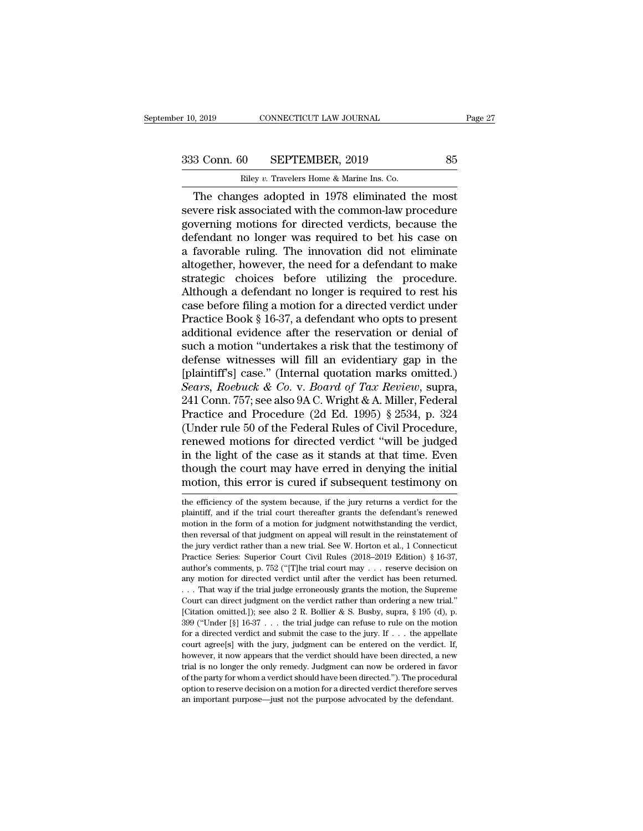r 10, 2019 CONNECTICUT LAW JOURNAL<br>
233 Conn. 60 SEPTEMBER, 2019 85<br>
Riley *v.* Travelers Home & Marine Ins. Co.<br>
The changes adopted in 1978 eliminated the most 9, 2019 CONNECTICUT LAW JOURNAL Page 2<br>
3 Conn. 60 SEPTEMBER, 2019 85<br>
Riley v. Travelers Home & Marine Ins. Co.<br>
The changes adopted in 1978 eliminated the most<br>
vere risk associated with the common-law procedure<br>
verming 333 Conn. 60 SEPTEMBER, 2019 85<br>
Riley v. Travelers Home & Marine Ins. Co.<br>
The changes adopted in 1978 eliminated the most<br>
severe risk associated with the common-law procedure<br>
governing motions for directed verdicts, be 333 Conn. 60 SEPTEMBER, 2019 85<br>
Riley v. Travelers Home & Marine Ins. Co.<br>
The changes adopted in 1978 eliminated the most<br>
severe risk associated with the common-law procedure<br>
governing motions for directed verdicts, b 333 Conn. 60 SEPTEMBER, 2019 85<br>
Riley v. Travelers Home & Marine Ins. Co.<br>
The changes adopted in 1978 eliminated the most<br>
severe risk associated with the common-law procedure<br>
governing motions for directed verdicts, b Riley v. Travelers Home & Marine Ins. Co.<br>
The changes adopted in 1978 eliminated the most<br>
severe risk associated with the common-law procedure<br>
governing motions for directed verdicts, because the<br>
defendant no longer w Example v. Travelers Home & Marine Ins. Co.<br>
The changes adopted in 1978 eliminated the most<br>
severe risk associated with the common-law procedure<br>
governing motions for directed verdicts, because the<br>
defendant no longer The changes adopted in 1978 eliminated the most<br>severe risk associated with the common-law procedure<br>governing motions for directed verdicts, because the<br>defendant no longer was required to bet his case on<br>a favorable ruli severe risk associated with the common-law procedure<br>governing motions for directed verdicts, because the<br>defendant no longer was required to bet his case on<br>a favorable ruling. The innovation did not eliminate<br>altogether, governing motions for directed verdicts, because the<br>defendant no longer was required to bet his case on<br>a favorable ruling. The innovation did not eliminate<br>altogether, however, the need for a defendant to make<br>strategic defendant no longer was required to bet his case on<br>a favorable ruling. The innovation did not eliminate<br>altogether, however, the need for a defendant to make<br>strategic choices before utilizing the procedure.<br>Although a de a favorable ruling. The innovation did not eliminate<br>altogether, however, the need for a defendant to make<br>strategic choices before utilizing the procedure.<br>Although a defendant no longer is required to rest his<br>case befor altogether, however, the need for a defendant to make<br>strategic choices before utilizing the procedure.<br>Although a defendant no longer is required to rest his<br>case before filing a motion for a directed verdict under<br>Practi strategic choices before utilizing the procedure.<br>Although a defendant no longer is required to rest his<br>case before filing a motion for a directed verdict under<br>Practice Book § 16-37, a defendant who opts to present<br>addit Although a defendant no longer is required to rest his<br>case before filing a motion for a directed verdict under<br>Practice Book § 16-37, a defendant who opts to present<br>additional evidence after the reservation or denial of case before filing a motion for a directed verdict under<br>Practice Book § 16-37, a defendant who opts to present<br>additional evidence after the reservation or denial of<br>such a motion "undertakes a risk that the testimony of<br> Practice Book § 16-37, a defendant who opts to present additional evidence after the reservation or denial of such a motion "undertakes a risk that the testimony of defense witnesses will fill an evidentiary gap in the [p additional evidence after the reservation or denial of<br>such a motion "undertakes a risk that the testimony of<br>defense witnesses will fill an evidentiary gap in the<br>[plaintiff's] case." (Internal quotation marks omitted.)<br> such a motion "undertakes a risk that the testimony of<br>defense witnesses will fill an evidentiary gap in the<br>[plaintiff's] case." (Internal quotation marks omitted.)<br>Sears, Roebuck & Co. v. Board of Tax Review, supra,<br>241 defense witnesses will fill an evidentiary gap in the<br>[plaintiff's] case." (Internal quotation marks omitted.)<br>Sears, Roebuck & Co. v. Board of Tax Review, supra,<br>241 Conn. 757; see also 9A C. Wright & A. Miller, Federal<br>P [plaintiff's] case." (Internal quotation marks omitted.)<br>Sears, Roebuck & Co. v. Board of Tax Review, supra,<br>241 Conn. 757; see also 9A C. Wright & A. Miller, Federal<br>Practice and Procedure (2d Ed. 1995) § 2534, p. 324<br>(U Sears, Roebuck & Co. v. Board of Tax Review, supra,<br>241 Conn. 757; see also 9A C. Wright & A. Miller, Federal<br>Practice and Procedure (2d Ed. 1995) § 2534, p. 324<br>(Under rule 50 of the Federal Rules of Civil Procedure,<br>ren 241 Conn. 757; see also 9A C. Wright & A. Miller, Federal Practice and Procedure (2d Ed. 1995) § 2534, p. 324 (Under rule 50 of the Federal Rules of Civil Procedure, renewed motions for directed verdict "will be judged in renewed motions for directed verdict "will be judged<br>in the light of the case as it stands at that time. Even<br>though the court may have erred in denying the initial<br>motion, this error is cured if subsequent testimony on<br>th in the light of the case as it stands at that time. Even<br>though the court may have erred in denying the initial<br>motion, this error is cured if subsequent testimony on<br>the efficiency of the system because, if the jury retur

though the court may have erred in denying the initial<br>motion, this error is cured if subsequent testimony on<br>the efficiency of the system because, if the jury returns a verdict for the<br>plaintiff, and if the trial court th motion, this error is cured if subsequent testimony on<br>the efficiency of the system because, if the jury returns a verdict for the<br>plaintiff, and if the trial court thereafter grants the defendant's renewed<br>motion in the The efficiency of the system because, if the jury returns a verdict for the plaintiff, and if the trial court thereafter grants the defendant's renewed motion in the form of a motion for judgment notwithstanding the verdic the efficiency of the system because, if the jury returns a verdict for the plaintiff, and if the trial court thereafter grants the defendant's renewed motion in the form of a motion for judgment notwithstanding the verdi plaintiff, and if the trial court thereafter grants the defendant's renewed motion in the form of a motion for judgment notwithstanding the verdict, then reversal of that judgment on appeal will result in the reinstatement motion in the form of a motion for judgment notwithstanding the verdict, then reversal of that judgment on appeal will result in the reinstatement of the jury verdict rather than a new trial. See W. Horton et al., 1 Conne then reversal of that judgment on appeal will result in the reinstatement of the jury verdict rather than a new trial. See W. Horton et al., 1 Connecticut Practice Series: Superior Court Civil Rules (2018–2019 Edition) § the jury verdict rather than a new trial. See W. Horton et al., 1 Connecticut Practice Series: Superior Court Civil Rules (2018–2019 Edition) § 16-37, author's comments, p. 752 ("[T]he trial court may . . . reserve decisio Fractice Series: Superior Court Civil Rules (2018–2019 Edition) § 16-37, author's comments, p. 752 ("[T]he trial court may . . . reserve decision on any motion for directed verdict until after the verdict has been returned 399 ("Under [§] 16-37 ... the trial judge can refuse to rule on the motion on the motion for directed verdict until after the verdict has been returned.<br>
... That way if the trial judge erroneously grants the motion, the any motion for directed verdict until after the verdict has been returned.<br>
. . . That way if the trial judge erroneously grants the motion, the Supreme Court can direct judgment on the verdict rather than ordering a new court can direct judgment on the verdict rather than ordering a new trial."<br>Court can direct judgment on the verdict rather than ordering a new trial."<br>[Citation omitted.]); see also 2 R. Bollier & S. Busby, supra, § 195 Fourt can direct judgment on the verdict rather than ordering a new trial."<br>
[Citation omitted.]); see also 2 R. Bollier & S. Busby, supra, § 195 (d), p.<br>
399 ("Under [§] 16-37 . . . the trial judge can refuse to rule on [Citation omitted.]); see also 2 R. Bollier & S. Busby, supra, § 195 (d), p. [Citation omitted.]); see also 2 R. Bollier & S. Busby, supra, § 195 (d), p. 399 ("Under [§] 16-37 . . . the trial judge can refuse to rule on t 399 ("Under [§] 16-37 . . . the trial judge can refuse to rule on the motion for a directed verdict and submit the case to the jury. If . . . the appellate court agree[s] with the jury, judgment can be entered on the verd for a directed verdict and submit the case to the jury. If  $\ldots$  the appellate court agree[s] with the jury, judgment can be entered on the verdict. If,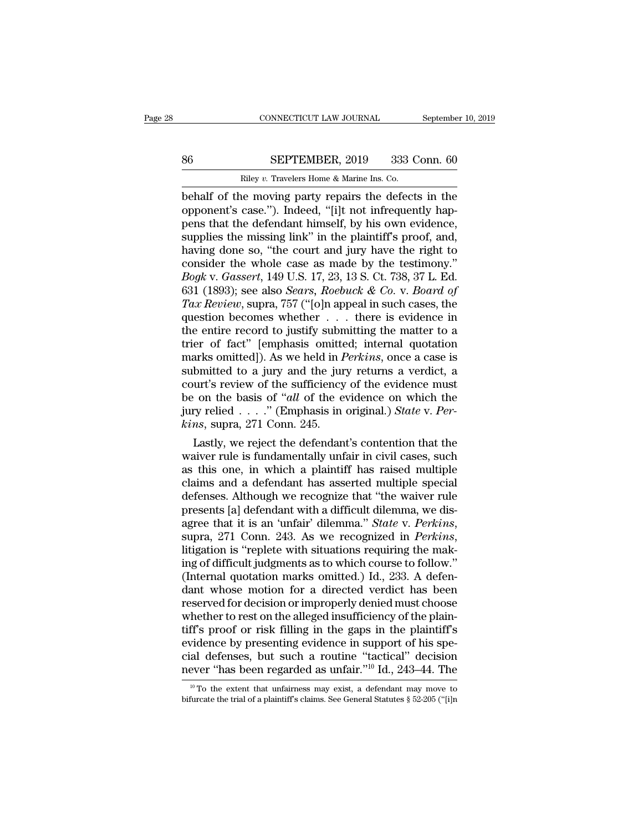# EXECUTE CONNECTICUT LAW JOURNAL September 10, 2019<br>86 SEPTEMBER, 2019 333 Conn. 60<br>Riley v. Travelers Home & Marine Ins. Co.

CONNECTICUT LAW JOURNAL Septembe<br>
Riley *v.* Travelers Home & Marine Ins. Co.<br>
Dehalf of the moving party repairs the defects in the CONNECTICUT LAW JOURNAL September 10, 2019<br>
Behalf of the moving party repairs the defects in the<br>
opponent's case."). Indeed, "[i]t not infrequently hap-<br>
paper that the defendant himself by his own ovidence SEPTEMBER, 2019 333 Conn. 60<br>
Riley v. Travelers Home & Marine Ins. Co.<br>
behalf of the moving party repairs the defects in the<br>
opponent's case.''). Indeed, "[i]t not infrequently hap-<br>
pens that the defendant himself, by SEPTEMBER, 2019 333 Conn. 60<br>
Riley v. Travelers Home & Marine Ins. Co.<br>
behalf of the moving party repairs the defects in the<br>
opponent's case."). Indeed, "[i]t not infrequently hap-<br>
pens that the defendant himself, by SEPTEMBER, 2019 333 Conn. 60<br>
Riley v. Travelers Home & Marine Ins. Co.<br>
behalf of the moving party repairs the defects in the<br>
opponent's case."). Indeed, "[i]t not infrequently hap-<br>
pens that the defendant himself, by h Filey v. Travelers Home & Marine Ins. Co.<br>
behalf of the moving party repairs the defects in the<br>
opponent's case."). Indeed, "[i]t not infrequently hap-<br>
pens that the defendant himself, by his own evidence,<br>
supplies th Filey v. Travelers Home & Marine Ins. Co.<br>
behalf of the moving party repairs the defects in the<br>
opponent's case."). Indeed, "[i]t not infrequently hap-<br>
pens that the defendant himself, by his own evidence,<br>
supplies th behalf of the moving party repairs the defects in the opponent's case."). Indeed, "[i]t not infrequently happens that the defendant himself, by his own evidence, supplies the missing link" in the plaintiff's proof, and, ha opponent's case."). Indeed, "[i]t not infrequently happens that the defendant himself, by his own evidence, supplies the missing link" in the plaintiff's proof, and, having done so, "the court and jury have the right to co **The Example Star Review Server Supplies the missing link" in the plaintiff's proof, and, having done so, "the court and jury have the right to consider the whole case as made by the testimony."<br>***Bogk* **v.** *Gassert***, 149 U.** supplies the missing link" in the plaintiff's proof, and,<br>having done so, "the court and jury have the right to<br>consider the whole case as made by the testimony."<br> $Bogk$  v. Gassert, 149 U.S. 17, 23, 13 S. Ct. 738, 37 L. Ed having done so, "the court and jury have the right to consider the whole case as made by the testimony."<br> *Bogk v. Gassert*, 149 U.S. 17, 23, 13 S. Ct. 738, 37 L. Ed.<br>
631 (1893); see also *Sears, Roebuck & Co. v. Board o* consider the whole case as made by the testimony."<br> *Bogk v. Gassert*, 149 U.S. 17, 23, 13 S. Ct. 738, 37 L. Ed.<br>
631 (1893); see also *Sears, Roebuck & Co. v. Board of*<br> *Tax Review*, supra, 757 ("[o]n appeal in such cas Bogk v. Gassert, 149 U.S. 17, 23, 13 S. Ct. 738, 37 L. Ed.<br>631 (1893); see also *Sears, Roebuck & Co. v. Board of*<br>Tax Review, supra, 757 ("[o]n appeal in such cases, the<br>question becomes whether . . . there is evidence in 631 (1893); see also *Sears*, *Roebuck & Co. v. Board of* Tax *Review*, supra, 757 ("[o]n appeal in such cases, the question becomes whether  $\ldots$  there is evidence in the entire record to justify submitting the matter to Tax Review, supra, 757 ("[o]n appeal in such cases, the question becomes whether  $\ldots$  there is evidence in the entire record to justify submitting the matter to a trier of fact" [emphasis omitted; internal quotation mark question becomes whether . . . there is evidence in<br>the entire record to justify submitting the matter to a<br>trier of fact" [emphasis omitted; internal quotation<br>marks omitted]). As we held in *Perkins*, once a case is<br>subm the entire record to justify submitting the matter to a trier of fact" [emphasis omitted; internal quotation marks omitted]). As we held in *Perkins*, once a case is submitted to a jury and the jury returns a verdict, a co *kins* trier of fact" [emphasis omitted; internal quotation marks omitted]). As we held in *Perkins*, once a case is submitted to a jury and the jury returns a verdict, a court's review of the sufficiency of the evidence m arks omitted]). As we held in *Perkins*, once a case is<br>bmitted to a jury and the jury returns a verdict, a<br>urt's review of the sufficiency of the evidence must<br>control the basis of "*all* of the evidence on which the<br>ry submitted to a jury and the jury returns a verdict, a<br>court's review of the sufficiency of the evidence must<br>be on the basis of "all of the evidence on which the<br>jury relied . . . ." (Emphasis in original.) *State v. Per-*

court's review of the sufficiency of the evidence must<br>be on the basis of "all of the evidence on which the<br>jury relied . . . ." (Emphasis in original.) State v. Per-<br>kins, supra, 271 Conn. 245.<br>Lastly, we reject the defe be on the basis of "*all* of the evidence on which the<br>jury relied . . . ." (Emphasis in original.) *State v. Per-<br>kins*, supra, 271 Conn. 245.<br>Lastly, we reject the defendant's contention that the<br>waiver rule is fundamen jury relied  $\ldots$  (Emphasis in original.) State v. Per-<br>kins, supra, 271 Conn. 245.<br>Lastly, we reject the defendant's contention that the<br>waiver rule is fundamentally unfair in civil cases, such<br>as this one, in which a pl *kins*, supra, 271 Conn. 245.<br>
Lastly, we reject the defendant's contention that the<br>
waiver rule is fundamentally unfair in civil cases, such<br>
as this one, in which a plaintiff has raised multiple<br>
claims and a defendant Lastly, we reject the defendant's contention that the waiver rule is fundamentally unfair in civil cases, such as this one, in which a plaintiff has raised multiple claims and a defendant has asserted multiple special defe claims and a defendant has asserted multiple special<br>defenses. Although we recognize that "the waiver rule<br>presents [a] defendant with a difficult dilemma, we dis-<br>agree that it is an 'unfair' dilemma." *State* v. *Perkins* defenses. Although we recognize that "the waiver rule<br>presents [a] defendant with a difficult dilemma, we dis-<br>agree that it is an 'unfair' dilemma." *State* v. *Perkins*,<br>supra, 271 Conn. 243. As we recognized in *Perkins* presents [a] defendant with a difficult dilemma, we disagree that it is an 'unfair' dilemma." *State v. Perkins*, supra, 271 Conn. 243. As we recognized in *Perkins*, litigation is "replete with situations requiring the ma agree that it is an 'unfair' dilemma." *State v. Perkins*,<br>supra, 271 Conn. 243. As we recognized in *Perkins*,<br>litigation is "replete with situations requiring the mak-<br>ing of difficult judgments as to which course to fol supra, 271 Conn. 243. As we recognized in *Perkins*,<br>litigation is "replete with situations requiring the mak-<br>ing of difficult judgments as to which course to follow."<br>(Internal quotation marks omitted.) Id., 233. A defen litigation is "replete with situations requiring the making of difficult judgments as to which course to follow."<br>(Internal quotation marks omitted.) Id., 233. A defendant whose motion for a directed verdict has been<br>reser ing of difficult judgments as to which course to follow."<br>(Internal quotation marks omitted.) Id., 233. A defendant whose motion for a directed verdict has been<br>reserved for decision or improperly denied must choose<br>wheth (Internal quotation marks omitted.) Id., 233. A defen-<br>dant whose motion for a directed verdict has been<br>reserved for decision or improperly denied must choose<br>whether to rest on the alleged insufficiency of the plain-<br>tif dant whose motion for a directed verdict has been<br>reserved for decision or improperly denied must choose<br>whether to rest on the alleged insufficiency of the plain-<br>tiff's proof or risk filling in the gaps in the plaintiff ff's proof or risk filling in the gaps in the plaintiff's<br>vidence by presenting evidence in support of his spe-<br>al defenses, but such a routine "tactical" decision<br>ever "has been regarded as unfair."<sup>10</sup> Id., 243–44. The<br> evidence by presenting evidence in support of his special defenses, but such a routine "tactical" decision never "has been regarded as unfair."<sup>10</sup> Id., 243–44. The  $\frac{10}{10}$  To the extent that unfairness may exist, a d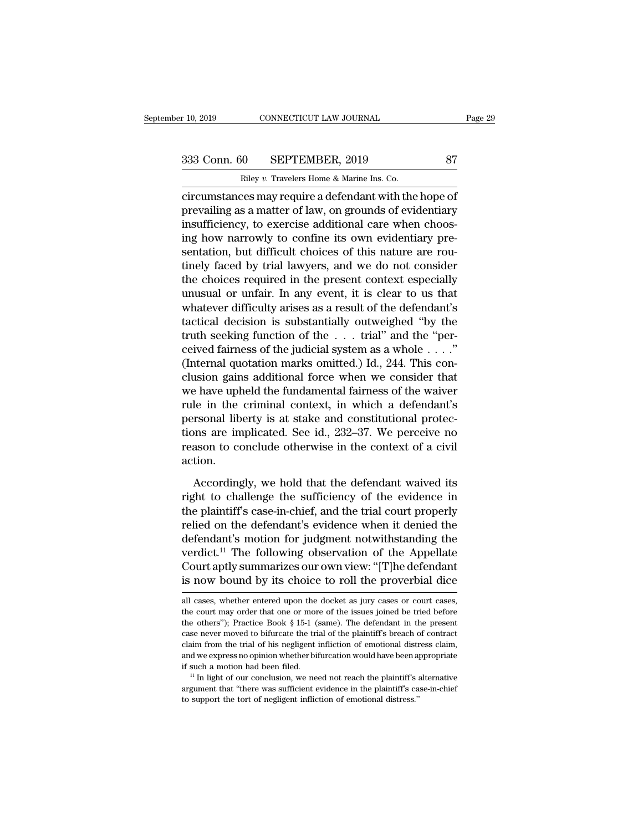r 10, 2019 CONNECTICUT LAW JOURNAL<br>
233 Conn. 60 SEPTEMBER, 2019 87<br>
Riley *v*. Travelers Home & Marine Ins. Co.<br>
circumstances may require a defendant with the hope of connecticumstances may require a defendant with the hope of<br>prevailing as a matter of law, on grounds of evidentiary<br>incurrences may require a defendant with the hope of<br>prevailing as a matter of law, on grounds of evident 333 Conn. 60 SEPTEMBER, 2019 87<br>
Riley v. Travelers Home & Marine Ins. Co.<br>
circumstances may require a defendant with the hope of<br>
prevailing as a matter of law, on grounds of evidentiary<br>
insufficiency, to exercise addit 333 Conn. 60 SEPTEMBER, 2019 87<br>
Riley v. Travelers Home & Marine Ins. Co.<br>
circumstances may require a defendant with the hope of<br>
prevailing as a matter of law, on grounds of evidentiary<br>
insufficiency, to exercise addi 333 Conn. 60 SEPTEMBER, 2019 87<br>
Riley v. Travelers Home & Marine Ins. Co.<br>
circumstances may require a defendant with the hope of<br>
prevailing as a matter of law, on grounds of evidentiary<br>
insufficiency, to exercise addi Riley v. Travelers Home & Marine Ins. Co.<br>
circumstances may require a defendant with the hope of<br>
prevailing as a matter of law, on grounds of evidentiary<br>
insufficiency, to exercise additional care when choos-<br>
ing how n  $\frac{1}{100}$  and  $\frac{1}{100}$  are  $\frac{1}{100}$  and  $\frac{1}{100}$  are  $\frac{1}{100}$  and  $\frac{1}{100}$  are  $\frac{1}{100}$  are  $\frac{1}{100}$  insufficiency, to exercise additional care when choosing how narrowly to confine its own evidenti circumstances may require a defendant with the hope of<br>prevailing as a matter of law, on grounds of evidentiary<br>insufficiency, to exercise additional care when choos-<br>ing how narrowly to confine its own evidentiary pre-<br>se prevailing as a matter of law, on grounds of evidentiary<br>insufficiency, to exercise additional care when choos-<br>ing how narrowly to confine its own evidentiary pre-<br>sentation, but difficult choices of this nature are rou-<br> insufficiency, to exercise additional care when choos-<br>ing how narrowly to confine its own evidentiary pre-<br>sentation, but difficult choices of this nature are rou-<br>tinely faced by trial lawyers, and we do not consider<br>the ing how narrowly to confine its own evidentiary pre-<br>sentation, but difficult choices of this nature are rou-<br>tinely faced by trial lawyers, and we do not consider<br>the choices required in the present context especially<br>unu sentation, but difficult choices of this nature are routinely faced by trial lawyers, and we do not consider<br>the choices required in the present context especially<br>unusual or unfair. In any event, it is clear to us that<br>w tinely faced by trial lawyers, and we do not consider<br>the choices required in the present context especially<br>unusual or unfair. In any event, it is clear to us that<br>whatever difficulty arises as a result of the defendant' the choices required in the present context especially<br>unusual or unfair. In any event, it is clear to us that<br>whatever difficulty arises as a result of the defendant's<br>tactical decision is substantially outweighed "by th unusual or unfair. In any event, it is clear to us that<br>whatever difficulty arises as a result of the defendant's<br>tactical decision is substantially outweighed "by the<br>truth seeking function of the  $\dots$  trial" and the "pe whatever difficulty arises as a result of the defendant's<br>tactical decision is substantially outweighed "by the<br>truth seeking function of the  $\dots$  trial" and the "per-<br>ceived fairness of the judicial system as a whole  $\dots$ tactical decision is substantially outweighed "by the<br>truth seeking function of the ... trial" and the "per-<br>ceived fairness of the judicial system as a whole ...."<br>(Internal quotation marks omitted.) Id., 244. This con-<br> truth seeking function of the  $\ldots$  trial" and the "perceived fairness of the judicial system as a whole  $\ldots$ ."<br>(Internal quotation marks omitted.) Id., 244. This conclusion gains additional force when we consider that<br>w ceived fairness of the judicial system as a whole  $\dots$ ."<br>(Internal quotation marks omitted.) Id., 244. This conclusion gains additional force when we consider that<br>we have upheld the fundamental fairness of the waiver<br>rul (Internal quotation marks omitted.) Id., 244. This conclusion gains additional force when we consider that we have upheld the fundamental fairness of the waiver rule in the criminal context, in which a defendant's personal action. le in the criminal context, in which a defendant's<br>rsonal liberty is at stake and constitutional protec-<br>ons are implicated. See id., 232–37. We perceive no<br>ason to conclude otherwise in the context of a civil<br>tion.<br>Accord personal liberty is at stake and constitutional protections are implicated. See id., 232–37. We perceive no<br>reason to conclude otherwise in the context of a civil<br>action.<br>Accordingly, we hold that the defendant waived its<br>

tions are implicated. See id., 232–37. We perceive no<br>reason to conclude otherwise in the context of a civil<br>action.<br>Accordingly, we hold that the defendant waived its<br>right to challenge the sufficiency of the evidence in<br> reason to conclude otherwise in the context of a civil<br>action.<br>Accordingly, we hold that the defendant waived its<br>right to challenge the sufficiency of the evidence in<br>the plaintiff's case-in-chief, and the trial court pro action.<br>
Accordingly, we hold that the defendant waived its<br>
right to challenge the sufficiency of the evidence in<br>
the plaintiff's case-in-chief, and the trial court properly<br>
relied on the defendant's evidence when it de Accordingly, we hold that the defendant waived its<br>right to challenge the sufficiency of the evidence in<br>the plaintiff's case-in-chief, and the trial court properly<br>relied on the defendant's evidence when it denied the<br>def Accordingly, we hold that the defendant waived its<br>right to challenge the sufficiency of the evidence in<br>the plaintiff's case-in-chief, and the trial court properly<br>relied on the defendant's evidence when it denied the<br>de right to challenge the sufficiency of the evidence in<br>the plaintiff's case-in-chief, and the trial court properly<br>relied on the defendant's evidence when it denied the<br>defendant's motion for judgment notwithstanding the<br>ve defendant's motion for judgment notwithstanding the<br>verdict.<sup>11</sup> The following observation of the Appellate<br>Court aptly summarizes our own view: "[T]he defendant<br>is now bound by its choice to roll the proverbial dice<br>all verdict.<sup>11</sup> The following observation of the Appellate Court aptly summarizes our own view: "[T]he defendant is now bound by its choice to roll the proverbial dice all cases, whether entered upon the docket as jury cases

Court aptly summarizes our own view: "[T]he defendant<br>is now bound by its choice to roll the proverbial dice<br>all cases, whether entered upon the docket as jury cases or court cases,<br>the court may order that one or more of is now bound by its choice to roll the proverbial dice<br>all cases, whether entered upon the docket as jury cases or court cases,<br>the court may order that one or more of the issues joined be tried before<br>the others"); Practi all cases, whether entered upon the docket as jury cases or court cases, the court may order that one or more of the issues joined be tried before the others"); Practice Book  $\S 15-1$  (same). The defendant in the present all cases, whether entered upon the docket as jury cases or court cases, the court may order that one or more of the issues joined be tried before the others"); Practice Book  $\S$  15-1 (same). The defendant in the present if such a motion had been filed. 11 In light of our conclusion, we need not reach the court may order that one or more of the issues joined be tried before the others"); Practice Book § 15-1 (same). The defendant in the pr case never moved to bifurcate the trial of the plaintiff's breach of contract claim from the trial of his negligent infliction of emotional distress claim, and we express no opinion whether bifurcation would have been app claim from the trial of his negligent infliction of emotional distress claim,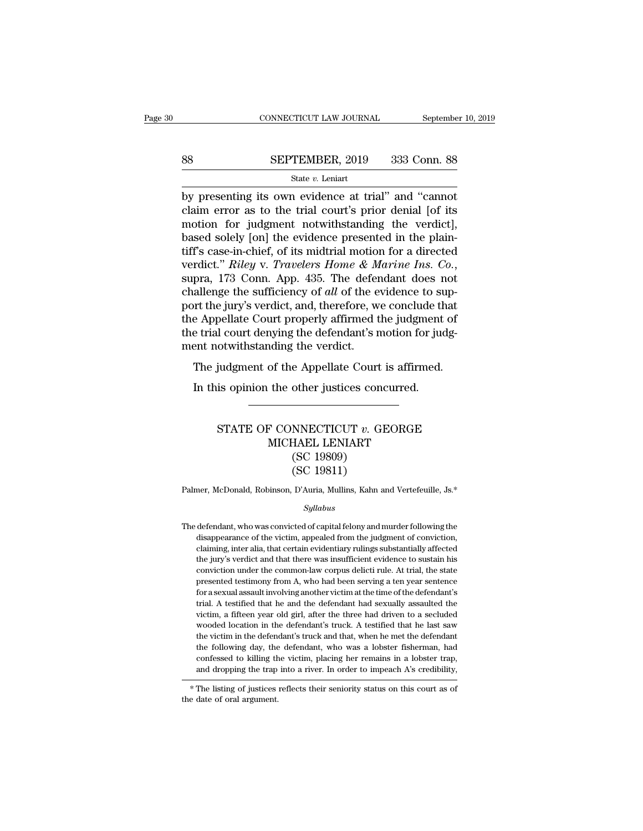# $\begin{tabular}{lll} \multicolumn{2}{l} \multicolumn{2}{l}{{\small\bf CONNECTICUT LAW JOURNAL}} & \multicolumn{2}{l}{\small \bf September~10, 2019} \\\\ 88 & \multicolumn{2}{l}{\bf SEPTEMBER, 2019} & 333 & \multicolumn{2}{l}{\bf Conn.~88} \\\\ \hline & {\bf State}\ v. {\bf Leniart} & \end{tabular}$

## State *v.* Leniart

CONNECTICUT LAW JOURNAL September 10, 2019<br>
SEPTEMBER, 2019 333 Conn. 88<br>
State v. Leniart<br>
by presenting its own evidence at trial'' and "cannot<br>
claim error as to the trial court's prior denial [of its<br>
motion for judgme SEPTEMBER, 2019 333 Conn. 88<br>
State  $v$ . Leniart<br>
by presenting its own evidence at trial" and "cannot<br>
claim error as to the trial court's prior denial [of its<br>
motion for judgment notwithstanding the verdict],<br>
hased so SEPTEMBER, 2019 333 Conn. 88<br>
State v. Leniart<br>
by presenting its own evidence at trial" and "cannot<br>
claim error as to the trial court's prior denial [of its<br>
motion for judgment notwithstanding the verdict],<br>
based sole SEPTEMBER, 2019 333 Conn. 88<br>
State v. Leniart<br>
by presenting its own evidence at trial" and "cannot<br>
claim error as to the trial court's prior denial [of its<br>
motion for judgment notwithstanding the verdict],<br>
based sole SET TEREST, THE 1898 CORR OF<br>State v. Leniart<br>by presenting its own evidence at trial" and "cannot<br>claim error as to the trial court's prior denial [of its<br>motion for judgment notwithstanding the verdict],<br>based solely [o state v. Leniart<br>
by presenting its own evidence at trial" and "cannot<br>
claim error as to the trial court's prior denial [of its<br>
motion for judgment notwithstanding the verdict],<br>
based solely [on] the evidence presented claim error as to the trial court's prior denial [of its<br>motion for judgment notwithstanding the verdict],<br>based solely [on] the evidence presented in the plain-<br>tiff's case-in-chief, of its midtrial motion for a directed<br> motion for judgment notwithstanding the verdict],<br>based solely [on] the evidence presented in the plain-<br>tiff's case-in-chief, of its midtrial motion for a directed<br>verdict." Riley v. Travelers Home & Marine Ins. Co.,<br>sup based solely [on] the evidence presented in the plain-<br>tiff's case-in-chief, of its midtrial motion for a directed<br>verdict." Riley v. Travelers Home & Marine Ins. Co.,<br>supra, 173 Conn. App. 435. The defendant does not<br>chal tiff's case-in-chief, of its midtrial motion for a directed<br>verdict." Riley v. Travelers Home & Marine Ins. Co.,<br>supra, 173 Conn. App. 435. The defendant does not<br>challenge the sufficiency of all of the evidence to sup-<br>po verdict." *Riley* v. *Travelers Home & M*<br>supra, 173 Conn. App. 435. The defer<br>challenge the sufficiency of *all* of the e<br>port the jury's verdict, and, therefore, w<br>the Appellate Court properly affirmed t<br>the trial court pra, 119 Colli. App. 459. The detendant does not<br>allenge the sufficiency of *all* of the evidence to sup-<br>rt the jury's verdict, and, therefore, we conclude that<br>e Appellate Court properly affirmed the judgment of<br>e trial In the jury's verdict, and, therefore, we conclude the Appellate Court properly affirmed the judgment e trial court denying the defendant's motion for just not notwithstanding the verdict.<br>The judgment of the Appellate Cou

## otwithstanding the verdict.<br>
judgment of the Appellate Court is affirmed.<br>
is opinion the other justices concurred.<br>
STATE OF CONNECTICUT *v*. GEORGE<br>
MICHAEL LENIART<br>
(SC 10800) % of the Appellate Court is affirme<br>the other justices concurred.<br>The CONNECTICUT v. GEORGE<br>MICHAEL LENIART<br>(SC 19809)<br>(SC 19811) other justices concerned to the process of the MSC of the MSC 19809)<br>(SC 19809)<br>(SC 19809)<br>(SC 19811) other justices conc<br>
MNECTICUT v. GE<br>
HAEL LENIART<br>
(SC 19809)<br>
(SC 19811)<br>
D'Auria, Mullins, Kahn ar STATE OF CONNECTICUT  $v$ . GEORGE<br>MICHAEL LENIART<br>(SC 19809)<br>(SC 19811)<br>Palmer, McDonald, Robinson, D'Auria, Mullins, Kahn and Vertefeuille, Js.\*<br>Sullahus

## *Syllabus*

 $(SC 19811)$ <br>Palmer, McDonald, Robinson, D'Auria, Mullins, Kahn and Vertefeuille, Js.\*<br> $Syllabus$ <br>The defendant, who was convicted of capital felony and murder following the<br>disappearance of the victim, appealed from the judgme mer, McDonald, Robinson, D'Auria, Mullins, Kahn and Vertefeuille, Js.\*<br>Syllabus<br>defendant, who was convicted of capital felony and murder following the<br>disappearance of the victim, appealed from the judgment of conviction, mer, McDonald, Robinson, D'Auria, Mullins, Kahn and Vertefeuille, Js.\*<br>Syllabus<br>defendant, who was convicted of capital felony and murder following the<br>disappearance of the victim, appealed from the judgment of conviction, The defendant, who was convicted of capital felony and murder following the disappearance of the victim, appealed from the judgment of conviction, claiming, inter alia, that certain evidentiary rulings substantially affect sylabors<br>defendant, who was convicted of capital felony and murder following the<br>disappearance of the victim, appealed from the judgment of conviction,<br>claiming, inter alia, that certain evidentiary rulings substantially a defendant, who was convicted of capital felony and murder following the disappearance of the victim, appealed from the judgment of conviction, claiming, inter alia, that certain evidentiary rulings substantially affected t disappearance of the victim, appealed from the judgment of conviction, claiming, inter alia, that certain evidentiary rulings substantially affected the jury's verdict and that there was insufficient evidence to sustain hi delaiming, inter alia, that certain evidentiary rulings substantially affected<br>the jury's verdict and that there was insufficient evidence to sustain his<br>conviction under the common-law corpus delicti rule. At trial, the s be starting, when the defendant of the jury's verdict and that there was insufficient evidence to sustain his conviction under the common-law corpus delicti rule. At trial, the state presented testimony from A, who had bee are yards of the defendant of the defendant of the state presented testimony from A, who had been serving a ten year sentence for a sexual assault involving another victim at the time of the defendant's trial. A testified presented testimony from A, who had been serving a ten year sentence<br>for a sexual assault involving another victim at the time of the defendant's<br>trial. A testified that he and the defendant had sexually assaulted the<br>vict from a sexual assault involving another victim at the time of the defendant's trial. A testified that he and the defendant had sexually assaulted the victim, a fifteen year old girl, after the three had driven to a seclude Firal. A testified that he and the defendant had sexually assaulted the victim, a fifteen year old girl, after the three had driven to a secluded wooded location in the defendant's truck. A testified that he last saw the and dropping the trap into a river. A testified that he last saw the victim in the defendant's truck. A testified that he last saw the victim in the defendant's truck and that, when he met the defendant the following day, the victim in the defend<br>the following day, the<br>confessed to killing th<br>and dropping the trap<br>\*The listing of justices<br>the date of oral argument.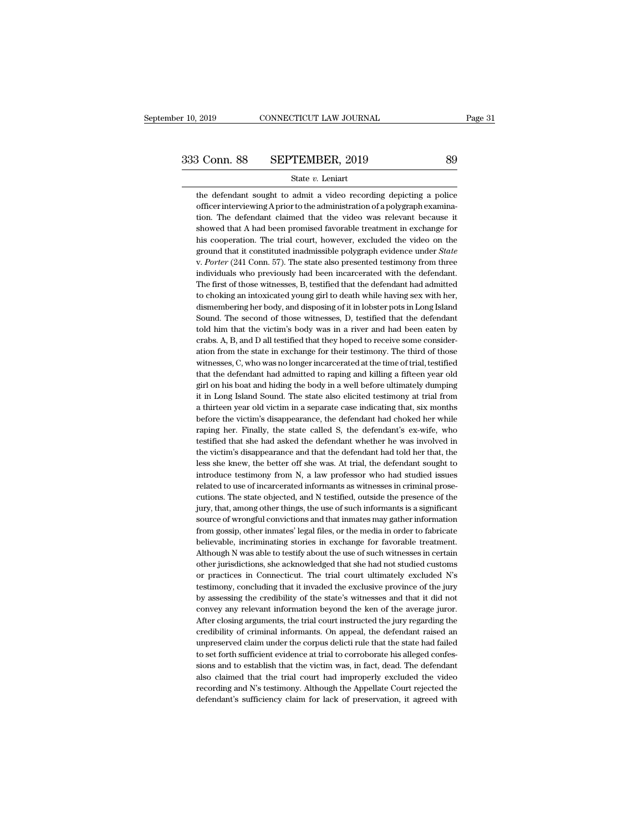the defendant sought to admit a video recording depicting a police<br>officer interviewing A prior to the administration of a polygraph examina-**SEPTEMBER, 2019** 89<br>
State *v*. Leniart<br>
the defendant sought to admit a video recording depicting a police<br>
officer interviewing A prior to the administration of a polygraph examina-<br>
tion. The defendant claimed that th  $\begin{array}{r} \text{3} \text{ Conn. } \text{88} \qquad \text{SEPTEMBER, } 2019 \qquad \qquad \text{89} \ \text{State } v. \text{ Leniart} \end{array}$ the defendant sought to admit a video recording depicting a police<br>
officer interviewing A prior to the administration of a polygraph examina-<br>
t State v. Leniart<br>showed that A had been promised favorable defendant sought to administration of a polygraph examina-<br>tion. The defendant claimed that the video was relevant because it<br>showed that A had been promised favor State v. Leniart<br>the defendant sought to admit a video recording depicting a police<br>officer interviewing A prior to the administration of a polygraph examina-<br>tion. The defendant claimed that the video was relevant because the defendant sought to admit a video recording depicting a police officer interviewing A prior to the administration of a polygraph examination. The defendant claimed that the video was relevant because it showed that A h tion. The defendant claimed that the video was relevant because it showed that A had been promised favorable treatment in exchange for his cooperation. The trial court, however, excluded the video on the ground that it con showed that A had been promised favorable treatment in exchange for<br>his cooperation. The trial court, however, excluded the video on the<br>ground that it constituted inadmissible polygraph evidence under *State*<br>v. Porter (2 his cooperation. The trial court, however, excluded the video on the ground that it constituted inadmissible polygraph evidence under *State* v. *Porter* (241 Conn. 57). The state also presented testimony from three indivi ground that it constituted inadmissible polygraph evidence under *State* v. *Porter* (241 Conn. 57). The state also presented testimony from three individuals who previously had been incarcerated with the defendant. The fi v. Porter (241 Conn. 57). The state also presented testimony from three individuals who previously had been incarcerated with the defendant. The first of those witnesses, B, testified that the defendant had admitted to cho individuals who previously had been incarcerated with the defendant.<br>The first of those witnesses, B, testified that the defendant had admitted<br>to choking an intoxicated young girl to death while having sex with her,<br>disme The first of those witnesses, B, testified that the defendant had admitted to choking an intoxicated young girl to death while having sex with her, dismembering her body, and disposing of it in lobster pots in Long Island to choking an intoxicated young girl to death while having sex with her, dismembering her body, and disposing of it in lobster pots in Long Island Sound. The second of those witnesses, D, testified that the defendant told dismembering her body, and disposing of it in lobster pots in Long Island<br>Sound. The second of those witnesses, D, testified that the defendant<br>told him that the victim's body was in a river and had been eaten by<br>crabs. A, Sound. The second of those witnesses, D, testified that the defendant told him that the victim's body was in a river and had been eaten by crabs. A, B, and D all testified that they hoped to receive some consideration from told him that the victim's body was in a river and had been eaten by crabs. A, B, and D all testified that they hoped to receive some consideration from the state in exchange for their testimony. The third of those witness crabs. A, B, and D all testified that they hoped to receive some consideration from the state in exchange for their testimony. The third of those witnesses, C, who was no longer incarcerated at the time of trial, testified ation from the state in exchange for their testimony. The third of those witnesses, C, who was no longer incarcerated at the time of trial, testified that the defendant had admitted to raping and killing a fifteen year old witnesses, C, who was no longer incarcerated at the time of trial, testified<br>that the defendant had admitted to raping and killing a fifteen year old<br>girl on his boat and hiding the body in a well before ultimately dumping that the defendant had admitted to raping and killing a fifteen year old girl on his boat and hiding the body in a well before ultimately dumping it in Long Island Sound. The state also elicited testimony at trial from a t girl on his boat and hiding the body in a well before ultimately dumping<br>it in Long Island Sound. The state also elicited testimony at trial from<br>a thirteen year old victim in a separate case indicating that, six months<br>be it in Long Island Sound. The state also elicited testimony at trial from<br>a thirteen year old victim in a separate case indicating that, six months<br>before the victim's disappearance, the defendant had choked her while<br>rapin a thirteen year old victim in a separate case indicating that, six months before the victim's disappearance, the defendant had choked her while raping her. Finally, the state called S, the defendant's ex-wife, who testifie before the victim's disappearance, the defendant had choked her while raping her. Finally, the state called S, the defendant's ex-wife, who testified that she had asked the defendant whether he was involved in the victim's raping her. Finally, the state called S, the defendant's ex-wife, who testified that she had asked the defendant whether he was involved in the victim's disappearance and that the defendant had told her that, the less she testified that she had asked the defendant whether he was involved in<br>the victim's disappearance and that the defendant had told her that, the<br>less she knew, the better off she was. At trial, the defendant sought to<br>introd the victim's disappearance and that the defendant had told her that, the less she knew, the better off she was. At trial, the defendant sought to introduce testimony from N, a law professor who had studied issues related t less she knew, the better off she was. At trial, the defendant sought to introduce testimony from N, a law professor who had studied issues related to use of incarcerated informants as witnesses in criminal prosecutions. T introduce testimony from N, a law professor who had studied issues<br>related to use of incarcerated informants as witnesses in criminal prose-<br>cutions. The state objected, and N testified, outside the presence of the<br>jury, t related to use of incarcerated informants as witnesses in criminal prosecutions. The state objected, and N testified, outside the presence of the jury, that, among other things, the use of such informants is a significant cutions. The state objected, and N testified, outside the presence of the jury, that, among other things, the use of such informants is a significant source of wrongful convictions and that inmates may gather information f jury, that, among other things, the use of such informants is a significant source of wrongful convictions and that inmates may gather information from gossip, other inmates' legal files, or the media in order to fabricate source of wrongful convictions and that inmates may gather information<br>from gossip, other inmates' legal files, or the media in order to fabricate<br>believable, incriminating stories in exchange for favorable treatment.<br>Alth from gossip, other inmates' legal files, or the media in order to fabricate believable, incriminating stories in exchange for favorable treatment. Although N was able to testify about the use of such witnesses in certain o believable, incriminating stories in exchange for favorable treatment.<br>Although N was able to testify about the use of such witnesses in certain<br>other jurisdictions, she acknowledged that she had not studied customs<br>or pra Although N was able to testify about the use of such witnesses in certain<br>other jurisdictions, she acknowledged that she had not studied customs<br>or practices in Connecticut. The trial court ultimately excluded N's<br>testimon other jurisdictions, she acknowledged that she had not studied customs<br>or practices in Connecticut. The trial court ultimately excluded N's<br>testimony, concluding that it invaded the exclusive province of the jury<br>by assess or practices in Connecticut. The trial court ultimately excluded N's<br>testimony, concluding that it invaded the exclusive province of the jury<br>by assessing the credibility of the state's witnesses and that it did not<br>convey testimony, concluding that it invaded the exclusive province of the jury<br>by assessing the credibility of the state's witnesses and that it did not<br>convey any relevant information beyond the ken of the average juror.<br>After testimony, concluding that it invaded the exclusive province of the jury<br>by assessing the credibility of the state's witnesses and that it did not<br>convey any relevant information beyond the ken of the average juror.<br>After convey any relevant information beyond the ken of the average juror.<br>After closing arguments, the trial court instructed the jury regarding the<br>credibility of criminal informants. On appeal, the defendant raised an<br>unprese After closing arguments, the trial court instructed the jury regarding the credibility of criminal informants. On appeal, the defendant raised an unpreserved claim under the corpus delicti rule that the state had failed to credibility of criminal informants. On appeal, the defendant raised an unpreserved claim under the corpus delicti rule that the state had failed to set forth sufficient evidence at trial to corroborate his alleged confessi unpreserved claim under the corpus delicti rule that the state had failed<br>to set forth sufficient evidence at trial to corroborate his alleged confes-<br>sions and to establish that the victim was, in fact, dead. The defendan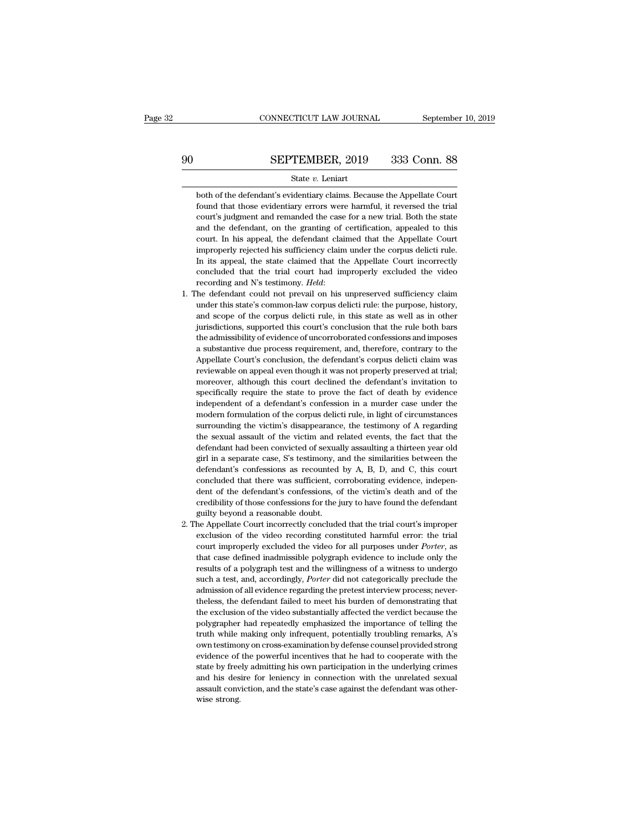**SEPTEMBER, 2019** 333 Conn. 88<br>State v. Leniart<br>both of the defendant's evidentiary claims. Because the Appellate Court<br>found that those evidentiary errors were harmful, it reversed the trial FOUNDER, 2019 333 Conn. 88<br>
State v. Leniart<br>
both of the defendant's evidentiary claims. Because the Appellate Court<br>
found that those evidentiary errors were harmful, it reversed the trial<br>
court's judgment and remanded SEPTEMBER, 2019 333 Conn. 88<br>State v. Leniart<br>both of the defendant's evidentiary claims. Because the Appellate Court<br>found that those evidentiary errors were harmful, it reversed the trial<br>court's judgment and remanded th State  $v$ . Leniart<br>both of the defendant's evidentiary claims. Because the Appellate Court<br>found that those evidentiary errors were harmful, it reversed the trial<br>court's judgment and remanded the case for a new trial. Bo State v. Leniart<br>State v. Leniart<br>Mooth of the defendant's evidentiary claims. Because the Appellate Court<br>found that those evidentiary errors were harmful, it reversed the trial<br>court's judgment and remanded the case for both of the defendant's evidentiary claims. Because the Appellate Court found that those evidentiary errors were harmful, it reversed the trial court's judgment and remanded the case for a new trial. Both the state and the From that those evidentiary errors were harmful, it reversed the trial court's judgment and remanded the case for a new trial. Both the state and the defendant, on the granting of certification, appealed to this court. In court's judgment and remanded the case for a new trial. Both the state and the defendant, on the granting of certification, appealed to this court. In his appeal, the defendant claimed that the Appellate Court improperly and the defendant, on the granting of certification, appealed to this court. In his appeal, the defendant claimed that the Appellate Court improperly rejected his sufficiency claim under the corpus delicti rule. In its app improperly rejected his sufficiency claim under the corpus delicti rule.<br>In its appeal, the state claimed that the Appellate Court incorrectly<br>concluded that the trial court had improperly excluded the video<br>recording and

- In its appeal, the state claimed that the Appellate Court incorrectly concluded that the trial court had improperly excluded the video recording and N's testimony. *Held*: the defendant could not prevail on his unpreserved concluded that the trial court had improperly excluded the video<br>recording and N's testimony. *Held*:<br>the defendant could not prevail on his unpreserved sufficiency claim<br>under this state's common-law corpus delicti rule: recording and N's testimony. *Held*:<br>the defendant could not prevail on his unpreserved sufficiency claim<br>under this state's common-law corpus delicti rule: the purpose, history,<br>and scope of the corpus delicti rule, in th The defendant could not prevail on his unpreserved sufficiency claim<br>under this state's common-law corpus delicti rule: the purpose, history,<br>and scope of the corpus delicti rule, in this state as well as in other<br>jurisdic metric in state's common-law corpus delicti rule: the purpose, history, and scope of the corpus delicti rule, in this state as well as in other jurisdictions, supported this court's conclusion that the rule both bars the a and scope of the corpus delicti rule, in this state as well as in other jurisdictions, supported this court's conclusion that the rule both bars the admissibility of evidence of uncorroborated confessions and imposes a sub interiors, supported this court's conclusion that the rule both bars<br>the admissibility of evidence of uncorroborated confessions and imposes<br>a substantive due process requirement, and, therefore, contrary to the<br>Appellate specifically of evidence of uncorroborated confessions and imposes<br>a substantive due process requirement, and, therefore, contrary to the<br>Appellate Court's conclusion, the defendant's corpus delicti claim was<br>reviewable on a substantive due process requirement, and, therefore, contrary to the Appellate Court's conclusion, the defendant's corpus delicti claim was reviewable on appeal even though it was not properly preserved at trial; moreove a populate Court's conclusion, the defendant's corpus delicti claim was reviewable on appeal even though it was not properly preserved at trial; moreover, although this court declined the defendant's invitation to specific reviewable on appeal even hough it was not properly preserved at trial;<br>moreover, although this court declined the defendant's invitation to<br>specifically require the state to prove the fact of death by evidence<br>independent moreover, although this court declined the defendant's invitation to specifically require the state to prove the fact of death by evidence independent of a defendant's confession in a murder case under the modern formulati specifically require the state to prove the fact of death by evidence<br>independent of a defendant's confession in a murder case under the<br>modern formulation of the corpus delicti rule, in light of circumstances<br>surrounding ghouted of a defendant's confession in a murder case under the modern formulation of the corpus delicti rule, in light of circumstances surrounding the victim's disappearance, the testimony of A regarding the sexual assaul modern formulation of the corpus delicti rule, in light of circumstances<br>surrounding the victim's disappearance, the testimony of A regarding<br>the sexual assault of the victim and related events, the fact that the<br>defendant modern formulation of the corpus delicti rule, in light of circumstances surrounding the victim's disappearance, the testimony of A regarding the sexual assault of the victim and related events, the fact that the defendan be sexual assault of the victim and related events, the fact that the defendant had been convicted of sexually assaulting a thirteen year old girl in a separate case, S's testimony, and the similarities between the defenda defendant had been convicted of sexually assaulting a thirteen year old girl in a separate case, S's testimony, and the similarities between the defendant's confessions as recounted by A, B, D, and C, this court concluded girl in a separate case, S's testimony, a<br>girl in a separate case, S's testimony, a<br>defendant's confessions as recounted<br>concluded that there was sufficient, co<br>dent of the defendant's confessions, o<br>credibility of those c definition as recounted by A, B, D, and C, this court<br>defindant's confessions as recounted by A, B, D, and C, this court<br>concluded that there was sufficient, corroborating evidence, indepen-<br>dent of the defendant's confess concluded that there was sufficient, corroborating evidence, independent of the defendant's confessions, of the victim's death and of the credibility of those confessions for the jury to have found the defendant guilty bey
- dent of the defendant's confessions, of the victim's death and of the credibility of those confessions for the jury to have found the defendant guilty beyond a reasonable doubt.<br>He Appellate Court incorrectly concluded tha credibility of those confessions for the jury to have found the defendant guilty beyond a reasonable doubt.<br>he Appellate Court incorrectly concluded that the trial court's improper exclusion of the video recording constitu exclusion areasonable doubt.<br>guilty beyond a reasonable doubt.<br>the Appellate Court incorrectly concluded that the trial court's improper<br>exclusion of the video recording constituted harmful error: the trial<br>court improperl such a test, and, accordingly, *Porter* did not categorically considered that the trial court's improper exclusion of the video recording constituted harmful error: the trial court improperly excluded the video for all pur exclusion of the video recording constituted harmful error: the trial court improperly excluded the video for all purposes under *Porter*, as that case defined inadmissible polygraph evidence to include only the results o court improperly excluded the video for all purposes under *Porter*, as<br>that case defined inadmissible polygraph evidence to include only the<br>results of a polygraph test and the willingness of a witness to undergo<br>such a t that case defined inadmissible polygraph evidence to include only the results of a polygraph test and the willingness of a witness to undergo such a test, and, accordingly, *Porter* did not categorically preclude the admis results of a polygraph test and the willingness of a witness to undergo<br>results of a polygraph test and the willingness of a witness to undergo<br>such a test, and, accordingly, *Porter* did not categorically preclude the<br>adm such a test, and, accordingly, *Porter* did not categorically preclude the admission of all evidence regarding the pretest interview process; nevertheless, the defendant failed to meet his burden of demonstrating that the admission of all evidence regarding the pretest interview process; never-<br>theless, the defendant failed to meet his burden of demonstrating that<br>the exclusion of the video substantially affected the verdict because the<br>pol theless, the defendant failed to meet his burden of demonstrating that the exclusion of the video substantially affected the verdict because the polygrapher had repeatedly emphasized the importance of telling the truth whi state be exclusion of the video substantially affected the verdict because the polygrapher had repeatedly emphasized the importance of telling the truth while making only infrequent, potentially troubling remarks, A's own and his desire for leniency in connection with the unportance of telling the truth while making only infrequent, potentially troubling remarks, A's own testimony on cross-examination by defense counsel provided strong evid betwich while making only infrequent, potentially troubling remarks, A's own testimony on cross-examination by defense counsel provided strong evidence of the powerful incentives that he had to cooperate with the state by which wise<br>wise strong.<br>state by free<br>and his des<br>assault convise strong.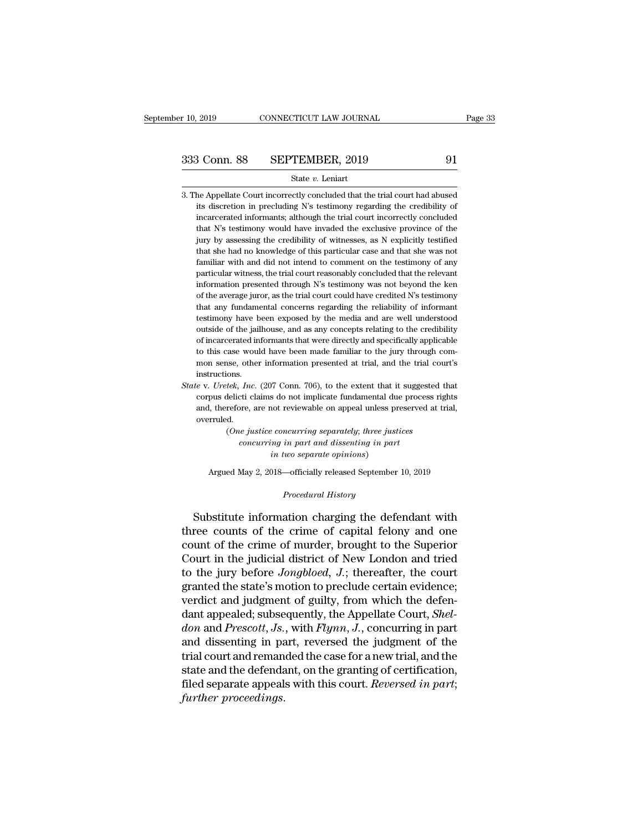- 333 Conn. 88 SEPTEMBER, 2019 91<br>State v. Leniart<br>3. The Appellate Court incorrectly concluded that the trial court had abused<br>its discretion in precluding N's testimony regarding the credibility of 3 Conn. 88 SEPTEMBER, 2019 91<br>
State v. Leniart<br>
the Appellate Court incorrectly concluded that the trial court had abused<br>
its discretion in precluding N's testimony regarding the credibility of<br>
incarcerated informants; 3 Conn. 88 SEPTEMBER, 2019 91<br>
State v. Leniart<br>
he Appellate Court incorrectly concluded that the trial court had abused<br>
its discretion in precluding N's testimony regarding the credibility of<br>
incarcerated informants; a State v. Leniart<br>
he Appellate Court incorrectly concluded that the trial court had abused<br>
its discretion in precluding N's testimony regarding the credibility of<br>
incarcerated informants; although the trial court incorre State v. Leniart<br>is discretion in precluding N's testimony regarding the credibility of<br>incarcerated informants; although the trial court incorrectly concluded<br>that N's testimony would have invaded the exclusive province o he Appellate Court incorrectly concluded that the trial court had abused<br>its discretion in precluding N's testimony regarding the credibility of<br>incarcerated informants; although the trial court incorrectly concluded<br>that its discretion in precluding N's testimony regarding the credibility of incarcerated informants; although the trial court incorrectly concluded that N's testimony would have invaded the exclusive province of the jury by as incarcerated informants; although the trial court incorrectly concluded that N's testimony would have invaded the exclusive province of the jury by assessing the credibility of witnesses, as N explicitly testified that she that N's testimony would have invaded the exclusive province of the jury by assessing the credibility of witnesses, as N explicitly testified that she had no knowledge of this particular case and that she was not familiar jury by assessing the credibility of witnesses, as N explicitly testified that she had no knowledge of this particular case and that she was not familiar with and did not intend to comment on the testimony of any particula that she had no knowledge of this particular case and that she was not familiar with and did not intend to comment on the testimony of any particular witness, the trial court reasonably concluded that the relevant informat familiar with and did not intend to comment on the testimony of any<br>particular witness, the trial court reasonably concluded that the relevant<br>information presented through N's testimony was not beyond the ken<br>of the avera particular witness, the trial court reasonably concluded that the relevant<br>information presented through N's testimony was not beyond the ken<br>of the average juror, as the trial court could have credited N's testimony<br>that information presented through N's testimony was not beyond the ken<br>of the average juror, as the trial court could have credited N's testimony<br>that any fundamental concerns regarding the reliability of informant<br>testimony h of the average juror, as the trial court could have credited N's testimony<br>that any fundamental concerns regarding the reliability of informant<br>testimony have been exposed by the media and are well understood<br>outside of th that any fundamental concerns regarding the reliability of informant testimony have been exposed by the media and are well understood outside of the jailhouse, and as any concepts relating to the credibility of incarcerate instructions. outside of the jailhouse, and as any concepts relating to the credibility<br>of incarcerated informants that were directly and specifically applicable<br>to this case would have been made familiar to the jury through com-<br>mon se of incarcerated informants that were directly and specifically applicable<br>to this case would have been made familiar to the jury through com-<br>mon sense, other information presented at trial, and the trial court's<br>instruct
- to this case would have been made familiar to the jury through com-<br>mon sense, other information presented at trial, and the trial court's<br>instructions.<br> $e$  v. *Uretek*, *Inc.* (207 Conn. 706), to the extent that it sugge overruled. (*tek, Inc.* (207 Conn. 706), to the extent that it suggested the delicti claims do not implicate fundamental due process right refore, are not reviewable on appeal unless preserved at tread.<br>(*One justice concurring separ Inc.* (207 Conn. 706), to the extent that it suggeti claims do not implicate fundamental due proce ore, are not reviewable on appeal unless preserved in particle in part and dissenting in part in two separate opinions) corpus delicti claims do not implicate fundamental due process rights<br>and, therefore, are not reviewable on appeal unless preserved at trial,<br>overruled.<br>(One justice concurring separately; three justices<br>concurring in part

the unit of the may be the two separately; three justices<br>
concurring in part and dissenting in part<br>
in two separate opinions)<br>
Argued May 2, 2018—officially released September 10, 2019 *CONCUTTING in part and dissenting in part<br>
in two separate opinions*)<br>
Argued May 2, 2018—officially released September 10, 2019<br> *Procedural History*<br>
Substitute information charging the defendant with

(One justice concurring separately; three justices<br>
concurring in part and dissenting in part<br>
in two separate opinions)<br>
Argued May 2, 2018—officially released September 10, 2019<br>  $Proceedural History$ <br>
Substitute information charging t tohearring in part and asseming in part<br>
in two separate opinions)<br>
Argued May 2, 2018—officially released September 10, 2019<br>
Procedural History<br>
Substitute information charging the defendant with<br>
three counts of the cri Argued May 2, 2018—officially released September 10, 2019<br>
Procedural History<br>
Substitute information charging the defendant with<br>
three counts of the crime of capital felony and one<br>
count of the crime of murder, brought Argued May 2, 2018—omcially released September 10, 2019<br>
Procedural History<br>
Court in the crime of capital felony and one<br>
count of the crime of murder, brought to the Superior<br>
Court in the judicial district of New London *Procedural History*<br>Substitute information charging the defendant with<br>three counts of the crime of capital felony and one<br>count of the crime of murder, brought to the Superior<br>Court in the judicial district of New London Substitute information charging the defendant with<br>three counts of the crime of capital felony and one<br>count of the crime of murder, brought to the Superior<br>Court in the judicial district of New London and tried<br>to the ju Substitute information charging the defendant with<br>three counts of the crime of capital felony and one<br>count of the crime of murder, brought to the Superior<br>Court in the judicial district of New London and tried<br>to the ju three counts of the crime of capital felony and one<br>count of the crime of murder, brought to the Superior<br>Court in the judicial district of New London and tried<br>to the jury before *Jongbloed*, *J*.; thereafter, the court<br>g *d* count of the crime of murder, brought to the Superior<br>*Court* in the judicial district of New London and tried<br>to the jury before *Jongbloed*, *J*.; thereafter, the court<br>granted the state's motion to preclude certain Court in the judicial district of New London and tried<br>to the jury before *Jongbloed*, *J*.; thereafter, the court<br>granted the state's motion to preclude certain evidence;<br>verdict and judgment of guilty, from which the de to the jury before *Jongbloed*,  $J$ .; thereafter, the court<br>granted the state's motion to preclude certain evidence;<br>verdict and judgment of guilty, from which the defen-<br>dant appealed; subsequently, the Appellate Court, granted the state's motion to preclude certain evidence;<br>verdict and judgment of guilty, from which the defen-<br>dant appealed; subsequently, the Appellate Court, *Shel-*<br>don and Prescott, Js., with Flynn, J., concurring in verdict and judgment of guilty, from which the defen-<br>dant appealed; subsequently, the Appellate Court, *Shel-*<br>*don* and *Prescott*, *Js.*, with *Flynn*, *J.*, concurring in part<br>and dissenting in part, reversed the judgm *dant appealed; subse don and Prescott, Js.*<br>and dissenting in pa<br>trial court and reman<br>state and the defenda<br>filed separate appeal:<br>further proceedings.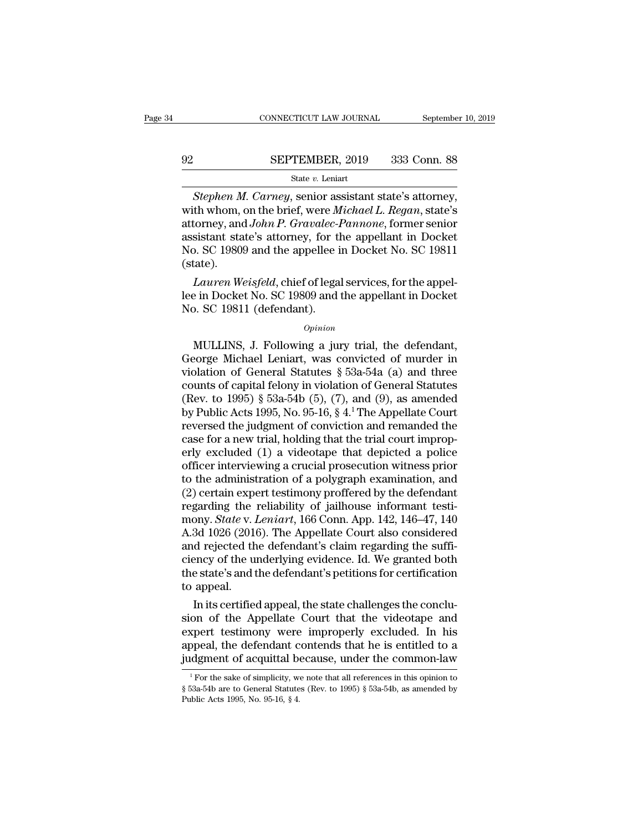# $\begin{tabular}{lll} \multicolumn{2}{l} \multicolumn{2}{l}{{\small\bf CONNECTICUT LAW JOURNAL}} & \multicolumn{2}{l}{September 10, 2019} \\ \hline \multicolumn{2}{l}{\textbf{92}} & \multicolumn{2}{l}{\textbf{SEPTEMBER, 2019}} & \multicolumn{2}{l}{333} & \multicolumn{2}{l}{\textbf{Conn. 88}} \\ & \multicolumn{2}{l}{\textbf{State $v$. Leniart}} & \multicolumn{2}{l}{\textbf{State $v$. Leniart}} \end{tabular}$

## State *v.* Leniart

*CONNECTICUT LAW JOURNAL* September 10, 2<br> **SEPTEMBER**, 2019 333 Conn. 88<br> *State v. Leniart*<br> *Stephen M. Carney*, senior assistant state's attorney,<br>
th whom, on the brief, were *Michael L. Regan*, state's<br>
torney and Jo SEPTEMBER, 2019 333 Conn. 88<br>
State *v*. Leniart<br>
Stephen M. Carney, senior assistant state's attorney,<br>
with whom, on the brief, were *Michael L. Regan*, state's<br>
attorney, and *John P. Gravalec-Pannone*, former senior<br>
a SEPTEMBER, 2019 333 Conn. 88<br>
State *v*. Leniart<br> *Stephen M. Carney*, senior assistant state's attorney,<br>
with whom, on the brief, were *Michael L. Regan*, state's<br>
attorney, and *John P. Gravalec-Pannone*, former senior<br> SEPTEMBER, 2019 333 Conn. 88<br>
State v. Leniart<br>
Stephen M. Carney, senior assistant state's attorney,<br>
with whom, on the brief, were Michael L. Regan, state's<br>
attorney, and John P. Gravalec-Pannone, former senior<br>
assist SET TEMENT, 2018 300 001... 30<br>
State v. Leniart<br>
Stephen M. Carney, senior assistant state's attorney,<br>
with whom, on the brief, were Michael L. Regan, state's<br>
attorney, and John P. Gravalec-Pannone, former senior<br>
assi (state). *Stephen M. Carney,* senior assistant state's attorney,<br>th whom, on the brief, were *Michael L. Regan*, state's<br>torney, and *John P. Gravalec-Pannone*, former senior<br>sistant state's attorney, for the appellant in Docket<br>D. with whom, on the brief, were *Michael L. Regan*, state's<br>attorney, and *John P. Gravalec-Pannone*, former senior<br>assistant state's attorney, for the appellant in Docket<br>No. SC 19809 and the appellee in Docket No. SC 19811 attorney, and *John P. Gravatec-1*<br>assistant state's attorney, for th<br>No. SC 19809 and the appellee i<br>(state).<br>*Lauren Weisfeld*, chief of legal<br>lee in Docket No. SC 19809 and No. SC 19811 (defendant).<br>*Opinion* 

tate).<br>
Lauren Weisfeld, chief of legal services, for the appel-<br>
e in Docket No. SC 19809 and the appellant in Docket<br>
b. SC 19811 (defendant).<br> *Opinion*<br>
MULLINS, J. Following a jury trial, the defendant,<br>
eorge Michael

## *Opinion*

Lauren Weisfeld, chief of legal services, for the appeller in Docket No. SC 19809 and the appellant in Docket<br>No. SC 19811 (defendant).<br> $opinion$ <br>MULLINS, J. Following a jury trial, the defendant,<br>George Michael Leniart, was c Lee in Docket No. SC 19809 and the appellant in Docket<br>No. SC 19811 (defendant).<br>*Opinion*<br>MULLINS, J. Following a jury trial, the defendant,<br>George Michael Leniart, was convicted of murder in<br>violation of General Statute No. SC 19811 (defendant).<br>
opinion<br>
(opinion<br>
MULLINS, J. Following a jury trial, the defendant,<br>
George Michael Leniart, was convicted of murder in<br>
violation of General Statutes § 53a-54a (a) and three<br>
counts of capita (MULLINS, J. Following a jury trial, the defendant,<br>
George Michael Leniart, was convicted of murder in<br>
violation of General Statutes § 53a-54a (a) and three<br>
counts of capital felony in violation of General Statutes<br>
(R *Opinion*<br>
MULLINS, J. Following a jury trial, the defendant,<br>
George Michael Leniart, was convicted of murder in<br>
violation of General Statutes § 53a-54a (a) and three<br>
counts of capital felony in violation of General St MULLINS, J. Following a jury trial, the defendant,<br>George Michael Leniart, was convicted of murder in<br>violation of General Statutes § 53a-54a (a) and three<br>counts of capital felony in violation of General Statutes<br>(Rev. t George Michael Leniart, was convicted of murder in violation of General Statutes  $\S$  53a-54a (a) and three counts of capital felony in violation of General Statutes (Rev. to 1995)  $\S$  53a-54b (5), (7), and (9), as amended violation of General Statutes § 53a-54a (a) and three<br>counts of capital felony in violation of General Statutes<br>(Rev. to 1995) § 53a-54b (5), (7), and (9), as amended<br>by Public Acts 1995, No. 95-16, § 4.<sup>1</sup> The Appellate counts of capital felony in violation of General Statutes<br>
(Rev. to 1995) § 53a-54b (5), (7), and (9), as amended<br>
by Public Acts 1995, No. 95-16, § 4.<sup>1</sup> The Appellate Court<br>
reversed the judgment of conviction and reman (Rev. to 1995) § 53a-54b (5), (7), and (9), as amended<br>by Public Acts 1995, No. 95-16, § 4.<sup>1</sup> The Appellate Court<br>reversed the judgment of conviction and remanded the<br>case for a new trial, holding that the trial court im by Public Acts 1995, No. 95-16, § 4.<sup>1</sup> The Appellate Court<br>reversed the judgment of conviction and remanded the<br>case for a new trial, holding that the trial court improp-<br>erly excluded (1) a videotape that depicted a pol reversed the judgment of conviction and remanded the<br>case for a new trial, holding that the trial court improp-<br>erly excluded (1) a videotape that depicted a police<br>officer interviewing a crucial prosecution witness prior<br> case for a new trial, holding that the trial court improperly excluded (1) a videotape that depicted a police<br>officer interviewing a crucial prosecution witness prior<br>to the administration of a polygraph examination, and<br>( erly excluded (1) a videotape that depicted a police<br>officer interviewing a crucial prosecution witness prior<br>to the administration of a polygraph examination, and<br>(2) certain expert testimony proffered by the defendant<br>re officer interviewing a crucial prosecution witness prior<br>to the administration of a polygraph examination, and<br>(2) certain expert testimony proffered by the defendant<br>regarding the reliability of jailhouse informant testito the administration of a polygraph examination, and<br>(2) certain expert testimony proffered by the defendant<br>regarding the reliability of jailhouse informant testi-<br>mony. *State* v. *Leniart*, 166 Conn. App. 142, 146–47, (2) certain expert testimony proffered by the defendant regarding the reliability of jailhouse informant testimony. *State* v. *Leniart*, 166 Conn. App. 142, 146–47, 140 A.3d 1026 (2016). The Appellate Court also consider regarding the<br>mony. *State* v. *l*<br>A.3d 1026 (2014)<br>and rejected th<br>ciency of the unit to appeal.<br>In its certified In its certified appeal, the state challenges the concluded rejected the defendant's claim regarding the suffi-<br>ancy of the underlying evidence. Id. We granted both<br>e state's and the defendant's petitions for certification A.3d 1026 (2016). The Appellate Court also considered<br>and rejected the defendant's claim regarding the suffi-<br>ciency of the underlying evidence. Id. We granted both<br>the state's and the defendant's petitions for certificati

and rejected the defendant's claim regarding the sufficiency of the underlying evidence. Id. We granted both<br>the state's and the defendant's petitions for certification<br>to appeal.<br>In its certified appeal, the state challen ciency of the underlying evidence. Id. We granted both<br>the state's and the defendant's petitions for certification<br>to appeal.<br>In its certified appeal, the state challenges the conclu-<br>sion of the Appellate Court that the v the state's and the defendant's petitions for certification<br>to appeal.<br>In its certified appeal, the state challenges the conclu-<br>sion of the Appellate Court that the videotape and<br>expert testimony were improperly excluded. on of the Appellate Court that the videotape and<br>spect testimony were improperly excluded. In his<br>opeal, the defendant contends that he is entitled to a<br>dgment of acquittal because, under the common-law<br><sup>1</sup>For the sake of expert testimony were improperly excluded. In his appeal, the defendant contends that he is entitled to a judgment of acquittal because, under the common-law  $\frac{1}{1}$  For the sake of simplicity, we note that all referenc

appeal, the defendant contends that he is entitled to a judgment of acquittal because, under the common-law  $\frac{1}{100}$  For the sake of simplicity, we note that all references in this opinion to § 53a-54b are to General S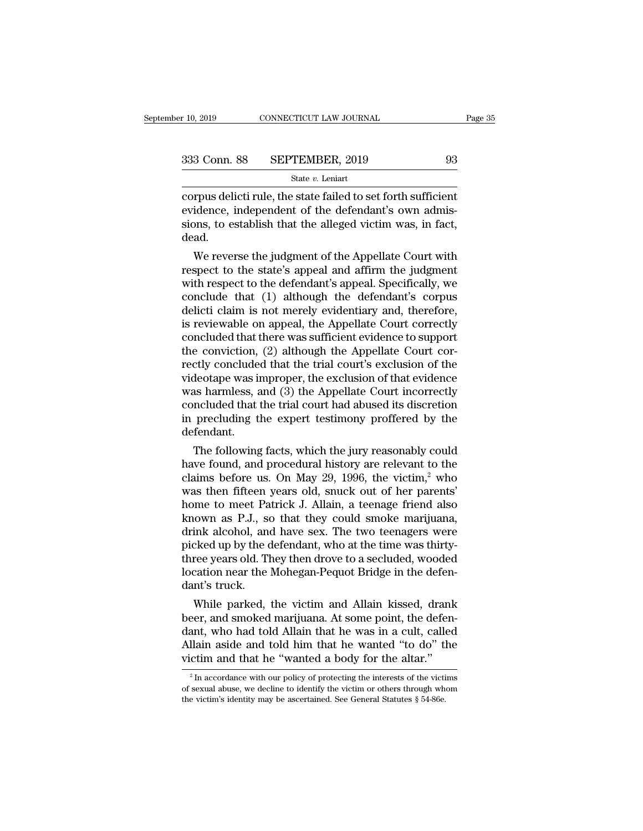| er 10, 2019  | CONNECTICUT LAW JOURNAL | Page 35 |
|--------------|-------------------------|---------|
| 333 Conn. 88 | SEPTEMBER, 2019         | 93      |
|              | State $v$ . Leniart     |         |

 $\begin{array}{r}\n \text{c}}\n \text{10, 2019}\n \text{COMNETICUT LAW JOURNAL}\n \end{array}\n \quad\n \begin{array}{r}\n \text{Page 3:}\n \text{333 Conn. } 88\n \text{ SEPTEMBER, 2019}\n \text{State } v. \text{ Leniart}\n \text{corpus delicti rule, the state failed to set forth sufficient\nevidence, independent of the defendant's own admission to establish that the allowed victim was in fact\n\end{array}$ 333 Conn. 88 SEPTEMBER, 2019 93<br>
<sup>State v</sup>. Leniart<br>
corpus delicti rule, the state failed to set forth sufficient<br>
evidence, independent of the defendant's own admis-<br>
sions, to establish that the alleged victim was, in f 333 Conn. 88 SEPTEMBER, 2019 93<br>
State v. Leniart<br>
corpus delicti rule, the state failed to set forth sufficient<br>
evidence, independent of the defendant's own admissions, to establish that the alleged victim was, in fact, dead. State  $v$ . Leniart<br>
From delicti rule, the state failed to set forth sufficient<br>
idence, independent of the defendant's own admis-<br>
ons, to establish that the alleged victim was, in fact,<br>
ad.<br>
We reverse the judgment of corpus delicti rule, the state failed to set forth sufficient<br>evidence, independent of the defendant's own admis-<br>sions, to establish that the alleged victim was, in fact,<br>dead.<br>We reverse the judgment of the Appellate Cou

corpus delict rule, the state failed to set forth sufficient<br>evidence, independent of the defendant's own admis-<br>sions, to establish that the alleged victim was, in fact,<br>dead.<br>We reverse the judgment of the Appellate Cour evidence, independent of the defendant is own admissions, to establish that the alleged victim was, in fact, dead.<br>We reverse the judgment of the Appellate Court with<br>respect to the state's appeal and affirm the judgment<br>w sions, to establish that the alleged victim was, in fact,<br>dead.<br>We reverse the judgment of the Appellate Court with<br>respect to the state's appeal and affirm the judgment<br>with respect to the defendant's appeal. Specifically We reverse the judgment of the Appellate Court with<br>respect to the state's appeal and affirm the judgment<br>with respect to the defendant's appeal. Specifically, we<br>conclude that (1) although the defendant's corpus<br>delicti We reverse the judgment of the Appellate Court with<br>respect to the state's appeal and affirm the judgment<br>with respect to the defendant's appeal. Specifically, we<br>conclude that (1) although the defendant's corpus<br>delicti c respect to the state's appeal and affirm the judgment<br>with respect to the defendant's appeal. Specifically, we<br>conclude that (1) although the defendant's corpus<br>delicti claim is not merely evidentiary and, therefore,<br>is re with respect to the defendant's appeal. Specifically, we<br>conclude that (1) although the defendant's corpus<br>delicti claim is not merely evidentiary and, therefore,<br>is reviewable on appeal, the Appellate Court correctly<br>conc conclude that (1) although the defendant's corpus<br>delicti claim is not merely evidentiary and, therefore,<br>is reviewable on appeal, the Appellate Court correctly<br>concluded that there was sufficient evidence to support<br>the c delicti claim is not merely evidentiary and, therefore,<br>is reviewable on appeal, the Appellate Court correctly<br>concluded that there was sufficient evidence to support<br>the conviction, (2) although the Appellate Court cor-<br>r is reviewable on appeal, the Appellate Court correctly<br>concluded that there was sufficient evidence to support<br>the conviction, (2) although the Appellate Court cor-<br>rectly concluded that the trial court's exclusion of the<br> concluded that there was sufficient evidence to support<br>the conviction, (2) although the Appellate Court cor-<br>rectly concluded that the trial court's exclusion of the<br>videotape was improper, the exclusion of that evidence<br> defendant. cuy concluded that the trial court s exclusion of the dectape was improper, the exclusion of that evidence as harmless, and (3) the Appellate Court incorrectly included that the trial court had abused its discretion precl via a harmless, and (3) the Appellate Court incorrectly<br>concluded that the trial court had abused its discretion<br>in precluding the expert testimony proffered by the<br>defendant.<br>The following facts, which the jury reasonabl

was narmiess, and (3) the Appellate Court incorrectly<br>concluded that the trial court had abused its discretion<br>in precluding the expert testimony proffered by the<br>defendant.<br>The following facts, which the jury reasonably concluded that the trial court had abused its discretion<br>in precluding the expert testimony proffered by the<br>defendant.<br>The following facts, which the jury reasonably could<br>have found, and procedural history are relevant In prectuality the expert testimony profiered by the<br>defendant.<br>The following facts, which the jury reasonably could<br>have found, and procedural history are relevant to the<br>claims before us. On May 29, 1996, the victim,<sup>2</sup> defendant.<br>The following facts, which the jury reasonably could<br>have found, and procedural history are relevant to the<br>claims before us. On May 29, 1996, the victim,<sup>2</sup> who<br>was then fifteen years old, snuck out of her pare The following facts, which the jury reasonably could<br>have found, and procedural history are relevant to the<br>claims before us. On May 29, 1996, the victim,<sup>2</sup> who<br>was then fifteen years old, snuck out of her parents'<br>home t have found, and procedural history are relevant to the claims before us. On May 29, 1996, the victim,<sup>2</sup> who was then fifteen years old, snuck out of her parents' home to meet Patrick J. Allain, a teenage friend also known claims before us. On May 29, 1996, the victim,<sup>2</sup> who<br>was then fifteen years old, snuck out of her parents'<br>home to meet Patrick J. Allain, a teenage friend also<br>known as P.J., so that they could smoke marijuana,<br>drink alc was then fifteen years old, snuck out of her parents'<br>home to meet Patrick J. Allain, a teenage friend also<br>known as P.J., so that they could smoke marijuana,<br>drink alcohol, and have sex. The two teenagers were<br>picked up b home to meet Pa<br>known as P.J., so<br>drink alcohol, ane<br>picked up by the c<br>three years old. Th<br>location near the dant's truck.<br>While parked, hink alcohol, and have sex. The two teenagers were<br>cked up by the defendant, who at the time was thirty-<br>ree years old. They then drove to a secluded, wooded<br>cation near the Mohegan-Pequot Bridge in the defen-<br>nt's truck.<br> drink alconol, and nave sex. The two teenagers were<br>picked up by the defendant, who at the time was thirty-<br>three years old. They then drove to a secluded, wooded<br>location near the Mohegan-Pequot Bridge in the defen-<br>dant'

picked up by the defendant, who at the time was thirty-<br>three years old. They then drove to a secluded, wooded<br>location near the Mohegan-Pequot Bridge in the defen-<br>dant's truck.<br>While parked, the victim and Allain kissed, three years old. They then drove to a sectuded, wooded<br>location near the Mohegan-Pequot Bridge in the defen-<br>dant's truck.<br>While parked, the victim and Allain kissed, drank<br>beer, and smoked marijuana. At some point, the de flocation near the Monegan-Pequot Bridge in the defendant's truck.<br>
While parked, the victim and Allain kissed, drank<br>
beer, and smoked marijuana. At some point, the defendant, who had told Allain that he was in a cult, c eer, and smoked marijuana. At some point, the defen-<br>ant, who had told Allain that he was in a cult, called<br>llain aside and told him that he wanted "to do" the<br>ctim and that he "wanted a body for the altar."<br><sup>2</sup> In accorda dant, who had told Allain that he was in a cult, called<br>Allain aside and told him that he wanted "to do" the<br>victim and that he "wanted a body for the altar."<br> $\frac{1}{2}$  In accordance with our policy of protecting the inte

Allain aside and told him that he wanted "to do" tiertim and that he "wanted a body for the altar."<br> $\frac{1}{\pi}$  in accordance with our policy of protecting the interests of the victim of sexual abuse, we decline to identif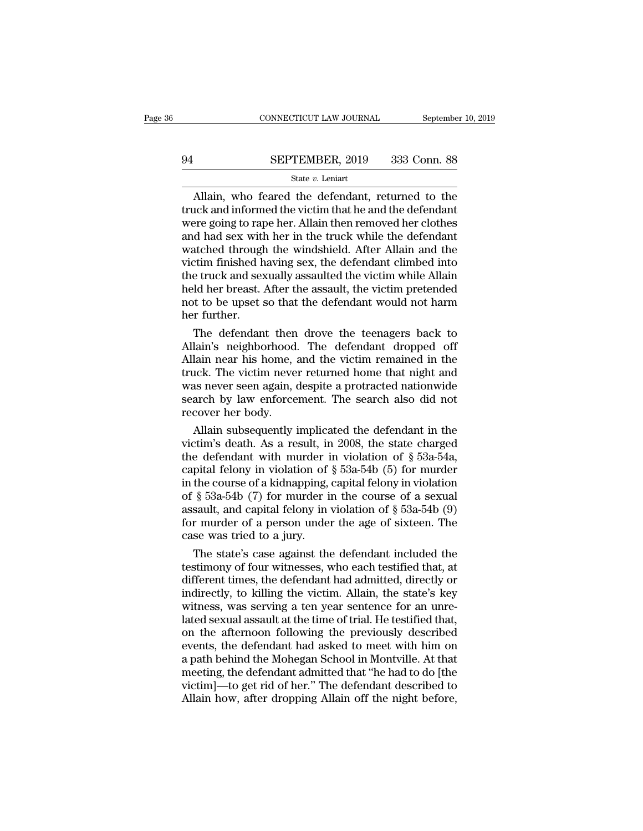# CONNECTICUT LAW JOURNAL September 10, 2019<br>94 SEPTEMBER, 2019 333 Conn. 88<br>State v. Leniart

## State *v.* Leniart

 $\frac{\text{COMNETICUT LAW JOURNAL}}{\text{SEPTEMBER, } 2019}$  333 Conn. 88<br>  $\frac{\text{State } v. \text{ Leniart}}{\text{Allain, who feared the defendant, returned to the lock and informed the victim that he and the defendant}\n\text{area going to range her Allwin then removed her clothes.}$ SEPTEMBER, 2019 333 Conn. 88<br>
State  $v$ . Leniart<br>
Allain, who feared the defendant, returned to the<br>
truck and informed the victim that he and the defendant<br>
were going to rape her. Allain then removed her clothes<br>
and ha SEPTEMBER, 2019 333 Conn. 88<br>
State v. Leniart<br>
Allain, who feared the defendant, returned to the<br>
truck and informed the victim that he and the defendant<br>
were going to rape her. Allain then removed her clothes<br>
and had SEPTEMBER, 2019 333 Conn. 88<br>
State v. Leniart<br>
Allain, who feared the defendant, returned to the<br>
truck and informed the victim that he and the defendant<br>
were going to rape her. Allain then removed her clothes<br>
and had SER TEMBER, 2019 2009 COMP. 30<br>
State v. Leniart<br>
Allain, who feared the defendant, returned to the<br>
truck and informed the victim that he and the defendant<br>
were going to rape her. Allain then removed her clothes<br>
and ha State  $v$ . Leniart<br>
Haliain, who feared the defendant, returned to the<br>
truck and informed the victim that he and the defendant<br>
were going to rape her. Allain then removed her clothes<br>
and had sex with her in the truck w Allain, who feared the defendant, returned to the<br>truck and informed the victim that he and the defendant<br>were going to rape her. Allain then removed her clothes<br>and had sex with her in the truck while the defendant<br>watche truck and informed the victim that he and the defendant<br>were going to rape her. Allain then removed her clothes<br>and had sex with her in the truck while the defendant<br>watched through the windshield. After Allain and the<br>vic were going to rape her. Allain then removed her clothes<br>and had sex with her in the truck while the defendant<br>watched through the windshield. After Allain and the<br>victim finished having sex, the defendant climbed into<br>the and had sex with<br>watched through<br>victim finished h<br>the truck and sex<br>held her breast.<br>not to be upset s<br>her further.<br>The defendan atched through the windshield. After Allain and the<br>tim finished having sex, the defendant climbed into<br>e truck and sexually assaulted the victim while Allain<br>ld her breast. After the assault, the victim pretended<br>t to be victim finished having sex, the defendant climbed into<br>the truck and sexually assaulted the victim while Allain<br>held her breast. After the assault, the victim pretended<br>not to be upset so that the defendant would not harm<br>

the truck and sexually assaulted the victim while Allain<br>held her breast. After the assault, the victim pretended<br>not to be upset so that the defendant would not harm<br>her further.<br>The defendant then drove the teenagers bac held her breast. After the assault, the victim pretended<br>not to be upset so that the defendant would not harm<br>her further.<br>The defendant then drove the teenagers back to<br>Allain's neighborhood. The defendant dropped off<br>All not to be upset so that the defendant would not harm<br>her further.<br>The defendant then drove the teenagers back to<br>Allain's neighborhood. The defendant dropped off<br>Allain near his home, and the victim remained in the<br>truck. her further.<br>The defendant then drove the teenagers back to<br>Allain's neighborhood. The defendant dropped off<br>Allain near his home, and the victim remained in the<br>truck. The victim never returned home that night and<br>was nev The defendant then<br>Allain's neighborhood.<br>Allain near his home, it<br>ruck. The victim neve<br>was never seen again, of<br>search by law enforce<br>recover her body.<br>Allain subsequently i lain's neighborhood. The defendant dropped off<br>lain near his home, and the victim remained in the<br>uck. The victim never returned home that night and<br>as never seen again, despite a protracted nationwide<br>arch by law enforcem Allain near his home, and the victim remained in the<br>truck. The victim never returned home that night and<br>was never seen again, despite a protracted nationwide<br>search by law enforcement. The search also did not<br>recover he

truck. The victim never returned home that night and<br>was never seen again, despite a protracted nationwide<br>search by law enforcement. The search also did not<br>recover her body.<br>Allain subsequently implicated the defendant was never seen again, despite a protracted nationwide<br>search by law enforcement. The search also did not<br>recover her body.<br>Allain subsequently implicated the defendant in the<br>victim's death. As a result, in 2008, the stat search by law enforcement. The search also did not<br>recover her body.<br>Allain subsequently implicated the defendant in the<br>victim's death. As a result, in 2008, the state charged<br>the defendant with murder in violation of § recover her body.<br>
Allain subsequently implicated the defendant in the<br>
victim's death. As a result, in 2008, the state charged<br>
the defendant with murder in violation of § 53a-54a,<br>
capital felony in violation of § 53a-5 Allain subsequently implicated the defendant in the victim's death. As a result, in 2008, the state charged the defendant with murder in violation of § 53a-54a, capital felony in violation of § 53a-54b (5) for murder in t victim's death. As a result, in 2008, the state charged<br>the defendant with murder in violation of  $\S$  53a-54a,<br>capital felony in violation of  $\S$  53a-54b (5) for murder<br>in the course of a kidnapping, capital felony in vio the defendant with murder i<br>capital felony in violation of<br>in the course of a kidnapping,<br>of § 53a-54b (7) for murder i<br>assault, and capital felony in<br>for murder of a person under<br>case was tried to a jury.<br>The state's case pital felony in violation of § 53a-54b (5) for murder<br>the course of a kidnapping, capital felony in violation<br>§ 53a-54b (7) for murder in the course of a sexual<br>sault, and capital felony in violation of § 53a-54b (9)<br>r mu in the course of a kidnapping, capital felony in violation<br>of § 53a-54b (7) for murder in the course of a sexual<br>assault, and capital felony in violation of § 53a-54b (9)<br>for murder of a person under the age of sixteen. T

of § 53a-54b (7) for murder in the course of a sexual<br>assault, and capital felony in violation of § 53a-54b (9)<br>for murder of a person under the age of sixteen. The<br>case was tried to a jury.<br>The state's case against the d assault, and capital felony in violation of § 53a-54b (9)<br>for murder of a person under the age of sixteen. The<br>case was tried to a jury.<br>The state's case against the defendant included the<br>testimony of four witnesses, who for murder of a person under the age of sixteen. The<br>case was tried to a jury.<br>The state's case against the defendant included the<br>testimony of four witnesses, who each testified that, at<br>different times, the defendant had case was tried to a jury.<br>
The state's case against the defendant included the<br>
testimony of four witnesses, who each testified that, at<br>
different times, the defendant had admitted, directly or<br>
indirectly, to killing the The state's case against the defendant included the<br>testimony of four witnesses, who each testified that, at<br>different times, the defendant had admitted, directly or<br>indirectly, to killing the victim. Allain, the state's k testimony of four witnesses, who each testified that, at<br>different times, the defendant had admitted, directly or<br>indirectly, to killing the victim. Allain, the state's key<br>witness, was serving a ten year sentence for an u different times, the defendant had admitted, directly or<br>indirectly, to killing the victim. Allain, the state's key<br>witness, was serving a ten year sentence for an unre-<br>lated sexual assault at the time of trial. He testif indirectly, to killing the victim. Allain, the state's key<br>witness, was serving a ten year sentence for an unre-<br>lated sexual assault at the time of trial. He testified that,<br>on the afternoon following the previously descr witness, was serving a ten year sentence for an unre-<br>lated sexual assault at the time of trial. He testified that,<br>on the afternoon following the previously described<br>events, the defendant had asked to meet with him on<br>a lated sexual assault at the time of trial. He testified that,<br>on the afternoon following the previously described<br>events, the defendant had asked to meet with him on<br>a path behind the Mohegan School in Montville. At that<br>m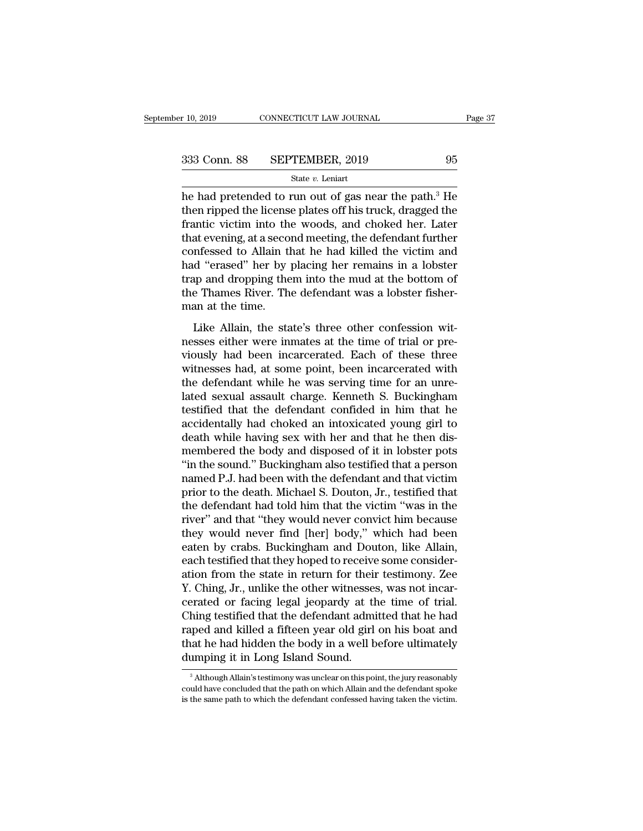$\begin{array}{r}\n \text{F 10, 2019}\n \text{COMNETICUT LAW JOURNAL}\n \end{array}\n \begin{array}{r}\n \text{Page 37}\n \text{Base 38}\n \text{SEPTEMBER, 2019}\n \text{State } v. \text{ Leninat}\n \end{array}\n \text{State } v. \text{ Leninat}\n \text{The had pretended to run out of gas near the path.<sup>3</sup> He then ripple the license plates off his truck, dragged the frontic victim into the words, and should be a factor of the second.}$ 333 Conn. 88 SEPTEMBER, 2019 95<br>  $\frac{\text{State } v. \text{ Leniat}}{2 \text{the rate } v. \text{ Leniat}}$ <br>
he had pretended to run out of gas near the path.<sup>3</sup> He<br>
then ripped the license plates off his truck, dragged the<br>
frantic victim into the woods, and ch 333 Conn. 88 SEPTEMBER, 2019 95<br>
State v. Leniart<br>
he had pretended to run out of gas near the path.<sup>3</sup> He<br>
then ripped the license plates off his truck, dragged the<br>
frantic victim into the woods, and choked her. Later<br> 333 Conn. 88 SEPTEMBER, 2019 95<br>
State v. Leniart<br>
he had pretended to run out of gas near the path.<sup>3</sup> He<br>
then ripped the license plates off his truck, dragged the<br>
frantic victim into the woods, and choked her. Later<br> State v. Leniart<br>
State v. Leniart<br>
he had pretended to run out of gas near the path.<sup>3</sup> He<br>
then ripped the license plates off his truck, dragged the<br>
frantic victim into the woods, and choked her. Later<br>
that evening, a state  $v$ . Lenart<br>
he had pretended to run out of gas near the path.<sup>3</sup> He<br>
then ripped the license plates off his truck, dragged the<br>
frantic victim into the woods, and choked her. Later<br>
that evening, at a second meetin he had pretended to run out of gas near the path.<sup>3</sup> He<br>then ripped the license plates off his truck, dragged the<br>frantic victim into the woods, and choked her. Later<br>that evening, at a second meeting, the defendant furthe then ripped the license plates off his truck, dragged the frantic victim into the woods, and choked her. Later that evening, at a second meeting, the defendant further confessed to Allain that he had killed the victim and frantic victim into the<br>that evening, at a seco:<br>confessed to Allain th<br>had "erased" her by j<br>trap and dropping the<br>the Thames River. Th<br>man at the time.<br>Like Allain, the sta Infessed to Allain that he had killed the victim and<br>the state's the victim and<br>the state's three other confession wit-<br>state Allain, the state's three other confession wit-<br>sses either were inmates at the time of trial or Followskill to Timahr and the time and direct at the time had<br>had "erased" her by placing her remains in a lobster<br>trap and dropping them into the mud at the bottom of<br>the Thames River. The defendant was a lobster fisher-<br>

rap and dropping them into the mud at the bottom of<br>the Thames River. The defendant was a lobster fisher-<br>man at the time.<br>Like Allain, the state's three other confession wit-<br>nesses either were inmates at the time of tria the Thames River. The defendant was a lobster fisher-<br>man at the time.<br>Like Allain, the state's three other confession wit-<br>nesses either were inmates at the time of trial or pre-<br>viously had been incarcerated. Each of the the Haantes Liver. The defendant was a rosster fisher<br>man at the time.<br>Iike Allain, the state's three other confession wit-<br>nesses either were inmates at the time of trial or pre-<br>viously had been incarcerated. Each of the Like Allain, the state's three other confession wit-<br>nesses either were inmates at the time of trial or pre-<br>viously had been incarcerated. Each of these three<br>witnesses had, at some point, been incarcerated with<br>the defen Like Allain, the state's three other confession wit-<br>nesses either were inmates at the time of trial or pre-<br>viously had been incarcerated. Each of these three<br>witnesses had, at some point, been incarcerated with<br>the defen nesses either were inmates at the time of trial or pre-<br>viously had been incarcerated. Each of these three<br>witnesses had, at some point, been incarcerated with<br>the defendant while he was serving time for an unre-<br>lated sex viously had been incarcerated. Each of these three<br>witnesses had, at some point, been incarcerated with<br>the defendant while he was serving time for an unre-<br>lated sexual assault charge. Kenneth S. Buckingham<br>testified that witnesses had, at some point, been incarcerated with<br>the defendant while he was serving time for an unre-<br>lated sexual assault charge. Kenneth S. Buckingham<br>testified that the defendant confided in him that he<br>accidentally the defendant while he was serving time for an unrelated sexual assault charge. Kenneth S. Buckingham testified that the defendant confided in him that he accidentally had choked an intoxicated young girl to death while ha lated sexual assault charge. Kenneth S. Buckingham<br>testified that the defendant confided in him that he<br>accidentally had choked an intoxicated young girl to<br>death while having sex with her and that he then dis-<br>membered th testified that the defendant confided in him that he accidentally had choked an intoxicated young girl to death while having sex with her and that he then dismembered the body and disposed of it in lobster pots "in the sou accidentally had choked an intoxicated young girl to<br>death while having sex with her and that he then dis-<br>membered the body and disposed of it in lobster pots<br>"in the sound." Buckingham also testified that a person<br>named death while having sex with her and that he then dis-<br>membered the body and disposed of it in lobster pots<br>"in the sound." Buckingham also testified that a person<br>named P.J. had been with the defendant and that victim<br>prio membered the body and disposed of it in lobster pots<br>"in the sound." Buckingham also testified that a person<br>named P.J. had been with the defendant and that victim<br>prior to the death. Michael S. Douton, Jr., testified that "in the sound." Buckingham also testified that a person<br>named P.J. had been with the defendant and that victim<br>prior to the death. Michael S. Douton, Jr., testified that<br>the defendant had told him that the victim "was in t named P.J. had been with the defendant and that victim<br>prior to the death. Michael S. Douton, Jr., testified that<br>the defendant had told him that the victim "was in the<br>river" and that "they would never convict him because prior to the death. Michael S. Douton, Jr., testified that<br>the defendant had told him that the victim "was in the<br>river" and that "they would never convict him because<br>they would never find [her] body," which had been<br>eate the defendant had told him that the victim "was in the river" and that "they would never convict him because<br>they would never find [her] body," which had been<br>eaten by crabs. Buckingham and Douton, like Allain,<br>each testif river" and that "they would never convict him because<br>they would never find [her] body," which had been<br>eaten by crabs. Buckingham and Douton, like Allain,<br>each testified that they hoped to receive some consider-<br>ation fro they would never find [her] body," which had been<br>eaten by crabs. Buckingham and Douton, like Allain,<br>each testified that they hoped to receive some consider-<br>ation from the state in return for their testimony. Zee<br>Y. Chin eaten by crabs. Buckingham and Douton, like Allain,<br>each testified that they hoped to receive some consider-<br>ation from the state in return for their testimony. Zee<br>Y. Ching, Jr., unlike the other witnesses, was not incareach testified that they hoped to receive some consideration from the state in return for their testimony. Zee Y. Ching, Jr., unlike the other witnesses, was not incarcerated or facing legal jeopardy at the time of trial. ation from the state in return for their<br>Y. Ching, Jr., unlike the other witnesses<br>cerated or facing legal jeopardy at th<br>Ching testified that the defendant admi<br>raped and killed a fifteen year old girl<br>that he had hidden Ching testified that the defendant admitted that he had<br>raped and killed a fifteen year old girl on his boat and<br>that he had hidden the body in a well before ultimately<br>dumping it in Long Island Sound.<br><br><br><br><br><br>Although Allain raped and killed a fifteen year old girl on his boat and<br>that he had hidden the body in a well before ultimately<br>dumping it in Long Island Sound.<br> $\frac{3}{100}$ Although Allain's testimony was unclear on this point, the jury

that he had hidden the body in a well before ultimately<br>dumping it in Long Island Sound.<br><sup>3</sup> Although Allain's testimony was unclear on this point, the jury reasonably<br>could have concluded that the path on which Allain and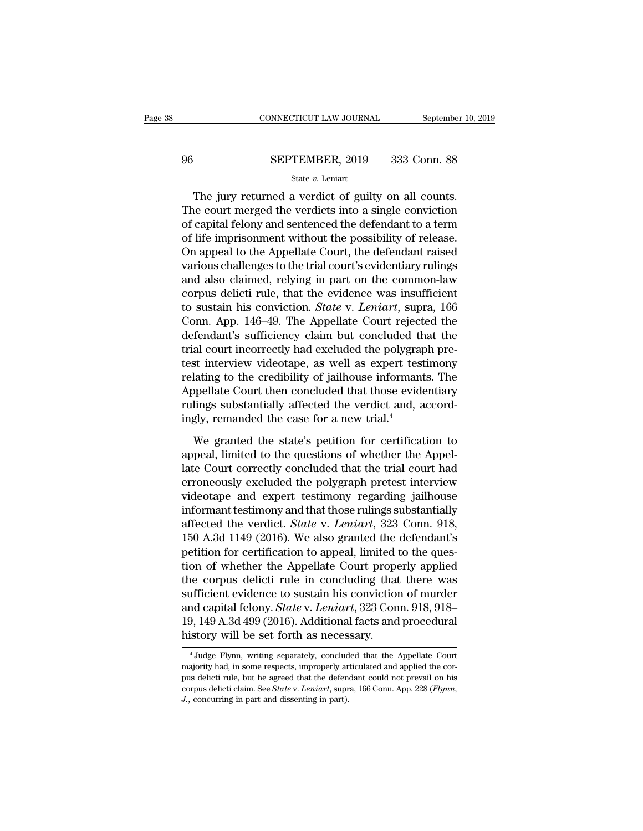# $\begin{tabular}{lll} \multicolumn{2}{l} \multicolumn{2}{l}{{\small\bf CONNECTICUT LAW JOURNAL}} & \multicolumn{2}{l}{September 10, 2019} \\ \hline \hline \multicolumn{2}{l}{\bf SEPTEMBER, 2019} & 333 & \multicolumn{2}{l}{\bf Conn. 88} \\ & \multicolumn{2}{l}{\bf State}\ v. Leniart & \multicolumn{2}{l}{\bf$

### State *v.* Leniart

CONNECTICUT LAW JOURNAL September 10, 2<br>
SEPTEMBER, 2019 333 Conn. 88<br>
State v. Leniart<br>
The jury returned a verdict of guilty on all counts.<br>
The jury returned a verdict of guilty on all counts.<br>
Re court merged the verdi SEPTEMBER, 2019 333 Conn. 88<br>
State  $v$ . Leniart<br>
The jury returned a verdict of guilty on all counts.<br>
The court merged the verdicts into a single conviction<br>
of capital felony and sentenced the defendant to a term<br>
of l **SEPTEMBER, 2019** 333 Conn. 88<br>
State v. Leniart<br>
The jury returned a verdict of guilty on all counts.<br>
The court merged the verdicts into a single conviction<br>
of capital felony and sentenced the defendant to a term<br>
of l **SEPTEMBER, 2019** 333 Conn. 88<br>
state *v*. Leniart<br>
The jury returned a verdict of guilty on all counts.<br>
The court merged the verdicts into a single conviction<br>
of capital felony and sentenced the defendant to a term<br>
of State  $v$ . Leniart<br>
The jury returned a verdict of guilty on all counts.<br>
The court merged the verdicts into a single conviction<br>
of capital felony and sentenced the defendant to a term<br>
of life imprisonment without the p State  $v$ . Lemart<br>The jury returned a verdict of guilty on all counts.<br>The court merged the verdicts into a single conviction<br>of capital felony and sentenced the defendant to a term<br>of life imprisonment without the possib The jury returned a verdict of guilty on all counts.<br>The court merged the verdicts into a single conviction<br>of capital felony and sentenced the defendant to a term<br>of life imprisonment without the possibility of release.<br>O The court merged the verdicts into a single conviction<br>of capital felony and sentenced the defendant to a term<br>of life imprisonment without the possibility of release.<br>On appeal to the Appellate Court, the defendant raised of capital felony and sentenced the defendant to a term<br>of life imprisonment without the possibility of release.<br>On appeal to the Appellate Court, the defendant raised<br>various challenges to the trial court's evidentiary ru of life imprisonment without the possibility of release.<br>On appeal to the Appellate Court, the defendant raised<br>various challenges to the trial court's evidentiary rulings<br>and also claimed, relying in part on the common-la On appeal to the Appellate Court, the defendant raised<br>various challenges to the trial court's evidentiary rulings<br>and also claimed, relying in part on the common-law<br>corpus delicti rule, that the evidence was insufficient various challenges to the trial court's evidentiary rulings<br>and also claimed, relying in part on the common-law<br>corpus delicti rule, that the evidence was insufficient<br>to sustain his conviction. *State* v. *Leniart*, supra and also claimed, relying in part on the common-law<br>corpus delicti rule, that the evidence was insufficient<br>to sustain his conviction. *State* v. *Leniart*, supra, 166<br>Conn. App. 146–49. The Appellate Court rejected the<br>de corpus delicti rule, that the evidence was insufficient<br>to sustain his conviction. *State* v. *Leniart*, supra, 166<br>Conn. App. 146–49. The Appellate Court rejected the<br>defendant's sufficiency claim but concluded that the<br>t to sustain his conviction. *State* v. *Leniart*, supra, 166<br>Conn. App. 146–49. The Appellate Court rejected the<br>defendant's sufficiency claim but concluded that the<br>trial court incorrectly had excluded the polygraph pre-<br> Conn. App. 146–49. The Appellate Court rejected the<br>defendant's sufficiency claim but concluded that the<br>trial court incorrectly had excluded the polygraph pre-<br>test interview videotape, as well as expert testimony<br>relatin defendant's sufficiency claim but concluded the rolly trial court incorrectly had excluded the polygrap test interview videotape, as well as expert test relating to the credibility of jailhouse informant Appellate Court th st interview videotape, as well as expert testimony<br>lating to the credibility of jailhouse informants. The<br>ppellate Court then concluded that those evidentiary<br>lings substantially affected the verdict and, accord-<br>gly, re relating to the credibility of jailhouse informants. The<br>Appellate Court then concluded that those evidentiary<br>rulings substantially affected the verdict and, accord-<br>ingly, remanded the case for a new trial.<sup>4</sup><br>We granted

Appellate Court then concluded that those evidentiary<br>rulings substantially affected the verdict and, accord-<br>ingly, remanded the case for a new trial.<sup>4</sup><br>We granted the state's petition for certification to<br>appeal, limit rulings substantially affected the verdict and, accord-<br>ingly, remanded the case for a new trial.<sup>4</sup><br>We granted the state's petition for certification to<br>appeal, limited to the questions of whether the Appel-<br>late Court co ingly, remanded the case for a new trial.<sup>4</sup><br>We granted the state's petition for certification to<br>appeal, limited to the questions of whether the Appel-<br>late Court correctly concluded that the trial court had<br>erroneously We granted the state's petition for certification to<br>appeal, limited to the questions of whether the Appel-<br>late Court correctly concluded that the trial court had<br>erroneously excluded the polygraph pretest interview<br>vide We granted the state's petition for certification to<br>appeal, limited to the questions of whether the Appel-<br>late Court correctly concluded that the trial court had<br>erroneously excluded the polygraph pretest interview<br>video appeal, limited to the questions of whether the Appellate Court correctly concluded that the trial court had<br>erroneously excluded the polygraph pretest interview<br>videotape and expert testimony regarding jailhouse<br>informant late Court correctly concluded that the trial court had<br>erroneously excluded the polygraph pretest interview<br>videotape and expert testimony regarding jailhouse<br>informant testimony and that those rulings substantially<br>affec erroneously excluded the polygraph pretest interview<br>videotape and expert testimony regarding jailhouse<br>informant testimony and that those rulings substantially<br>affected the verdict. *State* v. *Leniart*, 323 Conn. 918,<br>15 videotape and expert testimony regarding jailhouse<br>informant testimony and that those rulings substantially<br>affected the verdict. *State* v. *Leniart*, 323 Conn. 918,<br>150 A.3d 1149 (2016). We also granted the defendant's<br> informant testimony and that those rulings substantially<br>affected the verdict. *State* v. *Leniart*, 323 Conn. 918,<br>150 A.3d 1149 (2016). We also granted the defendant's<br>petition for certification to appeal, limited to th affected the verdict. *State* v. *Leniart*, 323 Conn. 918, 150 A.3d 1149 (2016). We also granted the defendant's petition for certification to appeal, limited to the question of whether the Appellate Court properly applied 150 A.3d 1149 (2016). We also granted the defendant's<br>petition for certification to appeal, limited to the ques-<br>tion of whether the Appellate Court properly applied<br>the corpus delicti rule in concluding that there was<br>suf petition for certification to appeal, limited it<br>tion of whether the Appellate Court prope<br>the corpus delicti rule in concluding that<br>sufficient evidence to sustain his conviction<br>and capital felony. *State* v. Leniart, 32 sufficient evidence to sustain his conviction of murder<br>and capital felony. *State* v. *Leniart*, 323 Conn. 918, 918–<br>19, 149 A.3d 499 (2016). Additional facts and procedural<br>history will be set forth as necessary.<br> $\frac{4 \$ and capital felony. *State* v. *Leniart*, 323 Conn. 918, 918–19, 149 A.3d 499 (2016). Additional facts and procedural history will be set forth as necessary.<br><sup>4</sup> Judge Flynn, writing separately, concluded that the Appellat

<sup>19, 149</sup> A.3d 499 (2016). Additional facts and procedural<br>history will be set forth as necessary.<br> $^{4}$ Judge Flynn, writing separately, concluded that the Appellate Court<br>majority had, in some respects, improperly articula corpus delicti claim. Writing separately, concluded that the Appellate Court majority had, in some respects, improperly articulated and applied the corpus delicti rule, but he agreed that the defendant could not prevail on *J.* Judge Flynn, writing separately, concluded and all and all and majority had, in some respects, improperly are pus delicti rule, but he agreed that the defend corpus delicti claim. See *State v. Leniart*, supr J., conc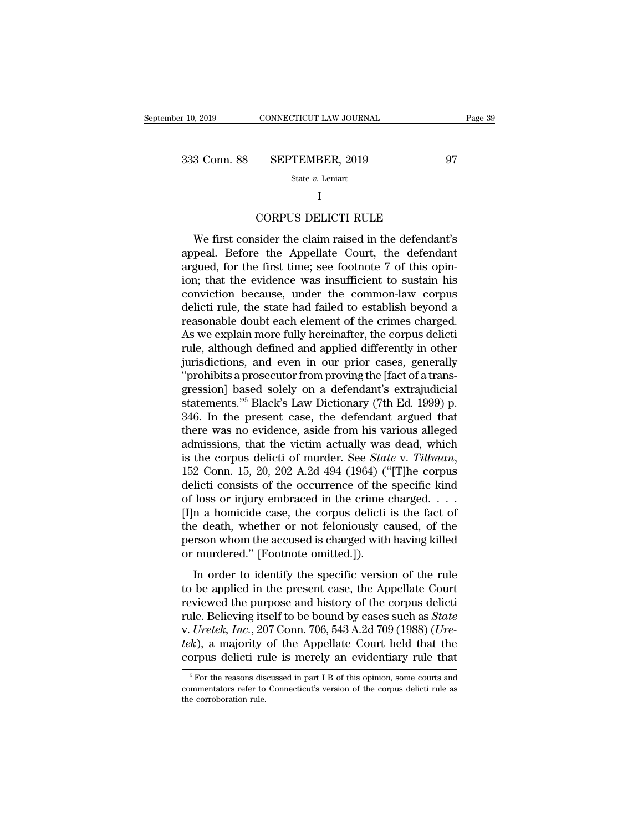$\begin{array}{r}\n \text{r } 10, 2019 \quad \text{CONNECTICUT LAW JOURNAL} \quad \text{Page } 39 \\
 \hline\n 333 \quad \text{Conn. } 88 \quad \text{SEPTEMBER, } 2019 \quad \text{State } v. \text{Leniat}\n \end{array}$ 

State *v.* Leniart

### I

SEPTEMBER, 2019<br>
State v. Leniart<br>
I<br>
CORPUS DELICTI RULE<br>
sider the claim raised in the defendant'  $\begin{array}{r} \text{3 Conn. } \text{88} \quad \text{SEPTEMBER, } 2019 \quad \text{97} \ \text{State } v. \text{ Leniart} \ \text{I} \ \text{CORPUS DELICTI RULE} \ \text{We first consider the claim raised in the defendant's}\ \text{peak. } \text{Before the Appellate Court, the defendant}\ \text{dued for the first time: } \text{see } \text{footnote } \text{7 of this coin} \end{array}$ State v. Leniart<br>
I<br>
CORPUS DELICTI RULE<br>
We first consider the claim raised in the defendant's<br>
appeal. Before the Appellate Court, the defendant<br>
argued, for the first time; see footnote 7 of this opin-<br>
ion: that the e  $\frac{1}{2}$  CORPUS DELICTI RULE<br>
We first consider the claim raised in the defendant's<br>
appeal. Before the Appellate Court, the defendant<br>
argued, for the first time; see footnote 7 of this opin-<br>
ion; that the evidence was I<br>CORPUS DELICTI RULE<br>We first consider the claim raised in the defendant's<br>appeal. Before the Appellate Court, the defendant<br>argued, for the first time; see footnote 7 of this opin-<br>ion; that the evidence was insufficient CORPUS DELICTI RULE<br>We first consider the claim raised in the defendant's<br>appeal. Before the Appellate Court, the defendant<br>argued, for the first time; see footnote 7 of this opin-<br>ion; that the evidence was insufficient t We first consider the claim raised in the defendant's<br>appeal. Before the Appellate Court, the defendant<br>argued, for the first time; see footnote 7 of this opin-<br>ion; that the evidence was insufficient to sustain his<br>convic We first consider the claim raised in the defendant's<br>appeal. Before the Appellate Court, the defendant<br>argued, for the first time; see footnote 7 of this opin-<br>ion; that the evidence was insufficient to sustain his<br>convic appeal. Before the Appellate Court, the defendant<br>argued, for the first time; see footnote 7 of this opin-<br>ion; that the evidence was insufficient to sustain his<br>conviction because, under the common-law corpus<br>delicti rule argued, for the first time; see footnote 7 of this opin-<br>ion; that the evidence was insufficient to sustain his<br>conviction because, under the common-law corpus<br>delicti rule, the state had failed to establish beyond a<br>reaso ion; that the evidence was insufficient to sustain his conviction because, under the common-law corpus delicti rule, the state had failed to establish beyond a reasonable doubt each element of the crimes charged.<br>As we exp conviction because, under the common-law corpus<br>
delicti rule, the state had failed to establish beyond a<br>
reasonable doubt each element of the crimes charged.<br>
As we explain more fully hereinafter, the corpus delicti<br>
rul delicti rule, the state had failed to establish beyond a<br>reasonable doubt each element of the crimes charged.<br>As we explain more fully hereinafter, the corpus delicti<br>rule, although defined and applied differently in other reasonable doubt each element of the crimes charged.<br>As we explain more fully hereinafter, the corpus delicti<br>rule, although defined and applied differently in other<br>jurisdictions, and even in our prior cases, generally<br>"p As we explain more fully hereinafter, the corpus delicti<br>rule, although defined and applied differently in other<br>jurisdictions, and even in our prior cases, generally<br>"prohibits a prosecutor from proving the [fact of a tra rule, although defined and applied differently in other<br>jurisdictions, and even in our prior cases, generally<br>"prohibits a prosecutor from proving the [fact of a trans-<br>gression] based solely on a defendant's extrajudicial jurisdictions, and even in our prior cases, generally<br>
"prohibits a prosecutor from proving the [fact of a transgression] based solely on a defendant's extrajudicial<br>
statements."<sup>5</sup> Black's Law Dictionary (7th Ed. 1999) "prohibits a prosecutor from proving the [fact of a transgression] based solely on a defendant's extrajudicial<br>statements."<sup>5</sup> Black's Law Dictionary (7th Ed. 1999) p.<br>346. In the present case, the defendant argued that<br>th statements."<sup>5</sup> Black's Law Dictionary (7th Ed. 1999) p.<br>346. In the present case, the defendant argued that<br>there was no evidence, aside from his various alleged<br>admissions, that the victim actually was dead, which<br>is th 346. In the present case, the defendant argued that<br>there was no evidence, aside from his various alleged<br>admissions, that the victim actually was dead, which<br>is the corpus delicti of murder. See *State* v. *Tillman*,<br>152 there was no evidence, aside from his various alleged admissions, that the victim actually was dead, which<br>is the corpus delicti of murder. See *State* v. *Tillman*,<br>152 Conn. 15, 20, 202 A.2d 494 (1964) ("[T]he corpus<br>de admissions, that the victim actually was dead, which<br>is the corpus delicti of murder. See *State* v. *Tillman*,<br>152 Conn. 15, 20, 202 A.2d 494 (1964) ("[T]he corpus<br>delicti consists of the occurrence of the specific kind<br> is the corpus delicti of murder. See *State* v. *Tillman*, 152 Conn. 15, 20, 202 A.2d 494 (1964) ("[T]he corpus delicti consists of the occurrence of the specific kind of loss or injury embraced in the crime charged.  $\dots$ 152 Conn. 15, 20, 202 A.2d 494 (1964) ("<br>delicti consists of the occurrence of the<br>of loss or injury embraced in the crime  $\alpha$ <br>[I]n a homicide case, the corpus delicti<br>the death, whether or not feloniously c:<br>person whom In a homicide case, the correlation of the specific version of the fact of e death, whether or not feloniously caused, of the rson whom the accused is charged with having killed murdered." [Footnote omitted.]).<br>In order t II] a homicide case, the corpus delicti is the fact of<br>the death, whether or not feloniously caused, of the<br>person whom the accused is charged with having killed<br>or murdered." [Footnote omitted.]).<br>In order to identify th

the death, whether or not feloniously caused, of the<br>person whom the accused is charged with having killed<br>or murdered." [Footnote omitted.]).<br>In order to identify the specific version of the rule<br>to be applied in the pre rule deals, whencef of hot reformodally caused, of the<br>person whom the accused is charged with having killed<br>or murdered." [Footnote omitted.]).<br>In order to identify the specific version of the rule<br>to be applied in the pr or murdered." [Footnote omitted.]).<br>In order to identify the specific version of the rule<br>to be applied in the present case, the Appellate Court<br>reviewed the purpose and history of the corpus delicti<br>rule. Believing itself In order to identify the specific version of the rule<br>to be applied in the present case, the Appellate Court<br>reviewed the purpose and history of the corpus delicti<br>rule. Believing itself to be bound by cases such as *State* In order to identify the specific version of the rule<br>to be applied in the present case, the Appellate Court<br>reviewed the purpose and history of the corpus delicti<br>rule. Believing itself to be bound by cases such as *Stat* the Belleving itself to be bound by cases such as *State* Uretek, Inc., 207 Conn. 706, 543 A.2d 709 (1988) (Ure-<br>k), a majority of the Appellate Court held that the prpus delicti rule is merely an evidentiary rule that  $\$ v. Uretek, Inc., 207 Conn. 706, 543 A.2d 709 (1988) (Uretek), a majority of the Appellate Court held that the corpus delicti rule is merely an evidentiary rule that  $\frac{1}{16}$  For the reasons discussed in part I B of this tek), a majority<br>corpus delicti ru<br> $\frac{1}{100}$ <br> $\frac{1}{100}$  For the reasons discommentators refer to<br>the corroboration rule.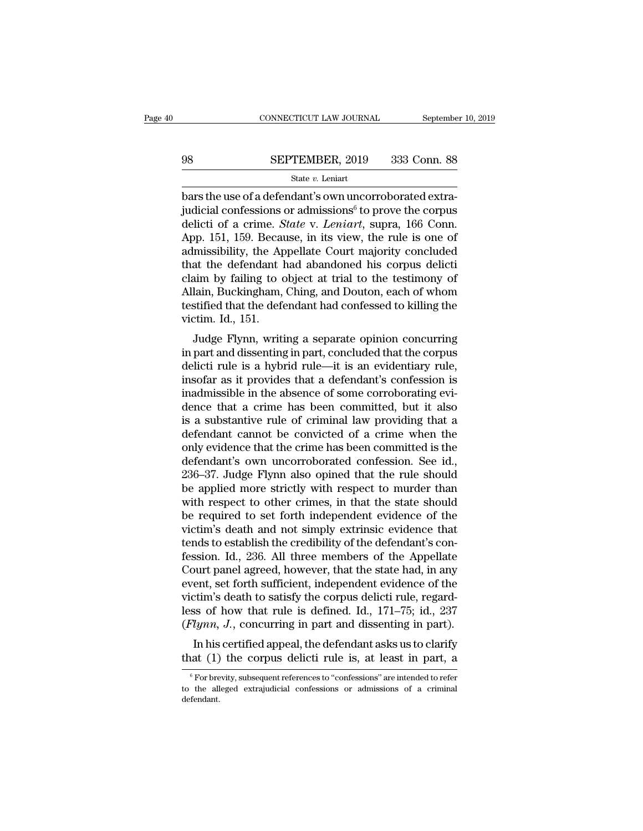# $\begin{tabular}{lll} \multicolumn{2}{l} \multicolumn{2}{l}{{\small\bf CONNECTICUT LAW JOURNAL}} & \multicolumn{2}{l}{\small \bf September~10, 2019} \\\\ 98 & \multicolumn{2}{l}{\bf SEPTEMBER, 2019} & 333 & \multicolumn{2}{l}{\bf Conn.~88} \\\\ \hline & {\bf State}\ v. {\bf Leniart} & \end{tabular}$

### State *v.* Leniart

**bars the use of a defendant's own uncorroborated extra-**<br>deliction of a defendant's own uncorroborated extra-<br>judicial confessions or admissions<sup>6</sup> to prove the corpus deliction of a crime. *State v. Leniart*, supra, 166 SEPTEMBER, 2019 333 Conn. 88<br>
State v. Leniart<br>
bars the use of a defendant's own uncorroborated extra-<br>
judicial confessions or admissions<sup>6</sup> to prove the corpus<br>
delicti of a crime. *State* v. Leniart, supra, 166 Conn.<br> SEPTEMBER, 2019 333 Conn. 88<br>
State *v*. Leniart<br>
bars the use of a defendant's own uncorroborated extra-<br>
judicial confessions or admissions<sup>6</sup> to prove the corpus<br>
delicti of a crime. *State* v. *Leniart*, supra, 166 Con SEPTEMBER, 2019 333 Conn. 88<br>
State v. Leniart<br>
bars the use of a defendant's own uncorroborated extra-<br>
judicial confessions or admissions<sup>6</sup> to prove the corpus<br>
delicti of a crime. *State* v. *Leniart*, supra, 166 Conn SEE TERESTRY TO SASE CORRECTS<br>
State v. Leniart<br>
bars the use of a defendant's own uncorroborated extra-<br>
judicial confessions or admissions<sup>6</sup> to prove the corpus<br>
delicti of a crime. *State* v. Leniart, supra, 166 Conn. state v. Lenart<br>
bars the use of a defendant's own uncorroborated extra-<br>
judicial confessions or admissions<sup>6</sup> to prove the corpus<br>
delicti of a crime. *State* v. *Leniart*, supra, 166 Conn.<br>
App. 151, 159. Because, in i bars the use of a defendant's own uncorroborated extra-<br>judicial confessions or admissions<sup>6</sup> to prove the corpus<br>delicti of a crime. *State* v. *Leniart*, supra, 166 Conn.<br>App. 151, 159. Because, in its view, the rule is judicial confessions or admissions<sup>6</sup> to prove the corpus<br>delicti of a crime. *State* v. *Leniart*, supra, 166 Conn.<br>App. 151, 159. Because, in its view, the rule is one of<br>admissibility, the Appellate Court majority concl delicti of a crime. *State* v. *Leniart*, supra, 166 Conn.<br>App. 151, 159. Because, in its view, the rule is one of<br>admissibility, the Appellate Court majority concluded<br>that the defendant had abandoned his corpus delicti<br>c App. 151, 159. Becau<br>admissibility, the Ap<br>that the defendant l<br>claim by failing to c<br>Allain, Buckingham,<br>testified that the defe<br>victim. Id., 151.<br>Judge Flynn, writi Internal and distributed and distributed at the defendant had abandoned his corpus deliction<br>im by failing to object at trial to the testimony of<br>lain, Buckingham, Ching, and Douton, each of whom<br>stified that the defendant In the defendant had abandoned instituted claim by failing to object at trial to the testimony of<br>Allain, Buckingham, Ching, and Douton, each of whom<br>testified that the defendant had confessed to killing the<br>victim. Id., 1

claim by laining to object at that to the testhilony of<br>Allain, Buckingham, Ching, and Douton, each of whom<br>testified that the defendant had confessed to killing the<br>victim. Id., 151.<br>Judge Flynn, writing a separate opinio Anam, Buckingham, Ching, and Douton, each of whom<br>testified that the defendant had confessed to killing the<br>victim. Id., 151.<br>Judge Flynn, writing a separate opinion concurring<br>in part and dissenting in part, concluded tha increasured that the defendant had comessed to kning the<br>victim. Id., 151.<br>Judge Flynn, writing a separate opinion concurring<br>in part and dissenting in part, concluded that the corpus<br>delicti rule is a hybrid rule—it is an Judge Flynn, writing a separate opinion concurring<br>in part and dissenting in part, concluded that the corpus<br>delicti rule is a hybrid rule—it is an evidentiary rule,<br>insofar as it provides that a defendant's confession is Judge Flynn, writing a separate opinion concurring<br>in part and dissenting in part, concluded that the corpus<br>delicti rule is a hybrid rule—it is an evidentiary rule,<br>insofar as it provides that a defendant's confession is<br> in part and dissenting in part, concluded that the corpus<br>delicti rule is a hybrid rule—it is an evidentiary rule,<br>insofar as it provides that a defendant's confession is<br>inadmissible in the absence of some corroborating e delicti rule is a hybrid rule—it is an evidentiary rule,<br>insofar as it provides that a defendant's confession is<br>inadmissible in the absence of some corroborating evi-<br>dence that a crime has been committed, but it also<br>is insofar as it provides that a defendant's confession is<br>inadmissible in the absence of some corroborating evi-<br>dence that a crime has been committed, but it also<br>is a substantive rule of criminal law providing that a<br>defen inadmissible in the absence of some corroborating evidence that a crime has been committed, but it also<br>is a substantive rule of criminal law providing that a<br>defendant cannot be convicted of a crime when the<br>only evidence dence that a crime has been committed, but it also<br>is a substantive rule of criminal law providing that a<br>defendant cannot be convicted of a crime when the<br>only evidence that the crime has been committed is the<br>defendant's is a substantive rule of criminal law providing that a<br>defendant cannot be convicted of a crime when the<br>only evidence that the crime has been committed is the<br>defendant's own uncorroborated confession. See id.,<br>236–37. Ju defendant cannot be convicted of a crime when the<br>only evidence that the crime has been committed is the<br>defendant's own uncorroborated confession. See id.,<br>236–37. Judge Flynn also opined that the rule should<br>be applied m only evidence that the crime has been committed is the<br>defendant's own uncorroborated confession. See id.,<br>236–37. Judge Flynn also opined that the rule should<br>be applied more strictly with respect to murder than<br>with resp defendant's own uncorroborated confession. See id.,<br>236–37. Judge Flynn also opined that the rule should<br>be applied more strictly with respect to murder than<br>with respect to other crimes, in that the state should<br>be requir 236–37. Judge Flynn also opined that the rule should<br>be applied more strictly with respect to murder than<br>with respect to other crimes, in that the state should<br>be required to set forth independent evidence of the<br>victim's be applied more strictly with respect to murder than<br>with respect to other crimes, in that the state should<br>be required to set forth independent evidence of the<br>victim's death and not simply extrinsic evidence that<br>tends t with respect to other crimes, in that the state should<br>be required to set forth independent evidence of the<br>victim's death and not simply extrinsic evidence that<br>tends to establish the credibility of the defendant's con-<br>f be required to set forth independent evidence of the victim's death and not simply extrinsic evidence that tends to establish the credibility of the defendant's confession. Id., 236. All three members of the Appellate Cou victim's death and not simply extrinsic evidence that<br>tends to establish the credibility of the defendant's con-<br>fession. Id., 236. All three members of the Appellate<br>Court panel agreed, however, that the state had, in any tends to establish the credibility of the defendant's confession. Id., 236. All three members of the Appellate Court panel agreed, however, that the state had, in any event, set forth sufficient, independent evidence of th Solon. Id., 250. All three members of the Appendence<br>burt panel agreed, however, that the state had, in any<br>ent, set forth sufficient, independent evidence of the<br>tim's death to satisfy the corpus delicti rule, regard-<br>ss bount pairer agreed, nowever, that the state had, in any<br>event, set forth sufficient, independent evidence of the<br>victim's death to satisfy the corpus delicti rule, regard-<br>less of how that rule is defined. Id., 171–75; i

Flynn, J., concurring in part and dissenting in part).<br>In his certified appeal, the defendant asks us to clarify<br>at (1) the corpus delicti rule is, at least in part, a<br><sup>6</sup>For brevity, subsequent references to "confessions

<sup>(</sup>*Fighth*, *J.*, concurring in part and disseming in part).<br>In his certified appeal, the defendant asks us to clarify<br>that (1) the corpus delicti rule is, at least in part, a<br><sup>6</sup>For brevity, subsequent references to "conf defendant.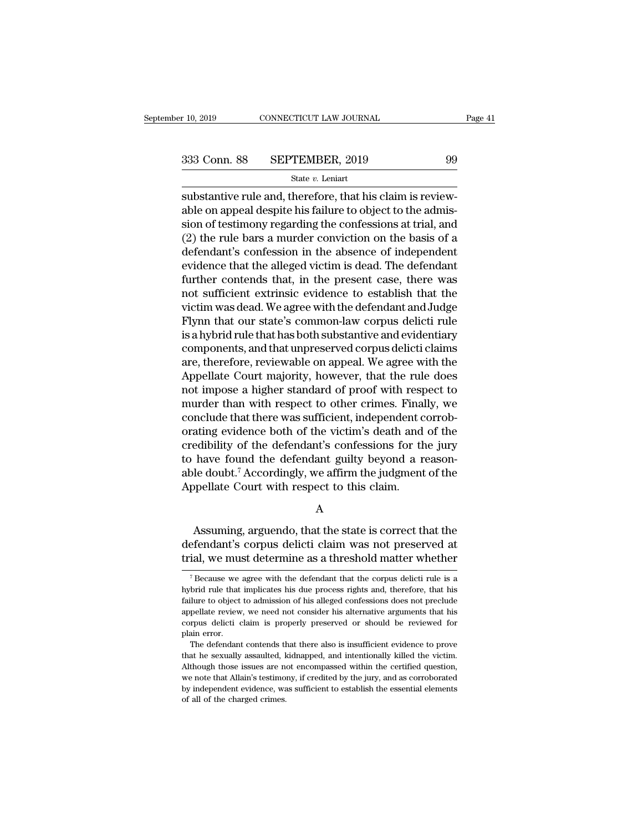$\begin{array}{ccc}\n \text{SUS} & \text{COMNETICUT LAW JOURNAL} \\
 \hline\n 333 & \text{Conn. } 88 & \text{SEPTEMBER, } 2019 & 99 \\
 \hline\n 333 & \text{Stan. } 88 & \text{SEPTEMBER, } 2019 & 99 \\
 \hline\n 333 & \text{Starive rule and, therefore, that his claim is reviewable on appeal despite his failure to object to the admission of the following.}\n \end{array}$ 333 Conn. 88 SEPTEMBER, 2019 99<br>  $\frac{\text{State } v. \text{ Leniat}}{\text{subset}}$ <br>
substantive rule and, therefore, that his claim is review-<br>
able on appeal despite his failure to object to the admis-<br>
sion of testimony regarding the confessions 333 Conn. 88 SEPTEMBER, 2019 99<br>
State v. Leniart<br>
substantive rule and, therefore, that his claim is review-<br>
substantive rule and, therefore, that his claim is review-<br>
substantive rule and despite his failure to object 333 Conn. 88 SEPTEMBER, 2019 99<br>
State *v*. Leniart<br>
substantive rule and, therefore, that his claim is review-<br>
able on appeal despite his failure to object to the admis-<br>
sion of testimony regarding the confessions at t State  $v$ . Leniart<br>
substantive rule and, therefore, that his claim is reviewable on appeal despite his failure to object to the admission of testimony regarding the confessions at trial, and (2) the rule bars a murder co substantive rule and, therefore, that his claim is reviewable on appeal despite his failure to object to the admission of testimony regarding the confessions at trial, and (2) the rule bars a murder conviction on the basi substantive rule and, therefore, that his claim is reviewable on appeal despite his failure to object to the admission of testimony regarding the confessions at trial, and (2) the rule bars a murder conviction on the basis able on appeal despite his failure to object to the admission of testimony regarding the confessions at trial, and (2) the rule bars a murder conviction on the basis of a defendant's confession in the absence of independen sion of testimony regarding the confessions at trial, and<br>(2) the rule bars a murder conviction on the basis of a<br>defendant's confession in the absence of independent<br>evidence that the alleged victim is dead. The defendant (2) the rule bars a murder conviction on the basis of a<br>defendant's confession in the absence of independent<br>evidence that the alleged victim is dead. The defendant<br>further contends that, in the present case, there was<br>not defendant's confession in the absence of independent<br>evidence that the alleged victim is dead. The defendant<br>further contends that, in the present case, there was<br>not sufficient extrinsic evidence to establish that the<br>vic evidence that the alleged victim is dead. The defendant<br>further contends that, in the present case, there was<br>not sufficient extrinsic evidence to establish that the<br>victim was dead. We agree with the defendant and Judge<br>F further contends that, in the present case, there was<br>not sufficient extrinsic evidence to establish that the<br>victim was dead. We agree with the defendant and Judge<br>Flynn that our state's common-law corpus delicti rule<br>is not sufficient extrinsic evidence to establish that the<br>victim was dead. We agree with the defendant and Judge<br>Flynn that our state's common-law corpus delicti rule<br>is a hybrid rule that has both substantive and evidentiar victim was dead. We agree with the defendant and Judge<br>Flynn that our state's common-law corpus delicti rule<br>is a hybrid rule that has both substantive and evidentiary<br>components, and that unpreserved corpus delicti claims Flynn that our state's common-law corpus delicti rule<br>is a hybrid rule that has both substantive and evidentiary<br>components, and that unpreserved corpus delicti claims<br>are, therefore, reviewable on appeal. We agree with th is a hybrid rule that has both substantive and evidentiary<br>components, and that unpreserved corpus delicti claims<br>are, therefore, reviewable on appeal. We agree with the<br>Appellate Court majority, however, that the rule doe components, and that unpreserved corpus delicti claims<br>are, therefore, reviewable on appeal. We agree with the<br>Appellate Court majority, however, that the rule does<br>not impose a higher standard of proof with respect to<br>mur are, therefore, reviewable on appeal. We agree with the<br>Appellate Court majority, however, that the rule does<br>not impose a higher standard of proof with respect to<br>murder than with respect to other crimes. Finally, we<br>conc Appellate Court majority, however, that the rule does<br>not impose a higher standard of proof with respect to<br>murder than with respect to other crimes. Finally, we<br>conclude that there was sufficient, independent corrob-<br>orat not impose a higher standard of proof with respect to<br>murder than with respect to other crimes. Finally, we<br>conclude that there was sufficient, independent corrob-<br>orating evidence both of the victim's death and of the<br>cre murder than with respect to other crimes. Final<br>conclude that there was sufficient, independent c<br>orating evidence both of the victim's death and<br>credibility of the defendant's confessions for th<br>to have found the defendan edibility of the defendant's confessions for the jury<br>have found the defendant guilty beyond a reason-<br>le doubt.<sup>7</sup> Accordingly, we affirm the judgment of the<br>ppellate Court with respect to this claim.<br>A<br>Assuming, arguendo

A

to have found the defendant guilty beyond a reasonable doubt.<sup>7</sup> Accordingly, we affirm the judgment of the Appellate Court with respect to this claim.<br>A<br>A<br>Assuming, arguendo, that the state is correct that the defendant's able doubt.' Accordingly, we affirm the judgment of the<br>Appellate Court with respect to this claim.<br>A<br>Assuming, arguendo, that the state is correct that the<br>defendant's corpus delicti claim was not preserved at<br>trial, we m Assuming, arguendo, that the state is correct that the efendant's corpus delicti claim was not preserved at ial, we must determine as a threshold matter whether  $\frac{7}{7}$  Because we agree with the defendant that the corpu Assuming, arguendo, that the state is correct that the defendant's corpus delicti claim was not preserved at trial, we must determine as a threshold matter whether  $\frac{7}{18}$  Because we agree with the defendant that the c

defendant's corpus delicti claim was not preserved at<br>trial, we must determine as a threshold matter whether<br><sup>7</sup>Because we agree with the defendant that the corpus delicti rule is a<br>hybrid rule that implicates his due proc Trial, we must determine as a threshold matter whether<br>
<sup>7</sup> Because we agree with the defendant that the corpus delicti rule is a<br>
hybrid rule that implicates his due process rights and, therefore, that his<br>
failure to obj The cause we agree with the defendant that the corpus delicti rule is a hybrid rule that implicates his due process rights and, therefore, that his failure to object to admission of his alleged confessions does not preclud <sup>7</sup> Because we<br>hybrid rule that<br>failure to object<br>appellate review<br>corpus delicti c<br>plain error.<br>The defendant brid rule that implicates his due process rights and, therefore, that his blure to object to admission of his alleged confessions does not preclude pellate review, we need not consider his alternative arguments that his pr failure to object to admission of his alleged confessions does not preclude appellate review, we need not consider his alternative arguments that his corpus delicti claim is properly preserved or should be reviewed for pla

appellate review, we need not consider his alternative arguments that his corpus delicti claim is properly preserved or should be reviewed for plain error.<br>The defendant contends that there also is insufficient evidence to expressive distribution in the state of the distribution of the existence of plain error.<br>The defendant contends that there also is insufficient evidence to prove<br>that he sexually assaulted, kidnapped, and intentionally ki by independent exists and the property preserved of should be fortened for proplain error.<br>The defendant contends that there also is insufficient evidence to prove<br>that he sexually assaulted, kidnapped, and intentionally k The defendant contends that he sexually assaulted, lead<br>Although those issues are now note that Allain's testimo:<br>by independent evidence, was<br>of all of the charged crimes.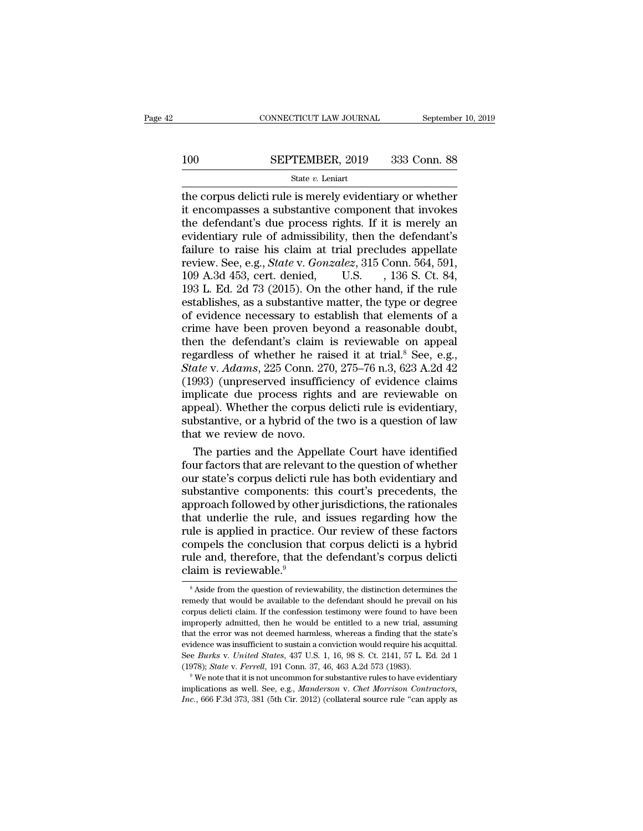# $\begin{tabular}{ll} \multicolumn{2}{l} \multicolumn{2}{c}{\text{CONNECTICUT LAW JOURNAL}} & \multicolumn{2}{c}{\text{September 10, 2019}}\\ \cline{2-2} \multicolumn{2}{c}{\text{COMNECTICUT LAW JOURNAL}} & \multicolumn{2}{c}{\text{September 10, 2019}}\\ \cline{2-2} \multicolumn{2}{c}{\text{StepTEMBER, 2019}} & \multicolumn{2}{c}{\text{333 Conn. 88}}\\ \cline{2-2} \multicolumn{2}{c}{\text{State $v$. Leniart}} & \multicolumn{2}{c}{\text{State $v$.} } \end$

### State *v.* Leniart

CONNECTICUT LAW JOURNAL September 10, 2019<br>
SEPTEMBER, 2019 333 Conn. 88<br>
State v. Leniart<br>
The corpus delicti rule is merely evidentiary or whether<br>
it encompasses a substantive component that invokes<br>
the defendant's due 100 SEPTEMBER, 2019 333 Conn. 88<br>
State v. Leniart<br>
the corpus delicti rule is merely evidentiary or whether<br>
it encompasses a substantive component that invokes<br>
the defendant's due process rights. If it is merely an<br>
ev 100 SEPTEMBER, 2019 333 Conn. 88<br>  $\frac{\text{State } v. \text{ Leniat}}{\text{the corpus} \text{ deliver}}$ <br>
the corpus delicti rule is merely evidentiary or whether<br>
it encompasses a substantive component that invokes<br>
the defendant's due process rights. If it is m EPTEMBER, 2019 333 Conn. 88<br>
State *v*. Leniart<br>
the corpus delicti rule is merely evidentiary or whether<br>
it encompasses a substantive component that invokes<br>
the defendant's due process rights. If it is merely an<br>
evide For the corpus delicti rule is merely evidentiary or whether<br>it encompasses a substantive component that invokes<br>the defendant's due process rights. If it is merely an<br>evidentiary rule of admissibility, then the defendant State *v*. Leniart<br>the corpus delicti rule is merely evidentiary or whether<br>it encompasses a substantive component that invokes<br>the defendant's due process rights. If it is merely an<br>evidentiary rule of admissibility, then the corpus delicti rule is merely evidentiary or whether<br>it encompasses a substantive component that invokes<br>the defendant's due process rights. If it is merely an<br>evidentiary rule of admissibility, then the defendant's<br>fa it encompasses a substantive component that invokes<br>the defendant's due process rights. If it is merely an<br>evidentiary rule of admissibility, then the defendant's<br>failure to raise his claim at trial precludes appellate<br>rev the defendant's due process rights. If it is merely an evidentiary rule of admissibility, then the defendant's failure to raise his claim at trial precludes appellate review. See, e.g., *State* v. *Gonzalez*, 315 Conn. 564 evidentiary rule of admissibility, then the defendant's<br>failure to raise his claim at trial precludes appellate<br>review. See, e.g., *State* v. *Gonzalez*, 315 Conn. 564, 591,<br>109 A.3d 453, cert. denied, U.S. , 136 S. Ct. 84 failure to raise his claim at trial precludes appellate<br>review. See, e.g., *State* v. *Gonzalez*, 315 Conn. 564, 591,<br>109 A.3d 453, cert. denied, U.S., 136 S. Ct. 84,<br>193 L. Ed. 2d 73 (2015). On the other hand, if the rul review. See, e.g., *State* v. *Gonzalez*, 315 Conn. 564, 591, 109 A.3d 453, cert. denied, U.S. , 136 S. Ct. 84, 193 L. Ed. 2d 73 (2015). On the other hand, if the rule establishes, as a substantive matter, the type or deg 109 A.3d 453, cert. denied, U.S. , 136 S. Ct. 84, 193 L. Ed. 2d 73 (2015). On the other hand, if the rule establishes, as a substantive matter, the type or degree of evidence necessary to establish that elements of a crim 193 L. Ed. 2d 73 (2015). On the other hand, if the rule<br>establishes, as a substantive matter, the type or degree<br>of evidence necessary to establish that elements of a<br>crime have been proven beyond a reasonable doubt,<br>then establishes, as a substantive matter, the type or degree<br>of evidence necessary to establish that elements of a<br>crime have been proven beyond a reasonable doubt,<br>then the defendant's claim is reviewable on appeal<br>regardless of evidence necessary to establish that elements of a<br>crime have been proven beyond a reasonable doubt,<br>then the defendant's claim is reviewable on appeal<br>regardless of whether he raised it at trial.<sup>8</sup> See, e.g.,<br>*State* crime have been proven beyond a reasonable doubt,<br>then the defendant's claim is reviewable on appeal<br>regardless of whether he raised it at trial.<sup>8</sup> See, e.g.,<br>*State* v. *Adams*, 225 Conn. 270, 275–76 n.3, 623 A.2d 42<br>(19 then the defendant's claim is reviewable on appeal<br>regardless of whether he raised it at trial.<sup>8</sup> See, e.g.,<br>*State* v. *Adams*, 225 Conn. 270, 275–76 n.3, 623 A.2d 42<br>(1993) (unpreserved insufficiency of evidence claims<br> regardless of whether he rai<br>State v. Adams, 225 Conn. 27(<br>(1993) (unpreserved insuffici<br>implicate due process rights<br>appeal). Whether the corpus of<br>substantive, or a hybrid of the<br>that we review de novo.<br>The parties and t ate v. Adams, 225 Conn. 270, 275–76 n.3, 623 A.2d 42<br>993) (unpreserved insufficiency of evidence claims<br>plicate due process rights and are reviewable on<br>peal). Whether the corpus delicti rule is evidentiary,<br>bstantive, or (1993) (unpreserved insufficiency of evidence claims<br>implicate due process rights and are reviewable on<br>appeal). Whether the corpus delicti rule is evidentiary,<br>substantive, or a hybrid of the two is a question of law<br>that

implicate due process rights and are reviewable on<br>appeal). Whether the corpus delicti rule is evidentiary,<br>substantive, or a hybrid of the two is a question of law<br>that we review de novo.<br>The parties and the Appellate Cou appeal). Whether the corpus delicti rule is evidentiary,<br>substantive, or a hybrid of the two is a question of law<br>that we review de novo.<br>The parties and the Appellate Court have identified<br>four factors that are relevant t substantive, or a hybrid of the two is a question of law<br>that we review de novo.<br>The parties and the Appellate Court have identified<br>four factors that are relevant to the question of whether<br>our state's corpus delicti rule that we review de novo.<br>The parties and the Appellate Court have identified<br>four factors that are relevant to the question of whether<br>our state's corpus delicti rule has both evidentiary and<br>substantive components: this co The parties and the Appellate Court have identified<br>four factors that are relevant to the question of whether<br>our state's corpus delicti rule has both evidentiary and<br>substantive components: this court's precedents, the<br>ap four factors that are relevant to the question of whether<br>our state's corpus delicti rule has both evidentiary and<br>substantive components: this court's precedents, the<br>approach followed by other jurisdictions, the rationa our state's corpus delicti rule has both evidentiary and<br>substantive components: this court's precedents, the<br>approach followed by other jurisdictions, the rationales<br>that underlie the rule, and issues regarding how the<br>ru substantive components: t<br>approach followed by other<br>that underlie the rule, and<br>rule is applied in practice.<br>compels the conclusion that<br>rule and, therefore, that th<br>claim is reviewable.<sup>9</sup> ile is applied in practice. Our review of these factors<br>ompels the conclusion that corpus delicti is a hybrid<br>le and, therefore, that the defendant's corpus delicti<br>aim is reviewable.<sup>9</sup><br><sup>8</sup> Aside from the question of revi compels the conclusion that corpus delicti is a hybrid<br>rule and, therefore, that the defendant's corpus delicti<br>claim is reviewable.<sup>9</sup><br><sup>8</sup> Aside from the question of reviewability, the distinction determines the<br>remedy th

rule and, therefore, that the defendant's corpus delictical<br>claim is reviewable.<sup>9</sup><br>Saside from the question of reviewability, the distinction determines the remedy that would be available to the defendant should he prevai claim is reviewable.<sup>9</sup><br>
<sup>8</sup> Aside from the question of reviewability, the distinction determines the<br>
remedy that would be available to the defendant should he prevail on his<br>
corpus delicti claim. If the confession test Fraction is reviewable.<br>  $\overline{\phantom{a}}$  is Aside from the question of reviewability, the distinction determines the remedy that would be available to the defendant should he prevail on his corpus delicti claim. If the confes <sup>8</sup> Aside from the question of reviewability, the distinction determines the remedy that would be available to the defendant should he prevail on his corpus delicti claim. If the confession testimony were found to have be remedy that would be available to the defendant should he prevail on his corpus delicti claim. If the confession testimony were found to have been improperly admitted, then he would be entitled to a new trial, assuming tha corpus delicti claim. If the confession testimony were found to have been improperly admitted, then he would be entitled to a new trial, assuming that the error was not deemed harmless, whereas a finding that the state's e that the error was not deemed harmless, whereas a finding that the state's evidence was insufficient to sustain a conviction would require his acquittal. See *Burks* v. *United States*, 437 U.S. 1, 16, 98 S. Ct. 2141, 57 evidence was insufficient to sustain a conviction would require his acquittal.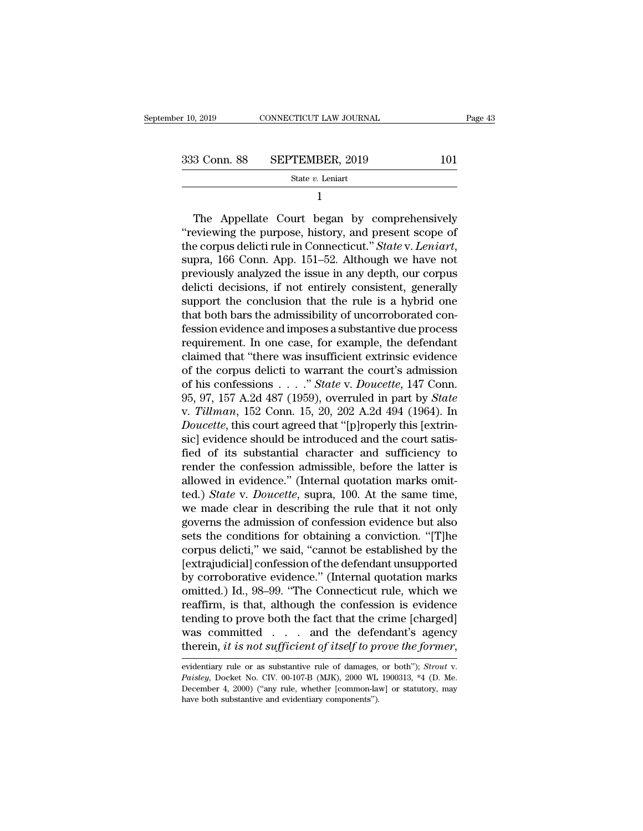$\begin{array}{r}\n 10, 2019 \quad \text{CONNECTICUT LAW JOURNAL} \quad \text{Page 43} \\
 \hline\n 333 \quad \text{Conn. } 88 \quad \text{SEPTEMBER, } 2019 \quad \text{State } v. \text{Leniat}\n \end{array}$ 

State *v.* Leniart

1

 $\begin{array}{r} \text{3 Conn. } \text{88} \quad \text{SEPTEMBER, } 2019 \quad \text{101} \ \text{State } v. \text{ Leniart} \ \text{1} \ \end{array}$ The Appellate Court began by comprehensively<br>
eviewing the purpose, history, and present scope of 333 Conn. 88 SEPTEMBER, 2019 101<br>
State v. Leniart<br>
1<br>
The Appellate Court began by comprehensively<br>
"reviewing the purpose, history, and present scope of<br>
the corpus delicti rule in Connecticut." State v. Leniart,<br>
super The Appellate Court began by comprehensively<br>
The Appellate Court began by comprehensively<br>
"reviewing the purpose, history, and present scope of<br>
the corpus delicti rule in Connecticut." *State* v. *Leniart*,<br>
supra, 166 1<br>
The Appellate Court began by comprehensively<br>
"reviewing the purpose, history, and present scope of<br>
the corpus delicti rule in Connecticut." State v. Leniart,<br>
supra, 166 Conn. App. 151–52. Although we have not<br>
previo The Appellate Court began by comprehensively<br>
"reviewing the purpose, history, and present scope of<br>
the corpus delicti rule in Connecticut." State v. Leniart,<br>
supra, 166 Conn. App. 151–52. Although we have not<br>
previousl The Appellate Court began by comprehensively<br>
"reviewing the purpose, history, and present scope of<br>
the corpus delicti rule in Connecticut." *State v. Leniart*,<br>
supra, 166 Conn. App. 151–52. Although we have not<br>
previou "reviewing the purpose, history, and present scope of<br>the corpus delicti rule in Connecticut." *State* v. Leniart,<br>supra, 166 Conn. App. 151–52. Although we have not<br>previously analyzed the issue in any depth, our corpus<br> the corpus delicti rule in Connecticut." *State* v. *Leniart*, supra, 166 Conn. App. 151–52. Although we have not previously analyzed the issue in any depth, our corpus delicti decisions, if not entirely consistent, genera supra, 166 Conn. App. 151–52. Although we have not<br>previously analyzed the issue in any depth, our corpus<br>delicti decisions, if not entirely consistent, generally<br>support the conclusion that the rule is a hybrid one<br>that b previously analyzed the issue in any depth, our corpus<br>delicti decisions, if not entirely consistent, generally<br>support the conclusion that the rule is a hybrid one<br>that both bars the admissibility of uncorroborated con-<br>f delicti decisions, if not entirely consistent, generally<br>support the conclusion that the rule is a hybrid one<br>that both bars the admissibility of uncorroborated con-<br>fession evidence and imposes a substantive due process<br> support the conclusion that the rule is a hybrid one<br>that both bars the admissibility of uncorroborated con-<br>fession evidence and imposes a substantive due process<br>requirement. In one case, for example, the defendant<br>claim that both bars the admissibility of uncorroborated confession evidence and imposes a substantive due process<br>requirement. In one case, for example, the defendant<br>claimed that "there was insufficient extrinsic evidence<br>of t fession evidence and imposes a substantive due process<br>requirement. In one case, for example, the defendant<br>claimed that "there was insufficient extrinsic evidence<br>of the corpus delicti to warrant the court's admission<br>of requirement. In one case, for example, the defendant<br>claimed that "there was insufficient extrinsic evidence<br>of the corpus delicti to warrant the court's admission<br>of his confessions . . . . " *State* v. *Doucette*, 147 Co claimed that "there was insufficient extrinsic evidence<br>of the corpus delicti to warrant the court's admission<br>of his confessions  $\ldots$ ." *State* v. *Doucette*, 147 Conn.<br>95, 97, 157 A.2d 487 (1959), overruled in part by of the corpus delicti to warrant the court's admission<br>of his confessions . . . ." *State* v. *Doucette*, 147 Conn.<br>95, 97, 157 A.2d 487 (1959), overruled in part by *State*<br>v. *Tillman*, 152 Conn. 15, 20, 202 A.2d 494 (1 of his confessions . . . ." State v. Doucette, 147 Conn.<br>95, 97, 157 A.2d 487 (1959), overruled in part by State<br>v. Tillman, 152 Conn. 15, 20, 202 A.2d 494 (1964). In<br>Doucette, this court agreed that "[p]roperly this [ext 95, 97, 157 A.2d 487 (1959), overruled in part by *State* v. *Tillman*, 152 Conn. 15, 20, 202 A.2d 494 (1964). In *Doucette*, this court agreed that "[p]roperly this [extrinsic] evidence should be introduced and the court v. *Tillman*, 152 Conn. 15, 20, 202 A.2d 494 (1964). In *Doucette*, this court agreed that "[p]roperly this [extrinsic] evidence should be introduced and the court satisfied of its substantial character and sufficiency to Doucette, this court agreed that "[p]roperly this [extrin-<br>sic] evidence should be introduced and the court satis-<br>fied of its substantial character and sufficiency to<br>render the confession admissible, before the latter is sic] evidence should be introduced and the court satisfied of its substantial character and sufficiency to render the confession admissible, before the latter is allowed in evidence." (Internal quotation marks omitted.) *S* fied of its substantial character and sufficiency to<br>render the confession admissible, before the latter is<br>allowed in evidence." (Internal quotation marks omit-<br>ted.) *State* v. *Doucette*, supra, 100. At the same time,<br>w render the confession admissible, before the latter is<br>allowed in evidence." (Internal quotation marks omit-<br>ted.) *State* v. *Doucette*, supra, 100. At the same time,<br>we made clear in describing the rule that it not only<br> allowed in evidence." (Internal quotation marks omit-<br>ted.) *State* v. *Doucette*, supra, 100. At the same time,<br>we made clear in describing the rule that it not only<br>governs the admission of confession evidence but also<br>s ted.) *State* v. *Doucette*, supra, 100. At the same time,<br>we made clear in describing the rule that it not only<br>governs the admission of confession evidence but also<br>sets the conditions for obtaining a conviction. "[T]he<br> we made clear in describing the rule that it not only<br>governs the admission of confession evidence but also<br>sets the conditions for obtaining a conviction. "[T]he<br>corpus delicti," we said, "cannot be established by the<br>[ex governs the admission of confession evidence but also<br>sets the conditions for obtaining a conviction. "[T]he<br>corpus delicti," we said, "cannot be established by the<br>[extrajudicial] confession of the defendant unsupported<br>b sets the conditions for obtaining a conviction. "[T]he<br>corpus delicti," we said, "cannot be established by the<br>[extrajudicial] confession of the defendant unsupported<br>by corroborative evidence." (Internal quotation marks<br> corpus delicti," we said, "cannot be established by the<br>[extrajudicial] confession of the defendant unsupported<br>by corroborative evidence." (Internal quotation marks<br>omitted.) Id., 98–99. "The Connecticut rule, which we<br>re [extrajudicial] confession of the defendant unsupported<br>by corroborative evidence." (Internal quotation marks<br>omitted.) Id., 98–99. "The Connecticut rule, which we<br>reaffirm, is that, although the confession is evidence<br>ten

was committed . . . and the defendant's agency<br>therein, *it is not sufficient of itself to prove the former*,<br>evidentiary rule or as substantive rule of damages, or both"); *Strout* v.<br>*Paisley*, Docket No. CIV. 00-107-B **therein, it is not sufficient of itself to previdentiary rule or as substantive rule of damages,** *Paisley*, Docket No. CIV. 00-107-B (MJK), 2000 WL December 4, 2000) ("any rule, whether [common-law have both substantive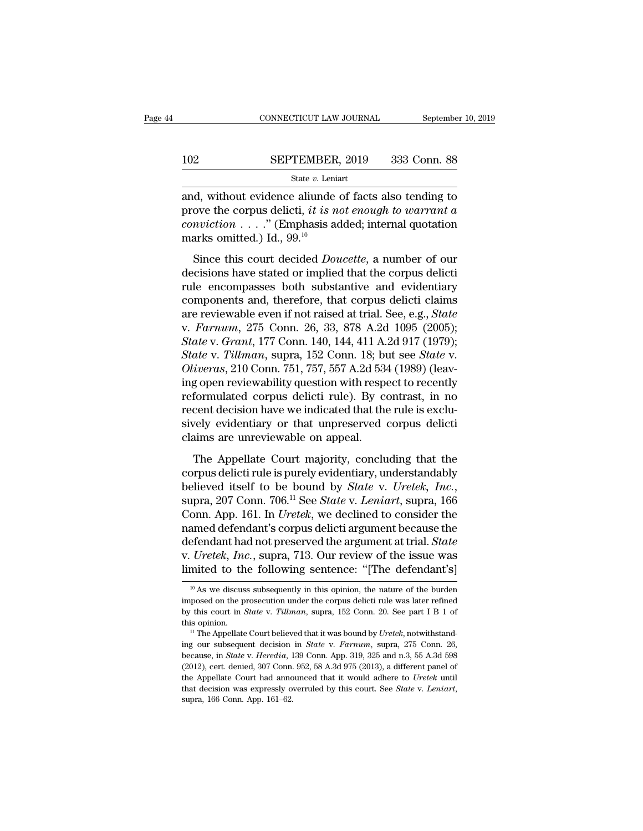### $\begin{tabular}{lll} \multicolumn{2}{l} \multicolumn{2}{l}{{\small\bf CONNECTICUT LAW JOURNAL}} & \multicolumn{2}{l}{September 10, 2019} \\ \multicolumn{2}{l}{\textbf{102}} & \multicolumn{2}{l}{\textbf{SEPTEMBER, 2019}} & \multicolumn{2}{l}{333} & \multicolumn{2}{l}{\textbf{Conn. 88}} \\ & & & & & & \\ & & & & & & \\ \multicolumn{2}{l}{\textbf{State $v$. Leniart}} & & & & \\ \end{tabular}$ State *v.* Leniart

CONNECTICUT LAW JOURNAL September 10, 2019<br> **EPTEMBER**, 2019 333 Conn. 88<br>
State *v*. Leniart<br>
and, without evidence aliunde of facts also tending to<br>
prove the corpus delicti, *it is not enough to warrant a*<br>
conviction **prove the corpus delicti,** *it is not enough to warrant* **and, without evidence aliunde of facts also tending to prove the corpus delicti,** *it is not enough to warrant a***<br>***conviction* **. . . ." (Emphasis added; internal quot** *conviction* . . . .'' (Emphasis added; internal quotation 102 SEPTEMBER<br>
State v. Lenia<br>
and, without evidence aliunde<br>
prove the corpus delicti, *it is n*<br>
conviction . . . . ." (Emphasis at<br>
marks omitted.) Id.,  $99.^{10}$ <br>
Since this court decided *Don* State *v*. Leniart<br>
d, without evidence aliunde of facts also tending to<br>
ove the corpus delicti, *it is not enough to warrant a*<br>
mviction  $\dots$ ." (Emphasis added; internal quotation<br>
arks omitted.) Id.,  $99.^{10}$ <br>
Since and, without evidence aliunde of facts also tending to<br>prove the corpus delicti, *it is not enough to warrant a*<br>*conviction* . . . . . " (Emphasis added; internal quotation<br>marks omitted.) Id., 99.<sup>10</sup><br>Since this court d

material evidence and the of races also tending to<br>prove the corpus delicti, *it is not enough to warrant a*<br>conviction . . . . " (Emphasis added; internal quotation<br>marks omitted.) Id., 99.<sup>10</sup><br>Since this court decided conviction . . . ." (Emphasis added; internal quotation<br>marks omitted.) Id., 99.<sup>10</sup><br>Since this court decided *Doucette*, a number of our<br>decisions have stated or implied that the corpus delicti<br>rule encompasses both subs marks omitted.) Id.,  $99.^{10}$ <br>
Since this court decided *Doucette*, a number of our<br>
decisions have stated or implied that the corpus delicti<br>
rule encompasses both substantive and evidentiary<br>
components and, therefore, Since this court decided *Doucette*, a number of our decisions have stated or implied that the corpus delictive rule encompasses both substantive and evidentiary components and, therefore, that corpus delicti claims are re Since this court decided *Doucette*, a number of our<br>decisions have stated or implied that the corpus delicti<br>rule encompasses both substantive and evidentiary<br>components and, therefore, that corpus delicti claims<br>are revi decisions have stated or implied that the corpus delicti<br>rule encompasses both substantive and evidentiary<br>components and, therefore, that corpus delicti claims<br>are reviewable even if not raised at trial. See, e.g., *State* rule encompasses both substantive and evidentiary<br>components and, therefore, that corpus delicti claims<br>are reviewable even if not raised at trial. See, e.g., *State*<br>v. *Farnum*, 275 Conn. 26, 33, 878 A.2d 1095 (2005);<br>*S* components and, therefore, that corpus delicti claims<br>are reviewable even if not raised at trial. See, e.g., *State*<br>v. Farnum, 275 Conn. 26, 33, 878 A.2d 1095 (2005);<br>*State* v. Grant, 177 Conn. 140, 144, 411 A.2d 917 (19 are reviewable even if not raised at trial. See, e.g., *State*<br>v. Farnum, 275 Conn. 26, 33, 878 A.2d 1095 (2005);<br>*State* v. Grant, 177 Conn. 140, 144, 411 A.2d 917 (1979);<br>*State* v. Tillman, supra, 152 Conn. 18; but see v. Farnum, 275 Conn. 26, 33, 878 A.2d 1095 (2005);<br>State v. Grant, 177 Conn. 140, 144, 411 A.2d 917 (1979);<br>State v. Tillman, supra, 152 Conn. 18; but see State v.<br>Oliveras, 210 Conn. 751, 757, 557 A.2d 534 (1989) (leav-<br>i State v. Grant, 177 Conn. 140, 144, 411 A.2d 917 (1979);<br>State v. Tillman, supra, 152 Conn. 18; but see State v.<br>Oliveras, 210 Conn. 751, 757, 557 A.2d 534 (1989) (leav-<br>ing open reviewability question with respect to rece State v. Tillman, supra, 152 Conn. 18; b.<br>Oliveras, 210 Conn. 751, 757, 557 A.2d 534<br>ing open reviewability question with respe<br>reformulated corpus delicti rule). By co<br>recent decision have we indicated that the<br>sively evi The Appellate Court majority, concluding that the<br>province are decision have we indicated that the rule is exclu-<br>rely evidentiary or that unpreserved corpus delicti<br>aims are unreviewable on appeal.<br>The Appellate Court maj reformulated corpus delicti rule). By contrast, in no<br>recent decision have we indicated that the rule is exclu-<br>sively evidentiary or that unpreserved corpus delicti<br>claims are unreviewable on appeal.<br>The Appellate Court

believed itself to be bound by *State* v. *Uretek*, in *Recent decision have we indicated that the rule is exclusively evidentiary or that unpreserved corpus delicti claims are unreviewable on appeal.<br>The Appellate Court m* Claims are unreviewable on appeal.<br>
The Appellate Court majority, concluding that the<br>
corpus delicti rule is purely evidentiary, understandably<br>
believed itself to be bound by *State v. Uretek*, *Inc.*,<br>
supra, 207 Conn. The Appellate Court majority, concluding that the<br>corpus delicti rule is purely evidentiary, understandably<br>believed itself to be bound by *State* v. *Uretek*, *Inc.*,<br>supra, 207 Conn. 706.<sup>11</sup> See *State* v. *Leniart*, s The Appellate Court majority, concluding that the<br>corpus delicti rule is purely evidentiary, understandably<br>believed itself to be bound by *State* v. *Uretek*, *Inc.*,<br>supra, 207 Conn. 706.<sup>11</sup> See *State* v. *Leniart*, su corpus delicti rule is purely evidentiary, understandably<br>believed itself to be bound by *State v. Uretek, Inc.*,<br>supra, 207 Conn. 706.<sup>11</sup> See *State v. Leniart*, supra, 166<br>Conn. App. 161. In *Uretek*, we declined to con believed itself to be bound by *State v. Uretek, Inc.*, supra, 207 Conn. 706.<sup>11</sup> See *State v. Leniart*, supra, 166 Conn. App. 161. In *Uretek*, we declined to consider the named defendant's corpus delicti argument becau named defendant's corpus delicti argument because the<br>defendant had not preserved the argument at trial. State<br>v. Uretek, Inc., supra, 713. Our review of the issue was<br>limited to the following sentence: "[The defendant's] defendant had not preserved the argument at trial. *State* v. *Uretek*, *Inc.*, supra, 713. Our review of the issue was limited to the following sentence: "[The defendant's]  $\frac{10}{10}$  As we discuss subsequently in this

v. *Uretek*, *Inc.*, supra, 713. Our review of the issue was<br>limited to the following sentence: "[The defendant's]<br><sup>10</sup> As we discuss subsequently in this opinion, the nature of the burden<br>imposed on the prosecution under Imited to the following sentence: "[The defendant's]<br>
<sup>10</sup> As we discuss subsequently in this opinion, the nature of the burden<br>
imposed on the prosecution under the corpus delicti rule was later refined<br>
by this court in <sup>10</sup> As we discuss subsequently in this opinion, the nature of the burden imposed on the prosecution under the corpus delicti rule was later refined by this court in *State* v. *Fillman*, supra, 152 Conn. 20. See part I B

imposed on the prosecution under the corpus delicti rule was later refined<br>by this court in *State* v. *Tillman*, supra, 152 Conn. 20. See part I B 1 of<br>this opinion.<br><sup>11</sup> The Appellate Court believed that it was bound by by this court in *State* v. *Tillman*, supra, 152 Conn. 20. See part I B 1 of this opinion.<br><sup>11</sup> The Appellate Court believed that it was bound by *Uretek*, notwithstanding our subsequent decision in *State* v. *Farnum*, because, in *State* v. *Heredia*, 139 Conn. App. 319, 325 and n.3, 55 A.3d 598 (2012), cert. denied, 307 Conn. 952, 58 A.3d 975 (2013), a different panel of the Appellate Court had announced that it would adhere to *Uretek* <sup>11</sup> The Appellate Court believed that it was bound by *Uretek*, notwithstanding our subsequent decision in *State* v. *Farnum*, supra, 275 Conn. 26, because, in *State* v. *Heredia*, 139 Conn. App. 319, 325 and n.3, 55 A.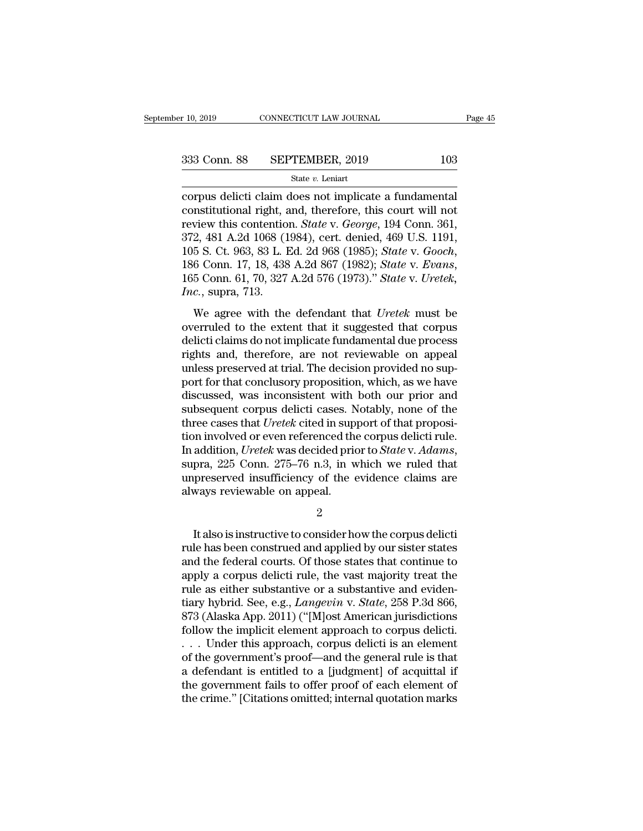corpus delicti claim does not implicate a fundamental<br>corpus delicti claim does not implicate a fundamental<br>constitutional right, and, therefore, this court will not<br>review this contention. State v. George, 104 Conn. 361 333 Conn. 88 SEPTEMBER, 2019 103<br>
State v. Leniart<br>
corpus delicti claim does not implicate a fundamental<br>
constitutional right, and, therefore, this court will not<br>
review this contention. *State v. George*, 194 Conn. 36 For SEPTEMBER, 2019<br>
State *v*. Leniart<br>
Corpus delicti claim does not implicate a fundamental<br>
constitutional right, and, therefore, this court will not<br>
review this contention. *State* v. *George*, 194 Conn. 361,<br>
372, 4 333 Conn. 88 SEPTEMBER, 2019 103<br>
state *v*. Leniart<br>
corpus delicti claim does not implicate a fundamental<br>
constitutional right, and, therefore, this court will not<br>
review this contention. *State* v. *George*, 194 Conn Solution State v. Leniarty, 2018<br>
State v. Leniart<br>
corpus delicti claim does not implicate a fundamental<br>
constitutional right, and, therefore, this court will not<br>
review this contention. *State* v. *George*, 194 Conn. 3 constitutional right, a<br>review this contentio<br>372, 481 A.2d 1068 (1<br>105 S. Ct. 963, 83 L. I<br>186 Conn. 17, 18, 438<br>165 Conn. 61, 70, 327<br>*Inc.*, supra, 713.<br>We agree with the 2, 481 A.2d 1068 (1984), cert. denied, 469 U.S. 1191,<br>2, 481 A.2d 1068 (1984), cert. denied, 469 U.S. 1191,<br>5 S. Ct. 963, 83 L. Ed. 2d 968 (1985); *State v. Gooch*,<br>6 Conn. 17, 18, 438 A.2d 867 (1982); *State v. Evans*,<br>5 105 S. Ct. 963, 83 L. Ed. 2d 968 (1985); *State v. Gooch*, 186 Conn. 17, 18, 438 A.2d 867 (1982); *State v. Evans*, 165 Conn. 61, 70, 327 A.2d 576 (1973)." *State v. Uretek*, *Inc.*, supra, 713.<br>We agree with the defendan

186 Conn. 17, 18, 438 A.2d 867 (1982); State v. Good,<br>186 Conn. 17, 18, 438 A.2d 867 (1982); State v. Evans,<br>165 Conn. 61, 70, 327 A.2d 576 (1973)." State v. Uretek,<br>*Inc.*, supra, 713.<br>We agree with the defendant that Ur rights and, 17, 18, 186 million (1982), Battery District, 165 Conn. 61, 70, 327 A.2d 576 (1973)." Statery. Uretek,  $Inc$ , supra, 713.<br>We agree with the defendant that Uretek must be overruled to the extent that it suggested Inc., supra, 713.<br>
We agree with the defendant that Uretek must be<br>
overruled to the extent that it suggested that corpus<br>
delicti claims do not implicate fundamental due process<br>
rights and, therefore, are not reviewable We agree with the defendant that *Uretek* must be<br>overruled to the extent that it suggested that corpus<br>delicti claims do not implicate fundamental due process<br>rights and, therefore, are not reviewable on appeal<br>unless pre We agree with the defendant that *Uretek* must be<br>overruled to the extent that it suggested that corpus<br>delicti claims do not implicate fundamental due process<br>rights and, therefore, are not reviewable on appeal<br>unless pre overruled to the extent that it suggested that corpus<br>delicti claims do not implicate fundamental due process<br>rights and, therefore, are not reviewable on appeal<br>unless preserved at trial. The decision provided no sup-<br>por delicti claims do not implicate fundamental due process<br>rights and, therefore, are not reviewable on appeal<br>unless preserved at trial. The decision provided no sup-<br>port for that conclusory proposition, which, as we have<br>d rights and, therefore, are not reviewable on appeal<br>unless preserved at trial. The decision provided no sup-<br>port for that conclusory proposition, which, as we have<br>discussed, was inconsistent with both our prior and<br>subs unless preserved at trial. The decision provided no support for that conclusory proposition, which, as we have discussed, was inconsistent with both our prior and subsequent corpus delicti cases. Notably, none of the three discussed, was inconsistent with both our prior and<br>subsequent corpus delicti cases. Notably, none of the<br>three cases that *Uretek* cited in support of that proposi-<br>tion involved or even referenced the corpus delicti rule subsequent corpus delicti cases. Notice cases that *Uretek* cited in supplion involved or even referenced the In addition, *Uretek* was decided prior supra, 225 Conn. 275–76 n.3, in we unpreserved insufficiency of the cal addition, *Uretek* was decided prior to *State* v. *Adams*,<br>pra, 225 Conn. 275–76 n.3, in which we ruled that<br>preserved insufficiency of the evidence claims are<br>ways reviewable on appeal.<br>2<br>It also is instructive to consid

2

supra, 225 Conn. 275–76 n.3, in which we ruled that<br>unpreserved insufficiency of the evidence claims are<br>always reviewable on appeal.<br>2<br>It also is instructive to consider how the corpus delicti<br>rule has been construed and unpreserved insufficiency of the evidence claims are<br>always reviewable on appeal.<br> $\frac{2}{100}$ <br>It also is instructive to consider how the corpus delicti<br>rule has been construed and applied by our sister states<br>and the feder always reviewable on appeal.<br>  $\frac{2}{100}$ <br>
It also is instructive to consider how the corpus delicti<br>
rule has been construed and applied by our sister states<br>
and the federal courts. Of those states that continue to<br>
app 2<br>It also is instructive to consider how the corpus delicti<br>rule has been construed and applied by our sister states<br>and the federal courts. Of those states that continue to<br>apply a corpus delicti rule, the vast majority It also is instructive to consider how the corpus delicti<br>rule has been construed and applied by our sister states<br>and the federal courts. Of those states that continue to<br>apply a corpus delicti rule, the vast majority tre It also is instructive to consider how the corpus delicti<br>rule has been construed and applied by our sister states<br>and the federal courts. Of those states that continue to<br>apply a corpus delicti rule, the vast majority tre rule has been construed and applied by our sister states<br>and the federal courts. Of those states that continue to<br>apply a corpus delicti rule, the vast majority treat the<br>rule as either substantive or a substantive and evi and the federal courts. Of those states that continue to<br>apply a corpus delicti rule, the vast majority treat the<br>rule as either substantive or a substantive and eviden-<br>tiary hybrid. See, e.g., *Langevin* v. *State*, 258 apply a corpus delicti rule, the vast majority treat the<br>rule as either substantive or a substantive and eviden-<br>tiary hybrid. See, e.g., *Langevin v. State*, 258 P.3d 866,<br>873 (Alaska App. 2011) ("[M]ost American jurisdic rule as either substantive or a substantive and evidentiary hybrid. See, e.g., *Langevin* v. *State*, 258 P.3d 866, 873 (Alaska App. 2011) ("[M]ost American jurisdictions follow the implicit element approach to corpus del tiary hybrid. See, e.g., *Langevin v. State*, 258 P.3d 866, 873 (Alaska App. 2011) ("[M]ost American jurisdictions follow the implicit element approach to corpus delicti.... Under this approach, corpus delicti is an eleme 873 (Alaska App. 2011) ("[M]ost American jurisdictions follow the implicit element approach to corpus delicti.... Under this approach, corpus delicti is an element of the government's proof—and the general rule is that a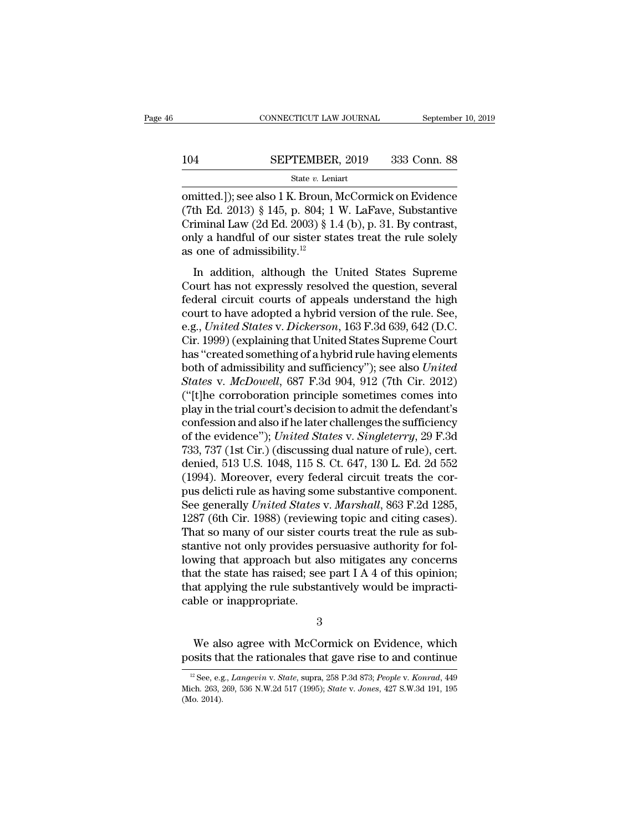# $\begin{tabular}{lll} \multicolumn{2}{l} \multicolumn{2}{l}{{\small\bf CONNECTICUT LAW JOURNAL}} & \multicolumn{2}{l}{September 10, 2019} \\ \multicolumn{2}{l}{\textbf{104}} & \multicolumn{2}{l}{\textbf{SEPTEMBER, 2019}} & \multicolumn{2}{l}{333} & \multicolumn{2}{l}{\textbf{Conn. 88}} \\ & & & & & & \\ & & & & & & \\ \multicolumn{2}{l}{\textbf{State $v$. Leniart}} & & & & \\ \end{tabular}$

### State *v.* Leniart

CONNECTICUT LAW JOURNAL September 10, 2019<br>
104 SEPTEMBER, 2019 333 Conn. 88<br>
State v. Leniart<br>
Contited.]); see also 1 K. Broun, McCormick on Evidence<br>
(7th Ed. 2013) § 145, p. 804; 1 W. LaFave, Substantive SEPTEMBER, 2019 333 Conn. 88<br>
State v. Leniart<br>
comitted.]); see also 1 K. Broun, McCormick on Evidence<br>
(7th Ed. 2013) § 145, p. 804; 1 W. LaFave, Substantive<br>
Criminal Law (2d Ed. 2003) § 1.4 (b), p. 31. By contrast,<br>
co 104 SEPTEMBER, 2019 333 Conn. 88<br>
State v. Leniart<br>
comitted.]); see also 1 K. Broun, McCormick on Evidence<br>
(7th Ed. 2013) § 145, p. 804; 1 W. LaFave, Substantive<br>
Criminal Law (2d Ed. 2003) § 1.4 (b), p. 31. By contrast **SEPTEMBER, 2019** 333 Conn. 88<br>
State v. Leniart<br>
omitted.]); see also 1 K. Broun, McCormick on Evidence<br>
(7th Ed. 2013) § 145, p. 804; 1 W. LaFave, Substantive<br>
Criminal Law (2d Ed. 2003) § 1.4 (b), p. 31. By contrast,<br> 104 SEPTEMBER, 2019 333 Conn. 88<br>
State *v*. Leniart<br>
omitted.]); see also 1 K. Broun, McCormick on Evidence<br>
(7th Ed. 2013) § 145, p. 804; 1 W. LaFave, Substantive<br>
Criminal Law (2d Ed. 2003) § 1.4 (b), p. 31. By contras mitted.]); see also 1 K. Broun, McCormick on Evidence<br>th Ed. 2013) § 145, p. 804; 1 W. LaFave, Substantive<br>iminal Law (2d Ed. 2003) § 1.4 (b), p. 31. By contrast,<br>ly a handful of our sister states treat the rule solely<br>on Court has not expressly resoluted the question, several federal circuit courts of appears only a handful of our sister states treat the rule solely as one of admissibility.<sup>12</sup><br>In addition, although the United States Supr

Criminal Law (2d Ed. 2003) § 1.4 (b), p. 31. By contrast,<br>Criminal Law (2d Ed. 2003) § 1.4 (b), p. 31. By contrast,<br>only a handful of our sister states treat the rule solely<br>as one of admissibility.<sup>12</sup><br>In addition, altho command Law (2d Ld. 2000)  $\frac{1}{8}$  1.4 (0), p. 01. Ly contrast,<br>only a handful of our sister states treat the rule solely<br>as one of admissibility.<sup>12</sup><br>In addition, although the United States Supreme<br>Court has not express e.g., *United States* v. *Dickerson*, 163 F.3d 639, 642 (D.C.<br>
Court has not expressly resolved the question, several<br>
federal circuit courts of appeals understand the high<br>
court to have adopted a hybrid version of the ru In addition, although the United States Supreme<br>Court has not expressly resolved the question, several<br>federal circuit courts of appeals understand the high<br>court to have adopted a hybrid version of the rule. See,<br>e.g., In addition, although the United States Supreme<br>
Court has not expressly resolved the question, several<br>
federal circuit courts of appeals understand the high<br>
court to have adopted a hybrid version of the rule. See,<br>
e.g Court has not expressly resolved the question, several<br>federal circuit courts of appeals understand the high<br>court to have adopted a hybrid version of the rule. See,<br>e.g., *United States* v. *Dickerson*, 163 F.3d 639, 642 federal circuit courts of appeals understand the high<br>court to have adopted a hybrid version of the rule. See,<br>e.g., *United States* v. *Dickerson*, 163 F.3d 639, 642 (D.C.<br>Cir. 1999) (explaining that United States Supreme court to have adopted a hybrid version of the rule. See,<br>e.g., *United States v. Dickerson*, 163 F.3d 639, 642 (D.C.<br>Cir. 1999) (explaining that United States Supreme Court<br>has "created something of a hybrid rule having el e.g., United States v. Dickerson, 163 F.3d 639, 642 (D.C.<br>Cir. 1999) (explaining that United States Supreme Court<br>has "created something of a hybrid rule having elements<br>both of admissibility and sufficiency"); see also Un Cir. 1999) (explaining that United States Supreme Court<br>has "created something of a hybrid rule having elements<br>both of admissibility and sufficiency"); see also *United*<br>States v. McDowell, 687 F.3d 904, 912 (7th Cir. 201 has "created something of a hybrid rule having elements<br>both of admissibility and sufficiency"); see also *United*<br>States v. *McDowell*, 687 F.3d 904, 912 (7th Cir. 2012)<br>("[t]he corroboration principle sometimes comes int both of admissibility and sufficiency"); see also United<br>States v. McDowell, 687 F.3d 904, 912 (7th Cir. 2012)<br>("[t]he corroboration principle sometimes comes into<br>play in the trial court's decision to admit the defendant' States v. McDowell, 687 F.3d 904, 912 (7th Cir. 2012)<br>("[t]he corroboration principle sometimes comes into<br>play in the trial court's decision to admit the defendant's<br>confession and also if he later challenges the sufficie ("[t]he corroboration principle sometimes comes into<br>play in the trial court's decision to admit the defendant's<br>confession and also if he later challenges the sufficiency<br>of the evidence"); *United States* v. *Singleterr* play in the trial court's decision to admit the defendant's<br>confession and also if he later challenges the sufficiency<br>of the evidence"); *United States* v. *Singleterry*, 29 F.3d<br>733, 737 (1st Cir.) (discussing dual natur confession and also if he later challenges the sufficiency<br>of the evidence"); *United States* v. *Singleterry*, 29 F.3d<br>733, 737 (1st Cir.) (discussing dual nature of rule), cert.<br>denied, 513 U.S. 1048, 115 S. Ct. 647, 130 of the evidence"); *United States v. Singleterry*, 29 F.3d<br>733, 737 (1st Cir.) (discussing dual nature of rule), cert.<br>denied, 513 U.S. 1048, 115 S. Ct. 647, 130 L. Ed. 2d 552<br>(1994). Moreover, every federal circuit treats 733, 737 (1st Cir.) (discussing dual nature of rule), cert.<br>denied, 513 U.S. 1048, 115 S. Ct. 647, 130 L. Ed. 2d 552<br>(1994). Moreover, every federal circuit treats the cor-<br>pus delicti rule as having some substantive compo denied, 513 U.S. 1048, 115 S. Ct. 647, 130 L. Ed. 2d 552<br>(1994). Moreover, every federal circuit treats the cor-<br>pus delicti rule as having some substantive component.<br>See generally *United States v. Marshall*, 863 F.2d 12 (1994). Moreover, every federal circuit treats the corpus delicti rule as having some substantive component.<br>See generally *United States* v. *Marshall*, 863 F.2d 1285, 1287 (6th Cir. 1988) (reviewing topic and citing cas pus delicti rule as having some substantive component.<br>See generally *United States* v. *Marshall*, 863 F.2d 1285, 1287 (6th Cir. 1988) (reviewing topic and citing cases).<br>That so many of our sister courts treat the rule a See generally *United States* v. *Marshall*, 863 F.2d 1285, 1287 (6th Cir. 1988) (reviewing topic and citing cases). That so many of our sister courts treat the rule as substantive not only provides persuasive authority fo 1287 (6th Cir. 1988) (reviewi<br>That so many of our sister c<br>stantive not only provides po<br>lowing that approach but al<br>that the state has raised; see<br>that applying the rule substa<br>cable or inappropriate. wing that approach but also mitigates any concerns<br>at the state has raised; see part I A 4 of this opinion;<br>at applying the rule substantively would be impracti-<br>ble or inappropriate.<br>3<br>We also agree with McCormick on Evid that the state has raised; see part I A 4 of this opinion;<br>that applying the rule substantively would be impracticable or inappropriate.<br>3<br>We also agree with McCormick on Evidence, which<br>posits that the rationales that ga

3

12 See, e.g., *Langevin* v. *State*, supra, 258 P.3d 873; *People* v. *Konrad*, 449<br><sup>12</sup> See, e.g., *Langevin* v. *State*, supra, 258 P.3d 873; *People* v. *Konrad*, 449<br>ich. 263, 269, 536 N.W.2d 517 (1995); *State* v. *Jo* 

We also agree with McCormick on Evidence, which<br>posits that the rationales that gave rise to and continue<br> $\frac{12 \text{ See, e.g., Langevin v. State, supra, 258 P.3d 873; People v. Konrad, 449}}{20160, 2695, 536 N.W.2d 517 (1995); State v. Jones, 427 S.W.3d 191, 195}$ <br>(Mo. 2014). We also<br>posits the  $\frac{12 \text{ See } 62}{12 \text{ See } 628}$ .<br>Mich. 263, 3<br>(Mo. 2014).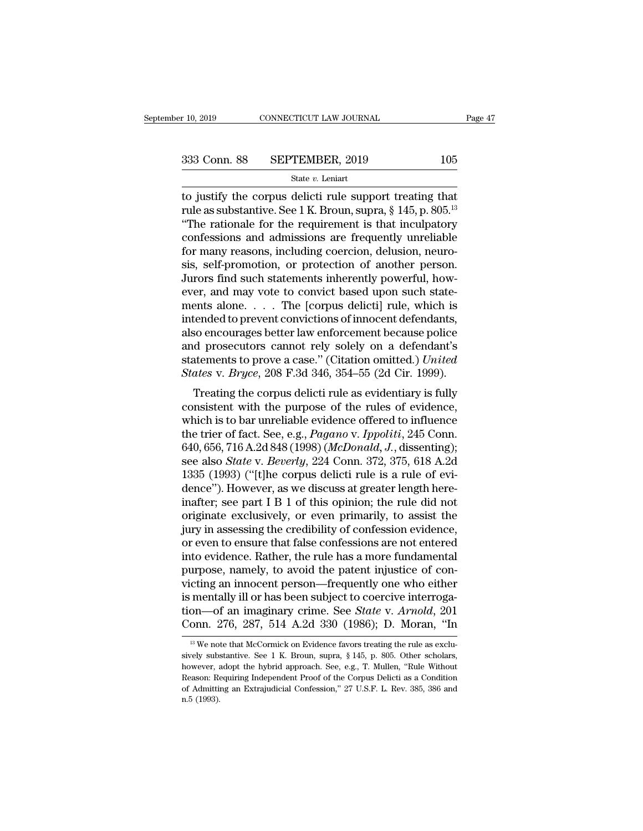to  $\frac{10,2019}{2019}$  CONNECTICUT LAW JOURNAL Page 4'<br>  $\frac{333}{2019}$  Conn. 88 SEPTEMBER, 2019 105<br>
State v. Leniart<br>
to justify the corpus delicti rule support treating that<br>
rule as substantive. See 1 K. Broun, suppra, 333 Conn. 88 SEPTEMBER, 2019 105<br>
state v. Leniart<br>
to justify the corpus delicti rule support treating that<br>
rule as substantive. See 1 K. Broun, supra, § 145, p. 805.<sup>13</sup><br>
"The rationale for the requirement is that incu 333 Conn. 88 SEPTEMBER, 2019 105<br>
State v. Leniart<br>
to justify the corpus delicti rule support treating that<br>
rule as substantive. See 1 K. Broun, supra, § 145, p. 805.<sup>13</sup><br>
"The rationale for the requirement is that incu 333 Conn. 88 SEPTEMBER, 2019 105<br>
state v. Leniart<br>
to justify the corpus delicti rule support treating that<br>
rule as substantive. See 1 K. Broun, supra, § 145, p. 805.<sup>13</sup><br>
"The rationale for the requirement is that incu State v. Leniart<br>
for justify the corpus delicti rule support treating that<br>
rule as substantive. See 1 K. Broun, supra, § 145, p. 805.<sup>13</sup><br>
"The rationale for the requirement is that inculpatory<br>
confessions and admissio state *v*. Lenart<br>to justify the corpus delicti rule support treating that<br>rule as substantive. See 1 K. Broun, supra,  $\S$  145, p. 805.<sup>13</sup><br>"The rationale for the requirement is that inculpatory<br>confessions and admissions to justify the corpus delicti rule support treating that<br>rule as substantive. See 1 K. Broun, supra, § 145, p. 805.<sup>13</sup><br>"The rationale for the requirement is that inculpatory<br>confessions and admissions are frequently unrel rule as substantive. See 1 K. Broun, supra, § 145, p. 805.<sup>13</sup><br>
"The rationale for the requirement is that inculpatory<br>
confessions and admissions are frequently unreliable<br>
for many reasons, including coercion, delusion, "The rationale for the requirement is that inculpatory<br>confessions and admissions are frequently unreliable<br>for many reasons, including coercion, delusion, neuro-<br>sis, self-promotion, or protection of another person.<br>Juror confessions and admissions are frequently unreliable<br>for many reasons, including coercion, delusion, neuro-<br>sis, self-promotion, or protection of another person.<br>Jurors find such statements inherently powerful, how-<br>ever, for many reasons, including coercion, delusion, neuro-<br>sis, self-promotion, or protection of another person.<br>Jurors find such statements inherently powerful, how-<br>ever, and may vote to convict based upon such state-<br>ments sis, self-promotion, or protection of another person.<br>Jurors find such statements inherently powerful, how-<br>ever, and may vote to convict based upon such state-<br>ments alone. . . . The [corpus delicti] rule, which is<br>inten Jurors find such statements inherently powerful, how-<br>ever, and may vote to convict based upon such state-<br>ments alone. . . . The [corpus delicti] rule, which is<br>intended to prevent convictions of innocent defendants,<br>also ever, and may vote to convict based upon such statements alone. . . . The [corpus delicti] rule, which is intended to prevent convictions of innocent defendants, also encourages better law enforcement because police and pr First alone.  $\ldots$  The [Corpus delicti] rule, which is<br>tended to prevent convictions of innocent defendants,<br>so encourages better law enforcement because police<br>d prosecutors cannot rely solely on a defendant's<br>tements to mended to prevent convictions of inflocent defendants,<br>also encourages better law enforcement because police<br>and prosecutors cannot rely solely on a defendant's<br>statements to prove a case." (Citation omitted.) United<br>State

and prosecutors cannot rely solely on a defendant's<br>statements to prove a case." (Citation omitted.) *United*<br>*States v. Bryce*, 208 F.3d 346, 354–55 (2d Cir. 1999).<br>Treating the corpus delicti rule as evidentiary is full and prosecutors cannot rely solety on a detendant s<br>statements to prove a case." (Citation omitted.) United<br>States v. *Bryce*, 208 F.3d 346, 354–55 (2d Cir. 1999).<br>Treating the corpus delicti rule as evidentiary is fully<br>c Statements to prove a case. (Criation onlitted.) *Ontied*<br>States v. *Bryce*, 208 F.3d 346, 354–55 (2d Cir. 1999).<br>Treating the corpus delicti rule as evidentiary is fully<br>consistent with the purpose of the rules of evidenc states v. *Bryce*, 206 **F.3d 340**, 334–35 (2d Cn. 1399).<br>Treating the corpus delicti rule as evidentiary is fully<br>consistent with the purpose of the rules of evidence,<br>which is to bar unreliable evidence offered to influen Treating the corpus delicti rule as evidentiary is fully consistent with the purpose of the rules of evidence, which is to bar unreliable evidence offered to influence the trier of fact. See, e.g., *Pagano* v. *Ippoliti*, consistent with the purpose of the rules of evidence,<br>which is to bar unreliable evidence offered to influence<br>the trier of fact. See, e.g., *Pagano* v. *Ippoliti*, 245 Conn.<br>640, 656, 716 A.2d 848 (1998) (*McDonald, J.*, which is to bar unreliable evidence offered to influence<br>the trier of fact. See, e.g., *Pagano* v. *Ippoliti*, 245 Conn.<br>640, 656, 716 A.2d 848 (1998) (*McDonald*, *J.*, dissenting);<br>see also *State* v. *Beverly*, 224 Conn the trier of fact. See, e.g., *Pagano* v. *Ippoliti*, 245 Conn.<br>640, 656, 716 A.2d 848 (1998) (*McDonald*, *J*., dissenting);<br>see also *State* v. *Beverly*, 224 Conn. 372, 375, 618 A.2d<br>1335 (1993) ("[t]he corpus delicti r 640, 656, 716 A.2d 848 (1998) (*McDonald*, *J.*, dissenting);<br>see also *State* v. *Beverly*, 224 Conn. 372, 375, 618 A.2d<br>1335 (1993) ("[t]he corpus delicti rule is a rule of evi-<br>dence"). However, as we discuss at greate see also *State* v. *Beverly*, 224 Conn. 372, 375, 618 A.2d<br>1335 (1993) ("[t]he corpus delicti rule is a rule of evi-<br>dence"). However, as we discuss at greater length here-<br>inafter; see part I B 1 of this opinion; the rul 1335 (1993) ("[t]he corpus delicti rule is a rule of evidence"). However, as we discuss at greater length here-<br>inafter; see part I B 1 of this opinion; the rule did not<br>originate exclusively, or even primarily, to assist dence"). However, as we discuss at greater length here-<br>inafter; see part I B 1 of this opinion; the rule did not<br>originate exclusively, or even primarily, to assist the<br>jury in assessing the credibility of confession evid inafter; see part I B 1 of this opinion; the rule did not originate exclusively, or even primarily, to assist the jury in assessing the credibility of confession evidence, or even to ensure that false confessions are not originate exclusively, or even primarily, to assist the<br>jury in assessing the credibility of confession evidence,<br>or even to ensure that false confessions are not entered<br>into evidence. Rather, the rule has a more fundame jury in assessing the credibility of confession evidence,<br>or even to ensure that false confessions are not entered<br>into evidence. Rather, the rule has a more fundamental<br>purpose, namely, to avoid the patent injustice of co or even to ensure that false confessions are not entered<br>into evidence. Rather, the rule has a more fundamental<br>purpose, namely, to avoid the patent injustice of con-<br>victing an innocent person—frequently one who either<br>is cting an innocent person—frequently one who either<br>mentally ill or has been subject to coercive interroga-<br>on—of an imaginary crime. See *State* v. Arnold, 201<br>onn. 276, 287, 514 A.2d 330 (1986); D. Moran, "In<br><sup>13</sup> We note is mentally ill or has been subject to coercive interrogation—of an imaginary crime. See *State* v. *Arnold*, 201 Conn. 276, 287, 514 A.2d 330 (1986); D. Moran, "In  $\frac{1}{18}$  We note that McCormick on Evidence favors tre

tion—of an imaginary crime. See *State* v. Arnold, 201<br>Conn. 276, 287, 514 A.2d 330 (1986); D. Moran, "In<br><sup>13</sup> We note that McCormick on Evidence favors treating the rule as exclusively substantive. See 1 K. Broun, supra, Conn. 276, 287, 514 A.2d 330 (1986); D. Moran, "In<br>
<sup>13</sup> We note that McCormick on Evidence favors treating the rule as exclusively substantive. See 1 K. Broun, supra, § 145, p. 805. Other scholars, however, adopt the hyb  $^{13}$  We note that McCormick on Evidence favors treating the rule as exclusively substantive. See 1 K. Broun, supra, § 145, p. 805. Other scholars,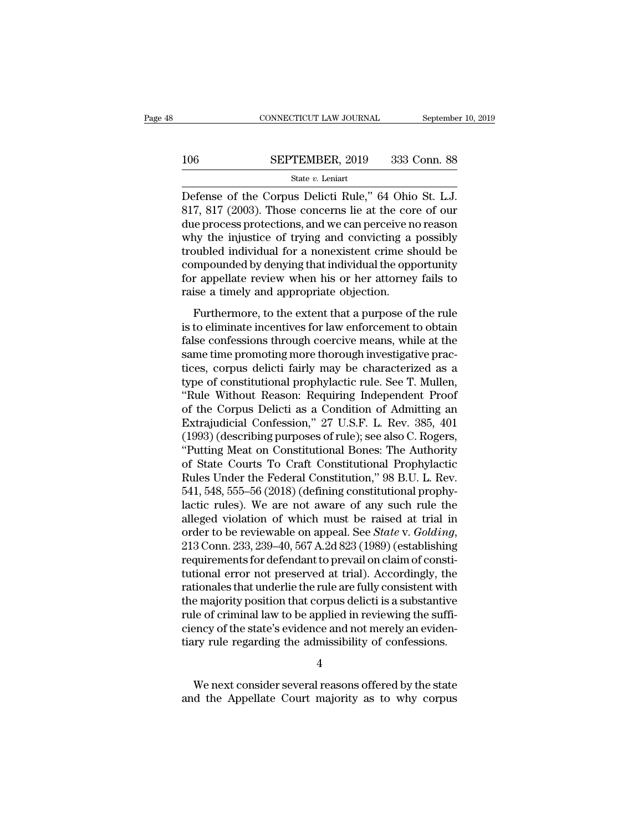### $\begin{tabular}{ll} \multicolumn{2}{l} \multicolumn{2}{c}{\text{CONNECTICUT LAW JOURNAL}} & \multicolumn{2}{c}{\text{September 10, 2019}}\\ \cline{2-2} \multicolumn{2}{c}{\text{COMNECTICUT LAW JOURNAL}} & \multicolumn{2}{c}{\text{September 10, 2019}}\\ \cline{2-2} \multicolumn{2}{c}{\text{StepTEMBER, 2019}} & \multicolumn{2}{c}{\text{333 Conn. 88}}\\ \cline{2-2} \multicolumn{2}{c}{\text{State $v$. Leniart}} & \multicolumn{2}{c}{\text{State $v$.} } \end$ State *v.* Leniart

CONNECTICUT LAW JOURNAL September 10, 2<br>
SEPTEMBER, 2019 333 Conn. 88<br>
State v. Leniart<br>
Defense of the Corpus Delicti Rule," 64 Ohio St. L.J.<br>
817, 817 (2003). Those concerns lie at the core of our<br>
due process protection SEPTEMBER, 2019 333 Conn. 88<br>
State v. Leniart<br>
Defense of the Corpus Delicti Rule," 64 Ohio St. L.J.<br>
817, 817 (2003). Those concerns lie at the core of our<br>
due process protections, and we can perceive no reason<br>
why the 106 SEPTEMBER, 2019 333 Conn. 88<br>
State v. Leniart<br>
Defense of the Corpus Delicti Rule," 64 Ohio St. L.J.<br>
817, 817 (2003). Those concerns lie at the core of our<br>
due process protections, and we can perceive no reason<br>
wh 106 SEPTEMBER, 2019 333 Conn. 88<br>
State v. Leniart<br>
Defense of the Corpus Delicti Rule," 64 Ohio St. L.J.<br>
817, 817 (2003). Those concerns lie at the core of our<br>
due process protections, and we can perceive no reason<br>
wh State v. Leniart<br>
Defense of the Corpus Delicti Rule," 64 Ohio St. L.J.<br>
817, 817 (2003). Those concerns lie at the core of our<br>
due process protections, and we can perceive no reason<br>
why the injustice of trying and conv state v. Lenart<br>Defense of the Corpus Delicti Rule," 64 Ohio St. L.J.<br>817, 817 (2003). Those concerns lie at the core of our<br>due process protections, and we can perceive no reason<br>why the injustice of trying and convicting Defense of the Corpus Delicti Rule," 64 Ohio St. L.J.<br>817, 817 (2003). Those concerns lie at the core of our<br>due process protections, and we can perceive no reason<br>why the injustice of trying and convicting a possibly<br>trou 817, 817 (2003). Those concerns lie at the cordue process protections, and we can perceive n<br>why the injustice of trying and convicting a<br>troubled individual for a nonexistent crime sh<br>compounded by denying that individual Furthermore, to the extent that a purpose of the rule<br>function of the extended by denying and convicting a possibly<br>publed individual for a nonexistent crime should be<br>mpounded by denying that individual the opportunity<br>r may are injustice of a jing and convicting a possibly<br>troubled individual for a nonexistent crime should be<br>compounded by denying that individual the opportunity<br>for appellate review when his or her attorney fails to<br>raise

fractional materials of a honcalistical critic should be compounded by denying that individual the opportunity<br>for appellate review when his or her attorney fails to<br>raise a timely and appropriate objection.<br>Furthermore, t for appellate review when his or her attorney fails to<br>raise a timely and appropriate objection.<br>Furthermore, to the extent that a purpose of the rule<br>is to eliminate incentives for law enforcement to obtain<br>false confess For appenase Force we which has of her attorney rans to<br>raise a timely and appropriate objection.<br>Furthermore, to the extent that a purpose of the rule<br>is to eliminate incentives for law enforcement to obtain<br>false confess Furthermore, to the extent that a purpose of the rule<br>is to eliminate incentives for law enforcement to obtain<br>false confessions through coercive means, while at the<br>same time promoting more thorough investigative prac-<br>ti Furthermore, to the extent that a purpose of the rule<br>is to eliminate incentives for law enforcement to obtain<br>false confessions through coercive means, while at the<br>same time promoting more thorough investigative prac-<br>t is to eliminate incentives for law enforcement to obtain<br>false confessions through coercive means, while at the<br>same time promoting more thorough investigative prac-<br>tices, corpus delicti fairly may be characterized as a<br>t false confessions through coercive means, while at the<br>same time promoting more thorough investigative practices, corpus delicti fairly may be characterized as a<br>type of constitutional prophylactic rule. See T. Mullen,<br>"Ru same time promoting more thorough investigative practices, corpus delicti fairly may be characterized as a type of constitutional prophylactic rule. See T. Mullen, "Rule Without Reason: Requiring Independent Proof of the C tices, corpus delicti fairly may be characterized as a<br>type of constitutional prophylactic rule. See T. Mullen,<br>"Rule Without Reason: Requiring Independent Proof<br>of the Corpus Delicti as a Condition of Admitting an<br>Extraju type of constitutional prophylactic rule. See T. Mullen,<br>"Rule Without Reason: Requiring Independent Proof<br>of the Corpus Delicti as a Condition of Admitting an<br>Extrajudicial Confession," 27 U.S.F. L. Rev. 385, 401<br>(1993) ( "Rule Without Reason: Requiring Independent Proof<br>of the Corpus Delicti as a Condition of Admitting an<br>Extrajudicial Confession," 27 U.S.F. L. Rev. 385, 401<br>(1993) (describing purposes of rule); see also C. Rogers,<br>"Puttin of the Corpus Delicti as a Condition of Admitting an Extrajudicial Confession," 27 U.S.F. L. Rev. 385, 401 (1993) (describing purposes of rule); see also C. Rogers, "Putting Meat on Constitutional Bones: The Authority of S Extrajudicial Confession," 27 U.S.F. L. Rev. 385, 401<br>(1993) (describing purposes of rule); see also C. Rogers,<br>"Putting Meat on Constitutional Bones: The Authority<br>of State Courts To Craft Constitutional Prophylactic<br>Rule (1993) (describing purposes of rule); see also C. Rogers,<br>
"Putting Meat on Constitutional Bones: The Authority<br>
of State Courts To Craft Constitutional Prophylactic<br>
Rules Under the Federal Constitution," 98 B.U. L. Rev. "Putting Meat on Constitutional Bones: The Authority<br>of State Courts To Craft Constitutional Prophylactic<br>Rules Under the Federal Constitution," 98 B.U. L. Rev.<br>541, 548, 555–56 (2018) (defining constitutional prophy-<br>lact Rules Under the Federal Constitution," 98 B.U. L. Rev.<br>541, 548, 555–56 (2018) (defining constitutional prophy-<br>lactic rules). We are not aware of any such rule the<br>alleged violation of which must be raised at trial in<br>ord 541, 548, 555–56 (2018) (defining constitutional prophylactic rules). We are not aware of any such rule the alleged violation of which must be raised at trial in order to be reviewable on appeal. See *State* v. *Golding*, lactic rules). We are not aware of any such rule the alleged violation of which must be raised at trial in order to be reviewable on appeal. See *State* v. *Golding*, 213 Conn. 233, 239–40, 567 A.2d 823 (1989) (establishin alleged violation of which must be raised at trial in<br>order to be reviewable on appeal. See *State* v. *Golding*,<br>213 Conn. 233, 239–40, 567 A.2d 823 (1989) (establishing<br>requirements for defendant to prevail on claim of c order to be reviewable on appeal. See *State* v. *Golding*, 213 Conn. 233, 239–40, 567 A.2d 823 (1989) (establishing requirements for defendant to prevail on claim of constitutional error not preserved at trial). According 213 Conn. 233, 239–40, 567 A.2d 823 (1989) (establishing<br>requirements for defendant to prevail on claim of consti-<br>tutional error not preserved at trial). Accordingly, the<br>rationales that underlie the rule are fully consis requirements for defendant to prevail on claim of constitutional error not preserved at trial). Accordingly, the rationales that underlie the rule are fully consistent with the majority position that corpus delicti is a su e majority position that corpus delicti is a substantive<br>le of criminal law to be applied in reviewing the suffi-<br>ency of the state's evidence and not merely an eviden-<br>ry rule regarding the admissibility of confessions.<br>4 rule of criminal law to be applied in reviewing the sufficiency of the state's evidence and not merely an evidentiary rule regarding the admissibility of confessions.<br>4<br>We next consider several reasons offered by the state

4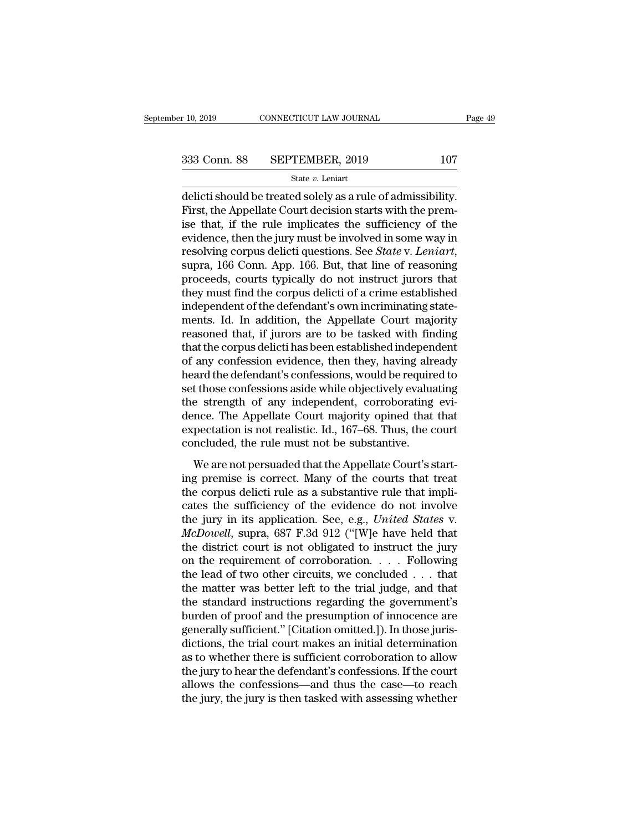delicti should be treated solely as a rule of admissibility.  $\begin{array}{ll}\n 333 \text{ Conn. } 88 & \text{SEPTEMBER, } 2019 & 107 \\
 \text{State } v. \text{ Leniart} \\
 \text{delicti should be treated solely as a rule of admissibility.} \n \text{First, the Appellate Court decision starts with the premise that, if the rule implicates the sufficiency of the evidence, then the jury must be involved in some way in the image.} \n \end{array}$ 333 Conn. 88 SEPTEMBER, 2019 107<br>
State v. Leniart<br>
delicti should be treated solely as a rule of admissibility.<br>
First, the Appellate Court decision starts with the premise that, if the rule implicates the sufficiency of 333 Conn. 88 SEPTEMBER, 2019 107<br>
State v. Leniart<br>
delicti should be treated solely as a rule of admissibility.<br>
First, the Appellate Court decision starts with the premise<br>
that, if the rule implicates the sufficiency o state *v*. *Leniart*<br>delicti should be treated solely as a rule of admissibility.<br>First, the Appellate Court decision starts with the prem-<br>ise that, if the rule implicates the sufficiency of the<br>evidence, then the jury mu delicti should be treated solely as a rule of admissibility.<br>First, the Appellate Court decision starts with the premise that, if the rule implicates the sufficiency of the<br>evidence, then the jury must be involved in some First, the Appellate Court decision starts with the premise that, if the rule implicates the sufficiency of the evidence, then the jury must be involved in some way in resolving corpus delicti questions. See *State* v. *Le* ise that, if the rule implicates the sufficiency of the evidence, then the jury must be involved in some way in resolving corpus delicti questions. See *State* v. Leniart, supra, 166 Conn. App. 166. But, that line of reaso evidence, then the jury must be involved in some way in<br>resolving corpus delicti questions. See *State* v. Leniart,<br>supra, 166 Conn. App. 166. But, that line of reasoning<br>proceeds, courts typically do not instruct jurors t resolving corpus delicti questions. See *State* v. Leniart,<br>supra, 166 Conn. App. 166. But, that line of reasoning<br>proceeds, courts typically do not instruct jurors that<br>they must find the corpus delicti of a crime establi supra, 166 Conn. App. 166. But, that line of reasoning<br>proceeds, courts typically do not instruct jurors that<br>they must find the corpus delicti of a crime established<br>independent of the defendant's own incriminating stateproceeds, courts typically do not instruct jurors that<br>they must find the corpus delicti of a crime established<br>independent of the defendant's own incriminating state-<br>ments. Id. In addition, the Appellate Court majority<br>r they must find the corpus delicti of a crime established<br>independent of the defendant's own incriminating state-<br>ments. Id. In addition, the Appellate Court majority<br>reasoned that, if jurors are to be tasked with finding<br>t independent of the defendant's own incriminating statements. Id. In addition, the Appellate Court majority reasoned that, if jurors are to be tasked with finding that the corpus delicti has been established independent of ments. Id. In addition, the Appellate Court majority<br>reasoned that, if jurors are to be tasked with finding<br>that the corpus delicti has been established independent<br>of any confession evidence, then they, having already<br>hea reasoned that, if jurors are to be tasked with finding<br>that the corpus delicti has been established independent<br>of any confession evidence, then they, having already<br>heard the defendant's confessions, would be required to<br> that the corpus delicti has been established independent<br>of any confession evidence, then they, having already<br>heard the defendant's confessions, would be required to<br>set those confessions aside while objectively evaluatin of any confession evidence, then they, having alreard the defendant's confessions, would be require<br>set those confessions aside while objectively evaluar<br>the strength of any independent, corroborating<br>dence. The Appellate and are determining connections, would be required to<br>t those confessions aside while objectively evaluating<br>extraction is not realistic. Id., 167–68. Thus, the court<br>necluded, the rule must not be substantive.<br>We are not set also contessions aside while objectively evaluating<br>the strength of any independent, corroborating evi-<br>dence. The Appellate Court majority opined that that<br>expectation is not realistic. Id., 167–68. Thus, the court<br>co

the strength of any matepentum, corresponding of<br>dence. The Appellate Court majority opined that that<br>expectation is not realistic. Id., 167–68. Thus, the court<br>concluded, the rule must not be substantive.<br>We are not persu expectation is not realistic. Id., 167–68. Thus, the court<br>concluded, the rule must not be substantive.<br>We are not persuaded that the Appellate Court's start-<br>ing premise is correct. Many of the courts that treat<br>the corp the generation is not realistic. Tal., 161<sup>0</sup> 66. Thus, all court<br>concluded, the rule must not be substantive.<br>We are not persuaded that the Appellate Court's start-<br>ing premise is correct. Many of the courts that treat<br>th *We* are not persuaded that the Appellate Court's starting premise is correct. Many of the courts that treat the corpus delicti rule as a substantive rule that implicates the sufficiency of the evidence do not involve the We are not persuaded that the Appellate Court's starting premise is correct. Many of the courts that treat<br>the corpus delicti rule as a substantive rule that implicates the sufficiency of the evidence do not involve<br>the j ing premise is correct. Many of the courts that treat<br>the corpus delicti rule as a substantive rule that impli-<br>cates the sufficiency of the evidence do not involve<br>the jury in its application. See, e.g., *United States v* the corpus delicti rule as a substantive rule that implicates the sufficiency of the evidence do not involve<br>the jury in its application. See, e.g., *United States v.*<br>*McDowell*, supra, 687 F.3d 912 ("[W]e have held that cates the sufficiency of the evidence do not involve<br>the jury in its application. See, e.g., *United States* v.<br>*McDowell*, supra, 687 F.3d 912 ("[W]e have held that<br>the district court is not obligated to instruct the jur the jury in its application. See, e.g., *United States v.*<br> *McDowell*, supra, 687 F.3d 912 ("[W]e have held that<br>
the district court is not obligated to instruct the jury<br>
on the requirement of corroboration. . . . Follo McDowell, supra, 687 F.3d 912 ("[W]e have held that<br>the district court is not obligated to instruct the jury<br>on the requirement of corroboration. . . . Following<br>the lead of two other circuits, we concluded . . . that<br>the the district court is not obligated to instruct the jury<br>on the requirement of corroboration. . . . Following<br>the lead of two other circuits, we concluded . . . that<br>the matter was better left to the trial judge, and that on the requirement of corroboration. . . . . Following<br>the lead of two other circuits, we concluded . . . that<br>the matter was better left to the trial judge, and that<br>the standard instructions regarding the government's<br>b the lead of two other circuits, we concluded . . . that<br>the matter was better left to the trial judge, and that<br>the standard instructions regarding the government's<br>burden of proof and the presumption of innocence are<br>gene the matter was better left to the trial judge, and that<br>the standard instructions regarding the government's<br>burden of proof and the presumption of innocence are<br>generally sufficient." [Citation omitted.]). In those juristhe standard instructions regarding the government's<br>burden of proof and the presumption of innocence are<br>generally sufficient." [Citation omitted.]). In those juris-<br>dictions, the trial court makes an initial determinatio burden of proof and the presumption of innocence are<br>generally sufficient." [Citation omitted.]). In those juris-<br>dictions, the trial court makes an initial determination<br>as to whether there is sufficient corroboration to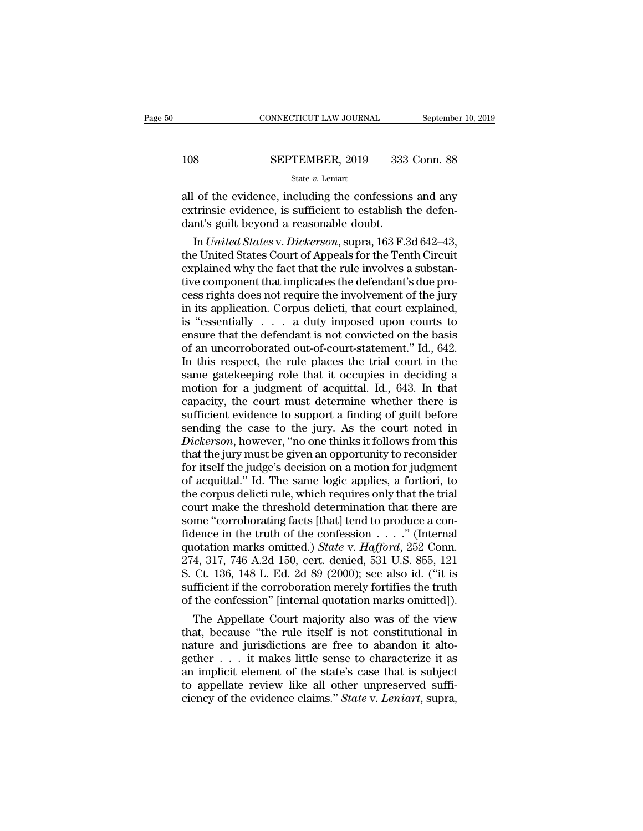|         | CONNECTICUT LAW JOURNAL | September 10, 2019 |
|---------|-------------------------|--------------------|
|         |                         |                    |
| $108\,$ | SEPTEMBER, 2019         | 333 Conn. 88       |
|         | State $v$ . Leniart     |                    |

CONNECTICUT LAW JOURNAL September 10, 2019<br>
108 SEPTEMBER, 2019 333 Conn. 88<br>
State v. Leniart<br>
all of the evidence, including the confessions and any<br>
extrinsic evidence, is sufficient to establish the defen-<br>
dant's quil EXTRIMBER, 2019 333 Conn. 88<br>
State v. Leniart<br>
all of the evidence, including the confessions and any<br>
extrinsic evidence, is sufficient to establish the defen-<br>
dant's guilt beyond a reasonable doubt. 108 SEPTEMBER, 2019 333<br>
State v. Leniart<br>
all of the evidence, including the confessions<br>
extrinsic evidence, is sufficient to establish t<br>
dant's guilt beyond a reasonable doubt.<br>
In United States v. Dickerson, supra, 1 SEPTEMBER, 2019 333 Conn. 88<br>
State *v*. Leniart<br>
of the evidence, including the confessions and any<br>
trinsic evidence, is sufficient to establish the defen-<br>
nt's guilt beyond a reasonable doubt.<br>
In *United States* v. *D* 

State v. Leniart<br>
all of the evidence, including the confessions and any<br>
extrinsic evidence, is sufficient to establish the defen-<br>
dant's guilt beyond a reasonable doubt.<br>
In *United States v. Dickerson*, supra, 163 F.3 example in Euclidian and any<br>extrinsic evidence, is sufficient to establish the defen-<br>dant's guilt beyond a reasonable doubt.<br>In *United States v. Dickerson*, supra, 163 F.3d 642–43,<br>the United States Court of Appeals for all of the evidence, including the confessions and any<br>extrinsic evidence, is sufficient to establish the defen-<br>dant's guilt beyond a reasonable doubt.<br>In *United States v. Dickerson*, supra, 163 F.3d 642–43,<br>the United S extrinsic evidence, is sufficient to establish the defen-<br>dant's guilt beyond a reasonable doubt.<br>In *United States v. Dickerson*, supra, 163 F.3d 642–43,<br>the United States Court of Appeals for the Tenth Circuit<br>explained dant's guilt beyond a reasonable doubt.<br>
In *United States* v. *Dickerson*, supra, 163 F.3d 642–43,<br>
the United States Court of Appeals for the Tenth Circuit<br>
explained why the fact that the rule involves a substan-<br>
tive In *United States* v. *Dickerson*, supra, 163 F.3d 642–43,<br>the United States Court of Appeals for the Tenth Circuit<br>explained why the fact that the rule involves a substan-<br>tive component that implicates the defendant's d the United States Court of Appeals for the Tenth Circuit<br>explained why the fact that the rule involves a substan-<br>tive component that implicates the defendant's due pro-<br>cess rights does not require the involvement of the explained why the fact that the rule involves a substantive component that implicates the defendant's due process rights does not require the involvement of the jury in its application. Corpus delicti, that court explaine tive component that implicates the defendant's due process rights does not require the involvement of the jury<br>in its application. Corpus delicti, that court explained,<br>is "essentially  $\ldots$  a duty imposed upon courts to<br> cess rights does not require the involvement of the jury<br>in its application. Corpus delicti, that court explained,<br>is "essentially  $\ldots$  a duty imposed upon courts to<br>ensure that the defendant is not convicted on the basi in its application. Corpus delicti, that court explained,<br>is "essentially  $\ldots$  a duty imposed upon courts to<br>ensure that the defendant is not convicted on the basis<br>of an uncorroborated out-of-court-statement." Id., 642. is "essentially . . . a duty imposed upon courts to<br>ensure that the defendant is not convicted on the basis<br>of an uncorroborated out-of-court-statement." Id., 642.<br>In this respect, the rule places the trial court in the<br>s ensure that the defendant is not convicted on the basis<br>of an uncorroborated out-of-court-statement." Id., 642.<br>In this respect, the rule places the trial court in the<br>same gatekeeping role that it occupies in deciding a<br>m of an uncorroborated out-of-court-statement." Id., 642.<br>In this respect, the rule places the trial court in the<br>same gatekeeping role that it occupies in deciding a<br>motion for a judgment of acquittal. Id., 643. In that<br>cap In this respect, the rule places the trial court in the same gatekeeping role that it occupies in deciding a motion for a judgment of acquittal. Id., 643. In that capacity, the court must determine whether there is suffici same gate<br>keeping role that it occupies in deciding a<br>motion for a judgment of acquittal. Id., 643. In that<br>capacity, the court must determine whether there is<br>sufficient evidence to support a finding of guilt before<br>sendi motion for a judgment of acquittal. Id., 643. In that capacity, the court must determine whether there is sufficient evidence to support a finding of guilt before sending the case to the jury. As the court noted in *Dicker* capacity, the court must determine whether there is<br>sufficient evidence to support a finding of guilt before<br>sending the case to the jury. As the court noted in<br>*Dickerson*, however, "no one thinks it follows from this<br>tha sufficient evidence to support a finding of guilt before<br>sending the case to the jury. As the court noted in<br>Dickerson, however, "no one thinks it follows from this<br>that the jury must be given an opportunity to reconsider<br> sending the case to the jury. As the court noted in *Dickerson*, however, "no one thinks it follows from this that the jury must be given an opportunity to reconsider for itself the judge's decision on a motion for judgme Dickerson, however, "no one thinks it follows from this<br>that the jury must be given an opportunity to reconsider<br>for itself the judge's decision on a motion for judgment<br>of acquittal." Id. The same logic applies, a fortio that the jury must be given an opportunity to reconsider<br>for itself the judge's decision on a motion for judgment<br>of acquittal." Id. The same logic applies, a fortiori, to<br>the corpus delicti rule, which requires only that for itself the judge's decision on a motion for judgment<br>of acquittal." Id. The same logic applies, a fortiori, to<br>the corpus delicti rule, which requires only that the trial<br>court make the threshold determination that the of acquittal." Id. The same logic applies, a fortiori, to<br>the corpus delicti rule, which requires only that the trial<br>court make the threshold determination that there are<br>some "corroborating facts [that] tend to produce the corpus delicti rule, which requires only that the trial<br>court make the threshold determination that there are<br>some "corroborating facts [that] tend to produce a con-<br>fidence in the truth of the confession  $\ldots$ ." (Int court make the threshold determination that there are<br>some "corroborating facts [that] tend to produce a con-<br>fidence in the truth of the confession  $\dots$ ." (Internal<br>quotation marks omitted.) *State* v. *Hafford*, 252 Con some "corroborating facts [that] tend to produce a confidence in the truth of the confession  $\ldots$ ." (Internal quotation marks omitted.) *State v. Hafford*, 252 Conn. 274, 317, 746 A.2d 150, cert. denied, 531 U.S. 855, 12 dence in the truth of the confession  $\ldots$  " (Internal<br>otation marks omitted.) *State v. Hafford*, 252 Conn.<br>4, 317, 746 A.2d 150, cert. denied, 531 U.S. 855, 121<br>Ct. 136, 148 L. Ed. 2d 89 (2000); see also id. ("it is<br>ffi quotation marks omitted.) *State v. Hafford*, 252 Conn.<br>274, 317, 746 A.2d 150, cert. denied, 531 U.S. 855, 121<br>S. Ct. 136, 148 L. Ed. 2d 89 (2000); see also id. ("it is<br>sufficient if the corroboration merely fortifies th

274, 317, 746 A.2d 150, cert. denied, 531 U.S. 855, 121<br>S. Ct. 136, 148 L. Ed. 2d 89 (2000); see also id. ("it is<br>sufficient if the corroboration merely fortifies the truth<br>of the confession" [internal quotation marks omi S. Ct. 136, 148 L. Ed. 2d 89 (2000); see also id. ("it is<br>sufficient if the corroboration merely fortifies the truth<br>of the confession" [internal quotation marks omitted]).<br>The Appellate Court majority also was of the view sufficient if the corroboration merely fortifies the truth<br>of the confession" [internal quotation marks omitted]).<br>The Appellate Court majority also was of the view<br>that, because "the rule itself is not constitutional in<br> of the confession" [internal quotation marks omitted]).<br>The Appellate Court majority also was of the view<br>that, because "the rule itself is not constitutional in<br>nature and jurisdictions are free to abandon it alto-<br>gethe The Appellate Court majority also was of the view<br>that, because "the rule itself is not constitutional in<br>nature and jurisdictions are free to abandon it alto-<br>gether . . . it makes little sense to characterize it as<br>an im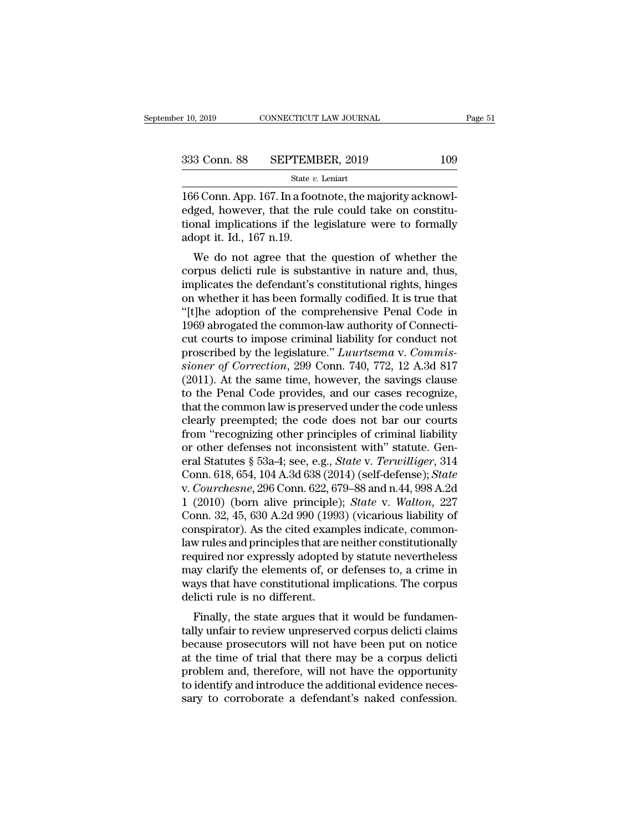State *v.* Leniart  $\begin{array}{lll} \text{10, 2019} & \text{CONNETICUT LAW JOURNAL} \ \end{array}$ <br>  $\begin{array}{lll} \text{333 Conn. } \text{88} & \text{SEPTEMBER, 2019} & \text{109} \ \end{array}$ <br>  $\begin{array}{lll} \text{State } v. \text{ Leniat} \ \end{array}$ <br>
166 Conn. App. 167. In a footnote, the majority acknowledged, however, that the rule could 333 Conn. 88 SEPTEMBER, 2019 109<br>
State v. Leniart<br>
166 Conn. App. 167. In a footnote, the majority acknowledged, however, that the rule could take on constitu-<br>
tional implications if the legislature were to formally<br>
ado 333 Conn. 88 SEPTEMBER, 2019 109<br>
State v. Leniart<br>
166 Conn. App. 167. In a footnote, the majority acknowledged, however, that the rule could take on constitutional implications if the legislature were to formally adopt 333 Conn. 88 SEPTEMI<br>
<sup>State v.</sup><br>
166 Conn. App. 167. In a foot<br>
edged, however, that the r<br>
tional implications if the ladopt it. Id., 167 n.19.<br>
We do not agree that the State v. Leniart<br>  $\overline{6}$  Conn. App. 167. In a footnote, the majority acknowl-<br>
ged, however, that the rule could take on constitu-<br>
and implications if the legislature were to formally<br>
opt it. Id., 167 n.19.<br>
We do not

166 Conn. App. 167. In a footnote, the majority acknowledged, however, that the rule could take on constitutional implications if the legislature were to formally adopt it. Id., 167 n.19.<br>We do not agree that the question Foo Collit. App. 107. In a floothote, the hiajority acknowledged, however, that the rule could take on constitu-<br>tional implications if the legislature were to formally<br>adopt it. Id., 167 n.19.<br>We do not agree that the que edged, nowever, that the rule codid take on constructional implications if the legislature were to formally adopt it. Id., 167 n.19.<br>We do not agree that the question of whether the corpus delicti rule is substantive in na tional impirations if the registrative were to formally<br>adopt it. Id., 167 n.19.<br>We do not agree that the question of whether the<br>corpus delicti rule is substantive in nature and, thus,<br>implicates the defendant's constitut We do not agree that the question of whether the<br>corpus delicti rule is substantive in nature and, thus,<br>implicates the defendant's constitutional rights, hinges<br>on whether it has been formally codified. It is true that<br>"[ We do not agree that the question of whether the corpus delicti rule is substantive in nature and, thus, implicates the defendant's constitutional rights, hinges on whether it has been formally codified. It is true that " corpus delicti rule is substantive in nature and, thus,<br>implicates the defendant's constitutional rights, hinges<br>on whether it has been formally codified. It is true that<br>"[t]he adoption of the comprehensive Penal Code in<br> implicates the defendant's constitutional rights, hinges<br>on whether it has been formally codified. It is true that<br>"[t]he adoption of the comprehensive Penal Code in<br>1969 abrogated the common-law authority of Connecti-<br>cut on whether it has been formally codified. It is true that<br>"[t]he adoption of the comprehensive Penal Code in<br>1969 abrogated the common-law authority of Connecti-<br>cut courts to impose criminal liability for conduct not<br>pros "[t]he adoption of the comprehensive Penal Code in 1969 abrogated the common-law authority of Connecticut courts to impose criminal liability for conduct not proscribed by the legislature." *Luurtsema* v. *Commissioner of* 1969 abrogated the common-law authority of Connecticut courts to impose criminal liability for conduct not proscribed by the legislature." *Luurtsema* v. *Commissioner of Correction*, 299 Conn. 740, 772, 12 A.3d 817 (2011 cut courts to impose criminal liability for conduct not<br>proscribed by the legislature." *Luurtsema* v. *Commis-<br>sioner of Correction*, 299 Conn. 740, 772, 12 A.3d 817<br>(2011). At the same time, however, the savings clause<br>t proscribed by the legislature." *Luurtsema* v. *Commissioner of Correction*, 299 Conn. 740, 772, 12 A.3d 817 (2011). At the same time, however, the savings clause to the Penal Code provides, and our cases recognize, that t sioner of Correction, 299 Conn. 740, 772, 12 A.3d 817 (2011). At the same time, however, the savings clause<br>to the Penal Code provides, and our cases recognize,<br>that the common law is preserved under the code unless<br>clear (2011). At the same time, however, the savings clause<br>to the Penal Code provides, and our cases recognize,<br>that the common law is preserved under the code unless<br>clearly preempted; the code does not bar our courts<br>from "re to the Penal Code provides, and our cases recognize,<br>that the common law is preserved under the code unless<br>clearly preempted; the code does not bar our courts<br>from "recognizing other principles of criminal liability<br>or ot that the common law is preserved under the code unless<br>clearly preempted; the code does not bar our courts<br>from "recognizing other principles of criminal liability<br>or other defenses not inconsistent with" statute. Gen-<br>era clearly preempted; the code does not bar our courts<br>from "recognizing other principles of criminal liability<br>or other defenses not inconsistent with" statute. Gen-<br>eral Statutes § 53a-4; see, e.g., *State* v. *Terwilliger* from "recognizing other principles of criminal liability<br>or other defenses not inconsistent with" statute. Gen-<br>eral Statutes § 53a-4; see, e.g., *State* v. *Terwilliger*, 314<br>Conn. 618, 654, 104 A.3d 638 (2014) (self-def or other defenses not inconsistent with" statute. General Statutes § 53a-4; see, e.g., *State v. Terwilliger*, 314 Conn. 618, 654, 104 A.3d 638 (2014) (self-defense); *State v. Courchesne*, 296 Conn. 622, 679–88 and n.44, eral Statutes § 53a-4; see, e.g., *State v. Terwilliger*, 314<br>Conn. 618, 654, 104 A.3d 638 (2014) (self-defense); *State*<br>v. *Courchesne*, 296 Conn. 622, 679–88 and n.44, 998 A.2d<br>1 (2010) (born alive principle); *State v.* Conn. 618, 654, 104 A.3d 638 (2014) (self-defense); *State* v. *Courchesne*, 296 Conn. 622, 679–88 and n.44, 998 A.2d 1 (2010) (born alive principle); *State* v. *Walton*, 227 Conn. 32, 45, 630 A.2d 990 (1993) (vicarious l v. *Courchesne*, 296 Conn. 622, 679–88 and n.44, 998 A.2d<br>1 (2010) (born alive principle); *State* v. *Walton*, 227<br>Conn. 32, 45, 630 A.2d 990 (1993) (vicarious liability of<br>conspirator). As the cited examples indicate, co 1 (2010) (born alive principle); *State* v. *Walton*, 227 Conn. 32, 45, 630 A.2d 990 (1993) (vicarious liability of conspirator). As the cited examples indicate, commonlaw rules and principles that are neither constitutio Conn. 32, 45, 630 A.2d 990 (1993)<br>conspirator). As the cited exameral<br>law rules and principles that are<br>required nor expressly adopted<br>may clarify the elements of, or<br>ways that have constitutional in<br>delicti rule is no dif Finally, As the cited examples indicate, common-<br>w rules and principles that are neither constitutionally<br>quired nor expressly adopted by statute nevertheless<br>ay clarify the elements of, or defenses to, a crime in<br>ays that taw rules and principles that are netriter constitutionally<br>required nor expressly adopted by statute nevertheless<br>may clarify the elements of, or defenses to, a crime in<br>ways that have constitutional implications. The cor

bequired not expressly adopted by statute nevertheress<br>may clarify the elements of, or defenses to, a crime in<br>ways that have constitutional implications. The corpus<br>delicti rule is no different.<br>Finally, the state argues may clarify the elements of, or deferises to, a crime in<br>ways that have constitutional implications. The corpus<br>delicti rule is no different.<br>Finally, the state argues that it would be fundamen-<br>tally unfair to review unpr ways that have constitutional impications. The corpus<br>delicti rule is no different.<br>Finally, the state argues that it would be fundamen-<br>tally unfair to review unpreserved corpus delicti claims<br>because prosecutors will not Finally, the state argues that it would be fundamentally unfair to review unpreserved corpus delicti claims<br>because prosecutors will not have been put on notice<br>at the time of trial that there may be a corpus delicti<br>probl Finally, the state argues that it would be fundamentally unfair to review unpreserved corpus delicti claims because prosecutors will not have been put on notice at the time of trial that there may be a corpus delicti probl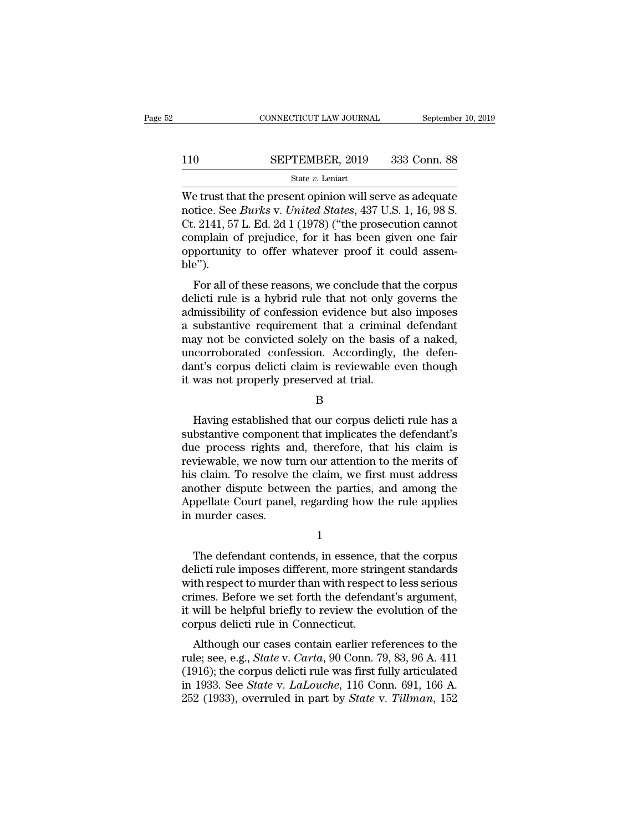# $\begin{tabular}{ll} \multicolumn{2}{l} \multicolumn{2}{c}{\text{CONNECTICUT LAW JOURNAL}} & \multicolumn{2}{c}{\text{September 10, 2019}}\\ \cline{2-2} \multicolumn{2}{c}{\text{COMNECTICUT LAW JOURNAL}} & \multicolumn{2}{c}{\text{September 10, 2019}}\\ \cline{2-2} \multicolumn{2}{c}{\text{StepTEMBER, 2019}} & \multicolumn{2}{c}{\text{333 Conn. 88}}\\ \cline{2-2} \multicolumn{2}{c}{\text{State $v$. Leniart}} & \multicolumn{2}{c}{\text{State $v$.} } \end$

### State *v.* Leniart

CONNECTICUT LAW JOURNAL September 10, 2019<br>
SEPTEMBER, 2019 333 Conn. 88<br>
State v. Leniart<br>
We trust that the present opinion will serve as adequate<br>
notice. See *Burks* v. *United States*, 437 U.S. 1, 16, 98 S.<br>
Ct. 2141, **notice. See** *SEPTEMBER*, 2019 333 Conn. 88<br>
State *v*. Leniart<br>
We trust that the present opinion will serve as adequate<br>
notice. See *Burks* v. *United States*, 437 U.S. 1, 16, 98 S.<br>
Ct. 2141, 57 L. Ed. 2d 1 (1978) ("t 110 SEPTEMBER, 2019 333 Conn. 88<br>
State v. Leniart<br>
We trust that the present opinion will serve as adequate<br>
notice. See *Burks* v. United States, 437 U.S. 1, 16, 98 S.<br>
Ct. 2141, 57 L. Ed. 2d 1 (1978) ("the prosecution SEPTEMBER, 2019 333 Conn. 88<br>
State v. Leniart<br>
We trust that the present opinion will serve as adequate<br>
notice. See *Burks* v. *United States*, 437 U.S. 1, 16, 98 S.<br>
Ct. 2141, 57 L. Ed. 2d 1 (1978) ("the prosecution ca SER FERENCE,  $\frac{1}{2000}$  and  $\frac{1}{2000}$  and  $\frac{1}{2000}$  and  $\frac{1}{2000}$  and  $\frac{1}{2000}$  and  $\frac{1}{2000}$  and  $\frac{1}{2000}$  and  $\frac{1}{2000}$  and  $\frac{1}{2000}$  and  $\frac{1}{2000}$  and  $\frac{1}{2000}$  and  $\frac{1}{2000}$  and  $\frac{$ ble''). E dust that the present ophilon will serve as adequate<br>tice. See *Burks v. United States*, 437 U.S. 1, 16, 98 S.<br>2141, 57 L. Ed. 2d 1 (1978) ("the prosecution cannot<br>mplain of prejudice, for it has been given one fair<br>port delictive reads a substantive requirement that a criminal defendant<br>complain of prejudice, for it has been given one fair<br>opportunity to offer whatever proof it could assem-<br>ble").<br>For all of these reasons, we conclude tha

Let 2141, 37 L. Ed. 2d 1 (1976) (the prosecution cannot complain of prejudice, for it has been given one fair opportunity to offer whatever proof it could assemble").<br>For all of these reasons, we conclude that the corpus complain of prejudice, for it has been given one fail<br>opportunity to offer whatever proof it could assem-<br>ble").<br>For all of these reasons, we conclude that the corpus<br>delicti rule is a hybrid rule that not only governs the ble").<br>
For all of these reasons, we conclude that the corpus<br>
delicti rule is a hybrid rule that not only governs the<br>
admissibility of confession evidence but also imposes<br>
a substantive requirement that a criminal defen For all of these reasons, we conclude that the corpus<br>delicti rule is a hybrid rule that not only governs the<br>admissibility of confession evidence but also imposes<br>a substantive requirement that a criminal defendant<br>may no For all of these reasons, we conclude that the corpus<br>delicti rule is a hybrid rule that not only governs the<br>admissibility of confession evidence but also imposes<br>a substantive requirement that a criminal defendant<br>may no delicti rule is a hybrid rule that not only admissibility of confession evidence but all<br>a substantive requirement that a criminal<br>may not be convicted solely on the basis<br>uncorroborated confession. Accordingly,<br>dant's cor May not be convicted solely on the basis of a naked,<br>corroborated confession. Accordingly, the defen-<br>m's corpus delicti claim is reviewable even though<br>was not properly preserved at trial.<br>B<br>Having established that our co

B

uncorroborated confession. Accordingly, the defendant's corpus delicti claim is reviewable even though<br>it was not properly preserved at trial.<br>B<br>Having established that our corpus delicti rule has a<br>substantive component t dant's corpus delicti claim is reviewable even though<br>it was not properly preserved at trial.<br>B<br>Having established that our corpus delicti rule has a<br>substantive component that implicates the defendant's<br>due process rights B<br>B<br>Having established that our corpus delicti rule has a<br>substantive component that implicates the defendant's<br>due process rights and, therefore, that his claim is<br>reviewable, we now turn our attention to the merits of<br>hi B<br>
Having established that our corpus delicti rule has a<br>
substantive component that implicates the defendant's<br>
due process rights and, therefore, that his claim is<br>
reviewable, we now turn our attention to the merits of<br> B<br>Having established that our corpus delicti rule has a<br>substantive component that implicates the defendant's<br>due process rights and, therefore, that his claim is<br>reviewable, we now turn our attention to the merits of<br>his Having established that our corpus delicti rule has a<br>substantive component that implicates the defendant's<br>due process rights and, therefore, that his claim is<br>reviewable, we now turn our attention to the merits of<br>his cl substantive componer<br>due process rights a<br>reviewable, we now ti<br>his claim. To resolve<br>another dispute betw<br>Appellate Court panel<br>in murder cases. Solaim. To resolve the claim, we first must address<br>other dispute between the parties, and among the<br>ppellate Court panel, regarding how the rule applies<br>murder cases.<br> $1$ <br>The defendant contends, in essence, that the corpu

1

another dispute between the parties, and among the<br>Appellate Court panel, regarding how the rule applies<br>in murder cases.<br><br><br><br>I<br>The defendant contends, in essence, that the corpus<br>delicti rule imposes different, more string Appellate Court panel, regarding how the rule applies<br>in murder cases.<br>1<br>The defendant contends, in essence, that the corpus<br>delicti rule imposes different, more stringent standards<br>with respect to murder than with respect in murder cases.<br>
1<br>
The defendant contends, in essence, that the corpus<br>
delicti rule imposes different, more stringent standards<br>
with respect to murder than with respect to less serious<br>
crimes. Before we set forth the <sup>1</sup><br>In the defendant contends, in essence, that the corpus<br>delicti rule imposes different, more stringent standards<br>with respect to murder than with respect to less serious<br>crimes. Before we set forth the defendant's argum The defendant contends, in essence, the delicti rule imposes different, more strine with respect to murder than with respect crimes. Before we set forth the defendativial be helpful briefly to review the express delicti ru The defendant contends, in essence, that the corpus<br>licti rule imposes different, more stringent standards<br>th respect to murder than with respect to less serious<br>imes. Before we set forth the defendant's argument,<br>will be rule; see, e.g., *State* v. *LaLoughe*, 116 Conn. 601, 166, A.<br>
in 1033, Soo State v. *LaLoughe*, 116 Conn. 601, 166, A.<br>
in 1033, Soo State v. *LaLoughe*, 116 Conn. 601, 166, A.<br>
in 1033, Soo State v. *LaLoughe*, 116 Conn

whit respect to intuiter than what respect to ress serious<br>crimes. Before we set forth the defendant's argument,<br>it will be helpful briefly to review the evolution of the<br>corpus delicti rule in Connecticut.<br>Although our c it will be helpful briefly to review the evolution of the corpus delicti rule in Connecticut.<br>Although our cases contain earlier references to the rule; see, e.g., *State* v. *Carta*, 90 Conn. 79, 83, 96 A. 411 (1916); the 252 (1933), overruled in part by *State* v. *Tillman*, 15252 (1933), overruled in part by *State* v. *Tillman*, 152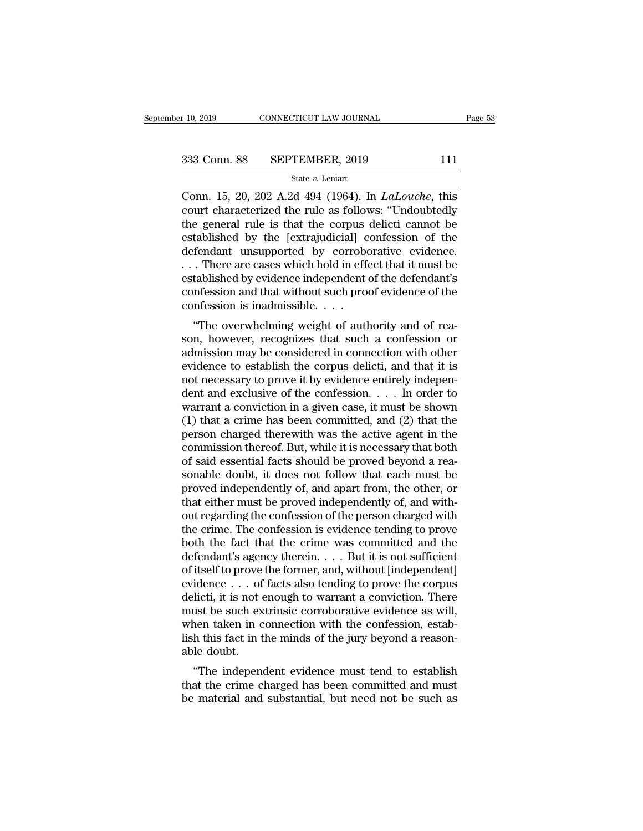CONNECTICUT LAW JOURNAL Page 53<br>
Conn. 88 SEPTEMBER, 2019 111<br>
State v. Leniart<br>
Conn. 15, 20, 202 A.2d 494 (1964). In *LaLouche*, this<br>
court characterized the rule as follows: "Undoubtedly<br>
the general rule is that the g 333 Conn. 88 SEPTEMBER, 2019 111<br>
State v. Leniart<br>
Conn. 15, 20, 202 A.2d 494 (1964). In *LaLouche*, this<br>
court characterized the rule as follows: "Undoubtedly<br>
the general rule is that the corpus delicti cannot be<br>
osta 333 Conn. 88 SEPTEMBER, 2019 111<br>
State v. Leniart<br>
Conn. 15, 20, 202 A.2d 494 (1964). In *LaLouche*, this<br>
court characterized the rule as follows: "Undoubtedly<br>
the general rule is that the corpus delicti cannot be<br>
est 333 Conn. 88 SEPTEMBER, 2019 111<br>
State v. Leniart<br>
Conn. 15, 20, 202 A.2d 494 (1964). In *LaLouche*, this<br>
court characterized the rule as follows: "Undoubtedly<br>
the general rule is that the corpus delicti cannot be<br>
est Solution of the *s* and the *v*. Leniart<br>Conn. 15, 20, 202 A.2d 494 (1964). In *LaLouche*, this<br>court characterized the rule as follows: "Undoubtedly<br>the general rule is that the corpus delicti cannot be<br>established by th State v. Lenart<br>
Conn. 15, 20, 202 A.2d 494 (1964). In *LaLouche*, this<br>
court characterized the rule as follows: "Undoubtedly<br>
the general rule is that the corpus delicti cannot be<br>
established by the [extrajudicial] con Conn. 15, 20, 202 A.2d 494 (1964). In *LaLouche*, this<br>court characterized the rule as follows: "Undoubtedly<br>the general rule is that the corpus delicti cannot be<br>established by the [extrajudicial] confession of the<br>defen court characterized the rule as follows: "Undoubtedly<br>the general rule is that the corpus delicti cannot be<br>established by the [extrajudicial] confession of the<br>defendant unsupported by corroborative evidence.<br>... There ar the general rule is that the corpus<br>established by the [extrajudicial] c<br>defendant unsupported by corrobe<br> $\ldots$  There are cases which hold in effectablished by evidence independent<br>confession and that without such proconf Education of the lexinguincial contession of the<br>
fendant unsupported by corroborative evidence.<br>
There are cases which hold in effect that it must be<br>
tablished by evidence independent of the defendant's<br>
orificsion and t defendant disapported by corroborative evidence.<br>
... There are cases which hold in effect that it must be<br>
established by evidence independent of the defendant's<br>
confession and that without such proof evidence of the<br>
co

 $\ldots$  There are cases which hold in effect that it must be established by evidence independent of the defendant's confession and that without such proof evidence of the confession is inadmissible.  $\ldots$  "The overwhelming established by evidence independent of the detendant is<br>confession and that without such proof evidence of the<br>confession is inadmissible. . . .<br>"The overwhelming weight of authority and of rea-<br>son, however, recognizes th confession and that whilout such proof evidence of the confession is inadmissible. . . .<br>
"The overwhelming weight of authority and of reason, however, recognizes that such a confession or admission may be considered in c "The overwhelming weight of authority and of reason, however, recognizes that such a confession or admission may be considered in connection with other evidence to establish the corpus delicti, and that it is not necessar "The overwhelming weight of authority and of reason, however, recognizes that such a confession or admission may be considered in connection with other evidence to establish the corpus delicti, and that it is not necessar son, however, recognizes that such a confession or<br>admission may be considered in connection with other<br>evidence to establish the corpus delicti, and that it is<br>not necessary to prove it by evidence entirely indepen-<br>dent admission may be considered in connection with other<br>evidence to establish the corpus delicti, and that it is<br>not necessary to prove it by evidence entirely indepen-<br>dent and exclusive of the confession. . . . In order to evidence to establish the corpus delicti, and that it is<br>not necessary to prove it by evidence entirely indepen-<br>dent and exclusive of the confession. . . . In order to<br>warrant a conviction in a given case, it must be sho not necessary to prove it by evidence entirely independent and exclusive of the confession. . . . In order to warrant a conviction in a given case, it must be shown (1) that a crime has been committed, and (2) that the pe dent and exclusive of the confession. . . . In order to<br>warrant a conviction in a given case, it must be shown<br>(1) that a crime has been committed, and (2) that the<br>person charged therewith was the active agent in the<br>com warrant a conviction in a given case, it must be shown<br>(1) that a crime has been committed, and (2) that the<br>person charged therewith was the active agent in the<br>commission thereof. But, while it is necessary that both<br>of (1) that a crime has been committed, and (2) that the person charged therewith was the active agent in the commission thereof. But, while it is necessary that both of said essential facts should be proved beyond a reasona person charged therewith was the active agent in the commission thereof. But, while it is necessary that both of said essential facts should be proved beyond a reasonable doubt, it does not follow that each must be proved commission thereof. But, while it is necessary that both<br>of said essential facts should be proved beyond a rea-<br>sonable doubt, it does not follow that each must be<br>proved independently of, and apart from, the other, or<br>tha of said essential facts should be proved beyond a reasonable doubt, it does not follow that each must be proved independently of, and apart from, the other, or that either must be proved independently of, and without regar sonable doubt, it does not follow that each must be<br>proved independently of, and apart from, the other, or<br>that either must be proved independently of, and with-<br>out regarding the confession of the person charged with<br>the proved independently of, and apart from, the other, or<br>that either must be proved independently of, and with-<br>out regarding the confession of the person charged with<br>the crime. The confession is evidence tending to prove<br>b that either must be proved independently of, and with-<br>out regarding the confession of the person charged with<br>the crime. The confession is evidence tending to prove<br>both the fact that the crime was committed and the<br>defe out regarding the confession of the person charged with<br>the crime. The confession is evidence tending to prove<br>both the fact that the crime was committed and the<br>defendant's agency therein. . . . But it is not sufficient<br>o the crime. The confession is evidence tending to prove<br>both the fact that the crime was committed and the<br>defendant's agency therein.  $\dots$  But it is not sufficient<br>of itself to prove the former, and, without [independent] both the fact that the crime was committed and the defendant's agency therein. . . . But it is not sufficient of itself to prove the former, and, without [independent] evidence . . . of facts also tending to prove the cor defendant's agency therein. . . . But it is not sufficient<br>of itself to prove the former, and, without [independent]<br>evidence . . . of facts also tending to prove the corpus<br>delicti, it is not enough to warrant a convictio of itself to prove<br>evidence . . . of<br>delicti, it is not e<br>must be such ex<br>when taken in c<br>lish this fact in t<br>able doubt.<br>"The indepene ''The independent evidence must tend to establish dencit, it is not enough to warrant a conviction. There<br>must be such extrinsic corroborative evidence as will,<br>when taken in connection with the confession, estab-<br>lish this fact in the minds of the jury beyond a reason-<br>a has be such extrinst corrobotative evidence as win,<br>when taken in connection with the confession, estab-<br>lish this fact in the minds of the jury beyond a reason-<br>able doubt.<br>"The independent evidence must tend to establish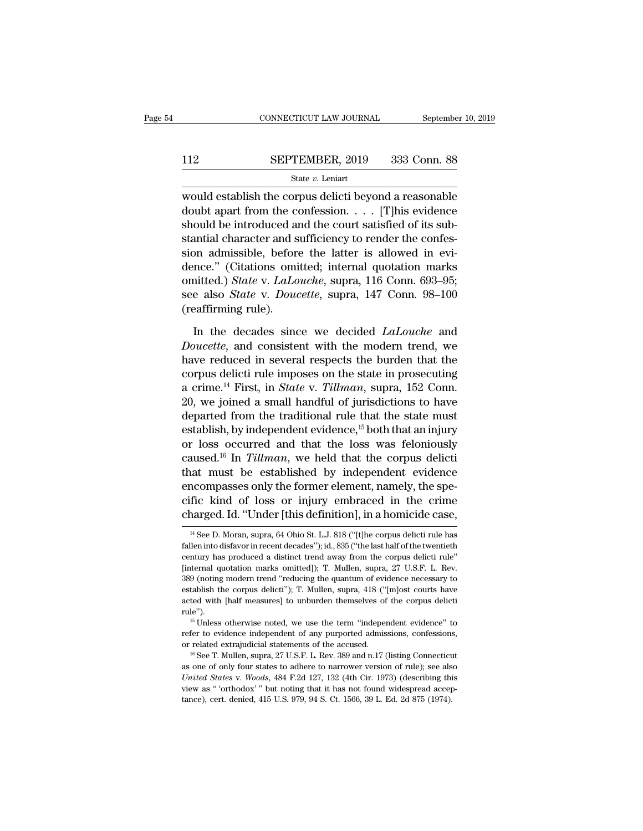# $\begin{tabular}{ll} \multicolumn{2}{c}{\text{CONNECTICUT LAW JOURNAL}} & \multicolumn{2}{c}{\text{September 10, 2019}}\\ \cline{2-2} \multicolumn{2}{c}{\text{SEPTEMBER, 2019}} & \multicolumn{2}{c}{\text{333 Conn. 88}}\\ \cline{2-2} \multicolumn{2}{c}{\text{State $v$. Leniart}} \end{tabular}$

### State *v.* Leniart

CONNECTICUT LAW JOURNAL September 10, 2019<br>
SEPTEMBER, 2019 333 Conn. 88<br>
State v. Leniart<br>
would establish the corpus delicti beyond a reasonable<br>
doubt apart from the confession. . . . [T] his evidence 112 SEPTEMBER, 2019 333 Conn. 88<br>
<sup>State v</sup>. Leniart<br>
would establish the corpus delicti beyond a reasonable<br>
doubt apart from the confession. . . . . [T]his evidence<br>
should be introduced and the court satisfied of its su SEPTEMBER, 2019 333 Conn. 88<br>
State v. Leniart<br>
would establish the corpus delicti beyond a reasonable<br>
doubt apart from the confession. . . . . [T] his evidence<br>
should be introduced and the court satisfied of its sub-<br> SEPTEMBER, 2019 333 Conn. 88<br>  $\frac{\text{State } v. \text{ Leniat}}{\text{would establish the corpus deletion.}}$ <br>
would establish the corpus delicti beyond a reasonable<br>
doubt apart from the confession. . . . [T]his evidence<br>
should be introduced and the court satisfied of it State v. Leniart<br>would establish the corpus delicti beyond a reasonable<br>doubt apart from the confession. . . . [T]his evidence<br>should be introduced and the court satisfied of its sub-<br>stantial character and sufficiency to state *b*. Lentart<br>
state *b*. Lentart<br>
doubt apart from the confession. . . . . [T]his evidence<br>
should be introduced and the court satisfied of its sub-<br>
stantial character and sufficiency to render the confes-<br>
sion ad would establish the corpus delicti beyond a reasonable<br>doubt apart from the confession. . . . [T]his evidence<br>should be introduced and the court satisfied of its sub-<br>stantial character and sufficiency to render the confes doubt apart from the confession. . . . [T]his evidence<br>should be introduced and the court satisfied of its sub-<br>stantial character and sufficiency to render the confes-<br>sion admissible, before the latter is allowed in evishould be introduced a<br>stantial character and s<br>sion admissible, before<br>dence." (Citations omi<br>omitted.) *State* v. *LaLo*<br>see also *State* v. *Douc*<br>(reaffirming rule).<br>In the decades sinc on admissible, before the latter is allowed in evi-<br>nce." (Citations omitted; internal quotation marks<br>nitted.) *State* v. *LaLouche*, supra, 116 Conn. 693–95;<br>e also *State* v. *Doucette*, supra, 147 Conn. 98–100<br>eaffirmi dence." (Citations omitted; internal quotation marks<br>
omitted.) *State* v. *LaLouche*, supra, 116 Conn. 693–95;<br>
see also *State* v. *Doucette*, supra, 147 Conn. 98–100<br>
(reaffirming rule).<br>
In the decades since we decided

omitted.) *State v. LaLouche*, supra, 116 Conn. 693–95;<br>see also *State v. Doucette*, supra, 147 Conn. 98–100<br>(reaffirming rule).<br>In the decades since we decided *LaLouche* and<br>*Doucette*, and consistent with the modern tr see also *State* v. *Doucette*, supra, 147 Conn. 98–100<br>(reaffirming rule).<br>In the decades since we decided *LaLouche* and<br>*Doucette*, and consistent with the modern trend, we<br>have reduced in several respects the burden th (reaffirming rule).<br>In the decades since we decided *LaLouche* and<br>*Doucette*, and consistent with the modern trend, we<br>have reduced in several respects the burden that the<br>corpus delicti rule imposes on the state in prose In the decades since we decided *LaLouche* and *Doucette*, and consistent with the modern trend, we have reduced in several respects the burden that the corpus delicti rule imposes on the state in prosecuting a crime.<sup>14</sup> In the decades since we decided *LaLouche* and *Doucette*, and consistent with the modern trend, we have reduced in several respects the burden that the corpus delicti rule imposes on the state in prosecuting a crime.<sup>14</sup> Doucette, and consistent with the modern trend, we<br>have reduced in several respects the burden that the<br>corpus delicti rule imposes on the state in prosecuting<br>a crime.<sup>14</sup> First, in *State* v. *Tillman*, supra, 152 Conn. have reduced in several respects the burden that the corpus delicti rule imposes on the state in prosecuting a crime.<sup>14</sup> First, in *State* v. *Tillman*, supra, 152 Conn. 20, we joined a small handful of jurisdictions to corpus delicti rule imposes on the state in prosecuting<br>a crime.<sup>14</sup> First, in *State* v. *Tillman*, supra, 152 Conn.<br>20, we joined a small handful of jurisdictions to have<br>departed from the traditional rule that the state a crime.<sup>14</sup> First, in *State v. Tillman*, supra, 152 Conn.<br>20, we joined a small handful of jurisdictions to have<br>departed from the traditional rule that the state must<br>establish, by independent evidence,<sup>15</sup> both that a 20, we joined a small handful of jurisdictions to have departed from the traditional rule that the state must establish, by independent evidence,  $15$  both that an injury or loss occurred and that the loss was feloniously departed from the traditional rule that the state must<br>establish, by independent evidence,  $^{15}$  both that an injury<br>or loss occurred and that the loss was feloniously<br>caused.<sup>16</sup> In *Tillman*, we held that the corpus de establish, by independent evidence,<sup>15</sup> both that an injury<br>or loss occurred and that the loss was feloniously<br>caused.<sup>16</sup> In *Tillman*, we held that the corpus delicti<br>that must be established by independent evidence<br>enc at must be established by independent evidence<br>nocompasses only the former element, namely, the spe-<br>fic kind of loss or injury embraced in the crime<br>narged. Id. "Under [this definition], in a homicide case,<br> $\frac{14}{18}$  Se encompasses only the former element, namely, the specific kind of loss or injury embraced in the crime<br>charged. Id. "Under [this definition], in a homicide case,<br><sup>14</sup> See D. Moran, supra, 64 Ohio St. L.J. 818 ("[t]he corpu

cific kind of loss or injury embraced in the crime<br>charged. Id. "Under [this definition], in a homicide case,<br><sup>14</sup> See D. Moran, supra, 64 Ohio St. L.J. 818 ("[t]he corpus delicti rule has<br>fallen into disfavor in recent de charged. Id. "Under [this definition], in a homicide case,<br> $\frac{14 \text{ See D. Moran, supra, 64 Ohio St. LJ. 818 ("lfhe corpus delict rule has fallen into disfavor in recent decades"); id., 835 ("the last half of the twentieth century has produced a distinct trend away from the corpus delict rule" [internal quotation marks omitted]); T. Mullen, supra, 27 U.S.F. L. Rev. 389 (noting modern trend "reducing the quantum of evidence necessary to$ <sup>14</sup> See D. Moran, supra, 64 Ohio St. L.J. 818 ("[t]he corpus delicti rule has fallen into disfavor in recent decades"); id., 835 ("the last half of the twentieth century has produced a distinct trend away from the corpus <sup>14</sup> See D. Moran, supra, 64 Ohio St. L.J. 818 ("[t]he corpus delicti rule has fallen into disfavor in recent decades"); id., 835 ("the last half of the twentieth century has produced a distinct trend away from the corpus establish the corpus delicti"); T. Mullen, supra, 418 ("[m]ost courts have acted with [half measures] to unburden themselves of the corpus delicti rule''). thermal quotation marks omitted]); T. Mullen, supra, 27 U.S.F. L. Rev.<br>9 (noting modern trend "reducing the quantum of evidence necessary to<br>tablish the corpus delicti"); T. Mullen, supra, 418 ("[m]ost courts have<br>ted with 389 (noting modern trend "reducing the quantum of evidence necessary to establish the corpus delicti"); T. Mullen, supra, 418 ("[m]ost courts have acted with [half measures] to unburden themselves of the corpus delicti ru stablish the corpus delicti"); T. Mullen, supra, 418 ("[m]ost courts have acted with [half measures] to unburden themselves of the corpus delicti rule").<br>
<sup>15</sup> Unless otherwise noted, we use the term "independent evidence

The  $^{15}$  Unless otherwise noted, we use the term "independent evidence" to refer to evidence independent of any purported admissions, confessions, or related extrajudicial statements of the accused.<br>
<sup>16</sup> See T. Mullen, <sup>16</sup> Unless otherwise noted, we use the term "independent evidence" to refer to evidence independent of any purported admissions, confessions, or related extrajudicial statements of the accused.<br><sup>16</sup> See T. Mullen, supra, refer to evidence independent of any purported admissions, confessions, or related extrajudicial statements of the accused.<br><sup>16</sup> See T. Mullen, supra, 27 U.S.F. L. Rev. 389 and n.17 (listing Connecticut as one of only fou tance), cert. denied, 415 U.S. 979, 94 S. Ct. 1566, 39 L. Ed. 2d 875 (1974).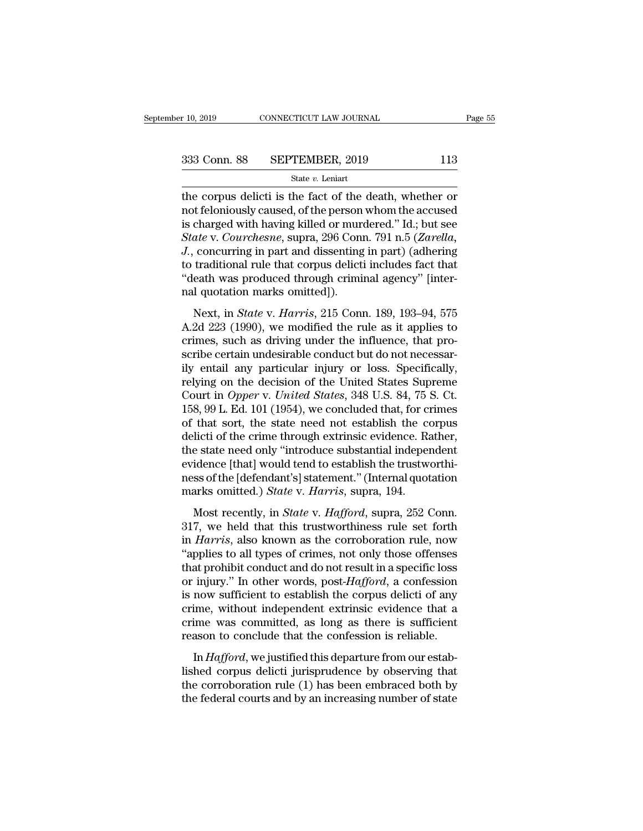the corpus delicti is the fact of the death, whether or<br>
the corpus delicti is the fact of the death, whether or<br>
the corpus delicti is the fact of the death, whether or<br>
the corpus delicti is the fact of the death, wheth 333 Conn. 88 SEPTEMBER, 2019 113<br>
state v. Leniart<br>
the corpus delicti is the fact of the death, whether or<br>
not feloniously caused, of the person whom the accused<br>
is charged with having killed or murdered." Id.; but see 333 Conn. 88 SEPTEMBER, 2019 113<br>
State v. Leniart<br>
the corpus delicti is the fact of the death, whether or<br>
not feloniously caused, of the person whom the accused<br>
is charged with having killed or murdered.'' Id.; but se **Sample 138 Conn. 88** SEPTEMBER, 2019 113<br> **State v. Leniart**<br> **Courches 138 Connection**<br> **State v. Leniart**<br> **Courches 2018** Connection in the accused<br> **State v. Courchesne**, supra, 296 Conn. 791 n.5 (*Zarella,*<br> **Courche** *State v. Leniart*, 2018<br>*State v. Leniart*<br>the corpus delicti is the fact of the death, whether or<br>not feloniously caused, of the person whom the accused<br>is charged with having killed or murdered." Id.; but see<br>*State v.* state  $v$ . Lemart<br>the corpus delicti is the fact of the death, whether or<br>not feloniously caused, of the person whom the accused<br>is charged with having killed or murdered." Id.; but see<br>*State* v. *Courchesne*, supra, 296 the corpus delicti is the fact of the death, whether or<br>not feloniously caused, of the person whom the accused<br>is charged with having killed or murdered." Id.; but see<br>*State* v. *Courchesne*, supra, 296 Conn. 791 n.5 (Zar not feloniously caused, of the person<br>is charged with having killed or mure<br>*State* v. *Courchesne*, supra, 296 Con<br>*J.*, concurring in part and dissenting<br>to traditional rule that corpus delict<br>"death was produced through etatged with having kinet of intracticed. Tal., but see<br>*ate v. Courchesne*, supra, 296 Conn. 791 n.5 (*Zarella*,<br>concurring in part and dissenting in part) (adhering<br>traditional rule that corpus delicti includes fact that  $J$ ., concurring in part and dissenting in part) (adhering<br>*J*., concurring in part and dissenting in part) (adhering<br>to traditional rule that corpus delicti includes fact that<br>"death was produced through criminal agency"

For the traditional rule that corpus delicti includes fact that<br>
"death was produced through criminal agency" [internal quotation marks omitted]).<br>
Next, in *State v. Harris*, 215 Conn. 189, 193–94, 575<br>
A.2d 223 (1990), scribe certain undesirable computer includes the distributed "death was produced through criminal agency" [internal quotation marks omitted]).<br>Next, in *State* v. *Harris*, 215 Conn. 189, 193–94, 575<br>A.2d 223 (1990), we mo mal quotation marks omitted]).<br>
Next, in *State* v. *Harris*, 215 Conn. 189, 193–94, 575<br>
A.2d 223 (1990), we modified the rule as it applies to<br>
crimes, such as driving under the influence, that pro-<br>
scribe certain unde Next, in *State v. Harris*, 215 Conn. 189, 193–94, 575<br>A.2d 223 (1990), we modified the rule as it applies to<br>crimes, such as driving under the influence, that pro-<br>scribe certain undesirable conduct but do not necessar-<br> Next, in *State* v. *Harris*, 215 Conn. 189, 193–94, 575<br>A.2d 223 (1990), we modified the rule as it applies to<br>crimes, such as driving under the influence, that pro-<br>scribe certain undesirable conduct but do not necessar-A.2d 223 (1990), we modified the rule as it applies to crimes, such as driving under the influence, that proscribe certain undesirable conduct but do not necessarily entail any particular injury or loss. Specifically, rely crimes, such as driving under the influence, that pro-<br>scribe certain undesirable conduct but do not necessar-<br>ily entail any particular injury or loss. Specifically,<br>relying on the decision of the United States Supreme<br>Co scribe certain undesirable conduct but do not necessarily entail any particular injury or loss. Specifically, relying on the decision of the United States Supreme Court in *Opper v. United States*, 348 U.S. 84, 75 S. Ct. 1 ily entail any particular injury or loss. Specifically,<br>relying on the decision of the United States Supreme<br>Court in *Opper v. United States*, 348 U.S. 84, 75 S. Ct.<br>158, 99 L. Ed. 101 (1954), we concluded that, for crime relying on the decision of the United States Supreme<br>Court in *Opper* v. *United States*, 348 U.S. 84, 75 S. Ct.<br>158, 99 L. Ed. 101 (1954), we concluded that, for crimes<br>of that sort, the state need not establish the corp Court in *Opper* v. *United States*, 348 U.S. 84, 75 S. Ct.<br>158, 99 L. Ed. 101 (1954), we concluded that, for crimes<br>of that sort, the state need not establish the corpus<br>delicti of the crime through extrinsic evidence. Ra 158, 99 L. Ed. 101 (1954), we concluded that, for cr<br>of that sort, the state need not establish the co<br>delicti of the crime through extrinsic evidence. Ra<br>the state need only "introduce substantial indeper<br>evidence [that] dicti of the crime through extrinsic evidence. Rather,<br>e state need only "introduce substantial independent<br>idence [that] would tend to establish the trustworthi-<br>ss of the [defendant's] statement." (Internal quotation<br>ark deficit of all chine allowing entails conditions. The state is the state need only "introduce substantial independent<br>evidence [that] would tend to establish the trustworthi-<br>ness of the [defendant's] statement." (Internal

in *Harris*, also known as the corroboration rule, now "applies to all types of crimes, also known as the corroboration rule, now "applies to all types of crimes, not only those offenses that probibit conduct and do not re The second condition of the distribution<br>
marks omitted.) *State* v. *Harris*, supra, 194.<br>
Most recently, in *State* v. *Hafford*, supra, 252 Conn.<br>
317, we held that this trustworthiness rule set forth<br>
in *Harris*, also that product and by the product and positions.<br>
marks omitted.) *State v. Hafford*, supra, 252 Conn.<br>
317, we held that this trustworthiness rule set forth<br>
in *Harris*, also known as the corroboration rule, now<br>
"applies Most recently, in *State* v. *Hafford*, supra, 252 Conn.<br>317, we held that this trustworthiness rule set forth<br>in *Harris*, also known as the corroboration rule, now<br>"applies to all types of crimes, not only those offenses Most recently, in *State* v. *Hafford*, supra, 252 Conn.<br>317, we held that this trustworthiness rule set forth<br>in *Harris*, also known as the corroboration rule, now<br>"applies to all types of crimes, not only those offense 317, we held that this trustworthiness rule set forth<br>in *Harris*, also known as the corroboration rule, now<br>"applies to all types of crimes, not only those offenses<br>that prohibit conduct and do not result in a specific l in *Harris*, also known as the corroboration rule, now "applies to all types of crimes, not only those offenses that prohibit conduct and do not result in a specific loss or injury." In other words, post- $Hafford$ , a confessi "applies to all types of crimes, not only those offenses<br>that prohibit conduct and do not result in a specific loss<br>or injury." In other words, post-*Hafford*, a confession<br>is now sufficient to establish the corpus delict injury." In other words, post-*Hafford*, a confession<br>now sufficient to establish the corpus delicti of any<br>ime, without independent extrinsic evidence that a<br>ime was committed, as long as there is sufficient<br>ason to conc Let  $\alpha$  is now sufficient to establish the corpus delicti of any<br>crime, without independent extrinsic evidence that a<br>crime was committed, as long as there is sufficient<br>reason to conclude that the confession is reliable

the corroboration is contained to correlate of any crime, without independent extrinsic evidence that a crime was committed, as long as there is sufficient reason to conclude that the confession is reliable.<br>In *Hafford*, Finne, which independent extrinsic evidence and a<br>crime was committed, as long as there is sufficient<br>reason to conclude that the confession is reliable.<br>In  $Hafford$ , we justified this departure from our estab-<br>lished corpus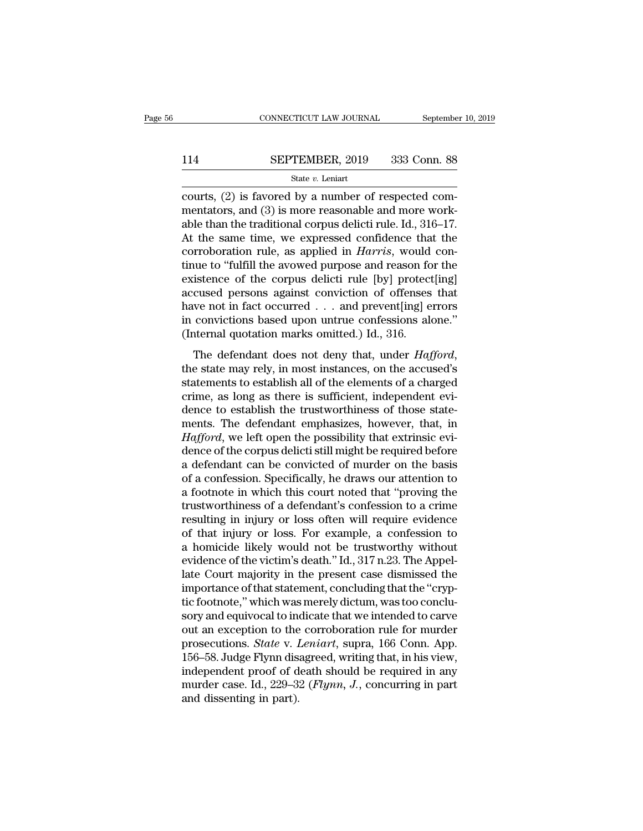# $\begin{tabular}{lll} \multicolumn{2}{l} \multicolumn{2}{l}{{\small\bf CONNECTICUT LAW JOURNAL}} & \multicolumn{2}{l}{September 10, 2019} \\\\ \hline 114 & \multicolumn{2}{l}{\bf SEPTEMBER, 2019} & 333 & \multicolumn{2}{l}{\bf Conn. 88} \\\\ \hline & \multicolumn{2}{l}{\bf State}\ v. \ Leniart & \multicolumn{2}{l}{\bf$

### State *v.* Leniart

CONNECTICUT LAW JOURNAL September<br>
114 SEPTEMBER, 2019 333 Conn. 88<br>  $\frac{\text{State } v. \text{ Leniat}}{\text{counts}}$ <br>
courts, (2) is favored by a number of respected com-<br>
mentators, and (3) is more reasonable and more work-<br>
able than the tradit SEPTEMBER, 2019 333 Conn. 88<br>
State v. Leniart<br>
courts, (2) is favored by a number of respected com-<br>
mentators, and (3) is more reasonable and more work-<br>
able than the traditional corpus delicti rule. Id., 316–17.<br>
At th 114 SEPTEMBER, 2019 333 Conn. 88<br>
State v. Leniart<br>
courts, (2) is favored by a number of respected com-<br>
mentators, and (3) is more reasonable and more work-<br>
able than the traditional corpus delicti rule. Id., 316–17.<br> SEPTEMBER, 2019 333 Conn. 88<br>
State v. Leniart<br>
courts, (2) is favored by a number of respected com-<br>
mentators, and (3) is more reasonable and more work-<br>
able than the traditional corpus delicti rule. Id., 316–17.<br>
At t State *v*. Leniart<br>
courts, (2) is favored by a number of respected com-<br>
mentators, and (3) is more reasonable and more work-<br>
able than the traditional corpus delicti rule. Id., 316–17.<br>
At the same time, we expressed co state v. Lenart<br>
courts, (2) is favored by a number of respected com-<br>
mentators, and (3) is more reasonable and more work-<br>
able than the traditional corpus delicti rule. Id., 316–17.<br>
At the same time, we expressed conf courts, (2) is favored by a number of respected commentators, and (3) is more reasonable and more work-<br>able than the traditional corpus delicti rule. Id., 316–17.<br>At the same time, we expressed confidence that the<br>corrob mentators, and (3) is more reasonable and more work-<br>able than the traditional corpus delicti rule. Id., 316–17.<br>At the same time, we expressed confidence that the<br>corroboration rule, as applied in *Harris*, would con-<br>ti able than the traditional corpus delicti rule. Id., 316–17.<br>At the same time, we expressed confidence that the<br>corroboration rule, as applied in *Harris*, would con-<br>tinue to "fulfill the avowed purpose and reason for the At the same time, we expressed confidence that the corroboration rule, as applied in *Harris*, would continue to "fulfill the avowed purpose and reason for the existence of the corpus delicti rule [by] protect[ing] accused corroboration rule, as applied in *Harris*, would<br>tinue to "fulfill the avowed purpose and reason fo<br>existence of the corpus delicti rule [by] protect<br>accused persons against conviction of offenses<br>have not in fact occurr existence of the corpus delicti rule [by] protect[ing]<br>accused persons against conviction of offenses that<br>have not in fact occurred . . . and prevent[ing] errors<br>in convictions based upon untrue confessions alone."<br>(Inter

have not in fact occurred  $\ldots$  and prevent[ing] errors<br>in convictions based upon untrue confessions alone."<br>(Internal quotation marks omitted.) Id., 316.<br>The defendant does not deny that, under *Hafford*,<br>the state may r can consider the different content in convictions based upon untrue confessions alone."<br>(Internal quotation marks omitted.) Id., 316.<br>The defendant does not deny that, under *Hafford*,<br>the state may rely, in most instance (Internal quotation marks omitted.) Id., 316.<br>The defendant does not deny that, under *Hafford*,<br>the state may rely, in most instances, on the accused's<br>statements to establish all of the elements of a charged<br>crime, as l The defendant does not deny that, under *Hafford*,<br>the state may rely, in most instances, on the accused's<br>statements to establish all of the elements of a charged<br>crime, as long as there is sufficient, independent evi-<br>d The defendant does not deny that, under *Hafford*, the state may rely, in most instances, on the accused's statements to establish all of the elements of a charged crime, as long as there is sufficient, independent evidenc the state may rely, in most instances, on the accused's<br>statements to establish all of the elements of a charged<br>crime, as long as there is sufficient, independent evi-<br>dence to establish the trustworthiness of those state statements to establish all of the elements of a charged<br>crime, as long as there is sufficient, independent evi-<br>dence to establish the trustworthiness of those state-<br>ments. The defendant emphasizes, however, that, in<br>*Ha* crime, as long as there is sufficient, independent evidence to establish the trustworthiness of those statements. The defendant emphasizes, however, that, in *Hafford*, we left open the possibility that extrinsic evidence dence to establish the trustworthiness of those statements. The defendant emphasizes, however, that, in *Hafford*, we left open the possibility that extrinsic evidence of the corpus delicti still might be required before a ments. The defendant emphasizes, however, that, in *Hafford*, we left open the possibility that extrinsic evidence of the corpus delicti still might be required before a defendant can be convicted of murder on the basis of Hafford, we left open the possibility that extrinsic evidence of the corpus delicti still might be required before<br>a defendant can be convicted of murder on the basis<br>of a confession. Specifically, he draws our attention t dence of the corpus delicti still might be required before<br>a defendant can be convicted of murder on the basis<br>of a confession. Specifically, he draws our attention to<br>a footnote in which this court noted that "proving the a defendant can be convicted of murder on the basis<br>of a confession. Specifically, he draws our attention to<br>a footnote in which this court noted that "proving the<br>trustworthiness of a defendant's confession to a crime<br>res of a confession. Specifically, he draws our attention to<br>a footnote in which this court noted that "proving the<br>trustworthiness of a defendant's confession to a crime<br>resulting in injury or loss often will require evidence a footnote in which this court noted that "proving the<br>trustworthiness of a defendant's confession to a crime<br>resulting in injury or loss often will require evidence<br>of that injury or loss. For example, a confession to<br>a h trustworthiness of a defendant's confession to a crime<br>resulting in injury or loss often will require evidence<br>of that injury or loss. For example, a confession to<br>a homicide likely would not be trustworthy without<br>evidenc resulting in injury or loss often will require evidence<br>of that injury or loss. For example, a confession to<br>a homicide likely would not be trustworthy without<br>evidence of the victim's death." Id., 317 n.23. The Appel-<br>lat of that injury or loss. For example, a confession to<br>a homicide likely would not be trustworthy without<br>evidence of the victim's death." Id., 317 n.23. The Appel-<br>late Court majority in the present case dismissed the<br>impor a homicide likely would not be trustworthy without<br>evidence of the victim's death." Id., 317 n.23. The Appel-<br>late Court majority in the present case dismissed the<br>importance of that statement, concluding that the "cryp-<br>t evidence of the victim's death." Id., 317 n.23. The Appellate Court majority in the present case dismissed the importance of that statement, concluding that the "cryptic footnote," which was merely dictum, was too concluso late Court majority in the present case dismissed the<br>importance of that statement, concluding that the "cryp-<br>tic footnote," which was merely dictum, was too conclu-<br>sory and equivocal to indicate that we intended to car importance of that statement, concluding that the "cryptic footnote," which was merely dictum, was too conclusory and equivocal to indicate that we intended to carve out an exception to the corroboration rule for murder p tic footnote," which was merely dictum, was too conclusory and equivocal to indicate that we intended to carve out an exception to the corroboration rule for murder prosecutions. *State* v. *Leniart*, supra, 166 Conn. App. sory and equivocal to involt an exception to the<br>prosecutions. *State* v. 1<br>156–58. Judge Flynn dis<br>independent proof of d<br>murder case. Id., 229–3.<br>and dissenting in part).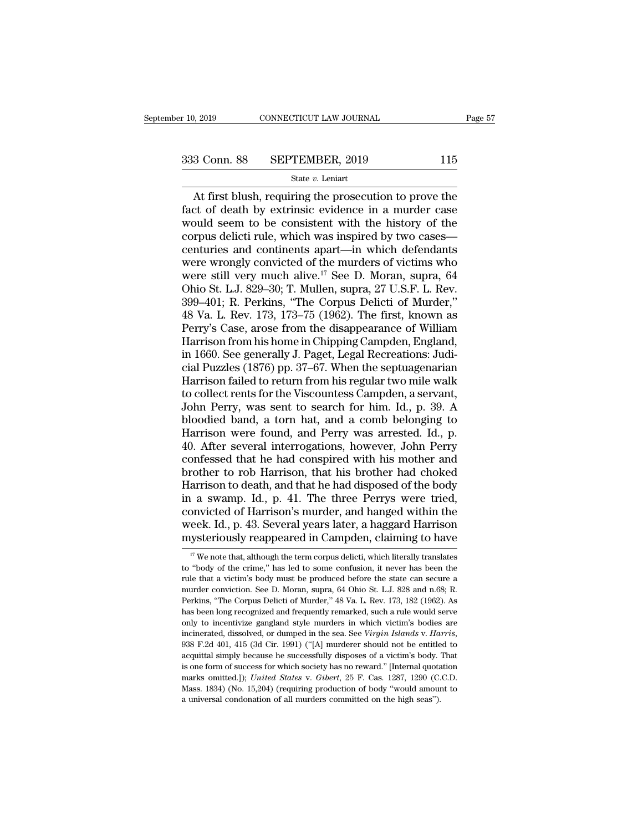$\begin{array}{r|l}\n & \text{COMNETICUT LAW JOURNAL} & \text{Page 57}\n \hline\n 3 & \text{Conn. } 88 & \text{SEPTEMBER, } 2019 & 115\n \end{array}$ <br>  $\begin{array}{r|l}\n \text{State } v. \text{ Leninart} \\
 \text{At first blush, requiring the prosecution to prove the}\n \hline\n \end{array}$ <br>
At first blush, requiring the prosecution to prove the<br>
ct of death by extrinsic eviden  $f$  333 Conn. 88 SEPTEMBER, 2019 115<br>  $f$  State v. Leniart<br>
At first blush, requiring the prosecution to prove the<br>
fact of death by extrinsic evidence in a murder case<br>
would seem to be consistent with the history of the 333 Conn. 88 SEPTEMBER, 2019 115<br>
State v. Leniart<br>
At first blush, requiring the prosecution to prove the<br>
fact of death by extrinsic evidence in a murder case<br>
would seem to be consistent with the history of the<br>
corpus 333 Conn. 88 SEPTEMBER, 2019 115<br>
State v. Leniart<br>
At first blush, requiring the prosecution to prove the<br>
fact of death by extrinsic evidence in a murder case<br>
would seem to be consistent with the history of the<br>
corpus Solution of the University Correction of the Sate v. Leniart<br>
At first blush, requiring the prosecution to prove the<br>
fact of death by extrinsic evidence in a murder case<br>
would seem to be consistent with the history of t State *v*. Leniart<br>
At first blush, requiring the prosecution to prove the<br>
fact of death by extrinsic evidence in a murder case<br>
would seem to be consistent with the history of the<br>
corpus delicti rule, which was inspire At first blush, requiring the prosecution to prove the<br>fact of death by extrinsic evidence in a murder case<br>would seem to be consistent with the history of the<br>corpus delicti rule, which was inspired by two cases—<br>centuri fact of death by extrinsic evidence in a murder case<br>would seem to be consistent with the history of the<br>corpus delicti rule, which was inspired by two cases—<br>centuries and continents apart—in which defendants<br>were wrongl would seem to be consistent with the history of the<br>corpus delicti rule, which was inspired by two cases—<br>centuries and continents apart—in which defendants<br>were wrongly convicted of the murders of victims who<br>were still v corpus delicti rule, which was inspired by two cases—<br>centuries and continents apart—in which defendants<br>were wrongly convicted of the murders of victims who<br>were still very much alive.<sup>17</sup> See D. Moran, supra, 64<br>Ohio St. centuries and continents apart—in which defendants<br>were wrongly convicted of the murders of victims who<br>were still very much alive.<sup>17</sup> See D. Moran, supra, 64<br>Ohio St. L.J. 829–30; T. Mullen, supra, 27 U.S.F. L. Rev.<br>399– were wrongly convicted of the murders of victims who<br>were still very much alive.<sup>17</sup> See D. Moran, supra, 64<br>Ohio St. L.J. 829–30; T. Mullen, supra, 27 U.S.F. L. Rev.<br>399–401; R. Perkins, "The Corpus Delicti of Murder,"<br>48 were still very much alive.<sup>17</sup> See D. Moran, supra, 64<br>Ohio St. L.J. 829–30; T. Mullen, supra, 27 U.S.F. L. Rev.<br>399–401; R. Perkins, "The Corpus Delicti of Murder,"<br>48 Va. L. Rev. 173, 173–75 (1962). The first, known as<br> Ohio St. L.J. 829–30; T. Mullen, supra, 27 U.S.F. L. Rev.<br>399–401; R. Perkins, "The Corpus Delicti of Murder,"<br>48 Va. L. Rev. 173, 173–75 (1962). The first, known as<br>Perry's Case, arose from the disappearance of William<br>Ha 399–401; R. Perkins, "The Corpus Delicti of Murder,"<br>48 Va. L. Rev. 173, 173–75 (1962). The first, known as<br>Perry's Case, arose from the disappearance of William<br>Harrison from his home in Chipping Campden, England,<br>in 1660 48 Va. L. Rev. 173, 173–75 (1962). The first, known as<br>Perry's Case, arose from the disappearance of William<br>Harrison from his home in Chipping Campden, England,<br>in 1660. See generally J. Paget, Legal Recreations: Judi-<br>c Perry's Case, arose from the disappearance of William<br>Harrison from his home in Chipping Campden, England,<br>in 1660. See generally J. Paget, Legal Recreations: Judi-<br>cial Puzzles (1876) pp. 37–67. When the septuagenarian<br>Ha Harrison from his home in Chipping Campden, England,<br>in 1660. See generally J. Paget, Legal Recreations: Judi-<br>cial Puzzles (1876) pp. 37–67. When the septuagenarian<br>Harrison failed to return from his regular two mile walk in 1660. See generally J. Paget, Legal Recreations: Judicial Puzzles (1876) pp. 37–67. When the septuagenarian<br>Harrison failed to return from his regular two mile walk<br>to collect rents for the Viscountess Campden, a servan cial Puzzles (1876) pp. 37–67. When the septuagenarian<br>Harrison failed to return from his regular two mile walk<br>to collect rents for the Viscountess Campden, a servant,<br>John Perry, was sent to search for him. Id., p. 39. A Harrison failed to return from his regular two mile walk<br>to collect rents for the Viscountess Campden, a servant,<br>John Perry, was sent to search for him. Id., p. 39. A<br>bloodied band, a torn hat, and a comb belonging to<br>Har to collect rents for the Viscountess Campden, a servant,<br>John Perry, was sent to search for him. Id., p. 39. A<br>bloodied band, a torn hat, and a comb belonging to<br>Harrison were found, and Perry was arrested. Id., p.<br>40. Aft John Perry, was sent to search for him. Id., p. 39. A<br>bloodied band, a torn hat, and a comb belonging to<br>Harrison were found, and Perry was arrested. Id., p.<br>40. After several interrogations, however, John Perry<br>confessed bloodied band, a torn hat, and a comb belonging to<br>Harrison were found, and Perry was arrested. Id., p.<br>40. After several interrogations, however, John Perry<br>confessed that he had conspired with his mother and<br>brother to r Harrison were found, and Perry was arrested. Id., p.<br>40. After several interrogations, however, John Perry<br>confessed that he had conspired with his mother and<br>brother to rob Harrison, that his brother had choked<br>Harrison t 40. After several interrogations, however, John Perry<br>confessed that he had conspired with his mother and<br>brother to rob Harrison, that his brother had choked<br>Harrison to death, and that he had disposed of the body<br>in a sw confessed that he had conspired with his mother and<br>brother to rob Harrison, that his brother had choked<br>Harrison to death, and that he had disposed of the body<br>in a swamp. Id., p. 41. The three Perrys were tried,<br>convict 1 a swamp. Id., p. 41. The three Perrys were tried, onvicted of Harrison's murder, and hanged within the eek. Id., p. 43. Several years later, a haggard Harrison ysteriously reappeared in Campden, claiming to have  $\frac{17}{$ convicted of Harrison's murder, and hanged within the week. Id., p. 43. Several years later, a haggard Harrison mysteriously reappeared in Campden, claiming to have  $\frac{17}{17}$  We note that, although the term corpus delic

week. Id., p. 43. Several years later, a haggard Harrison mysteriously reappeared in Campden, claiming to have  $\frac{17}{17}$  We note that, although the term corpus delicti, which literally translates to "body of the crime," mysteriously reappeared in Campden, claiming to have<br>
<sup>17</sup> We note that, although the term corpus delicti, which literally translates<br>
to "body of the crime," has led to some confusion, it never has been the<br>
rule that a v murder conviction. See D. Moran, supra, 64 Ohio St. L.J. 828 and n.68; R. <sup>17</sup> We note that, although the term corpus delicti, which literally translates to "body of the crime," has led to some confusion, it never has been the rule that a victim's body must be produced before the state can secu to "body of the crime," has led to some confusion, it never has been the rule that a victim's body must be produced before the state can secure a murder conviction. See D. Moran, supra, 64 Ohio St. L.J. 828 and n.68; R. Pe incine incinerated, dissolved, or dumped in the sea. See *Virgin Islands* v. *Harris*, <sup>or</sup> decircine. See *D.* Moran, supra, 64 Ohio St. L.J. 828 and n.68; R. Perkins, "The Corpus Delicti of Murder," 48 Va. L. Rev. 173, 1 Perkins, "The Corpus Delicti of Murder," 48 Va. L. Rev. 173, 182 (1962). As has been long recognized and frequently remarked, such a rule would serve only to incentivize gangland style murders in which victim's bodies are Frames, The coepenized and frequently remarked, such a rule would serve only to incentivize gangland style murders in which victim's bodies are incinerated, dissolved, or dumped in the sea. See *Virgin Islands v. Harris*, only to incentivize gangland style murders in which victim's bodies are incinerated, dissolved, or dumped in the sea. See *Virgin Islands v. Harris*, 938 F.2d 401, 415 (3d Cir. 1991) ("[A] murderer should not be entitled t incinerated, dissolved, or dumped in the sea. See *Virgin Islands v. Harris*, 938 F.2d 401, 415 (3d Cir. 1991) ("[A] murderer should not be entitled to acquittal simply because he successfully disposes of a victim's body. 938 F.2d 401, 415 (3d Cir. 1991) ("[A] murderer should not be entitled to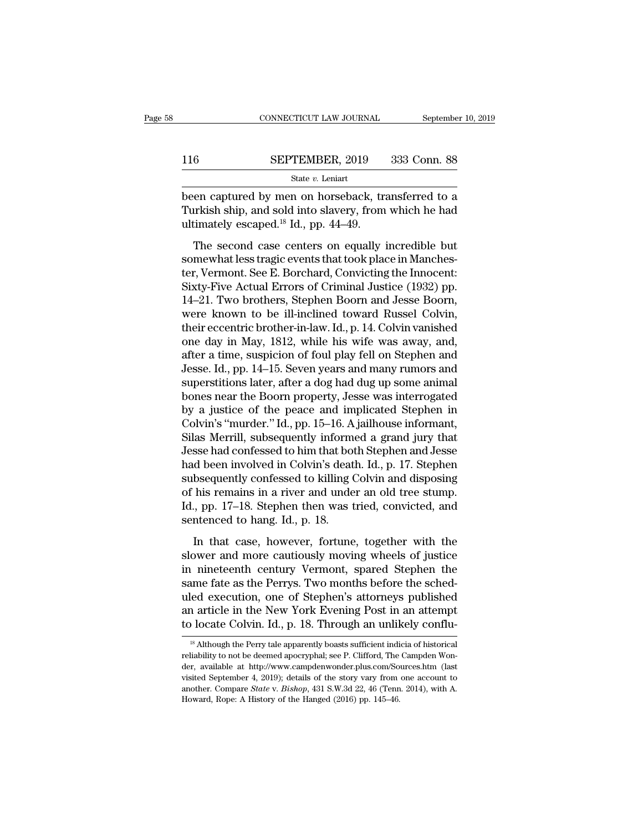|     | CONNECTICUT LAW JOURNAL | September 10, 2019 |
|-----|-------------------------|--------------------|
|     |                         |                    |
| 116 | SEPTEMBER, 2019         | 333 Conn. 88       |
|     | State $v$ . Leniart     |                    |

 $\begin{tabular}{ll} \multicolumn{2}{l}{{\small \textbf{COMPECTICUT LAW JOURNAL}}} & \multicolumn{2}{l}{\small \textbf{September 10, 2019}}\\ \hline & \multicolumn{2}{l}{\small \textbf{SEPTEMBER, 2019}} & \multicolumn{2}{l}{\small \textbf{333 Conn. 88}}\\ \hline & \multicolumn{2}{l}{\small \textbf{State $v$. Leniart}}\\ \hline & \multicolumn{2}{l}{\small \textbf{been captured by men on horseback, transferred to a}}\\ \hline \textbf{Turkish ship, and sold into slavery, from which he had ultimately escaped  $^{18}$  Id. pp. <$ SEPTEMBER, 2019 333 Conn. 88<br>
State v. Leniart<br>
been captured by men on horseback, transferred to a<br>
Turkish ship, and sold into slavery, from which he had<br>
ultimately escaped.<sup>18</sup> Id., pp. 44–49. 116 SEPTEMBER, 2019<br>
State v. Leniart<br>
been captured by men on horseback, transference approach and sold into slavery, from<br>
ultimately escaped.<sup>18</sup> Id., pp. 44–49.<br>
The second case centers on equally if  $5$  SEPTEMBER, 2019 333 Conn. 88<br>
State *v*. Leniart<br>
en captured by men on horseback, transferred to a<br>
urkish ship, and sold into slavery, from which he had<br>
timately escaped.<sup>18</sup> Id., pp. 44–49.<br>
The second case center

State v. Leniart<br>
been captured by men on horseback, transferred to a<br>
Turkish ship, and sold into slavery, from which he had<br>
ultimately escaped.<sup>18</sup> Id., pp. 44–49.<br>
The second case centers on equally incredible but<br>
so been captured by men on horseback, transferred to a<br>Turkish ship, and sold into slavery, from which he had<br>ultimately escaped.<sup>18</sup> Id., pp. 44–49.<br>The second case centers on equally incredible but<br>somewhat less tragic even Seen expedice by first of holosoback, authentied to a<br>Turkish ship, and sold into slavery, from which he had<br>ultimately escaped.<sup>18</sup> Id., pp. 44–49.<br>The second case centers on equally incredible but<br>somewhat less tragic ev 14–21. Two brothers, Stephen Boothers, Stephen Boothers, The Scale Boothers, The second case centers on equally incredible but<br>somewhat less tragic events that took place in Manchester, Vermont. See E. Borchard, Convicting The second case centers on equally incredible but<br>somewhat less tragic events that took place in Manches-<br>ter, Vermont. See E. Borchard, Convicting the Innocent:<br>Sixty-Five Actual Errors of Criminal Justice (1932) pp.<br>14–2 The second case centers on equally incredible but<br>somewhat less tragic events that took place in Manches-<br>ter, Vermont. See E. Borchard, Convicting the Innocent:<br>Sixty-Five Actual Errors of Criminal Justice (1932) pp.<br>14–2 somewhat less tragic events that took place in Manchester, Vermont. See E. Borchard, Convicting the Innocent:<br>Sixty-Five Actual Errors of Criminal Justice (1932) pp.<br>14–21. Two brothers, Stephen Boorn and Jesse Boorn,<br>were ter, Vermont. See E. Borchard, Convicting the Innocent:<br>Sixty-Five Actual Errors of Criminal Justice (1932) pp.<br>14–21. Two brothers, Stephen Boorn and Jesse Boorn,<br>were known to be ill-inclined toward Russel Colvin,<br>their Sixty-Five Actual Errors of Criminal Justice (1932) pp.<br>14–21. Two brothers, Stephen Boorn and Jesse Boorn,<br>were known to be ill-inclined toward Russel Colvin,<br>their eccentric brother-in-law. Id., p. 14. Colvin vanished<br>on 14–21. Two brothers, Stephen Boorn and Jesse Boorn,<br>were known to be ill-inclined toward Russel Colvin,<br>their eccentric brother-in-law. Id., p. 14. Colvin vanished<br>one day in May, 1812, while his wife was away, and,<br>after were known to be ill-inclined toward Russel Colvin,<br>their eccentric brother-in-law. Id., p. 14. Colvin vanished<br>one day in May, 1812, while his wife was away, and,<br>after a time, suspicion of foul play fell on Stephen and<br>J their eccentric brother-in-law. Id., p. 14. Colvin vanished<br>one day in May, 1812, while his wife was away, and,<br>after a time, suspicion of foul play fell on Stephen and<br>Jesse. Id., pp. 14–15. Seven years and many rumors an one day in May, 1812, while his wife was away, and,<br>after a time, suspicion of foul play fell on Stephen and<br>Jesse. Id., pp. 14–15. Seven years and many rumors and<br>superstitions later, after a dog had dug up some animal<br>bo after a time, suspicion of foul play fell on Stephen and<br>Jesse. Id., pp. 14–15. Seven years and many rumors and<br>superstitions later, after a dog had dug up some animal<br>bones near the Boorn property, Jesse was interrogated<br> Jesse. Id., pp. 14–15. Seven years and many rumors and<br>superstitions later, after a dog had dug up some animal<br>bones near the Boorn property, Jesse was interrogated<br>by a justice of the peace and implicated Stephen in<br>Colvi superstitions later, after a dog had dug up some animal<br>bones near the Boorn property, Jesse was interrogated<br>by a justice of the peace and implicated Stephen in<br>Colvin's "murder." Id., pp. 15–16. A jailhouse informant,<br>Si bones near the Boorn property, Jesse was interrogated<br>by a justice of the peace and implicated Stephen in<br>Colvin's "murder." Id., pp. 15–16. A jailhouse informant,<br>Silas Merrill, subsequently informed a grand jury that<br>Jes by a justice of the peace and implicated Stephen in<br>Colvin's "murder." Id., pp. 15–16. A jailhouse informant,<br>Silas Merrill, subsequently informed a grand jury that<br>Jesse had confessed to him that both Stephen and Jesse<br>ha Colvin's "murder." Id., pp. 15–16. A jailhouse informant,<br>Silas Merrill, subsequently informed a grand jury that<br>Jesse had confessed to him that both Stephen and Jesse<br>had been involved in Colvin's death. Id., p. 17. Steph Silas Merrill, subsequently inform<br>Jesse had confessed to him that bot<br>had been involved in Colvin's deat<br>subsequently confessed to killing (<br>of his remains in a river and unde<br>Id., pp. 17–18. Stephen then was t<br>sentenced In that case, how we had in Colvin's death. Id., p. 17. Stephen<br>bsequently confessed to killing Colvin and disposing<br>his remains in a river and under an old tree stump.<br>, pp. 17–18. Stephen then was tried, convicted, and<br>n subsequently confessed to killing Colvin and disposing<br>subsequently confessed to killing Colvin and disposing<br>Id., pp. 17–18. Stephen then was tried, convicted, and<br>sentenced to hang. Id., p. 18.<br>In that case, however, for

Example of his remains in a river and under an old tree stump.<br>Id., pp. 17–18. Stephen then was tried, convicted, and<br>sentenced to hang. Id., p. 18.<br>In that case, however, fortune, together with the<br>slower and more cautiou Id., pp. 17–18. Stephen then was tried, convicted, and<br>sentenced to hang. Id., p. 18.<br>In that case, however, fortune, together with the<br>slower and more cautiously moving wheels of justice<br>in nineteenth century Vermont, spa Execution, perfect the stephent attent was streat, contributed, state<br>sentenced to hang. Id., p. 18.<br>In that case, however, fortune, together with the<br>slower and more cautiously moving wheels of justice<br>in nineteenth centu In that case, however, fortune, together with the<br>slower and more cautiously moving wheels of justice<br>in nineteenth century Vermont, spared Stephen the<br>same fate as the Perrys. Two months before the sched-<br>uled execution, In that case, however, fortune, together with the slower and more cautiously moving wheels of justice in nineteenth century Vermont, spared Stephen the same fate as the Perrys. Two months before the sched-<br>uled execution, imme fate as the Perrys. Two months before the sched-<br>led execution, one of Stephen's attorneys published<br>a article in the New York Evening Post in an attempt<br>locate Colvin. Id., p. 18. Through an unlikely conflu-<br><sup>18</sup> Alt uled execution, one of Stephen's attorneys published<br>an article in the New York Evening Post in an attempt<br>to locate Colvin. Id., p. 18. Through an unlikely conflu-<br><sup>18</sup> Although the Perry tale apparently boasts sufficient

an article in the New York Evening Post in an attempt<br>to locate Colvin. Id., p. 18. Through an unlikely conflu-<br><sup>18</sup> Although the Perry tale apparently boasts sufficient indicia of historical<br>reliability to not be deemed a to locate Colvin. Id., p. 18. Through an unlikely conflu-<br><sup>18</sup> Although the Perry tale apparently boasts sufficient indicia of historical<br>reliability to not be deemed apocryphal; see P. Clifford, The Campden Won-<br>der, avai <sup>18</sup> Although the Perry tale apparently boasts sufficient indicia of historical reliability to not be deemed apocryphal; see P. Clifford, The Campden Wonder, available at http://www.campdenwonder.plus.com/Sources.htm (last <sup>18</sup> Although the Perry tale apparently boasts sufficient indireliability to not be deemed apocryphal; see P. Clifford, The der, available at http://www.campdenwonder.plus.com/So visited September 4, 2019); details of the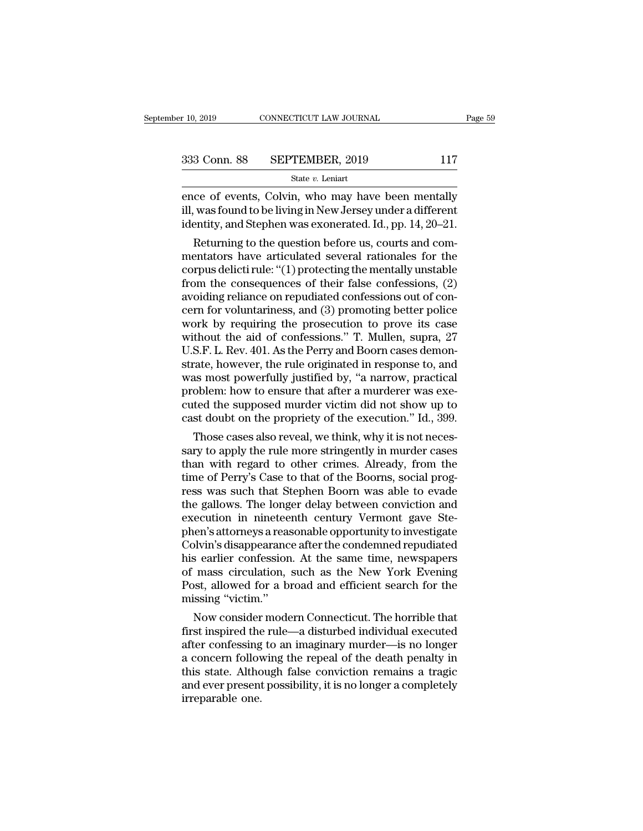ence of events, Colvin, who may have been mentally<br>
ill, was found to be living in New Jersey under a different<br>
identity and Stophen was exerced Id, pp. 14–20–21 333 Conn. 88 SEPTEMBER, 2019 117<br>
State v. Leniart<br>
ence of events, Colvin, who may have been mentally<br>
ill, was found to be living in New Jersey under a different<br>
identity, and Stephen was exonerated. Id., pp. 14, 20–21 333 Conn. 88 SEPTEMBER, 2019 117<br>
State v. Leniart<br>
ence of events, Colvin, who may have been mentally<br>
ill, was found to be living in New Jersey under a different<br>
identity, and Stephen was exonerated. Id., pp. 14, 20–21  $\frac{3 \text{ Conn. } 88 \qquad \text{SEPTEMBER, } 2019 \qquad \qquad 117 \qquad \text{State } v. \text{ Leniart}}$ Ce of events, Colvin, who may have been mentally<br>
was found to be living in New Jersey under a different<br>
entity, and Stephen was exonerated. Id., pp. 14, 20–21.

State v. Leniart<br>
ence of events, Colvin, who may have been mentally<br>
ill, was found to be living in New Jersey under a different<br>
identity, and Stephen was exonerated. Id., pp. 14, 20–21.<br>
Returning to the question befor ence of events, Colvin, who may have been mentally<br>ill, was found to be living in New Jersey under a different<br>identity, and Stephen was exonerated. Id., pp. 14, 20–21.<br>Returning to the question before us, courts and com-<br> ence of events, Colvin, who may have been mentally<br>ill, was found to be living in New Jersey under a different<br>identity, and Stephen was exonerated. Id., pp. 14, 20–21.<br>Returning to the question before us, courts and com-<br> in, was round to be inving in New Jersey under a different<br>identity, and Stephen was exonerated. Id., pp. 14, 20–21.<br>Returning to the question before us, courts and com-<br>mentators have articulated several rationales for th no and Stephen was exonerated. 1d., pp. 14, 20–21.<br>
Returning to the question before us, courts and commentators have articulated several rationales for the<br>
corpus delicti rule: "(1) protecting the mentally unstable<br>
from Returning to the question before us, courts and com-<br>mentators have articulated several rationales for the<br>corpus delicti rule: "(1) protecting the mentally unstable<br>from the consequences of their false confessions, (2)<br>a mentators have articulated several rationales for the<br>corpus delicti rule: "(1) protecting the mentally unstable<br>from the consequences of their false confessions, (2)<br>avoiding reliance on repudiated confessions out of concorpus delicti rule: "(1) protecting the mentally unstable<br>from the consequences of their false confessions, (2)<br>avoiding reliance on repudiated confessions out of con-<br>cern for voluntariness, and (3) promoting better poli from the consequences of their false confessions, (2)<br>avoiding reliance on repudiated confessions out of con-<br>cern for voluntariness, and (3) promoting better police<br>work by requiring the prosecution to prove its case<br>with avoiding reliance on repudiated confessions out of concern for voluntariness, and (3) promoting better police<br>work by requiring the prosecution to prove its case<br>without the aid of confessions." T. Mullen, supra, 27<br>U.S.F. cern for voluntariness, and (3) promoting better police<br>work by requiring the prosecution to prove its case<br>without the aid of confessions." T. Mullen, supra, 27<br>U.S.F. L. Rev. 401. As the Perry and Boorn cases demon-<br>stra work by requiring the prosecution to prove its case<br>without the aid of confessions." T. Mullen, supra, 27<br>U.S.F. L. Rev. 401. As the Perry and Boorn cases demon-<br>strate, however, the rule originated in response to, and<br>was without the aid of confessions." T. Mullen, supra, 27<br>U.S.F. L. Rev. 401. As the Perry and Boorn cases demon-<br>strate, however, the rule originated in response to, and<br>was most powerfully justified by, "a narrow, practical<br> S.F. L. Rev. 401. As the Perry and Boorn cases demon-<br>rate, however, the rule originated in response to, and<br>as most powerfully justified by, "a narrow, practical<br>oblem: how to ensure that after a murderer was exe-<br>ted the strate, nowever, the rule originated in response to, and<br>was most powerfully justified by, "a narrow, practical<br>problem: how to ensure that after a murderer was exe-<br>cuted the supposed murder victim did not show up to<br>cast

was most powerfully justified by, "a narrow, practical<br>problem: how to ensure that after a murderer was executed the supposed murder victim did not show up to<br>cast doubt on the propriety of the execution." Id., 399.<br>Those problem: now to ensure that after a murderer was executed the supposed murder victim did not show up to cast doubt on the propriety of the execution." Id., 399.<br>Those cases also reveal, we think, why it is not necessary to cuted the supposed murder victim did not show up to<br>cast doubt on the propriety of the execution." Id., 399.<br>Those cases also reveal, we think, why it is not neces-<br>sary to apply the rule more stringently in murder cases<br>t cast doubt on the propriety of the execution. Id., 399.<br>Those cases also reveal, we think, why it is not necessary to apply the rule more stringently in murder cases<br>than with regard to other crimes. Already, from the<br>time Those cases also reveal, we think, why it is not necessary to apply the rule more stringently in murder cases<br>than with regard to other crimes. Already, from the<br>time of Perry's Case to that of the Boorns, social prog-<br>res sary to apply the rule more stringently in murder cases<br>than with regard to other crimes. Already, from the<br>time of Perry's Case to that of the Boorns, social prog-<br>ress was such that Stephen Boorn was able to evade<br>the ga than with regard to other crimes. Already, from the<br>time of Perry's Case to that of the Boorns, social prog-<br>ress was such that Stephen Boorn was able to evade<br>the gallows. The longer delay between conviction and<br>execution time of Perry's Case to that of the Boorns, social progress was such that Stephen Boorn was able to evade<br>the gallows. The longer delay between conviction and<br>execution in nineteenth century Vermont gave Ste-<br>phen's attorn ress was such that Stephen Boorn was able to evade<br>the gallows. The longer delay between conviction and<br>execution in nineteenth century Vermont gave Ste-<br>phen's attorneys a reasonable opportunity to investigate<br>Colvin's di the gallows. The longer delay between conviction and<br>execution in nineteenth century Vermont gave Ste-<br>phen's attorneys a reasonable opportunity to investigate<br>Colvin's disappearance after the condemned repudiated<br>his earl execution in ninetee<br>phen's attorneys a rease<br>Colvin's disappearanc<br>his earlier confession<br>of mass circulation,<br>Post, allowed for a bi<br>missing "victim."<br>Now consider mode Figure 1 attorneys a reasonable opportunity to investigate<br>plvin's disappearance after the condemned repudiated<br>s earlier confession. At the same time, newspapers<br>mass circulation, such as the New York Evening<br>post, allowe Colvin's disappearance after the condemned repudiated<br>his earlier confession. At the same time, newspapers<br>of mass circulation, such as the New York Evening<br>Post, allowed for a broad and efficient search for the<br>missing "v

ms earner confession. At the same time, newspapers<br>of mass circulation, such as the New York Evening<br>Post, allowed for a broad and efficient search for the<br>missing "victim."<br>Now consider modern Connecticut. The horrible th or mass creduation, such as the New York Evening<br>Post, allowed for a broad and efficient search for the<br>missing "victim."<br>Now consider modern Connecticut. The horrible that<br>first inspired the rule—a disturbed individual ex Post, anowed for a broad and efficient search for the<br>missing "victim."<br>Now consider modern Connecticut. The horrible that<br>first inspired the rule—a disturbed individual executed<br>after confessing to an imaginary murder—is missing "victim."<br>Now consider modern Connecticut. The horrible that<br>first inspired the rule—a disturbed individual executed<br>after confessing to an imaginary murder—is no longer<br>a concern following the repeal of the death Now consider<br>first inspired the<br>after confessing<br>a concern follow<br>this state. Althe<br>and ever present<br>irreparable one.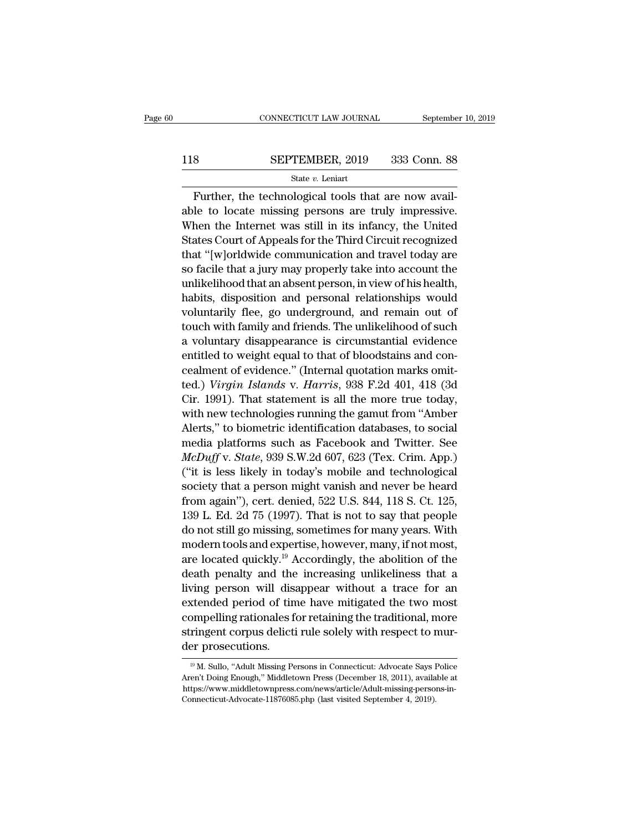### $\begin{tabular}{ll} \multicolumn{2}{l} \multicolumn{2}{c}{\text{CONNECTICUT LAW JOURNAL}} & \multicolumn{2}{c}{\text{September 10, 2019}}\\ \cline{2-2} \multicolumn{2}{c}{\text{COMNECTICUT LAW JOURNAL}} & \multicolumn{2}{c}{\text{September 10, 2019}}\\ \cline{2-2} \multicolumn{2}{c}{\text{StepTEMBER, 2019}} & \multicolumn{2}{c}{\text{333 Conn. 88}}\\ \cline{2-2} \multicolumn{2}{c}{\text{State $v$. Leniart}} & \multicolumn{2}{c}{\text{State $v$.} } \end$ State *v.* Leniart

FURBER, 2019 SEPTEMBER, 2019<br>
SEPTEMBER, 2019 333 Conn. 88<br>
State v. Leniart<br>
Further, the technological tools that are now avail-<br>
le to locate missing persons are truly impressive. 118 SEPTEMBER, 2019 333 Conn. 88<br>
State v. Leniart<br>
Further, the technological tools that are now available to locate missing persons are truly impressive.<br>
When the Internet was still in its infancy, the United SEPTEMBER, 2019 333 Conn. 88<br>
State  $v$ . Leniart<br>
Further, the technological tools that are now available to locate missing persons are truly impressive.<br>
When the Internet was still in its infancy, the United<br>
States Cou SEPTEMBER, 2019 333 Conn. 88<br>
State v. Leniart<br>
Further, the technological tools that are now available to locate missing persons are truly impressive.<br>
When the Internet was still in its infancy, the United<br>
States Court State v. Leniart<br>
Further, the technological tools that are now available to locate missing persons are truly impressive.<br>
When the Internet was still in its infancy, the United<br>
States Court of Appeals for the Third Circ Further, the technological tools that are now available to locate missing persons are truly impressive.<br>When the Internet was still in its infancy, the United<br>States Court of Appeals for the Third Circuit recognized<br>that " Further, the technological tools that are now available to locate missing persons are truly impressive.<br>When the Internet was still in its infancy, the United<br>States Court of Appeals for the Third Circuit recognized<br>that " able to locate missing persons are truly impressive.<br>When the Internet was still in its infancy, the United<br>States Court of Appeals for the Third Circuit recognized<br>that "[w]orldwide communication and travel today are<br>so f when the internet was suif in its infancy, the United<br>States Court of Appeals for the Third Circuit recognized<br>that "[w]orldwide communication and travel today are<br>so facile that a jury may properly take into account the<br>u states Court of Appeais for the Third Circuit recognized<br>that "[w]orldwide communication and travel today are<br>so facile that a jury may properly take into account the<br>unlikelihood that an absent person, in view of his heal mat profit and travel today are<br>so facile that a jury may properly take into account the<br>unlikelihood that an absent person, in view of his health,<br>habits, disposition and personal relationships would<br>voluntarily flee, go so facile that a jury may properly take into account the<br>unlikelihood that an absent person, in view of his health,<br>habits, disposition and personal relationships would<br>voluntarily flee, go underground, and remain out of<br>t unikelihood that an absent person, in view of his neatth,<br>habits, disposition and personal relationships would<br>voluntarily flee, go underground, and remain out of<br>touch with family and friends. The unlikelihood of such<br>a v rabus, disposition and personal relationships would<br>voluntarily flee, go underground, and remain out of<br>touch with family and friends. The unlikelihood of such<br>a voluntary disappearance is circumstantial evidence<br>entitled voluntarily liee, go underground, and remain out of<br>touch with family and friends. The unlikelihood of such<br>a voluntary disappearance is circumstantial evidence<br>entitled to weight equal to that of bloodstains and con-<br>ceal white rating and mentas. The unikentition of such<br>a voluntary disappearance is circumstantial evidence<br>entitled to weight equal to that of bloodstains and con-<br>cealment of evidence." (Internal quotation marks omit-<br>ted.) a voluntary disappearance is circumstantial evidence<br>entitled to weight equal to that of bloodstains and con-<br>cealment of evidence." (Internal quotation marks omit-<br>ted.) *Virgin Islands* v. *Harris*, 938 F.2d 401, 418 (3 entitied to weight equal to that of biologistants and concealment of evidence." (Internal quotation marks omit-<br>ted.) *Virgin Islands* v. *Harris*, 938 F.2d 401, 418 (3d<br>Cir. 1991). That statement is all the more true toda reallient of evidence. (Internal quotation marks onlited.) *Virgin Islands* v. *Harris*, 938 F.2d 401, 418 (3d Cir. 1991). That statement is all the more true today, with new technologies running the gamut from "Amber Aler (ed.) *Virgin Islamas V. Harris*, 355 F.2d 401, 416 (5d<br>Cir. 1991). That statement is all the more true today,<br>with new technologies running the gamut from "Amber<br>Alerts," to biometric identification databases, to social<br> on. 1991). That statement is an the more true today,<br>with new technologies running the gamut from "Amber<br>Alerts," to biometric identification databases, to social<br>media platforms such as Facebook and Twitter. See<br>*McDuff* with new technologies running the gamut from "Amber<br>Alerts," to biometric identification databases, to social<br>media platforms such as Facebook and Twitter. See<br> $McDuff$  v. *State*, 939 S.W.2d 607, 623 (Tex. Crim. App.)<br>("it i Alerts, to biometric dentification databases, to social<br>media platforms such as Facebook and Twitter. See<br>*McDuff* v. *State*, 939 S.W.2d 607, 623 (Tex. Crim. App.)<br>("it is less likely in today's mobile and technological<br>s media platforms such as racebook and Twitter. See<br>*McDuff* v. *State*, 939 S.W.2d 607, 623 (Tex. Crim. App.)<br>("it is less likely in today's mobile and technological<br>society that a person might vanish and never be heard<br>fr mcDuff v. state, 959 s.w.2d 007, 025 (Tex. Crift, App.)<br>
("it is less likely in today's mobile and technological<br>
society that a person might vanish and never be heard<br>
from again"), cert. denied, 522 U.S. 844, 118 S. Ct. The located person might vanish and never be heard<br>from again"), cert. denied, 522 U.S. 844, 118 S. Ct. 125,<br>139 L. Ed. 2d 75 (1997). That is not to say that people<br>do not still go missing, sometimes for many years. With<br> society that a person nught valush and never be neard<br>from again"), cert. denied, 522 U.S. 844, 118 S. Ct. 125,<br>139 L. Ed. 2d 75 (1997). That is not to say that people<br>do not still go missing, sometimes for many years. Wi living person will disappear without a trace for an extended period of time have mitigated the two most and experimes for any sears. With modern tools and expertise, however, many, if not most, are located quickly.<sup>19</sup> Ac For L. Ed. 2d (1997). That is not to say that people<br>do not still go missing, sometimes for many years. With<br>modern tools and expertise, however, many, if not most,<br>are located quickly.<sup>19</sup> Accordingly, the abolition of t do not sun go missing, sometimes for many years. With<br>modern tools and expertise, however, many, if not most,<br>are located quickly.<sup>19</sup> Accordingly, the abolition of the<br>death penalty and the increasing unlikeliness that a<br> modern tools and expertise, however, many, if not most, are located quickly.<sup>19</sup> Accordingly, the abolition of the death penalty and the increasing unlikeliness that a living person will disappear without a trace for an e are located quickly. Fremditions death penalty and the living person will dissextended period of tin compelling rationales for stringent corpus delictions. compelling rationales for retaining the traditional, more<br>stringent corpus delicti rule solely with respect to mur-<br>der prosecutions.<br> $\frac{19 \text{ M. Sullo, "Adult Missing Persons in Connecticut: Advanced says Police  
Aren't Doing Enough," Middletown Press (December 18, 2011), available at$ 

stringent corpus delicti rule solely with respect to mur-<br>der prosecutions.<br> $\frac{19 \text{ M. Sullo, "Adult MississippiS} \cdot \text{M.} \cdot \text{M.} \cdot \text{M.} \cdot \text{M.} \cdot \text{M.} \cdot \text{M.} \cdot \text{M.} \cdot \text{M.} \cdot \text{M.} \cdot \text{M.} \cdot \text{M.} \cdot \text{M.} \cdot \text{M.} \cdot \text{M.} \cdot \text{M.} \cdot \text{M$ https://www.middletownpress.com/news/article/Adult-missing-persons-in-<sup>19</sup> M. Sullo, "Adult Missing Persons in Connecticut: Advocate Says Police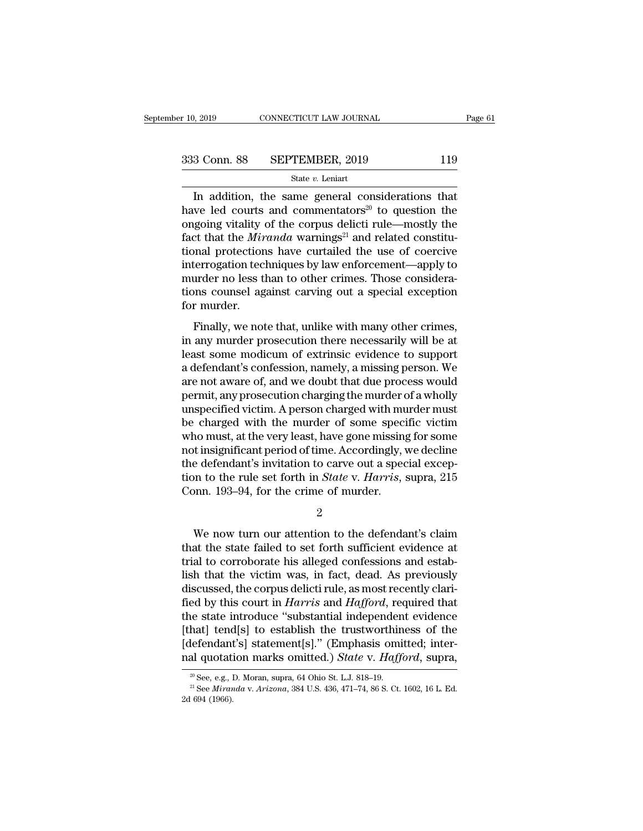$\frac{1}{2019}$  CONNECTICUT LAW JOURNAL Page 6<br>3 Conn. 88 SEPTEMBER, 2019 119<br>5tate v. Leniart<br>In addition, the same general considerations that<br>we led courts and commentators<sup>20</sup> to question the 333 Conn. 88 SEPTEMBER, 2019 119<br>
State v. Leniart<br>
In addition, the same general considerations that<br>
have led courts and commentators<sup>20</sup> to question the<br>
ongoing vitality of the corpus delicti rule—mostly the<br>
fact tha 333 Conn. 88 SEPTEMBER, 2019 119<br>
State v. Leniart<br>
In addition, the same general considerations that<br>
have led courts and commentators<sup>20</sup> to question the<br>
ongoing vitality of the corpus delicti rule—mostly the<br>
fact tha Factor 1.19<br> **Factor 1.19**<br> **EXECUTEMBER, 2019**<br> **EXECUTE TO STATE THEORY STATE THEORY STATE OF A STATE OF AN ANNET CONSTRANDED THEORY AND RELATE THEORY STATE THAT that the** *Miranda* **warnings<sup>21</sup> and related constitu-<br>
ti** Solution to the same state with the state with that<br>
In addition, the same general considerations that<br>
have led courts and commentators<sup>20</sup> to question the<br>
ongoing vitality of the corpus delicti rule—mostly the<br>
fact th state v. Lemart<br>In addition, the same general considerations that<br>have led courts and commentators<sup>20</sup> to question the<br>ongoing vitality of the corpus delicti rule—mostly the<br>fact that the *Miranda* warnings<sup>21</sup> and relate In addition, the same general considerations that<br>have led courts and commentators<sup>20</sup> to question the<br>ongoing vitality of the corpus delicti rule—mostly the<br>fact that the *Miranda* warnings<sup>21</sup> and related constitu-<br>tion have led courts and commentators<sup>20</sup> to question the ongoing vitality of the corpus delicti rule—mostly the fact that the *Miranda* warnings<sup>21</sup> and related constitutional protections have curtailed the use of coercive in ongoing vitality<br>fact that the *Mir*<br>tional protection<br>interrogation tec<br>murder no less tl<br>tions counsel ag<br>for murder.<br>Finally, we not Finally, we note that, unlike with many other crimes,<br>and protections have curtailed the use of coercive<br>terrogation techniques by law enforcement—apply to<br>urder no less than to other crimes. Those considera-<br>ms counsel ag interrogation techniques by law enforcement—apply to<br>interrogation techniques by law enforcement—apply to<br>murder no less than to other crimes. Those considera-<br>tions counsel against carving out a special exception<br>for murd

metrogation definitions by faw embreddent apply to<br>murder no less than to other crimes. Those considera-<br>tions counsel against carving out a special exception<br>for murder.<br>Finally, we note that, unlike with many other crime matuca no ress than to other ermits. Those considerations counsel against carving out a special exception<br>for murder.<br>Finally, we note that, unlike with many other crimes,<br>in any murder prosecution there necessarily will b for murder.<br>
Finally, we note that, unlike with many other crimes,<br>
in any murder prosecution there necessarily will be at<br>
least some modicum of extrinsic evidence to support<br>
a defendant's confession, namely, a missing p Finally, we note that, unlike with many other crimes,<br>in any murder prosecution there necessarily will be at<br>least some modicum of extrinsic evidence to support<br>a defendant's confession, namely, a missing person. We<br>are no Finally, we note that, unlike with many other crimes,<br>in any murder prosecution there necessarily will be at<br>least some modicum of extrinsic evidence to support<br>a defendant's confession, namely, a missing person. We<br>are no in any murder prosecution there necessarily will be at<br>least some modicum of extrinsic evidence to support<br>a defendant's confession, namely, a missing person. We<br>are not aware of, and we doubt that due process would<br>permit least some modicum of extrinsic evidence to support<br>a defendant's confession, namely, a missing person. We<br>are not aware of, and we doubt that due process would<br>permit, any prosecution charging the murder of a wholly<br>unspe a defendant's confession, namely, a missing person. We<br>are not aware of, and we doubt that due process would<br>permit, any prosecution charging the murder of a wholly<br>unspecified victim. A person charged with murder must<br>be are not aware of, and we doubt that due process would<br>permit, any prosecution charging the murder of a wholly<br>unspecified victim. A person charged with murder must<br>be charged with the murder of some specific victim<br>who mus permit, any prosecution charging the murder of a wholly<br>unspecified victim. A person charged with murder must<br>be charged with the murder of some specific victim<br>who must, at the very least, have gone missing for some<br>not i unspecified victim. A person charged with mu<br>be charged with the murder of some speci<br>who must, at the very least, have gone missing<br>not insignificant period of time. Accordingly, t<br>the defendant's invitation to carve out t insignificant period of time. Accordingly, we decline<br>
e defendant's invitation to carve out a special excep-<br>
n to the rule set forth in *State* v. *Harris*, supra, 215<br>
ponn. 193–94, for the crime of murder.<br>
2<br>
We now

2

the defendant's invitation to carve out a special exception to the rule set forth in *State* v. *Harris*, supra, 215<br>Conn. 193–94, for the crime of murder.<br>2<br>We now turn our attention to the defendant's claim<br>that the stat tion to the rule set forth in *State v. Harris*, supra, 215<br>Conn. 193–94, for the crime of murder.<br> $2$ <br>We now turn our attention to the defendant's claim<br>that the state failed to set forth sufficient evidence at<br>trial to Conn. 193–94, for the crime of murder.<br>  $2$ <br>
We now turn our attention to the defendant's claim<br>
that the state failed to set forth sufficient evidence at<br>
trial to corroborate his alleged confessions and estab-<br>
lish tha  $\frac{2}{100}$ <br>We now turn our attention to the defendant's claim<br>that the state failed to set forth sufficient evidence at<br>trial to corroborate his alleged confessions and estab-<br>lish that the victim was, in fact, dead. As We now turn our attention to the defendant's claim<br>that the state failed to set forth sufficient evidence at<br>trial to corroborate his alleged confessions and estab-<br>lish that the victim was, in fact, dead. As previously<br>di We now turn our attention to the defendant's claim<br>that the state failed to set forth sufficient evidence at<br>trial to corroborate his alleged confessions and estab-<br>lish that the victim was, in fact, dead. As previously<br>di that the state failed to set forth sufficient evidence at<br>trial to corroborate his alleged confessions and estab-<br>lish that the victim was, in fact, dead. As previously<br>discussed, the corpus delicti rule, as most recently trial to corroborate his alleged confessions and establish that the victim was, in fact, dead. As previously discussed, the corpus delicti rule, as most recently clarified by this court in *Harris* and *Hafford*, required lish that the victim was, in fact, dead. As previously<br>discussed, the corpus delicti rule, as most recently clari-<br>fied by this court in *Harris* and *Hafford*, required that<br>the state introduce "substantial independent ev e state introduce "substantial independent evidence<br>hat] tend[s] to establish the trustworthiness of the<br>lefendant's] statement[s]." (Emphasis omitted; inter-<br>al quotation marks omitted.) *State* v. *Hafford*, supra,<br><sup>20</sup> defendant<br> **and quotation**<br> **a** See, e.g., l<br>
<sup>an</sup> See Miran<br>
2d 694 (1966).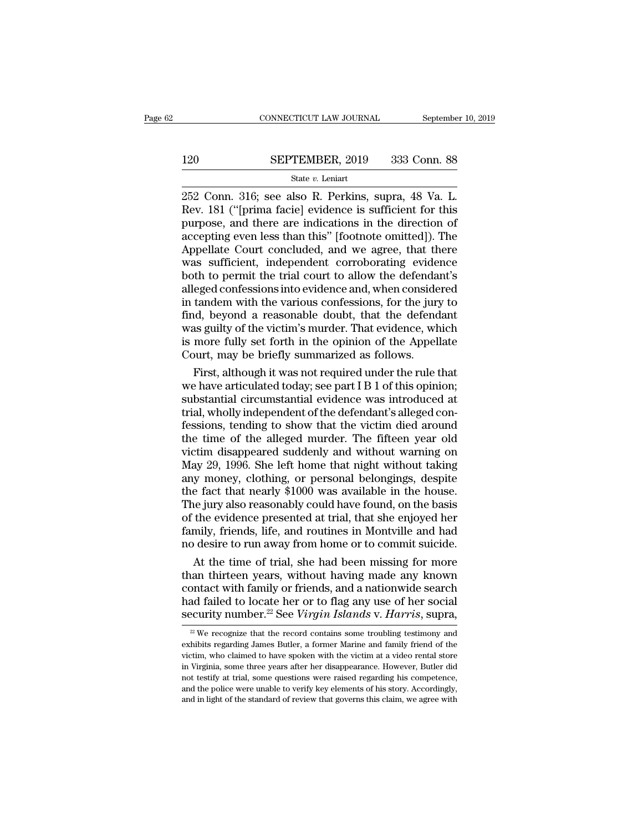# $\begin{tabular}{ll} \multicolumn{2}{l} \multicolumn{2}{c}{\text{CONNECTICUT LAW JOURNAL}} & \multicolumn{2}{c}{\text{September 10, 2019}}\\ \cline{2-2} \multicolumn{2}{c}{\text{201}} & \multicolumn{2}{c}{\text{September 10, 2019}}\\ \cline{2-2} \multicolumn{2}{c}{\text{SEPTEMBER, 2019}} & \multicolumn{2}{c}{\text{333 Conn. 88}}\\ \cline{2-2} \multicolumn{2}{c}{\text{State $v$. Leniart}} & \multicolumn{2}{c}{\text{State $v$.} } \end{tabular}$

### State *v.* Leniart

CONNECTICUT LAW JOURNAL September 10, 2<br>
252 Conn. 316; see also R. Perkins, supra, 48 Va. L.<br>
252 Conn. 316; see also R. Perkins, supra, 48 Va. L.<br>
252 Conn. 316; see also R. Perkins, supra, 48 Va. L.<br>
252 Conn. 316; see 120 SEPTEMBER, 2019 333 Conn. 88<br>
State v. Leniart<br>
252 Conn. 316; see also R. Perkins, supra, 48 Va. L.<br>
Rev. 181 ("[prima facie] evidence is sufficient for this<br>
purpose, and there are indications in the direction of<br>
a 120 SEPTEMBER, 2019 333 Conn. 88<br>  $\frac{\text{State } v. \text{ Leniat}}{252 \text{ Conn. } 316; \text{ see also R. Perkins, supra, 48 Va. L.}$ <br>
Rev. 181 ("[prima facie] evidence is sufficient for this purpose, and there are indications in the direction of accepting even less t 120 SEPTEMBER, 2019 333 Conn. 88<br>  $\frac{\text{State } v. \text{ Leniart}}{252 \text{ Conn. } 316; \text{ see also R. Perkins, supra, } 48 \text{ Va. L.}$ <br>
Rev. 181 ("[prima facie] evidence is sufficient for this<br>
purpose, and there are indications in the direction of<br>
accepting even  $\frac{\text{State } v. \text{ Leni}}{\text{State } v. \text{ Leni}}$   $\frac{\text{State } v. \text{ Leni}}{\text{State } v. \text{ Leni}}$ <br>252 Conn. 316; see also R. Perkins, supra, 48 Va. L.<br>Rev. 181 ("[prima facie] evidence is sufficient for this<br>purpose, and there are indications in the directi State v. Leniart<br>
252 Conn. 316; see also R. Perkins, supra, 48 Va. L.<br>
Rev. 181 ("[prima facie] evidence is sufficient for this<br>
purpose, and there are indications in the direction of<br>
accepting even less than this" [foo 252 Conn. 316; see also R. Perkins, supra, 48 Va. L.<br>Rev. 181 ("[prima facie] evidence is sufficient for this<br>purpose, and there are indications in the direction of<br>accepting even less than this" [footnote omitted]). The<br>A Rev. 181 ("[prima facie] evidence is sufficient for this<br>purpose, and there are indications in the direction of<br>accepting even less than this" [footnote omitted]). The<br>Appellate Court concluded, and we agree, that there<br>wa purpose, and there are indications in the direction of<br>accepting even less than this" [footnote omitted]). The<br>Appellate Court concluded, and we agree, that there<br>was sufficient, independent corroborating evidence<br>both to accepting even less than this" [footnote omitted]). The<br>Appellate Court concluded, and we agree, that there<br>was sufficient, independent corroborating evidence<br>both to permit the trial court to allow the defendant's<br>alleged Appellate Court concluded, and we agree, that there<br>was sufficient, independent corroborating evidence<br>both to permit the trial court to allow the defendant's<br>alleged confessions into evidence and, when considered<br>in tande is more fully set forth in the opinion of the Appellate Court, may be briefly summarized in tandem with the various confessions, for the jury to find, beyond a reasonable doubt, that the defendant was guilty of the victim' both to permit the trial court to allow the defenda<br>alleged confessions into evidence and, when conside<br>in tandem with the various confessions, for the jury<br>find, beyond a reasonable doubt, that the defend<br>was guilty of th eged confessions into evidence and, when considered<br>tandem with the various confessions, for the jury to<br>id, beyond a reasonable doubt, that the defendant<br>as guilty of the victim's murder. That evidence, which<br>more fully s in tandem with the various confessions, for the jury to<br>find, beyond a reasonable doubt, that the defendant<br>was guilty of the victim's murder. That evidence, which<br>is more fully set forth in the opinion of the Appellate<br>Co

find, beyond a reasonable doubt, that the defendant<br>was guilty of the victim's murder. That evidence, which<br>is more fully set forth in the opinion of the Appellate<br>Court, may be briefly summarized as follows.<br>First, althou was guilty of the victim's murder. That evidence, which<br>is more fully set forth in the opinion of the Appellate<br>Court, may be briefly summarized as follows.<br>First, although it was not required under the rule that<br>we have a is more fully set forth in the opinion of the Appellate<br>Court, may be briefly summarized as follows.<br>First, although it was not required under the rule that<br>we have articulated today; see part I B 1 of this opinion;<br>substa Court, may be briefly summarized as follows.<br>
First, although it was not required under the rule that<br>
we have articulated today; see part I B 1 of this opinion;<br>
substantial circumstantial evidence was introduced at<br>
tri First, although it was not required under the rule that<br>we have articulated today; see part I B 1 of this opinion;<br>substantial circumstantial evidence was introduced at<br>trial, wholly independent of the defendant's alleged we have articulated today; see part I B 1 of this opinion;<br>substantial circumstantial evidence was introduced at<br>trial, wholly independent of the defendant's alleged con-<br>fessions, tending to show that the victim died arou substantial circumstantial evidence was introduced at<br>trial, wholly independent of the defendant's alleged con-<br>fessions, tending to show that the victim died around<br>the time of the alleged murder. The fifteen year old<br>vic trial, wholly independent of the defendant's alleged confessions, tending to show that the victim died around<br>the time of the alleged murder. The fifteen year old<br>victim disappeared suddenly and without warning on<br>May 29, fessions, tending to show that the victim died around<br>the time of the alleged murder. The fifteen year old<br>victim disappeared suddenly and without warning on<br>May 29, 1996. She left home that night without taking<br>any money, the time of the alleged murder. The fifteen year old<br>victim disappeared suddenly and without warning on<br>May 29, 1996. She left home that night without taking<br>any money, clothing, or personal belongings, despite<br>the fact th victim disappeared suddenly and without warning on<br>May 29, 1996. She left home that night without taking<br>any money, clothing, or personal belongings, despite<br>the fact that nearly \$1000 was available in the house.<br>The jury May 29, 1996. She left home that night without taking<br>any money, clothing, or personal belongings, despite<br>the fact that nearly \$1000 was available in the house.<br>The jury also reasonably could have found, on the basis<br>of t y money, clothing, or personal belongings, despite<br>e fact that nearly \$1000 was available in the house.<br>he jury also reasonably could have found, on the basis<br>the evidence presented at trial, that she enjoyed her<br>mily, fri the fact that nearly \$1000 was available in the house.<br>The jury also reasonably could have found, on the basis<br>of the evidence presented at trial, that she enjoyed her<br>family, friends, life, and routines in Montville and h

The jury also reasonably could have found, on the basis<br>of the evidence presented at trial, that she enjoyed her<br>family, friends, life, and routines in Montville and had<br>no desire to run away from home or to commit suicid of the evidence presented at trial, that she enjoyed her<br>family, friends, life, and routines in Montville and had<br>no desire to run away from home or to commit suicide.<br>At the time of trial, she had been missing for more<br>th family, friends, life, and routines in Montville and had<br>no desire to run away from home or to commit suicide.<br>At the time of trial, she had been missing for more<br>than thirteen years, without having made any known<br>contact ian thirteen years, without having made any known<br>ontact with family or friends, and a nationwide search<br>ad failed to locate her or to flag any use of her social<br>ecurity number.<sup>22</sup> See *Virgin Islands* v. *Harris*, supra, contact with family or friends, and a nationwide search<br>had failed to locate her or to flag any use of her social<br>security number.<sup>22</sup> See *Virgin Islands* v. *Harris*, supra,<br> $\frac{2}{\sqrt{1-\frac{1}{n}}}$  We recognize that the reco

and failed to locate her or to flag any use of her social security number.<sup>22</sup> See *Virgin Islands* v. *Harris*, supra,  $\frac{w}{2}$  We recognize that the record contains some troubling testimony and exhibits regarding James security number.<sup>22</sup> See *Virgin Islands v. Harris*, supra,<br> $\frac{1}{2}$  We recognize that the record contains some troubling testimony and<br>exhibits regarding James Butler, a former Marine and family friend of the<br>victim, wh SECUITLY NUITLDET.<sup>--</sup> See *VITYIN ISLUMUS V. HUITTIS*, SUPTA,<br><sup>22</sup> We recognize that the record contains some troubling testimony and exhibits regarding James Butler, a former Marine and family friend of the victim, who  $2^2$  We recognize that the record contains some troubling testimony and exhibits regarding James Butler, a former Marine and family friend of the victim, who claimed to have spoken with the victim at a video rental store exhibits regarding James Butler, a former Marine and family friend of the victim, who claimed to have spoken with the victim at a video rental store in Virginia, some three years after her disappearance. However, Butler di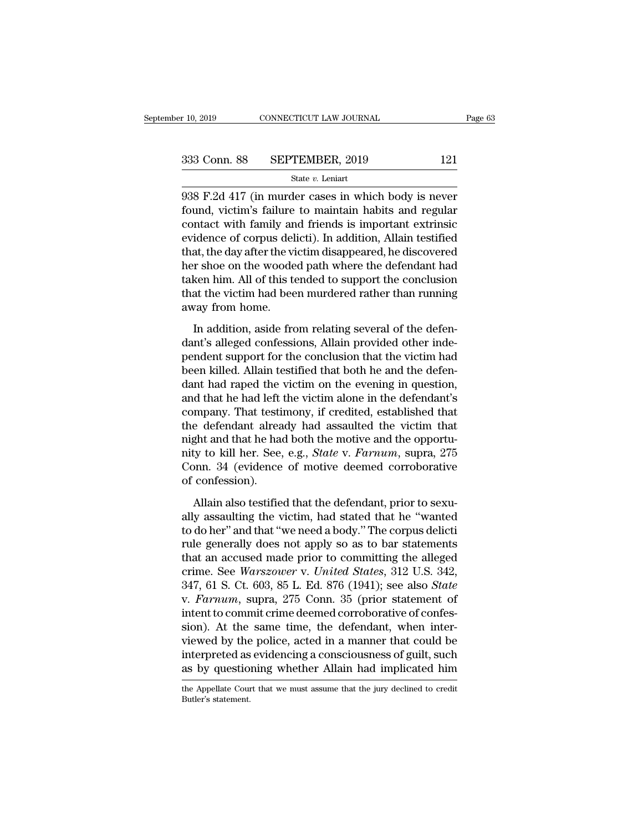F. 10, 2019 CONNECTICUT LAW JOURNAL Page 63<br>
333 Conn. 88 SEPTEMBER, 2019 121<br>
5tate v. Leniart<br>
938 F.2d 417 (in murder cases in which body is never<br>
found, victim's failure to maintain habits and regular<br>
sontact with fa Found, 88 SEPTEMBER, 2019 121<br>
State v. Leniart<br>
938 F.2d 417 (in murder cases in which body is never<br>
found, victim's failure to maintain habits and regular<br>
contact with family and friends is important extrinsic<br>
evidenc 333 Conn. 88 SEPTEMBER, 2019 121<br>
State v. Leniart<br>
938 F.2d 417 (in murder cases in which body is never<br>
found, victim's failure to maintain habits and regular<br>
contact with family and friends is important extrinsic<br>
evi 333 Conn. 88 SEPTEMBER, 2019 121<br>  $\frac{\text{State } v. \text{ Leniart}}{2938 \text{ F.2d } 417 \text{ (in murder cases in which body is never found, victim's failure to maintain habits and regular contact with family and friends is important extrinsic evidence of corpus delicti). In addition, Allain testified that, the day after the victim disappeared, he discovered her sheo on the wooded path where the defendent had$ State  $v$ . Leniart<br>
938 F.2d 417 (in murder cases in which body is never<br>
found, victim's failure to maintain habits and regular<br>
contact with family and friends is important extrinsic<br>
evidence of corpus delicti). In add state  $v$ . Lemart<br>
938 F.2d 417 (in murder cases in which body is never<br>
found, victim's failure to maintain habits and regular<br>
contact with family and friends is important extrinsic<br>
evidence of corpus delicti). In addi 938 F.2d 417 (in murder cases in which body is never<br>found, victim's failure to maintain habits and regular<br>contact with family and friends is important extrinsic<br>evidence of corpus delicti). In addition, Allain testified<br> found, victim's failure to maintain habits and regular<br>contact with family and friends is important extrinsic<br>evidence of corpus delicti). In addition, Allain testified<br>that, the day after the victim disappeared, he discov contact with family an<br>evidence of corpus del<br>that, the day after the vi<br>her shoe on the woode<br>taken him. All of this te<br>that the victim had bee<br>away from home.<br>In addition, aside fro In addition, aside from disappeared, he discovered<br>In the day after the victim disappeared, he discovered<br>In solve from relation at the victim had been murdered rather than running<br>Vay from home.<br>In addition, aside from re dant the view of the state in the state of the defendant had<br>taken him. All of this tended to support the conclusion<br>that the victim had been murdered rather than running<br>away from home.<br>In addition, aside from relating se

reference of the diverse pair where are determined taken him. All of this tended to support the conclusion that the victim had been murdered rather than running away from home.<br>In addition, aside from relating several of t been killed. Allain testified that the victim had been murdered rather than running<br>away from home.<br>In addition, aside from relating several of the defen-<br>dant's alleged confessions, Allain provided other inde-<br>pendent sup away from home.<br>
In addition, aside from relating several of the defen-<br>
dant's alleged confessions, Allain provided other inde-<br>
pendent support for the conclusion that the victim had<br>
been killed. Allain testified that b In addition, aside from relating several of the defendant's alleged confessions, Allain provided other independent support for the conclusion that the victim had been killed. Allain testified that both he and the defendant In addition, aside from relating several of the defendant's alleged confessions, Allain provided other independent support for the conclusion that the victim had been killed. Allain testified that both he and the defendant dant's alleged confessions, Allain provided other inde-<br>pendent support for the conclusion that the victim had<br>been killed. Allain testified that both he and the defen-<br>dant had raped the victim on the evening in question, pendent support for the conclusion that the victim had<br>been killed. Allain testified that both he and the defen-<br>dant had raped the victim on the evening in question,<br>and that he had left the victim alone in the defendant' been killed. Allain testified that both he and the defen-<br>dant had raped the victim on the evening in question,<br>and that he had left the victim alone in the defendant's<br>company. That testimony, if credited, established tha dant had raped the victim on the evening in question,<br>and that he had left the victim alone in the defendant's<br>company. That testimony, if credited, established that<br>the defendant already had assaulted the victim that<br>nigh and that he had left<br>company. That testi<br>the defendant alrea<br>night and that he ha<br>nity to kill her. See,<br>Conn. 34 (evidence<br>of confession).<br>Allain also testifie Engine and that are defendant already had assaulted the victim that<br>ght and that he had both the motive and the opportu-<br>ty to kill her. See, e.g., *State v. Farnum*, supra, 275<br>pnn. 34 (evidence of motive deemed corrobora might and that he had both the motive and the opportunity to kill her. See, e.g., *State* v. *Farnum*, supra, 275<br>Conn. 34 (evidence of motive deemed corroborative<br>of confession).<br>Allain also testified that the defendant,

The total her. See, e.g., *State v. Farnum*, supra, 275<br>Conn. 34 (evidence of motive deemed corroborative<br>of confession).<br>Allain also testified that the defendant, prior to sexu-<br>ally assaulting the victim, had stated that Fruch does not apply the matrix of examples of confession).<br>
Allain also testified that the defendant, prior to sexually assaulting the victim, had stated that he "wanted<br>
to do her" and that "we need a body." The corpus of confession).<br>
Allain also testified that the defendant, prior to sexually<br>
assaulting the victim, had stated that he "wanted<br>
to do her" and that "we need a body." The corpus delicti<br>
rule generally does not apply so a Allain also testified that the defendant, prior to sexually assaulting the victim, had stated that he "wanted to do her" and that "we need a body." The corpus delictional rule generally does not apply so as to bar statemen Allain also testified that the defendant, prior to sexually assaulting the victim, had stated that he "wanted to do her" and that "we need a body." The corpus delicti<br>rule generally does not apply so as to bar statements<br>t ally assaulting the victim, had stated that he "wanted<br>to do her" and that "we need a body." The corpus delicti<br>rule generally does not apply so as to bar statements<br>that an accused made prior to committing the alleged<br>cri to do her" and that "we need a body." The corpus delictif<br>rule generally does not apply so as to bar statements<br>that an accused made prior to committing the alleged<br>crime. See *Warszower* v. *United States*, 312 U.S. 342,<br> rule generally does not apply so as to bar statements<br>that an accused made prior to committing the alleged<br>crime. See *Warszower* v. *United States*, 312 U.S. 342,<br>347, 61 S. Ct. 603, 85 L. Ed. 876 (1941); see also *State* that an accused made prior to committing the alleged<br>crime. See *Warszower* v. *United States*, 312 U.S. 342,<br>347, 61 S. Ct. 603, 85 L. Ed. 876 (1941); see also *State*<br>v. *Farnum*, supra, 275 Conn. 35 (prior statement of<br> crime. See *Warszower* v. *United States*, 312 U.S. 342, 347, 61 S. Ct. 603, 85 L. Ed. 876 (1941); see also *State* v. *Farnum*, supra, 275 Conn. 35 (prior statement of intent to commit crime deemed corroborative of confes 347, 61 S. Ct. 603, 85 L. Ed. 876 (1941); see also *State* v. *Farnum*, supra, 275 Conn. 35 (prior statement of intent to commit crime deemed corroborative of confession). At the same time, the defendant, when interviewed sion). At the same time, the defendant, when inter-<br>viewed by the police, acted in a manner that could be<br>interpreted as evidencing a consciousness of guilt, such<br>as by questioning whether Allain had implicated him<br>the App as by questioning whether Allain had implicated him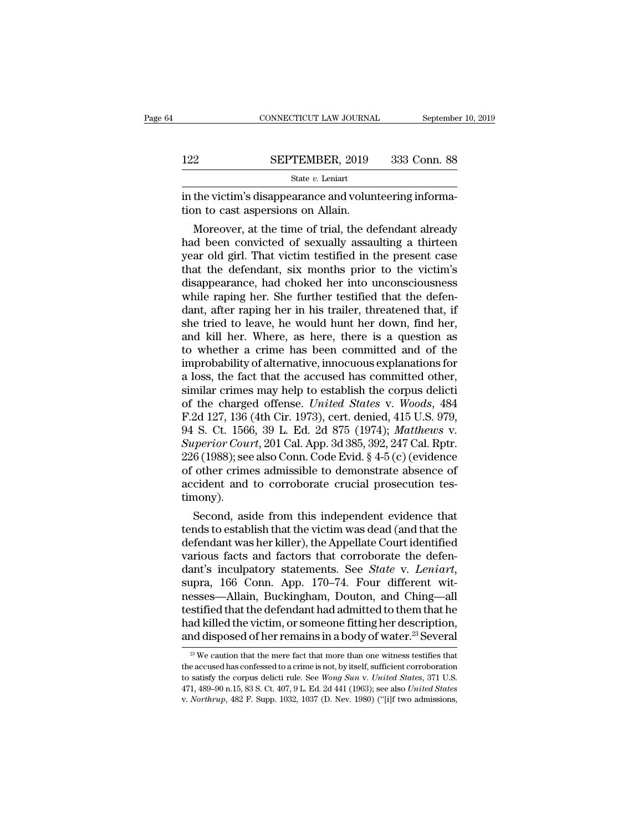|     | CONNECTICUT LAW JOURNAL                                                                       | September 10, 2019 |
|-----|-----------------------------------------------------------------------------------------------|--------------------|
|     |                                                                                               |                    |
| 122 | SEPTEMBER, 2019                                                                               | 333 Conn. 88       |
|     | State v. Leniart                                                                              |                    |
|     | in the victim's disappearance and volunteering informa-<br>tion to cast aspersions on Allain. |                    |
|     | Moreover, at the time of trial, the defendant already                                         |                    |

SEPTEMBER, 2019 333 Conn. 88<br>  $\frac{\text{State } v. \text{ Leniat}}{\text{the victim's disappearance and volunteering informa-}}$ <br>
on to cast aspersions on Allain.<br>
Moreover, at the time of trial, the defendant already<br>
d been convicted of sexually assaulting a thirteen<br>
ar old girl. Tha 122 SEPTEMBER, 2019 333 Conn. 88<br>
state v. Leniart<br>
in the victim's disappearance and volunteering informa-<br>
tion to cast aspersions on Allain.<br>
Moreover, at the time of trial, the defendant already<br>
had been convicted of State v. Leniart<br>
in the victim's disappearance and volunteering informa-<br>
tion to cast aspersions on Allain.<br>
Moreover, at the time of trial, the defendant already<br>
had been convicted of sexually assaulting a thirteen<br>
y in the victim's disappearance and volunteering information to cast aspersions on Allain.<br>
Moreover, at the time of trial, the defendant already<br>
had been convicted of sexually assaulting a thirteen<br>
year old girl. That vic In the victim's disappearance and volunteering information to cast aspersions on Allain.<br>
Moreover, at the time of trial, the defendant already<br>
had been convicted of sexually assaulting a thirteen<br>
year old girl. That vic tion to cast aspersions on Alliam.<br>Moreover, at the time of trial, the defendant already<br>had been convicted of sexually assaulting a thirteen<br>year old girl. That victim testified in the present case<br>that the defendant, six Moreover, at the time of trial, the defendant already<br>had been convicted of sexually assaulting a thirteen<br>year old girl. That victim testified in the present case<br>that the defendant, six months prior to the victim's<br>disap had been convicted of sexually assaulting a thirteen<br>year old girl. That victim testified in the present case<br>that the defendant, six months prior to the victim's<br>disappearance, had choked her into unconsciousness<br>while ra year old girl. That victim testified in the present case<br>that the defendant, six months prior to the victim's<br>disappearance, had choked her into unconsciousness<br>while raping her. She further testified that the defen-<br>dant, that the defendant, six months prior to the victim's<br>disappearance, had choked her into unconsciousness<br>while raping her. She further testified that the defen-<br>dant, after raping her in his trailer, threatened that, if<br>she disappearance, had choked her into unconsciousness<br>while raping her. She further testified that the defen-<br>dant, after raping her in his trailer, threatened that, if<br>she tried to leave, he would hunt her down, find her,<br>an while raping her. She further testified that the defen-<br>dant, after raping her in his trailer, threatened that, if<br>she tried to leave, he would hunt her down, find her,<br>and kill her. Where, as here, there is a question as<br> dant, after raping her in his trailer, threatened that, if<br>she tried to leave, he would hunt her down, find her,<br>and kill her. Where, as here, there is a question as<br>to whether a crime has been committed and of the<br>improb she tried to leave, he would hunt her down, find her,<br>and kill her. Where, as here, there is a question as<br>to whether a crime has been committed and of the<br>improbability of alternative, innocuous explanations for<br>a loss, t and kill her. Where, as here, there is a question as<br>to whether a crime has been committed and of the<br>improbability of alternative, innocuous explanations for<br>a loss, the fact that the accused has committed other,<br>similar to whether a crime has been committed and of the<br>improbability of alternative, innocuous explanations for<br>a loss, the fact that the accused has committed other,<br>similar crimes may help to establish the corpus delicti<br>of th improbability of alternative, innocuous explanations for<br>a loss, the fact that the accused has committed other,<br>similar crimes may help to establish the corpus delicti<br>of the charged offense. *United States* v. *Woods*, 48 a loss, the fact that the accused has committed other,<br>similar crimes may help to establish the corpus delicti<br>of the charged offense. *United States v. Woods*, 484<br>F.2d 127, 136 (4th Cir. 1973), cert. denied, 415 U.S. 979 similar crimes may help to establish the corpus delicti<br>of the charged offense. *United States v. Woods*, 484<br>F.2d 127, 136 (4th Cir. 1973), cert. denied, 415 U.S. 979,<br>94 S. Ct. 1566, 39 L. Ed. 2d 875 (1974); *Matthews v.* of the charged offense. *United States v. Woods*, 484 F.2d 127, 136 (4th Cir. 1973), cert. denied, 415 U.S. 979, 94 S. Ct. 1566, 39 L. Ed. 2d 875 (1974); *Matthews v. Superior Court*, 201 Cal. App. 3d 385, 392, 247 Cal. R timony). S. Ct. 1566, 39 L. Ed. 2d 875 (1974); *Matthews v.*<br> *perior Court*, 201 Cal. App. 3d 385, 392, 247 Cal. Rptr.<br>
6 (1988); see also Conn. Code Evid. § 4-5 (c) (evidence<br>
other crimes admissible to demonstrate absence of<br>
c Superior Court, 201 Cal. App. 3d 385, 392, 247 Cal. Rptr.<br>226 (1988); see also Conn. Code Evid. § 4-5 (c) (evidence<br>of other crimes admissible to demonstrate absence of<br>accident and to corroborate crucial prosecution tes-

 $226$  (1988); see also Conn. Code Evid. § 4-5 (c) (evidence<br>of other crimes admissible to demonstrate absence of<br>accident and to corroborate crucial prosecution tes-<br>timony).<br>Second, aside from this independent evidence t of other crimes admissible to demonstrate absence of<br>accident and to corroborate crucial prosecution tes-<br>timony).<br>Second, aside from this independent evidence that<br>tends to establish that the victim was dead (and that the accident and to corroborate crucial prosecution tes-<br>timony).<br>Second, aside from this independent evidence that<br>tends to establish that the victim was dead (and that the<br>defendant was her killer), the Appellate Court ident Second, aside from this independent evidence that<br>tends to establish that the victim was dead (and that the<br>defendant was her killer), the Appellate Court identified<br>various facts and factors that corroborate the defen-<br>da tends to establish that the victim was dead (and that the<br>defendant was her killer), the Appellate Court identified<br>various facts and factors that corroborate the defen-<br>dant's inculpatory statements. See *State* v. Leniar defendant was her killer), the Appellate Court identified<br>various facts and factors that corroborate the defen-<br>dant's inculpatory statements. See *State* v. Leniart,<br>supra, 166 Conn. App. 170–74. Four different wit-<br>nesse various facts and factors that corroborate the defendant's inculpatory statements. See *State* v. *Leniart*, supra, 166 Conn. App. 170–74. Four different witnesses—Allain, Buckingham, Douton, and Ching—all testified that esses—Allain, Buckingham, Douton, and Ching—all<br>stified that the defendant had admitted to them that he<br>ad killed the victim, or someone fitting her description,<br>nd disposed of her remains in a body of water.<sup>23</sup> Several<br><sup></sup> testified that the defendant had admitted to them that he<br>had killed the victim, or someone fitting her description,<br>and disposed of her remains in a body of water.<sup>23</sup> Several<br><sup>23</sup> We caution that the mere fact that more

had killed the victim, or someone fitting her description,<br>and disposed of her remains in a body of water.<sup>23</sup> Several<br><sup>23</sup> We caution that the mere fact that more than one witness testifies that<br>the accused has confessed and disposed of her remains in a body of water.<sup>23</sup> Several<br><sup>23</sup> We caution that the mere fact that more than one witness testifies that<br>the accused has confessed to a crime is not, by itself, sufficient corroboration<br>to s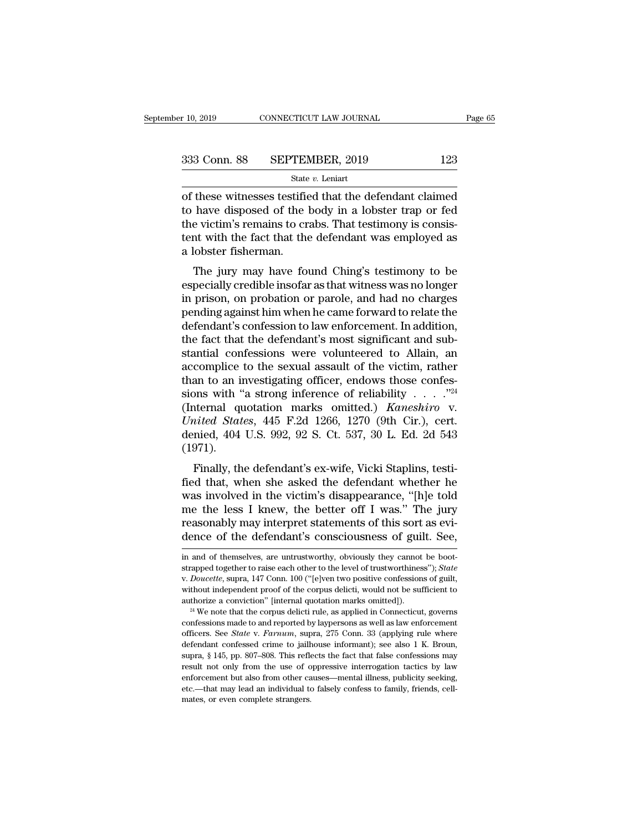$\begin{array}{|l|l|} \hline \text{r 10, 2019} & \text{COMRECTICUT LAW JOURNAL} & \text{Page 65} \ \hline \end{array}$ <br>
333 Conn. 88 SEPTEMBER, 2019 123<br>  $\begin{array}{|l|} \hline \text{State } v. \text{ Leniat} \ \hline \end{array}$ <br>
of these witnesses testified that the defendant claimed<br>
to have disposed of the bod 333 Conn. 88 SEPTEMBER, 2019 123<br>
State v. Leniart<br>
of these witnesses testified that the defendant claimed<br>
to have disposed of the body in a lobster trap or fed<br>
the victim's remains to crabs. That testimony is consiste 333 Conn. 88 SEPTEMBER, 2019 123<br>
State v. Leniart<br>
of these witnesses testified that the defendant claimed<br>
to have disposed of the body in a lobster trap or fed<br>
the victim's remains to crabs. That testimony is consis-<br> 333 Conn. 88 SEPTEMBER, 2019 123<br>
State  $v$ . Leniart<br>
of these witnesses testified that the defendant claimed<br>
to have disposed of the body in a lobster trap or fed<br>
the victim's remains to crabs. That testimony is consis State<br>
of these witnesses testifie<br>
to have disposed of the l<br>
the victim's remains to cr<br>
tent with the fact that the<br>
a lobster fisherman.<br>
The jury may have for these witnesses testified that the defendant claimed<br>have disposed of the body in a lobster trap or fed<br>e victim's remains to crabs. That testimony is consis-<br>nt with the fact that the defendant was employed as<br>lobster fis of these whilesses testined that the defendant claimed<br>to have disposed of the body in a lobster trap or fed<br>the victim's remains to crabs. That testimony is consis-<br>tent with the fact that the defendant was employed as<br>a

to have usposed of the body in a follower trap of fed<br>the victim's remains to crabs. That testimony is consis-<br>tent with the fact that the defendant was employed as<br>a lobster fisherman.<br>The jury may have found Ching's test the victim's remains to crabs. That testimony is consistent with the fact that the defendant was employed as<br>a lobster fisherman.<br>The jury may have found Ching's testimony to be<br>especially credible insofar as that witness a lobster fisherman.<br>
The jury may have found Ching's testimony to be<br>
especially credible insofar as that witness was no longer<br>
in prison, on probation or parole, and had no charges<br>
pending against him when he came forw The jury may have found Ching's testimony to be<br>especially credible insofar as that witness was no longer<br>in prison, on probation or parole, and had no charges<br>pending against him when he came forward to relate the<br>defenda The jury may have found Ching's testimony to be<br>especially credible insofar as that witness was no longer<br>in prison, on probation or parole, and had no charges<br>pending against him when he came forward to relate the<br>defenda especially credible insofar as that witness was no longer<br>in prison, on probation or parole, and had no charges<br>pending against him when he came forward to relate the<br>defendant's confession to law enforcement. In addition, in prison, on probation or parole, and had no charges<br>pending against him when he came forward to relate the<br>defendant's confession to law enforcement. In addition,<br>the fact that the defendant's most significant and sub-<br> pending against him when he came forward to relate the<br>defendant's confession to law enforcement. In addition,<br>the fact that the defendant's most significant and sub-<br>stantial confessions were volunteered to Allain, an<br>ac defendant's confession to law enforcement. In addition,<br>the fact that the defendant's most significant and sub-<br>stantial confessions were volunteered to Allain, an<br>accomplice to the sexual assault of the victim, rather<br>tha the fact that the defendant's most significant and substantial confessions were volunteered to Allain, an accomplice to the sexual assault of the victim, rather than to an investigating officer, endows those confessions wi stantial confessions were volunteered to Allain, an accomplice to the sexual assault of the victim, rather than to an investigating officer, endows those confessions with "a strong inference of reliability  $\ldots$ ."<sup>24</sup> (In (1971). Finally, the defendant's ex-wife, Vicki Staplins, testi-<br>ternal quotation marks omitted.) *Kaneshiro* v.<br>*iited States*, 445 F.2d 1266, 1270 (9th Cir.), cert.<br>mied, 404 U.S. 992, 92 S. Ct. 537, 30 L. Ed. 2d 543<br>971).<br>Fina find a strong interence of remaining  $\cdot \cdot \cdot$ .<br>
(Internal quotation marks omitted.) *Kaneshiro* v.<br>
United States, 445 F.2d 1266, 1270 (9th Cir.), cert.<br>
denied, 404 U.S. 992, 92 S. Ct. 537, 30 L. Ed. 2d 543<br>
(1971).<br>
Fin

United States, 445 F.2d 1266, 1270 (9th Cir.), cert.<br>denied, 404 U.S. 992, 92 S. Ct. 537, 30 L. Ed. 2d 543<br>(1971).<br>Finally, the defendant's ex-wife, Vicki Staplins, testi-<br>fied that, when she asked the defendant whether h chited states, 445 F.2d 1200, 1210 (stif Cn.), cert.<br>denied, 404 U.S. 992, 92 S. Ct. 537, 30 L. Ed. 2d 543<br>(1971).<br>Finally, the defendant's ex-wife, Vicki Staplins, testi-<br>fied that, when she asked the defendant whether h (1971).<br>
Finally, the defendant's ex-wife, Vicki Staplins, testi-<br>
fied that, when she asked the defendant whether he<br>
was involved in the victim's disappearance, "[h]e told<br>
me the less I knew, the better off I was." The Finally, the defendant's ex-wife, Vicki Staplins, testi-<br>fied that, when she asked the defendant whether he<br>was involved in the victim's disappearance, "[h]e told<br>me the less I knew, the better off I was." The jury<br>reason was involved in the victim's disappearance, "[h]e told<br>me the less I knew, the better off I was." The jury<br>reasonably may interpret statements of this sort as evi-<br>dence of the defendant's consciousness of guilt. See,<br>in

me the less I knew, the better off I was." The jury reasonably may interpret statements of this sort as evidence of the defendant's consciousness of guilt. See, in and of themselves, are untrustworthy, obviously they canno dence of the defendant's consciousness of guilt. See,<br>dence of the defendant's consciousness of guilt. See,<br>in and of themselves, are untrustworthy, obviously they cannot be boot-<br>strapped together to raise each other to t and of themselves, are untrustworthy, obviously they cannot be boot-<br>strapped together to raise each other to the level of trustworthiness"); *State* v. *Doucette*, supra, 147 Conn. 100 ("[e]ven two positive confessions o strapped together to raise each other to the level of trustworthiness"); *State* v. *Doucette*, supra, 147 Conn. 100 ("[e]ven two positive confessions of guilt, without independent proof of the corpus delicti, would not b

v. *Doucette*, supra, 147 Conn. 100 ("[e]ven two positive confessions of guilt, without independent proof of the corpus delicti, would not be sufficient to authorize a conviction" [internal quotation marks omitted]).<br><sup>24</sup> We subsequent proof of the corpus delicti, would not be sufficient to authorize a conviction" [internal quotation marks omitted]).<br><sup>24</sup> We note that the corpus delicti rule, as applied in Connecticut, governs confessions surface a conviction" [internal quotation marks omitted]).<br>
<sup>24</sup> We note that the corpus delicti rule, as applied in Connecticut, governs confessions made to and reported by laypersons as well as law enforcement officers. <sup>24</sup> We note that the corpus delicti rule, as applied in Connecticut, governs confessions made to and reported by laypersons as well as law enforcement officers. See *State v. Farnum*, supra, 275 Conn. 33 (applying rule w confessions made to and reported by laypersons as well as law enforcement<br>officers. See *State* v. *Farnum*, supra, 275 Conn. 33 (applying rule where<br>defendant confessed crime to jailhouse informant); see also 1 K. Broun,<br> officers. See *State* v. *Farnum*, supra, 275 Conn. 33 (applying rule where defendant confessed crime to jailhouse informant); see also 1 K. Broun, supra, § 145, pp. 807–808. This reflects the fact that false confessions defendant confessed crime to jailhouse informant); see also 1 K. Broun,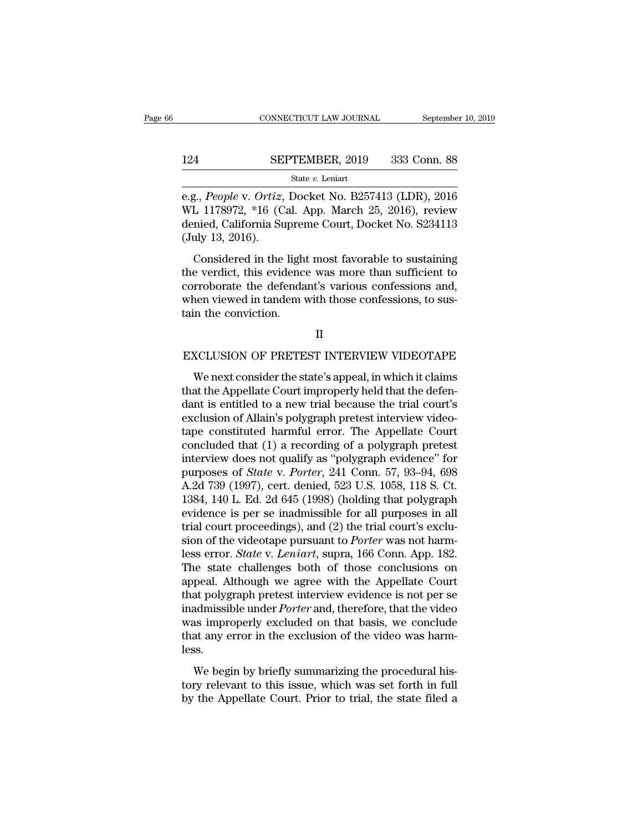### CONNECTICUT LAW JOURNAL September 10, 2019<br>124 SEPTEMBER, 2019 333 Conn. 88<br>State v. Leniart State *v.* Leniart

cONNECTICUT LAW JOURNAL September 10, 2019<br>
124 SEPTEMBER, 2019 333 Conn. 88<br>
<sup>31</sup> State *v*. Leniart<br>
16.g., *People* v. *Ortiz*, Docket No. B257413 (LDR), 2016<br>
WL 1178972, \*16 (Cal. App. March 25, 2016), review<br>
donied 124 SEPTEMBER, 2019 333 Conn. 88<br>
state v. Leniart<br>
e.g., *People* v. *Ortiz*, Docket No. B257413 (LDR), 2016<br>
WL 1178972, \*16 (Cal. App. March 25, 2016), review<br>
denied, California Supreme Court, Docket No. S234113<br>
(Jul 124 SEPTEMBER, 2019 333 Conn. 88<br>
State v. Leniart<br>
e.g., People v. Ortiz, Docket No. B257413 (LDR), 2016<br>
WL 1178972, \*16 (Cal. App. March 25, 2016), review<br>
denied, California Supreme Court, Docket No. S234113<br>
(July 13 124 SE<br>
e.g., *People v. Ortiz*,<br>
WL 1178972, \*16 (C<br>
denied, California St<br>
(July 13, 2016).<br>
Considered in the State v. Leniart<br>
S., People v. Ortiz, Docket No. B257413 (LDR), 2016<br>
L 1178972, \*16 (Cal. App. March 25, 2016), review<br>
mied, California Supreme Court, Docket No. S234113<br>
uly 13, 2016).<br>
Considered in the light most fa e.g., *People v. Ortiz*, Docket No. B257413 (LDR), 2016<br>WL 1178972, \*16 (Cal. App. March 25, 2016), review<br>denied, California Supreme Court, Docket No. S234113<br>(July 13, 2016).<br>Considered in the light most favorable to sus

c.g., *T* co*pte* v. Ortez, Docket No. D201416 (LDR), 2010<br>WL 1178972, \*16 (Cal. App. March 25, 2016), review<br>denied, California Supreme Court, Docket No. S234113<br>(July 13, 2016).<br>Considered in the light most favorable to when those confessions, to (ea., App. match 29, 2010), review<br>denied, California Supreme Court, Docket No. S234113<br>(July 13, 2016).<br>Considered in the light most favorable to sustaining<br>the verdict, this evidence was more The conviction of the conviction.<br>The verdict, this evidence<br>corroborate the defendared when viewed in tandem variant the conviction. the verdict, this evidence was more than sufficient to<br>corroborate the defendant's various confessions and,<br>when viewed in tandem with those confessions, to sus-<br>tain the conviction.<br>II<br>EXCLUSION OF PRETEST INTERVIEW VIDEO

### II

Men viewed in tandem with those confessions, to sus-<br>in the conviction.<br>II<br>XCLUSION OF PRETEST INTERVIEW VIDEOTAPE<br>We next consider the state's appeal, in which it claims<br>at the Appellate Court improperly held that the def tain the conviction.<br>
II<br>
EXCLUSION OF PRETEST INTERVIEW VIDEOTAPE<br>
We next consider the state's appeal, in which it claims<br>
that the Appellate Court improperly held that the defen-<br>
dant is entitled to a new trial because II<br>EXCLUSION OF PRETEST INTERVIEW VIDEOTAPE<br>We next consider the state's appeal, in which it claims<br>that the Appellate Court improperly held that the defen-<br>dant is entitled to a new trial because the trial court's<br>exclusi II<br>EXCLUSION OF PRETEST INTERVIEW VIDEOTAPE<br>We next consider the state's appeal, in which it claims<br>that the Appellate Court improperly held that the defen-<br>dant is entitled to a new trial because the trial court's<br>exclusi EXCLUSION OF PRETEST INTERVIEW VIDEOTAPE<br>We next consider the state's appeal, in which it claims<br>that the Appellate Court improperly held that the defen-<br>dant is entitled to a new trial because the trial court's<br>exclusion We next consider the state's appeal, in which it claims<br>that the Appellate Court improperly held that the defen-<br>dant is entitled to a new trial because the trial court's<br>exclusion of Allain's polygraph pretest interview We next consider the state's appeal, in which it claims<br>that the Appellate Court improperly held that the defen-<br>dant is entitled to a new trial because the trial court's<br>exclusion of Allain's polygraph pretest interview that the Appellate Court improperly held that the defendant is entitled to a new trial because the trial court's exclusion of Allain's polygraph pretest interview videotape constituted harmful error. The Appellate Court co dant is entitled to a new trial because the trial court's<br>exclusion of Allain's polygraph pretest interview video-<br>tape constituted harmful error. The Appellate Court<br>concluded that (1) a recording of a polygraph pretest<br>i exclusion of Allain's polygraph pretest interview video-<br>tape constituted harmful error. The Appellate Court<br>concluded that (1) a recording of a polygraph pretest<br>interview does not qualify as "polygraph evidence" for<br>purp tape constituted harmful error. The Appellate Court<br>concluded that (1) a recording of a polygraph pretest<br>interview does not qualify as "polygraph evidence" for<br>purposes of *State* v. *Porter*, 241 Conn. 57, 93–94, 698<br>A.2 concluded that (1) a recording of a polygraph pretest<br>interview does not qualify as "polygraph evidence" for<br>purposes of *State* v. *Porter*, 241 Conn. 57, 93–94, 698<br>A.2d 739 (1997), cert. denied, 523 U.S. 1058, 118 S. C interview does not qualify as "polygraph evidence" for<br>purposes of *State* v. *Porter*, 241 Conn. 57, 93–94, 698<br>A.2d 739 (1997), cert. denied, 523 U.S. 1058, 118 S. Ct.<br>1384, 140 L. Ed. 2d 645 (1998) (holding that polygra purposes of *State* v. *Porter*, 241 Conn. 57, 93–94, 698<br>A.2d 739 (1997), cert. denied, 523 U.S. 1058, 118 S. Ct.<br>1384, 140 L. Ed. 2d 645 (1998) (holding that polygraph<br>evidence is per se inadmissible for all purposes in A.2d 739 (1997), cert. denied, 523 U.S. 1058, 118 S. Ct.<br>1384, 140 L. Ed. 2d 645 (1998) (holding that polygraph<br>evidence is per se inadmissible for all purposes in all<br>trial court proceedings), and (2) the trial court's ex 1384, 140 L. Ed. 2d 645 (1998) (holding that polygraph<br>evidence is per se inadmissible for all purposes in all<br>trial court proceedings), and (2) the trial court's exclu-<br>sion of the videotape pursuant to *Porter* was not evidence is per se inadmissible for all purposes in all<br>trial court proceedings), and (2) the trial court's exclu-<br>sion of the videotape pursuant to *Porter* was not harm-<br>less error. *State* v. *Leniart*, supra, 166 Conn. trial court proceedings), and (2) the trial court's exclusion of the videotape pursuant to *Porter* was not harmless error. *State* v. *Leniart*, supra, 166 Conn. App. 182. The state challenges both of those conclusions on sion of the videotape pursuant to *Porter* was not harm-<br>less error. *State* v. *Leniart*, supra, 166 Conn. App. 182.<br>The state challenges both of those conclusions on<br>appeal. Although we agree with the Appellate Court<br>tha less error. *State* v. *Leniart*, supra, 166 Conn. App. 182. The state challenges both of those conclusions on appeal. Although we agree with the Appellate Court that polygraph pretest interview evidence is not per se inad less. From Thandagh we agree what are rippendice court<br>at polygraph pretest interview evidence is not per se<br>admissible under *Porter* and, therefore, that the video<br>as improperly excluded on that basis, we conclude<br>at any error that polygraph pretest interview evidence is not per set<br>inadmissible under *Porter* and, therefore, that the video<br>was improperly excluded on that basis, we conclude<br>that any error in the exclusion of the video was harm-<br> maanissiste ander Forer and, altertote, and are video<br>was improperly excluded on that basis, we conclude<br>that any error in the exclusion of the video was harm-<br>less.<br>We begin by briefly summarizing the procedural his-<br>tory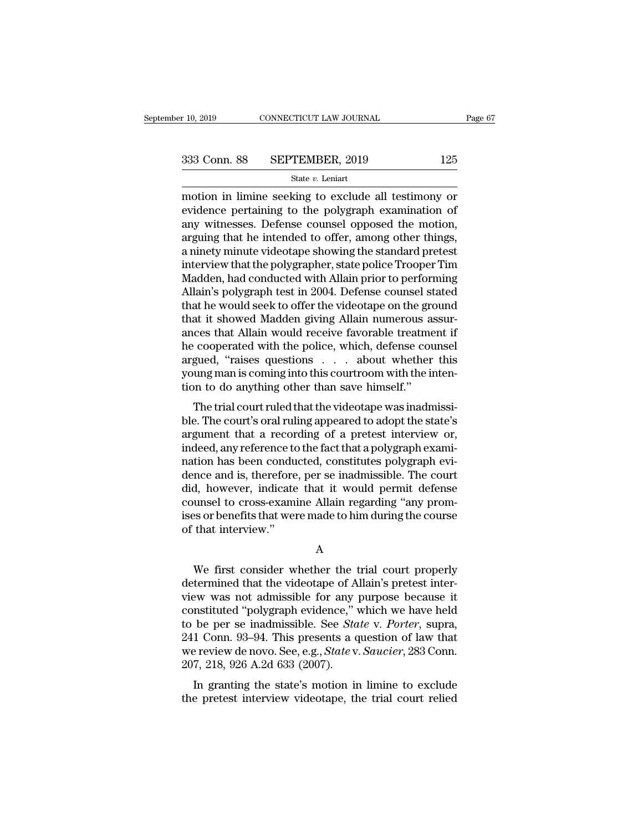motion in limine seeking to exclude all testimony or<br>evidence pertaining to the polygraph examination of<br>any witnesses. Defense equiped approach the motion<br>any witnesses. Defense equiped approach the motion 333 Conn. 88 SEPTEMBER, 2019 125<br>
State  $v$ . Leniart<br>
motion in limine seeking to exclude all testimony or<br>
evidence pertaining to the polygraph examination of<br>
any witnesses. Defense counsel opposed the motion,<br>
arguing 333 Conn. 88 SEPTEMBER, 2019 125<br>
State v. Leniart<br>
motion in limine seeking to exclude all testimony or<br>
evidence pertaining to the polygraph examination of<br>
any witnesses. Defense counsel opposed the motion,<br>
arguing th 333 Conn. 88 SEPTEMBER, 2019 125<br>
state *v*. Leniart<br>
motion in limine seeking to exclude all testimony or<br>
evidence pertaining to the polygraph examination of<br>
any witnesses. Defense counsel opposed the motion,<br>
arguing State v. Leniarty, 2018<br>
State v. Leniart<br>
motion in limine seeking to exclude all testimony or<br>
evidence pertaining to the polygraph examination of<br>
any witnesses. Defense counsel opposed the motion,<br>
arguing that he int state v. Lenart<br>
motion in limine seeking to exclude all testimony or<br>
evidence pertaining to the polygraph examination of<br>
any witnesses. Defense counsel opposed the motion,<br>
arguing that he intended to offer, among other motion in limine seeking to exclude all testimony or<br>evidence pertaining to the polygraph examination of<br>any witnesses. Defense counsel opposed the motion,<br>arguing that he intended to offer, among other things,<br>a ninety mi evidence pertaining to the polygraph examination of<br>any witnesses. Defense counsel opposed the motion,<br>arguing that he intended to offer, among other things,<br>a ninety minute videotape showing the standard pretest<br>interview any witnesses. Defense counsel opposed the motion,<br>arguing that he intended to offer, among other things,<br>a ninety minute videotape showing the standard pretest<br>interview that the polygrapher, state police Trooper Tim<br>Madd arguing that he intended to offer, among other things,<br>a ninety minute videotape showing the standard pretest<br>interview that the polygrapher, state police Trooper Tim<br>Madden, had conducted with Allain prior to performing<br>A a ninety minute videotape showing the standard pretest<br>interview that the polygrapher, state police Trooper Tim<br>Madden, had conducted with Allain prior to performing<br>Allain's polygraph test in 2004. Defense counsel stated<br> interview that the polygrapher, state police Trooper Tim<br>Madden, had conducted with Allain prior to performing<br>Allain's polygraph test in 2004. Defense counsel stated<br>that he would seek to offer the videotape on the ground Madden, had conducted with Allain prior to performing<br>Allain's polygraph test in 2004. Defense counsel stated<br>that he would seek to offer the videotape on the ground<br>that it showed Madden giving Allain numerous assur-<br>ance Allain's polygraph test in 2004. Defense counsel stated<br>that he would seek to offer the videotape on the ground<br>that it showed Madden giving Allain numerous assur-<br>ances that Allain would receive favorable treatment if<br>he that he would seek to offer the videotape on the greath<br>that it showed Madden giving Allain numerous as<br>ances that Allain would receive favorable treatme<br>he cooperated with the police, which, defense cou<br>argued, "raises qu at it showed madden giving Anant numerous assur-<br>ces that Allain would receive favorable treatment if<br>cooperated with the police, which, defense counsel<br>gued, "raises questions . . . . about whether this<br>ung man is coming ances that Anant would receive favorable treatment in<br>he cooperated with the police, which, defense counsel<br>argued, "raises questions . . . about whether this<br>young man is coming into this courtroom with the inten-<br>tion to

France Cooperated with the police, which, defense courser<br>argued, "raises questions . . . about whether this<br>young man is coming into this courtroom with the inten-<br>tion to do anything other than save himself."<br>The trial c argued, Tases questions . . . . about whether this<br>young man is coming into this courtroom with the inten-<br>tion to do anything other than save himself."<br>The trial court ruled that the videotape was inadmissi-<br>ble. The cour young man is conting into this courtroom with the inter-<br>tion to do anything other than save himself."<br>The trial court ruled that the videotape was inadmissi-<br>ble. The court's oral ruling appeared to adopt the state's<br>argu The trial court ruled that the videotape was inadmissible. The court's oral ruling appeared to adopt the state's<br>argument that a recording of a pretest interview or,<br>indeed, any reference to the fact that a polygraph exami The trial court ruled that the videotape was inadmissi-<br>ble. The court's oral ruling appeared to adopt the state's<br>argument that a recording of a pretest interview or,<br>indeed, any reference to the fact that a polygraph exa ble. The court's oral ruling appeared to adopt the state's<br>argument that a recording of a pretest interview or,<br>indeed, any reference to the fact that a polygraph exami-<br>nation has been conducted, constitutes polygraph evi argument that a recording of a pretest interview or,<br>indeed, any reference to the fact that a polygraph exami-<br>nation has been conducted, constitutes polygraph evi-<br>dence and is, therefore, per se inadmissible. The court<br>d indeed, any reference to<br>nation has been condu<br>dence and is, therefore<br>did, however, indicate<br>counsel to cross-exami<br>ises or benefits that wer<br>of that interview." d, however, indicate that it would permit defense<br>unsel to cross-examine Allain regarding "any prom-<br>s or benefits that were made to him during the course<br>that interview."<br>A<br>We first consider whether the trial court proper

A

counsel to cross-examine Allain regarding "any promises or benefits that were made to him during the course<br>of that interview."<br>A<br>We first consider whether the trial court properly<br>determined that the videotape of Allain's ises or benefits that were made to him during the course<br>of that interview."<br>A<br>We first consider whether the trial court properly<br>determined that the videotape of Allain's pretest inter-<br>view was not admissible for any pur A<br>
We first consider whether the trial court properly<br>
determined that the videotape of Allain's pretest inter-<br>
view was not admissible for any purpose because it<br>
constituted "polygraph evidence," which we have held<br>
to A<br>We first consider whether the trial court properly<br>determined that the videotape of Allain's pretest inter-<br>view was not admissible for any purpose because it<br>constituted "polygraph evidence," which we have held<br>to be pe We first consider whether the trial court properly<br>determined that the videotape of Allain's pretest inter-<br>view was not admissible for any purpose because it<br>constituted "polygraph evidence," which we have held<br>to be per We first consider whether the trial court properly<br>determined that the videotape of Allain's pretest inter-<br>view was not admissible for any purpose because it<br>constituted "polygraph evidence," which we have held<br>to be per determined that the videotape of A<br>view was not admissible for any<br>constituted "polygraph evidence," v<br>to be per se inadmissible. See *Sta*<br>241 Conn. 93–94. This presents a q<br>we review de novo. See, e.g., *State* v.<br>207, 2 Evaluate the state's motion in limine to exclude<br>the per se inadmissible. See *State* v. *Porter*, supra,<br>1 Conn. 93–94. This presents a question of law that<br>e review de novo. See, e.g., *State* v. *Saucier*, 283 Conn.<br>7, to be per se inadmissible. See *State v. Porter*, supra, 241 Conn. 93–94. This presents a question of law that we review de novo. See, e.g., *State v. Saucier*, 283 Conn. 207, 218, 926 A.2d 633 (2007). In granting the stat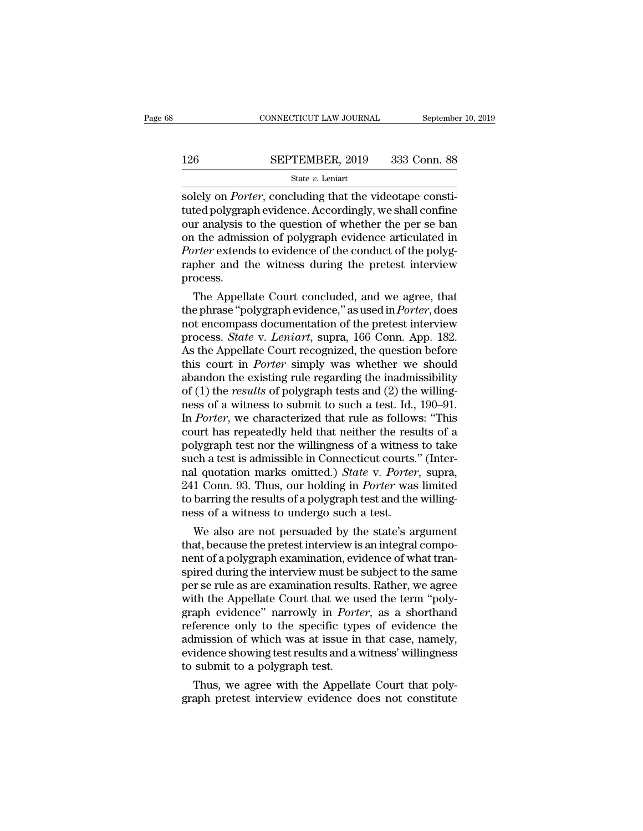# $\begin{tabular}{lll} \multicolumn{2}{l} \multicolumn{2}{l}{{\small\bf CONNECTICUT LAW JOURNAL}} & \multicolumn{2}{l}{September 10, 2019} \\ \multicolumn{2}{l}{\textbf{126}} & \multicolumn{2}{l}{\textbf{SEPTEMBER, 2019}} & \multicolumn{2}{l}{333} & \multicolumn{2}{l}{\textbf{Conn. 88}} \\ & & & & & & \\ & & & & & & \\ \multicolumn{2}{l}{\textbf{State $v$. Leniart}} & & & & \\ \end{tabular}$

### State *v.* Leniart

CONNECTICUT LAW JOURNAL September<br>126 SEPTEMBER, 2019 333 Conn. 88<br>5 State v. Leniart<br>Solely on *Porter*, concluding that the videotape consti-<br>tuted polygraph evidence. Accordingly, we shall confine<br>our analysis to the qu 126 SEPTEMBER, 2019 333 Conn. 88<br>
State v. Leniart<br>
solely on *Porter*, concluding that the videotape constituted polygraph evidence. Accordingly, we shall confine<br>
our analysis to the question of whether the per se ban<br>
o 126 SEPTEMBER, 2019 333 Conn. 88<br>
State v. Leniart<br>
solely on *Porter*, concluding that the videotape constituted polygraph evidence. Accordingly, we shall confine<br>
our analysis to the question of whether the per se ban<br> **SEPTEMBER, 2019** 333 Conn. 88<br>
state *v*. Leniart<br>
solely on *Porter*, concluding that the videotape constituted polygraph evidence. Accordingly, we shall confine<br>
our analysis to the question of whether the per se ban<br> *Porter* extends to evidence of the conduction of the conduction of the conductived polygraph evidence. Accordingly, we shall confine our analysis to the question of whether the per se band on the admission of polygraph ev state  $v$ . Leniart<br>solely on *Porter*, concluding that the videotape constituted polygraph evidence. Accordingly, we shall confine<br>our analysis to the question of whether the per se ban<br>on the admission of polygraph evide process. ted polygraph evidence. Accordingly, we shall confine<br>ir analysis to the question of whether the per se ban<br>i the admission of polygraph evidence articulated in<br>*orter* extends to evidence of the conduct of the polyg-<br>pher our analysis to the question of whether the per se ban<br>on the admission of polygraph evidence articulated in<br>*Porter* extends to evidence of the conduct of the polyg-<br>rapher and the witness during the pretest interview<br>pro

on the admission of polygraph evidence articulated in<br> *Porter* extends to evidence of the conduct of the polygrapher<br>
and the witness during the pretest interview<br>
process.<br>
The Appellate Court concluded, and we agree, th *Porter* extends to evidence of the conduct of the polygrapher and the witness during the pretest interview process.<br>
The Appellate Court concluded, and we agree, that<br>
the phrase "polygraph evidence," as used in *Porter*, rapher and the witness during the pretest interview<br>process.<br>The Appellate Court concluded, and we agree, that<br>the phrase "polygraph evidence," as used in *Porter*, does<br>not encompass documentation of the pretest interview process.<br>The Appellate Court concluded, and we agree, that<br>the phrase "polygraph evidence," as used in *Porter*, does<br>not encompass documentation of the pretest interview<br>process. *State* v. *Leniart*, supra, 166 Conn. App The Appellate Court concluded, and we agree, that<br>the phrase "polygraph evidence," as used in *Porter*, does<br>not encompass documentation of the pretest interview<br>process. *State* v. *Leniart*, supra, 166 Conn. App. 182.<br>As the phrase "polygraph evidence," as used in *Porter*, does<br>not encompass documentation of the pretest interview<br>process. *State* v. *Leniart*, supra, 166 Conn. App. 182.<br>As the Appellate Court recognized, the question befo not encompass documentation of the pretest interview<br>process. *State* v. *Leniart*, supra, 166 Conn. App. 182.<br>As the Appellate Court recognized, the question before<br>this court in *Porter* simply was whether we should<br>aban process. *State* v. *Leniart*, supra, 166 Conn. App. 182.<br>As the Appellate Court recognized, the question before<br>this court in *Porter* simply was whether we should<br>abandon the existing rule regarding the inadmissibility<br>o As the Appellate Court recognized, the question before<br>this court in *Porter* simply was whether we should<br>abandon the existing rule regarding the inadmissibility<br>of (1) the *results* of polygraph tests and (2) the willin this court in *Porter* simply was whether we should<br>abandon the existing rule regarding the inadmissibility<br>of (1) the *results* of polygraph tests and (2) the willing-<br>ness of a witness to submit to such a test. Id., 190 abandon the existing rule regarding the inadmissibility<br>of (1) the *results* of polygraph tests and (2) the willing-<br>ness of a witness to submit to such a test. Id., 190–91.<br>In *Porter*, we characterized that rule as foll of (1) the *results* of polygraph tests and (2) the willing-<br>ness of a witness to submit to such a test. Id., 190–91.<br>In *Porter*, we characterized that rule as follows: "This<br>court has repeatedly held that neither the res ness of a witness to submit to such a test. Id., 190–91.<br>In *Porter*, we characterized that rule as follows: "This<br>court has repeatedly held that neither the results of a<br>polygraph test nor the willingness of a witness to In *Porter*, we characterized that rule as follows: "This court has repeatedly held that neither the results of a polygraph test nor the willingness of a witness to take such a test is admissible in Connecticut courts." (I court has repeatedly held that neither the resubly<br>graph test nor the willingness of a witness<br>such a test is admissible in Connecticut courts.<br>nal quotation marks omitted.) State v. Porter<br>241 Conn. 93. Thus, our holding if are not me willingness or a witness to take<br>ch a test is admissible in Connecticut courts." (Inter-<br>l quotation marks omitted.) *State* v. *Porter*, supra,<br>1 Conn. 93. Thus, our holding in *Porter* was limited<br>barring t such a test is admissible in Connecticut courts. (Inter-<br>nal quotation marks omitted.) *State v. Porter*, supra,<br>241 Conn. 93. Thus, our holding in *Porter* was limited<br>to barring the results of a polygraph test and the wi

nal quotation marks omitted.) *State V. Porter*, supra,<br>241 Conn. 93. Thus, our holding in *Porter* was limited<br>to barring the results of a polygraph test and the willing-<br>ness of a witness to undergo such a test.<br>We also 241 Conn. 93. Thus, our notaing in *Porter* was limited<br>to barring the results of a polygraph test and the willing-<br>ness of a witness to undergo such a test.<br>We also are not persuaded by the state's argument<br>that, because to barring the results or a polygraph test and the willing-<br>ness of a witness to undergo such a test.<br>We also are not persuaded by the state's argument<br>that, because the pretest interview is an integral compo-<br>nent of a po mess or a witness to undergo such a test.<br>We also are not persuaded by the state's argument<br>that, because the pretest interview is an integral compo-<br>nent of a polygraph examination, evidence of what tran-<br>spired during th We also are not persuaded by the state's argument<br>that, because the pretest interview is an integral compo-<br>nent of a polygraph examination, evidence of what tran-<br>spired during the interview must be subject to the same<br>pe that, because the pretest interview is an integral component of a polygraph examination, evidence of what transpired during the interview must be subject to the same<br>per se rule as are examination results. Rather, we agree nent of a polygraph examination, evidence of what tran-<br>spired during the interview must be subject to the same<br>per se rule as are examination results. Rather, we agree<br>with the Appellate Court that we used the term "polyspired during the interview must be subject to the same<br>per se rule as are examination results. Rather, we agree<br>with the Appellate Court that we used the term "poly-<br>graph evidence" narrowly in *Porter*, as a shorthand<br>re per se rule as are examination result with the Appellate Court that we u<br>graph evidence" narrowly in *Port*<br>reference only to the specific typ<br>admission of which was at issue in<br>evidence showing test results and a<br>to submi In the Appellate Court that we used the term "poly-<br>aph evidence" narrowly in *Porter*, as a shorthand<br>ference only to the specific types of evidence the<br>mission of which was at issue in that case, namely,<br>idence showing t graph evidence harrowly in *Porter*, as a shorthand<br>reference only to the specific types of evidence the<br>admission of which was at issue in that case, namely,<br>evidence showing test results and a witness' willingness<br>to sub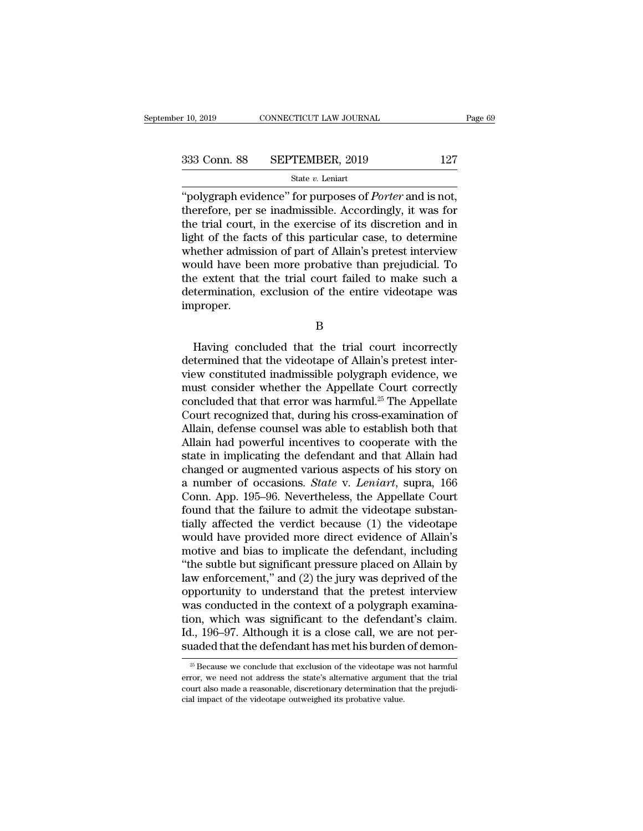<sup>r</sup> 10, 2019 CONNECTICUT LAW JOURNAL Page<br>
333 Conn. 88 SEPTEMBER, 2019 127<br>
<sup>27</sup> State *v*. Leniart<br>
<sup>26</sup> Tripolygraph evidence'' for purposes of *Porter* and is not,<br>
therefore, per se inadmissible. Accordingly, it was f 333 Conn. 88 SEPTEMBER, 2019 127<br>
State v. Leniart<br>
"polygraph evidence" for purposes of *Porter* and is not,<br>
therefore, per se inadmissible. Accordingly, it was for<br>
the trial court, in the exercise of its discretion and 333 Conn. 88 SEPTEMBER, 2019 127<br>
State v. Leniart<br>
"polygraph evidence" for purposes of *Porter* and is not,<br>
therefore, per se inadmissible. Accordingly, it was for<br>
the trial court, in the exercise of its discretion an 333 Conn. 88 SEPTEMBER, 2019 127<br>
state v. Leniart<br>
"polygraph evidence" for purposes of *Porter* and is not,<br>
therefore, per se inadmissible. Accordingly, it was for<br>
the trial court, in the exercise of its discretion an Solution of the *w*. Leniart<br>
"polygraph evidence" for purposes of *Porter* and is not,<br>
therefore, per se inadmissible. Accordingly, it was for<br>
the trial court, in the exercise of its discretion and in<br>
light of the fac state v. Lenart<br>
"polygraph evidence" for purposes of *Porter* and is not,<br>
therefore, per se inadmissible. Accordingly, it was for<br>
the trial court, in the exercise of its discretion and in<br>
light of the facts of this pa "polygraph evidence" for purposes of *Porter* and is not,<br>therefore, per se inadmissible. Accordingly, it was for<br>the trial court, in the exercise of its discretion and in<br>light of the facts of this particular case, to det therefore, per se inadmissible. Accordingly, it was for<br>the trial court, in the exercise of its discretion and in<br>light of the facts of this particular case, to determine<br>whether admission of part of Allain's pretest inter improper. bould have been more probative than prejudicial. To<br>e extent that the trial court failed to make such a<br>termination, exclusion of the entire videotape was<br>proper.<br>B<br>Having concluded that the trial court incorrectly<br>termine

B

the extent that the trial court failed to make such a<br>determination, exclusion of the entire videotape was<br>improper.<br>B<br>Having concluded that the trial court incorrectly<br>determined that the videotape of Allain's pretest int determination, exclusion of the entire videotape was<br>improper.<br>B<br>Having concluded that the trial court incorrectly<br>determined that the videotape of Allain's pretest inter-<br>view constituted inadmissible polygraph evidence, B<br>
Having concluded that the trial court incorrectly<br>
determined that the videotape of Allain's pretest inter-<br>
view constituted inadmissible polygraph evidence, we<br>
must consider whether the Appellate Court correctly<br>
con B<br>Having concluded that the trial court incorrectly<br>determined that the videotape of Allain's pretest inter-<br>view constituted inadmissible polygraph evidence, we<br>must consider whether the Appellate Court correctly<br>conclude Example 19 Having concluded that the trial court incorrectly<br>determined that the videotape of Allain's pretest inter-<br>view constituted inadmissible polygraph evidence, we<br>must consider whether the Appellate Court correctly Having concluded that the trial court incorrectly<br>determined that the videotape of Allain's pretest inter-<br>view constituted inadmissible polygraph evidence, we<br>must consider whether the Appellate Court correctly<br>concluded determined that the videotape of Allain's pretest inter-<br>view constituted inadmissible polygraph evidence, we<br>must consider whether the Appellate Court correctly<br>concluded that that error was harmful.<sup>25</sup> The Appellate<br>Cou view constituted inadmissible polygraph evidence, we<br>must consider whether the Appellate Court correctly<br>concluded that that error was harmful.<sup>25</sup> The Appellate<br>Court recognized that, during his cross-examination of<br>Allai must consider whether the Appellate Court correctly<br>concluded that that error was harmful.<sup>25</sup> The Appellate<br>Court recognized that, during his cross-examination of<br>Allain, defense counsel was able to establish both that<br>Al concluded that that error was harmful.<sup>25</sup> The Appellate<br>Court recognized that, during his cross-examination of<br>Allain, defense counsel was able to establish both that<br>Allain had powerful incentives to cooperate with the<br>s Court recognized that, during his cross-examination of<br>Allain, defense counsel was able to establish both that<br>Allain had powerful incentives to cooperate with the<br>state in implicating the defendant and that Allain had<br>cha Allain, defense counsel was able to establish both that<br>Allain had powerful incentives to cooperate with the<br>state in implicating the defendant and that Allain had<br>changed or augmented various aspects of his story on<br>a num Allain had powerful incentives to cooperate with the<br>state in implicating the defendant and that Allain had<br>changed or augmented various aspects of his story on<br>a number of occasions. *State* v. *Leniart*, supra, 166<br>Conn. state in implicating the defendant and that Allain had<br>changed or augmented various aspects of his story on<br>a number of occasions. *State* v. *Leniart*, supra, 166<br>Conn. App. 195–96. Nevertheless, the Appellate Court<br>found changed or augmented various aspects of his story on<br>a number of occasions. *State* v. *Leniart*, supra, 166<br>Conn. App. 195–96. Nevertheless, the Appellate Court<br>found that the failure to admit the videotape substan-<br>tial a number of occasions. *State* v. *Leniart*, supra, 166<br>Conn. App. 195–96. Nevertheless, the Appellate Court<br>found that the failure to admit the videotape substan-<br>tially affected the verdict because (1) the videotape<br>woul Conn. App. 195–96. Nevertheless, the Appellate Court<br>found that the failure to admit the videotape substan-<br>tially affected the verdict because (1) the videotape<br>would have provided more direct evidence of Allain's<br>motive found that the failure to admit the videotape substantially affected the verdict because (1) the videotape<br>would have provided more direct evidence of Allain's<br>motive and bias to implicate the defendant, including<br>"the sub tially affected the verdict because (1) the videotape<br>would have provided more direct evidence of Allain's<br>motive and bias to implicate the defendant, including<br>"the subtle but significant pressure placed on Allain by<br>law would have provided more direct evidence of Allain's<br>motive and bias to implicate the defendant, including<br>"the subtle but significant pressure placed on Allain by<br>law enforcement," and (2) the jury was deprived of the<br>opp motive and bias to implicate the defendant, including<br>"the subtle but significant pressure placed on Allain by<br>law enforcement," and (2) the jury was deprived of the<br>opportunity to understand that the pretest interview<br>was "the subtle but significant pressure placed on Allain by<br>law enforcement," and (2) the jury was deprived of the<br>opportunity to understand that the pretest interview<br>was conducted in the context of a polygraph examina-<br>tio as conducted in the context of a polygraph examination, which was significant to the defendant's claim.<br>
1., 196–97. Although it is a close call, we are not per-<br>
laded that the defendant has met his burden of demon-<br>
<sup>25</sup> tion, which was significant to the defendant's claim.<br>Id., 196–97. Although it is a close call, we are not per-<br>suaded that the defendant has met his burden of demon-<br> $\frac{1}{25}$  Because we conclude that exclusion of the v

Id., 196–97. Although it is a close call, we are not per-<br>suaded that the defendant has met his burden of demon-<br> $\frac{25}{5}$  Because we conclude that exclusion of the videotape was not harmful<br>error, we need not address th suaded that the defendant has met his burden  $\frac{25}{5}$  Because we conclude that exclusion of the videotape warror, we need not address the state's alternative argument court also made a reasonable, discretionary determin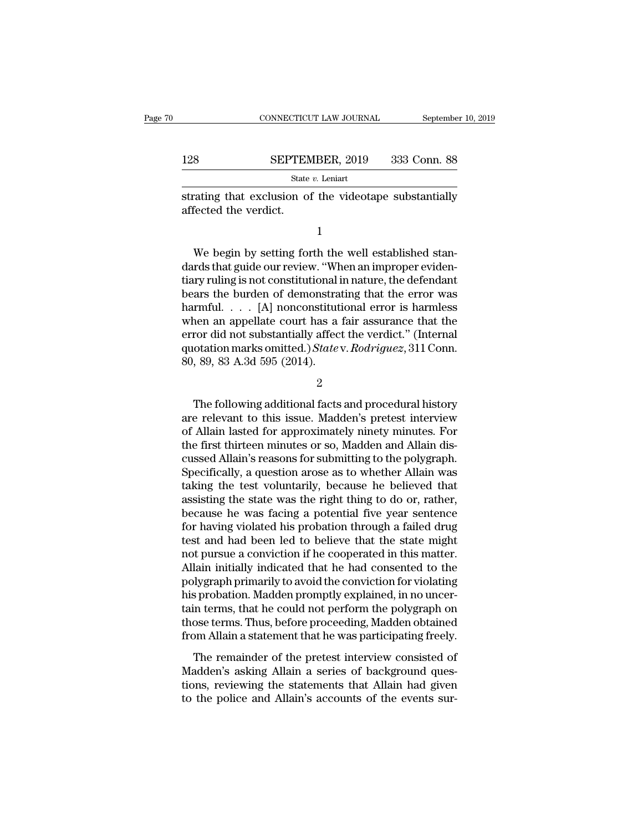|     | CONNECTICUT LAW JOURNAL | September 10, 2019 |
|-----|-------------------------|--------------------|
|     |                         |                    |
| 128 | SEPTEMBER, 2019         | 333 Conn. 88       |
|     | State $v$ . Leniart     |                    |

CONNECTICUT LAW JOURNAL September 10, 2019<br>128 SEPTEMBER, 2019 333 Conn. 88<br>5 State v. Leniart<br>strating that exclusion of the videotape substantially<br>affected the verdict. 128 SEPTEM<br>
State<br>
strating that exclusion of<br>
affected the verdict.

1

State  $v$ . Leniart<br>
State  $v$ . Leniart<br>
Tating that exclusion of the videotape substantially<br>
fected the verdict.<br>  $1$ <br>
We begin by setting forth the well established stan-<br>
rds that guide our review. "When an improper ev  $\begin{minipage}[t]{. \textbf{if} \textbf{if} \textbf{if} \textbf{if} \textbf{if} \textbf{if} \textbf{if} \textbf{if} \textbf{if} \textbf{if} \textbf{if} \textbf{if} \textbf{if} \textbf{if} \textbf{if} \textbf{if} \textbf{if} \textbf{if} \textbf{if} \textbf{if} \textbf{if} \textbf{if} \textbf{if} \textbf{if} \textbf{if} \textbf{if} \textbf{if} \textbf{if} \textbf{if} \textbf{if} \textbf{if} \textbf{if} \textbf{if} \textbf{if} \textbf{if}$ strating that exclusion of the videotape substantially<br>affected the verdict.<br>1<br>We begin by setting forth the well established stan-<br>dards that guide our review. "When an improper eviden-<br>tiary ruling is not constitutional affected the verdict.<br>
1<br>
We begin by setting forth the well established stan-<br>
dards that guide our review. "When an improper eviden-<br>
tiary ruling is not constitutional in nature, the defendant<br>
bears the burden of demon 1<br>We begin by setting forth the well established stan-<br>dards that guide our review. "When an improper eviden-<br>tiary ruling is not constitutional in nature, the defendant<br>bears the burden of demonstrating that the error was We begin by setting forth the well established stan-<br>dards that guide our review. "When an improper eviden-<br>tiary ruling is not constitutional in nature, the defendant<br>bears the burden of demonstrating that the error was<br> We begin by setting forth the well established stan-<br>dards that guide our review. "When an improper eviden-<br>tiary ruling is not constitutional in nature, the defendant<br>bears the burden of demonstrating that the error was<br> dards that guide our review. "When an improper evidentiary ruling is not constitutional in nature, the defendant bears the burden of demonstrating that the error was harmful. . . . [A] nonconstitutional error is harmless w tiary ruling is not constitutional if<br>bears the burden of demonstrational if<br>harmful..... [A] nonconstitut:<br>when an appellate court has a<br>error did not substantially affec<br>quotation marks omitted.) State<br>80, 89, 83 A.3d 5 The following additional facts and procedural history<br>
1999, 89, 83 A.3d 595 (2014).<br>
2<br>
The following additional facts and procedural history<br>
2<br>
The following additional facts and procedural history<br>
2<br>
The following add

2

error did not substantially affect the verdict." (Internal<br>quotation marks omitted.) State v. Rodriguez, 311 Conn.<br>80, 89, 83 A.3d 595 (2014).<br>2<br>The following additional facts and procedural history<br>are relevant to this is quotation marks omitted.) State v. Rodriguez, 311 Conn.<br>
80, 89, 83 A.3d 595 (2014).<br>
2<br>
The following additional facts and procedural history<br>
are relevant to this issue. Madden's pretest interview<br>
of Allain lasted for 80, 89, 83 A.3d 595 (2014).<br>
2<br>
The following additional facts and procedural history<br>
are relevant to this issue. Madden's pretest interview<br>
of Allain lasted for approximately ninety minutes. For<br>
the first thirteen minu <sup>2</sup><br>The following additional facts and procedural history<br>are relevant to this issue. Madden's pretest interview<br>of Allain lasted for approximately ninety minutes. For<br>the first thirteen minutes or so, Madden and Allain di The following additional facts and procedural history<br>are relevant to this issue. Madden's pretest interview<br>of Allain lasted for approximately ninety minutes. For<br>the first thirteen minutes or so, Madden and Allain dis-<br>c The following additional facts and procedural history<br>are relevant to this issue. Madden's pretest interview<br>of Allain lasted for approximately ninety minutes. For<br>the first thirteen minutes or so, Madden and Allain dis-<br>c are relevant to this issue. Madden's pretest interview<br>of Allain lasted for approximately ninety minutes. For<br>the first thirteen minutes or so, Madden and Allain dis-<br>cussed Allain's reasons for submitting to the polygraph of Allain lasted for approximately ninety minutes. For<br>the first thirteen minutes or so, Madden and Allain dis-<br>cussed Allain's reasons for submitting to the polygraph.<br>Specifically, a question arose as to whether Allain w the first thirteen minutes or so, Madden and Allain discussed Allain's reasons for submitting to the polygraph.<br>Specifically, a question arose as to whether Allain was<br>taking the test voluntarily, because he believed that<br> cussed Allain's reasons for submitting to the polygraph.<br>Specifically, a question arose as to whether Allain was<br>taking the test voluntarily, because he believed that<br>assisting the state was the right thing to do or, rathe Specifically, a question arose as to whether Allain was<br>taking the test voluntarily, because he believed that<br>assisting the state was the right thing to do or, rather,<br>because he was facing a potential five year sentence<br>f taking the test voluntarily, because he believed that<br>assisting the state was the right thing to do or, rather,<br>because he was facing a potential five year sentence<br>for having violated his probation through a failed drug<br>t assisting the state was the right thing to do or, rather,<br>because he was facing a potential five year sentence<br>for having violated his probation through a failed drug<br>test and had been led to believe that the state might<br>n because he was facing a potential five year sentence<br>for having violated his probation through a failed drug<br>test and had been led to believe that the state might<br>not pursue a conviction if he cooperated in this matter.<br>Al for having violated his probation through a failed drug<br>test and had been led to believe that the state might<br>not pursue a conviction if he cooperated in this matter.<br>Allain initially indicated that he had consented to the test and had been led to believe that the state might<br>not pursue a conviction if he cooperated in this matter.<br>Allain initially indicated that he had consented to the<br>polygraph primarily to avoid the conviction for violati not pursue a conviction if he cooperated in this matter.<br>Allain initially indicated that he had consented to the<br>polygraph primarily to avoid the conviction for violating<br>his probation. Madden promptly explained, in no unc Ilygraph primarily to avoid the conviction for violating<br>s probation. Madden promptly explained, in no uncer-<br>in terms, that he could not perform the polygraph on<br>ose terms. Thus, before proceeding, Madden obtained<br>om Alla For, graph printing to avoid are conviction to totaling<br>his probation. Madden promptly explained, in no uncer-<br>tain terms. Thus, before proceeding, Madden obtained<br>from Allain a statement that he was participating freely.<br>

tain terms, that he could not perform the polygraph on those terms. Thus, before proceeding, Madden obtained from Allain a statement that he was participating freely.<br>The remainder of the pretest interview consisted of Mad those terms. Thus, before proceeding, Madden obtained<br>from Allain a statement that he was participating freely.<br>The remainder of the pretest interview consisted of<br>Madden's asking Allain a series of background ques-<br>tions,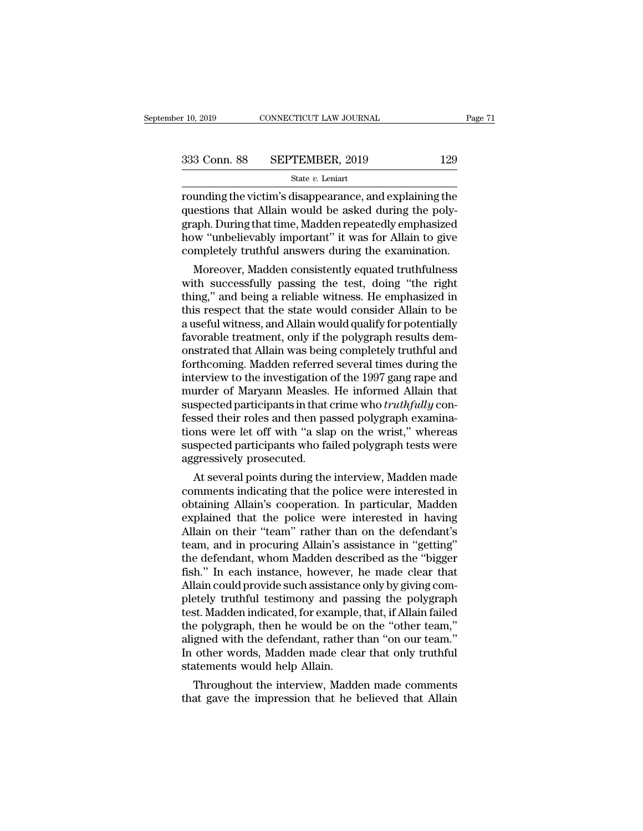r 10, 2019 CONNECTICUT LAW JOURNAL Page 71<br>
333 Conn. 88 SEPTEMBER, 2019 129<br>
34 State v. Leniart<br>
29 State v. Leniart<br>
29 State v. Leniart<br>
29 State v. Leniart<br>
29 State v. Leniart<br>
20 Araph During the victim's disappeara 333 Conn. 88 SEPTEMBER, 2019 129<br>
State  $v$ . Leniart<br>
rounding the victim's disappearance, and explaining the<br>
questions that Allain would be asked during the poly-<br>
graph. During that time, Madden repeatedly emphasized<br>  $\begin{array}{r} \text{333} \text{ Conn. } \text{88} \qquad \text{SEPTEMBER, } 2019 \qquad \qquad 129 \ \text{State } v. \text{ Leniat} \ \text{rounding the victim's disappearance, and explaining the questions that Allain would be asked during the polygraph. During that time, Madden repeatedly emphasized how "unbelievably important" it was for Allain to give completely truthful answers during the examination.} \end{array}$  $\begin{array}{ll} \textbf{333} \text{ Conn. } \textbf{88} & \textbf{SEPTEMBER, 2019} & \textbf{129} \\ & \text{State $v$. Leniart} \\ \textbf{rounding the victim's disappearance, and explaining the questions that Allan would be asked during the polygraph. During that time, Madden repeatedly emphasized how "unbelievably important" it was for Allan to give completely truthful answers during the examination.} \end{array}$ State v. Leniart, 2010<br>
State v. Leniart<br>
rounding the victim's disappearance, and explaining the<br>
questions that Allain would be asked during the poly-<br>
graph. During that time, Madden repeatedly emphasized<br>
how "unbeliev unding the victim's disappearance, and explaining the<br>estions that Allain would be asked during the poly-<br>aph. During that time, Madden repeatedly emphasized<br>w "unbelievably important" it was for Allain to give<br>mpletely tr rounding the victim's disappearance, and explaining the<br>questions that Allain would be asked during the poly-<br>graph. During that time, Madden repeatedly emphasized<br>how "unbelievably important" it was for Allain to give<br>com

questions that Ailain would be asked during the polygraph. During that time, Madden repeatedly emphasized<br>how "unbelievably important" it was for Allain to give<br>completely truthful answers during the examination.<br>Moreover, graph. During that time, Madden repeatedly emphasized<br>how "unbelievably important" it was for Allain to give<br>completely truthful answers during the examination.<br>Moreover, Madden consistently equated truthfulness<br>with succe mow unbelievably important It was for Allain to give<br>completely truthful answers during the examination.<br>Moreover, Madden consistently equated truthfulness<br>with successfully passing the test, doing "the right<br>thing," and b completely truthrul answers during the examination.<br>Moreover, Madden consistently equated truthfulness<br>with successfully passing the test, doing "the right<br>thing," and being a reliable witness. He emphasized in<br>this respec Moreover, Madden consistently equated truthfulness<br>with successfully passing the test, doing "the right<br>thing," and being a reliable witness. He emphasized in<br>this respect that the state would consider Allain to be<br>a usefu with successfully passing the test, doing "the right<br>thing," and being a reliable witness. He emphasized in<br>this respect that the state would consider Allain to be<br>a useful witness, and Allain would qualify for potentially thing," and being a reliable witness. He emphasized in<br>this respect that the state would consider Allain to be<br>a useful witness, and Allain would qualify for potentially<br>favorable treatment, only if the polygraph results d this respect that the state would consider Allain to be<br>a useful witness, and Allain would qualify for potentially<br>favorable treatment, only if the polygraph results dem-<br>onstrated that Allain was being completely truthful a useful witness, and Allain would qualify for potentially<br>favorable treatment, only if the polygraph results dem-<br>onstrated that Allain was being completely truthful and<br>forthcoming. Madden referred several times during t favorable treatment, only if the polygraph results demonstrated that Allain was being completely truthful and forthcoming. Madden referred several times during the interview to the investigation of the 1997 gang rape and m onstrated that Allain was being completely truthful and<br>forthcoming. Madden referred several times during the<br>interview to the investigation of the 1997 gang rape and<br>murder of Maryann Measles. He informed Allain that<br>susp forthcoming. Madden referred several times during the<br>interview to the investigation of the 1997 gang rape and<br>murder of Maryann Measles. He informed Allain that<br>suspected participants in that crime who *truthfully* con-<br>f interview to the investigation<br>murder of Maryann Measles.<br>suspected participants in that of<br>fessed their roles and then pa<br>tions were let off with "a slap<br>suspected participants who fa<br>aggressively prosecuted.<br>At several p urder of Maryann Measies. He informed Alliam that<br>spected participants in that crime who *truthfully* con-<br>ssed their roles and then passed polygraph examina-<br>ms were let off with "a slap on the wrist," whereas<br>spected par suspected participants in that crime who *truthyuty* confessed their roles and then passed polygraph examinations were let off with "a slap on the wrist," whereas suspected participants who failed polygraph tests were aggr

ressed their roles and then passed polygraph examinations were let off with "a slap on the wrist," whereas<br>suspected participants who failed polygraph tests were<br>aggressively prosecuted.<br>At several points during the interv tions were let off with "a slap on the wrist," whereas<br>suspected participants who failed polygraph tests were<br>aggressively prosecuted.<br>At several points during the interview, Madden made<br>comments indicating that the police suspected participants who ratio polygraph tests were<br>aggressively prosecuted.<br>At several points during the interview, Madden made<br>comments indicating that the police were interested in<br>obtaining Allain's cooperation. In p aggressively prosecuted.<br>
At several points during the interview, Madden made<br>
comments indicating that the police were interested in<br>
obtaining Allain's cooperation. In particular, Madden<br>
explained that the police were i At several points during the interview, Madden made<br>comments indicating that the police were interested in<br>obtaining Allain's cooperation. In particular, Madden<br>explained that the police were interested in having<br>Allain on comments indicating that the police were interested in obtaining Allain's cooperation. In particular, Madden explained that the police were interested in having Allain on their "team" rather than on the defendant's team, a obtaining Allain's cooperation. In particular, Madden explained that the police were interested in having Allain on their "team" rather than on the defendant's team, and in procuring Allain's assistance in "getting" the de explained that the police were interested in having<br>Allain on their "team" rather than on the defendant's<br>team, and in procuring Allain's assistance in "getting"<br>the defendant, whom Madden described as the "bigger<br>fish." I Allain on their "team" rather than on the defendant's<br>team, and in procuring Allain's assistance in "getting"<br>the defendant, whom Madden described as the "bigger<br>fish." In each instance, however, he made clear that<br>Allain team, and in procuring Allain's assistance in "getting"<br>the defendant, whom Madden described as the "bigger<br>fish." In each instance, however, he made clear that<br>Allain could provide such assistance only by giving com-<br>plet the defendant, whom Madden described as the "bigger<br>fish." In each instance, however, he made clear that<br>Allain could provide such assistance only by giving com-<br>pletely truthful testimony and passing the polygraph<br>test. M fish." In each instance, however, he made clear that Allain could provide such assistance only by giving completely truthful testimony and passing the polygraph test. Madden indicated, for example, that, if Allain failed t Allain could provide such assistance<br>pletely truthful testimony and pas<br>test. Madden indicated, for example<br>the polygraph, then he would be o<br>aligned with the defendant, rather t<br>In other words, Madden made clea<br>statements etely truthrul testimony and passing the polygraph<br>st. Madden indicated, for example, that, if Allain failed<br>e polygraph, then he would be on the "other team,"<br>gned with the defendant, rather than "on our team."<br>other word test. Madden mulcated, for example, that, if Allain failed<br>the polygraph, then he would be on the "other team,"<br>aligned with the defendant, rather than "on our team."<br>In other words, Madden made clear that only truthful<br>st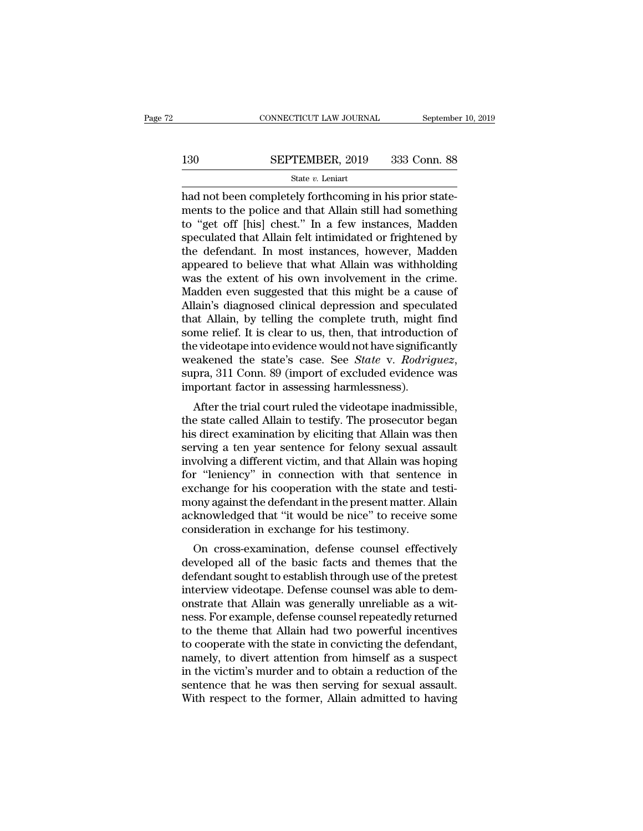# $\begin{tabular}{lll} \multicolumn{2}{l} \multicolumn{2}{l}{{\small\bf CONNECTICUT LAW JOURNAL}} & \multicolumn{2}{l}{September 10, 2019} \\ \multicolumn{2}{l}{\textbf{130}} & \multicolumn{2}{l}{\bf SEPTEMBER, 2019} & 333 & \textbf{Conn. } 88 \\ & \multicolumn{2}{l}{\textbf{State $v$. Leniart}} & \multicolumn{2}{l}{\textbf{130}} & \multicolumn{2}{l}{\textbf{131}} & \multicolumn{2}{l}{\textbf{132}} & \multicolumn{2}{l}{\textbf{133}} & \multicolumn$

### State *v.* Leniart

 $\begin{tabular}{ll} \multicolumn{2}{l}{{\small \textbf{COMPECTICUT LAW JOURNAL}}} & \multicolumn{2}{l}{September} \end{tabular} \vspace{-.2cm} \begin{tabular}{ll} \multicolumn{2}{l}{{\small \textbf{SEPTEMBER, 2019}}} & \multicolumn{2}{l}{333} & \multicolumn{2}{l}{Conn. 88} \end{tabular} \end{tabular} \vspace{-.2cm} \begin{tabular}{ll} \multicolumn{2}{l}{H} {\small \textbf{State $v$. Leniat}} \end{tabular} \end{tabular} \vspace{-.2cm} \begin{tabular}{ll} \multicolumn{2}{l}{H} {\small \$ SEPTEMBER, 2019 333 Conn. 88<br>
State v. Leniart<br>
had not been completely forthcoming in his prior state-<br>
ments to the police and that Allain still had something<br>
to "get off [his] chest." In a few instances, Madden<br>
spocul 130 SEPTEMBER, 2019 333 Conn. 88<br>
State  $v$ . Leniart<br>
had not been completely forthcoming in his prior state-<br>
ments to the police and that Allain still had something<br>
to "get off [his] chest." In a few instances, Madden<br> SEPTEMBER, 2019 333 Conn. 88<br>
State v. Leniart<br>
had not been completely forthcoming in his prior state-<br>
ments to the police and that Allain still had something<br>
to "get off [his] chest." In a few instances, Madden<br>
specu SET TEREST, THE USS CORRECT SURVEYS SET TEREST, THE SET ON STRIKT STRIKT STRIKT AND SOLUTE AND A REPORT AND MORE THANK THANK THE MANGE THANK THE SET OF THE SPECILATE OF THE SPECILATE OF THE METHOD APPEARED APPEARED APPEAR state v. Lenart<br>had not been completely forthcoming in his prior state-<br>ments to the police and that Allain still had something<br>to "get off [his] chest." In a few instances, Madden<br>speculated that Allain felt intimidated o had not been completely forthcoming in his prior statements to the police and that Allain still had something<br>to "get off [his] chest." In a few instances, Madden<br>speculated that Allain felt intimidated or frightened by<br>th ments to the police and that Allain still had something<br>to "get off [his] chest." In a few instances, Madden<br>speculated that Allain felt intimidated or frightened by<br>the defendant. In most instances, however, Madden<br>appear to "get off [his] chest." In a few instances, Madden<br>speculated that Allain felt intimidated or frightened by<br>the defendant. In most instances, however, Madden<br>appeared to believe that what Allain was withholding<br>was the e speculated that Allain felt intimidated or frightened by<br>the defendant. In most instances, however, Madden<br>appeared to believe that what Allain was withholding<br>was the extent of his own involvement in the crime.<br>Madden eve the defendant. In most instances, however, Madden<br>appeared to believe that what Allain was withholding<br>was the extent of his own involvement in the crime.<br>Madden even suggested that this might be a cause of<br>Allain's diagno appeared to believe that what Allain was withholding<br>was the extent of his own involvement in the crime.<br>Madden even suggested that this might be a cause of<br>Allain's diagnosed clinical depression and speculated<br>that Allain was the extent of his own involvement in the crime.<br>Madden even suggested that this might be a cause of<br>Allain's diagnosed clinical depression and speculated<br>that Allain, by telling the complete truth, might find<br>some reli Allain's diagnosed clinical depression and specul<br>that Allain, by telling the complete truth, might<br>some relief. It is clear to us, then, that introductic<br>the videotape into evidence would not have significe<br>weakened the s at Anant, by tening the complete truth, might find<br>me relief. It is clear to us, then, that introduction of<br>evideotape into evidence would not have significantly<br>eakened the state's case. See *State* v. *Rodriguez*,<br>pra, 3 some rener. It is clear to us, then, that introduction of<br>the videotape into evidence would not have significantly<br>weakened the state's case. See *State* v. *Rodriguez*,<br>supra, 311 Conn. 89 (import of excluded evidence wa

the videotape into evidence would not have significantly<br>weakened the state's case. See *State* v. *Rodriguez*,<br>supra, 311 Conn. 89 (import of excluded evidence was<br>important factor in assessing harmlessness).<br>After the tr weakened the state's case. See *State'v. houriguez*,<br>supra, 311 Conn. 89 (import of excluded evidence was<br>important factor in assessing harmlessness).<br>After the trial court ruled the videotape inadmissible,<br>the state calle supra, 311 Colul. 89 (import of excluded evidence was<br>important factor in assessing harmlessness).<br>After the trial court ruled the videotape inadmissible,<br>the state called Allain to testify. The prosecutor began<br>his direct fully of tank tactor in assessing narmessness).<br>After the trial court ruled the videotape inadmissible,<br>the state called Allain to testify. The prosecutor began<br>his direct examination by eliciting that Allain was then<br>serv After the trial court ruled the videotape inadmissible,<br>the state called Allain to testify. The prosecutor began<br>his direct examination by eliciting that Allain was then<br>serving a ten year sentence for felony sexual assaul the state called Allain to testify. The prosecutor began<br>his direct examination by eliciting that Allain was then<br>serving a ten year sentence for felony sexual assault<br>involving a different victim, and that Allain was hopi his direct examination by eliciting that Allain was then<br>serving a ten year sentence for felony sexual assault<br>involving a different victim, and that Allain was hoping<br>for "leniency" in connection with that sentence in<br>exc serving a ten year sentence for felony sexual ass<br>involving a different victim, and that Allain was ho<br>for "leniency" in connection with that sentenc<br>exchange for his cooperation with the state and t<br>mony against the defen F "leniency" in connection with that sentence in change for his cooperation with that sentence in change for his cooperation with the state and testi-<br>ony against the defendant in the present matter. Allain knowledged that For Tenenty Thr Connection with that sentence in<br>exchange for his cooperation with the state and testi-<br>mony against the defendant in the present matter. Allain<br>acknowledged that "it would be nice" to receive some<br>consider

exchange for his cooperation while the state and testi-<br>mony against the defendant in the present matter. Allain<br>acknowledged that "it would be nice" to receive some<br>consideration in exchange for his testimony.<br>On cross-ex interview determinant in the present matter. Analy<br>acknowledged that "it would be nice" to receive some<br>consideration in exchange for his testimony.<br>On cross-examination, defense counsel effectively<br>developed all of the ba acknowledged that Allain would be filed to receive some<br>consideration in exchange for his testimony.<br>On cross-examination, defense counsel effectively<br>developed all of the basic facts and themes that the<br>defendant sought t consideration in exchange for ins testimony.<br>
On cross-examination, defense counsel effectively<br>
developed all of the basic facts and themes that the<br>
defendant sought to establish through use of the pretest<br>
interview vid On cross-examination, defense counsel effectively<br>developed all of the basic facts and themes that the<br>defendant sought to establish through use of the pretest<br>interview videotape. Defense counsel was able to dem-<br>onstrate developed all of the basic facts and themes that the<br>defendant sought to establish through use of the pretest<br>interview videotape. Defense counsel was able to dem-<br>onstrate that Allain was generally unreliable as a wit-<br>ne defendant sought to establish through use of the pretest<br>interview videotape. Defense counsel was able to dem-<br>onstrate that Allain was generally unreliable as a wit-<br>ness. For example, defense counsel repeatedly returned<br> interview videotape. Defense counsel was able to demonstrate that Allain was generally unreliable as a witness. For example, defense counsel repeatedly returned to the theme that Allain had two powerful incentives to coope on that Allain was generally unreliable as a witness. For example, defense counsel repeatedly returned<br>to the theme that Allain had two powerful incentives<br>to cooperate with the state in convicting the defendant,<br>namely, t ness. For example, defense counsel repeatedly returned<br>to the theme that Allain had two powerful incentives<br>to cooperate with the state in convicting the defendant,<br>namely, to divert attention from himself as a suspect<br>in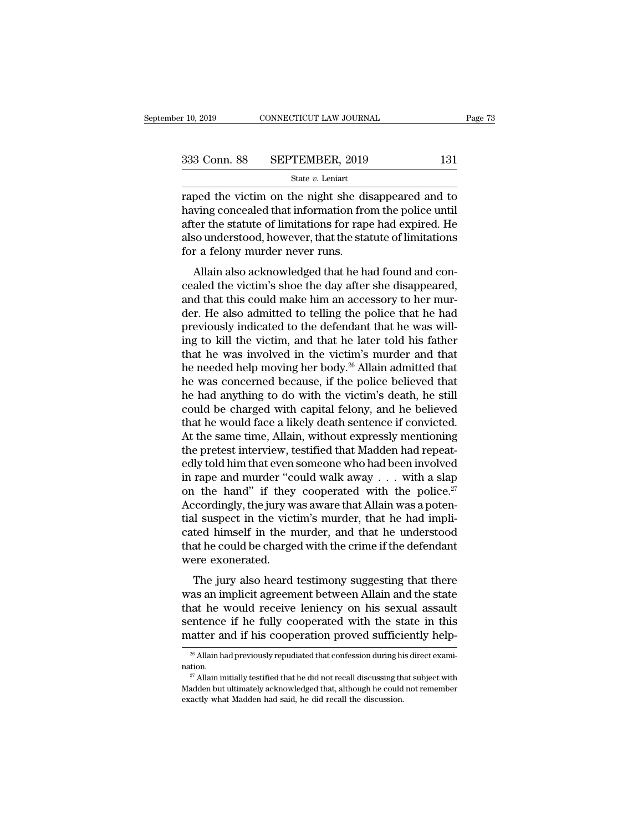raped the victim on the night she disappeared and to<br>
raped the victim on the night she disappeared and to<br>
raped the victim on the night she disappeared and to<br>
raped the victim on the night she disappeared and to<br>
raped  $\begin{array}{r} \text{333} \text{ Conn. } \text{88} \qquad \text{SEPTEMBER, } \text{2019} \qquad \qquad \text{131} \\ \text{State } v. \text{ Leniat} \end{array}$  raped the victim on the night she disappeared and to having concealed that information from the police until after the statute of limitation 333 Conn. 88 SEPTEMBER, 2019 131<br>
State v. Leniart<br>
Traped the victim on the night she disappeared and to<br>
having concealed that information from the police until<br>
after the statute of limitations for rape had expired. He 333 Conn. 88 SEPTEMBER, 2019 131<br>
state  $v$ . Leniart<br>
raped the victim on the night she disappeared and to<br>
having concealed that information from the police until<br>
after the statute of limitations for rape had expired. H  $\begin{array}{r}\n\hline\n\text{State } v. \text{ Leniat} \\
\hline\n\text{State } v. \text{Leniat} \\
\hline\n\text{rapped the victim on the night she did\nhaving concealed that information fro\nafter the statue of limitations for rap\nalso understood, however, that the sta\nfor a fellow murder never runs.\n\nAllain also acknowledged that he\n$ ped the victim on the night she disappeared and to<br>ving concealed that information from the police until<br>ter the statute of limitations for rape had expired. He<br>so understood, however, that the statute of limitations<br>r a f raped the victim of the fight she disappeared and to<br>having concealed that information from the police until<br>after the statute of limitations for rape had expired. He<br>also understood, however, that the statute of limitatio

raving conceated that his infinition from the poice that<br>after the statute of limitations for rape had expired. He<br>also understood, however, that the statute of limitations<br>for a felony murder never runs.<br>Allain also ackno ance are statute of initiations for rape nad expredict. He<br>also understood, however, that the statute of limitations<br>for a felony murder never runs.<br>Allain also acknowledged that he had found and con-<br>cealed the victim's s also diderstood, however, and the statute of initiations<br>for a felony murder never runs.<br>Allain also acknowledged that he had found and con-<br>cealed the victim's shoe the day after she disappeared,<br>and that this could make Allain also acknowledged that he had found and concealed the victim's shoe the day after she disappeared, and that this could make him an accessory to her murder. He also admitted to telling the police that he had previou Allain also acknowledged that he had found and concealed the victim's shoe the day after she disappeared, and that this could make him an accessory to her murder. He also admitted to telling the police that he had previou cealed the victim's shoe the day after she disappeared,<br>and that this could make him an accessory to her mur-<br>der. He also admitted to telling the police that he had<br>previously indicated to the defendant that he was willand that this could make him an accessory to her murder. He also admitted to telling the police that he had previously indicated to the defendant that he was willing to kill the victim, and that he later told his father t der. He also admitted to telling the police that he had<br>previously indicated to the defendant that he was will-<br>ing to kill the victim, and that he later told his father<br>that he was involved in the victim's murder and that previously indicated to the defendant that he was will-<br>ing to kill the victim, and that he later told his father<br>that he was involved in the victim's murder and that<br>he needed help moving her body.<sup>26</sup> Allain admitted tha ing to kill the victim, and that he later told his father<br>that he was involved in the victim's murder and that<br>he needed help moving her body.<sup>26</sup> Allain admitted that<br>he was concerned because, if the police believed that<br> that he was involved in the victim's murder and that<br>he needed help moving her body.<sup>26</sup> Allain admitted that<br>he was concerned because, if the police believed that<br>he had anything to do with the victim's death, he still<br>co he needed help moving her body.<sup>26</sup> Allain admitted that<br>he was concerned because, if the police believed that<br>he had anything to do with the victim's death, he still<br>could be charged with capital felony, and he believed<br>t he was concerned because, if the police believed that<br>he had anything to do with the victim's death, he still<br>could be charged with capital felony, and he believed<br>that he would face a likely death sentence if convicted.<br> he had anything to do with the victim's death, he still<br>could be charged with capital felony, and he believed<br>that he would face a likely death sentence if convicted.<br>At the same time, Allain, without expressly mentioning could be charged with capital felony, and he believed<br>that he would face a likely death sentence if convicted.<br>At the same time, Allain, without expressly mentioning<br>the pretest interview, testified that Madden had repeat that he would face a likely death sentence if convicted.<br>At the same time, Allain, without expressly mentioning<br>the pretest interview, testified that Madden had repeat-<br>edly told him that even someone who had been involve At the same time, Allain, without expressly mentioning<br>the pretest interview, testified that Madden had repeat-<br>edly told him that even someone who had been involved<br>in rape and murder "could walk away  $\dots$  with a slap<br>on the pretest interview, testified that Madden had repeatedly told him that even someone who had been involved<br>in rape and murder "could walk away  $\ldots$  with a slap<br>on the hand" if they cooperated with the police.<sup>27</sup><br>Accor edly told him that even someone who had been involved<br>in rape and murder "could walk away . . . with a slap<br>on the hand" if they cooperated with the police.<sup>27</sup><br>Accordingly, the jury was aware that Allain was a poten-<br>tia in rape and murder "con<br>on the hand" if they<br>Accordingly, the jury w<br>tial suspect in the vict<br>cated himself in the n<br>that he could be charge<br>were exonerated.<br>The jury also heard The final of any cooperated with the police.<br>
Cordingly, the jury was aware that Allain was a poten-<br>
also himself in the murder, and that he understood<br>
at he could be charged with the crime if the defendant<br>
The jury als recordingry, are jury was aware that rinam was a potential suspect in the victim's murder, that he had implicated himself in the murder, and that he understood that he could be charged with the crime if the defendant were

that subject in the vient is matter, that he had informated himself in the murder, and that he understood that he could be charged with the crime if the defendant were exonerated.<br>The jury also heard testimony suggesting t eated minsel in the martier, and that he dinastistood<br>that he could be charged with the crime if the defendant<br>were exonerated.<br>The jury also heard testimony suggesting that there<br>was an implicit agreement between Allain a mat he codd be enlarged what are errice if the determinant<br>were exonerated.<br>The jury also heard testimony suggesting that there<br>was an implicit agreement between Allain and the state<br>that he would receive leniency on his s as an implicit agreement between Allain and the state<br>aat he would receive leniency on his sexual assault<br>entence if he fully cooperated with the state in this<br>atter and if his cooperation proved sufficiently help-<br> $\frac{26}{$ entence if he fully cooperated with the state in this atter and if his cooperation proved sufficiently help-<br><sup>28</sup> Allain had previously repudiated that confession during his direct examition.<br><sup>27</sup> Allain initially testifi

nation.

matter and if his cooperation proved sufficiently help-<br>  $\frac{26}{5}$  Allain had previously repudiated that confession during his direct exami-<br>
antion.<br>  $\frac{27}{5}$  Allain initially testified that he did not recall discussi <sup>26</sup> Allain had previously repudiated that confession during his direct examination.<br><sup>27</sup> Allain initially testified that he did not recall discussing that subject with Madden but ultimately acknowledged that, although he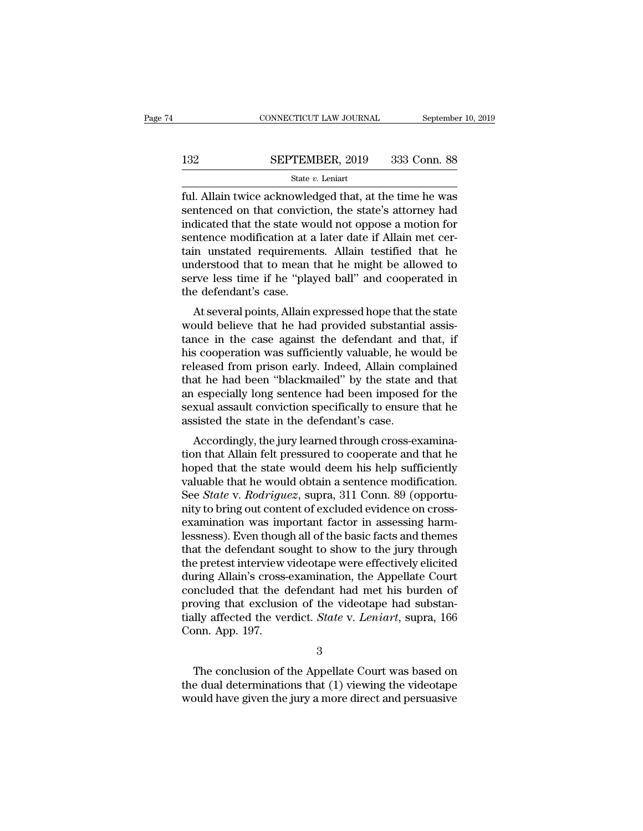# $\begin{tabular}{lll} \multicolumn{2}{l} \multicolumn{2}{l}{{\small\bf CONNECTICUT LAW JOURNAL}} & \multicolumn{2}{l}{September 10, 2019} \\ \multicolumn{2}{l}{\textbf{132}} & \multicolumn{2}{l}{\bf SEPTEMBER, 2019} & 333 & \textbf{Conn. 88} \\ & \multicolumn{2}{l}{\textbf{State $v$. Leniart}} & \multicolumn{2}{l}{\textbf{133}} & \multicolumn{2}{l}{\textbf{134}} & \multicolumn{2}{l}{\textbf{135}} \\ \multicolumn{2}{l}{\textbf{136}} & \multicolumn$

### State *v.* Leniart

FULL AN JOURNAL SEPTEMBER, 2019<br>
SEPTEMBER, 2019 333 Conn. 88<br>
State v. Leniart<br>
ful. Allain twice acknowledged that, at the time he was<br>
sentenced on that conviction, the state's attorney had<br>
indicated that the state wo SEPTEMBER, 2019 333 Conn. 88<br>
State v. Leniart<br>
ful. Allain twice acknowledged that, at the time he was<br>
sentenced on that conviction, the state's attorney had<br>
indicated that the state would not oppose a motion for<br>
sent **indicate 1** SEPTEMBER, 2019 333 Conn. 88<br> **EXECUTEMBER, 2019** 333 Conn. 88<br> **EXECUTEMBER, 2019** 333 Conn. 88<br> **EXECUTEMBER, 2019** 333 Conn. 88<br> **EXECUTEMBER, 2019** 333 Conn. 88<br> **EXECUTEMBER, 2019** 4 Connection for sente SEPTEMBER, 2019 333 Conn. 88<br>  $\frac{\text{State } v. \text{ Leniart}}{\text{full. Allain twice acknowledged that, at the time he was  
sentenced on that conviction, the state's attempt had  
indicated that the state would not oppose a motion for  
sentence modification at a later date if Allahin met cer-  
tain unstated requirements. Allain testified that he  
understood that to mean that be might be allowed to$ State *v*. Leniart<br>
ful. Allain twice acknowledged that, at the time he was<br>
sentenced on that conviction, the state's attorney had<br>
indicated that the state would not oppose a motion for<br>
sentence modification at a later state  $v$ . Lemart<br>
ful. Allain twice acknowledged that, at the time he was<br>
sentenced on that conviction, the state's attorney had<br>
indicated that the state would not oppose a motion for<br>
sentence modification at a later ful. Allain twice acknowledged that, at the time he was<br>sentenced on that conviction, the state's attorney had<br>indicated that the state would not oppose a motion for<br>sentence modification at a later date if Allain met cersentenced on that convict<br>indicated that the state wo<br>sentence modification at a<br>tain unstated requiremen<br>understood that to mean<br>serve less time if he "play<br>the defendant's case.<br>At several points, Allain Included that the state would not oppose a motion for<br>
intence modification at a later date if Allain met cer-<br>
in unstated requirements. Allain testified that he<br>
iderstood that to mean that he might be allowed to<br>
rve le Sentence inouncation at a fater date if Affain inter certain unstated requirements. Allain testified that he understood that to mean that he might be allowed to serve less time if he "played ball" and cooperated in the def

Eurie is the defendant of that is understood that to mean that he might be allowed to serve less time if he "played ball" and cooperated in the defendant's case.<br>At several points, Allain expressed hope that the state woul maerstood that to hiealt that he hight be anowed to<br>serve less time if he "played ball" and cooperated in<br>the defendant's case.<br>At several points, Allain expressed hope that the state<br>would believe that he had provided sub serve less time if the played ban and cooperated in<br>the defendant's case.<br>At several points, Allain expressed hope that the state<br>would believe that he had provided substantial assis-<br>tance in the case against the defendan Intertuant Scase.<br>
At several points, Allain expressed hope that the state<br>
would believe that he had provided substantial assis-<br>
tance in the case against the defendant and that, if<br>
his cooperation was sufficiently valu At several points, Allain expressed hope that the state<br>would believe that he had provided substantial assis-<br>tance in the case against the defendant and that, if<br>his cooperation was sufficiently valuable, he would be<br>rele would believe that he had provided substantial assistance in the case against the defendant and that, if his cooperation was sufficiently valuable, he would be released from prison early. Indeed, Allain complained that he tance in the case against the defendant and<br>his cooperation was sufficiently valuable, he w<br>released from prison early. Indeed, Allain com<br>that he had been "blackmailed" by the state a<br>an especially long sentence had been Example and the state would doom his below that the state and that especially long sentence had been imposed for the state and that especially long sentence had been imposed for the state assault conviction specifically to released from prison early. Indeed, Allain complained<br>that he had been "blackmailed" by the state and that<br>an especially long sentence had been imposed for the<br>sexual assault conviction specifically to ensure that he<br>assis

had the had been blackmalled by the state and that<br>an especially long sentence had been imposed for the<br>sexual assault conviction specifically to ensure that he<br>assisted the state in the defendant's case.<br>Accordingly, the an especially long sentence had been imposed for the<br>sexual assault conviction specifically to ensure that he<br>assisted the state in the defendant's case.<br>Accordingly, the jury learned through cross-examina-<br>tion that Allai Sexual assault conviction specifically to ensure that he<br>assisted the state in the defendant's case.<br>Accordingly, the jury learned through cross-examina-<br>tion that Allain felt pressured to cooperate and that he<br>hoped that assisted the state in the defendant's case.<br>Accordingly, the jury learned through cross-examination that Allain felt pressured to cooperate and that he<br>hoped that the state would deem his help sufficiently<br>valuable that he Accordingly, the jury learned through cross-examination that Allain felt pressured to cooperate and that he hoped that the state would deem his help sufficiently valuable that he would obtain a sentence modification. See tion that Allain felt pressured to cooperate and that he<br>hoped that the state would deem his help sufficiently<br>valuable that he would obtain a sentence modification.<br>See *State* v. *Rodriguez*, supra, 311 Conn. 89 (opportu hoped that the state would deem his help sufficiently<br>valuable that he would obtain a sentence modification.<br>See *State* v. *Rodriguez*, supra, 311 Conn. 89 (opportu-<br>nity to bring out content of excluded evidence on cross valuable that he would obtain a sentence modification.<br>See *State* v. *Rodriguez*, supra, 311 Conn. 89 (opportunity to bring out content of excluded evidence on cross-<br>examination was important factor in assessing harm-<br>le See *State* v. *Rodriguez*, supra, 311 Conn. 89 (opportunity to bring out content of excluded evidence on cross-examination was important factor in assessing harm-lessness). Even though all of the basic facts and themes th nity to bring out content of excluded evidence on cross-<br>examination was important factor in assessing harm-<br>lessness). Even though all of the basic facts and themes<br>that the defendant sought to show to the jury through<br>th examination was important factor in assessing harm-<br>lessness). Even though all of the basic facts and themes<br>that the defendant sought to show to the jury through<br>the pretest interview videotape were effectively elicited<br>d lessness). Even though all of the basic facts and themes<br>that the defendant sought to show to the jury through<br>the pretest interview videotape were effectively elicited<br>during Allain's cross-examination, the Appellate Cour that the defendant sc<br>the pretest interview<br>during Allain's cross-<br>concluded that the c<br>proving that exclusio<br>tially affected the ver<br>Conn. App. 197. ncluded that the defendant had met his burden of<br>oving that exclusion of the videotape had substan-<br>lly affected the verdict. *State* v. Leniart, supra, 166<br>pnn. App. 197.<br>3<br>The conclusion of the Appellate Court was based proving that exclusion of the videotape had substantially affected the verdict. *State* v. *Leniart*, supra, 166<br>Conn. App. 197.<br>3<br>The conclusion of the Appellate Court was based on<br>the dual determinations that (1) viewing

3

tially affected the verdict. *State* v. *Leniart*, supra, 166<br>Conn. App. 197.<br>3<br>The conclusion of the Appellate Court was based on<br>the dual determinations that (1) viewing the videotape<br>would have given the jury a more dir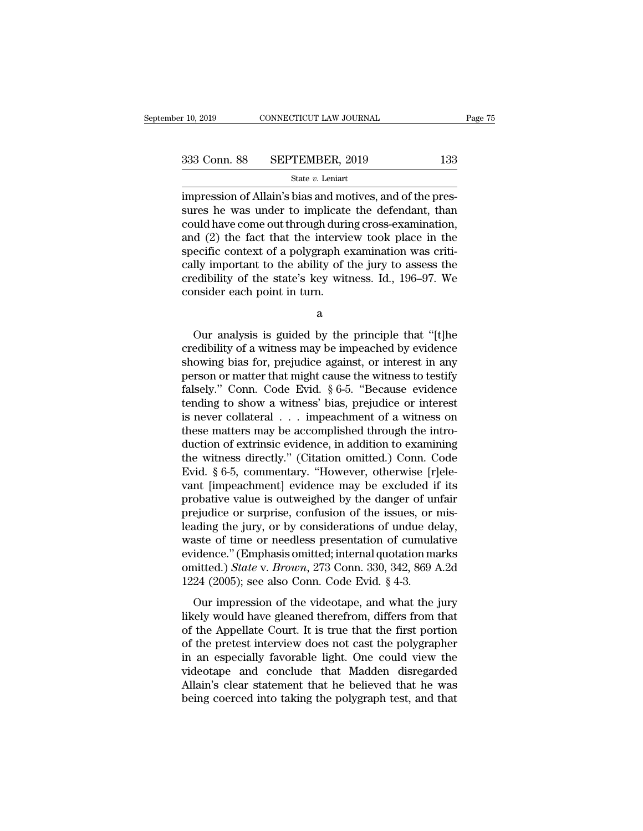$\frac{10,2019}{133}$  CONNECTICUT LAW JOURNAL<br>333 Conn. 88 SEPTEMBER, 2019 133<br> $\frac{133}{133}$  State v. Leniart<br>impression of Allain's bias and motives, and of the pres-<br>sures he was under to implicate the defendant, than 333 Conn. 88 SEPTEMBER, 2019 133<br>
State v. Leniart<br>
impression of Allain's bias and motives, and of the pressures he was under to implicate the defendant, than<br>
could have come out through during cross-examination,<br>
and ( 333 Conn. 88 SEPTEMBER, 2019 133<br>
State v. Leniart<br>
impression of Allain's bias and motives, and of the pressures he was under to implicate the defendant, than<br>
could have come out through during cross-examination,<br>
and ( 333 Conn. 88 SEPTEMBER, 2019 133<br>
state v. Leniart<br>
impression of Allain's bias and motives, and of the pressures he was under to implicate the defendant, than<br>
could have come out through during cross-examination,<br>
and ( State v. Leniart<br>
State v. Leniart<br>
impression of Allain's bias and motives, and of the pres-<br>
sures he was under to implicate the defendant, than<br>
could have come out through during cross-examination,<br>
and (2) the fact t state v. Lenart<br>impression of Allain's bias and motives, and of the pres-<br>sures he was under to implicate the defendant, than<br>could have come out through during cross-examination,<br>and (2) the fact that the interview took p impression of Allain's bias and motives, and of the pressures he was under to implicate the defendant, than could have come out through during cross-examination, and (2) the fact that the interview took place in the specif sures he was under to implicate<br>could have come out through durin<br>and (2) the fact that the intervie<br>specific context of a polygraph e<br>cally important to the ability of t<br>credibility of the state's key wit<br>consider each po ecific context of a polygraph examination was criti-<br>lly important to the ability of the jury to assess the<br>edibility of the state's key witness. Id., 196–97. We<br>msider each point in turn.<br>a<br>Our analysis is guided by the p

a

cally important to the ability of the jury to assess the<br>credibility of the state's key witness. Id., 196–97. We<br>consider each point in turn.<br>a<br> $\alpha$ <br>Our analysis is guided by the principle that "[t]he<br>credibility of a witn credibility of the state's key witness. Id., 196–97. We<br>consider each point in turn.<br>a<br> $\alpha$ <br>Our analysis is guided by the principle that "[t]he<br>credibility of a witness may be impeached by evidence<br>showing bias for, prejud consider each point in turn.<br>
a<br>  $\alpha$ <br>
Our analysis is guided by the principle that "[t]he<br>
credibility of a witness may be impeached by evidence<br>
showing bias for, prejudice against, or interest in any<br>
person or matter a<br>
false of a witness may be impeached by evidence<br>
showing bias for, prejudice against, or interest in any<br>
person or matter that might cause the witness to testify<br>
falsely." Conn. Code Evid. § 6-5. "Because evidence<br>
te Our analysis is guided by the principle that "[t]he credibility of a witness may be impeached by evidence showing bias for, prejudice against, or interest in any person or matter that might cause the witness to testify fa Our analysis is guided by the principle that "[t]he<br>credibility of a witness may be impeached by evidence<br>showing bias for, prejudice against, or interest in any<br>person or matter that might cause the witness to testify<br>fa credibility of a witness may be impeached by evidence<br>showing bias for, prejudice against, or interest in any<br>person or matter that might cause the witness to testify<br>falsely." Conn. Code Evid. § 6-5. "Because evidence<br>te showing bias for, prejudice against, or interest in any<br>person or matter that might cause the witness to testify<br>falsely." Conn. Code Evid.  $\S 6-5$ . "Because evidence<br>tending to show a witness' bias, prejudice or interest person or matter that might cause the witness to testify<br>falsely." Conn. Code Evid. § 6-5. "Because evidence<br>tending to show a witness' bias, prejudice or interest<br>is never collateral . . . impeachment of a witness on<br>thes falsely." Conn. Code Evid. § 6-5. "Because evidence<br>tending to show a witness' bias, prejudice or interest<br>is never collateral  $\ldots$  impeachment of a witness on<br>these matters may be accomplished through the intro-<br>duction tending to show a witness' bias, prejudice or interest<br>is never collateral  $\ldots$  impeachment of a witness on<br>these matters may be accomplished through the intro-<br>duction of extrinsic evidence, in addition to examining<br>the is never collateral  $\ldots$  impeachment of a witness on<br>these matters may be accomplished through the intro-<br>duction of extrinsic evidence, in addition to examining<br>the witness directly." (Citation omitted.) Conn. Code<br>Evid these matters may be accomplished through the intro-<br>duction of extrinsic evidence, in addition to examining<br>the witness directly." (Citation omitted.) Conn. Code<br>Evid. § 6-5, commentary. "However, otherwise [r]ele-<br>vant [ duction of extrinsic evidence, in addition to examining<br>the witness directly." (Citation omitted.) Conn. Code<br>Evid. § 6-5, commentary. "However, otherwise [r]ele-<br>vant [impeachment] evidence may be excluded if its<br>probativ the witness directly." (Citation omitted.) Conn. Code<br>Evid. § 6-5, commentary. "However, otherwise [r]ele-<br>vant [impeachment] evidence may be excluded if its<br>probative value is outweighed by the danger of unfair<br>prejudice Evid. § 6-5, commentary. "However, otherwise [r]ele-<br>vant [impeachment] evidence may be excluded if its<br>probative value is outweighed by the danger of unfair<br>prejudice or surprise, confusion of the issues, or mis-<br>leading vant [impeachment] evidence may be excluded if its<br>probative value is outweighed by the danger of unfair<br>prejudice or surprise, confusion of the issues, or mis-<br>leading the jury, or by considerations of undue delay,<br>waste probative value is outweighed by the danger of ur<br>prejudice or surprise, confusion of the issues, or leading the jury, or by considerations of undue de<br>waste of time or needless presentation of cumula<br>evidence." (Emphasis diative of surprise, conducted of the assacs, of this<br>ading the jury, or by considerations of undue delay,<br>sate of time or needless presentation of cumulative<br>idence." (Emphasis omitted; internal quotation marks<br>nitted.) likely would have gleaned therefrom, differs from that<br>of the Applesian of the glued thermal quotation marks<br>omitted.) State v. Brown, 273 Conn. 330, 342, 869 A.2d<br>1224 (2005); see also Conn. Code Evid. § 4-3.<br>Our impress

waste of all of recents presentation of calindary<br>evidence." (Emphasis omitted, internal quotation marks<br>omitted.) *State v. Brown*, 273 Conn. 330, 342, 869 A.2d<br>1224 (2005); see also Conn. Code Evid. § 4-3.<br>Our impressio omitted.) *State v. Brown*, 273 Conn. 330, 342, 869 A.2d<br>1224 (2005); see also Conn. Code Evid. § 4-3.<br>Our impression of the videotape, and what the jury<br>likely would have gleaned therefrom, differs from that<br>of the Appel 1224 (2005); see also Conn. Code Evid.  $\S$  4-3.<br>
Our impression of the videotape, and what the jury<br>
likely would have gleaned therefrom, differs from that<br>
of the Appellate Court. It is true that the first portion<br>
of th FILT (2000), see also commended that  $\frac{1}{2}$  is  $\frac{1}{2}$ .<br>Our impression of the videotape, and what the jury<br>likely would have gleaned therefrom, differs from that<br>of the Appellate Court. It is true that the first port Our impression of the videotape, and what the jury<br>likely would have gleaned therefrom, differs from that<br>of the Appellate Court. It is true that the first portion<br>of the pretest interview does not cast the polygrapher<br>in likely would have gleaned therefrom, differs from that<br>of the Appellate Court. It is true that the first portion<br>of the pretest interview does not cast the polygrapher<br>in an especially favorable light. One could view the<br>v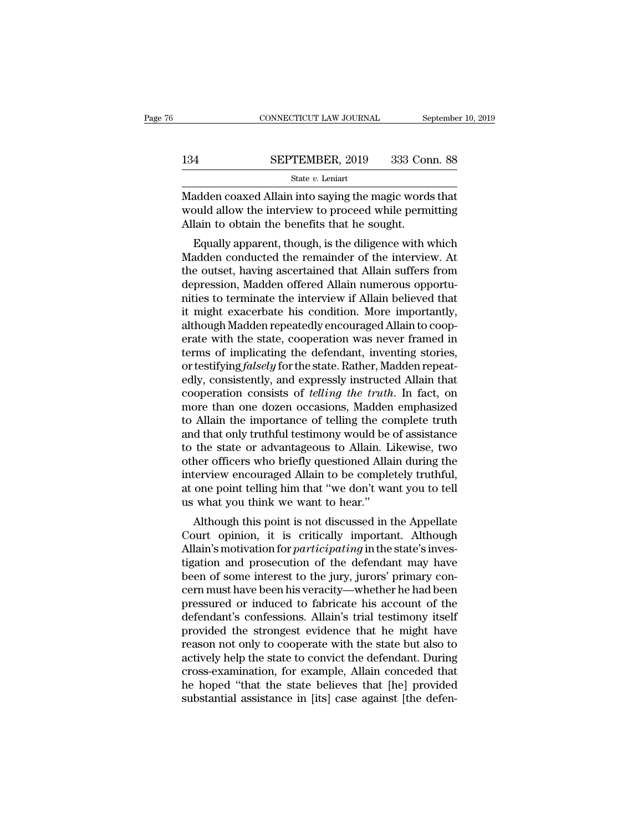# CONNECTICUT LAW JOURNAL September 10, 2019<br>134 SEPTEMBER, 2019 333 Conn. 88<br>5tate v. Leniart

State *v.* Leniart

CONNECTICUT LAW JOURNAL September 10, 2019<br>
SEPTEMBER, 2019 333 Conn. 88<br>
State v. Leniart<br>
Madden coaxed Allain into saying the magic words that<br>
would allow the interview to proceed while permitting<br>
Allain to obtain the SEPTEMBER, 2019 333 Conn. 88<br>
State v. Leniart<br>
Madden coaxed Allain into saying the magic words that<br>
would allow the interview to proceed while permitting<br>
Allain to obtain the benefits that he sought.  $\begin{tabular}{ll} \bf 134 & SEPTEMBER, 2019 & 333 Cor  
\n & \bf 5tate $v$. Leniart  
\nMadden coaxed Allah in into saying the magic word:  
\nwould allow the interview to proceed while perm  
\nAllain to obtain the benefits that he sought.  
\nEqually apparent, though, is the difference with v\n\end{tabular}$ EPTEMBER, 2019 333 Conn. 88<br>
State v. Leniart<br>
adden coaxed Allain into saying the magic words that<br>
build allow the interview to proceed while permitting<br>
lain to obtain the benefits that he sought.<br>
Equally apparent, th

State  $v$ . Leniart<br>
Madden coaxed Allain into saying the magic words that<br>
would allow the interview to proceed while permitting<br>
Allain to obtain the benefits that he sought.<br>
Equally apparent, though, is the diligence w Madden coaxed Allain into saying the magic words that<br>would allow the interview to proceed while permitting<br>Allain to obtain the benefits that he sought.<br>Equally apparent, though, is the diligence with which<br>Madden conduct madden coaxed Allain into saying the hiagle words that<br>would allow the interview to proceed while permitting<br>Allain to obtain the benefits that he sought.<br>Equally apparent, though, is the diligence with which<br>Madden conduc Madian to obtain the benefits that he sought.<br>
Equally apparent, though, is the diligence with which<br>
Madden conducted the remainder of the interview. At<br>
the outset, having ascertained that Allain suffers from<br>
depression Finally apparent, though, is the diligence with which<br>Madden conducted the remainder of the interview. At<br>the outset, having ascertained that Allain suffers from<br>depression, Madden offered Allain numerous opportu-<br>nities t Equally apparent, though, is the diligence with which<br>Madden conducted the remainder of the interview. At<br>the outset, having ascertained that Allain suffers from<br>depression, Madden offered Allain numerous opportu-<br>nities t Madden conducted the remainder of the interview. At<br>the outset, having ascertained that Allain suffers from<br>depression, Madden offered Allain numerous opportu-<br>nities to terminate the interview if Allain believed that<br>it m the outset, having ascertained that Allain suffers from<br>depression, Madden offered Allain numerous opportu-<br>nities to terminate the interview if Allain believed that<br>it might exacerbate his condition. More importantly,<br>alt depression, Madden offered Allain numerous opportunities to terminate the interview if Allain believed that<br>it might exacerbate his condition. More importantly,<br>although Madden repeatedly encouraged Allain to coop-<br>erate w mities to terminate the interview if Allain believed that<br>it might exacerbate his condition. More importantly,<br>although Madden repeatedly encouraged Allain to coop-<br>erate with the state, cooperation was never framed in<br>ter it might exacerbate his condition. More importantly,<br>although Madden repeatedly encouraged Allain to coop-<br>erate with the state, cooperation was never framed in<br>terms of implicating the defendant, inventing stories,<br>or tes although Madden repeatedly encouraged Allain to cooperate with the state, cooperation was never framed in<br>terms of implicating the defendant, inventing stories,<br>or testifying *falsely* for the state. Rather, Madden repeaterate with the state, cooperation was never framed in<br>terms of implicating the defendant, inventing stories,<br>or testifying *falsely* for the state. Rather, Madden repeat-<br>edly, consistently, and expressly instructed Allain terms of implicating the defendant, inventing stories,<br>or testifying *falsely* for the state. Rather, Madden repeat-<br>edly, consistently, and expressly instructed Allain that<br>cooperation consists of *telling the truth*. In or testifying *falsely* for the state. Rather, Madden repeatedly, consistently, and expressly instructed Allain that cooperation consists of *telling the truth*. In fact, on more than one dozen occasions, Madden emphasized edly, consistently, and expressly instructed Allain that<br>cooperation consists of *telling the truth*. In fact, on<br>more than one dozen occasions, Madden emphasized<br>to Allain the importance of telling the complete truth<br>and cooperation consists of *telling the truth*. In fact, on<br>more than one dozen occasions, Madden emphasized<br>to Allain the importance of telling the complete truth<br>and that only truthful testimony would be of assistance<br>to th more than one dozen occasions, Madden emphasized<br>to Allain the importance of telling the complete truth<br>and that only truthful testimony would be of assistance<br>to the state or advantageous to Allain. Likewise, two<br>other of to Allain the importance of telling the co<br>and that only truthful testimony would be<br>to the state or advantageous to Allain. L<br>other officers who briefly questioned Alla<br>interview encouraged Allain to be comple<br>at one poin a that only truthul testificity would be of assistance<br>the state or advantageous to Allain. Likewise, two<br>her officers who briefly questioned Allain during the<br>terview encouraged Allain to be completely truthful,<br>one point to the state of advantageous to Anani. Likewise, two<br>other officers who briefly questioned Allain during the<br>interview encouraged Allain to be completely truthful,<br>at one point telling him that "we don't want you to tell<br>u

buter officers who briefly questioned Allain during the<br>interview encouraged Allain to be completely truthful,<br>at one point telling him that "we don't want you to tell<br>us what you think we want to hear."<br>Although this poin Interview encouraged Analit to be completely truthful,<br>at one point telling him that "we don't want you to tell<br>us what you think we want to hear."<br>Although this point is not discussed in the Appellate<br>Court opinion, it is at one point tening initiant we don't want you to ten<br>us what you think we want to hear."<br>Although this point is not discussed in the Appellate<br>Court opinion, it is critically important. Although<br>Allain's motivation for *p* designative must have been his point is not discussed in the Appellate<br>Court opinion, it is critically important. Although<br>Allain's motivation for *participating* in the state's inves-<br>tigation and prosecution of the defen Although this point is not discussed in the Appellate<br>Court opinion, it is critically important. Although<br>Allain's motivation for *participating* in the state's inves-<br>tigation and prosecution of the defendant may have<br>bee Court opinion, it is critically important. Although<br>Allain's motivation for *participating* in the state's inves-<br>tigation and prosecution of the defendant may have<br>been of some interest to the jury, jurors' primary con-<br>c Allain's motivation for *participating* in the state's investigation and prosecution of the defendant may have been of some interest to the jury, jurors' primary concern must have been his veracity—whether he had been pres tigation and prosecution of the defendant may have<br>been of some interest to the jury, jurors' primary con-<br>cern must have been his veracity—whether he had been<br>pressured or induced to fabricate his account of the<br>defendant been of some interest to the jury, jurors' primary concern must have been his veracity—whether he had been<br>pressured or induced to fabricate his account of the<br>defendant's confessions. Allain's trial testimony itself<br>provi cern must have been his veracity—whether he had been<br>pressured or induced to fabricate his account of the<br>defendant's confessions. Allain's trial testimony itself<br>provided the strongest evidence that he might have<br>reason n pressured or induced to fabricate his account of the<br>defendant's confessions. Allain's trial testimony itself<br>provided the strongest evidence that he might have<br>reason not only to cooperate with the state but also to<br>activ defendant's confessions. Allain's trial testimony itself<br>provided the strongest evidence that he might have<br>reason not only to cooperate with the state but also to<br>actively help the state to convict the defendant. During<br>c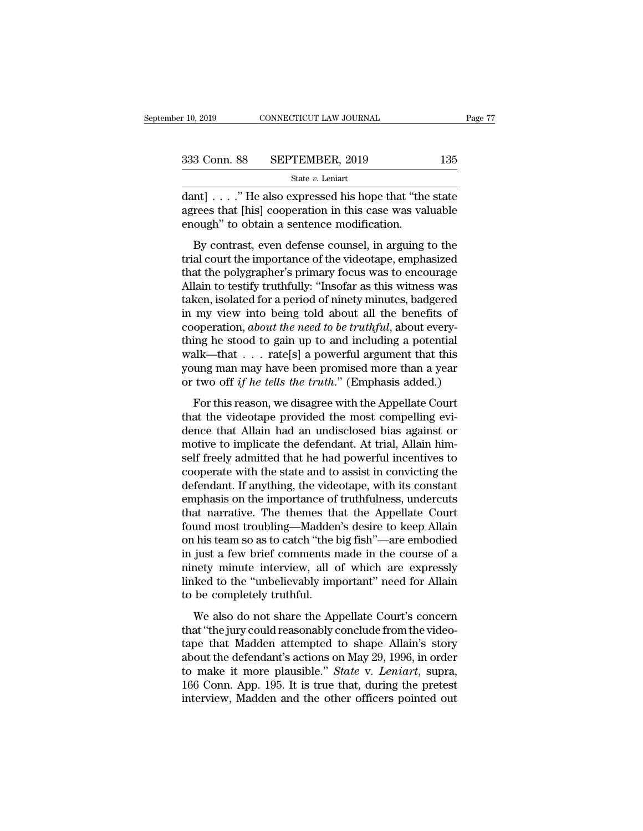| r 10, 2019   | CONNECTICUT LAW JOURNAL | Page 77 |  |
|--------------|-------------------------|---------|--|
| 333 Conn. 88 | SEPTEMBER, 2019         | 135     |  |
|              | State $v$ . Leniart     |         |  |

 $\begin{array}{ll}\n \text{A} & \text{A} & \text{B} \\
 \hline\n \text{B} & \text{B} & \text{B} \\
 \hline\n \text{B} & \text{B} & \text{B} \\
 \hline\n \text{B} & \text{B} & \text{B} \\
 \hline\n \text{B} & \text{B} & \text{B} \\
 \text{B} & \text{B} & \text{B} & \text{B} \\
 \text{B} & \text{B} & \text{B} & \text{B} \\
 \text{C} & \text{D} & \text{B} & \text{C} \\
 \text{D} & \text{D} & \text{D} & \text{D} \\
 \text{E} & \text{E$ 333 Conn. 88 SEPTEMBER, 2019 135<br>
State v. Leniart<br>
dant] . . . . "He also expressed his hope that "the state<br>
agrees that [his] cooperation in this case was valuable<br>
enough" to obtain a sentence modification. 333 Conn. 88 SEPTEMBER, 2019<br>
State v. Leniart<br>
dant] . . . . " He also expressed his hope that "the<br>
agrees that [his] cooperation in this case was val<br>
enough" to obtain a sentence modification.<br>
By contrast, even defen  $B$  Conn. 88 SEPTEMBER, 2019 135<br>
State v. Leniart<br>
Int] . . . . "He also expressed his hope that "the state<br>
rees that [his] cooperation in this case was valuable<br>
ough" to obtain a sentence modification.<br>
By contrast, e

State *v*. Leniart<br>
dant] . . . . " He also expressed his hope that "the state<br>
agrees that [his] cooperation in this case was valuable<br>
enough" to obtain a sentence modification.<br>
By contrast, even defense counsel, in ar dant]  $\ldots$  ." He also expressed his hope that "the state agrees that [his] cooperation in this case was valuable enough" to obtain a sentence modification.<br>By contrast, even defense counsel, in arguing to the trial court dance it is the discontinuity of the same agrees that [his] cooperation in this case was valuable enough" to obtain a sentence modification.<br>By contrast, even defense counsel, in arguing to the trial court the importance take the properties and properties and properties in a sentence modification.<br>By contrast, even defense counsel, in arguing to the trial court the importance of the videotape, emphasized<br>that the polygrapher's primary focu By contrast, even defense counsel, in arguing to the<br>trial court the importance of the videotape, emphasized<br>that the polygrapher's primary focus was to encourage<br>Allain to testify truthfully: "Insofar as this witness was<br> By contrast, even defense counsel, in arguing to the trial court the importance of the videotape, emphasized that the polygrapher's primary focus was to encourage Allain to testify truthfully: "Insofar as this witness was trial court the importance of the videotape, emphasized<br>that the polygrapher's primary focus was to encourage<br>Allain to testify truthfully: "Insofar as this witness was<br>taken, isolated for a period of ninety minutes, badge that the polygrapher's primary focus was to encourage<br>Allain to testify truthfully: "Insofar as this witness was<br>taken, isolated for a period of ninety minutes, badgered<br>in my view into being told about all the benefits o Allain to testify truthfully: "Insofar as this witness was<br>taken, isolated for a period of ninety minutes, badgered<br>in my view into being told about all the benefits of<br>cooperation, *about the need to be truthful*, about taken, isolated for a period of ninety minutes, badgered<br>in my view into being told about all the benefits of<br>cooperation, *about the need to be truthful*, about every-<br>thing he stood to gain up to and including a potenti For this reason, we disagree with the Appellate Court<br>and the mediator of the mediator of the studies of allk—that  $\ldots$  rate[s] a powerful argument that this<br>ung man may have been promised more than a year<br>two off if he thing he stood to gain up to and including a potential<br>walk—that  $\ldots$  rate[s] a powerful argument that this<br>young man may have been promised more than a year<br>or two off if he tells the truth." (Emphasis added.)<br>For this

walk—that  $\ldots$  rate[s] a powerful argument that this young man may have been promised more than a year or two off *if he tells the truth*." (Emphasis added.) For this reason, we disagree with the Appellate Court that the want and  $\cdot \cdot \cdot$  rate [b] a powerial argument and any<br>young man may have been promised more than a year<br>or two off if he tells the truth." (Emphasis added.)<br>For this reason, we disagree with the Appellate Court<br>that the from two off *if he tells the truth.*" (Emphasis added.)<br>For this reason, we disagree with the Appellate Court<br>that the videotape provided the most compelling evi-<br>dence that Allain had an undisclosed bias against or<br>moti For this reason, we disagree with the Appellate Court<br>that the videotape provided the most compelling evi-<br>dence that Allain had an undisclosed bias against or<br>motive to implicate the defendant. At trial, Allain him-<br>self For this reason, we disagree with the Appellate Court<br>that the videotape provided the most compelling evi-<br>dence that Allain had an undisclosed bias against or<br>motive to implicate the defendant. At trial, Allain him-<br>self that the videotape provided the most compelling evidence that Allain had an undisclosed bias against or motive to implicate the defendant. At trial, Allain himself freely admitted that he had powerful incentives to coopera dence that Allain had an undisclosed bias against or<br>motive to implicate the defendant. At trial, Allain him-<br>self freely admitted that he had powerful incentives to<br>cooperate with the state and to assist in convicting the motive to implicate the defendant. At trial, Allain himself freely admitted that he had powerful incentives to cooperate with the state and to assist in convicting the defendant. If anything, the videotape, with its consta self freely admitted that he had powerful incentives to<br>cooperate with the state and to assist in convicting the<br>defendant. If anything, the videotape, with its constant<br>emphasis on the importance of truthfulness, undercut cooperate with the state and to assist in convicting the<br>defendant. If anything, the videotape, with its constant<br>emphasis on the importance of truthfulness, undercuts<br>that narrative. The themes that the Appellate Court<br>fo defendant. If anything, the videotape, with its constant<br>emphasis on the importance of truthfulness, undercuts<br>that narrative. The themes that the Appellate Court<br>found most troubling—Madden's desire to keep Allain<br>on his emphasis on the importance of truthfulness, undercuts<br>that narrative. The themes that the Appellate Court<br>found most troubling—Madden's desire to keep Allain<br>on his team so as to catch "the big fish"—are embodied<br>in just a that narrative. The themes th<br>found most troubling—Madder<br>on his team so as to catch "the l<br>in just a few brief comments r<br>ninety minute interview, all c<br>linked to the "unbelievably im<br>to be completely truthful.<br>We also do This team so as to catch "the big fish"—are embodied<br>just a few brief comments made in the course of a<br>nety minute interview, all of which are expressly<br>ked to the "unbelievably important" need for Allain<br>be completely tru on his ceans of so catch are signal. The chrossined<br>
in just a few brief comments made in the course of a<br>
ninety minute interview, all of which are expressly<br>
linked to the "unbelievably important" need for Allain<br>
to be

the just a few strict continents made in the course of a<br>minety minute interview, all of which are expressly<br>linked to the "unbelievably important" need for Allain<br>to be completely truthful.<br>We also do not share the Appel inked to the "unbelievably important" need for Allain<br>to be completely truthful.<br>We also do not share the Appellate Court's concern<br>that "the jury could reasonably conclude from the video-<br>tape that Madden attempted to sha to be completely truthful.<br>We also do not share the Appellate Court's concern<br>that "the jury could reasonably conclude from the video-<br>tape that Madden attempted to shape Allain's story<br>about the defendant's actions on May We also do not share the Appellate Court's concern<br>that "the jury could reasonably conclude from the video-<br>tape that Madden attempted to shape Allain's story<br>about the defendant's actions on May 29, 1996, in order<br>to make We also do not share the Appellate Court's concern<br>that "the jury could reasonably conclude from the video-<br>tape that Madden attempted to shape Allain's story<br>about the defendant's actions on May 29, 1996, in order<br>to make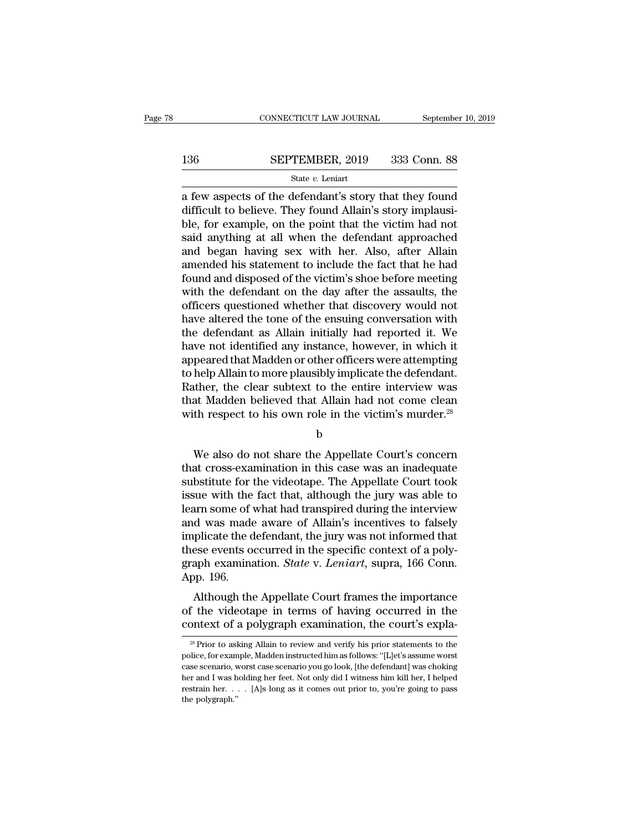# $\begin{tabular}{lll} \multicolumn{2}{l} \multicolumn{2}{l}{{\small\bf CONNECTICUT LAW JOURNAL}} & \multicolumn{2}{l}{September 10, 2019} \\ \multicolumn{2}{l}{\textbf{136}} & \multicolumn{2}{l}{\bf SEPTEMBER, 2019} & 333 & \textbf{Conn. } 88 \\ & \multicolumn{2}{l}{\bf State $v$. Leniart} & \multicolumn{2}{l}{\textbf{138}} & \multicolumn{2}{l}{\textbf{139}} \\ \multicolumn{2}{l}{\textbf{130}} & \multicolumn{2}{l}{\textbf{130}} & \multicolumn{2$

### State *v.* Leniart

CONNECTICUT LAW JOURNAL September 10, 2019<br>  $\begin{array}{r} \text{SEPTEMBER, 2019} \ \text{333 Conn. } \text{88} \ \text{State } v. \text{ Leniart} \ \text{a few aspects of the defendant's story that they found difficult to believe. They found Allain's story implausi-  
ble for example, on the point that the victim had not.$ 136 SEPTEMBER, 2019 333 Conn. 88<br>
State v. Leniart<br>
a few aspects of the defendant's story that they found<br>
difficult to believe. They found Allain's story implausi-<br>
ble, for example, on the point that the victim had not<br> **BLETTEMBER, 2019** 333 Conn. 88<br>
State v. Leniart<br>
a few aspects of the defendant's story that they found<br>
difficult to believe. They found Allain's story implausi-<br>
ble, for example, on the point that the victim had not<br> SEPTEMBER, 2019 333 Conn. 88<br>
state v. Leniart<br>
a few aspects of the defendant's story that they found<br>
difficult to believe. They found Allain's story implausi-<br>
ble, for example, on the point that the victim had not<br>
sa SET TEREST, THE 1898 CORR OF<br>State v. Leniart<br>a few aspects of the defendant's story that they found<br>difficult to believe. They found Allain's story implausi-<br>ble, for example, on the point that the victim had not<br>said an state  $v$ . Lemart<br>
a few aspects of the defendant's story that they found<br>
difficult to believe. They found Allain's story implausi-<br>
ble, for example, on the point that the victim had not<br>
said anything at all when the d a few aspects of the defendant's story that they found<br>difficult to believe. They found Allain's story implausi-<br>ble, for example, on the point that the victim had not<br>said anything at all when the defendant approached<br>and difficult to believe. They found Allain's story implausi-<br>ble, for example, on the point that the victim had not<br>said anything at all when the defendant approached<br>and began having sex with her. Also, after Allain<br>amended ble, for example, on the point that the victim had not<br>said anything at all when the defendant approached<br>and began having sex with her. Also, after Allain<br>amended his statement to include the fact that he had<br>found and di said anything at all when the defendant approached<br>and began having sex with her. Also, after Allain<br>amended his statement to include the fact that he had<br>found and disposed of the victim's shoe before meeting<br>with the def and began having sex with her. Also, after Allain<br>amended his statement to include the fact that he had<br>found and disposed of the victim's shoe before meeting<br>with the defendant on the day after the assaults, the<br>officers amended his statement to include the fact that he had<br>found and disposed of the victim's shoe before meeting<br>with the defendant on the day after the assaults, the<br>officers questioned whether that discovery would not<br>have a found and disposed of the victim's shoe before meeting<br>with the defendant on the day after the assaults, the<br>officers questioned whether that discovery would not<br>have altered the tone of the ensuing conversation with<br>the d with the defendant on the day after the assaults, the officers questioned whether that discovery would not have altered the tone of the ensuing conversation with the defendant as Allain initially had reported it. We have n officers questioned whether that discovery would not<br>have altered the tone of the ensuing conversation with<br>the defendant as Allain initially had reported it. We<br>have not identified any instance, however, in which it<br>appea have altered the tone of the ensuing conversation with<br>the defendant as Allain initially had reported it. We<br>have not identified any instance, however, in which it<br>appeared that Madden or other officers were attempting<br>to the defendant as Allain initially had reported it. We have not identified any instance, however, in which it appeared that Madden or other officers were attempting to help Allain to more plausibly implicate the defendant. help Allain to more plausibly implicate the defendant.<br>
ther, the clear subtext to the entire interview was<br>
at Madden believed that Allain had not come clean<br>
th respect to his own role in the victim's murder.<sup>28</sup><br>
b<br>
We

b

Rather, the clear subtext to the entire interview was<br>that Madden believed that Allain had not come clean<br>with respect to his own role in the victim's murder.<sup>28</sup><br>b<br>We also do not share the Appellate Court's concern<br>that c that Madden believed that Allain had not come clean<br>with respect to his own role in the victim's murder.<sup>28</sup><br>b<br>We also do not share the Appellate Court's concern<br>that cross-examination in this case was an inadequate<br>substi with respect to his own role in the victim's murder.<sup>28</sup><br>b<br>that, also do not share the Appellate Court's concern<br>that cross-examination in this case was an inadequate<br>substitute for the videotape. The Appellate Court took<br> b<br>
We also do not share the Appellate Court's concern<br>
that cross-examination in this case was an inadequate<br>
substitute for the videotape. The Appellate Court took<br>
issue with the fact that, although the jury was able to<br> We also do not share the Appellate Court's concern<br>that cross-examination in this case was an inadequate<br>substitute for the videotape. The Appellate Court took<br>issue with the fact that, although the jury was able to<br>learn We also do not share the Appellate Court's concern<br>that cross-examination in this case was an inadequate<br>substitute for the videotape. The Appellate Court took<br>issue with the fact that, although the jury was able to<br>learn that cross-examination in this case was an inadequate<br>substitute for the videotape. The Appellate Court took<br>issue with the fact that, although the jury was able to<br>learn some of what had transpired during the interview<br>an substitute for the videotape. The Appellate Court took<br>issue with the fact that, although the jury was able to<br>learn some of what had transpired during the interview<br>and was made aware of Allain's incentives to falsely<br>imp issue with the<br>learn some of v<br>and was made<br>implicate the d<br>these events oo<br>graph examina<br>App. 196.<br>Although the Although the Appellate Court frames the importance<br>the video aware of Allain's incentives to falsely<br>plicate the defendant, the jury was not informed that<br>ese events occurred in the specific context of a poly-<br>aph examina and was made aware of Anality incentives to falsely<br>implicate the defendant, the jury was not informed that<br>these events occurred in the specific context of a poly-<br>graph examination. *State v. Leniart*, supra, 166 Conn.<br>A miphcate the detendant, the jury was not informed that<br>these events occurred in the specific context of a poly-<br>graph examination. *State* v. *Leniart*, supra, 166 Conn.<br>App. 196.<br>Although the Appellate Court frames the im

Although the Appellate Court frames the importance<br>
if the videotape in terms of having occurred in the<br>
pontext of a polygraph examination, the court's expla-<br>
<sup>28</sup> Prior to asking Allain to review and verify his prior st Although the Appellate Court frames the importance<br>of the videotape in terms of having occurred in the<br>context of a polygraph examination, the court's expla-<br><sup>28</sup> Prior to asking Allain to review and verify his prior state

of the videotape in terms of having occurred in the<br>context of a polygraph examination, the court's expla-<br><sup>28</sup> Prior to asking Allain to review and verify his prior statements to the<br>police, for example, Madden instructed context of a polygraph examination, the court's expla-<br>
<sup>28</sup> Prior to asking Allain to review and verify his prior statements to the<br>
police, for example, Madden instructed him as follows: "[L]et's assume worst<br>
case scen From the polygraph examination, the Court S expression as a series of the police, for example, Madden instructed him as follows: "[L]et's assume worst case scenario, worst case scenario you go look, [the defendant] was ch <sup>28</sup> Prior to asl<br>police, for exam<br>case scenario, wher and I was h<br>restrain her.<br>the polygraph."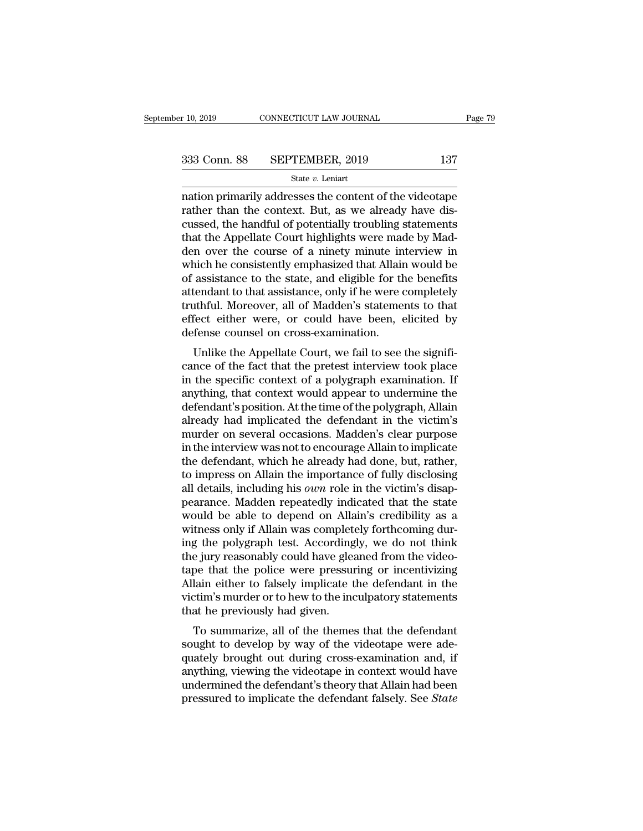$\begin{array}{r|l} \hline \text{r 10, 2019} & \text{CONNECTICUT LAW JOURNAL} & \text{Page 79} \ \hline \end{array}$ <br>
333 Conn. 88 SEPTEMBER, 2019 137<br>  $\hline \text{State } v. \text{ Lenin} \ \hline \end{array}$ <br>
nation primarily addresses the content of the videotape<br>
rather than the context. But, as we alr 333 Conn. 88 SEPTEMBER, 2019 137<br>
State v. Leniart<br>
nation primarily addresses the content of the videotape<br>
rather than the context. But, as we already have dis-<br>
cussed, the handful of potentially troubling statements<br>
t 333 Conn. 88 SEPTEMBER, 2019 137<br>
State v. Leniart<br>
mation primarily addresses the content of the videotape<br>
rather than the context. But, as we already have dis-<br>
cussed, the handful of potentially troubling statements<br> 333 Conn. 88 SEPTEMBER, 2019 137<br>
State v. Leniart<br>
mation primarily addresses the content of the videotape<br>
rather than the context. But, as we already have dis-<br>
cussed, the handful of potentially troubling statements<br> Solution of the videotape<br>state v. Leniart<br>mation primarily addresses the content of the videotape<br>rather than the context. But, as we already have dis-<br>cussed, the handful of potentially troubling statements<br>that the App state  $v$ . Lenart<br>
mation primarily addresses the content of the videotape<br>
rather than the context. But, as we already have dis-<br>
cussed, the handful of potentially troubling statements<br>
that the Appellate Court highligh nation primarily addresses the content of the videotape<br>rather than the context. But, as we already have dis-<br>cussed, the handful of potentially troubling statements<br>that the Appellate Court highlights were made by Mad-<br>de rather than the context. But, as we already have discussed, the handful of potentially troubling statements<br>that the Appellate Court highlights were made by Madden over the course of a ninety minute interview in<br>which he c cussed, the handful of potentially troubling statements<br>that the Appellate Court highlights were made by Mad-<br>den over the course of a ninety minute interview in<br>which he consistently emphasized that Allain would be<br>of ass that the Appellate Court highlights were made by Madden over the course of a ninety minute interview in which he consistently emphasized that Allain would be of assistance to the state, and eligible for the benefits attend den over the course of a ninety minute in<br>which he consistently emphasized that Allair<br>of assistance to the state, and eligible for th<br>attendant to that assistance, only if he were c<br>truthful. Moreover, all of Madden's sta Incrition are consistently emphasized that Anality would be<br>assistance to the state, and eligible for the benefits<br>tendant to that assistance, only if he were completely<br>uthful. Moreover, all of Madden's statements to that or assistance to the state, and engine for the benefits<br>attendant to that assistance, only if he were completely<br>truthful. Moreover, all of Madden's statements to that<br>effect either were, or could have been, elicited by<br>de

attenuant to that assistance, only if he were completely<br>truthful. Moreover, all of Madden's statements to that<br>effect either were, or could have been, elicited by<br>defense counsel on cross-examination.<br>Unlike the Appellate anything, that context would have been, elicited by<br>defense counsel on cross-examination.<br>Unlike the Appellate Court, we fail to see the signifi-<br>cance of the fact that the pretest interview took place<br>in the specific cont enect enter were, or could have been, encited by<br>defense counsel on cross-examination.<br>Unlike the Appellate Court, we fail to see the signifi-<br>cance of the fact that the pretest interview took place<br>in the specific context Unlike the Appellate Court, we fail to see the significance of the fact that the pretest interview took place<br>in the specific context of a polygraph examination. If<br>anything, that context would appear to undermine the<br>defe Unlike the Appellate Court, we fail to see the significance of the fact that the pretest interview took place<br>in the specific context of a polygraph examination. If<br>anything, that context would appear to undermine the<br>defe cance of the fact that the pretest interview took place<br>in the specific context of a polygraph examination. If<br>anything, that context would appear to undermine the<br>defendant's position. At the time of the polygraph, Allain in the specific context of a polygraph examination. If anything, that context would appear to undermine the defendant's position. At the time of the polygraph, Allain already had implicated the defendant in the victim's mu anything, that context would appear to undermine the<br>defendant's position. At the time of the polygraph, Allain<br>already had implicated the defendant in the victim's<br>murder on several occasions. Madden's clear purpose<br>in th defendant's position. At the time of the polygraph, Allain<br>already had implicated the defendant in the victim's<br>murder on several occasions. Madden's clear purpose<br>in the interview was not to encourage Allain to implicate<br> already had implicated the defendant in the victim's<br>murder on several occasions. Madden's clear purpose<br>in the interview was not to encourage Allain to implicate<br>the defendant, which he already had done, but, rather,<br>to i murder on several occasions. Madden's clear purpose<br>in the interview was not to encourage Allain to implicate<br>the defendant, which he already had done, but, rather,<br>to impress on Allain the importance of fully disclosing<br>a in the interview was not to encourage Allain to implicate<br>the defendant, which he already had done, but, rather,<br>to impress on Allain the importance of fully disclosing<br>all details, including his *own* role in the victim's the defendant, which he already had done, but, rather,<br>to impress on Allain the importance of fully disclosing<br>all details, including his *own* role in the victim's disap-<br>pearance. Madden repeatedly indicated that the sta to impress on Allain the importance of fully disclosing<br>all details, including his *own* role in the victim's disap-<br>pearance. Madden repeatedly indicated that the state<br>would be able to depend on Allain's credibility as a all details, including his *own* role in the victim's disap-<br>pearance. Madden repeatedly indicated that the state<br>would be able to depend on Allain's credibility as a<br>witness only if Allain was completely forthcoming dur-<br> pearance. Madden repeatedly indicated that the state<br>would be able to depend on Allain's credibility as a<br>witness only if Allain was completely forthcoming dur-<br>ing the polygraph test. Accordingly, we do not think<br>the jury would be able to depend on Allain's credibility as a<br>witness only if Allain was completely forthcoming dur-<br>ing the polygraph test. Accordingly, we do not think<br>the jury reasonably could have gleaned from the video-<br>tape t witness only if Allain was complet<br>ing the polygraph test. According<br>the jury reasonably could have glea<br>tape that the police were pressure<br>Allain either to falsely implicate t<br>victim's murder or to hew to the inc<br>that he referred in the polygraph test. Accordingly, we do not trink<br>e jury reasonably could have gleaned from the video-<br>pe that the police were pressuring or incentivizing<br>lain either to falsely implicate the defendant in the<br>ti Sought to develop by way of the videotape that the police were pressuring or incentivizing<br>Allain either to falsely implicate the defendant in the<br>victim's murder or to hew to the inculpatory statements<br>that he previously

required that the poince were pressumig or incentivizing<br>Allain either to falsely implicate the defendant in the<br>victim's murder or to hew to the inculpatory statements<br>that he previously had given.<br>To summarize, all of th Anant entier to fassely implicate the defendant in the<br>victim's murder or to hew to the inculpatory statements<br>that he previously had given.<br>To summarize, all of the themes that the defendant<br>sought to develop by way of th Fraction Sinutuer of to hew to the incurpatory statements<br>that he previously had given.<br>To summarize, all of the themes that the defendant<br>sought to develop by way of the videotape were ade-<br>quately brought out during cros To summarize, all of the themes that the defendant<br>sought to develop by way of the videotape were ade-<br>quately brought out during cross-examination and, if<br>anything, viewing the videotape in context would have<br>undermined t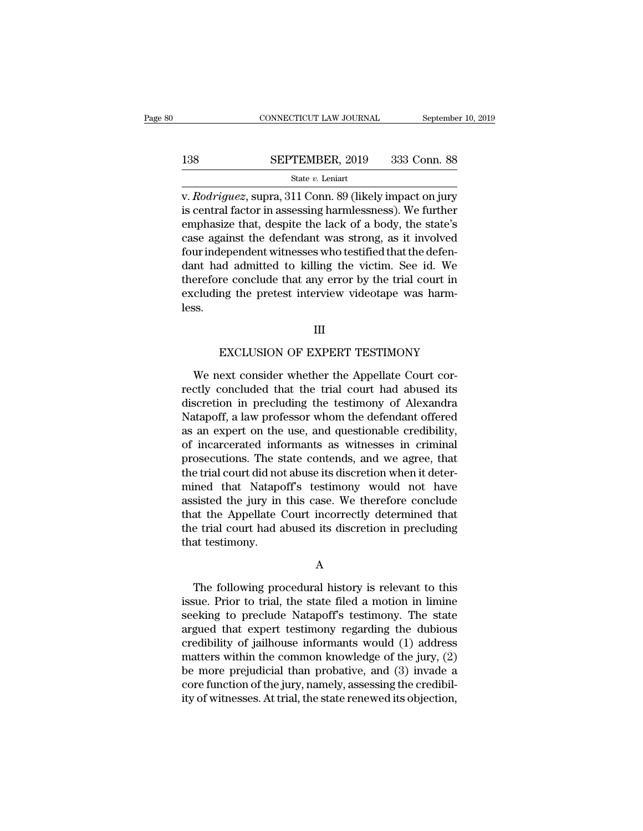|     | CONNECTICUT LAW JOURNAL                                                                                                                                                               | September 10, 2019 |
|-----|---------------------------------------------------------------------------------------------------------------------------------------------------------------------------------------|--------------------|
| 138 | SEPTEMBER, 2019                                                                                                                                                                       | 333 Conn. 88       |
|     | State $v$ . Leniart                                                                                                                                                                   |                    |
|     | v. <i>Rodriguez</i> , supra, 311 Conn. 89 (likely impact on jury<br>is central factor in assessing harmlessness). We further<br>emphegize that degrite the leak of a hody the state's |                    |

**is central factor in assessing harmlessness). We further emphasize that, despite the lack of a body, the state's** EPTEMBER, 2019 333 Conn. 88<br>
State v. Leniart<br>
v. Rodriguez, supra, 311 Conn. 89 (likely impact on jury<br>
is central factor in assessing harmlessness). We further<br>
emphasize that, despite the lack of a body, the state's<br>
c SEPTEMBER, 2019 333 Conn. 88<br>
State v. Leniart<br>
v. Rodriguez, supra, 311 Conn. 89 (likely impact on jury<br>
is central factor in assessing harmlessness). We further<br>
emphasize that, despite the lack of a body, the state's<br> State v. Leniart<br>
v. Rodriguez, supra, 311 Conn. 89 (likely impact on jury<br>
is central factor in assessing harmlessness). We further<br>
emphasize that, despite the lack of a body, the state's<br>
case against the defendant was siate  $v$ . Lenart<br>
v. Rodriguez, supra, 311 Conn. 89 (likely impact on jury<br>
is central factor in assessing harmlessness). We further<br>
emphasize that, despite the lack of a body, the state's<br>
case against the defendant wa v. *Rodriguez*, supra, 311 Conn. 89 (likely impact on jury<br>is central factor in assessing harmlessness). We further<br>emphasize that, despite the lack of a body, the state's<br>case against the defendant was strong, as it invol is central factor in assessing harmlessness). We further<br>emphasize that, despite the lack of a body, the state's<br>case against the defendant was strong, as it involved<br>four independent witnesses who testified that the defen less. Exclude that any error by the trial court in<br>mg the pretest interview videotape was harm-<br>III<br>EXCLUSION OF EXPERT TESTIMONY<br>ext consider whether the Appellate Court cor-

III

cluding the pretest interview videotape was harm-<br>
SS.<br>
III<br>
EXCLUSION OF EXPERT TESTIMONY<br>
We next consider whether the Appellate Court cor-<br>
ctly concluded that the trial court had abused its<br>
service in producing the te rectly<br>rectly concluded that the trial court correctly concluded that the trial court<br>had abused its<br>discretion in precluding the testimony of Alexandra<br>Natanoff a law professor whom the defendant offered EXCLUSION OF EXPERT TESTIMONY<br>We next consider whether the Appellate Court cor-<br>rectly concluded that the trial court had abused its<br>discretion in precluding the testimony of Alexandra<br>Natapoff, a law professor whom the de EXCLUSION OF EXPERT TESTIMONY<br>We next consider whether the Appellate Court cor-<br>rectly concluded that the trial court had abused its<br>discretion in precluding the testimony of Alexandra<br>Natapoff, a law professor whom the de EXCLUSION OF EXPERT TESTIMONY<br>We next consider whether the Appellate Court cor-<br>rectly concluded that the trial court had abused its<br>discretion in precluding the testimony of Alexandra<br>Natapoff, a law professor whom the de We next consider whether the Appellate Court correctly concluded that the trial court had abused its discretion in precluding the testimony of Alexandra Natapoff, a law professor whom the defendant offered as an expert on We next consider whether the Appellate Court correctly concluded that the trial court had abused its discretion in precluding the testimony of Alexandra Natapoff, a law professor whom the defendant offered as an expert on rectly concluded that the trial court had abused its<br>discretion in precluding the testimony of Alexandra<br>Natapoff, a law professor whom the defendant offered<br>as an expert on the use, and questionable credibility,<br>of incarc discretion in precluding the testimony of Alexandra<br>Natapoff, a law professor whom the defendant offered<br>as an expert on the use, and questionable credibility,<br>of incarcerated informants as witnesses in criminal<br>prosecutio Natapoff, a law professor whom the defendant offered<br>as an expert on the use, and questionable credibility,<br>of incarcerated informants as witnesses in criminal<br>prosecutions. The state contends, and we agree, that<br>the trial as an expert on the use, and questionable credibility,<br>of incarcerated informants as witnesses in criminal<br>prosecutions. The state contends, and we agree, that<br>the trial court did not abuse its discretion when it deter-<br>mi of incarcerated informants as witnesses in criminal<br>prosecutions. The state contends, and we agree, that<br>the trial court did not abuse its discretion when it deter-<br>mined that Natapoff's testimony would not have<br>assisted t prosecutions. The sthe trial court did no<br>mined that Natapc<br>assisted the jury in<br>that the Appellate (<br>the trial court had a<br>that testimony. sisted the Jury in this case. We therefore conclude<br>at the Appellate Court incorrectly determined that<br>e trial court had abused its discretion in precluding<br>at testimony.<br>A<br>The following procedural history is relevant to t

A

In the trial court had abused its discretion in precluding<br>that testimony.<br>A<br>The following procedural history is relevant to this<br>issue. Prior to trial, the state filed a motion in limine<br>seeking to preclude Natapoff's tes Internal court had abused its discretion in precluding<br>that testimony.<br>A<br>The following procedural history is relevant to this<br>issue. Prior to trial, the state filed a motion in limine<br>seeking to preclude Natapoff's testimo A<br>
The following procedural history is relevant to this<br>
issue. Prior to trial, the state filed a motion in limine<br>
seeking to preclude Natapoff's testimony. The state<br>
argued that expert testimony regarding the dubious<br>
c A<br>
The following procedural history is relevant to this<br>
issue. Prior to trial, the state filed a motion in limine<br>
seeking to preclude Natapoff's testimony. The state<br>
argued that expert testimony regarding the dubious<br> The following procedural history is relevant to this<br>issue. Prior to trial, the state filed a motion in limine<br>seeking to preclude Natapoff's testimony. The state<br>argued that expert testimony regarding the dubious<br>credibil The following procedural history is relevant to this<br>issue. Prior to trial, the state filed a motion in limine<br>seeking to preclude Natapoff's testimony. The state<br>argued that expert testimony regarding the dubious<br>credibil issue. Prior to trial, the state filed a motion in limine<br>seeking to preclude Natapoff's testimony. The state<br>argued that expert testimony regarding the dubious<br>credibility of jailhouse informants would (1) address<br>matters seeking to preclude Natapoff's testimony. The state<br>argued that expert testimony regarding the dubious<br>credibility of jailhouse informants would (1) address<br>matters within the common knowledge of the jury, (2)<br>be more prej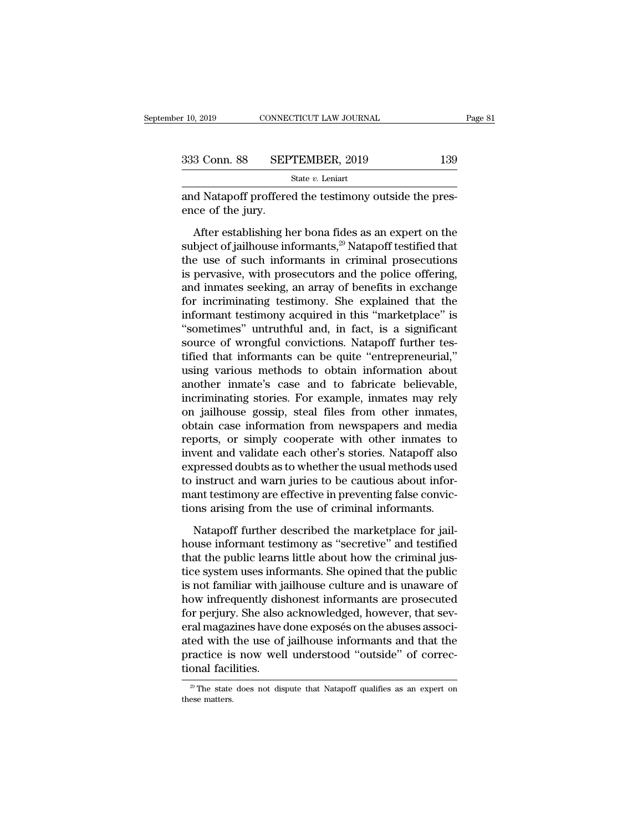| r 10, 2019   | CONNECTICUT LAW JOURNAL |     | Page 81 |
|--------------|-------------------------|-----|---------|
|              |                         |     |         |
| 333 Conn. 88 | SEPTEMBER, 2019         | 139 |         |
|              |                         |     |         |
|              | State $v$ . Leniart     |     |         |

and Natapoff proffered the testimony outside the presence of the jury. EXEP<br>
SEP<br>
and Natapoff proffere<br>
ence of the jury.<br>
After establishing h

 $\frac{3 \text{ Conn. } 88 \qquad \text{SEPTEMBER, } 2019 \qquad \qquad 139 \text{ State } v. \text{ Leniart}$ <br>
d Natapoff proffered the testimony outside the pres-<br>
ce of the jury.<br>
After establishing her bona fides as an expert on the<br>
bject of jailhouse informants,<sup>29</sup> Na Subsection. SS SEPTEMBER, 2019<br>
State v. Leniart<br>
and Natapoff proffered the testimony outside the pres-<br>
ence of the jury.<br>
After establishing her bona fides as an expert on the<br>
subject of jailhouse informants,<sup>29</sup> Nata State v. Leniart<br>
and Natapoff proffered the testimony outside the pres-<br>
ence of the jury.<br>
After establishing her bona fides as an expert on the<br>
subject of jailhouse informants,<sup>29</sup> Natapoff testified that<br>
the use of and Natapoff proffered the testimony outside the presence of the jury.<br>
After establishing her bona fides as an expert on the<br>
subject of jailhouse informants, $29$  Natapoff testified that<br>
the use of such informants in cr and indepent presence are essainerly substant are presence of the jury.<br>
After establishing her bona fides as an expert on the<br>
subject of jailhouse informants,<sup>29</sup> Natapoff testified that<br>
the use of such informants in cr After establishing her bona fides as an expert on the<br>subject of jailhouse informants,<sup>29</sup> Natapoff testified that<br>the use of such informants in criminal prosecutions<br>is pervasive, with prosecutors and the police offering After establishing her bona fides as an expert on the subject of jailhouse informants,<sup>29</sup> Natapoff testified that the use of such informants in criminal prosecutions is pervasive, with prosecutors and the police offering subject of jailhouse informants,<sup>29</sup> Natapoff testified that<br>the use of such informants in criminal prosecutions<br>is pervasive, with prosecutors and the police offering,<br>and inmates seeking, an array of benefits in exchange the use of such informants in criminal prosecutions<br>is pervasive, with prosecutors and the police offering,<br>and inmates seeking, an array of benefits in exchange<br>for incriminating testimony. She explained that the<br>informan is pervasive, with prosecutors and the police offering,<br>and inmates seeking, an array of benefits in exchange<br>for incriminating testimony. She explained that the<br>informant testimony acquired in this "marketplace" is<br>"somet and inmates seeking, an array of benefits in exchange<br>for incriminating testimony. She explained that the<br>informant testimony acquired in this "marketplace" is<br>"sometimes" untruthful and, in fact, is a significant<br>source o for incriminating testimony. She explained that the<br>informant testimony acquired in this "marketplace" is<br>"sometimes" untruthful and, in fact, is a significant<br>source of wrongful convictions. Natapoff further tes-<br>tified t informant testimony acquired in this "marketplace" is<br>
"sometimes" untruthful and, in fact, is a significant<br>
source of wrongful convictions. Natapoff further tes-<br>
tified that informants can be quite "entrepreneurial,"<br>
u "sometimes" untruthful and, in fact, is a significant<br>source of wrongful convictions. Natapoff further tes-<br>tified that informants can be quite "entrepreneurial,"<br>using various methods to obtain information about<br>another i source of wrongful convictions. Natapoff further tes-<br>tified that informants can be quite "entrepreneurial,"<br>using various methods to obtain information about<br>another inmate's case and to fabricate believable,<br>incriminatin tified that informants can be quite "entrepreneurial,"<br>using various methods to obtain information about<br>another inmate's case and to fabricate believable,<br>incriminating stories. For example, inmates may rely<br>on jailhouse using various methods to obtain information about<br>another inmate's case and to fabricate believable,<br>incriminating stories. For example, inmates may rely<br>on jailhouse gossip, steal files from other inmates,<br>obtain case inf another inmate's case and to fabricate believable,<br>incriminating stories. For example, inmates may rely<br>on jailhouse gossip, steal files from other inmates,<br>obtain case information from newspapers and media<br>reports, or sim incriminating stories. For example, inmates may rely<br>on jailhouse gossip, steal files from other inmates,<br>obtain case information from newspapers and media<br>reports, or simply cooperate with other inmates to<br>invent and vali on jailhouse gossip, steal files from other inmates, obtain case information from newspapers and media reports, or simply cooperate with other inmates to invent and validate each other's stories. Natapoff also expressed do obtain case information from newspapers and media<br>reports, or simply cooperate with other inmates to<br>invent and validate each other's stories. Natapoff also<br>expressed doubts as to whether the usual methods used<br>to instruct Next and validate each other's stories. Natapoff also<br>pressed doubts as to whether the usual methods used<br>instruct and warn juries to be cautious about infor-<br>ant testimony are effective in preventing false convic-<br>ons ari more interested doubts as to whether the usual methods used<br>to instruct and warn juries to be cautious about infor-<br>mant testimony are effective in preventing false convic-<br>tions arising from the use of criminal informants

the instruct and warn juries to be cautious about informant testimony are effective in preventing false convictions arising from the use of criminal informants.<br>Natapoff further described the marketplace for jail-<br>house in the matrix and want juncts of several and the more mant testimony are effective in preventing false convictions arising from the use of criminal informants.<br>Natapoff further described the marketplace for jailhouse informan In all designed in probability and the set of criminal informants.<br>
Natapoff further described the marketplace for jail-<br>
house informant testimony as "secretive" and testified<br>
that the public learns little about how the Natapoff further described the marketplace for jail-<br>house informant testimony as "secretive" and testified<br>that the public learns little about how the criminal jus-<br>tice system uses informants. She opined that the public<br> Natapoff further described the marketplace for jail-<br>house informant testimony as "secretive" and testified<br>that the public learns little about how the criminal jus-<br>tice system uses informants. She opined that the public<br> house informant testimony as "secretive" and testified<br>that the public learns little about how the criminal jus-<br>tice system uses informants. She opined that the public<br>is not familiar with jailhouse culture and is unaware that the public learns little about how the criminal justice system uses informants. She opined that the public<br>is not familiar with jailhouse culture and is unaware of<br>how infrequently dishonest informants are prosecuted<br> tice system uses informants. She opined that the public<br>is not familiar with jailhouse culture and is unaware of<br>how infrequently dishonest informants are prosecuted<br>for perjury. She also acknowledged, however, that sev-<br>e is not familiar with ja<br>how infrequently dis<br>for perjury. She also<br>eral magazines have of<br>ated with the use of<br>practice is now well<br>tional facilities. eral magazines have done exposés on the abuses associated with the use of jailhouse informants and that the practice is now well understood "outside" of correctional facilities.<br> $\frac{1}{2}$  The state does not dispute that N practice is now well understood "outside" of correc-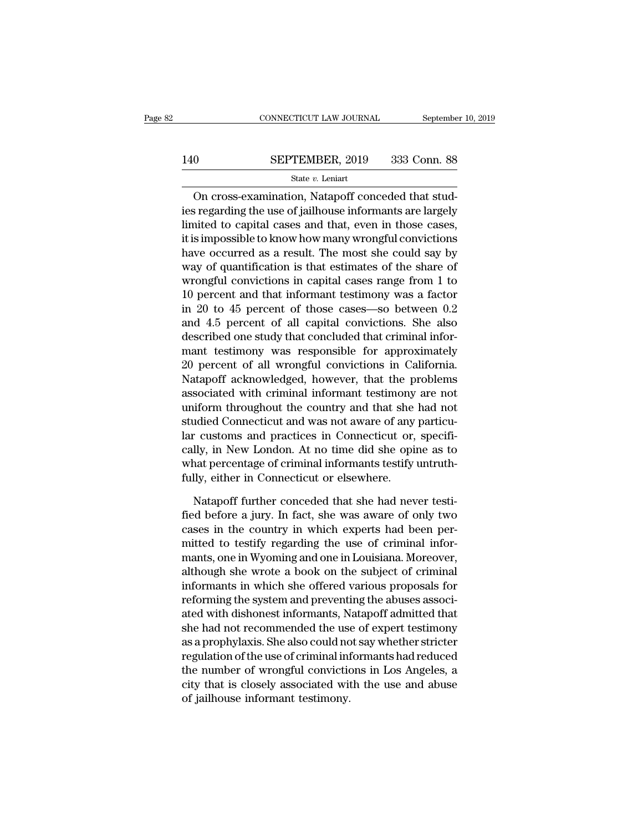# $\begin{tabular}{lll} \multicolumn{2}{l} \multicolumn{2}{l}{{\small\bf CONNECTICUT LAW JOURNAL}} & \multicolumn{2}{l}{September 10, 2019} \\ \multicolumn{2}{l}{\textbf{140}} & \multicolumn{2}{l}{\textbf{SEPTEMBER, 2019}} & \multicolumn{2}{l}{333} & \multicolumn{2}{l}{\textbf{Conn. 88}} \\ & & & & & & \\ \multicolumn{2}{l}{\textbf{State $v$. Leniart}} & & & & \\ \end{tabular}$

### State *v.* Leniart

CONNECTICUT LAW JOURNAL Septembe<br>  $0$  SEPTEMBER, 2019 333 Conn. 88<br>  $\frac{\text{State } v. \text{ Leniat}}{v}$ <br>
On cross-examination, Natapoff conceded that stud-<br>
stregarding the use of jailhouse informants are largely SEPTEMBER, 2019 333 Conn. 88<br>
State v. Leniart<br>
On cross-examination, Natapoff conceded that stud-<br>
ies regarding the use of jailhouse informants are largely<br>
limited to capital cases and that, even in those cases,<br>
it is 140 SEPTEMBER, 2019 333 Conn. 88<br>
State  $v$ . Leniart<br>
On cross-examination, Natapoff conceded that stud-<br>
ies regarding the use of jailhouse informants are largely<br>
limited to capital cases and that, even in those cases,<br> 140 SEPTEMBER, 2019 333 Conn. 88<br>
State v. Leniart<br>
On cross-examination, Natapoff conceded that stud-<br>
ies regarding the use of jailhouse informants are largely<br>
limited to capital cases and that, even in those cases,<br>
i State v. Leniart<br>
On cross-examination, Natapoff conceded that stud-<br>
ies regarding the use of jailhouse informants are largely<br>
limited to capital cases and that, even in those cases,<br>
it is impossible to know how many w On cross-examination, Natapoff conceded that studies regarding the use of jailhouse informants are largely limited to capital cases and that, even in those cases, it is impossible to know how many wrongful convictions hav On cross-examination, Natapoff conceded that stud-<br>ies regarding the use of jailhouse informants are largely<br>limited to capital cases and that, even in those cases,<br>it is impossible to know how many wrongful convictions<br>h ies regarding the use of jailhouse informants are largely<br>limited to capital cases and that, even in those cases,<br>it is impossible to know how many wrongful convictions<br>have occurred as a result. The most she could say by<br> limited to capital cases and that, even in those cases,<br>it is impossible to know how many wrongful convictions<br>have occurred as a result. The most she could say by<br>way of quantification is that estimates of the share of<br>wr it is impossible to know how many wrongful convictions<br>have occurred as a result. The most she could say by<br>way of quantification is that estimates of the share of<br>wrongful convictions in capital cases range from 1 to<br>10 p have occurred as a result. The most she could say by<br>way of quantification is that estimates of the share of<br>wrongful convictions in capital cases range from 1 to<br>10 percent and that informant testimony was a factor<br>in 20 way of quantification is that estimates of the share of<br>wrongful convictions in capital cases range from 1 to<br>10 percent and that informant testimony was a factor<br>in 20 to 45 percent of those cases—so between 0.2<br>and 4.5 p wrongful convictions in capital cases range from 1 to<br>10 percent and that informant testimony was a factor<br>in 20 to 45 percent of those cases—so between 0.2<br>and 4.5 percent of all capital convictions. She also<br>described on 10 percent and that informant testimony was a factor<br>in 20 to 45 percent of those cases—so between 0.2<br>and 4.5 percent of all capital convictions. She also<br>described one study that concluded that criminal infor-<br>mant testi in 20 to 45 percent of those cases—so between 0.2<br>and 4.5 percent of all capital convictions. She also<br>described one study that concluded that criminal infor-<br>mant testimony was responsible for approximately<br>20 percent of and 4.5 percent of all capital convictions. She also<br>described one study that concluded that criminal infor-<br>mant testimony was responsible for approximately<br>20 percent of all wrongful convictions in California.<br>Natapoff a described one study that concluded that criminal informant testimony was responsible for approximately<br>20 percent of all wrongful convictions in California.<br>Natapoff acknowledged, however, that the problems<br>associated with mant testimony was responsible for approximately<br>20 percent of all wrongful convictions in California.<br>Natapoff acknowledged, however, that the problems<br>associated with criminal informant testimony are not<br>uniform througho 20 percent of all wrongful convictions in California.<br>Natapoff acknowledged, however, that the problems<br>associated with criminal informant testimony are not<br>uniform throughout the country and that she had not<br>studied Conne Natapoff acknowledged, however, that the problems<br>associated with criminal informant testimony are not<br>uniform throughout the country and that she had not<br>studied Connecticut and was not aware of any particu-<br>lar customs a associated with criminal informant testimony<br>uniform throughout the country and that she<br>studied Connecticut and was not aware of any<br>lar customs and practices in Connecticut or,<br>cally, in New London. At no time did she op ndied Connecticut and was not aware of any particu-<br>
customs and practices in Connecticut or, specifi-<br>
lly, in New London. At no time did she opine as to<br>
nat percentage of criminal informants testify untruth-<br>
lly, eithe lar customs and practices in Connecticut or, specifically, in New London. At no time did she opine as to what percentage of criminal informants testify untruth-<br>fully, either in Connecticut or elsewhere.<br>Natapoff further c

cally, in New London. At no time did she opine as to<br>what percentage of criminal informants testify untruth-<br>fully, either in Connecticut or elsewhere.<br>Natapoff further conceded that she had never testi-<br>fied before a jury what percentage of criminal informants testify untruth-<br>fully, either in Connecticut or elsewhere.<br>Natapoff further conceded that she had never testi-<br>fied before a jury. In fact, she was aware of only two<br>cases in the cou fully, either in Connecticut or elsewhere.<br>
Natapoff further conceded that she had never testi-<br>
fied before a jury. In fact, she was aware of only two<br>
cases in the country in which experts had been per-<br>
mitted to testif Natapoff further conceded that she had never testi-<br>fied before a jury. In fact, she was aware of only two<br>cases in the country in which experts had been per-<br>mitted to testify regarding the use of criminal infor-<br>mants, o Natapoff further conceded that she had never testi-<br>fied before a jury. In fact, she was aware of only two<br>cases in the country in which experts had been per-<br>mitted to testify regarding the use of criminal infor-<br>mants, o fied before a jury. In fact, she was aware of only two<br>cases in the country in which experts had been per-<br>mitted to testify regarding the use of criminal infor-<br>mants, one in Wyoming and one in Louisiana. Moreover,<br>althou cases in the country in which experts had been per-<br>mitted to testify regarding the use of criminal infor-<br>mants, one in Wyoming and one in Louisiana. Moreover,<br>although she wrote a book on the subject of criminal<br>informan mitted to testify regarding the use of criminal informants, one in Wyoming and one in Louisiana. Moreover, although she wrote a book on the subject of criminal informants in which she offered various proposals for reformin mants, one in Wyoming and one in Louisiana. Moreover,<br>although she wrote a book on the subject of criminal<br>informants in which she offered various proposals for<br>reforming the system and preventing the abuses associ-<br>ated w although she wrote a book on the subject of criminal<br>informants in which she offered various proposals for<br>reforming the system and preventing the abuses associ-<br>ated with dishonest informants, Natapoff admitted that<br>she h informants in which she offered various proposals for<br>reforming the system and preventing the abuses associ-<br>ated with dishonest informants, Natapoff admitted that<br>she had not recommended the use of expert testimony<br>as a p reforming the system and preventing the abuses associated with dishonest informants, Natapoff admitted that she had not recommended the use of expert testimony as a prophylaxis. She also could not say whether stricter regu ated with dishonest informants, N<br>she had not recommended the use<br>as a prophylaxis. She also could no<br>regulation of the use of criminal inf<br>the number of wrongful convictio<br>city that is closely associated wit<br>of jailhouse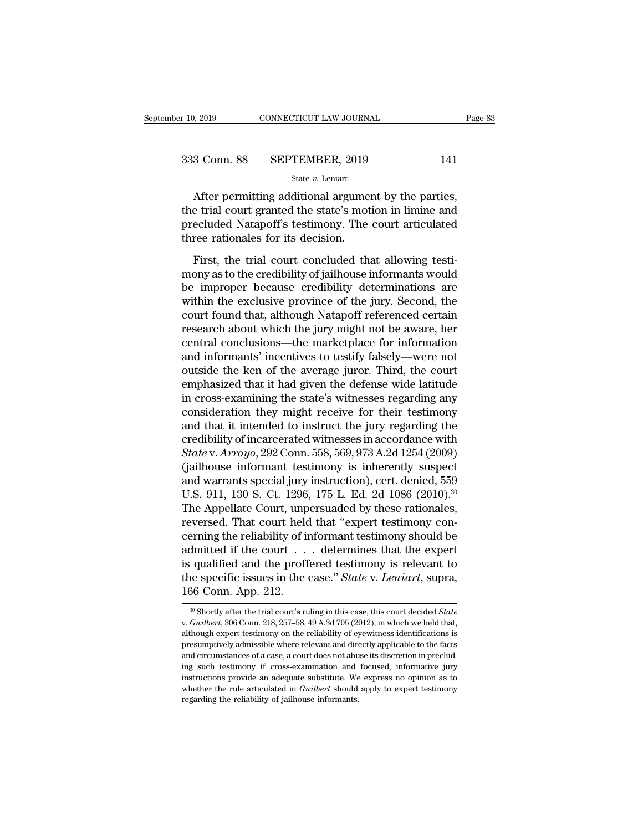| r 10, 2019   | CONNECTICUT LAW JOURNAL | Page 83 |
|--------------|-------------------------|---------|
| 333 Conn. 88 | SEPTEMBER, 2019         | 141     |
|              | State $v$ . Leniart     |         |

 $\frac{1}{2019}$  CONNECTICUT LAW JOURNAL Page<br>  $\frac{3}{2019}$  Conn. 88 SEPTEMBER, 2019 141<br>  $\frac{1}{2019}$ <br>  $\frac{1}{2019}$ <br>
After permitting additional argument by the parties,<br>
a trial court granted the state's motion in limine an 333 Conn. 88 SEPTEMBER, 2019 141<br>
State  $v$ . Leniart<br>
After permitting additional argument by the parties,<br>
the trial court granted the state's motion in limine and<br>
precluded Natapoff's testimony. The court articulated<br> 333 Conn. 88 SEPTEMBER, 2019 141<br>
State v. Leniart<br>
After permitting additional argument by the parties,<br>
the trial court granted the state's motion in limine and<br>
precluded Natapoff's testimony. The court articulated<br>
th 333 Conn. 88 SEPTEMBER, 2019<br>  $\frac{\text{State } v. \text{ Leniat}}{\text{After permitting additional argume}}$ <br>
the trial court granted the state's mot<br>
precluded Natapoff's testimony. The<br>
three rationales for its decision.<br>
First, the trial court concluded the State v. Leniart<br>After permitting additional argument by the parties,<br>e trial court granted the state's motion in limine and<br>ecluded Natapoff's testimony. The court articulated<br>ree rationales for its decision.<br>First, the t

After permitting additional argument by the parties,<br>the trial court granted the state's motion in limine and<br>precluded Natapoff's testimony. The court articulated<br>three rationales for its decision.<br>First, the trial court Franking additional algorithm by the particle,<br>the trial court granted the state's motion in limine and<br>precluded Natapoff's testimony. The court articulated<br>three rationales for its decision.<br>First, the trial court conclu The exclusive provided in the state of the state of the precluded three rationales for its decision.<br>First, the trial court concluded that allowing testimony as to the credibility of jailhouse informants would<br>be improper three rationales for its decision.<br>
First, the trial court concluded that allowing testi-<br>
mony as to the credibility of jailhouse informants would<br>
be improper because credibility determinations are<br>
within the exclusive First, the trial court concluded that allowing testi-<br>mony as to the credibility of jailhouse informants would<br>be improper because credibility determinations are<br>within the exclusive province of the jury. Second, the<br>court First, the trial court concluded that allowing testi-<br>mony as to the credibility of jailhouse informants would<br>be improper because credibility determinations are<br>within the exclusive province of the jury. Second, the<br>court mony as to the credibility of jailhouse informants would<br>be improper because credibility determinations are<br>within the exclusive province of the jury. Second, the<br>court found that, although Natapoff referenced certain<br>rese be improper because credibility determinations are<br>within the exclusive province of the jury. Second, the<br>court found that, although Natapoff referenced certain<br>research about which the jury might not be aware, her<br>central within the exclusive province of the jury. Second, the<br>court found that, although Natapoff referenced certain<br>research about which the jury might not be aware, her<br>central conclusions—the marketplace for information<br>and in court found that, although Natapoff referenced certain<br>research about which the jury might not be aware, her<br>central conclusions—the marketplace for information<br>and informants' incentives to testify falsely—were not<br>outsid research about which the jury might not be aware, her central conclusions—the marketplace for information<br>and informants' incentives to testify falsely—were not<br>outside the ken of the average juror. Third, the court<br>emphas central conclusions—the marketplace for information<br>and informants' incentives to testify falsely—were not<br>outside the ken of the average juror. Third, the court<br>emphasized that it had given the defense wide latitude<br>in cr and informants' incentives to testify falsely—were not<br>outside the ken of the average juror. Third, the court<br>emphasized that it had given the defense wide latitude<br>in cross-examining the state's witnesses regarding any<br>co outside the ken of the average juror. Third, the court<br>emphasized that it had given the defense wide latitude<br>in cross-examining the state's witnesses regarding any<br>consideration they might receive for their testimony<br>and emphasized that it had given the defense wide latitude<br>in cross-examining the state's witnesses regarding any<br>consideration they might receive for their testimony<br>and that it intended to instruct the jury regarding the<br>cr in cross-examining the state's witnesses regarding any<br>consideration they might receive for their testimony<br>and that it intended to instruct the jury regarding the<br>credibility of incarcerated witnesses in accordance with<br> consideration they might receive for their testimony<br>and that it intended to instruct the jury regarding the<br>credibility of incarcerated witnesses in accordance with<br>*State* v. *Arroyo*, 292 Conn. 558, 569, 973 A.2d 1254 ( and that it intended to instruct the jury regarding the<br>credibility of incarcerated witnesses in accordance with<br>*State* v. *Arroyo*, 292 Conn. 558, 569, 973 A.2d 1254 (2009)<br>(jailhouse informant testimony is inherently su credibility of incarcerated witnesses in accordance with *State* v. *Arroyo*, 292 Conn. 558, 569, 973 A.2d 1254 (2009) (jailhouse informant testimony is inherently suspect and warrants special jury instruction), cert. deni State v. Arroyo, 292 Conn. 558, 569, 973 A.2d 1254 (2009)<br>(jailhouse informant testimony is inherently suspect<br>and warrants special jury instruction), cert. denied, 559<br>U.S. 911, 130 S. Ct. 1296, 175 L. Ed. 2d 1086 (2010) (jailhouse informant testimony is inherently suspect<br>and warrants special jury instruction), cert. denied, 559<br>U.S. 911, 130 S. Ct. 1296, 175 L. Ed. 2d 1086 (2010).<sup>30</sup><br>The Appellate Court, unpersuaded by these rationales and warrants special jury instruction), cert. denied, 559<br>U.S. 911, 130 S. Ct. 1296, 175 L. Ed. 2d 1086 (2010).<sup>30</sup><br>The Appellate Court, unpersuaded by these rationales,<br>reversed. That court held that "expert testimony co U.S. 911, 130 S. Ct. 1296, 175 L. Ed. 2d 1086 (2010).<sup>30</sup><br>The Appellate Court, unpersuaded by these rationales,<br>reversed. That court held that "expert testimony con-<br>cerning the reliability of informant testimony should be The Appellate Court, unp<br>reversed. That court held<br>cerning the reliability of in<br>admitted if the court  $\ldots$ <br>is qualified and the proff<br>the specific issues in the  $\frac{166 \text{ Conn. App. 212.}}{\ldots$ admitted if the court's ruling in this case." State v. *Leniart*, supra, 166 Conn. App. 212.<br>
<sup>30</sup> Shortly after the trial court's ruling in this case, this court decided *State* v. *Guilbert*, 306 Conn. 218, 257–58, 49 A.

the specific issues in the case." *State* v. *Leniart*, supra,  $166$  Conn. App. 212.<br>
<sup>30</sup> Shortly after the trial court's ruling in this case, this court decided *State* v. *Guilbert*, 306 Conn. 218, 257–58, 49 A.3d 705 **166 Conn.** App. 212.<br>
<sup>30</sup> Shortly after the trial court's ruling in this case, this court decided *State* v. *Guilbert*, 306 Conn. 218, 257–58, 49 A.3d 705 (2012), in which we held that, although expert testimony on the From COTTLE App. 212.<br>
<sup>30</sup> Shortly after the trial court's ruling in this case, this court decided *State* v. *Guilbert*, 306 Conn. 218, 257–58, 49 A.3d 705 (2012), in which we held that, although expert testimony on the <sup>30</sup> Shortly after the trial court's ruling in this case, this court decided *State* v. *Guilbert*, 306 Conn. 218, 257–58, 49 A.3d 705 (2012), in which we held that, although expert testimony on the reliability of eyewitn v. *Guilbert*, 306 Conn. 218, 257–58, 49 A.3d 705 (2012), in which we held that, although expert testimony on the reliability of eyewitness identifications is presumptively admissible where relevant and directly applicabl although expert testimony on the reliability of eyewitness identifications is<br>presumptively admissible where relevant and directly applicable to the facts<br>and circumstances of a case, a court does not abuse its discretion although expert testimony on the reliability of eyewitness identifications is presumptively admissible where relevant and directly applicable to the facts and circumstances of a case, a court does not abuse its discretion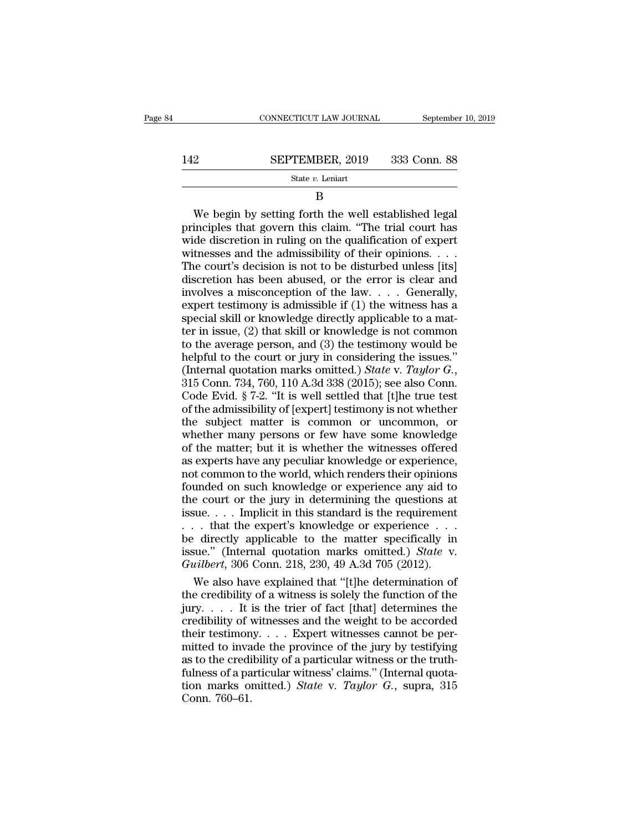# $\begin{tabular}{ll} \multicolumn{2}{l} \textbf{COMNECTICUT LAW JOURNAL} & \multicolumn{2}{l} \multicolumn{2}{l} \multicolumn{2}{l} \multicolumn{2}{l} \multicolumn{2}{l} \multicolumn{2}{l} \multicolumn{2}{l} \multicolumn{2}{l} \multicolumn{2}{l} \multicolumn{2}{l} \multicolumn{2}{l} \multicolumn{2}{l} \multicolumn{2}{l} \multicolumn{2}{l} \multicolumn{2}{l} \multicolumn{2}{l} \multicolumn{2}{l} \multicolumn{2}{l} \multicolumn{2}{l} \multicolumn{2}{l} \multicolumn{2}{$

### State *v.* Leniart

### B

SEPTEMBER, 2019 333 Conn. 88<br>
State v. Leniart<br>
B<br>
We begin by setting forth the well established legal<br>
inciples that govern this claim. "The trial court has<br>
de discretion in ruling on the qualification of expert **SEPTEMBER, 2019** 333 Conn. 88<br>
State *v*. Leniart<br>
B<br>
We begin by setting forth the well established legal<br>
principles that govern this claim. "The trial court has<br>
wide discretion in ruling on the qualification of exper SEPTEMBER, 2019 333 Conn. 88<br>
State *v*. Leniart<br>
B<br>
We begin by setting forth the well established legal<br>
principles that govern this claim. "The trial court has<br>
wide discretion in ruling on the qualification of expert<br> State v. Leniart<br>
B<br>
We begin by setting forth the well established legal<br>
principles that govern this claim. "The trial court has<br>
wide discretion in ruling on the qualification of expert<br>
witnesses and the admissibility  $\overline{B}$ <br>
We begin by setting forth the well established legal<br>
principles that govern this claim. "The trial court has<br>
wide discretion in ruling on the qualification of expert<br>
witnesses and the admissibility of their o B<br>We begin by setting forth the well established legal<br>principles that govern this claim. "The trial court has<br>wide discretion in ruling on the qualification of expert<br>witnesses and the admissibility of their opinions. . We begin by setting forth the well established legal<br>principles that govern this claim. "The trial court has<br>wide discretion in ruling on the qualification of expert<br>witnesses and the admissibility of their opinions. . . principles that govern this claim. "The trial court has<br>wide discretion in ruling on the qualification of expert<br>witnesses and the admissibility of their opinions. . . .<br>The court's decision is not to be disturbed unless principles that govern this claim. "The trial court has wide discretion in ruling on the qualification of expert witnesses and the admissibility of their opinions. . . . The court's decision is not to be disturbed unless witnesses and the admissibility of their opinions. . . . The court's decision is not to be disturbed unless [its] discretion has been abused, or the error is clear and involves a misconception of the law. . . . Generally, The court's decision is not to be disturbed unless [its]<br>discretion has been abused, or the error is clear and<br>involves a misconception of the law.... Generally,<br>expert testimony is admissible if (1) the witness has a<br>spe discretion has been abused, or the error is clear and<br>involves a misconception of the law.... Generally,<br>expert testimony is admissible if (1) the witness has a<br>special skill or knowledge directly applicable to a mat-<br>ter moolves a misconception of the law. . . . Generally, expert testimony is admissible if (1) the witness has a special skill or knowledge directly applicable to a matter in issue, (2) that skill or knowledge is not common to special skill or knowledge directly applicable to a matter in issue, (2) that skill or knowledge is not common<br>to the average person, and (3) the testimony would be<br>helpful to the court or jury in considering the issues." For in issue, (2) that skill or knowledge is not common<br>to the average person, and (3) the testimony would be<br>helpful to the court or jury in considering the issues."<br>(Internal quotation marks omitted.) *State* v. *Taylor* to the average person, and (3) the testimony would be<br>helpful to the court or jury in considering the issues."<br>(Internal quotation marks omitted.) *State v. Taylor G.*,<br>315 Conn. 734, 760, 110 A.3d 338 (2015); see also Co whether the court or jury in considering the issues."<br>(Internal quotation marks omitted.) *State v. Taylor G.*,<br>315 Conn. 734, 760, 110 A.3d 338 (2015); see also Conn.<br>Code Evid. § 7-2. "It is well settled that [t]he true (Internal quotation marks omitted.) *State* v. *Taylor G.*, 315 Conn. 734, 760, 110 A.3d 338 (2015); see also Conn.<br>Code Evid. § 7-2. "It is well settled that [t]he true test<br>of the admissibility of [expert] testimony is 315 Conn. 734, 760, 110 A.3d 338 (2015); see also Conn.<br>
Code Evid. § 7-2. "It is well settled that [t]he true test<br>
of the admissibility of [expert] testimony is not whether<br>
the subject matter is common or uncommon, or<br> Code Evid. § 7-2. "It is well settled that [t]he true test<br>of the admissibility of [expert] testimony is not whether<br>the subject matter is common or uncommon, or<br>whether many persons or few have some knowledge<br>of the matt Fourtherman is the subject matter is common or uncommon, or<br>whether many persons or few have some knowledge<br>of the matter; but it is whether the witnesses offered<br>as experts have any peculiar knowledge or experience,<br>not c the subject matter is common or uncommon, or<br>whether many persons or few have some knowledge<br>of the matter; but it is whether the witnesses offered<br>as experts have any peculiar knowledge or experience,<br>not common to the w is a subset in the may person of few have some knowledge<br>of the matter; but it is whether the witnesses offered<br>as experts have any peculiar knowledge or experience,<br>not common to the world, which renders their opinions<br>fo . The matter, but it is whether the witnesses offered<br>as experts have any peculiar knowledge or experience,<br>not common to the world, which renders their opinions<br>founded on such knowledge or experience any aid to<br>the cour as experts have any peculiar knowledge or experience,<br>as experts have any peculiar knowledge or experience,<br>founded on such knowledge or experience any aid to<br>the court or the jury in determining the questions at<br>issue... is suppose nate any poold, which renders their opinions<br>founded on such knowledge or experience any aid to<br>the court or the jury in determining the questions at<br>issue.... Implicit in this standard is the requirement<br>... th Founded on such knowledge or experience any aid to<br>the court or the jury in determining the questions at<br>issue.... Implicit in this standard is the requirement<br>... that the expert's knowledge or experience...<br>be directly a Exerce that in this standard is the requirement<br>  $\therefore$  that the expert's knowledge or experience  $\therefore$ <br>  $\therefore$  directly applicable to the matter specifically in<br>
sue." (Internal quotation marks omitted.) *State* v.<br>  $\therefore$  issue. . . . Implicit in this standard is the requirement<br>
. . . that the expert's knowledge or experience . . .<br>
be directly applicable to the matter specifically in<br>
issue." (Internal quotation marks omitted.) *State* v

. . . that the expert's knowledge or experience . . . .<br>be directly applicable to the matter specifically in<br>issue." (Internal quotation marks omitted.) *State* v.<br>*Guilbert*, 306 Conn. 218, 230, 49 A.3d 705 (2012).<br>We al be directly applicable to the matter specifically in<br>issue." (Internal quotation marks omitted.) *State* v.<br>*Guilbert*, 306 Conn. 218, 230, 49 A.3d 705 (2012).<br>We also have explained that "[t]he determination of<br>the credi issue." (Internal quotation marks omitted.) *State* v.<br> *Guilbert*, 306 Conn. 218, 230, 49 A.3d 705 (2012).<br>
We also have explained that "[t]he determination of<br>
the credibility of a witness is solely the function of the<br> Guilbert, 306 Conn. 218, 230, 49 A.3d 705 (2012).<br>We also have explained that "[t]he determination of<br>the credibility of a witness is solely the function of the<br>jury.... It is the trier of fact [that] determines the<br>credi We also have explained that "[t]he determination of<br>the credibility of a witness is solely the function of the<br>jury..... It is the trier of fact [that] determines the<br>credibility of witnesses and the weight to be accorded the credibility of a witness is solely the function of the credibility of a witness is solely the function of the jury.... It is the trier of fact [that] determines the credibility of witnesses and the weight to be accord figure creation, or a wintess is sortly are ranceded by the state string in the credibility of witnesses and the weight to be accorded their testimony. . . . Expert witnesses cannot be permitted to invade the province of t credibility of v<br>credibility of v<br>their testimon<br>mitted to inva<br>as to the credi<br>fulness of a pa<br>tion marks on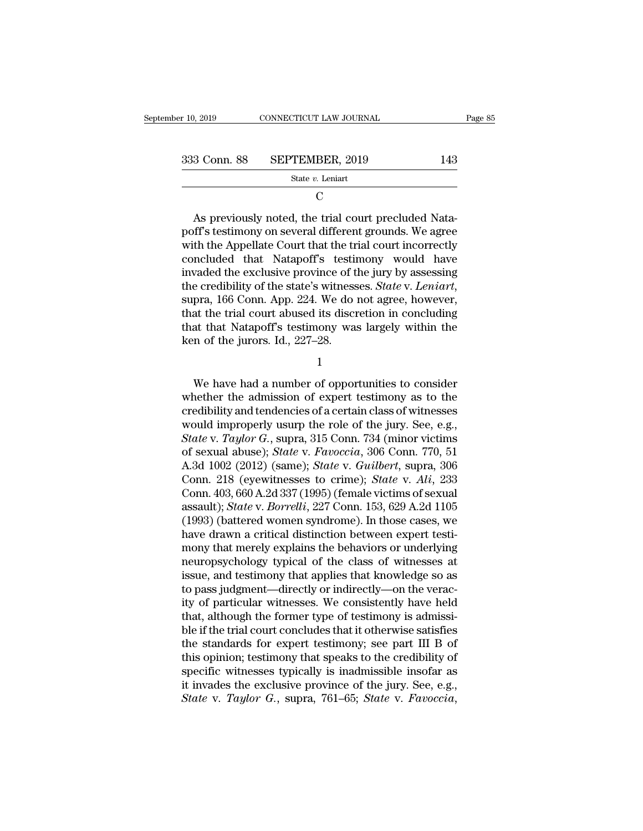| er 10, 2019  | CONNECTICUT LAW JOURNAL | Page 85 |
|--------------|-------------------------|---------|
| 333 Conn. 88 | SEPTEMBER, 2019         | 143     |
|              | State $v$ . Leniart     |         |

C<sub>c</sub>

 $\begin{array}{r} \text{3 Conn. 88} \quad \text{SEPTEMBER, 2019} \quad \text{143} \ \text{State } v. \text{ Leniart} \ \text{C} \ \text{As previously noted, the trial court precluded Nata-fff's testimony on several different grounds. We agree that the An}{\mathcal{O}} \end{array}$ 333 Conn. 88 SEPTEMBER, 2019 143<br>
State v. Leniart<br>
C<br>
As previously noted, the trial court precluded Nata-<br>
poff's testimony on several different grounds. We agree<br>
with the Appellate Court that the trial court incorrect 333 Conn. 88 SEPTEMBER, 2019 143<br>
State v. Leniart<br>
C<br>
As previously noted, the trial court precluded Nata-<br>
poff's testimony on several different grounds. We agree<br>
with the Appellate Court that the trial court incorrect State v. Leniart<br>
C<br>
As previously noted, the trial court precluded Nata-<br>
poff's testimony on several different grounds. We agree<br>
with the Appellate Court that the trial court incorrectly<br>
concluded that Natapoff's test C<br>
As previously noted, the trial court precluded Nata-<br>
poff's testimony on several different grounds. We agree<br>
with the Appellate Court that the trial court incorrectly<br>
concluded that Natapoff's testimony would have<br>
i As previously noted, the trial court precluded Nata-<br>poff's testimony on several different grounds. We agree<br>with the Appellate Court that the trial court incorrectly<br>concluded that Natapoff's testimony would have<br>invaded poff's testimony on several different grounds. We agree<br>with the Appellate Court that the trial court incorrectly<br>concluded that Natapoff's testimony would have<br>invaded the exclusive province of the jury by assessing<br>the c with the Appellate Court that the trial court incorrectly<br>concluded that Natapoff's testimony would have<br>invaded the exclusive province of the jury by assessing<br>the credibility of the state's witnesses. *State* v. *Leniart* concluded that Natapoff's testine<br>invaded the exclusive province of t<br>the credibility of the state's witness<br>supra, 166 Conn. App. 224. We do<br>that the trial court abused its discre<br>that that Natapoff's testimony was<br>ken of pra, 166 Conn. App. 224. We do not agree, however,<br>at the trial court abused its discretion in concluding<br>at that Natapoff's testimony was largely within the<br>n of the jurors. Id., 227–28.<br>1<br>We have had a number of opportun

1

that the trial court abused its discretion in concluding<br>that that Natapoff's testimony was largely within the<br>ken of the jurors. Id., 227–28.<br>1<br>We have had a number of opportunities to consider<br>whether the admission of ex that that Natapoff's testimony was largely within the<br>ken of the jurors. Id., 227–28.<br> $1$ <br>We have had a number of opportunities to consider<br>whether the admission of expert testimony as to the<br>credibility and tendencies of ken of the jurors. Id., 227–28.<br>
1<br>
We have had a number of opportunities to consider<br>
whether the admission of expert testimony as to the<br>
credibility and tendencies of a certain class of witnesses<br>
would improperly usur <sup>1</sup><br>
We have had a number of opportunities to consider<br>
whether the admission of expert testimony as to the<br>
credibility and tendencies of a certain class of witnesses<br>
would improperly usurp the role of the jury. See, e.g We have had a number of opportunities to consider<br>whether the admission of expert testimony as to the<br>credibility and tendencies of a certain class of witnesses<br>would improperly usurp the role of the jury. See, e.g.,<br>*Stat* We have had a number of opportunities to consider<br>whether the admission of expert testimony as to the<br>credibility and tendencies of a certain class of witnesses<br>would improperly usurp the role of the jury. See, e.g.,<br>*Stat* whether the admission of expert testimony as to the<br>credibility and tendencies of a certain class of witnesses<br>would improperly usurp the role of the jury. See, e.g.,<br>*State* v. *Taylor G.*, supra, 315 Conn. 734 (minor vic credibility and tendencies of a certain class of witnesses<br>would improperly usurp the role of the jury. See, e.g.,<br>State v. Taylor G., supra, 315 Conn. 734 (minor victims<br>of sexual abuse); State v. Favoccia, 306 Conn. 770, would improperly usurp the role of the jury. See, e.g.,<br> *State* v. *Taylor G.*, supra, 315 Conn. 734 (minor victims<br>
of sexual abuse); *State* v. *Favoccia*, 306 Conn. 770, 51<br>
A.3d 1002 (2012) (same); *State* v. *Guilber* State v. Taylor G., supra, 315 Conn. 734 (minor victims<br>of sexual abuse); State v. Favoccia, 306 Conn. 770, 51<br>A.3d 1002 (2012) (same); State v. Guilbert, supra, 306<br>Conn. 218 (eyewitnesses to crime); State v. Ali, 233<br>Con of sexual abuse); *State v. Favoccia*, 306 Conn. 770, 51<br>A.3d 1002 (2012) (same); *State v. Guilbert*, supra, 306<br>Conn. 218 (eyewitnesses to crime); *State v. Ali*, 233<br>Conn. 403, 660 A.2d 337 (1995) (female victims of sex A.3d 1002 (2012) (same); *State* v. *Guilbert*, supra, 306<br>Conn. 218 (eyewitnesses to crime); *State* v. *Ali*, 233<br>Conn. 403, 660 A.2d 337 (1995) (female victims of sexual<br>assault); *State* v. *Borrelli*, 227 Conn. 153, 6 Conn. 218 (eyewitnesses to crime); *State* v. *Ali*, 233<br>Conn. 403, 660 A.2d 337 (1995) (female victims of sexual<br>assault); *State* v. *Borrelli*, 227 Conn. 153, 629 A.2d 1105<br>(1993) (battered women syndrome). In those cas Conn. 403, 660 A.2d 337 (1995) (female victims of sexual<br>assault); *State* v. *Borrelli*, 227 Conn. 153, 629 A.2d 1105<br>(1993) (battered women syndrome). In those cases, we<br>have drawn a critical distinction between expert t assault); *State* v. *Borrelli*, 227 Conn. 153, 629 A.2d 1105 (1993) (battered women syndrome). In those cases, we have drawn a critical distinction between expert testimony that merely explains the behaviors or underlying (1993) (battered women syndrome). In those cases, we<br>have drawn a critical distinction between expert testi-<br>mony that merely explains the behaviors or underlying<br>neuropsychology typical of the class of witnesses at<br>issue, have drawn a critical distinction between expert testimony that merely explains the behaviors or underlying<br>neuropsychology typical of the class of witnesses at<br>issue, and testimony that applies that knowledge so as<br>to pas mony that merely explains the behaviors or underlying<br>neuropsychology typical of the class of witnesses at<br>issue, and testimony that applies that knowledge so as<br>to pass judgment—directly or indirectly—on the verac-<br>ity of neuropsychology typical of the class of witnesses at issue, and testimony that applies that knowledge so as to pass judgment—directly or indirectly—on the veracity of particular witnesses. We consistently have held that, a issue, and testimony that applies that knowledge so as<br>to pass judgment—directly or indirectly—on the verac-<br>ity of particular witnesses. We consistently have held<br>that, although the former type of testimony is admissi-<br>bl to pass judgment—directly or indirectly—on the veracity of particular witnesses. We consistently have held that, although the former type of testimony is admissible if the trial court concludes that it otherwise satisfies ity of particular witnesses. We consistently have held<br>that, although the former type of testimony is admissi-<br>ble if the trial court concludes that it otherwise satisfies<br>the standards for expert testimony; see part III that, although the former type of testimony is admissible if the trial court concludes that it otherwise satisfies<br>the standards for expert testimony; see part III B of<br>this opinion; testimony that speaks to the credibilit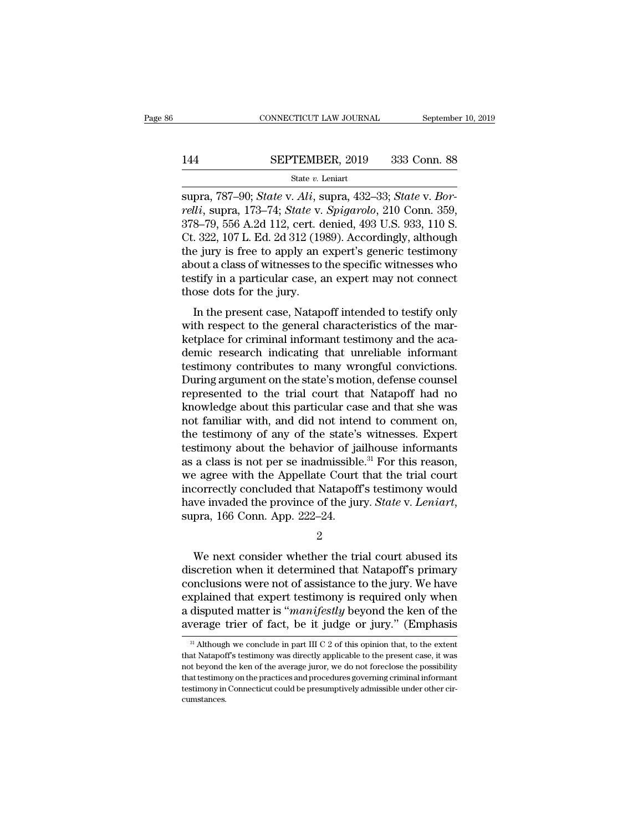# CONNECTICUT LAW JOURNAL September 10, 2019<br>144 SEPTEMBER, 2019 333 Conn. 88<br>144 SEPTEMBER, 2019 333 Conn. 88

### State *v.* Leniart

supra, 787–90; *State* v. *Ali*, supra, 432–33; *State* v. *Bor-*<br>
supra, 787–90; *State* v. *Ali*, supra, 432–33; *State* v. *Bor-*<br> *Supra, 173–74; <i>State* v. *Spigarolo*, 210 Conn. 359, 378–70–556, A 24, 112, cort, dopi **relation 144**<br> **FEPTEMBER**, 2019 333 Conn. 88<br> *state v. Leniart***<br>
supra, 787–90;** *State* **v.** *Ali***, supra, 432–33;** *State* **v.** *Bor-***<br>** *relli***, supra, 173–74;** *State* **v.** *Spigarolo***, 210 Conn. 359,<br>
378–79, 556 A.2d 112,** SEPTEMBER, 2019 333 Conn. 88<br>
State v. Leniart<br>
supra, 787–90; *State* v. *Ali*, supra, 432–33; *State* v. *Bor-*<br>
relli, supra, 173–74; *State* v. *Spigarolo*, 210 Conn. 359,<br>
378–79, 556 A.2d 112, cert. denied, 493 U.S. 144 SEPTEMBER, 2019 333 Conn. 88<br>
State v. Leniart<br>
Supra, 787–90; *State v. Ali*, supra, 432–33; *State v. Bor-*<br> *relli*, supra, 173–74; *State v. Spigarolo*, 210 Conn. 359,<br>
378–79, 556 A.2d 112, cert. denied, 493 U.S. SER FERIEFRI, 2020 000 001.1 2020<br>
State v. Leniart<br>
supra, 787–90; State v. Ali, supra, 432–33; State v. Bor-<br>
relli, supra, 173–74; State v. Spigarolo, 210 Conn. 359,<br>
378–79, 556 A.2d 112, cert. denied, 493 U.S. 933, 1 state v. Lemart<br>
supra, 787–90; *State* v. *Ali*, supra, 432–33; *State* v. *Bor-*<br>
relli, supra, 173–74; *State* v. *Spigarolo*, 210 Conn. 359,<br>
378–79, 556 A.2d 112, cert. denied, 493 U.S. 933, 110 S.<br>
Ct. 322, 107 L. Ed supra, 787–90; *State* v. Ali, supra, 432–33; *State* v. Bor-<br>relli, supra, 173–74; *State* v. *Spigarolo*, 210 Conn. 359,<br>378–79, 556 A.2d 112, cert. denied, 493 U.S. 933, 110 S.<br>Ct. 322, 107 L. Ed. 2d 312 (1989). Accordi relli, supra, 173–74; *State* v.<br>378–79, 556 A.2d 112, cert. d<br>Ct. 322, 107 L. Ed. 2d 312 (19<br>the jury is free to apply an  $\epsilon$ <br>about a class of witnesses to<br>testify in a particular case, a<br>those dots for the jury.<br>In the  $S-19$ ,  $350$  A.2d 112, cert. defiled,  $495$  O.S.  $355$ , 110 S.<br>  $322$ , 107 L. Ed. 2d 312 (1989). Accordingly, although<br>
e jury is free to apply an expert's generic testimony<br>
out a class of witnesses to the specific witn Et. 522, 107 E. Ed. 2d 512 (1969). Accordingly, althought<br>the jury is free to apply an expert's generic testimony<br>about a class of witnesses to the specific witnesses who<br>testify in a particular case, an expert may not con

the jury is free to apply an expert's generic testimoly<br>about a class of witnesses to the specific witnesses who<br>testify in a particular case, an expert may not connect<br>those dots for the jury.<br>In the present case, Natapof about a class of whitesses to the specific whitesses who<br>testify in a particular case, an expert may not connect<br>those dots for the jury.<br>In the present case, Natapoff intended to testify only<br>with respect to the general c testify in a particular case, all expert may not connect<br>those dots for the jury.<br>In the present case, Natapoff intended to testify only<br>with respect to the general characteristics of the mar-<br>ketplace for criminal informa In the present case, Natapoff intended to testify only<br>with respect to the general characteristics of the mar-<br>ketplace for criminal informant testimony and the aca-<br>demic research indicating that unreliable informant<br>test In the present case, Natapoff intended to testify only<br>with respect to the general characteristics of the mar-<br>ketplace for criminal informant testimony and the aca-<br>demic research indicating that unreliable informant<br>test with respect to the general characteristics of the market<br>place for criminal informant testimony and the academic research indicating that unreliable informant<br>testimony contributes to many wrongful convictions.<br>During arg ketplace for criminal informant testimony and the academic research indicating that unreliable informant testimony contributes to many wrongful convictions.<br>During argument on the state's motion, defense counsel represente demic research indicating that unreliable informant<br>testimony contributes to many wrongful convictions.<br>During argument on the state's motion, defense counsel<br>represented to the trial court that Natapoff had no<br>knowledge a testimony contributes to many wrongful convictions.<br>During argument on the state's motion, defense counsel<br>represented to the trial court that Natapoff had no<br>knowledge about this particular case and that she was<br>not famil During argument on the state's motion, defense counsel<br>represented to the trial court that Natapoff had no<br>knowledge about this particular case and that she was<br>not familiar with, and did not intend to comment on,<br>the test represented to the trial court that Natapoff had no<br>knowledge about this particular case and that she was<br>not familiar with, and did not intend to comment on,<br>the testimony of any of the state's witnesses. Expert<br>testimon knowledge about this particular case and that she was<br>not familiar with, and did not intend to comment on,<br>the testimony of any of the state's witnesses. Expert<br>testimony about the behavior of jailhouse informants<br>as a cl not familiar with, and did not intend to comment on,<br>the testimony of any of the state's witnesses. Expert<br>testimony about the behavior of jailhouse informants<br>as a class is not per se inadmissible.<sup>31</sup> For this reason,<br>we Exercity concluded that Natapoff's testimony would<br>
exercity concluded that Natapoff's testimony would<br>
we invaded the province of the jury. State v. Leniart,<br>
pra, 166 Conn. App. 222–24.<br>
2<br>
We next consider whether the t

2

incorrectly concluded that Natapoff's testimony would<br>have invaded the province of the jury. *State* v. *Leniart*,<br>supra, 166 Conn. App. 222–24.<br>2<br>We next consider whether the trial court abused its<br>discretion when it dete have invaded the province of the jury. *State v. Leniart*,<br>supra, 166 Conn. App. 222–24.<br>2<br>We next consider whether the trial court abused its<br>discretion when it determined that Natapoff's primary<br>conclusions were not of a supra, 166 Conn. App. 222–24.<br>
2<br>
We next consider whether the trial court abused its<br>
discretion when it determined that Natapoff's primary<br>
conclusions were not of assistance to the jury. We have<br>
explained that expert <sup>2</sup><br>We next consider whether the trial court abused its<br>discretion when it determined that Natapoff's primary<br>conclusions were not of assistance to the jury. We have<br>explained that expert testimony is required only when<br>a We next consider whether the trial court abused its<br>discretion when it determined that Natapoff's primary<br>conclusions were not of assistance to the jury. We have<br>explained that expert testimony is required only when<br>a dis be splained that expert testimony is required only when disputed matter is "*manifestly* beyond the ken of the verage trier of fact, be it judge or jury." (Emphasis  $\frac{31}{21}$  Although we conclude in part III C 2 of this explained that expert testimony is required only when<br>a disputed matter is "*manifestly* beyond the ken of the<br>average trier of fact, be it judge or jury." (Emphasis<br> $\frac{1}{31}$  Although we conclude in part III C 2 of this

a disputed matter is "*manifestly* beyond the ken of the average trier of fact, be it judge or jury." (Emphasis  $\frac{1}{\sqrt{2}}$  Although we conclude in part III C 2 of this opinion that, to the extent that Natapoff's testimo average trier of fact, be it judge or jury." (Emphasis  $\frac{1}{31}$  Although we conclude in part III C 2 of this opinion that, to the extent that Natapoff's testimony was directly applicable to the present case, it was not average then of fact, be it judge of jury. (Emphasis and although we conclude in part III C 2 of this opinion that, to the extent that Natapoff's testimony was directly applicable to the present case, it was not beyond th cumstances.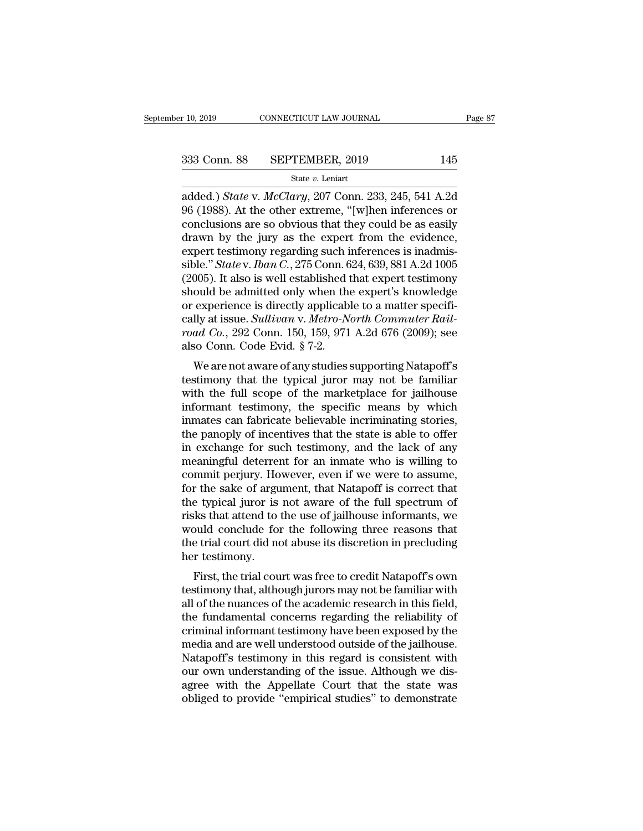r 10, 2019 CONNECTICUT LAW JOURNAL Page 87<br>
333 Conn. 88 SEPTEMBER, 2019 145<br>
<sup>345</sup> State *v*. *McClary*, 207 Conn. 233, 245, 541 A.2d<br>
96 (1988). At the other extreme, "[w]hen inferences or 333 Conn. 88 SEPTEMBER, 2019 145<br>
state v. Leniart<br>
added.) State v. McClary, 207 Conn. 233, 245, 541 A.2d<br>
96 (1988). At the other extreme, "[w]hen inferences or<br>
conclusions are so obvious that they could be as easily<br> 333 Conn. 88 SEPTEMBER, 2019 145<br>
State v. Leniart<br>
added.) *State* v. *McClary*, 207 Conn. 233, 245, 541 A.2d<br>
96 (1988). At the other extreme, "[w]hen inferences or<br>
conclusions are so obvious that they could be as easi 333 Conn. 88 SEPTEMBER, 2019 145<br>
state v. Leniart<br>
added.) *State* v. *McClary*, 207 Conn. 233, 245, 541 A.2d<br>
96 (1988). At the other extreme, "[w]hen inferences or<br>
conclusions are so obvious that they could be as easi State v. Leniart<br>
State v. Leniart<br>
added.) State v. McClary, 207 Conn. 233, 245, 541 A.2d<br>
96 (1988). At the other extreme, "[w]hen inferences or<br>
conclusions are so obvious that they could be as easily<br>
drawn by the jur state v. Leniart<br>added.) *State* v. *McClary*, 207 Conn. 233, 245, 541 A.2d<br>96 (1988). At the other extreme, "[w]hen inferences or<br>conclusions are so obvious that they could be as easily<br>drawn by the jury as the expert fro added.) *State* v. *McClary*, 207 Conn. 233, 245, 541 A.2d<br>96 (1988). At the other extreme, "[w]hen inferences or<br>conclusions are so obvious that they could be as easily<br>drawn by the jury as the expert from the evidence,<br>e 96 (1988). At the other extreme, "[w]hen inferences or<br>conclusions are so obvious that they could be as easily<br>drawn by the jury as the expert from the evidence,<br>expert testimony regarding such inferences is inadmis-<br>sibl conclusions are so obvious that they could be as easily<br>drawn by the jury as the expert from the evidence,<br>expert testimony regarding such inferences is inadmis-<br>sible." *State* v. *Iban C.*, 275 Conn. 624, 639, 881 A.2d drawn by the jury as the expert from the evidence,<br>expert testimony regarding such inferences is inadmis-<br>sible." *State* v. *Iban C.*, 275 Conn. 624, 639, 881 A.2d 1005<br>(2005). It also is well established that expert test expert testimony regarding such inferences is inadmis-<br>sible." *State* v. *Iban C*., 275 Conn. 624, 639, 881 A.2d 1005<br>(2005). It also is well established that expert testimony<br>should be admitted only when the expert's kno sible." *State* v. *Iban C.*, 275 Conn. 6 (2005). It also is well established the should be admitted only when the or experience is directly applicable cally at issue. *Sullivan* v. *Metro-Noroad Co.*, 292 Conn. 150, 159, boother also is wen established that expert testimony<br>ould be admitted only when the expert's knowledge<br>experience is directly applicable to a matter specifi-<br>lly at issue. Sullivan v. Metro-North Commuter Rail-<br>ad Co., 29 should be all interesting when the expert's knowledge<br>or experience is directly applicable to a matter specifi-<br>cally at issue. Sullivan v. Metro-North Commuter Rail-<br>road Co., 292 Conn. 150, 159, 971 A.2d 676 (2009); see<br>

of experience is unectly applicable to a matter specifically at issue. Sullivan v. Metro-North Commuter Railroad Co., 292 Conn. 150, 159, 971 A.2d 676 (2009); see also Conn. Code Evid. § 7-2.<br>We are not aware of any studie cany at issue. *Suttivan v. Metro-North Commuter Rational Co.*, 292 Conn. 150, 159, 971 A.2d 676 (2009); see also Conn. Code Evid. § 7-2.<br>We are not aware of any studies supporting Natapoff's testimony that the typical jur Fold Co., 252 Colli. 150, 155, 371 A.2d 070 (2005), see<br>also Conn. Code Evid. § 7-2.<br>We are not aware of any studies supporting Natapoff's<br>testimony that the typical juror may not be familiar<br>with the full scope of the ma We are not aware of any studies supporting Natapoff's<br>testimony that the typical juror may not be familiar<br>with the full scope of the marketplace for jailhouse<br>informant testimony, the specific means by which<br>inmates can We are not aware of any studies supporting Natapoff's<br>testimony that the typical juror may not be familiar<br>with the full scope of the marketplace for jailhouse<br>informant testimony, the specific means by which<br>inmates can f testimony that the typical juror may not be familiar<br>with the full scope of the marketplace for jailhouse<br>informant testimony, the specific means by which<br>inmates can fabricate believable incriminating stories,<br>the panoply with the full scope of the marketplace for jailhouse<br>informant testimony, the specific means by which<br>inmates can fabricate believable incriminating stories,<br>the panoply of incentives that the state is able to offer<br>in exc informant testimony, the specific means by which<br>inmates can fabricate believable incriminating stories,<br>the panoply of incentives that the state is able to offer<br>in exchange for such testimony, and the lack of any<br>meaning inmates can fabricate believable incriminating stories,<br>the panoply of incentives that the state is able to offer<br>in exchange for such testimony, and the lack of any<br>meaningful deterrent for an inmate who is willing to<br>com the panoply of incentives that the state is able to offer<br>in exchange for such testimony, and the lack of any<br>meaningful deterrent for an inmate who is willing to<br>commit perjury. However, even if we were to assume,<br>for the in exchange for such testimony, and the lack of any<br>meaningful deterrent for an inmate who is willing to<br>commit perjury. However, even if we were to assume,<br>for the sake of argument, that Natapoff is correct that<br>the typic meaningful deterrent for an inmate who is willing to<br>commit perjury. However, even if we were to assume,<br>for the sake of argument, that Natapoff is correct that<br>the typical juror is not aware of the full spectrum of<br>risks commit perjury. Ho<br>for the sake of argu<br>the typical juror is<br>risks that attend to<br>would conclude for<br>the trial court did no<br>her testimony.<br>First, the trial cou First, the trial court was free to credit Natapoff's own<br>stimular etrapical juror is not aware of the full spectrum of<br>sks that attend to the use of jailhouse informants, we<br>puld conclude for the following three reasons th the typical juror is not aware of the full spectrum of<br>risks that attend to the use of jailhouse informants, we<br>would conclude for the following three reasons that<br>the trial court did not abuse its discretion in precluding

risks that attend to the use of Jamfouse informants, we<br>would conclude for the following three reasons that<br>the trial court did not abuse its discretion in precluding<br>her testimony.<br>First, the trial court was free to credi would conclude for the following three reasons that<br>the trial court did not abuse its discretion in precluding<br>her testimony.<br>First, the trial court was free to credit Natapoff's own<br>testimony that, although jurors may not the that court durinot abuse its uiscretion in preciding<br>her testimony.<br>First, the trial court was free to credit Natapoff's own<br>testimony that, although jurors may not be familiar with<br>all of the nuances of the academic r First, the trial court was free to credit Natapoff's own<br>testimony that, although jurors may not be familiar with<br>all of the nuances of the academic research in this field,<br>the fundamental concerns regarding the reliabilit First, the trial court was free to credit Natapoff's own<br>testimony that, although jurors may not be familiar with<br>all of the nuances of the academic research in this field,<br>the fundamental concerns regarding the reliabilit testimony that, although jurors may not be familiar with<br>all of the nuances of the academic research in this field,<br>the fundamental concerns regarding the reliability of<br>criminal informant testimony have been exposed by th all of the nuances of the academic research in this field,<br>the fundamental concerns regarding the reliability of<br>criminal informant testimony have been exposed by the<br>media and are well understood outside of the jailhouse. the fundamental concerns regarding the reliability of<br>criminal informant testimony have been exposed by the<br>media and are well understood outside of the jailhouse.<br>Natapoff's testimony in this regard is consistent with<br>our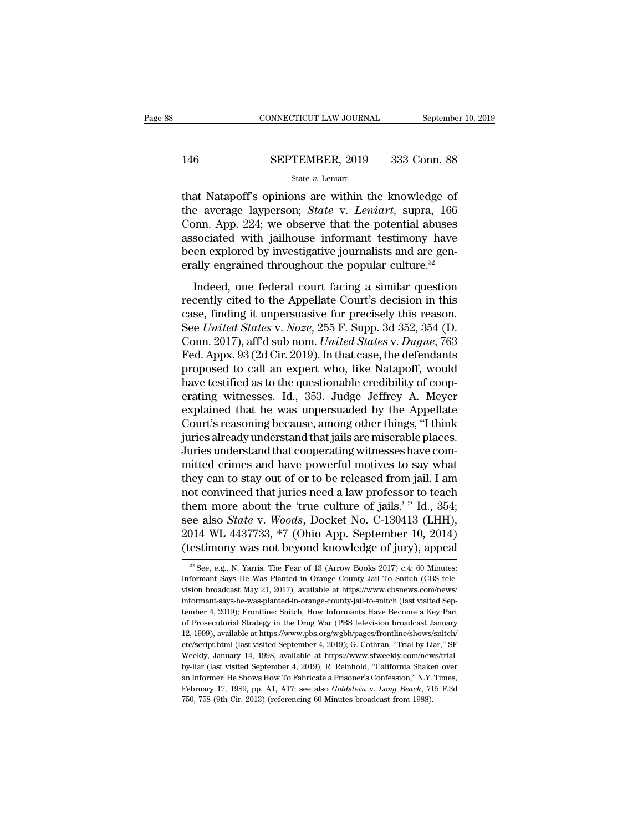# $\begin{tabular}{lll} \multicolumn{2}{l} \multicolumn{2}{l}{{\small\bf CONNECTICUT LAW JOURNAL}} & \multicolumn{2}{l}{September 10, 2019} \\\\ \hline 146 & \multicolumn{2}{l}{\bf SEPTEMBER, 2019} & 333 & \multicolumn{2}{l}{\bf Conn. 88} \\\\ \hline & \multicolumn{2}{l}{\bf State}\ v. \ Leniart & \multicolumn{2}{l}{\bf$

### State *v.* Leniart

CONNECTICUT LAW JOURNAL September 10, 2019<br>
SEPTEMBER, 2019 333 Conn. 88<br>
State v. Leniart<br>
That Natapoff's opinions are within the knowledge of<br>
the average layperson; *State v. Leniart*, supra, 166<br>
Conn. App. 224: we ob SEPTEMBER, 2019 333 Conn. 88<br>
State *v*. Leniart<br>
that Natapoff's opinions are within the knowledge of<br>
the average layperson; *State* v. *Leniart*, supra, 166<br>
Conn. App. 224; we observe that the potential abuses<br>
associa 146 SEPTEMBER, 2019 333 Conn. 88<br>
State v. Leniart<br>
that Natapoff's opinions are within the knowledge of<br>
the average layperson; *State v. Leniart*, supra, 166<br>
Conn. App. 224; we observe that the potential abuses<br>
associ 146 SEPTEMBER, 2019 333 Conn. 88<br>
state v. Leniart<br>
that Natapoff's opinions are within the knowledge of<br>
the average layperson; *State* v. *Leniart*, supra, 166<br>
Conn. App. 224; we observe that the potential abuses<br>
asso Been explored by investigative increasing that Natapoff's opinions are within the knowledge of the average layperson; *State v. Leniart*, supra, 166 Conn. App. 224; we observe that the potential abuses associated with jai state v. Lemart<br>that Natapoff's opinions are within the knowledge of<br>the average layperson; *State* v. Leniart, supra, 166<br>Conn. App. 224; we observe that the potential abuses<br>associated with jailhouse informant testimony E average layperson; *State v. Leniart*, supra, 166<br>
sociated with jailhouse informant testimony have<br>
en explored by investigative journalists and are gen-<br>
ally engrained throughout the popular culture.<sup>32</sup><br>
Indeed, one change my person, state at Estatian, Experimential abuses<br>
conn. App. 224; we observe that the potential abuses<br>
associated with jailhouse informant testimony have<br>
been explored by investigative journalists and are gen-<br>

come ripp. 221, we observe that the potential assessor associated with jailhouse informant testimony have<br>been explored by investigative journalists and are generally engrained throughout the popular culture.<sup>32</sup><br>Indeed, designated with jainbase morniant testantory rave<br>been explored by investigative journalists and are gen-<br>erally engrained throughout the popular culture.<sup>32</sup><br>Indeed, one federal court facing a similar question<br>recently ci Example of the problem. <sup>2017</sup> and the popular culture.<sup>32</sup><br>
Indeed, one federal court facing a similar question<br>
recently cited to the Appellate Court's decision in this<br>
case, finding it unpersuasive for precisely this r Indeed, one federal court facing a similar question<br>recently cited to the Appellate Court's decision in this<br>case, finding it unpersuasive for precisely this reason.<br>See *United States v. Noze*, 255 F. Supp. 3d 352, 354 (D Indeed, one federal court facing a similar question<br>recently cited to the Appellate Court's decision in this<br>case, finding it unpersuasive for precisely this reason.<br>See *United States v. Noze*, 255 F. Supp. 3d 352, 354 ( recently cited to the Appellate Court's decision in this<br>case, finding it unpersuasive for precisely this reason.<br>See *United States v. Noze*, 255 F. Supp. 3d 352, 354 (D.<br>Conn. 2017), aff'd sub nom. *United States v. Dugu* case, finding it unpersuasive for precisely this reason.<br>See *United States v. Noze*, 255 F. Supp. 3d 352, 354 (D.<br>Conn. 2017), aff'd sub nom. *United States v. Dugue*, 763<br>Fed. Appx. 93 (2d Cir. 2019). In that case, the d See *United States v. Noze*, 255 F. Supp. 3d 352, 354 (D.<br>Conn. 2017), aff'd sub nom. *United States v. Dugue*, 763<br>Fed. Appx. 93 (2d Cir. 2019). In that case, the defendants<br>proposed to call an expert who, like Natapoff, Conn. 2017), aff'd sub nom. *United States v. Dugue*, 763<br>Fed. Appx. 93 (2d Cir. 2019). In that case, the defendants<br>proposed to call an expert who, like Natapoff, would<br>have testified as to the questionable credibility of Fed. Appx. 93 (2d Cir. 2019). In that case, the defendants<br>proposed to call an expert who, like Natapoff, would<br>have testified as to the questionable credibility of coop-<br>erating witnesses. Id., 353. Judge Jeffrey A. Meyer proposed to call an expert who, like Natapoff, would<br>have testified as to the questionable credibility of coop-<br>erating witnesses. Id., 353. Judge Jeffrey A. Meyer<br>explained that he was unpersuaded by the Appellate<br>Court's have testified as to the questionable credibility of cooperating witnesses. Id., 353. Judge Jeffrey A. Meyer explained that he was unpersuaded by the Appellate Court's reasoning because, among other things, "I think juries erating witnesses. Id., 353. Judge Jeffrey A. Meyer<br>explained that he was unpersuaded by the Appellate<br>Court's reasoning because, among other things, "I think<br>juries already understand that jails are miserable places.<br>Juri explained that he was unpersuaded by the Appellate<br>Court's reasoning because, among other things, "I think<br>juries already understand that jails are miserable places.<br>Juries understand that cooperating witnesses have com-<br>m Court's reasoning because, among other things, "I think<br>juries already understand that jails are miserable places.<br>Juries understand that cooperating witnesses have com-<br>mitted crimes and have powerful motives to say what juries already understand that jails are miserable places.<br>Juries understand that cooperating witnesses have committed crimes and have powerful motives to say what<br>they can to stay out of or to be released from jail. I am<br> Juries understand that cooperating witnesses have committed crimes and have powerful motives to say what<br>they can to stay out of or to be released from jail. I am<br>not convinced that juries need a law professor to teach<br>the mitted crimes and have powerful motives to say what<br>they can to stay out of or to be released from jail. I am<br>not convinced that juries need a law professor to teach<br>them more about the 'true culture of jails.' " Id., 354; them more about the 'true culture of jails.' " Id., 354;<br>see also *State* v. *Woods*, Docket No. C-130413 (LHH),<br>2014 WL 4437733, \*7 (Ohio App. September 10, 2014)<br>(testimony was not beyond knowledge of jury), appeal<br> $\frac{$ See also *State* v. *Woods*, Docket No. C-130413 (LHH), 2014 WL 4437733, \*7 (Ohio App. September 10, 2014) (testimony was not beyond knowledge of jury), appeal  $\frac{1}{2}$  See, e.g., N. Yarris, The Fear of 13 (Arrow Books 20

<sup>2014</sup> WL 4437733, \*7 (Ohio App. September 10, 2014)<br>(testimony was not beyond knowledge of jury), appeal<br> $\frac{1}{\sqrt{2}}$  See, e.g., N. Yarris, The Fear of 13 (Arrow Books 2017) c.4; 60 Minutes:<br>Informant Says He Was Planted in (testimony was not beyond knowledge of jury), appeal<br>
<sup>32</sup> See, e.g., N. Yarris, The Fear of 13 (Arrow Books 2017) c.4; 60 Minutes:<br>
Informant Says He Was Planted in Orange County Jail To Snitch (CBS tele-<br>
vision broadcas  $^{28}$  See, e.g., N. Yarris, The Fear of 13 (Arrow Books 2017) c.4; 60 Minutes:<br>Informant Says He Was Planted in Orange County Jail To Snitch (CBS tele-<br>vision broadcast May 21, 2017), available at https://www.cbsnews.com <sup>32</sup> See, e.g., N. Yarris, The Fear of 13 (Arrow Books 2017) c.4; 60 Minutes:<br>Informant Says He Was Planted in Orange County Jail To Snitch (CBS tele-<br>vision broadcast May 21, 2017), available at https://www.cbsnews.com/n Informant Says He Was Planted in Orange County Jail To Snitch (CBS tele-<br>vision broadcast May 21, 2017), available at https://www.cbsnews.com/news/<br>informant-says-he-was-planted-in-orange-county-jail-to-snitch (last visite vision broadcast May 21, 2017), available at https://www.cbsnews.com/news/<br>informant-says-he-was-planted-in-orange-county-jail-to-snitch (last visited Sep-<br>tember 4, 2019); Frontline: Snitch, How Informants Have Become a K informant-says-he-was-planted-in-orange-county-jail-to-snitch (last visited September 4, 2019); Frontline: Snitch, How Informants Have Become a Key Part of Prosecutorial Strategy in the Drug War (PBS television broadcast J tember 4, 2019); Frontline: Snitch, How Informants Have Become a Key Part<br>of Prosecutorial Strategy in the Drug War (PBS television broadcast January<br>12, 1999), available at https://www.pbs.org/wgbh/pages/frontline/shows/s of Prosecutorial Strategy in the Drug War (PBS television broadcast January 12, 1999), available at https://www.pbs.org/wgbh/pages/frontline/shows/snitch/ etc/script.html (last visited September 4, 2019); G. Cothran, "Tri 12, 1999), available at https://www.pbs.org/wgbh/pages/frontline/shows/snitch/ etc/script.html (last visited September 4, 2019); G. Cothran, "Trial by Liar," SF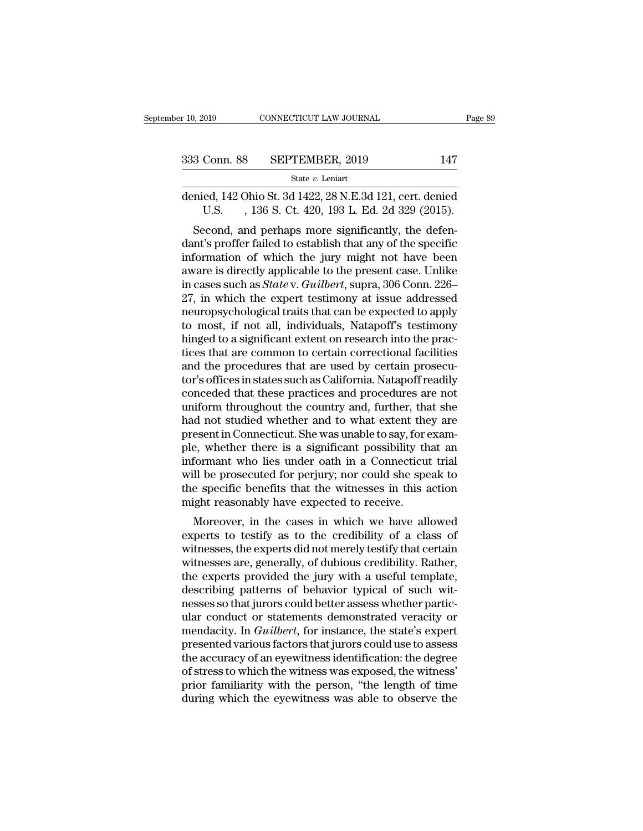| r 10, 2019   | CONNECTICUT LAW JOURNAL | Page 89 |  |
|--------------|-------------------------|---------|--|
| 333 Conn. 88 | SEPTEMBER, 2019         | 147     |  |
|              | State $v$ . Leniart     |         |  |

9. 10, 2019 CONNECTICUT LAW JOURNAL Page 89<br>
333 Conn. 88 SEPTEMBER, 2019 147<br>
341 State v. Leniart<br>
36 Genied, 142 Ohio St. 3d 1422, 28 N.E.3d 121, cert. denied<br>
U.S. , 136 S. Ct. 420, 193 L. Ed. 2d 329 (2015). Conn. 88 SEPTEMBER, 2019 147<br>
State v. Leniart<br>
ed, 142 Ohio St. 3d 1422, 28 N.E.3d 121, cert. denied<br>
U.S. , 136 S. Ct. 420, 193 L. Ed. 2d 329 (2015).<br>
econd, and perhaps more significantly, the defen-

 $\frac{\text{SEPTEMBER}, 2019}{\text{State } v. \text{ Leniat}}$ <br>  $\frac{\text{State } v. \text{ Leniat}}{\text{mied}, 142 \text{ Ohio St. 3d } 1422, 28 \text{ N.E.3d } 121, \text{cert. denied U.S. }, 136 \text{ S. Ct. } 420, 193 \text{ L. Ed. } 2d \text{ } 329 \text{ } (2015).}$ <br>
Second, and perhaps more significantly, the defen-<br>
of the specif 333 Conn. 88 SEPTEMBER, 2019 147<br>
state v. Leniart<br>
denied, 142 Ohio St. 3d 1422, 28 N.E.3d 121, cert. denied<br>
U.S., 136 S. Ct. 420, 193 L. Ed. 2d 329 (2015).<br>
Second, and perhaps more significantly, the defen-<br>
dant's pr State v. Leniart<br>
denied, 142 Ohio St. 3d 1422, 28 N.E.3d 121, cert. denied<br>
U.S. , 136 S. Ct. 420, 193 L. Ed. 2d 329 (2015).<br>
Second, and perhaps more significantly, the defen-<br>
dant's proffer failed to establish that an denied, 142 Ohio St. 3d 1422, 28 N.E.3d 121, cert. denied<br>U.S. , 136 S. Ct. 420, 193 L. Ed. 2d 329 (2015).<br>Second, and perhaps more significantly, the defen-<br>dant's proffer failed to establish that any of the specific<br>info defined, 142 Offio St. 3d 1422, 26 N.E.3d 121, cert. defined<br>U.S. , 136 S. Ct. 420, 193 L. Ed. 2d 329 (2015).<br>Second, and perhaps more significantly, the defen-<br>dant's proffer failed to establish that any of the specific<br>i 27, in which the expert testimony to most if not all individuals. Naturality, the most incommendant's proffer failed to establish that any of the specific information of which the jury might not have been aware is directl Second, and perhaps more significantly, the defendant's proffer failed to establish that any of the specific<br>information of which the jury might not have been<br>aware is directly applicable to the present case. Unlike<br>in cas dant's proffer failed to establish that any of the specific<br>information of which the jury might not have been<br>aware is directly applicable to the present case. Unlike<br>in cases such as *State* v. *Guilbert*, supra, 306 Conn information of which the jury might not have been<br>aware is directly applicable to the present case. Unlike<br>in cases such as  $State$  v.  $Guilbert$ , supra, 306 Conn. 226-<br>27, in which the expert testimony at issue addressed<br>neuropsy aware is directly applicable to the present case. Unlike<br>in cases such as *State* v. *Guilbert*, supra, 306 Conn. 226–<br>27, in which the expert testimony at issue addressed<br>neuropsychological traits that can be expected to in cases such as *State* v. *Guilbert*, supra, 306 Conn. 226–27, in which the expert testimony at issue addressed neuropsychological traits that can be expected to apply to most, if not all, individuals, Natapoff's testimo 27, in which the expert testimony at issue addressed<br>neuropsychological traits that can be expected to apply<br>to most, if not all, individuals, Natapoff's testimony<br>hinged to a significant extent on research into the prac-<br> neuropsychological traits that can be expected to apply<br>to most, if not all, individuals, Natapoff's testimony<br>hinged to a significant extent on research into the prac-<br>tices that are common to certain correctional facilit to most, if not all, individuals, Natapoff's testimony<br>hinged to a significant extent on research into the prac-<br>tices that are common to certain correctional facilities<br>and the procedures that are used by certain prosecuhinged to a significant extent on research into the practices that are common to certain correctional facilities<br>and the procedures that are used by certain prosecutor's offices in states such as California. Natapoff readi tices that are common to certain correctional facilities<br>and the procedures that are used by certain prosecu-<br>tor's offices in states such as California. Natapoff readily<br>conceded that these practices and procedures are no and the procedures that are used by certain prosecutor's offices in states such as California. Natapoff readily conceded that these practices and procedures are not uniform throughout the country and, further, that she had tor's offices in states such as California. Natapoff readily<br>conceded that these practices and procedures are not<br>uniform throughout the country and, further, that she<br>had not studied whether and to what extent they are<br>pr conceded that these practices and procedures are not<br>uniform throughout the country and, further, that she<br>had not studied whether and to what extent they are<br>present in Connecticut. She was unable to say, for exam-<br>ple, w uniform throughout the country and, further, that she<br>had not studied whether and to what extent they are<br>present in Connecticut. She was unable to say, for exam-<br>ple, whether there is a significant possibility that an<br>inf had not studied whether and to what extent they are<br>present in Connecticut. She was unable to say, for exam-<br>ple, whether there is a significant possibility that an<br>informant who lies under oath in a Connecticut trial<br>will Essent in Connecticut. She was unable to say, for exam-<br>e, whether there is a significant possibility that an<br>formant who lies under oath in a Connecticut trial<br>Il be prosecuted for perjury; nor could she speak to<br>e specif ple, whether there is a significant possibility that all<br>informant who lies under oath in a Connecticut trial<br>will be prosecuted for perjury; nor could she speak to<br>the specific benefits that the witnesses in this action<br>m

miorinant who nes under oant in a Connecticut that<br>will be prosecuted for perjury; nor could she speak to<br>the specific benefits that the witnesses in this action<br>might reasonably have expected to receive.<br>Moreover, in the with be prosecuted for perjury, not could she speak to<br>the specific benefits that the witnesses in this action<br>might reasonably have expected to receive.<br>Moreover, in the cases in which we have allowed<br>experts to testify a the specific benefits that the whitesses in this action<br>might reasonably have expected to receive.<br>Moreover, in the cases in which we have allowed<br>experts to testify as to the credibility of a class of<br>witnesses, the exper might reasonably have expected to receive.<br>Moreover, in the cases in which we have allowed<br>experts to testify as to the credibility of a class of<br>witnesses, the experts did not merely testify that certain<br>witnesses are, ge Moreover, in the cases in which we have allowed<br>experts to testify as to the credibility of a class of<br>witnesses, the experts did not merely testify that certain<br>witnesses are, generally, of dubious credibility. Rather,<br>t experts to testify as to the credibility of a class of<br>witnesses, the experts did not merely testify that certain<br>witnesses are, generally, of dubious credibility. Rather,<br>the experts provided the jury with a useful templa witnesses, the experts did not merely testify that certain<br>witnesses are, generally, of dubious credibility. Rather,<br>the experts provided the jury with a useful template,<br>describing patterns of behavior typical of such wit witnesses are, generally, of dubious credibility. Rather,<br>the experts provided the jury with a useful template,<br>describing patterns of behavior typical of such wit-<br>nesses so that jurors could better assess whether particthe experts provided the jury with a useful template,<br>describing patterns of behavior typical of such wit-<br>nesses so that jurors could better assess whether partic-<br>ular conduct or statements demonstrated veracity or<br>menda describing patterns of behavior typical of such witnesses so that jurors could better assess whether particular conduct or statements demonstrated veracity or mendacity. In *Guilbert*, for instance, the state's expert pres nesses so that jurors could better assess whether partic-<br>ular conduct or statements demonstrated veracity or<br>mendacity. In *Guilbert*, for instance, the state's expert<br>presented various factors that jurors could use to as ular conduct or statements demonstrated veracity or<br>mendacity. In *Guilbert*, for instance, the state's expert<br>presented various factors that jurors could use to assess<br>the accuracy of an eyewitness identification: the deg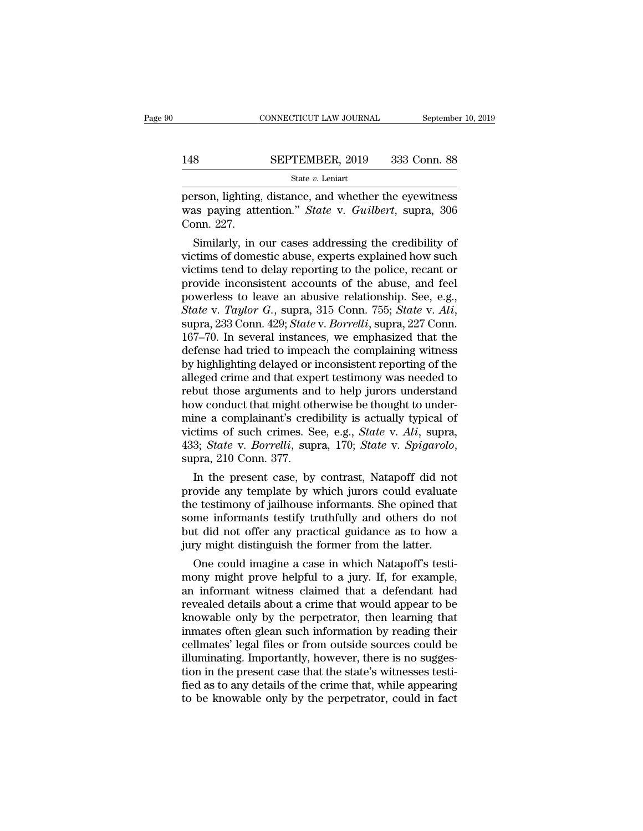# $\begin{tabular}{lll} \multicolumn{2}{l} \multicolumn{2}{l}{{\small\bf CONNECTICUT LAW JOURNAL}} & \multicolumn{2}{l}{September 10, 2019} \\\\ \hline 148 & \multicolumn{2}{l}{\bf SEPTEMBER, 2019} & 333 & \multicolumn{2}{l}{\bf Conn. 88} \\\\ \hline & \multicolumn{2}{l}{\bf State}\ v. \ Leniart & \multicolumn{2}{l}{\bf$

State *v.* Leniart

CONNECTICUT LAW JOURNAL September 10, 2019<br>
148 SEPTEMBER, 2019 333 Conn. 88<br>
5tate v. Leniart<br>
person, lighting, distance, and whether the eyewitness<br>
was paying attention." *State* v. *Guilbert*, supra, 306<br>
Conn. 227 SEPTEMBER, 2019 333 Conn. 88<br>
State *v*. Leniart<br>
person, lighting, distance, and whether the eyewitness<br>
was paying attention." *State* v. *Guilbert*, supra, 306<br>
Conn. 227. 148<br>person, lighting<br>was paying att<br>Conn. 227.<br>Similarly, in Similarly, in our cases addressing the redibility of<br>times and whether the eyewitness<br>as paying attention." *State* v. *Guilbert*, supra, 306<br>pnn. 227.<br>Similarly, in our cases addressing the credibility of<br>ctims of domest

State v. Leniart<br>
person, lighting, distance, and whether the eyewitness<br>
was paying attention." State v. Guilbert, supra, 306<br>
Conn. 227.<br>
Similarly, in our cases addressing the credibility of<br>
victims of domestic abuse, person, lighting, distance, and whether the eyewitness<br>was paying attention." *State* v. *Guilbert*, supra, 306<br>Conn. 227.<br>Similarly, in our cases addressing the credibility of<br>victims of domestic abuse, experts explained person, lighting, distance, and whether the eyewithess<br>was paying attention." *State* v. *Guilbert*, supra, 306<br>Conn. 227.<br>Similarly, in our cases addressing the credibility of<br>victims of domestic abuse, experts explained was paying attention. State v. Guitbert, supra, 306<br>Conn. 227.<br>Similarly, in our cases addressing the credibility of<br>victims of domestic abuse, experts explained how such<br>victims tend to delay reporting to the police, reca *Similarly, in our cases addressing the credibility of* victims of domestic abuse, experts explained how such victims tend to delay reporting to the police, recant or provide inconsistent accounts of the abuse, and feel po victims of domestic abuse, experts explained how such<br>victims tend to delay reporting to the police, recant or<br>provide inconsistent accounts of the abuse, and feel<br>powerless to leave an abusive relationship. See, e.g.,<br>*St* victims tend to delay reporting to the police, recant or<br>provide inconsistent accounts of the abuse, and feel<br>powerless to leave an abusive relationship. See, e.g.,<br>*State* v. *Taylor G.*, supra, 315 Conn. 755; *State* v. provide inconsistent accounts of the abuse, and feel<br>powerless to leave an abusive relationship. See, e.g.,<br>State v. Taylor G., supra, 315 Conn. 755; State v. Ali,<br>supra, 233 Conn. 429; State v. Borrelli, supra, 227 Conn.<br> powerless to leave an abusive relationship. See, e.g.,<br>State v. Taylor G., supra, 315 Conn. 755; State v. Ali,<br>supra, 233 Conn. 429; State v. Borrelli, supra, 227 Conn.<br>167–70. In several instances, we emphasized that the<br> State v. Taylor G., supra, 315 Conn. 755; State v. Ali,<br>supra, 233 Conn. 429; State v. Borrelli, supra, 227 Conn.<br>167–70. In several instances, we emphasized that the<br>defense had tried to impeach the complaining witness<br>by supra, 233 Conn. 429; *State v. Borrelli*, supra, 227 Conn. 167–70. In several instances, we emphasized that the defense had tried to impeach the complaining witness by highlighting delayed or inconsistent reporting of th 167–70. In several instances, we emphasized that the<br>defense had tried to impeach the complaining witness<br>by highlighting delayed or inconsistent reporting of the<br>alleged crime and that expert testimony was needed to<br>rebu defense had tried to impeach the complaining witness<br>by highlighting delayed or inconsistent reporting of the<br>alleged crime and that expert testimony was needed to<br>rebut those arguments and to help jurors understand<br>how co by highlighting delayed or inconsistent reporting of the alleged crime and that expert testimony was needed to rebut those arguments and to help jurors understand how conduct that might otherwise be thought to undermine a bout those arguments and to help jurors understand<br>we conduct that might otherwise be thought to under-<br>ine a complainant's credibility is actually typical of<br>extims of such crimes. See, e.g., *State v. Ali*, supra,<br>3; *St* mine a complainant's credibility is actually typical of<br>victims of such crimes. See, e.g., *State* v. *Ali*, supra,<br>433; *State* v. *Borrelli*, supra, 170; *State* v. *Spigarolo*,<br>supra, 210 Conn. 377.<br>In the present case,

mine a complainant s credibility is actually typical of<br>victims of such crimes. See, e.g., *State v. Ali*, supra,<br>433; *State v. Borrelli*, supra, 170; *State v. Spigarolo*,<br>supra, 210 Conn. 377.<br>In the present case, by co victims or such crimes. See, e.g., *State v. Att*, supra, 433; *State v. Borrelli*, supra, 170; *State v. Spigarolo*, supra, 210 Conn. 377.<br>In the present case, by contrast, Natapoff did not provide any template by which j 433; *State V. Borretti*, supra, 170; *State V. Spigaroto*, supra, 210 Conn. 377.<br>In the present case, by contrast, Natapoff did not provide any template by which jurors could evaluate the testimony of jailhouse informants supra, 210 Conn. 377.<br>In the present case, by contrast, Natapoff did not<br>provide any template by which jurors could evaluate<br>the testimony of jailhouse informants. She opined that<br>some informants testify truthfully and oth In the present case, by contrast, Natapori did not<br>ovide any template by which jurors could evaluate<br>e testimony of jailhouse informants. She opined that<br>me informants testify truthfully and others do not<br>it did not offer provide any template by which jurors could evaluate<br>the testimony of jailhouse informants. She opined that<br>some informants testify truthfully and others do not<br>but did not offer any practical guidance as to how a<br>jury migh

the testimony of Jailnouse informants. She opined that<br>some informants testify truthfully and others do not<br>but did not offer any practical guidance as to how a<br>jury might distinguish the former from the latter.<br>One could some informants testify truthility and others do not<br>but did not offer any practical guidance as to how a<br>jury might distinguish the former from the latter.<br>One could imagine a case in which Natapoff's testi-<br>mony might pr but did not offer any practical guidance as to now a<br>jury might distinguish the former from the latter.<br>One could imagine a case in which Natapoff's testi-<br>mony might prove helpful to a jury. If, for example,<br>an informant jury might distinguish the former from the latter.<br>
One could imagine a case in which Natapoff's testi-<br>
mony might prove helpful to a jury. If, for example,<br>
an informant witness claimed that a defendant had<br>
revealed det One could imagine a case in which Natapoff's testi-<br>mony might prove helpful to a jury. If, for example,<br>an informant witness claimed that a defendant had<br>revealed details about a crime that would appear to be<br>knowable onl mony might prove helpful to a jury. If, for example,<br>an informant witness claimed that a defendant had<br>revealed details about a crime that would appear to be<br>knowable only by the perpetrator, then learning that<br>inmates oft an informant witness claimed that a defendant had<br>revealed details about a crime that would appear to be<br>knowable only by the perpetrator, then learning that<br>inmates often glean such information by reading their<br>cellmates' revealed details about a crime that would appear to be<br>knowable only by the perpetrator, then learning that<br>inmates often glean such information by reading their<br>cellmates' legal files or from outside sources could be<br>illu knowable only by the perpetrator, then learning that<br>inmates often glean such information by reading their<br>cellmates' legal files or from outside sources could be<br>illuminating. Importantly, however, there is no sugges-<br>tio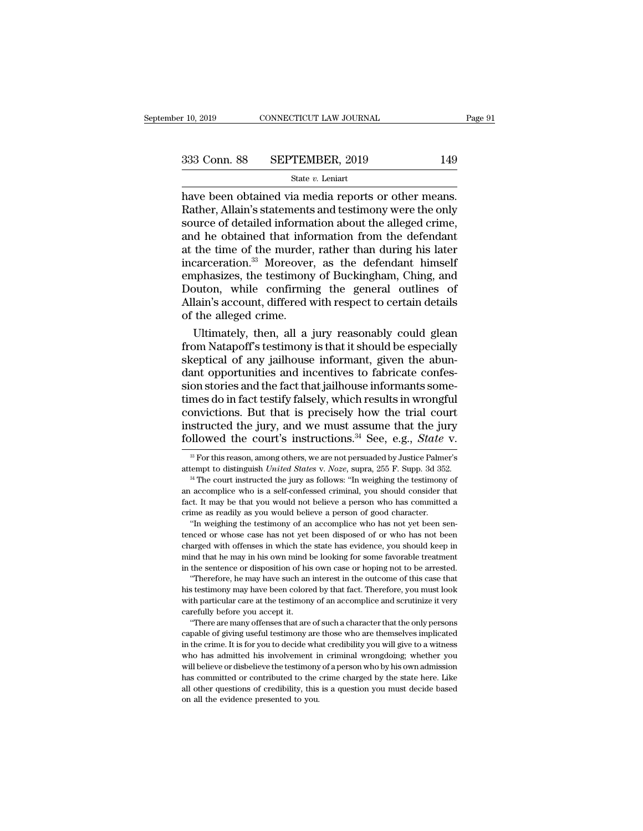$\begin{array}{r}\n \text{F 10, 2019}\n \text{COMRECTICUT LAW JOURNAL}\n \end{array}\n \begin{array}{r}\n \text{Page}\n \text{B333 Conn. } 88\n \end{array}\n \begin{array}{r}\n \text{SEPTEMBER, 2019}\n \text{State } v. \text{ Leniart}\n \end{array}\n \text{Rate } v. \text{ Leniart}\n \text{have been obtained via media reports or other means.} \n \text{Rather, Allain's statements and testimony were the only source of detailed information about the allowed crime.} \end{array}$ 333 Conn. 88 SEPTEMBER, 2019 149<br>State v. Leniart<br>have been obtained via media reports or other means.<br>Rather, Allain's statements and testimony were the only<br>source of detailed information about the alleged crime,<br>and he 333 Conn. 88 SEPTEMBER, 2019 149<br>
State v. Leniart<br>
have been obtained via media reports or other means.<br>
Rather, Allain's statements and testimony were the only<br>
source of detailed information about the alleged crime,<br>
a 333 Conn. 88 SEPTEMBER, 2019 149<br>
State *v*. Leniart<br>
have been obtained via media reports or other means.<br>
Rather, Allain's statements and testimony were the only<br>
source of detailed information about the alleged crime,<br> Solution of the murder, the murder of Ruckinshan Chine and the murder of the murder, and the obtained that information about the alleged crime,<br>and he obtained that information about the alleged crime,<br>and he obtained tha State v. Leniart<br>have been obtained via media reports or other means.<br>Rather, Allain's statements and testimony were the only<br>source of detailed information about the alleged crime,<br>and he obtained that information from t have been obtained via media reports or other means.<br>Rather, Allain's statements and testimony were the only<br>source of detailed information about the alleged crime,<br>and he obtained that information from the defendant<br>at th Rather, Allain's statements and testimony were the only<br>source of detailed information about the alleged crime,<br>and he obtained that information from the defendant<br>at the time of the murder, rather than during his later<br>in source of detailed information about the alleged crime,<br>and he obtained that information from the defendant<br>at the time of the murder, rather than during his later<br>incarceration.<sup>33</sup> Moreover, as the defendant himself<br>emph and he obtained that info<br>at the time of the murder<br>incarceration.<sup>33</sup> Moreover<br>emphasizes, the testimony<br>Douton, while confirmin<br>Allain's account, differed v<br>of the alleged crime.<br>Ultimately, then, all a the time of the murder, rather than during his later<br>carceration.<sup>33</sup> Moreover, as the defendant himself<br>nphasizes, the testimony of Buckingham, Ching, and<br>outon, while confirming the general outlines of<br>lain's account, di incarceration.<sup>33</sup> Moreover, as the defendant himself<br>emphasizes, the testimony of Buckingham, Ching, and<br>Douton, while confirming the general outlines of<br>Allain's account, differed with respect to certain details<br>of the a

emphasizes, the testimony of Buckingham, Ching, and<br>Douton, while confirming the general outlines of<br>Allain's account, differed with respect to certain details<br>of the alleged crime.<br>Ultimately, then, all a jury reasonably Douton, while confirming the general outlines of<br>Allain's account, differed with respect to certain details<br>of the alleged crime.<br>Ultimately, then, all a jury reasonably could glean<br>from Natapoff's testimony is that it sho Allain's account, differed with respect to certain details<br>of the alleged crime.<br>Ultimately, then, all a jury reasonably could glean<br>from Natapoff's testimony is that it should be especially<br>skeptical of any jailhouse info of the alleged crime.<br>Ultimately, then, all a jury reasonably could glean<br>from Natapoff's testimony is that it should be especially<br>skeptical of any jailhouse informant, given the abun-<br>dant opportunities and incentives to Ultimately, then, all a jury reasonably could glean<br>from Natapoff's testimony is that it should be especially<br>skeptical of any jailhouse informant, given the abun-<br>dant opportunities and incentives to fabricate confes-<br>si from Natapoff's testimony is that it should be especially skeptical of any jailhouse informant, given the abundant opportunities and incentives to fabricate confession stories and the fact that jailhouse informants someti skeptical of any jailhouse informant, given the abundant opportunities and incentives to fabricate confession stories and the fact that jailhouse informants sometimes do in fact testify falsely, which results in wrongful c mes do in fact testify falsely, which results in wrongful<br>onvictions. But that is precisely how the trial court<br>structed the jury, and we must assume that the jury<br>pllowed the court's instructions.<sup>34</sup> See, e.g., *State* v convictions. But that is precisely how the trial court<br>instructed the jury, and we must assume that the jury<br>followed the court's instructions.<sup>34</sup> See, e.g., *State* v.<br><sup>34</sup> For this reason, among others, we are not persu

an accomplice who is a self-confessed criminal, you should consider that fact. It may be that you would not believe a person who has committed a crime as readily as you would believe a person of good character. "In weighin fact. It may be that you would not believe a person who has committed a crime as readily as you would helieve a person of good character. "In weighing the testimony of an accomplice who has not yet been sentenced or whose in the sentence or disposition of an accomplice who has not yet been sentenced or whose case has not yet been disposed of or who has not been charged with offenses in which the state has evidence, you should keep in mind t "In weighing the testimony of an accomplice who has not yet been sen-<br>nced or whose case has not yet been disposed of or who has not been<br>arged with offenses in which the state has evidence, you should keep in<br>ind that he here do r whose case has not yet been disposed of or who has not been charged with offenses in which the state has evidence, you should keep in mind that he may in his own mind be looking for some favorable treatment in th

charged with offenses in which the state has evidence, you should keep in mind that he may in his own mind be looking for some favorable treatment in the sentence or disposition of his own case or hoping not to be arrested mind that he may in his own mind that he may in his own mind that he may in his own mind that the sentence or disposition of his "Therefore, he may have been colore with particular care at the testimony carefully before yo the sentence or disposition of his own case or hoping not to be arrested.<br>
"Therefore, he may have such an interest in the outcome of this case that<br>
stestimony may have been colored by that fact. Therefore, you must look<br> "Therefore, he may have such an interest in the outcome of this case that<br>his testimony may have been colored by that fact. Therefore, you must look<br>with particular care at the testimony of an accomplice and scrutinize it

in the crime. It is for you to decide what fact. Therefore, you must look<br>with particular care at the testimony of an accomplice and scrutinize it very<br>carefully before you accept it.<br>"There are many offenses that are of s with particular care at the testimony of an accomplice and scrutinize it very<br>carefully before you accept it.<br>"There are many offenses that are of such a character that the only persons<br>capable of giving useful testimony a warefully before you accept it.<br>
"There are many offenses that are of such a character that the only persons<br>
capable of giving useful testimony are those who are themselves implicated<br>
in the crime. It is for you to decid There are many offenses that are of such a character that the only persons capable of giving useful testimony are those who are themselves implicated in the crime. It is for you to decide what credibility you will give to capable of giving useful testimony are those who are themselves implicated in the crime. It is for you to decide what credibility you will give to a witness who has admitted his involvement in criminal wrongdoing; whether capable of giving useful testimony are those who are themselves implicated<br>in the crime. It is for you to decide what credibility you will give to a witness<br>who has admitted his involvement in criminal wrongdoing; whether

followed the court's instructions.<sup>34</sup> See, e.g., *State v.*<br><sup>38</sup> For this reason, among others, we are not persuaded by Justice Palmer's attempt to distinguish *United States v. Noze*, supra, 255 F. Supp. 3d 352.<br><sup>34</sup> Th For this reason, among others, we are not persuaded by Justice Palmer's attempt to distinguish *United States v. Noze*, supra, 255 F. Supp. 3d 352.<br><sup>34</sup> The court instructed the jury as follows: "In weighing the testimony <sup>33</sup> For this reason, among others, we are not persuaded by Justice Palme<br>attempt to distinguish *United States* v. *Noze*, supra, 255 F. Supp. 3d 35<sup>24</sup><br><sup>34</sup> The court instructed the jury as follows: "In weighing the tes attempt to distinguish *United States* v. *Noze*, supra,  $255$  F. Supp. 3d  $352$ .<br><sup>34</sup> The court instructed the jury as follows: "In weighing the testimony of<br>an accomplice who is a self-confessed criminal, you should con as the court instructed the jury as follows: "In weighing the testimony of an accomplice who is a self-confessed criminal, you should consider that fact. It may be that you would not believe a person who has committed a cr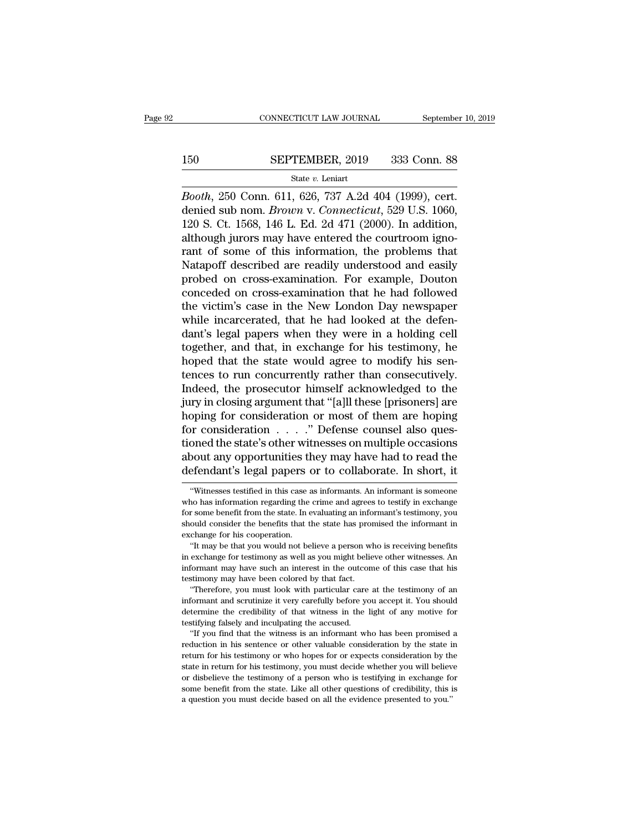# $\begin{tabular}{lll} \multicolumn{2}{l} \multicolumn{2}{l}{{\small\bf CONNECTICUT LAW JOURNAL}} & \multicolumn{2}{l}{September 10, 2019} \\ \cline{2-2} {\small 150} & \multicolumn{2}{l}{\bf SEPTEMBER, 2019} & \multicolumn{2}{l}{\bf 333 Conn. 88} \\ & \multicolumn{2}{l}{\bf State}\ v. \text{ Leniart} & \end{tabular}$

### State *v.* Leniart

*CONNECTICUT LAW JOURNAL* September 10, 2<br> **Booth**, 250 Conn. 611, 626, 737 A.2d 404 (1999), cert.<br> **Booth**, 250 Conn. 611, 626, 737 A.2d 404 (1999), cert.<br>
denied sub nom. *Brown v. Connecticut*, 529 U.S. 1060, 120 S. Ct. **SEPTEMBER**, 2019 333 Conn. 88<br> **State v. Leniart**<br> *Booth*, 250 Conn. 611, 626, 737 A.2d 404 (1999), cert.<br>
denied sub nom. *Brown* v. *Connecticut*, 529 U.S. 1060,<br>
120 S. Ct. 1568, 146 L. Ed. 2d 471 (2000). In addition, 150 SEPTEMBER, 2019 333 Conn. 88<br>
State v. Leniart<br>
Booth, 250 Conn. 611, 626, 737 A.2d 404 (1999), cert.<br>
denied sub nom. Brown v. Connecticut, 529 U.S. 1060,<br>
120 S. Ct. 1568, 146 L. Ed. 2d 471 (2000). In addition,<br>
alt 150 SEPTEMBER, 2019 333 Conn. 88<br>  $\frac{\text{State } v. \text{ Leniat}}{Booth, 250 \text{ Conn. } 611, 626, 737 \text{ A.2d } 404 \text{ (1999)}, \text{cert.}$ <br>
denied sub nom. *Brown v. Connecticut*, 529 U.S. 1060,<br>
120 S. Ct. 1568, 146 L. Ed. 2d 471 (2000). In addition,<br> State v. Leniart<br>
State v. Leniart<br>
Booth, 250 Conn. 611, 626, 737 A.2d 404 (1999), cert.<br>
denied sub nom. Brown v. Connecticut, 529 U.S. 1060,<br>
120 S. Ct. 1568, 146 L. Ed. 2d 471 (2000). In addition,<br>
although jurors may State v. Lenart<br>
Booth, 250 Conn. 611, 626, 737 A.2d 404 (1999), cert.<br>
denied sub nom. Brown v. Connecticut, 529 U.S. 1060,<br>
120 S. Ct. 1568, 146 L. Ed. 2d 471 (2000). In addition,<br>
although jurors may have entered the c Booth, 250 Conn. 611, 626, 737 A.2d 404 (1999), cert.<br>denied sub nom. Brown v. Connecticut, 529 U.S. 1060,<br>120 S. Ct. 1568, 146 L. Ed. 2d 471 (2000). In addition,<br>although jurors may have entered the courtroom igno-<br>rant o denied sub nom. *Brown v. Connecticut*, 529 U.S. 1060,<br>120 S. Ct. 1568, 146 L. Ed. 2d 471 (2000). In addition,<br>although jurors may have entered the courtroom igno-<br>rant of some of this information, the problems that<br>Natapo 120 S. Ct. 1568, 146 L. Ed. 2d 471 (2000). In addition,<br>although jurors may have entered the courtroom igno-<br>rant of some of this information, the problems that<br>Natapoff described are readily understood and easily<br>probed o although jurors may have entered the courtroom ignorant of some of this information, the problems that Natapoff described are readily understood and easily probed on cross-examination. For example, Douton conceded on cross rant of some of this information, the problems that<br>Natapoff described are readily understood and easily<br>probed on cross-examination. For example, Douton<br>conceded on cross-examination that he had followed<br>the victim's case Natapoff described are readily understood and easily<br>probed on cross-examination. For example, Douton<br>conceded on cross-examination that he had followed<br>the victim's case in the New London Day newspaper<br>while incarcerated, probed on cross-examination. For example, Douton<br>conceded on cross-examination that he had followed<br>the victim's case in the New London Day newspaper<br>while incarcerated, that he had looked at the defen-<br>dant's legal papers conceded on cross-examination that he had followed<br>the victim's case in the New London Day newspaper<br>while incarcerated, that he had looked at the defen-<br>dant's legal papers when they were in a holding cell<br>together, and t the victim's case in the New London Day newspaper<br>while incarcerated, that he had looked at the defen-<br>dant's legal papers when they were in a holding cell<br>together, and that, in exchange for his testimony, he<br>hoped that t while incarcerated, that he had looked at the defen-<br>dant's legal papers when they were in a holding cell<br>together, and that, in exchange for his testimony, he<br>hoped that the state would agree to modify his sen-<br>tences to dant's legal papers when they were in a holding cell<br>together, and that, in exchange for his testimony, he<br>hoped that the state would agree to modify his sen-<br>tences to run concurrently rather than consecutively.<br>Indeed, t together, and that, in exchange for his testimony, he<br>hoped that the state would agree to modify his sen-<br>tences to run concurrently rather than consecutively.<br>Indeed, the prosecutor himself acknowledged to the<br>jury in clo hoped that the state would agree to modify his sentences to run concurrently rather than consecutively.<br>Indeed, the prosecutor himself acknowledged to the jury in closing argument that "[a]ll these [prisoners] are hoping f tences to run concurrently rather than consecutively.<br>Indeed, the prosecutor himself acknowledged to the<br>jury in closing argument that "[a]ll these [prisoners] are<br>hoping for consideration or most of them are hoping<br>for co Indeed, the prosecutor himself acknowledged to the<br>jury in closing argument that "[a]ll these [prisoners] are<br>hoping for consideration or most of them are hoping<br>for consideration . . . . ." Defense counsel also ques-<br>tion for consideration  $\ldots$ . " Defense counsel also questioned the state's other witnesses on multiple occasions<br>about any opportunities they may have had to read the<br>defendant's legal papers or to collaborate. In short, it<br>" tioned the state's other witnesses on multiple occasions<br>about any opportunities they may have had to read the<br>defendant's legal papers or to collaborate. In short, it<br>"Witnesses testified in this case as informants. An in

in exchange for testimony as well as you might believe other witnesses. An informant may have such an interest in the outcome of this case that his testimony may have been colored by that fact. "Therefore, you must look wi informant may have such an interest in the outcontest<br>imony may have such an interest in the outcontestimony may have been colored by that fact.<br>"Therefore, you must look with particular care<br>informant and scrutinize it ve Solution was have been colored by that fact.<br>
"Therefore, you must look with particular care at the testimony of an<br>
formant and scrutinize it very carefully before you accept it. You should<br>
termine the credibility of tha in the method with particular care at the testimony of an informant and scrutinize it very carefully before you accept it. You should determine the credibility of that witness in the light of any motive for testifying fals

informant and scrutinize it very carefully before you accept it. You should determine the credibility of that witness in the light of any motive for testifying falsely and inculpating the accused. "If you find that the wit statement the credibility of that witness in the light of any motive for destrifying falsely and inculpating the accused.<br>
"If you find that the witness is an informant who has been promised a reduction in his sentence or testifying falsely and inculpating the accused.<br>
"If you find that the witness is an informant who has been promised a<br>
reduction in his sentence or other valuable consideration by the state in<br>
return for his testimony or "If you find that the witness is an informant who has been promised a reduction in his sentence or other valuable consideration by the state in return for his testimony or who hopes for or expects consideration by the sta reduction in his sentence or other valuable consideration by the state in return for his sentence or other valuable consideration by the state in return for his testimony, you must decide whether you will believ or disbeli

for some benefit from the state. In short, it witnesses testified in this case as informants. An informant is someone who has information regarding the crime and agrees to testify in exchange for some benefit from the stat defendant's legal papers or to collaborate. In short, it<br>
"Witnesses testified in this case as informants. An informant is someone<br>
who has information regarding the crime and agrees to testify in exchange<br>
for some benefi who has information regarding the crime and agrees to testify in exchange<br>for some benefit from the state. In evaluating an informant's testimony, you<br>should consider the benefits that the state has promised the informant "Witnesses testified in this case as informants. An informant is someone<br>no has information regarding the crime and agrees to testify in exchange<br>r some benefit from the state. In evaluating an informant's testimony, you<br>o in the sum of the simulation of the crime and agrees to testify in exchange<br>for some benefit from the state. In evaluating an informant's testimony, you<br>should consider the benefits that the state has promised the informan

For some benefit from the state. In evaluating an informant's testimony, you should consider the benefits that the state has promised the informant in exchange for his cooperation.<br>"It may be that you would not believe a p should consider the benefits that the state has promised the informant in exchange for his cooperation.<br>"It may be that you would not believe a person who is receiving benefits<br>in exchange for testimony as well as you migh change for his cooperation.<br>
"It may be that you would not believe a person who is receiving benefits<br>
exchange for testimony as well as you might believe other witnesses. An<br>
formant may have such an interest in the outco <sup>11</sup> It may be that you would not believe a person who is receiving benefits in exchange for testimony as well as you might believe other witnesses. An informant may have such an interest in the outcome of this case that h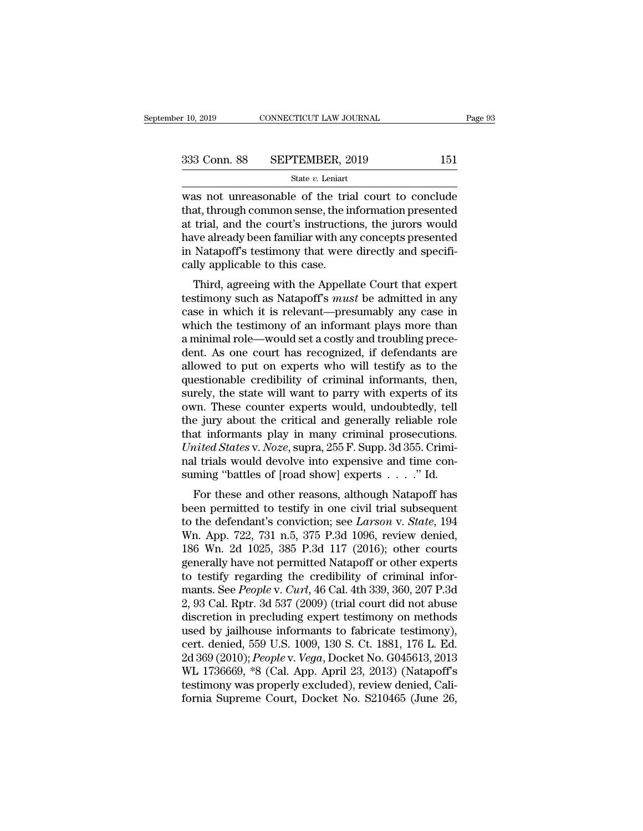$\begin{array}{r}\n \text{F} \text{10, 2019}\n \text{COMNETICUT LAW JOURNAL}\n \end{array}\n \begin{array}{r}\n \text{Page 93}\n \text{333 Conn. } 88\n \text{ SEPTEMBER, 2019}\n \text{State } v. \text{ Leninat}\n \end{array}\n \begin{array}{r}\n \text{State } v. \text{ Leninat}\n \text{was not unreasonable of the trial court to conclude that, through common sense, the information presented at trial, and the court's instructions, the inverse would$ 333 Conn. 88 SEPTEMBER, 2019 151<br>
State  $v$ . Leniart<br>
was not unreasonable of the trial court to conclude<br>
that, through common sense, the information presented<br>
at trial, and the court's instructions, the jurors would<br>
h 333 Conn. 88 SEPTEMBER, 2019 151<br>
State v. Leniart<br>
was not unreasonable of the trial court to conclude<br>
that, through common sense, the information presented<br>
at trial, and the court's instructions, the jurors would<br>
hav  $\begin{array}{r} \text{333 Conn. } \text{88} \quad \text{SEPTEMBER, } 2019 \quad \text{151} \\ \text{State } v. \text{ Leniart} \\ \text{was not unreasonable of the trial court to conclude that, through common sense, the information presented at trial, and the court's instructions, the jurors would have already been familiar with any concepts presented in Natapoff's testimony that were directly and specifically amplified to this case.} \end{array}$ State v. Leniart<br>
State v. Leniart<br>
Was not unreasonable of the trial court to conclude<br>
that, through common sense, the information presented<br>
at trial, and the court's instructions, the jurors would<br>
have already been f state  $v$ . Lenart<br>was not unreasonable of the triat<br>that, through common sense, the in<br>at trial, and the court's instructio<br>have already been familiar with an<br>in Natapoff's testimony that were<br>cally applicable to this cas as not uneasonable of the that court to conclude<br>at, through common sense, the information presented<br>trial, and the court's instructions, the jurors would<br>we already been familiar with any concepts presented<br>Natapoff's tes that, through common sense, the muonination presented<br>at trial, and the court's instructions, the jurors would<br>have already been familiar with any concepts presented<br>in Natapoff's testimony that were directly and specifi-<br>

at triat, and the court's instructions, the jurors would<br>have already been familiar with any concepts presented<br>in Natapoff's testimony that were directly and specifi-<br>cally applicable to this case.<br>Third, agreeing with th have an eady been ranning with any concepts presented<br>in Natapoff's testimony that were directly and specifi-<br>cally applicable to this case.<br>Third, agreeing with the Appellate Court that expert<br>testimony such as Natapoff's In Natapon's testimony that were unectly and specifically applicable to this case.<br>Third, agreeing with the Appellate Court that expert<br>testimony such as Natapoff's *must* be admitted in any<br>case in which it is relevant—pr Cany applicable to this case.<br>
Third, agreeing with the Appellate Court that expert<br>
testimony such as Natapoff's *must* be admitted in any<br>
case in which it is relevant—presumably any case in<br>
which the testimony of an in Third, agreeing with the Appellate Court that expert<br>testimony such as Natapoff's *must* be admitted in any<br>case in which it is relevant—presumably any case in<br>which the testimony of an informant plays more than<br>a minimal testimony such as Natapoff's *must* be admitted in any<br>case in which it is relevant—presumably any case in<br>which the testimony of an informant plays more than<br>a minimal role—would set a costly and troubling prece-<br>dent. As case in which it is relevant—presumably any case in<br>which the testimony of an informant plays more than<br>a minimal role—would set a costly and troubling prece-<br>dent. As one court has recognized, if defendants are<br>allowed to which the testimony of an informant plays more than<br>a minimal role—would set a costly and troubling prece-<br>dent. As one court has recognized, if defendants are<br>allowed to put on experts who will testify as to the<br>questiona a minimal role—would set a costly and troubling prece-<br>dent. As one court has recognized, if defendants are<br>allowed to put on experts who will testify as to the<br>questionable credibility of criminal informants, then,<br>surel dent. As one court has recognized, if defendants are allowed to put on experts who will testify as to the questionable credibility of criminal informants, then, surely, the state will want to parry with experts of its own. allowed to put on experts who will testify as to the questionable credibility of criminal informants, then, surely, the state will want to parry with experts of its own. These counter experts would, undoubtedly, tell the j questionable credibility of criminal informants, then, surely, the state will want to parry with experts of its own. These counter experts would, undoubtedly, tell the jury about the critical and generally reliable role t surely, the state will want to parry with experts of its<br>own. These counter experts would, undoubtedly, tell<br>the jury about the critical and generally reliable role<br>that informants play in many criminal prosecutions.<br>*Uni* For these counter experts would, undoubtedly, ten<br>e jury about the critical and generally reliable role<br>at informants play in many criminal prosecutions.<br>ited States v. Noze, supra, 255 F. Supp. 3d 355. Crimi-<br>I trials wo the jury about the critical and generally reliable role<br>that informants play in many criminal prosecutions.<br>*United States v. Noze*, supra, 255 F. Supp. 3d 355. Crimi-<br>nal trials would devolve into expensive and time con-

United States v. *Noze*, supra, 255 F. Supp. 3d 355. Criminal trials would devolve into expensive and time consuming "battles of [road show] experts  $\ldots$ ." Id.<br>For these and other reasons, although Natapoff has been perm Charles States V. Noze, supra, 255 P. Supp. 5d 555. Criminal trials would devolve into expensive and time consuming "battles of [road show] experts  $\dots$ ." Id.<br>For these and other reasons, although Natapoff has been permit Fracture into expensive and time consuming "battles of [road show] experts  $\ldots$ ." Id.<br>For these and other reasons, although Natapoff has<br>been permitted to testify in one civil trial subsequent<br>to the defendant's convicti For these and other reasons, although Natapoff has<br>been permitted to testify in one civil trial subsequent<br>to the defendant's conviction; see *Larson v. State*, 194<br>Wn. App. 722, 731 n.5, 375 P.3d 1096, review denied,<br>186 For these and other reasons, although Natapoff has<br>been permitted to testify in one civil trial subsequent<br>to the defendant's conviction; see *Larson v. State*, 194<br>Wn. App. 722, 731 n.5, 375 P.3d 1096, review denied,<br>186 been permitted to testify in one civil trial subsequent<br>to the defendant's conviction; see *Larson* v. *State*, 194<br>Wn. App. 722, 731 n.5, 375 P.3d 1096, review denied,<br>186 Wn. 2d 1025, 385 P.3d 117 (2016); other courts<br>ge to the defendant's conviction; see *Larson* v. *State*, 194<br>Wn. App. 722, 731 n.5, 375 P.3d 1096, review denied,<br>186 Wn. 2d 1025, 385 P.3d 117 (2016); other courts<br>generally have not permitted Natapoff or other experts<br>to Wn. App. 722, 731 n.5, 375 P.3d 1096, review denied,<br>186 Wn. 2d 1025, 385 P.3d 117 (2016); other courts<br>generally have not permitted Natapoff or other experts<br>to testify regarding the credibility of criminal infor-<br>mants. 186 Wn. 2d 1025, 385 P.3d 117 (2016); other courts<br>generally have not permitted Natapoff or other experts<br>to testify regarding the credibility of criminal infor-<br>mants. See *People* v. *Curl*, 46 Cal. 4th 339, 360, 207 P. generally have not permitted Natapoff or other experts<br>to testify regarding the credibility of criminal infor-<br>mants. See *People* v. *Curl*, 46 Cal. 4th 339, 360, 207 P.3d<br>2, 93 Cal. Rptr. 3d 537 (2009) (trial court did n to testify regarding the credibility of criminal informants. See *People* v. *Curl*, 46 Cal. 4th 339, 360, 207 P.3d<br>2, 93 Cal. Rptr. 3d 537 (2009) (trial court did not abuse<br>discretion in precluding expert testimony on met mants. See *People* v. *Curl*, 46 Cal. 4th 339, 360, 207 P.3d<br>2, 93 Cal. Rptr. 3d 537 (2009) (trial court did not abuse<br>discretion in precluding expert testimony on methods<br>used by jailhouse informants to fabricate testimo 2, 93 Cal. Rptr. 3d 537 (2009) (trial court did not abuse<br>discretion in precluding expert testimony on methods<br>used by jailhouse informants to fabricate testimony),<br>cert. denied, 559 U.S. 1009, 130 S. Ct. 1881, 176 L. Ed.<br> discretion in precluding expert testimony on methods<br>used by jailhouse informants to fabricate testimony),<br>cert. denied, 559 U.S. 1009, 130 S. Ct. 1881, 176 L. Ed.<br>2d 369 (2010); *People* v. Vega, Docket No. G045613, 2013<br>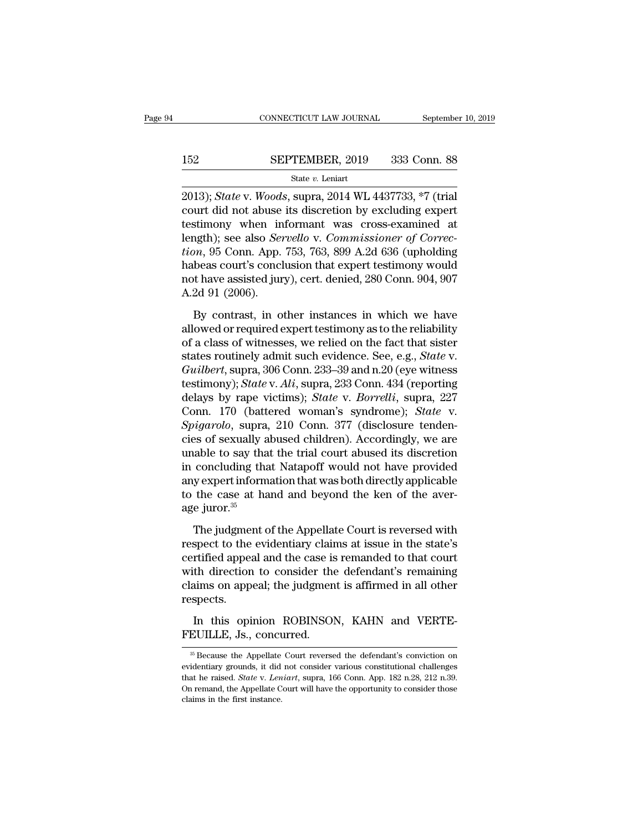# $\begin{tabular}{lll} \multicolumn{2}{l} \multicolumn{2}{l}{{\small\bf CONNECTICUT LAW JOURNAL}} & \multicolumn{2}{l}{September 10, 2019} \\ \cline{2-2} {\small 152} & \multicolumn{2}{l}{\bf SEPTEMBER, 2019} & \multicolumn{2}{l}{\bf 333 Conn. 88} \\ & \multicolumn{2}{l}{\bf State}\ v. \text{ Leniart} \end{tabular}$

### State *v.* Leniart

CONNECTICUT LAW JOURNAL September 10, 20<br> **2013**); *State* v. *Woods*, supra, 2014 WL 4437733, \*7 (trial<br>
court did not abuse its discretion by excluding expert<br>
testimony, when informant was areas examined at SEPTEMBER, 2019 333 Conn. 88<br>
State v. Leniart<br>
2013); *State* v. Woods, supra, 2014 WL 4437733, \*7 (trial<br>
court did not abuse its discretion by excluding expert<br>
testimony when informant was cross-examined at<br>
length): s 152 SEPTEMBER, 2019 333 Conn. 88<br>
State v. Leniart<br>
2013); *State* v. *Woods*, supra, 2014 WL 4437733, \*7 (trial<br>
court did not abuse its discretion by excluding expert<br>
testimony when informant was cross-examined at<br>
len SEPTEMBER, 2019 333 Conn. 88<br>
State *v*. Leniart<br>
2013); *State* v. *Woods*, supra, 2014 WL 4437733, \*7 (trial<br>
court did not abuse its discretion by excluding expert<br>
testimony when informant was cross-examined at<br>
length State v. Leniart<br>
2013); *State* v. *Woods*, supra, 2014 WL 4437733, \*7 (trial<br>
court did not abuse its discretion by excluding expert<br>
testimony when informant was cross-examined at<br>
length); see also *Servello* v. *Commi* state v. Lemart<br>
2013); State v. Woods, supra, 2014 WL 4437733, \*7 (trial<br>
court did not abuse its discretion by excluding expert<br>
testimony when informant was cross-examined at<br>
length); see also *Servello* v. *Commissio* 2013); *State* v. *Woods*, supra, 2014 WL 4437733, \*7 (trial court did not abuse its discretion by excluding expert testimony when informant was cross-examined at length); see also *Servello* v. *Commissioner of Correction* court did not abuse<br>testimony when in<br>length); see also *Ser*<br>tion, 95 Conn. App.<br>habeas court's concl<br>not have assisted jur<br>A.2d 91 (2006).<br>By contrast, in o by contrast, in other instances in which we have the same of  $R_{on}$ ,  $\theta$  conn. App. 753, 763, 899 A.2d 636 (upholding beas court's conclusion that expert testimony would at have assisted jury), cert. denied, 280 Conn. 90 Fraction, 95 Conn. App. 753, 763, 899 A.2d 636 (upholding<br>habeas court's conclusion that expert testimony would<br>not have assisted jury), cert. denied, 280 Conn. 904, 907<br>A.2d 91 (2006).<br>By contrast, in other instances in

habeas court's conclusion that expert testimony would<br>not have assisted jury), cert. denied, 280 Conn. 904, 907<br>A.2d 91 (2006).<br>By contrast, in other instances in which we have<br>allowed or required expert testimony as to t states routine relationship and the set of a class divery), cert. denied, 280 Conn. 904, 907<br>A.2d 91 (2006).<br>By contrast, in other instances in which we have<br>allowed or required expert testimony as to the reliability<br>of a *A.2d 91 (2006).*<br> *By contrast, in other instances in which we have allowed or required expert testimony as to the reliability of a class of witnesses, we relied on the fact that sister states routinely admit such evidenc* By contrast, in other instances in which we have<br>allowed or required expert testimony as to the reliability<br>of a class of witnesses, we relied on the fact that sister<br>states routinely admit such evidence. See, e.g., *State* By contrast, in other instances in which we have<br>allowed or required expert testimony as to the reliability<br>of a class of witnesses, we relied on the fact that sister<br>states routinely admit such evidence. See, e.g., *State* allowed or required expert testimony as to the reliability<br>of a class of witnesses, we relied on the fact that sister<br>states routinely admit such evidence. See, e.g., *State* v.<br>*Guilbert*, supra, 306 Conn. 233–39 and n.20 of a class of witnesses, we relied on the fact that sister<br>states routinely admit such evidence. See, e.g., *State* v.<br>*Guilbert*, supra, 306 Conn. 233–39 and n.20 (eye witness<br>testimony); *State* v. *Ali*, supra, 233 Conn states routinely admit such evidence. See, e.g., *State v.*<br> *Guilbert*, supra, 306 Conn. 233–39 and n.20 (eye witness<br>
testimony); *State v. Ali*, supra, 233 Conn. 434 (reporting<br>
delays by rape victims); *State v. Borrel* Guilbert, supra, 306 Conn. 233–39 and n.20 (eye witness<br>testimony); *State* v. Ali, supra, 233 Conn. 434 (reporting<br>delays by rape victims); *State* v. *Borrelli*, supra, 227<br>Conn. 170 (battered woman's syndrome); *State* testimony); *State* v. *Ali*, supra, 233 Conn. 434 (reporting<br>delays by rape victims); *State* v. *Borrelli*, supra, 227<br>Conn. 170 (battered woman's syndrome); *State* v.<br>*Spigarolo*, supra, 210 Conn. 377 (disclosure tende delays by rape victims); *State* v. *Borrelli*, supra, 227<br>Conn. 170 (battered woman's syndrome); *State* v.<br>*Spigarolo*, supra, 210 Conn. 377 (disclosure tenden-<br>cies of sexually abused children). Accordingly, we are<br>unab Conn. 170 (battered woman's syndrome); *State* v. *Spigarolo*, supra, 210 Conn. 377 (disclosure tendencies of sexually abused children). Accordingly, we are unable to say that the trial court abused its discretion in conc Spigarolo, supra<br>cies of sexually a<br>unable to say tha<br>in concluding tha<br>any expert inform<br>to the case at ha<br>age juror.<sup>35</sup><br>The judgment o The same of the trial court abused its discretion<br>concluding that Natapoff would not have provided<br>y expert information that was both directly applicable<br>the case at hand and beyond the ken of the aver-<br>e juror.<sup>35</sup><br>The j respectively applicable<br>in concluding that Natapoff would not have provided<br>any expert information that was both directly applicable<br>to the case at hand and beyond the ken of the aver-<br>age juror.<sup>35</sup><br>The judgment of the Ap

metally start interpret in the case and the case at hand and beyond the ken of the average juror.<sup>35</sup><br>The judgment of the Appellate Court is reversed with<br>respect to the evidentiary claims at issue in the state's<br>certified to the case at hand and beyond the ken of the aver-<br>age juror.<sup>35</sup><br>The judgment of the Appellate Court is reversed with<br>respect to the evidentiary claims at issue in the state's<br>certified appeal and the case is remanded to age juror.<sup>35</sup><br>The judgment of the Appellate Court is reversed with<br>respect to the evidentiary claims at issue in the state's<br>certified appeal and the case is remanded to that court<br>with direction to consider the defendant respects. In the syangle of the replace of the relationships and the state's spect to the evidentiary claims at issue in the state's refified appeal and the case is remanded to that court the direction to consider the defendant's re respect to the charactery claim<br>certified appeal and the case is<br>with direction to consider the<br>claims on appeal; the judgmen<br>respects.<br>In this opinion ROBINSOI<br>FEUILLE, Js., concurred.

spects.<br>
In this opinion ROBINSON, KAHN and VERTE-<br>
EUILLE, Js., concurred.<br>
<sup>35</sup> Because the Appellate Court reversed the defendant's conviction on<br>
identiary grounds, it did not consider various constitutional challenges

In this opinion ROBINSON, KAHN and VERTE-<br>FEUILLE, Js., concurred.<br><sup>35</sup> Because the Appellate Court reversed the defendant's conviction on<br>evidentiary grounds, it did not consider various constitutional challenges<br>that he In this opinion ROBINSON, KAHN and VERTE-<br>FEUILLE, Js., concurred.<br><sup><sup>35</sup> Because the Appellate Court reversed the defendant's conviction on<br>evidentiary grounds, it did not consider various constitutional challenges<br>that he</sup> FEUILLE, Js., concurred.<br>
<sup>35</sup> Because the Appellate Court reversed the defendant's conviction on evidentiary grounds, it did not consider various constitutional challenges that he raised. *State* v. *Leniart*, supra, 166 FEUILLE, Js., concurred.<br>
<sup>35</sup> Because the Appellate Court reversed the defendant's conviction on evidentiary grounds, it did not consider various constitutional challenges that he raised. *State v. Leniart*, supra, 166 C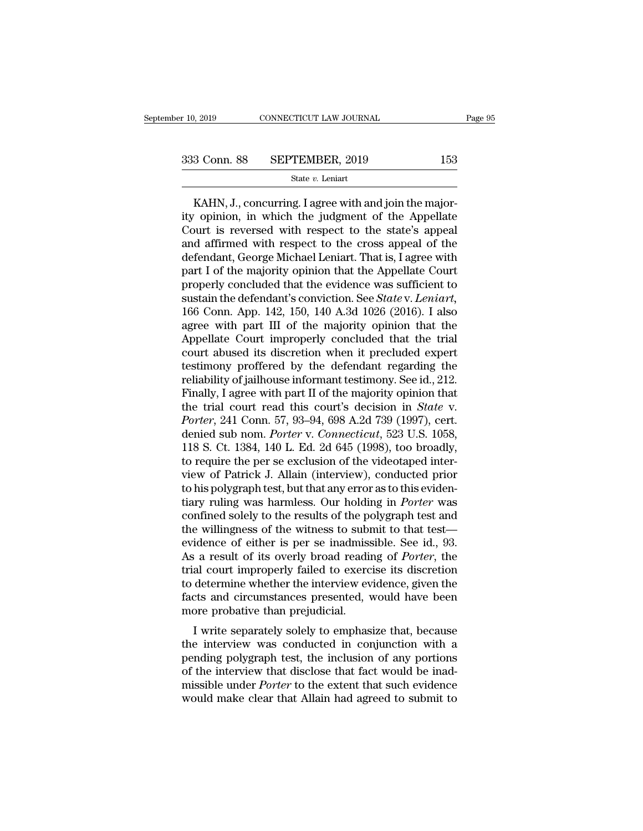3 Conn. 88 SEPTEMBER, 2019 153<br>
State v. Leniart<br>
KAHN, J., concurring. I agree with and join the major-<br>
topinion, in which the judgment of the Appellate 333 Conn. 88 SEPTEMBER, 2019 153<br>
State v. Leniart<br>
KAHN, J., concurring. I agree with and join the major-<br>
ity opinion, in which the judgment of the Appellate<br>
Court is reversed with respect to the state's appeal<br>
and af 333 Conn. 88 SEPTEMBER, 2019 153<br>
State v. Leniart<br>
KAHN, J., concurring. I agree with and join the major-<br>
ity opinion, in which the judgment of the Appellate<br>
Court is reversed with respect to the state's appeal<br>
and af 333 Conn. 88 SEPTEMBER, 2019 153<br>
State v. Leniart<br>
KAHN, J., concurring. I agree with and join the major-<br>
ity opinion, in which the judgment of the Appellate<br>
Court is reversed with respect to the state's appeal<br>
and af State  $v$ . Leniart.<br>
KAHN, J., concurring. I agree with and join the major-<br>
ity opinion, in which the judgment of the Appellate<br>
Court is reversed with respect to the state's appeal<br>
and affirmed with respect to the cros KAHN, J., concurring. I agree with and join the majority opinion, in which the judgment of the Appellate Court is reversed with respect to the state's appeal and affirmed with respect to the cross appeal of the defendant, KAHN, J., concurring. I agree with and join the major-<br>ity opinion, in which the judgment of the Appellate<br>Court is reversed with respect to the state's appeal<br>and affirmed with respect to the cross appeal of the<br>defendan ity opinion, in which the judgment of the Appellate<br>Court is reversed with respect to the state's appeal<br>and affirmed with respect to the cross appeal of the<br>defendant, George Michael Leniart. That is, I agree with<br>part I Court is reversed with respect to the state's appeal<br>and affirmed with respect to the cross appeal of the<br>defendant, George Michael Leniart. That is, I agree with<br>part I of the majority opinion that the Appellate Court<br>pro and affirmed with respect to the cross appeal of the<br>defendant, George Michael Leniart. That is, I agree with<br>part I of the majority opinion that the Appellate Court<br>properly concluded that the evidence was sufficient to<br>s defendant, George Michael Leniart. That is, I agree with<br>part I of the majority opinion that the Appellate Court<br>properly concluded that the evidence was sufficient to<br>sustain the defendant's conviction. See *State* v. Len part I of the majority opinion that the Appellate Court<br>properly concluded that the evidence was sufficient to<br>sustain the defendant's conviction. See *State* v. Leniart,<br>166 Conn. App. 142, 150, 140 A.3d 1026 (2016). I al properly concluded that the evidence was sufficient to<br>sustain the defendant's conviction. See *State* v. Leniart,<br>166 Conn. App. 142, 150, 140 A.3d 1026 (2016). I also<br>agree with part III of the majority opinion that the<br> sustain the defendant's conviction. See *State* v. *Leniart*, 166 Conn. App. 142, 150, 140 A.3d 1026 (2016). I also agree with part III of the majority opinion that the Appellate Court improperly concluded that the trial c 166 Conn. App. 142, 150, 140 A.3d 1026 (2016). I also<br>agree with part III of the majority opinion that the<br>Appellate Court improperly concluded that the trial<br>court abused its discretion when it precluded expert<br>testimony agree with part III of the majority opinion that the<br>Appellate Court improperly concluded that the trial<br>court abused its discretion when it precluded expert<br>testimony proffered by the defendant regarding the<br>reliability o Appellate Court improperly concluded that the trial<br>court abused its discretion when it precluded expert<br>testimony proffered by the defendant regarding the<br>reliability of jailhouse informant testimony. See id., 212.<br>Finall court abused its discretion when it precluded expert<br>testimony proffered by the defendant regarding the<br>reliability of jailhouse informant testimony. See id., 212.<br>Finally, I agree with part II of the majority opinion that testimony proffered by the defendant regarding the reliability of jailhouse informant testimony. See id., 212.<br>Finally, I agree with part II of the majority opinion that the trial court read this court's decision in *State* reliability of jailhouse informant testimony. See id., 212.<br>Finally, I agree with part II of the majority opinion that<br>the trial court read this court's decision in *State* v.<br>*Porter*, 241 Conn. 57, 93–94, 698 A.2d 739 (1 Finally, I agree with part II of the majority opinion that<br>the trial court read this court's decision in *State* v.<br>Porter, 241 Conn. 57, 93–94, 698 A.2d 739 (1997), cert.<br>denied sub nom. Porter v. Connecticut, 523 U.S. 10 the trial court read this court's decision in *State* v.<br> *Porter*, 241 Conn. 57, 93–94, 698 A.2d 739 (1997), cert.<br>
denied sub nom. *Porter* v. *Connecticut*, 523 U.S. 1058,<br>
118 S. Ct. 1384, 140 L. Ed. 2d 645 (1998), too Porter, 241 Conn. 57, 93–94, 698 A.2d 739 (1997), cert.<br>denied sub nom. *Porter* v. *Connecticut*, 523 U.S. 1058,<br>118 S. Ct. 1384, 140 L. Ed. 2d 645 (1998), too broadly,<br>to require the per se exclusion of the videotaped in denied sub nom. *Porter* v. *Connecticut*, 523 U.S. 1058,<br>118 S. Ct. 1384, 140 L. Ed. 2d 645 (1998), too broadly,<br>to require the per se exclusion of the videotaped inter-<br>view of Patrick J. Allain (interview), conducted pr 118 S. Ct. 1384, 140 L. Ed. 2d 645 (1998), too broadly,<br>to require the per se exclusion of the videotaped inter-<br>view of Patrick J. Allain (interview), conducted prior<br>to his polygraph test, but that any error as to this to require the per se exclusion of the videotaped inter-<br>view of Patrick J. Allain (interview), conducted prior<br>to his polygraph test, but that any error as to this eviden-<br>tiary ruling was harmless. Our holding in *Porter* view of Patrick J. Allain (interview), conducted prior<br>to his polygraph test, but that any error as to this eviden-<br>tiary ruling was harmless. Our holding in *Porter* was<br>confined solely to the results of the polygraph tes to his polygraph test, but that any error as to this evidentiary ruling was harmless. Our holding in *Porter* was confined solely to the results of the polygraph test and the willingness of the witness to submit to that te tiary ruling was harmless. Our holding in *Porter* was<br>confined solely to the results of the polygraph test and<br>the willingness of the witness to submit to that test—<br>evidence of either is per se inadmissible. See id., 93. confined solely to the results of the polygraph test and<br>the willingness of the witness to submit to that test—<br>evidence of either is per se inadmissible. See id., 93.<br>As a result of its overly broad reading of *Porter*, t the willingness of the witness to sub<br>evidence of either is per se inadmiss<br>As a result of its overly broad readin<br>trial court improperly failed to exerc<br>to determine whether the interview ev<br>facts and circumstances presen It is per se maintassible. See Id., 35.<br>
It is a result of its overly broad reading of *Porter*, the<br>
al court improperly failed to exercise its discretion<br>
determine whether the interview evidence, given the<br>
cts and circ As a result of its overly broad reading of *Forter*, the<br>trial court improperly failed to exercise its discretion<br>to determine whether the interview evidence, given the<br>facts and circumstances presented, would have been<br>mo

First court improperly failed to exercise its discretion<br>to determine whether the interview evidence, given the<br>facts and circumstances presented, would have been<br>more probative than prejudicial.<br>I write separately solely to determine whether the interview evidence, given the<br>facts and circumstances presented, would have been<br>more probative than prejudicial.<br>I write separately solely to emphasize that, because<br>the interview was conducted in racts and circumstances presented, would have been<br>more probative than prejudicial.<br>I write separately solely to emphasize that, because<br>the interview was conducted in conjunction with a<br>pending polygraph test, the inclusi I write separately solely to emphasize that, because<br>the interview was conducted in conjunction with a<br>pending polygraph test, the inclusion of any portions<br>of the interview that disclose that fact would be inad-<br>missible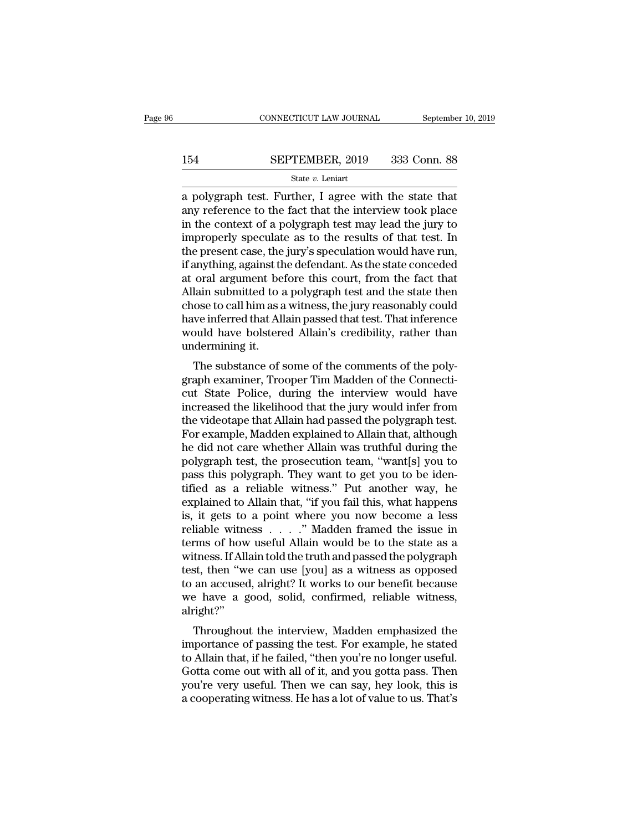# CONNECTICUT LAW JOURNAL September 10, 2019<br>154 SEPTEMBER, 2019 333 Conn. 88<br>State v. Leniart

### State *v.* Leniart

CONNECTICUT LAW JOURNAL September 10, 2019<br> **EPTEMBER, 2019** 333 Conn. 88<br>
State v. Leniart<br>
a polygraph test. Further, I agree with the state that<br>
any reference to the fact that the interview took place<br>
in the context 154 SEPTEMBER, 2019 333 Conn. 88<br>
<sup>State v</sup>. Leniart<br>
a polygraph test. Further, I agree with the state that<br>
any reference to the fact that the interview took place<br>
in the context of a polygraph test may lead the jury to **I54** SEPTEMBER, 2019 333 Conn. 88<br>
State v. Leniart<br>
a polygraph test. Further, I agree with the state that<br>
any reference to the fact that the interview took place<br>
in the context of a polygraph test may lead the jury t **I54** SEPTEMBER, 2019 333 Conn. 88<br>
State v. Leniart<br>
a polygraph test. Further, I agree with the state that<br>
any reference to the fact that the interview took place<br>
in the context of a polygraph test may lead the jury t SET TERESTRY TO SOS SOME 35<br>State v. Leniart<br>a polygraph test. Further, I agree with the state that<br>any reference to the fact that the interview took place<br>in the context of a polygraph test may lead the jury to<br>improperl state  $v$ . Lenart<br>
a polygraph test. Further, I agree with the state that<br>
any reference to the fact that the interview took place<br>
in the context of a polygraph test may lead the jury to<br>
improperly speculate as to the r a polygraph test. Further, I agree with the state that<br>any reference to the fact that the interview took place<br>in the context of a polygraph test may lead the jury to<br>improperly speculate as to the results of that test. In any reference to the fact that the interview took place<br>in the context of a polygraph test may lead the jury to<br>improperly speculate as to the results of that test. In<br>the present case, the jury's speculation would have ru in the context of a polygraph test may lead the jury to<br>improperly speculate as to the results of that test. In<br>the present case, the jury's speculation would have run,<br>if anything, against the defendant. As the state conc improperly speculate as to the results of that test. In<br>the present case, the jury's speculation would have run,<br>if anything, against the defendant. As the state conceded<br>at oral argument before this court, from the fact t the present case, the jury's speculation would have run,<br>if anything, against the defendant. As the state conceded<br>at oral argument before this court, from the fact that<br>Allain submitted to a polygraph test and the state t if anything, against the<br>at oral argument be:<br>Allain submitted to a<br>chose to call him as a<br>have inferred that All<br>would have bolstere<br>undermining it.<br>The substance of s For a signifient before this court, front the fact that<br>lain submitted to a polygraph test and the state then<br>ose to call him as a witness, the jury reasonably could<br>we inferred that Allain passed that test. That inference Finally subfidited to a polygraph test and the state then<br>chose to call him as a witness, the jury reasonably could<br>have inferred that Allain passed that test. That inference<br>would have bolstered Allain's credibility, rath

chose to can film as a whitess, the jury reasonably count<br>have inferred that Allain passed that test. That inference<br>would have bolstered Allain's credibility, rather than<br>undermining it.<br>The substance of some of the comme rave interfed that Ariani passed that test. That interferred<br>would have bolstered Allain's credibility, rather than<br>undermining it.<br>The substance of some of the comments of the poly-<br>graph examiner, Trooper Tim Madden of t would have boistered Allain's Creubinty, rather than<br>undermining it.<br>The substance of some of the comments of the polygraph examiner, Trooper Tim Madden of the Connecti-<br>cut State Police, during the interview would have<br>in The substance of some of the comments of the poly-<br>graph examiner, Trooper Tim Madden of the Connecti-<br>cut State Police, during the interview would have<br>increased the likelihood that the jury would infer from<br>the videotape The substance of some of the comments of the polygraph examiner, Trooper Tim Madden of the Connecticut State Police, during the interview would have increased the likelihood that the jury would infer from the videotape tha graph examiner, Trooper Tim Madden of the Connecticut State Police, during the interview would have<br>increased the likelihood that the jury would infer from<br>the videotape that Allain had passed the polygraph test.<br>For examp cut State Police, during the interview would have<br>increased the likelihood that the jury would infer from<br>the videotape that Allain had passed the polygraph test.<br>For example, Madden explained to Allain that, although<br>he d increased the likelihood that the jury would infer from<br>the videotape that Allain had passed the polygraph test.<br>For example, Madden explained to Allain that, although<br>he did not care whether Allain was truthful during the the videotape that Allain had passed the polygraph test.<br>For example, Madden explained to Allain that, although<br>he did not care whether Allain was truthful during the<br>polygraph test, the prosecution team, "want[s] you to<br>p For example, Madden explained to Allain that, although<br>he did not care whether Allain was truthful during the<br>polygraph test, the prosecution team, "want[s] you to<br>pass this polygraph. They want to get you to be iden-<br>tifi he did not care whether Allain was truthful during the<br>polygraph test, the prosecution team, "want[s] you to<br>pass this polygraph. They want to get you to be iden-<br>tified as a reliable witness." Put another way, he<br>explaine polygraph test, the prosecution team, "want[s] you to<br>pass this polygraph. They want to get you to be iden-<br>tified as a reliable witness." Put another way, he<br>explained to Allain that, "if you fail this, what happens<br>is, i pass this polygraph. They want to get you to be identified as a reliable witness." Put another way, he explained to Allain that, "if you fail this, what happens is, it gets to a point where you now become a less reliable w tified as a reliable witness." Put another way, he explained to Allain that, "if you fail this, what happens<br>is, it gets to a point where you now become a less<br>reliable witness  $\ldots$ ." Madden framed the issue in<br>terms of explained to Allain that, "if you fail this, what happens<br>is, it gets to a point where you now become a less<br>reliable witness  $\ldots$ ." Madden framed the issue in<br>terms of how useful Allain would be to the state as a<br>witnes is, it gets to a point where you now become a less<br>reliable witness . . . . ." Madden framed the issue in<br>terms of how useful Allain would be to the state as a<br>witness. If Allain told the truth and passed the polygraph<br>te alright?'' Throughout the interview, Madden emphasized the polygraph<br>t, then "we can use [you] as a witness as opposed<br>an accused, alright? It works to our benefit because<br>e have a good, solid, confirmed, reliable witness,<br>right?"<br>Th whitess. It Anam told the truth and passed the polygraph<br>test, then "we can use [you] as a witness as opposed<br>to an accused, alright? It works to our benefit because<br>we have a good, solid, confirmed, reliable witness,<br>alri

test, then we can use [you] as a whitess as opposed<br>to an accused, alright? It works to our benefit because<br>we have a good, solid, confirmed, reliable witness,<br>alright?"<br>Throughout the interview, Madden emphasized the<br>impo to an accused, anight: it works to our benefit because<br>we have a good, solid, confirmed, reliable witness,<br>alright?"<br>Throughout the interview, Madden emphasized the<br>importance of passing the test. For example, he stated<br>to we have a good, sond, committed, renable whitess,<br>alright?"<br>Throughout the interview, Madden emphasized the<br>importance of passing the test. For example, he stated<br>to Allain that, if he failed, "then you're no longer useful Throughout the interview, Madden emphasized the<br>importance of passing the test. For example, he stated<br>to Allain that, if he failed, "then you're no longer useful.<br>Gotta come out with all of it, and you gotta pass. Then<br>yo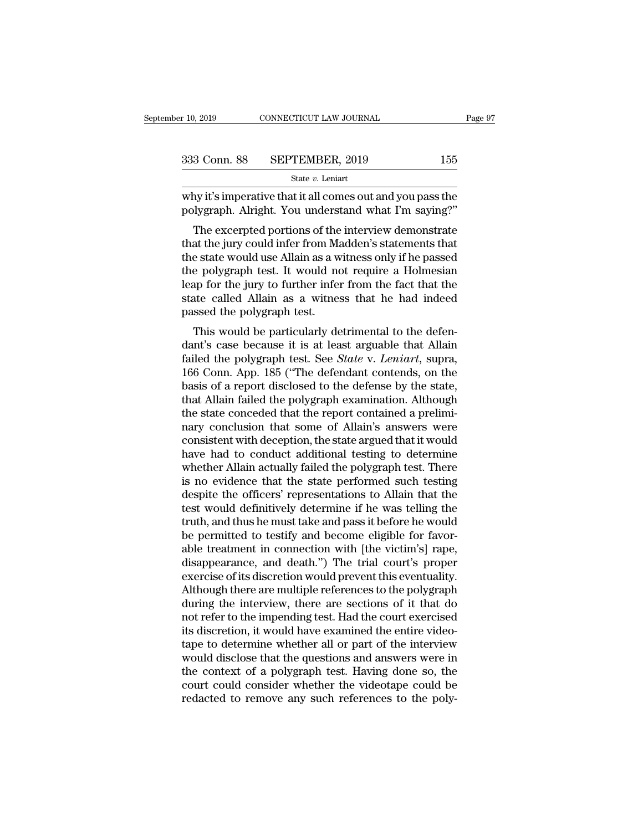| r 10, 2019   | CONNECTICUT LAW JOURNAL | Page 97 |  |
|--------------|-------------------------|---------|--|
| 333 Conn. 88 | SEPTEMBER, 2019         | 155     |  |
|              | State $v$ . Leniart     |         |  |

r 10, 2019 CONNECTICUT LAW JOURNAL Page 97<br>333 Conn. 88 SEPTEMBER, 2019 155<br>313 Conn. 88 SEPTEMBER, 2019 155<br>313 Conn. 88 SEPTEMBER, 2019 155<br>315<br>313 Conn. 88 SEPTEMBER, 2019 155<br>315<br>315<br>315<br>315<br>316 Polygraph. Alright. You  $\begin{array}{ll} \textbf{333} \text{ Conn. } \textbf{88} & \textbf{SEPTEMBER, 2019} & \textbf{155} \\ & \text{State } v. \text{ Leniart} \\ \text{why it's imperative that it all comes out and you pass the polygraph. Alright. You understand what I'm saying?" \end{array}$ <br>The excerpted portions of the interview demonstrate

 $\frac{3 \text{ Conn. } 88 \qquad \text{SEPTEMBER, } 2019 \qquad \qquad 155 \qquad \text{State } v. \text{ Leniart}$ <br>
The imperative that it all comes out and you pass the lygraph. Alright. You understand what I'm saying?"<br>
The excerpted portions of the interview demonstrate at 333 Conn. 88 SEPTEMBER, 2019 155<br>
State v. Leniart<br>
why it's imperative that it all comes out and you pass the<br>
polygraph. Alright. You understand what I'm saying?"<br>
The excerpted portions of the interview demonstrate<br>
th State v. Leniart<br>
why it's imperative that it all comes out and you pass the<br>
polygraph. Alright. You understand what I'm saying?"<br>
The excerpted portions of the interview demonstrate<br>
that the jury could infer from Madde why it's imperative that it all comes out and you pass the polygraph. Alright. You understand what I'm saying?"<br>The excerpted portions of the interview demonstrate<br>that the jury could infer from Madden's statements that<br>th why it s imperative that it an comes out and you pass the<br>polygraph. Alright. You understand what I'm saying?"<br>The excerpted portions of the interview demonstrate<br>that the jury could infer from Madden's statements that<br>the polygraph. Allight. Tou understand what I in saying:<br>The excerpted portions of the interview demonstrate<br>that the jury could infer from Madden's statements that<br>the state would use Allain as a witness only if he passed<br>the The excerpted portions of the<br>that the jury could infer from Ma<br>the state would use Allain as a w<br>the polygraph test. It would no<br>leap for the jury to further infer<br>state called Allain as a witnes<br>passed the polygraph test at the jury collid lifer from Madden's statements that<br>e state would use Allain as a witness only if he passed<br>e polygraph test. It would not require a Holmesian<br>ap for the jury to further infer from the fact that the<br>tate the state would use Allain as a whitess only if he passed<br>the polygraph test. It would not require a Holmesian<br>leap for the jury to further infer from the fact that the<br>state called Allain as a witness that he had indeed<br>p

factor the jury to further infer from the fact that the state called Allain as a witness that he had indeed passed the polygraph test.<br>This would be particularly detrimental to the defendant's case because it is at least a reap for the jury to further lifer from the fact that the<br>state called Allain as a witness that he had indeed<br>passed the polygraph test.<br>This would be particularly detrimental to the defen-<br>dant's case because it is at lea state caned Anali as a witness that he had indeed<br>passed the polygraph test.<br>This would be particularly detrimental to the defen-<br>dant's case because it is at least arguable that Allain<br>failed the polygraph test. See *Stat* passed the polygraph test.<br>
This would be particularly detrimental to the defen-<br>
dant's case because it is at least arguable that Allain<br>
failed the polygraph test. See *State v. Leniart*, supra,<br>
166 Conn. App. 185 ("The This would be particularly detrimental to the defendant's case because it is at least arguable that Allain failed the polygraph test. See *State* v. *Leniart*, supra, 166 Conn. App. 185 ("The defendant contends, on the bas dant's case because it is at least arguable that Allain<br>failed the polygraph test. See *State* v. *Leniart*, supra,<br>166 Conn. App. 185 ("The defendant contends, on the<br>basis of a report disclosed to the defense by the stat failed the polygraph test. See *State* v. Leniart, supra, 166 Conn. App. 185 ("The defendant contends, on the basis of a report disclosed to the defense by the state, that Allain failed the polygraph examination. Although 166 Conn. App. 185 ("The defendant contends, on the basis of a report disclosed to the defense by the state, that Allain failed the polygraph examination. Although the state conceded that the report contained a preliminary basis of a report disclosed to the defense by the state,<br>that Allain failed the polygraph examination. Although<br>the state conceded that the report contained a prelimi-<br>nary conclusion that some of Allain's answers were<br>con that Allain failed the polygraph examination. Although<br>the state conceded that the report contained a prelimi-<br>nary conclusion that some of Allain's answers were<br>consistent with deception, the state argued that it would<br>ha the state conceded that the report contained a preliminary conclusion that some of Allain's answers were consistent with deception, the state argued that it would have had to conduct additional testing to determine whether nary conclusion that some of Allain's answers were<br>consistent with deception, the state argued that it would<br>have had to conduct additional testing to determine<br>whether Allain actually failed the polygraph test. There<br>is n consistent with deception, the state argued that it would<br>have had to conduct additional testing to determine<br>whether Allain actually failed the polygraph test. There<br>is no evidence that the state performed such testing<br>de have had to conduct additional testing to determine<br>whether Allain actually failed the polygraph test. There<br>is no evidence that the state performed such testing<br>despite the officers' representations to Allain that the<br>tes whether Allain actually failed the polygraph test. There<br>is no evidence that the state performed such testing<br>despite the officers' representations to Allain that the<br>test would definitively determine if he was telling the is no evidence that the state performed such testing<br>despite the officers' representations to Allain that the<br>test would definitively determine if he was telling the<br>truth, and thus he must take and pass it before he would despite the officers' representations to Allain that the<br>test would definitively determine if he was telling the<br>truth, and thus he must take and pass it before he would<br>be permitted to testify and become eligible for favo test would definitively determine if he was telling the<br>truth, and thus he must take and pass it before he would<br>be permitted to testify and become eligible for favor-<br>able treatment in connection with [the victim's] rape, truth, and thus he must take and pass it before he would<br>be permitted to testify and become eligible for favor-<br>able treatment in connection with [the victim's] rape,<br>disappearance, and death.") The trial court's proper<br>ex be permitted to testify and become eligible for favorable treatment in connection with [the victim's] rape, disappearance, and death.") The trial court's proper exercise of its discretion would prevent this eventuality. Al able treatment in connection with [the victim's] rape, disappearance, and death.") The trial court's proper exercise of its discretion would prevent this eventuality. Although there are multiple references to the polygraph disappearance, and death.") The trial court's proper<br>exercise of its discretion would prevent this eventuality.<br>Although there are multiple references to the polygraph<br>during the interview, there are sections of it that do exercise of its discretion would prevent this eventuality.<br>Although there are multiple references to the polygraph<br>during the interview, there are sections of it that do<br>not refer to the impending test. Had the court exerc Although there are multiple references to the polygraph<br>during the interview, there are sections of it that do<br>not refer to the impending test. Had the court exercised<br>its discretion, it would have examined the entire vide during the interview, there are sections of it that do<br>not refer to the impending test. Had the court exercised<br>its discretion, it would have examined the entire video-<br>tape to determine whether all or part of the intervie not refer to the impending test. Had the court exercised<br>its discretion, it would have examined the entire video-<br>tape to determine whether all or part of the interview<br>would disclose that the questions and answers were in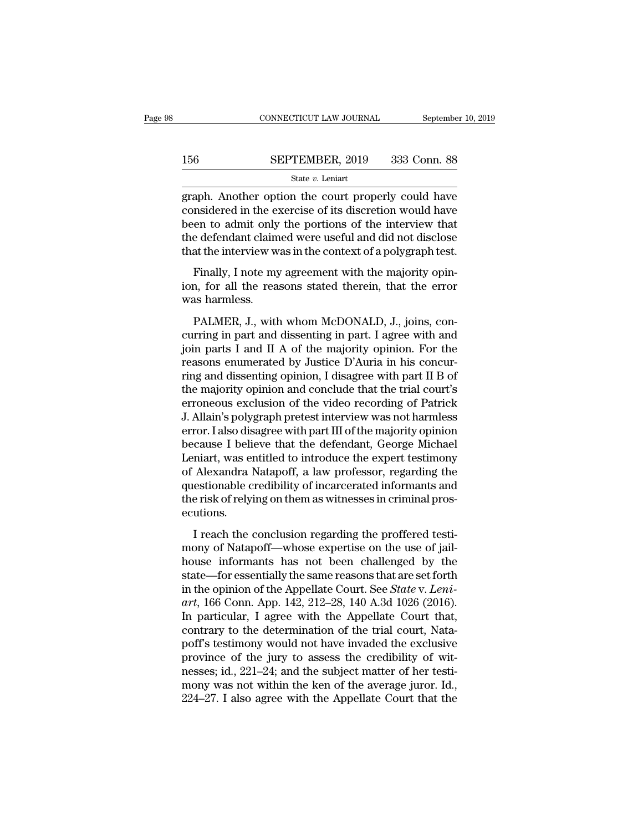### $\begin{tabular}{ll} \multicolumn{2}{l} \multicolumn{2}{c}{\text{CONNECTICUT LAW JOURNAL}} & \multicolumn{2}{c}{\text{September 10, 2019}}\\ \cline{2-2} \multicolumn{2}{c}{\text{COMNECTICUT LAW JOURNAL}} & \multicolumn{2}{c}{\text{September 10, 2019}}\\ \cline{2-2} \multicolumn{2}{c}{\text{StepTEMBER, 2019}} & \multicolumn{2}{c}{\text{333 Conn. 88}}\\ \cline{2-2} \multicolumn{2}{c}{\text{State $v$. Leniart}} & \multicolumn{2}{c}{\text{State $v$.} } \end$ State *v.* Leniart

CONNECTICUT LAW JOURNAL September 10, 2019<br>156 SEPTEMBER, 2019 333 Conn. 88<br>156 SEPTEMBER, 2019 333 Conn. 88<br>1970 State v. Leniart<br>1970 State v. Leniart<br>2001 Another option the court properly could have<br>1980 to admit only SEPTEMBER, 2019 333 Conn. 88<br>
State v. Leniart<br>
State v. Leniart<br>
State v. Leniart<br>
State v. Leniart<br>
considered in the exercise of its discretion would have<br>
been to admit only the portions of the interview that<br>
the defe 156 SEPTEMBER, 2019 333 Conn. 88<br>
State  $v$ . Leniart<br>
graph. Another option the court properly could have<br>
considered in the exercise of its discretion would have<br>
been to admit only the portions of the interview that<br>
th 156 SEPTEMBER, 2019 333 Conn. 88<br>
State v. Leniart<br>
graph. Another option the court properly could have<br>
considered in the exercise of its discretion would have<br>
been to admit only the portions of the interview that<br>
the SET TEREST, THE 1998 SOME OF<br>State v. Leniart<br>graph. Another option the court properly could have<br>considered in the exercise of its discretion would have<br>been to admit only the portions of the interview that<br>the defendant aph. Another option the court properly could have<br>msidered in the exercise of its discretion would have<br>en to admit only the portions of the interview that<br>e defendant claimed were useful and did not disclose<br>at the interv graph. Thouter option the coart property collid have<br>considered in the exercise of its discretion would have<br>been to admit only the portions of the interview that<br>the defendant claimed were useful and did not disclose<br>that been to admit only<br>the defendant claim<br>that the interview w<br>Finally, I note my<br>ion, for all the rea<br>was harmless.<br>PALMER, J., with

e defendant claimed were useful and did not disclose<br>at the interview was in the context of a polygraph test.<br>Finally, I note my agreement with the majority opin-<br>n, for all the reasons stated therein, that the error<br>as ha

that the interview was in the context of a polygraph test.<br>
Finally, I note my agreement with the majority opin-<br>
ion, for all the reasons stated therein, that the error<br>
was harmless.<br>
PALMER, J., with whom McDONALD, J., Finally, I note my agreement with the majority opinion, for all the reasons stated therein, that the error<br>was harmless.<br>PALMER, J., with whom McDONALD, J., joins, con-<br>curring in part and dissenting in part. I agree with reasons stated therein, that the error<br>was harmless.<br>PALMER, J., with whom McDONALD, J., joins, concurring in part and dissenting in part. I agree with and<br>join parts I and II A of the majority opinion. For the<br>reasons enu ring and dissenting and conclude that the trial court of the majority opinion. For the reasons enumerated by Justice D'Auria in his concurring and dissenting opinion, I disagree with part II B of the majority opinion. For FALMER, J., with whom McDONALD, J., joins, concurring in part and dissenting in part. I agree with and<br>join parts I and II A of the majority opinion. For the<br>reasons enumerated by Justice D'Auria in his concur-<br>ring and di PALMER, J., with whom McDONALD, J., joins, concurring in part and dissenting in part. I agree with and<br>join parts I and II A of the majority opinion. For the<br>reasons enumerated by Justice D'Auria in his concur-<br>ring and di curring in part and dissenting in part. I agree with and<br>join parts I and II A of the majority opinion. For the<br>reasons enumerated by Justice D'Auria in his concur-<br>ring and dissenting opinion, I disagree with part II B of join parts I and II A of the majority opinion. For the reasons enumerated by Justice D'Auria in his concurring and dissenting opinion, I disagree with part II B of the majority opinion and conclude that the trial court's e reasons enumerated by Justice D'Auria in his concurring and dissenting opinion, I disagree with part II B of<br>the majority opinion and conclude that the trial court's<br>erroneous exclusion of the video recording of Patrick<br>J. ring and dissenting opinion, I disagree with part II B of<br>the majority opinion and conclude that the trial court's<br>erroneous exclusion of the video recording of Patrick<br>J. Allain's polygraph pretest interview was not harml the majority opinion and conclude that the trial court's<br>erroneous exclusion of the video recording of Patrick<br>J. Allain's polygraph pretest interview was not harmless<br>error. I also disagree with part III of the majority o erroneous exclusion of the video recording of Patrick<br>J. Allain's polygraph pretest interview was not harmless<br>error. I also disagree with part III of the majority opinion<br>because I believe that the defendant, George Micha J. Allain's polygraph pretest interview was not harmless<br>error. I also disagree with part III of the majority opinion<br>because I believe that the defendant, George Michael<br>Leniart, was entitled to introduce the expert testi ecutions. Easter Ferritre and the determinit, was entitled to introduce the expert testimony<br>
Alexandra Natapoff, a law professor, regarding the<br>
estionable credibility of incarcerated informants and<br>
e risk of relying on them as wi monder are the expert test and the standard of Alexandra Natapoff, a law professor, regarding the questionable credibility of incarcerated informants and the risk of relying on them as witnesses in criminal prosecutions.<br>I

or ricaliana rualipori, a law professor, regarding allemontationable credibility of incarcerated informants and<br>the risk of relying on them as witnesses in criminal prosecutions.<br>I reach the conclusion regarding the proffe the risk of relying on them as witnesses in criminal prosecutions.<br>
I reach the conclusion regarding the proffered testi-<br>
mony of Natapoff—whose expertise on the use of jail-<br>
house informants has not been challenged by I reach the conclusion regarding the proffered testi-<br>mony of Natapoff—whose expertise on the use of jail-<br>house informants has not been challenged by the<br>state—for essentially the same reasons that are set forth<br>in the op I reach the conclusion regarding the proffered testi-<br>mony of Natapoff—whose expertise on the use of jail-<br>house informants has not been challenged by the<br>state—for essentially the same reasons that are set forth<br>in the op I reach the conclusion regarding the proffered testi-<br>mony of Natapoff—whose expertise on the use of jail-<br>house informants has not been challenged by the<br>state—for essentially the same reasons that are set forth<br>in the o mony of Natapoff—whose expertise on the use of jail-<br>house informants has not been challenged by the<br>state—for essentially the same reasons that are set forth<br>in the opinion of the Appellate Court. See *State* v. *Leni-*<br> house informants has not been challenged by the<br>state—for essentially the same reasons that are set forth<br>in the opinion of the Appellate Court. See *State v. Leni-*<br>art, 166 Conn. App. 142, 212–28, 140 A.3d 1026 (2016).<br> state—for essentially the same reasons that are set forth<br>in the opinion of the Appellate Court. See *State v. Leni-*<br>art, 166 Conn. App. 142, 212–28, 140 A.3d 1026 (2016).<br>In particular, I agree with the Appellate Court t in the opinion of the Appellate Court. See *State* v. Leni-<br>art, 166 Conn. App. 142, 212–28, 140 A.3d 1026 (2016).<br>In particular, I agree with the Appellate Court that,<br>contrary to the determination of the trial court, Na art, 166 Conn. App. 142, 212–28, 140 A.3d 1026 (2016).<br>In particular, I agree with the Appellate Court that,<br>contrary to the determination of the trial court, Nata-<br>poff's testimony would not have invaded the exclusive<br>pr In particular, I agree with the Appellate Court that, contrary to the determination of the trial court, Natapoff's testimony would not have invaded the exclusive province of the jury to assess the credibility of witnesses;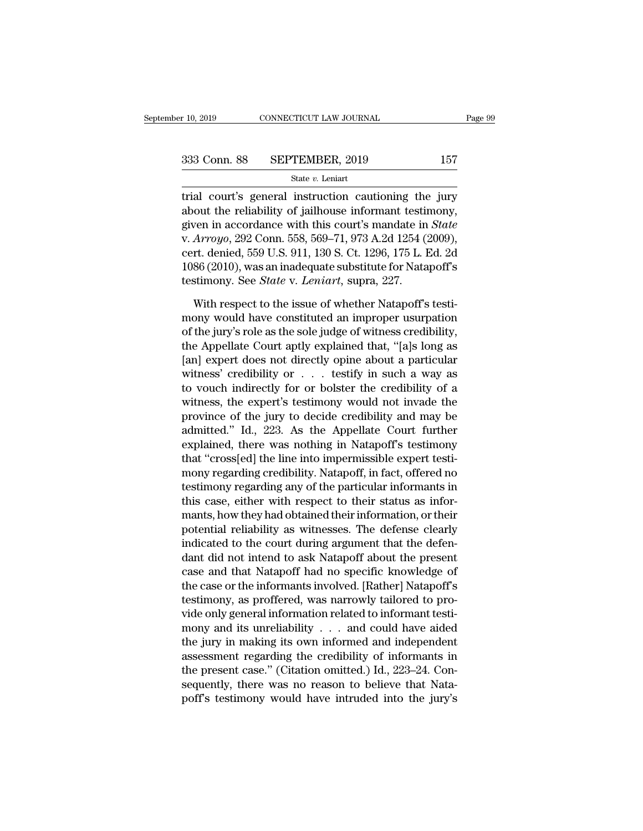$\begin{array}{r}\n \text{r} \ 10, 2019 \quad \text{CONNECTICUT LAW JOURNAL} \quad \text{Page 99}\n \end{array}$ <br>  $\begin{array}{r}\n 333 \text{ Conn. } 88 \quad \text{SEPTEMBER, } 2019 \quad \text{157}\n \end{array}$ <br>  $\begin{array}{r}\n \text{State } v. \text{ Lenin}\n \end{array}$ <br>  $\begin{array}{r}\n \text{State } v. \text{ Lenin}\n \end{array}$ <br>  $\begin{array}{r}\n \text{State } v. \text{ Lenin}\n \end{array}$ <br>  $\begin{array}{r}\n \text{State } v.$ 333 Conn. 88 SEPTEMBER, 2019 157<br>
State *v*. Leniart<br>
trial court's general instruction cautioning the jury<br>
about the reliability of jailhouse informant testimony,<br>
given in accordance with this court's mandate in *State* 333 Conn. 88 SEPTEMBER, 2019 157<br>
State *v*. Leniart<br>
trial court's general instruction cautioning the jury<br>
about the reliability of jailhouse informant testimony,<br>
given in accordance with this court's mandate in *State* 333 Conn. 88 SEPTEMBER, 2019 157<br>
state *v*. Leniart<br>
trial court's general instruction cautioning the jury<br>
about the reliability of jailhouse informant testimony,<br>
given in accordance with this court's mandate in *State* State v. Leniart<br>
trial court's general instruction cautioning the jury<br>
about the reliability of jailhouse informant testimony,<br>
given in accordance with this court's mandate in *State*<br>
v. Arroyo, 292 Conn. 558, 569–71, state *v*. Lentart<br>trial court's general instruction cautioning the jury<br>about the reliability of jailhouse informant testimony,<br>given in accordance with this court's mandate in *State*<br>v. Arroyo, 292 Conn. 558, 569–71, 9 trial court's general instruction cautioning the<br>about the reliability of jailhouse informant testin<br>given in accordance with this court's mandate in<br>v. *Arroyo*, 292 Conn. 558, 569–71, 973 A.2d 1254 (;<br>cert. denied, 559 U ven in accordance with this court's mandate in *State*<br>Arroyo, 292 Conn. 558, 569–71, 973 A.2d 1254 (2009),<br>rt. denied, 559 U.S. 911, 130 S. Ct. 1296, 175 L. Ed. 2d<br>86 (2010), was an inadequate substitute for Natapoff's<br>st v. *Arroyo*, 292 Conn. 558, 569–71, 973 A.2d 1254 (2009),<br>cert. denied, 559 U.S. 911, 130 S. Ct. 1296, 175 L. Ed. 2d<br>1086 (2010), was an inadequate substitute for Natapoff's<br>testimony. See *State* v. *Leniart*, supra, 227.

cert. denied, 559 U.S. 911, 130 S. Ct. 1296, 175 L. Ed. 2d<br>1086 (2010), was an inadequate substitute for Natapoff's<br>testimony. See *State* v. *Leniart*, supra, 227.<br>With respect to the issue of whether Natapoff's testi-<br>mo 1086 (2010), was an inadequate substitute for Natapoff's<br>testimony. See *State* v. *Leniart*, supra, 227.<br>With respect to the issue of whether Natapoff's testi-<br>mony would have constituted an improper usurpation<br>of the ju testimony. See *State* v. *Leniart*, supra, 227.<br>With respect to the issue of whether Natapoff's testi-<br>mony would have constituted an improper usurpation<br>of the jury's role as the sole judge of witness credibility,<br>the A With respect to the issue of whether Natapoff's testi-<br>mony would have constituted an improper usurpation<br>of the jury's role as the sole judge of witness credibility,<br>the Appellate Court aptly explained that, "[a]s long a With respect to the issue of whether Natapoff's testi-<br>mony would have constituted an improper usurpation<br>of the jury's role as the sole judge of witness credibility,<br>the Appellate Court aptly explained that, "[a]s long a mony would have constituted an improper usurpation<br>of the jury's role as the sole judge of witness credibility,<br>the Appellate Court aptly explained that, "[a]s long as<br>[an] expert does not directly opine about a particula of the jury's role as the sole judge of witness credibility,<br>the Appellate Court aptly explained that, "[a]s long as<br>[an] expert does not directly opine about a particular<br>witness' credibility or  $\ldots$  testify in such a w the Appellate Court aptly explained that, "[a]s long as<br>
[an] expert does not directly opine about a particular<br>
witness' credibility or  $\ldots$  testify in such a way as<br>
to vouch indirectly for or bolster the credibility o [an] expert does not directly opine about a particular<br>witness' credibility or  $\ldots$  testify in such a way as<br>to vouch indirectly for or bolster the credibility of a<br>witness, the expert's testimony would not invade the<br>pr witness' credibility or  $\ldots$  testify in such a way as<br>to vouch indirectly for or bolster the credibility of a<br>witness, the expert's testimony would not invade the<br>province of the jury to decide credibility and may be<br>adm to vouch indirectly for or bolster the credibility of a<br>witness, the expert's testimony would not invade the<br>province of the jury to decide credibility and may be<br>admitted." Id., 223. As the Appellate Court further<br>explain witness, the expert's testimony would not invade the<br>province of the jury to decide credibility and may be<br>admitted." Id., 223. As the Appellate Court further<br>explained, there was nothing in Natapoff's testimony<br>that "cros province of the jury to decide credibility and may be<br>admitted." Id., 223. As the Appellate Court further<br>explained, there was nothing in Natapoff's testimony<br>that "cross[ed] the line into impermissible expert testi-<br>mony admitted." Id., 223. As the Appellate Court further<br>explained, there was nothing in Natapoff's testimony<br>that "cross[ed] the line into impermissible expert testi-<br>mony regarding credibility. Natapoff, in fact, offered no<br>t explained, there was nothing in Natapoff's testimony<br>that "cross[ed] the line into impermissible expert testi-<br>mony regarding credibility. Natapoff, in fact, offered no<br>testimony regarding any of the particular informants that "cross[ed] the line into impermissible expert testi-<br>mony regarding credibility. Natapoff, in fact, offered no<br>testimony regarding any of the particular informants in<br>this case, either with respect to their status as mony regarding credibility. Natapoff, in fact, offered no<br>testimony regarding any of the particular informants in<br>this case, either with respect to their status as infor-<br>mants, how they had obtained their information, or testimony regarding any of the particular informants in<br>this case, either with respect to their status as infor-<br>mants, how they had obtained their information, or their<br>potential reliability as witnesses. The defense clea this case, either with respect to their status as informants, how they had obtained their information, or their potential reliability as witnesses. The defense clearly indicated to the court during argument that the defend mants, how they had obtained their information, or their<br>potential reliability as witnesses. The defense clearly<br>indicated to the court during argument that the defen-<br>dant did not intend to ask Natapoff about the present<br> potential reliability as witnesses. The defense clearly<br>indicated to the court during argument that the defen-<br>dant did not intend to ask Natapoff about the present<br>case and that Natapoff had no specific knowledge of<br>the c indicated to the court during argument that the defen-<br>dant did not intend to ask Natapoff about the present<br>case and that Natapoff had no specific knowledge of<br>the case or the informants involved. [Rather] Natapoff's<br>test dant did not intend to ask Natapoff about the present<br>case and that Natapoff had no specific knowledge of<br>the case or the informants involved. [Rather] Natapoff's<br>testimony, as proffered, was narrowly tailored to pro-<br>vid case and that Natapoff had no specific knowledge of<br>the case or the informants involved. [Rather] Natapoff's<br>testimony, as proffered, was narrowly tailored to pro-<br>vide only general information related to informant testi-<br> the case or the informants involved. [Rather] Natapoff's<br>testimony, as proffered, was narrowly tailored to pro-<br>vide only general information related to informant testi-<br>mony and its unreliability . . . and could have aide testimony, as proffered, was narrowly tailored to provide only general information related to informant testimony and its unreliability  $\ldots$  and could have aided the jury in making its own informed and independent assess wide only general information related to informant testimony and its unreliability  $\ldots$  and could have aided the jury in making its own informed and independent assessment regarding the credibility of informants in the p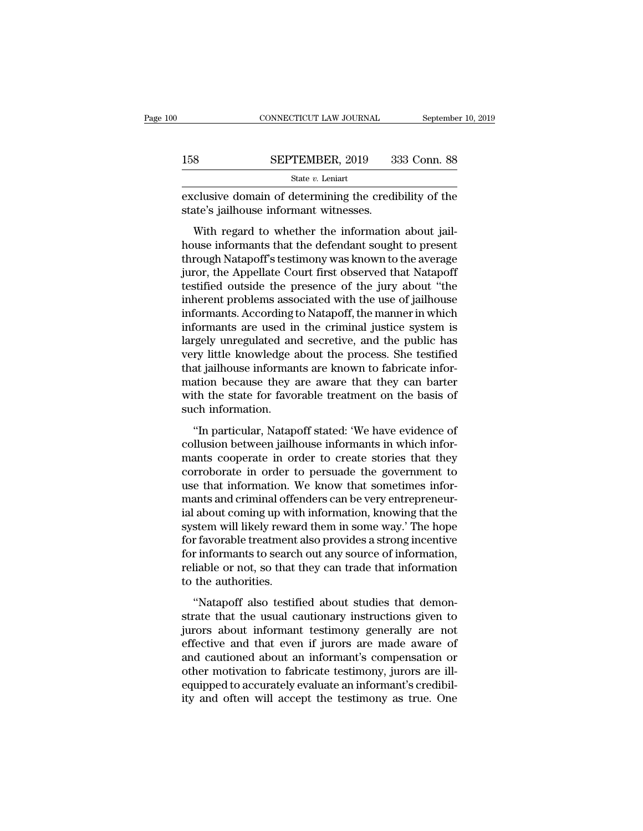|     | CONNECTICUT LAW JOURNAL                                                                          | September 10, 2019 |
|-----|--------------------------------------------------------------------------------------------------|--------------------|
| 158 | SEPTEMBER, 2019                                                                                  | 333 Conn. 88       |
|     | State v. Leniart                                                                                 |                    |
|     | exclusive domain of determining the credibility of the<br>state's jailhouse informant witnesses. |                    |
|     | With regard to whether the information about jail-                                               |                    |

SEPTEMBER, 2019 333 Conn. 88<br>
State  $v$ . Leniart<br>
clusive domain of determining the credibility of the<br>
tate's jailhouse informant witnesses.<br>
With regard to whether the information about jail-<br>
use informants that the de  $\frac{\text{SEPTEMBER, 2019}}{\text{State } v. \text{ Leniart}}$ <br>
exclusive domain of determining the credibility of the<br>
state's jailhouse informant witnesses.<br>
With regard to whether the information about jail-<br>
house informants that the defendant sou State v. Leniart<br>
exclusive domain of determining the credibility of the<br>
state's jailhouse informant witnesses.<br>
With regard to whether the information about jail-<br>
house informants that the defendant sought to present<br> exclusive domain of determining the credibility of the<br>state's jailhouse informant witnesses.<br>With regard to whether the information about jail-<br>house informants that the defendant sought to present<br>through Natapoff's test Exertistive domain of determining the eredibility of the<br>state's jailhouse informant witnesses.<br>With regard to whether the information about jail-<br>house informants that the defendant sought to present<br>through Natapoff's te With regard to whether the information about jail-<br>house informants that the defendant sought to present<br>through Natapoff's testimony was known to the average<br>juror, the Appellate Court first observed that Natapoff<br>testifi With regard to whether the information about jail-<br>house informants that the defendant sought to present<br>through Natapoff's testimony was known to the average<br>juror, the Appellate Court first observed that Natapoff<br>testifi house informants that the defendant sought to present<br>through Natapoff's testimony was known to the average<br>juror, the Appellate Court first observed that Natapoff<br>testified outside the presence of the jury about "the<br>inhe through Natapoff's testimony was known to the average<br>juror, the Appellate Court first observed that Natapoff<br>testified outside the presence of the jury about "the<br>inherent problems associated with the use of jailhouse<br>inf juror, the Appellate Court first observed that Natapoff<br>testified outside the presence of the jury about "the<br>inherent problems associated with the use of jailhouse<br>informants. According to Natapoff, the manner in which<br>in testified outside the presence of the jury about "the inherent problems associated with the use of jailhouse informants. According to Natapoff, the manner in which informants are used in the criminal justice system is larg inherent problems associated with the use of jailhouse<br>informants. According to Natapoff, the manner in which<br>informants are used in the criminal justice system is<br>largely unregulated and secretive, and the public has<br>very informants. According to Natapoff, the manner in which<br>informants are used in the criminal justice system is<br>largely unregulated and secretive, and the public has<br>very little knowledge about the process. She testified<br>that informants are used in<br>largely unregulated an<br>very little knowledge a<br>that jailhouse informan<br>mation because they a<br>with the state for favo<br>such information.<br>"In particular, Natap The state of the process. She testified<br>
in particular, that the process. She testified<br>
at jailhouse informants are known to fabricate infor-<br>
ation because they are aware that they can barter<br>
th the state for favorable cally make informants are known to fabricate information because they are aware that they can barter with the state for favorable treatment on the basis of such information.<br>"In particular, Natapoff stated: 'We have eviden

mation because they are aware that they can barter<br>mation because they are aware that they can barter<br>with the state for favorable treatment on the basis of<br>such information.<br>"In particular, Natapoff stated: 'We have evide mation because andy are aware that andy can batter<br>with the state for favorable treatment on the basis of<br>such information.<br>"In particular, Natapoff stated: 'We have evidence of<br>collusion between jailhouse informants in wh what are state for favorable arealment on the basis of<br>such information.<br>"In particular, Natapoff stated: 'We have evidence of<br>collusion between jailhouse informants in which infor-<br>mants cooperate in order to create stori "In particular, Natapoff stated: 'We have evidence of<br>collusion between jailhouse informants in which infor-<br>mants cooperate in order to create stories that they<br>corroborate in order to persuade the government to<br>use that "In particular, Natapoff stated: "We have evidence of collusion between jailhouse informants in which informants cooperate in order to create stories that they corroborate in order to persuade the government to use that in collusion between jailhouse informants in which informants cooperate in order to create stories that they corroborate in order to persuade the government to use that information. We know that sometimes informants and crimi mants cooperate in order to create stories that they<br>corroborate in order to persuade the government to<br>use that information. We know that sometimes infor-<br>mants and criminal offenders can be very entrepreneur-<br>ial about c corroborate in order to persuade the government to<br>use that information. We know that sometimes infor-<br>mants and criminal offenders can be very entrepreneur-<br>ial about coming up with information, knowing that the<br>system wi use that information. We know that sometimes informants and criminal offenders can be very entrepreneurial about coming up with information, knowing that the system will likely reward them in some way.' The hope for favora mants and criminal offer<br>ial about coming up wit<br>system will likely rewar<br>for favorable treatment<br>for informants to searcl<br>reliable or not, so that<br>to the authorities.<br>"Natapoff also testif Example 12 which information, the wind and the stem will likely reward them in some way.' The hope r favorable treatment also provides a strong incentive r informants to search out any source of information, liable or not, system win incry reward atem in some way. The hope<br>for favorable treatment also provides a strong incentive<br>for informants to search out any source of information,<br>reliable or not, so that they can trade that information<br>t

For informants to search out any source of information,<br>for informants to search out any source of information,<br>reliable or not, so that they can trade that information<br>to the authorities.<br>"Natapoff also testified about st For mormans to search out any source of mormanon,<br>reliable or not, so that they can trade that information<br>to the authorities.<br>"Natapoff also testified about studies that demon-<br>strate that the usual cautionary instruction relative of not, so that they can trade that information<br>to the authorities.<br>"Natapoff also testified about studies that demon-<br>strate that the usual cautionary instructions given to<br>jurors about informant testimony genera "Natapoff also testified about studies that demonstrate that the usual cautionary instructions given to jurors about informant testimony generally are not effective and that even if jurors are made aware of and cautioned a "Natapoff also testified about studies that demonstrate that the usual cautionary instructions given to jurors about informant testimony generally are not effective and that even if jurors are made aware of and cautioned a strate that the usual cautionary instructions given to<br>jurors about informant testimony generally are not<br>effective and that even if jurors are made aware of<br>and cautioned about an informant's compensation or<br>other motivat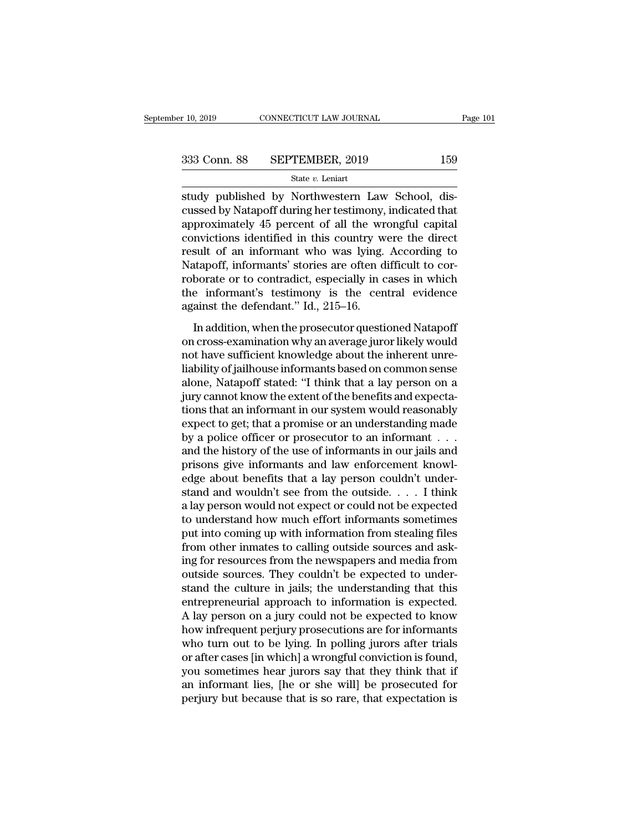study published by Northwestern Law School, discussed by Natapoff during her testimony, indicated that 333 Conn. 88 SEPTEMBER, 2019 159<br>
State  $v$ . Leniart<br>
study published by Northwestern Law School, discussed by Natapoff during her testimony, indicated that<br>
approximately 45 percent of all the wrongful capital<br>
convictio 333 Conn. 88 SEPTEMBER, 2019 159<br>
State v. Leniart<br>
study published by Northwestern Law School, discussed by Natapoff during her testimony, indicated that<br>
approximately 45 percent of all the wrongful capital<br>
convictions 333 Conn. 88 SEPTEMBER, 2019 159<br>
state  $v$ . Leniart<br>
study published by Northwestern Law School, discussed by Natapoff during her testimony, indicated that<br>
approximately 45 percent of all the wrongful capital<br>
convictio State v. Leniart<br>
State v. Leniart<br>
study published by Northwestern Law School, dis-<br>
cussed by Natapoff during her testimony, indicated that<br>
approximately 45 percent of all the wrongful capital<br>
convictions identified i state v. Lenart<br>study published by Northwestern Law School, dis-<br>cussed by Natapoff during her testimony, indicated that<br>approximately 45 percent of all the wrongful capital<br>convictions identified in this country were the study published by Northwestern Law School, discussed by Natapoff during her testimony, indicated that<br>approximately 45 percent of all the wrongful capital<br>convictions identified in this country were the direct<br>result of a cussed by Natapoff during her testimony, indicated that<br>approximately 45 percent of all the wrongful capital<br>convictions identified in this country were the direct<br>result of an informant who was lying. According to<br>Natapof approximately 45 percent of all the wr<br>convictions identified in this country w<br>result of an informant who was lying.<br>Natapoff, informants' stories are often d<br>roborate or to contradict, especially in c<br>the informant's tes In a informant who was lying. According to<br>sult of an informants' stories are often difficult to cor-<br>borate or to contradict, especially in cases in which<br>e informant's testimony is the central evidence<br>ainst the defendan restated at an anomial who was tying. The<br>orthogonal Matapoff, informants' stories are often difficult to cor-<br>roborate or to contradict, especially in cases in which<br>the informant's testimony is the central evidence<br>again

notation, included about the central wideo-<br>roborate or to contradict, especially in cases in which<br>the informant's testimony is the central evidence<br>against the defendant." Id., 215–16.<br>In addition, when the prosecutor qu liability of jailhouse informants based on common sense in the informant's testimony is the central evidence against the defendant." Id., 215–16.<br>In addition, when the prosecutor questioned Natapoff on cross-examination wh alone, Machinan Stated: '1 Id., 215–16.<br>
In addition, when the prosecutor questioned Natapoff<br>
on cross-examination why an average juror likely would<br>
not have sufficient knowledge about the inherent unre-<br>
liability of ja In addition, when the prosecutor questioned Natapoff<br>on cross-examination why an average juror likely would<br>not have sufficient knowledge about the inherent unre-<br>liability of jailhouse informants based on common sense<br>alo In addition, when the prosecutor questioned Natapoff<br>on cross-examination why an average juror likely would<br>not have sufficient knowledge about the inherent unre-<br>liability of jailhouse informants based on common sense<br>alo on cross-examination why an average juror likely would<br>not have sufficient knowledge about the inherent unre-<br>liability of jailhouse informants based on common sense<br>alone, Natapoff stated: "I think that a lay person on a<br> not have sufficient knowledge about the inherent unre-<br>liability of jailhouse informants based on common sense<br>alone, Natapoff stated: "I think that a lay person on a<br>jury cannot know the extent of the benefits and expecta liability of jailhouse informants based on common sense<br>alone, Natapoff stated: "I think that a lay person on a<br>jury cannot know the extent of the benefits and expecta-<br>tions that an informant in our system would reasonabl alone, Natapoff stated: "I think that a lay person on a<br>jury cannot know the extent of the benefits and expecta-<br>tions that an informant in our system would reasonably<br>expect to get; that a promise or an understanding made jury cannot know the extent of the benefits and expectations that an informant in our system would reasonably expect to get; that a promise or an understanding made by a police officer or prosecutor to an informant . . . . tions that an informant in our system would reasonably<br>expect to get; that a promise or an understanding made<br>by a police officer or prosecutor to an informant  $\dots$ <br>and the history of the use of informants in our jails an expect to get; that a promise or an understanding made<br>by a police officer or prosecutor to an informant  $\dots$ <br>and the history of the use of informants in our jails and<br>prisons give informants and law enforcement knowl-<br>ed by a police officer or prosecutor to an informant  $\dots$ <br>and the history of the use of informants in our jails and<br>prisons give informants and law enforcement knowl-<br>edge about benefits that a lay person couldn't under-<br>sta and the history of the use of informants in our jails and<br>prisons give informants and law enforcement knowl-<br>edge about benefits that a lay person couldn't under-<br>stand and wouldn't see from the outside. . . . I think<br>a la prisons give informants and law enforcement knowledge about benefits that a lay person couldn't understand and wouldn't see from the outside.  $\dots$  I think a lay person would not expect or could not be expected to understa edge about benefits that a lay person couldn't understand and wouldn't see from the outside. . . . I think<br>a lay person would not expect or could not be expected<br>to understand how much effort informants sometimes<br>put into stand and wouldn't see from the outside.  $\dots$  I think<br>a lay person would not expect or could not be expected<br>to understand how much effort informants sometimes<br>put into coming up with information from stealing files<br>from a lay person would not expect or could not be expected<br>to understand how much effort informants sometimes<br>put into coming up with information from stealing files<br>from other inmates to calling outside sources and ask-<br>ing f to understand how much effort informants sometimes<br>put into coming up with information from stealing files<br>from other inmates to calling outside sources and ask-<br>ing for resources from the newspapers and media from<br>outside put into coming up with information from stealing files<br>from other inmates to calling outside sources and ask-<br>ing for resources from the newspapers and media from<br>outside sources. They couldn't be expected to under-<br>stand from other inmates to calling outside sources and asking for resources from the newspapers and media from<br>outside sources. They couldn't be expected to understand the culture in jails; the understanding that this<br>entrepren ing for resources from the newspapers and media from<br>outside sources. They couldn't be expected to under-<br>stand the culture in jails; the understanding that this<br>entrepreneurial approach to information is expected.<br>A lay p outside sources. They couldn't be expected to understand the culture in jails; the understanding that this entrepreneurial approach to information is expected.<br>A lay person on a jury could not be expected to know how infre stand the culture in jails; the understanding that this<br>entrepreneurial approach to information is expected.<br>A lay person on a jury could not be expected to know<br>how infrequent perjury prosecutions are for informants<br>who t entrepreneurial approach to information is expected.<br>A lay person on a jury could not be expected to know<br>how infrequent perjury prosecutions are for informants<br>who turn out to be lying. In polling jurors after trials<br>or a A lay person on a jury could not be expected to know<br>how infrequent perjury prosecutions are for informants<br>who turn out to be lying. In polling jurors after trials<br>or after cases [in which] a wrongful conviction is found,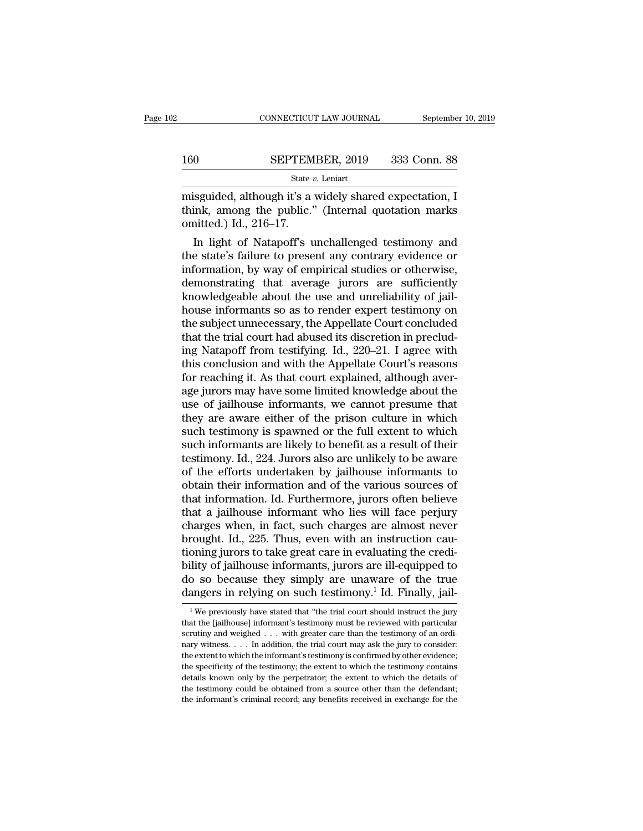CONNECTICUT LAW JOURNAL September 10, 2019<br>
SEPTEMBER, 2019 333 Conn. 88<br>
State v. Leniart<br>
misguided, although it's a widely shared expectation, I<br>
think, among the public." (Internal quotation marks<br>
conition of 17 160 SEPTEMBER, 2019 333 Conn. 88<br>
State *v*. Leniart<br>
misguided, although it's a widely shared expectation, I<br>
think, among the public.'' (Internal quotation marks<br>
omitted.) Id., 216–17. SEPTEM<br>
State *i*<br>
misguided, although it's a<br>
think, among the public.<br>
omitted.) Id., 216–17.<br>
In light of Natapoff's u  $\frac{\text{SEPTEMBER}, 2019}{\text{State } v. \text{ Leniart}}$ <br>
isguided, although it's a widely shared expectation, I<br>
ink, among the public." (Internal quotation marks<br>
aitted.) Id., 216–17.<br>
In light of Natapoff's unchallenged testimony and<br>
e stat

State v. Leniart<br>
misguided, although it's a widely shared expectation, I<br>
think, among the public." (Internal quotation marks<br>
omitted.) Id., 216–17.<br>
In light of Natapoff's unchallenged testimony and<br>
the state's failur misguided, although it's a widely shared expectation, I<br>think, among the public." (Internal quotation marks<br>omitted.) Id., 216–17.<br>In light of Natapoff's unchallenged testimony and<br>the state's failure to present any contra misguided, athough it's a widely shared expectation, I<br>think, among the public." (Internal quotation marks<br>omitted.) Id., 216–17.<br>In light of Natapoff's unchallenged testimony and<br>the state's failure to present any contrar think, among the public. (Internal quotation marks<br>omitted.) Id., 216–17.<br>In light of Natapoff's unchallenged testimony and<br>the state's failure to present any contrary evidence or<br>information, by way of empirical studies o omitted.) Id.,  $216-17$ .<br>
In light of Natapoff's unchallenged testimony and<br>
the state's failure to present any contrary evidence or<br>
information, by way of empirical studies or otherwise,<br>
demonstrating that average juro In light of Natapoff's unchallenged testimony and<br>the state's failure to present any contrary evidence or<br>information, by way of empirical studies or otherwise,<br>demonstrating that average jurors are sufficiently<br>knowledge the state's failure to present any contrary evidence or information, by way of empirical studies or otherwise, demonstrating that average jurors are sufficiently knowledgeable about the use and unreliability of jailhouse i information, by way of empirical studies or otherwise,<br>demonstrating that average jurors are sufficiently<br>knowledgeable about the use and unreliability of jail-<br>house informants so as to render expert testimony on<br>the subj demonstrating that average jurors are sufficiently<br>knowledgeable about the use and unreliability of jail-<br>house informants so as to render expert testimony on<br>the subject unnecessary, the Appellate Court concluded<br>that the knowledgeable about the use and unreliability of jail-<br>house informants so as to render expert testimony on<br>the subject unnecessary, the Appellate Court concluded<br>that the trial court had abused its discretion in preclud-<br> house informants so as to render expert testimony on<br>the subject unnecessary, the Appellate Court concluded<br>that the trial court had abused its discretion in preclud-<br>ing Natapoff from testifying. Id., 220–21. I agree with the subject unnecessary, the Appellate Court concluded<br>that the trial court had abused its discretion in preclud-<br>ing Natapoff from testifying. Id., 220–21. I agree with<br>this conclusion and with the Appellate Court's reaso that the trial court had abused its discretion in preclud-<br>ing Natapoff from testifying. Id., 220–21. I agree with<br>this conclusion and with the Appellate Court's reasons<br>for reaching it. As that court explained, although a ing Natapoff from testifying. Id., 220–21. I agree with<br>this conclusion and with the Appellate Court's reasons<br>for reaching it. As that court explained, although aver-<br>age jurors may have some limited knowledge about the<br>u this conclusion and with the Appellate Court's reasons<br>for reaching it. As that court explained, although aver-<br>age jurors may have some limited knowledge about the<br>use of jailhouse informants, we cannot presume that<br>they for reaching it. As that court explained, although average jurors may have some limited knowledge about the use of jailhouse informants, we cannot presume that they are aware either of the prison culture in which such test age jurors may have some limited knowledge about the<br>use of jailhouse informants, we cannot presume that<br>they are aware either of the prison culture in which<br>such testimony is spawned or the full extent to which<br>such infor use of jailhouse informants, we cannot presume that<br>they are aware either of the prison culture in which<br>such testimony is spawned or the full extent to which<br>such informants are likely to benefit as a result of their<br>test they are aware either of the prison culture in which<br>such testimony is spawned or the full extent to which<br>such informants are likely to benefit as a result of their<br>testimony. Id., 224. Jurors also are unlikely to be awar such testimony is spawned or the full extent to which<br>such informants are likely to benefit as a result of their<br>testimony. Id., 224. Jurors also are unlikely to be aware<br>of the efforts undertaken by jailhouse informants t such informants are likely to benefit as a result of their<br>testimony. Id., 224. Jurors also are unlikely to be aware<br>of the efforts undertaken by jailhouse informants to<br>obtain their information and of the various sources testimony. Id., 224. Jurors also are unlikely to be aware<br>of the efforts undertaken by jailhouse informants to<br>obtain their information and of the various sources of<br>that information. Id. Furthermore, jurors often believe<br> of the efforts undertaken by jailhouse informants to<br>obtain their information and of the various sources of<br>that information. Id. Furthermore, jurors often believe<br>that a jailhouse informant who lies will face perjury<br>char obtain their information and of the various sources of<br>that information. Id. Furthermore, jurors often believe<br>that a jailhouse informant who lies will face perjury<br>charges when, in fact, such charges are almost never<br>brou that information. Id. Furthermore, jurors often believe<br>that a jailhouse informant who lies will face perjury<br>charges when, in fact, such charges are almost never<br>brought. Id., 225. Thus, even with an instruction cau-<br>tion that a jailhouse informant who lies will face perjury charges when, in fact, such charges are almost never brought. Id., 225. Thus, even with an instruction cautioning jurors to take great care in evaluating the credibili oning jurors to take great care in evaluating the credi-<br>ility of jailhouse informants, jurors are ill-equipped to<br>o so because they simply are unaware of the true<br>angers in relying on such testimony.<sup>1</sup> Id. Finally, jail bility of jailhouse informants, jurors are ill-equipped to<br>do so because they simply are unaware of the true<br>dangers in relying on such testimony.<sup>1</sup> Id. Finally, jail-<br><sup>1</sup>We previously have stated that "the trial court s

do so because they simply are unaware of the true dangers in relying on such testimony.<sup>1</sup> Id. Finally, jail-<br><sup>1</sup>We previously have stated that "the trial court should instruct the jury that the [jailhouse] informant's te dangers in relying on such testimony.<sup>1</sup> Id. Finally, jail-<br><sup>1</sup>We previously have stated that "the trial court should instruct the jury<br>that the [jailhouse] informant's testimony must be reviewed with particular<br>scrutiny The extent to which the informant's testimony. The information is the information of the information of which the information secretive which are evidence; the extent to which the informant's testimony is confirmed by oth <sup>1</sup> We previously have stated that "the trial court should instruct the jury that the [jailhouse] informant's testimony must be reviewed with particular scrutiny and weighed  $\ldots$  with greater care than the testimony of a that the [jailhouse] informant's testimony must be reviewed with particular scrutiny and weighed . . . with greater care than the testimony of an ordinary witness. . . . In addition, the trial court may ask the jury to co scrutiny and weighed  $\ldots$  with greater care than the testimony of an ordinary witness.  $\ldots$  In addition, the trial court may ask the jury to consider: the extent to which the informant's testimony is confirmed by other nary witness.  $\dots$  In addition, the trial court may ask the jury to consider: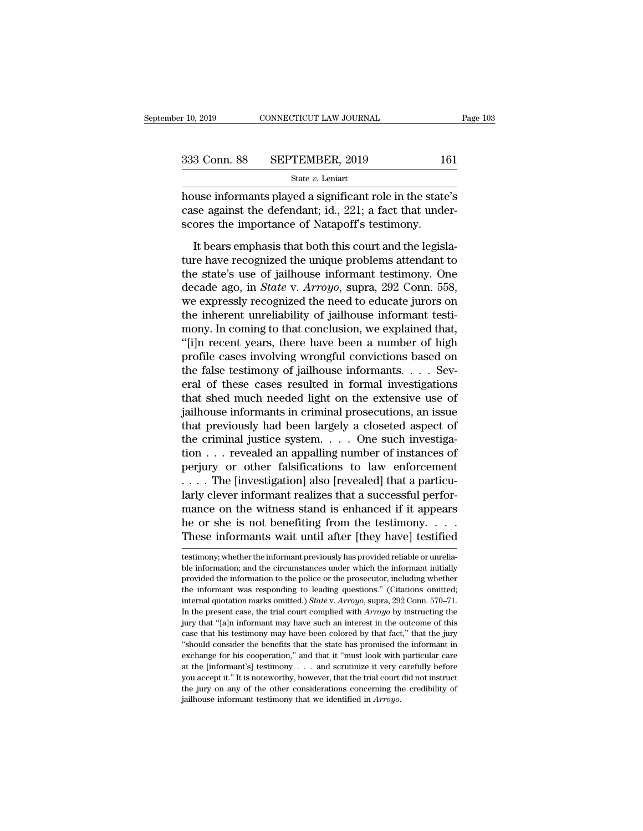| r 10, 2019   | CONNECTICUT LAW JOURNAL | Page 103 |
|--------------|-------------------------|----------|
| 333 Conn. 88 | SEPTEMBER, 2019         | 161      |
|              | State $v$ . Leniart     |          |

 $\begin{array}{r}\n \text{F 10, 2019}\n \text{COMRECTICUT LAW JOURNAL}\n \end{array}\n \quad\n \begin{array}{r}\n \text{Page 103}\n \text{Stage 104}\n \text{State } v. \text{ Leniat}\n \end{array}\n \quad\n \text{State } v. \text{ Leniat}\n \text{house informants played a significant role in the state's case against the defendant; id., 221; a fact that under-$ 333 Conn. 88 SEPTEMBER, 2019 161<br>
<sup>State v</sup>. Leniart<br>
house informants played a significant role in the state's<br>
case against the defendant; id., 221; a fact that under-<br>
scores the importance of Natapoff's testimony. 333 Conn. 88 SEPTEMBER, 2019 14<br>
State v. Leniart<br>
house informants played a significant role in the state<br>
case against the defendant; id., 221; a fact that unde<br>
scores the importance of Natapoff's testimony.<br>
It bears  $3 \text{ Conn. } 88$  SEPTEMBER, 2019 161<br>State v. Leniart<br>State v. Leniart<br>State v. Leniart<br>State v. Leniart<br>See against the defendant; id., 221; a fact that under-<br>ores the importance of Natapoff's testimony.<br>It bears emphasis t

State *v*. Leniart<br>house informants played a significant role in the state's<br>case against the defendant; id., 221; a fact that under-<br>scores the importance of Natapoff's testimony.<br>It bears emphasis that both this court a house informants played a significant role in the state's<br>case against the defendant; id., 221; a fact that under-<br>scores the importance of Natapoff's testimony.<br>It bears emphasis that both this court and the legisla-<br>ture recase against the defendant; id., 221; a fact that under-<br>scores the importance of Natapoff's testimony.<br>It bears emphasis that both this court and the legisla-<br>ture have recognized the unique problems attendant to<br>the st scores the importance of Natapoff's testimony.<br>
It bears emphasis that both this court and the legisla-<br>
ture have recognized the unique problems attendant to<br>
the state's use of jailhouse informant testimony. One<br>
decade scores the importance of Natapoff's testimony.<br>It bears emphasis that both this court and the legisla-<br>ture have recognized the unique problems attendant to<br>the state's use of jailhouse informant testimony. One<br>decade ago It bears emphasis that both this court and the legislature have recognized the unique problems attendant to the state's use of jailhouse informant testimony. One decade ago, in *State* v. *Arroyo*, supra, 292 Conn. 558, we ture have recognized the unique problems attendant to<br>the state's use of jailhouse informant testimony. One<br>decade ago, in *State* v. Arroyo, supra, 292 Conn. 558,<br>we expressly recognized the need to educate jurors on<br>the the state's use of jailhouse informant testimony. One<br>decade ago, in *State* v. *Arroyo*, supra, 292 Conn. 558,<br>we expressly recognized the need to educate jurors on<br>the inherent unreliability of jailhouse informant testidecade ago, in *State* v. *Arroyo*, supra, 292 Conn. 558, we expressly recognized the need to educate jurors on the inherent unreliability of jailhouse informant testimony. In coming to that conclusion, we explained that, we expressly recognized the need to educate jurors on<br>the inherent unreliability of jailhouse informant testi-<br>mony. In coming to that conclusion, we explained that,<br>"[i]n recent years, there have been a number of high<br>pro the inherent unreliability of jailhouse informant testi-<br>mony. In coming to that conclusion, we explained that,<br>"[i]n recent years, there have been a number of high<br>profile cases involving wrongful convictions based on<br>the mony. In coming to that conclusion, we explained that,<br>"[i]n recent years, there have been a number of high<br>profile cases involving wrongful convictions based on<br>the false testimony of jailhouse informants. . . . Sev-<br>eral "[i]n recent years, there have been a number of high<br>profile cases involving wrongful convictions based on<br>the false testimony of jailhouse informants. . . . Sev-<br>eral of these cases resulted in formal investigations<br>that profile cases involving wrongful convictions based on<br>the false testimony of jailhouse informants. . . . Sev-<br>eral of these cases resulted in formal investigations<br>that shed much needed light on the extensive use of<br>jailh the false testimony of jailhouse informants. . . . Several of these cases resulted in formal investigations<br>that shed much needed light on the extensive use of<br>jailhouse informants in criminal prosecutions, an issue<br>that eral of these cases resulted in formal investigations<br>that shed much needed light on the extensive use of<br>jailhouse informants in criminal prosecutions, an issue<br>that previously had been largely a closeted aspect of<br>the c that shed much needed light on the extensive use of jailhouse informants in criminal prosecutions, an issue<br>that previously had been largely a closeted aspect of<br>the criminal justice system. . . . One such investiga-<br>tion jailhouse informants in criminal prosecutions, an issue<br>that previously had been largely a closeted aspect of<br>the criminal justice system. . . . One such investiga-<br>tion . . . revealed an appalling number of instances of<br> that previously had been largely a closeted aspect of<br>the criminal justice system. . . . One such investiga-<br>tion . . . revealed an appalling number of instances of<br>perjury or other falsifications to law enforcement<br> $\dots$ . the criminal justice system. . . . One such investigation . . . revealed an appalling number of instances of perjury or other falsifications to law enforcement . . . . The [investigation] also [revealed] that a particular tion . . . revealed an appalling number of instances of<br>perjury or other falsifications to law enforcement<br>... . The [investigation] also [revealed] that a particu-<br>larly clever informant realizes that a successful perfor Figure 1 and the witness stand is enhanced if it appears<br>the or she is not benefiting from the testimony. . . . . These informants wait until after [they have] testified<br>testimony; whether the informant previously has pro mance on the witness stand is enhanced if it appears<br>he or she is not benefiting from the testimony. . . . These informants wait until after [they have] testified<br>testimony; whether the informant previously has provided r

he or she is not benefiting from the testimony. . . . . These informants wait until after [they have] testified<br>testimony, whether the informant previously has provided reliable or unrelia-<br>ble information; and the circums These informants wait until after [they have] testified<br>testimony; whether the informant previously has provided reliable or unrelia-<br>ble information; and the circumstances under which the informant initially<br>provided the intest important was the information market performance the information; whether the information; and the circumstances under which the informant initially provided the information to the police or the prosecutor, includin testimony; whether the informant previously has provided reliable or unrelia-<br>ble information; and the circumstances under which the informant initially<br>provided the information to the police or the prosecutor, including w ble information; and the circumstances under which the informant initially provided the information to the police or the prosecutor, including whether the informant was responding to leading questions." (Citations omitted provided the information to the police or the prosecutor, including whether the informant was responding to leading questions." (Citations omitted; internal quotation marks omitted.) *State v. Arroyo*, supra, 292 Conn. 57 the informant was responding to leading questions." (Citations omitted; internal quotation marks omitted.) *State v. Arroyo*, supra, 292 Conn. 570–71. In the present case, the trial court complied with *Arroyo* by instruc internal quotation marks omitted.) *State v. Arroyo*, supra, 292 Conn. 570–71. In the present case, the trial court complied with *Arroyo* by instructing the jury that "[a]n informant may have such an interest in the outc In the present case, the trial court complied with *Arroyo* by instructing the linty that "[a]n informant may have such an interest in the outcome of this case that his testimony may have been colored by that fact," that In the present case, the trial court complied with *Arroyo* by instructing the jury that "[a]n informant may have such an interest in the outcome of this case that his testimony may have been colored by that fact," that t case that his testimony may have been colored by that fact," that the jury exchange for his cooperation," and that it "must look with particular care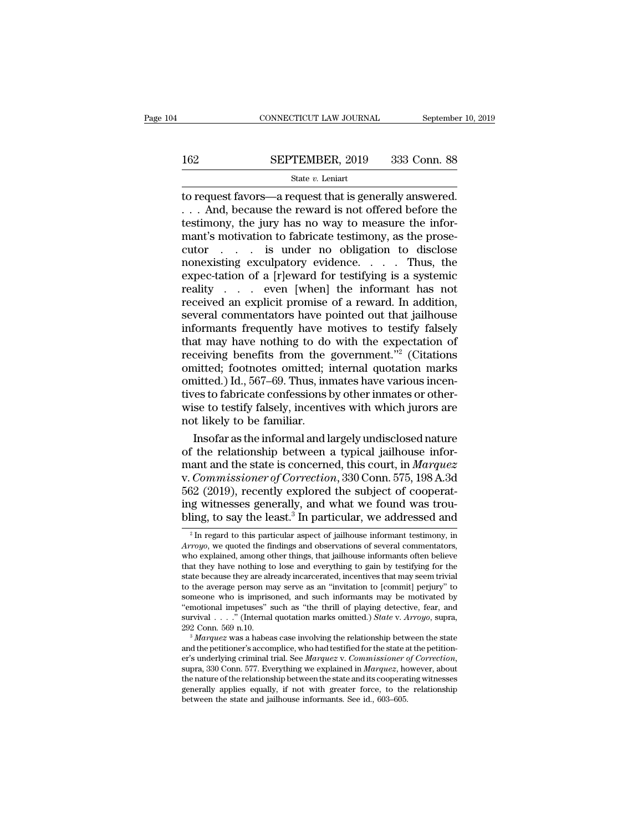# $\begin{tabular}{ll} \multicolumn{2}{l} \multicolumn{2}{c}{\text{CONNECTICUT LAW JOURNAL}} & \multicolumn{2}{c}{\text{September 10, 2019}}\\ \cline{2-2} \multicolumn{2}{c}{\text{COMNECTICUT LAW JOURNAL}} & \multicolumn{2}{c}{\text{September 10, 2019}}\\ \cline{2-2} \multicolumn{2}{c}{\text{StepTEMBER, 2019}} & \multicolumn{2}{c}{\text{333 Conn. 88}}\\ \cline{2-2} \multicolumn{2}{c}{\text{State $v$. Leniart}} & \multicolumn{2}{c}{\text{State $v$.} } \end$

### State *v.* Leniart

CONNECTICUT LAW JOURNAL September 10, 2<br>
SEPTEMBER, 2019 333 Conn. 88<br>
State v. Leniart<br>
to request favors—a request that is generally answered.<br>  $\therefore$  And, because the reward is not offered before the testimony the jury SEPTEMBER, 2019 333 Conn. 88<br>
State v. Leniart<br>
to request favors—a request that is generally answered.<br>
... And, because the reward is not offered before the<br>
testimony, the jury has no way to measure the infor-<br>
mant's m 162 SEPTEMBER, 2019 333 Conn. 88<br>  $\frac{\text{State } v. \text{ Leniat}}{\text{to request favors} - \text{a request that is generally answered.}}$ ... And, because the reward is not offered before the testimony, the jury has no way to measure the infor-<br>
mant's motivation to fabricate testimony, 162 SEPTEMBER, 2019 333 Conn. 88<br>
State v. Leniart<br>
to request favors—a request that is generally answered.<br>  $\dots$  And, because the reward is not offered before the<br>
testimony, the jury has no way to measure the infor-<br>
ma SET TEMBER, 2019 000 COMP. 00<br>
State v. Leniart<br>
to request favors—a request that is generally answered.<br>
... And, because the reward is not offered before the<br>
testimony, the jury has no way to measure the infor-<br>
mant's State v. Leniart<br>
to request favors—a request that is generally answered.<br>
. . . And, because the reward is not offered before the<br>
testimony, the jury has no way to measure the infor-<br>
mant's motivation to fabricate test to request favors—a request that is generally answered.<br>  $\ldots$  And, because the reward is not offered before the<br>
testimony, the jury has no way to measure the infor-<br>
mant's motivation to fabricate testimony, as the pros ... And, because the reward is not offered before the testimony, the jury has no way to measure the informant's motivation to fabricate testimony, as the prosecutor . . . is under no obligation to disclose nonexisting exc testimony, the jury has no way to measure the informant's motivation to fabricate testimony, as the prose-<br>cutor . . . . is under no obligation to disclose<br>nonexisting exculpatory evidence. . . . Thus, the<br>expec-tation of mant's motivation to fabricate testimony, as the prose-<br>
cutor  $\ldots$  is under no obligation to disclose<br>
nonexisting exculpatory evidence.  $\ldots$  Thus, the<br>
expectation of a [r]eward for testifying is a systemic<br>
reality cutor . . . is under no obligation to disclose<br>nonexisting exculpatory evidence. . . . Thus, the<br>expectation of a [r]eward for testifying is a systemic<br>reality . . . even [when] the informant has not<br>received an explicit nonexisting exculpatory evidence. . . . Thus, the expec-tation of a [r]eward for testifying is a systemic reality . . . even [when] the informant has not received an explicit promise of a reward. In addition, several comm expec-tation of a [r]eward for testifying is a systemic<br>reality  $\ldots$  even [when] the informant has not<br>received an explicit promise of a reward. In addition,<br>several commentators have pointed out that jailhouse<br>informant reality . . . . even [when] the informant has not<br>received an explicit promise of a reward. In addition,<br>several commentators have pointed out that jailhouse<br>informants frequently have motives to testify falsely<br>that may h received an explicit promise of a reward. In addition,<br>several commentators have pointed out that jailhouse<br>informants frequently have motives to testify falsely<br>that may have nothing to do with the expectation of<br>receivin several commentators have pointed out that jailhouse<br>informants frequently have motives to testify falsely<br>that may have nothing to do with the expectation of<br>receiving benefits from the government."<sup>2</sup> (Citations<br>omitted; informants frequently have motives to testify falsely<br>that may have nothing to do with the expectation of<br>receiving benefits from the government."<sup>2</sup> (Citations<br>omitted, footnotes omitted, internal quotation marks<br>omitted. that may have nothing to do<br>receiving benefits from the<br>omitted; footnotes omitted; i<br>omitted.) Id., 567–69. Thus, in<br>tives to fabricate confessions l<br>wise to testify falsely, incentiv<br>not likely to be familiar.<br>Insofar as ceiving benefits from the government."<sup>2</sup> (Citations<br>nitted; footnotes omitted; internal quotation marks<br>nitted.) Id., 567–69. Thus, inmates have various incen-<br>res to fabricate confessions by other inmates or other-<br>se t omitted; footnotes omitted; internal quotation marks<br>omitted.) Id., 567–69. Thus, inmates have various incen-<br>tives to fabricate confessions by other inmates or other-<br>wise to testify falsely, incentives with which jurors

omitted.) Id., 567–69. Thus, inmates have various incentives to fabricate confessions by other inmates or other-<br>wise to testify falsely, incentives with which jurors are<br>not likely to be familiar.<br>Insofar as the informal tives to fabricate confessions by other inmates or other-<br>wise to testify falsely, incentives with which jurors are<br>not likely to be familiar.<br>Insofar as the informal and largely undisclosed nature<br>of the relationship betw wise to testify falsely, incentives with which jurors are<br>not likely to be familiar.<br>Insofar as the informal and largely undisclosed nature<br>of the relationship between a typical jailhouse infor-<br>mant and the state is conc not likely to be familiar.<br>
Insofar as the informal and largely undisclosed nature<br>
of the relationship between a typical jailhouse infor-<br>
mant and the state is concerned, this court, in *Marquez*<br>
v. *Commissioner of Co* Insofar as the informal and largely undisclosed nature<br>of the relationship between a typical jailhouse infor-<br>mant and the state is concerned, this court, in *Marquez*<br>v. *Commissioner of Correction*, 330 Conn. 575, 198 A v. Commissioner of Correction, 330 Conn. 575, 198 A.3d 562 (2019), recently explored the subject of cooperating witnesses generally, and what we found was troubling, to say the least.<sup>3</sup> In particular, we addressed and  $\$ 562 (2019), recently explored the subject of cooperat-

boz (2015), recently explored the stable of cooperating witnesses generally, and what we found was troubling, to say the least.<sup>3</sup> In particular, we addressed and  $\frac{1}{2}$  In regard to this particular aspect of jailhouse Ing witnesses generally, and what we found was troubling, to say the least.<sup>3</sup> In particular, we addressed and  $\frac{1}{\sqrt{2}}$  In regard to this particular aspect of jailhouse informant testimony, in *Arroyo*, we quoted the bling, to say the least.<sup>3</sup> In particular, we addressed and  $\frac{1}{2}$  In regard to this particular aspect of jailhouse informant testimony, in *Arroyo*, we quoted the findings and observations of several commentators, who <sup>2</sup> In regard to this particular aspect of jailhouse informant testimony, in *Arroyo*, we quoted the findings and observations of several commentators, who explained, among other things, that jailhouse informants often be Figure 2.1 The regard to this particular aspect of jailhouse informant testimony, in *Arroyo*, we quoted the findings and observations of several commentators, who explained, among other things, that jailhouse informants Arroyo, we quoted the findings and observations of several commentators, who explained, among other things, that jailhouse informants often believe that they have nothing to lose and everything to gain by testifying for t who explained, among other things, that jailhouse informants often believe<br>that they have nothing to lose and everything to gain by testifying for the<br>state because they are already incarcerated, incentives that may seem t that they have nothing to lose and everything to gain by testifying for the state because they are already incarcerated, incentives that may seem trivial to the average person may serve as an "invitation to [commit] perjur to the average person may serve as an "invitation to [commit] perjury" to someone who is imprisoned, and such informants may be motivated by "emotional impetuses" such as "the thrill of playing detective, fear, and surviv

someone who is imprisoned, and such informants may be motivated by<br>
"emotional impetuses" such as "the thrill of playing detective, fear, and<br>
survival . . . ." (Internal quotation marks omitted.) *State* v. *Arroyo*, supr survival  $\ldots$ ." (Internal quotation marks omitted.) *State* v. Arroyo, supra, 292 Conn. 569 n.10.<br><sup>3</sup> Marquez was a habeas case involving the relationship between the state and the petitioner's accomplice, who had testif <sup>3</sup> Marquez was a habeas case involving the relationship between the state and the petitioner's accomplice, who had testified for the state at the petitioner's underlying criminal trial. See *Marquez* v. *Commissioner of Marquez* was a habeas case involving the relationship between the petitioner's accomplice, who had testified for the state a er's underlying criminal trial. See *Marquez* v. *Commissioner* c supra, 330 Conn. 577. Everyth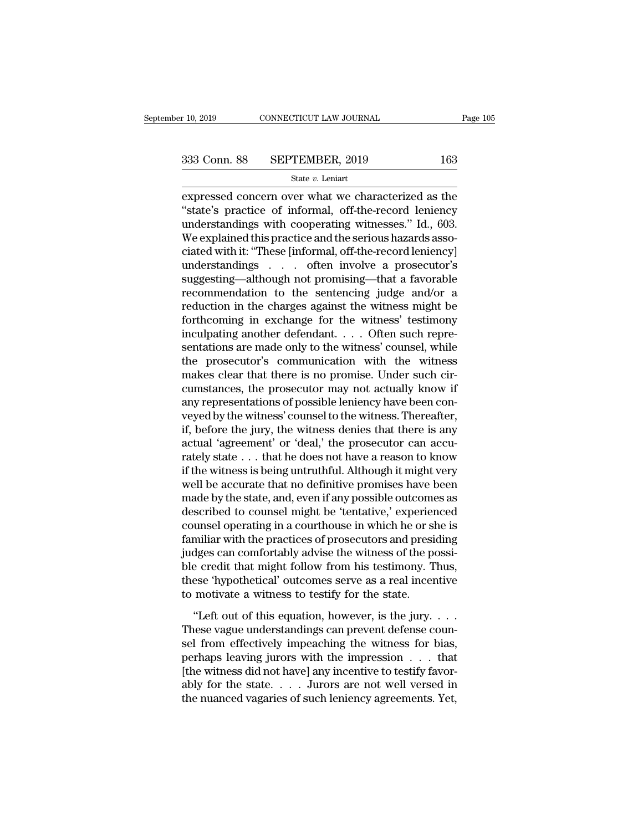expressed concern over what we characterized as the<br>  $\frac{\text{2333 Conn. 88}}{\text{State } v. \text{ Lenin}}$ <br>  $\frac{\text{State } v. \text{ Lenin}}{\text{state} \cdot \text{in}}$ <br>  $\frac{\text{2333 Conn. 88}}{\text{State } v. \text{ Lenin}}$ <br>  $\frac{\text{State } v. \text{ Lenin}}{\text{state} \cdot \text{in}}$ <br>  $\frac{\text{2333 Conn. 88}}{\text{State } v. \text{ Lenin}}$ <br>  $\frac{\text{2333 Conn$ <sup>333</sup> Conn. 88 SEPTEMBER, 2019 163<br>
<sup>State v</sup>. Leniart<br>
expressed concern over what we characterized as the<br>
"state's practice of informal, off-the-record leniency<br>
understandings with cooperating witnesses." Id., 603.<br>
We 333 Conn. 88 SEPTEMBER, 2019 163<br>
State v. Leniart<br>
expressed concern over what we characterized as the<br>
"state's practice of informal, off-the-record leniency<br>
understandings with cooperating witnesses." Id., 603.<br>
We ex 333 Conn. 88 SEPTEMBER, 2019 163<br>
State v. Leniart<br>
expressed concern over what we characterized as the<br>
"state's practice of informal, off-the-record leniency<br>
understandings with cooperating witnesses." Id., 603.<br>
We ex State v. Leniart<br>
State v. Leniart<br>
expressed concern over what we characterized as the<br>
"state's practice of informal, off-the-record leniency<br>
understandings with cooperating witnesses." Id., 603.<br>
We explained this pra state  $v$ . Lemart<br>
expressed concern over what we characterized as the<br>
"state's practice of informal, off-the-record leniency<br>
understandings with cooperating witnesses." Id., 603.<br>
We explained this practice and the ser expressed concern over what we characterized as the<br>
"state's practice of informal, off-the-record leniency<br>
understandings with cooperating witnesses." Id., 603.<br>
We explained this practice and the serious hazards asso-<br> "state's practice of informal, off-the-record leniency<br>understandings with cooperating witnesses." Id., 603.<br>We explained this practice and the serious hazards asso-<br>ciated with it: "These [informal, off-the-record lenien understandings with cooperating witnesses." Id., 603.<br>We explained this practice and the serious hazards associated with it: "These [informal, off-the-record leniency]<br>understandings . . . often involve a prosecutor's<br>sugg We explained this practice and the serious hazards associated with it: "These [informal, off-the-record leniency]<br>understandings . . . . often involve a prosecutor's<br>suggesting—although not promising—that a favorable<br>reco ciated with it: "These [informal, off-the-record leniency]<br>understandings . . . often involve a prosecutor's<br>suggesting—although not promising—that a favorable<br>recommendation to the sentencing judge and/or a<br>reduction in t understandings . . . often involve a prosecutor's<br>suggesting—although not promising—that a favorable<br>recommendation to the sentencing judge and/or a<br>reduction in the charges against the witness' testimony<br>inculpating in ex suggesting—although not promising—that a favorable<br>recommendation to the sentencing judge and/or a<br>reduction in the charges against the witness might be<br>forthcoming in exchange for the witness' testimony<br>inculpating anothe recommendation to the sentencing judge and/or a<br>reduction in the charges against the witness might be<br>forthcoming in exchange for the witness' testimony<br>inculpating another defendant.... Often such repre-<br>sentations are ma reduction in the charges against the witness might be<br>forthcoming in exchange for the witness' testimony<br>inculpating another defendant. . . . Often such repre-<br>sentations are made only to the witness' counsel, while<br>the p forthcoming in exchange for the witness' testimony<br>inculpating another defendant. . . . Often such repre-<br>sentations are made only to the witness' counsel, while<br>the prosecutor's communication with the witness<br>makes clear inculpating another defendant. . . . Often such representations are made only to the witness' counsel, while<br>the prosecutor's communication with the witness<br>makes clear that there is no promise. Under such cir-<br>cumstances, sentations are made only to the witness' counsel, while<br>the prosecutor's communication with the witness<br>makes clear that there is no promise. Under such cir-<br>cumstances, the prosecutor may not actually know if<br>any represen the prosecutor's communication with the witness<br>makes clear that there is no promise. Under such cir-<br>cumstances, the prosecutor may not actually know if<br>any representations of possible leniency have been con-<br>veyed by th makes clear that there is no promise. Under such circumstances, the prosecutor may not actually know if<br>any representations of possible leniency have been con-<br>veyed by the witness' counsel to the witness. Thereafter,<br>if, cumstances, the prosecutor may not actually know if<br>any representations of possible leniency have been con-<br>veyed by the witness' counsel to the witness. Thereafter,<br>if, before the jury, the witness denies that there is an any representations of possible leniency have been conveyed by the witness' counsel to the witness. Thereafter, if, before the jury, the witness denies that there is any actual 'agreement' or 'deal,' the prosecutor can acc veyed by the witness' counsel to the witness. Thereafter,<br>if, before the jury, the witness denies that there is any<br>actual 'agreement' or 'deal,' the prosecutor can accu-<br>rately state . . . that he does not have a reason t if, before the jury, the witness denies that there is any<br>actual 'agreement' or 'deal,' the prosecutor can accu-<br>rately state . . . that he does not have a reason to know<br>if the witness is being untruthful. Although it mig actual 'agreement' or 'deal,' the prosecutor can accurately state . . . that he does not have a reason to know<br>if the witness is being untruthful. Although it might very<br>well be accurate that no definitive promises have be rately state . . . that he does not have a reason to know<br>if the witness is being untruthful. Although it might very<br>well be accurate that no definitive promises have been<br>made by the state, and, even if any possible outco if the witness is being untruthful. Although it might very<br>well be accurate that no definitive promises have been<br>made by the state, and, even if any possible outcomes as<br>described to counsel might be 'tentative,' experien well be accurate that no definitive promises have been<br>made by the state, and, even if any possible outcomes as<br>described to counsel might be 'tentative,' experienced<br>counsel operating in a courthouse in which he or she is made by the state, and, even if any possible outcomes as<br>described to counsel might be 'tentative,' experienced<br>counsel operating in a courthouse in which he or she is<br>familiar with the practices of prosecutors and presidi described to counsel might be 'tentative,' experier<br>counsel operating in a courthouse in which he or sl<br>familiar with the practices of prosecutors and presi<br>judges can comfortably advise the witness of the p<br>ble credit tha miliar with the practices of prosecutors and presiding<br>
dges can comfortably advise the witness of the possi-<br>
e-credit that might follow from his testimony. Thus,<br>
ese 'hypothetical' outcomes serve as a real incentive<br>
m The summar what the procedus of prosecuses and prostaling<br>judges can comfortably advise the witness of the possi-<br>ble credit that might follow from his testimony. Thus,<br>these 'hypothetical' outcomes serve as a real incenti

ble credit that might follow from his testimony. Thus,<br>these 'hypothetical' outcomes serve as a real incentive<br>to motivate a witness to testify for the state.<br>"Left out of this equation, however, is the jury....<br>These vag per steak that high follow from the isostanony. Thus,<br>these 'hypothetical' outcomes serve as a real incentive<br>to motivate a witness to testify for the state.<br>"Left out of this equation, however, is the jury....<br>These vagu to motivate a witness to testify for the state.<br>
"Left out of this equation, however, is the jury.....<br>
These vague understandings can prevent defense counsel from effectively impeaching the witness for bias,<br>
perhaps lea "Left out of this equation, however, is the jury. . . . . These vague understandings can prevent defense counsel from effectively impeaching the witness for bias, perhaps leaving jurors with the impression  $\dots$  that [the "Left out of this equation, however, is the jury....<br>These vague understandings can prevent defense counsel from effectively impeaching the witness for bias,<br>perhaps leaving jurors with the impression  $\dots$  that<br>[the witne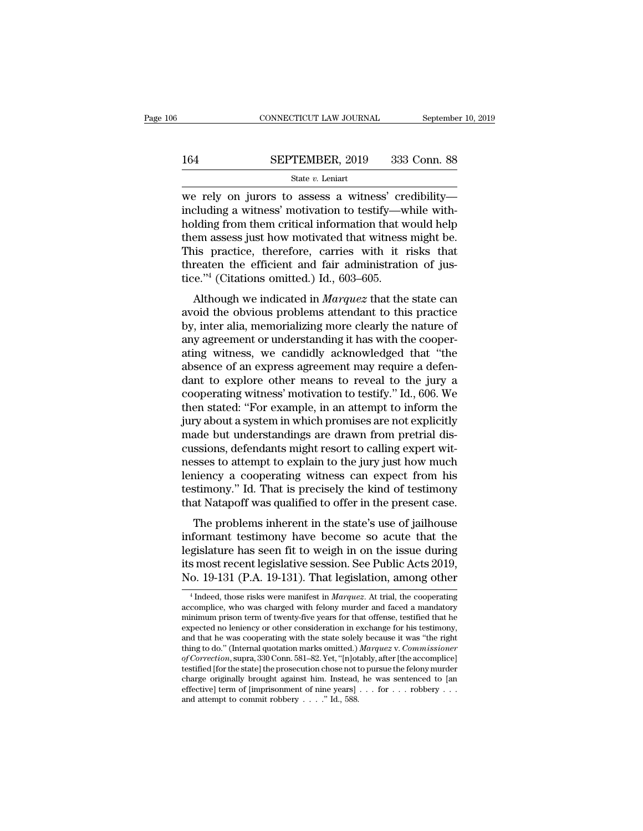# CONNECTICUT LAW JOURNAL September 10, 2019<br>164 SEPTEMBER, 2019 333 Conn. 88<br>State v. Leniart

### State *v.* Leniart

CONNECTICUT LAW JOURNAL September 10, 2019<br>  $\begin{array}{r}\n 164 \quad \text{SEPTEMBER, } 2019 \quad 333 \text{ Conn. } 88 \\
 \hline\n \text{State } v. \text{ Leniart} \\
 \text{we rely on jurors to assess a witness' credibility—}\n \text{including a witness' motivation to testify—while with-} \n \text{holding from them critical information that would help.} \n\end{array}$ 164 SEPTEMBER, 2019 333 Conn. 88<br>
<sup>State v</sup>. Leniart<br>
we rely on jurors to assess a witness' credibility—<br>
including a witness' motivation to testify—while with-<br>
holding from them critical information that would help<br>
the 164 SEPTEMBER, 2019 333 Conn. 88<br>
State v. Leniart<br>
we rely on jurors to assess a witness' credibility—<br>
including a witness' motivation to testify—while with-<br>
holding from them critical information that would help<br>
them 164 SEPTEMBER, 2019 333 Conn. 88<br>
state v. Leniart<br>
we rely on jurors to assess a witness' credibility—<br>
including a witness' motivation to testify—while with-<br>
holding from them critical information that would help<br>
them SET TREESER, THE 300 COLUMBER<br>
State v. Leniart<br>
We rely on jurors to assess a witness' credibility—<br>
including a witness' motivation to testify—while with-<br>
holding from them critical information that would help<br>
them as state v. Lenart<br>we rely on jurors to assess a witness' credibility-<br>including a witness' motivation to testify—while with-<br>holding from them critical information that would help<br>them assess just how motivated that witness we rely on jurors to assess a witness' creatincluding a witness' motivation to testify—w<br>holding from them critical information that w<br>them assess just how motivated that witness<br>This practice, therefore, carries with it Although we indicated in *Marquez* that the state can<br>be in assess just how motivated that witness might be.<br>his practice, therefore, carries with it risks that<br>reaten the efficient and fair administration of jus-<br>e."<sup>4</sup> ( The masses is thow motivated that witness might be.<br>This practice, therefore, carries with it risks that<br>threaten the efficient and fair administration of jus-<br>tice."<sup>4</sup> (Citations omitted.) Id., 603–605.<br>Although we indi

them assess just now motivated that whitess hight be.<br>This practice, therefore, carries with it risks that<br>threaten the efficient and fair administration of jus-<br>tice."<sup>4</sup> (Citations omitted.) Id., 603–605.<br>Although we ind This practice, therefore, carries with it fisks that<br>threaten the efficient and fair administration of jus-<br>tice."<sup>4</sup> (Citations omitted.) Id., 603–605.<br>Although we indicated in *Marquez* that the state can<br>avoid the obvio atically the circle of and an administration of just-<br>tice."<sup>4</sup> (Citations omitted.) Id., 603–605.<br>Although we indicated in *Marquez* that the state can<br>avoid the obvious problems attendant to this practice<br>by, inter alia absoluted in *Marquez* that the state can avoid the obvious problems attendant to this practice by, inter alia, memorializing more clearly the nature of any agreement or understanding it has with the cooperating witness, w Although we indicated in *Marquez* that the state can<br>avoid the obvious problems attendant to this practice<br>by, inter alia, memorializing more clearly the nature of<br>any agreement or understanding it has with the cooper-<br>a avoid the obvious problems attendant to this practice<br>by, inter alia, memorializing more clearly the nature of<br>any agreement or understanding it has with the cooper-<br>ating witness, we candidly acknowledged that "the<br>absenc by, inter alia, memorializing more clearly the nature of<br>any agreement or understanding it has with the cooper-<br>ating witness, we candidly acknowledged that "the<br>absence of an express agreement may require a defen-<br>dant to any agreement or understanding it has with the cooperating witness, we candidly acknowledged that "the absence of an express agreement may require a defendant to explore other means to reveal to the jury a cooperating witn ating witness, we candidly acknowledged that "the<br>absence of an express agreement may require a defen-<br>dant to explore other means to reveal to the jury a<br>cooperating witness' motivation to testify." Id., 606. We<br>then stat absence of an express agreement may require a defendant to explore other means to reveal to the jury a cooperating witness' motivation to testify." Id., 606. We then stated: "For example, in an attempt to inform the jury a dant to explore other means to reveal to the jury a<br>cooperating witness' motivation to testify." Id., 606. We<br>then stated: "For example, in an attempt to inform the<br>jury about a system in which promises are not explicitly<br> cooperating witness' motivation to testify." Id., 606. We<br>then stated: "For example, in an attempt to inform the<br>jury about a system in which promises are not explicitly<br>made but understandings are drawn from pretrial disthen stated: "For example, in an attempt to inform the<br>jury about a system in which promises are not explicitly<br>made but understandings are drawn from pretrial dis-<br>cussions, defendants might resort to calling expert wit-<br> jury about a system in which promises are not explicitly<br>made but understandings are drawn from pretrial dis-<br>cussions, defendants might resort to calling expert wit-<br>nesses to attempt to explain to the jury just how much<br> Examples are than if on pretrial dissensions, defendants might resort to calling expert wit-<br>sses to attempt to explain to the jury just how much<br>niency a cooperating witness can expect from his<br>stimony." Id. That is preci cussions, detendants inight resort to canning expert whenesses to attempt to explain to the jury just how much<br>leniency a cooperating witness can expect from his<br>testimony." Id. That is precisely the kind of testimony<br>that

lesses to attempt to explain to the jury just now much<br>leniency a cooperating witness can expect from his<br>testimony." Id. That is precisely the kind of testimony<br>that Natapoff was qualified to offer in the present case.<br>T it<br>estimony." Id. That is precisely the kind of testimony<br>that Natapoff was qualified to offer in the present case.<br>The problems inherent in the state's use of jailhouse<br>informant testimony have become so acute that the<br>le that Natapoff was qualified to offer in the present case.<br>The problems inherent in the state's use of jailhouse<br>informant testimony have become so acute that the<br>legislature has seen fit to weigh in on the issue during<br>it formant testimony have become so acute that the<br>gislature has seen fit to weigh in on the issue during<br>s most recent legislative session. See Public Acts 2019,<br>o. 19-131 (P.A. 19-131). That legislation, among other<br><sup>4</sup>Inde legislature has seen fit to weigh in on the issue during<br>its most recent legislative session. See Public Acts 2019,<br>No. 19-131 (P.A. 19-131). That legislation, among other<br><sup>4</sup> Indeed, those risks were manifest in *Marquez* 

its most recent legislative session. See Public Acts 2019,<br>No. 19-131 (P.A. 19-131). That legislation, among other<br> $^4$ Indeed, those risks were manifest in *Marquez*. At trial, the cooperating<br>accomplice, who was charged No. 19-131 (P.A. 19-131). That legislation, among other<br>  $\overline{\phantom{a}}^4$  Indeed, those risks were manifest in *Marquez*. At trial, the cooperating<br>
accomplice, who was charged with felony murder and faced a mandatory<br>
minim NO. 19-131 (P.A. 19-131). That legislation, among other<br>  $\frac{4 \text{ Indeed, those risks were manifest in } \text{Marquez. At trial, the cooperating}\text{accomplitude, who was charged with fellow number and faced a mandatory minimum prison term of twenty-five years for that offices, testing that he expected no leniency or other consideration in exchange for his testimony, and that he was cooperating with the state solely because it was "the right thing to do." (Internal quotation marks omitted.) *Marquez v. Commissioner*$ <sup>4</sup> Indeed, those risks were manifest in *Marquez*. At trial, the cooperating accomplice, who was charged with felony murder and faced a mandatory minimum prison term of twenty-five years for that offense, testified that <sup>4</sup> Indeed, those risks were manifest in *Marquez*. At trial, the cooperating accomplice, who was charged with felony murder and faced a mandatory minimum prison term of twenty-five years for that offense, testified that h accomplice, who was charged with felony murder and faced a mandatory<br>minimum prison term of twenty-five years for that offense, testified that he<br>expected no leniency or other consideration in exchange for his testimony,<br>a minimum prison term of twenty-five years for that offense, testified that he expected no leniency or other consideration in exchange for his testimony, and that he was cooperating with the state solely because it was "the expected no leniency or other consideration in exchange for his testimony, and that he was cooperating with the state solely because it was "the right thing to do." (Internal quotation marks omitted.) *Marquez v. Commissi* thing to do." (Internal quotation marks omitted.) *Marquez v. Commissioner* of Correction, supra, 330 Conn. 581–82. Yet, "[n]otably, after [the accomplice] testified [for the state] the prosecution chose not to pursue the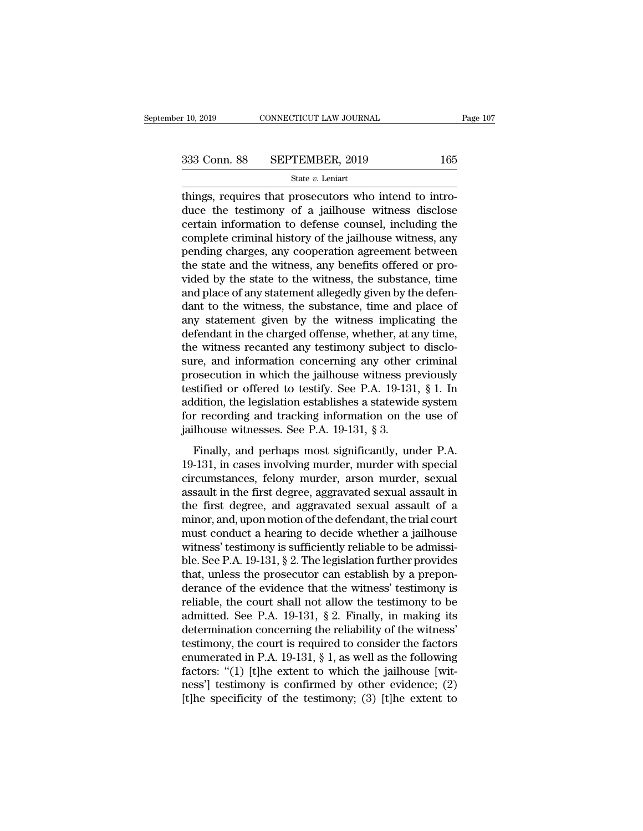$\begin{array}{r}\n \text{F 10, 2019}\n \hline\n \text{COMNETICUT LAW JOURNAL}\n \end{array}\n \begin{array}{r}\n 333 \text{ Conn. } 88 \quad \text{SEPTEMBER, 2019} \quad \text{165}\n \text{State } v. \text{ Leniart}\n \end{array}\n \text{things, requires that processor who intend to introduce the testimony of a jailhouse witness disclose certain information to defense young, including the\n$  $\begin{array}{r} \n 333 \text{ Conn. } 88 \quad \text{SEPTEMBER, } 2019 \quad \text{165} \\
 \text{State } v. \text{ Leniat} \\
 \text{things, requires that processors who intend to introduce the testimony of a jailhouse witness disclose certain information to defense counts, including the complete criminal history of the oilhouse witness. } \nend{array}$ 333 Conn. 88 SEPTEMBER, 2019 165<br>
State v. Leniart<br>
things, requires that prosecutors who intend to intro-<br>
duce the testimony of a jailhouse witness disclose<br>
certain information to defense counsel, including the<br>
comple 333 Conn. 88 SEPTEMBER, 2019 165<br>
state v. Leniart<br>
things, requires that prosecutors who intend to intro-<br>
duce the testimony of a jailhouse witness disclose<br>
certain information to defense counsel, including the<br>
comple State v. Leniart<br>
State v. Leniart<br>
things, requires that prosecutors who intend to intro-<br>
duce the testimony of a jailhouse witness disclose<br>
certain information to defense counsel, including the<br>
complete criminal hist state v. Lenart<br>things, requires that prosecutors who intend to intro-<br>duce the testimony of a jailhouse witness disclose<br>certain information to defense counsel, including the<br>complete criminal history of the jailhouse wi things, requires that prosecutors who intend to introduce the testimony of a jailhouse witness disclose<br>certain information to defense counsel, including the<br>complete criminal history of the jailhouse witness, any<br>pending duce the testimony of a jailhouse witness disclose<br>certain information to defense counsel, including the<br>complete criminal history of the jailhouse witness, any<br>pending charges, any cooperation agreement between<br>the state certain information to defense counsel, including the<br>complete criminal history of the jailhouse witness, any<br>pending charges, any cooperation agreement between<br>the state and the witness, any benefits offered or pro-<br>vided complete criminal history of the jailhouse witness, any<br>pending charges, any cooperation agreement between<br>the state and the witness, any benefits offered or pro-<br>vided by the state to the witness, the substance, time<br>and pending charges, any cooperation agreement between<br>the state and the witness, any benefits offered or pro-<br>vided by the state to the witness, the substance, time<br>and place of any statement allegedly given by the defen-<br>dan the state and the witness, any benefits offered or provided by the state to the witness, the substance, time<br>and place of any statement allegedly given by the defen-<br>dant to the witness, the substance, time and place of<br>an vided by the state to the witness, the substance, time<br>and place of any statement allegedly given by the defen-<br>dant to the witness, the substance, time and place of<br>any statement given by the witness implicating the<br>defe and place of any statement allegedly given by the defendant to the witness, the substance, time and place of any statement given by the witness implicating the defendant in the charged offense, whether, at any time, the wi dant to the witness, the substance, time and place of<br>any statement given by the witness implicating the<br>defendant in the charged offense, whether, at any time,<br>the witness recanted any testimony subject to disclo-<br>sure, a any statement given by the witness implicating the<br>defendant in the charged offense, whether, at any time,<br>the witness recanted any testimony subject to disclo-<br>sure, and information concerning any other criminal<br>prosecut defendant in the charged offense, whether, at any time,<br>the witness recanted any testimony subject to disclo-<br>sure, and information concerning any other criminal<br>prosecution in which the jailhouse witness previously<br>testif the witness recanted any testimony subject t<br>sure, and information concerning any other<br>prosecution in which the jailhouse witness pr<br>testified or offered to testify. See P.A. 19-131<br>addition, the legislation establishes a Finally, and perhaps most significantly, under P.A. and the signified or offered to testify. See P.A. 19-131, § 1. In dition, the legislation establishes a statewide system recording and tracking information on the use of prosecution in which are jaintouse wratess previously<br>testified or offered to testify. See P.A. 19-131, § 1. In<br>addition, the legislation establishes a statewide system<br>for recording and tracking information on the use of<br>

cisalition, the legislation establishes a statewide system<br>for recording and tracking information on the use of<br>jailhouse witnesses. See P.A. 19-131, § 3.<br>Finally, and perhaps most significantly, under P.A.<br>19-131, in case For recording and tracking information on the use of<br>jailhouse witnesses. See P.A. 19-131, § 3.<br>Finally, and perhaps most significantly, under P.A.<br>19-131, in cases involving murder, murder with special<br>circumstances, felo failhouse witnesses. See P.A. 19-131, § 3.<br>Finally, and perhaps most significantly, under P.A.<br>19-131, in cases involving murder, murder with special<br>circumstances, felony murder, arson murder, sexual<br>assault in the first Finally, and perhaps most significantly, under P.A.<br>19-131, in cases involving murder, murder with special<br>circumstances, felony murder, arson murder, sexual<br>assault in the first degree, aggravated sexual assault in<br>the fi Finally, and perhaps most significantly, under P.A.<br>19-131, in cases involving murder, murder with special<br>circumstances, felony murder, arson murder, sexual<br>assault in the first degree, and aggravated sexual assault of a 19-131, in cases involving murder, murder with special circumstances, felony murder, arson murder, sexual assault in the first degree, and aggravated sexual assault of a minor, and, upon motion of the defendant, the trial circumstances, felony murder, arson murder, sexual<br>assault in the first degree, aggravated sexual assault in<br>the first degree, and aggravated sexual assault of a<br>minor, and, upon motion of the defendant, the trial court<br>mu assault in the first degree, aggravated sexual assault in<br>the first degree, and aggravated sexual assault of a<br>minor, and, upon motion of the defendant, the trial court<br>must conduct a hearing to decide whether a jailhouse<br> the first degree, and aggravated sexual assault of a<br>minor, and, upon motion of the defendant, the trial court<br>must conduct a hearing to decide whether a jailhouse<br>witness' testimony is sufficiently reliable to be admissi minor, and, upon motion of the defendant, the trial court<br>must conduct a hearing to decide whether a jailhouse<br>witness' testimony is sufficiently reliable to be admissi-<br>ble. See P.A. 19-131, § 2. The legislation further p must conduct a hearing to decide whether a jailhouse<br>witness' testimony is sufficiently reliable to be admissi-<br>ble. See P.A. 19-131, § 2. The legislation further provides<br>that, unless the prosecutor can establish by a pre witness' testimony is sufficiently reliable to be admissible. See P.A. 19-131, § 2. The legislation further provides that, unless the prosecutor can establish by a preponderance of the evidence that the witness' testimony ble. See P.A. 19-131, § 2. The legislation further provides<br>that, unless the prosecutor can establish by a prepon-<br>derance of the evidence that the witness' testimony is<br>reliable, the court shall not allow the testimony t that, unless the prosecutor can establish by a prepon-<br>derance of the evidence that the witness' testimony is<br>reliable, the court shall not allow the testimony to be<br>admitted. See P.A. 19-131, § 2. Finally, in making its<br> derance of the evidence that the witness' testimony is<br>reliable, the court shall not allow the testimony to be<br>admitted. See P.A. 19-131, § 2. Finally, in making its<br>determination concerning the reliability of the witness reliable, the court shall not allow the testimony to be admitted. See P.A. 19-131, § 2. Finally, in making its determination concerning the reliability of the witness' testimony, the court is required to consider the fact admitted. See P.A. 19-131, § 2. Finally, in making its<br>determination concerning the reliability of the witness'<br>testimony, the court is required to consider the factors<br>enumerated in P.A. 19-131, § 1, as well as the follo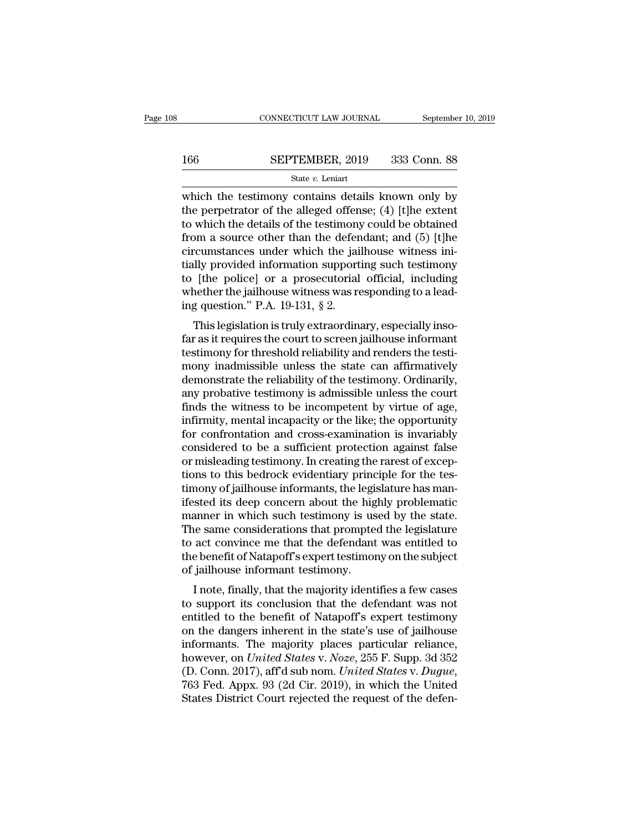# $\begin{tabular}{ll} \multicolumn{2}{l} \multicolumn{2}{l}{{\small\bf CONNECTICUT LAW JOURNAL}} & \multicolumn{2}{l}{September 10, 2019} \\ \multicolumn{2}{l}{\textbf{166}} & \multicolumn{2}{l}{\textbf{SEPTEMBER, 2019}} & \multicolumn{2}{l}{333} & \multicolumn{2}{l}{\textbf{Conn. 88}} \\ & \multicolumn{2}{l}{\textbf{State $v$. Leniart}} & \multicolumn{2}{l}{\textbf{State $v$. Leniart}} \end{tabular}$

### State *v.* Leniart

CONNECTICUT LAW JOURNAL September 10, 2019<br>  $\begin{array}{r}\n 166 \quad \text{SEPTEMBER, } 2019 \quad 333 \text{ Conn. } 88 \\
 \hline\n \text{State } v. \text{ Lenin} \\
 \text{which the testimony contains details known only by the perpetator of the alleged offense; (4) [t]he extent to which the details of the totimony could be obtained\n\n\end{array}$ 166 SEPTEMBER, 2019 333 Conn. 88<br>
State v. Leniart<br>
which the testimony contains details known only by<br>
the perpetrator of the alleged offense; (4) [t]he extent<br>
to which the details of the testimony could be obtained<br>
fr 166 SEPTEMBER, 2019 333 Conn. 88<br>
State v. Leniart<br>
which the testimony contains details known only by<br>
the perpetrator of the alleged offense; (4) [t]he extent<br>
to which the details of the testimony could be obtained<br>
fr FROM AND 166 SEPTEMBER, 2019 333 Conn. 88<br>
State v. Leniart<br>
which the testimony contains details known only by<br>
the perpetrator of the alleged offense; (4) [t]he extent<br>
to which the details of the testimony could be obt Since 1 Finally, 2010 1000 0000 0011. The state v. Leniart<br>which the testimony contains details known only by<br>the perpetrator of the alleged offense; (4) [t]he extent<br>to which the details of the testimony could be obtaine state v. Lenart<br>which the testimony contains details known only by<br>the perpetrator of the alleged offense; (4) [t]he extent<br>to which the details of the testimony could be obtained<br>from a source other than the defendant; a which the testimony contains details known only by<br>the perpetrator of the alleged offense; (4) [t]he extent<br>to which the details of the testimony could be obtained<br>from a source other than the defendant; and (5) [t]he<br>cir the perpetrator of the alleged offense;  $(4)$  [t]he extent<br>to which the details of the testimony could be obtained<br>from a source other than the defendant; and  $(5)$  [t]he<br>circumstances under which the jailhouse witness in to which the details of the testimony<br>from a source other than the defen<br>circumstances under which the jai<br>tially provided information support<br>to [the police] or a prosecutorial<br>whether the jailhouse witness was re<br>ing que This a source offer than the defendant, and (5) [t]hereumstances under which the jailhouse witness in-<br>lly provided information supporting such testimony<br>[the police] or a prosecutorial official, including<br>nether the jail chromaistances under which the jainlouse whitess hi-<br>tially provided information supporting such testimony<br>to [the police] or a prosecutorial official, including<br>whether the jailhouse witness was responding to a lead-<br>ing

trainy provided information supporting such testiniony<br>to [the police] or a prosecutorial official, including<br>whether the jailhouse witness was responding to a lead-<br>ing question." P.A. 19-131, § 2.<br>This legislation is tr to fall points of a prosecutional official, including<br>whether the jailhouse witness was responding to a lead-<br>ing question." P.A. 19-131,  $\S$  2.<br>This legislation is truly extraordinary, especially inso-<br>far as it requires whether the jamlouse whitess was responding to a reading question." P.A. 19-131,  $\S$  2.<br>This legislation is truly extraordinary, especially insofar as it requires the court to screen jailhouse informant<br>testimony for thre mg question. T.A. 19-151, y 2.<br>This legislation is truly extraordinary, especially inso-<br>far as it requires the court to screen jailhouse informant<br>testimony for threshold reliability and renders the testi-<br>mony inadmissib This legislation is truly extraordinary, especially inso-<br>far as it requires the court to screen jailhouse informant<br>testimony for threshold reliability and renders the testi-<br>mony inadmissible unless the state can affirma far as it requires the court to screen jailhouse informant<br>testimony for threshold reliability and renders the testi-<br>mony inadmissible unless the state can affirmatively<br>demonstrate the reliability of the testimony. Ordin testimony for threshold reliability and renders the testimony inadmissible unless the state can affirmatively<br>demonstrate the reliability of the testimony. Ordinarily,<br>any probative testimony is admissible unless the court mony inadmissible unless the state can affirmatively<br>demonstrate the reliability of the testimony. Ordinarily,<br>any probative testimony is admissible unless the court<br>finds the witness to be incompetent by virtue of age,<br>in demonstrate the reliability of the testimony. Ordinarily,<br>any probative testimony is admissible unless the court<br>finds the witness to be incompetent by virtue of age,<br>infirmity, mental incapacity or the like; the opportuni any probative testimony is admissible unless the court<br>finds the witness to be incompetent by virtue of age,<br>infirmity, mental incapacity or the like; the opportunity<br>for confrontation and cross-examination is invariably<br>c finds the witness to be incompetent by virtue of age, infirmity, mental incapacity or the like; the opportunity for confrontation and cross-examination is invariably considered to be a sufficient protection against false o infirmity, mental incapacity or the like; the opportunity<br>for confrontation and cross-examination is invariably<br>considered to be a sufficient protection against false<br>or misleading testimony. In creating the rarest of exce for confrontation and cross-examination is invariably<br>considered to be a sufficient protection against false<br>or misleading testimony. In creating the rarest of excep-<br>tions to this bedrock evidentiary principle for the tes considered to be a sufficient protection against false<br>or misleading testimony. In creating the rarest of excep-<br>tions to this bedrock evidentiary principle for the tes-<br>timony of jailhouse informants, the legislature has or misleading testimony. In creating the rarest of exceptions to this bedrock evidentiary principle for the testimony of jailhouse informants, the legislature has manifested its deep concern about the highly problematic ma tions to this bedrock evidentiary principle for the tes-<br>timony of jailhouse informants, the legislature has man-<br>ifested its deep concern about the highly problematic<br>manner in which such testimony is used by the state.<br>T timony of jailhouse informants, the legistifested its deep concern about the high manner in which such testimony is us The same considerations that prompte to act convince me that the defendant the benefit of Natapoff's ex Sted its deep concern about the highly problematic<br>anner in which such testimony is used by the state.<br>le same considerations that prompted the legislature<br>act convince me that the defendant was entitled to<br>benefit of Nata The same considerations that prompted the legislature<br>to act convince me that the defendant was entitled to<br>the benefit of Natapoff's expert testimony on the subject<br>of jailhouse informant testimony.<br>I note, finally, that

The same considerations that prompted the legislature<br>to act convince me that the defendant was entitled to<br>the benefit of Natapoff's expert testimony on the subject<br>of jailhouse informant testimony.<br>I note, finally, that to act convince the that the defendant was entitled to<br>the benefit of Natapoff's expert testimony on the subject<br>of jailhouse informant testimony.<br>I note, finally, that the majority identifies a few cases<br>to support its c informant is expert testimony on the subject<br>of jailhouse informant testimony.<br>I note, finally, that the majority identifies a few cases<br>to support its conclusion that the defendant was not<br>entitled to the benefit of Natap I note, finally, that the majority identifies a few cases<br>to support its conclusion that the defendant was not<br>entitled to the benefit of Natapoff's expert testimony<br>on the dangers inherent in the state's use of jailhouse<br> I note, finally, that the majority identifies a few cases<br>to support its conclusion that the defendant was not<br>entitled to the benefit of Natapoff's expert testimony<br>on the dangers inherent in the state's use of jailhouse<br> entitled to the benefit of Natapoff's expert testimony<br>on the dangers inherent in the state's use of jailhouse<br>informants. The majority places particular reliance,<br>however, on *United States v. Noze*, 255 F. Supp. 3d 352<br>(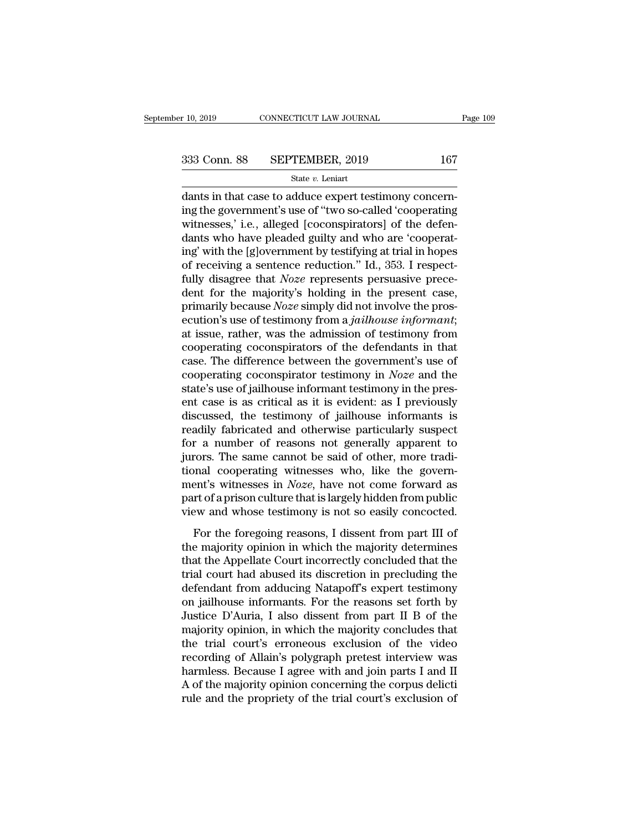$\begin{array}{ccc} \text{10, 2019} & \text{CONNETICUT LAW JOURNAL} \ \end{array}$ <br>  $\begin{array}{ccc} \text{333 Conn. } \text{88} & \text{SEPTEMBER, 2019} & \text{167} \ \end{array}$ <br>
dants in that case to adduce expert testimony concern-<br>
ing the government's use of "two so-called 'cooperating<br>
witnesses, 333 Conn. 88 SEPTEMBER, 2019 167<br>
State v. Leniart<br>
dants in that case to adduce expert testimony concerning<br>
the government's use of "two so-called 'cooperating<br>
witnesses,' i.e., alleged [coconspirators] of the defen-333 Conn. 88 SEPTEMBER, 2019 167<br>
State v. Leniart<br>
dants in that case to adduce expert testimony concerning the government's use of "two so-called 'cooperating<br>
witnesses,' i.e., alleged [coconspirators] of the defen-<br>
d 333 Conn. 88 SEPTEMBER, 2019 167<br>
State v. Leniart<br>
dants in that case to adduce expert testimony concerning the government's use of "two so-called 'cooperating<br>
witnesses,' i.e., alleged [coconspirators] of the defendant State v. Leniart<br>
State v. Leniart<br>
dants in that case to adduce expert testimony concerning<br>
the government's use of "two so-called 'cooperating<br>
witnesses,' i.e., alleged [coconspirators] of the defen-<br>
dants who have p state v. Lenart<br>dants in that case to adduce expert testimony concern-<br>ing the government's use of "two so-called 'cooperating<br>witnesses,' i.e., alleged [coconspirators] of the defen-<br>dants who have pleaded guilty and who dants in that case to adduce expert testimony concerning the government's use of "two so-called 'cooperating<br>witnesses,' i.e., alleged [coconspirators] of the defendants who have pleaded guilty and who are 'cooperating' wi ing the government's use of "two so-called 'cooperating<br>witnesses,' i.e., alleged [coconspirators] of the defen-<br>dants who have pleaded guilty and who are 'cooperat-<br>ing' with the [g]overnment by testifying at trial in ho witnesses,' i.e., alleged [coconspirators] of the defendants who have pleaded guilty and who are 'cooperating' with the [g]overnment by testifying at trial in hopes of receiving a sentence reduction." Id., 353. I respectfu dants who have pleaded guilty and who are 'cooperating' with the [g]overnment by testifying at trial in hopes of receiving a sentence reduction." Id., 353. I respect-fully disagree that *Noze* represents persuasive precede ing' with the [g]overnment by testifying at trial in hopes<br>of receiving a sentence reduction." Id., 353. I respect-<br>fully disagree that *Noze* represents persuasive prece-<br>dent for the majority's holding in the present cas of receiving a sentence reduction." Id., 353. I respect-<br>fully disagree that *Noze* represents persuasive prece-<br>dent for the majority's holding in the present case,<br>primarily because *Noze* simply did not involve the pro fully disagree that *Noze* represents persuasive prece-<br>dent for the majority's holding in the present case,<br>primarily because *Noze* simply did not involve the pros-<br>ecution's use of testimony from a *jailhouse informant* dent for the majority's holding in the present case,<br>primarily because *Noze* simply did not involve the pros-<br>ecution's use of testimony from a *jailhouse informant*;<br>at issue, rather, was the admission of testimony from<br> primarily because *Noze* simply did not involve the prosecution's use of testimony from a *jailhouse informant*; at issue, rather, was the admission of testimony from cooperating coconspirators of the defendants in that ca ecution's use of testimony from a *jailhouse informant*;<br>at issue, rather, was the admission of testimony from<br>cooperating coconspirators of the defendants in that<br>case. The difference between the government's use of<br>coope at issue, rather, was the admission of testimony from<br>cooperating coconspirators of the defendants in that<br>case. The difference between the government's use of<br>cooperating coconspirator testimony in *Noze* and the<br>state's cooperating coconspirators of the defendants in that case. The difference between the government's use of cooperating coconspirator testimony in  $Noze$  and the state's use of jailhouse informant testimony in the present ca case. The difference between the government's use of<br>cooperating coconspirator testimony in *Noze* and the<br>state's use of jailhouse informant testimony in the pres-<br>ent case is as critical as it is evident: as I previously cooperating coconspirator testimony in *Noze* and the state's use of jailhouse informant testimony in the present case is as critical as it is evident: as I previously discussed, the testimony of jailhouse informants is r state's use of jailhouse informant testimony in the present case is as critical as it is evident: as I previously discussed, the testimony of jailhouse informants is readily fabricated and otherwise particularly suspect f ent case is as critical as it is evident: as I previously<br>discussed, the testimony of jailhouse informants is<br>readily fabricated and otherwise particularly suspect<br>for a number of reasons not generally apparent to<br>jurors. discussed, the testimony of jailhouse informants is<br>readily fabricated and otherwise particularly suspect<br>for a number of reasons not generally apparent to<br>jurors. The same cannot be said of other, more tradi-<br>tional coope readily fabricated and otherwise particularly suspect<br>for a number of reasons not generally apparent to<br>jurors. The same cannot be said of other, more tradi-<br>tional cooperating witnesses who, like the govern-<br>ment's witnes For the same cannot be said of other, more tradi-<br>prors. The same cannot be said of other, more tradi-<br>part's witnesses in *Noze*, have not come forward as<br>xt of a prison culture that is largely hidden from public<br>ew and tional cooperating witnesses who, like the government's witnesses in *Noze*, have not come forward as<br>part of a prison culture that is largely hidden from public<br>view and whose testimony is not so easily concocted.<br>For the

ment's witnesses who, the are governed that is ment's witnesses in *Noze*, have not come forward as<br>part of a prison culture that is largely hidden from public<br>view and whose testimony is not so easily concocted.<br>For the then is wratesses in rose, have not come forward as<br>part of a prison culture that is largely hidden from public<br>view and whose testimony is not so easily concocted.<br>For the foregoing reasons, I dissent from part III of<br>the From and whose testimony is not so easily concocted.<br>For the foregoing reasons, I dissent from part III of<br>the majority opinion in which the majority determines<br>that the Appellate Court incorrectly concluded that the<br>tria For the foregoing reasons, I dissent from part III of<br>the majority opinion in which the majority determines<br>that the Appellate Court incorrectly concluded that the<br>trial court had abused its discretion in precluding the<br>de For the foregoing reasons, I dissent from part III of<br>the majority opinion in which the majority determines<br>that the Appellate Court incorrectly concluded that the<br>trial court had abused its discretion in precluding the<br>de the majority opinion in which the majority determines<br>that the Appellate Court incorrectly concluded that the<br>trial court had abused its discretion in precluding the<br>defendant from adducing Natapoff's expert testimony<br>on j that the Appellate Court incorrectly concluded that the<br>trial court had abused its discretion in precluding the<br>defendant from adducing Natapoff's expert testimony<br>on jailhouse informants. For the reasons set forth by<br>Just trial court had abused its discretion in precluding the<br>defendant from adducing Natapoff's expert testimony<br>on jailhouse informants. For the reasons set forth by<br>Justice D'Auria, I also dissent from part II B of the<br>majori defendant from adducing Natapoff's expert testimony<br>on jailhouse informants. For the reasons set forth by<br>Justice D'Auria, I also dissent from part II B of the<br>majority opinion, in which the majority concludes that<br>the tri on jailhouse informants. For the reasons set forth by<br>Justice D'Auria, I also dissent from part II B of the<br>majority opinion, in which the majority concludes that<br>the trial court's erroneous exclusion of the video<br>recordin Justice D'Auria, I also dissent from part II B of the majority opinion, in which the majority concludes that the trial court's erroneous exclusion of the video recording of Allain's polygraph pretest interview was harmless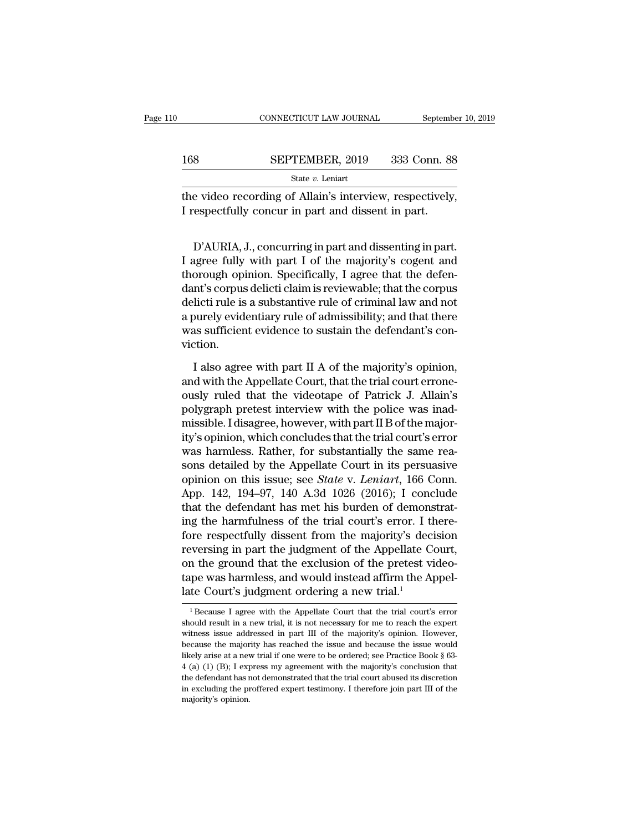|     | CONNECTICUT LAW JOURNAL                                                                                        | September 10, 2019 |
|-----|----------------------------------------------------------------------------------------------------------------|--------------------|
| 168 | SEPTEMBER, 2019                                                                                                | 333 Conn. 88       |
|     | State $v$ . Leniart                                                                                            |                    |
|     | the video recording of Allain's interview, respectively,<br>I respectfully concur in part and dissent in part. |                    |
|     |                                                                                                                |                    |

SEPTEMBER, 2019 333 CONIL 88<br>
State *v*. Leniart<br>
e video recording of Allain's interview, respectively,<br>
respectfully concur in part and dissent in part.<br>
D'AURIA, J., concurring in part and dissenting in part.<br>
agree fu State  $v$ . Leniart<br>
the video recording of Allain's interview, respectively,<br>
I respectfully concur in part and dissent in part.<br>
D'AURIA, J., concurring in part and dissenting in part.<br>
I agree fully with part I of the m the video recording of Allain's interview, respectively,<br>I respectfully concur in part and dissent in part.<br>D'AURIA, J., concurring in part and dissenting in part.<br>I agree fully with part I of the majority's cogent and<br>tho I respectfully concur in part and dissent in part.<br>
D'AURIA, J., concurring in part and dissenting in part.<br>
I agree fully with part I of the majority's cogent and<br>
thorough opinion. Specifically, I agree that the defen-<br> D'AURIA, J., concurring in part and dissenting in part.<br>I agree fully with part I of the majority's cogent and<br>thorough opinion. Specifically, I agree that the defen-<br>dant's corpus delicti claim is reviewable; that the cor D'AURIA, J., concurring in part and dissenting in part.<br>I agree fully with part I of the majority's cogent and<br>thorough opinion. Specifically, I agree that the defen-<br>dant's corpus delicti claim is reviewable; that the cor D'AURIA, J., concurring in part and dissenting in part.<br>I agree fully with part I of the majority's cogent and<br>thorough opinion. Specifically, I agree that the defen-<br>dant's corpus delicti claim is reviewable; that the cor viction. nt's corpus delicti claim is reviewable; that the corpus<br>licti rule is a substantive rule of criminal law and not<br>ourely evidentiary rule of admissibility; and that there<br>as sufficient evidence to sustain the defendant's c delicti rule is a substantive rule of criminal law and not<br>a purely evidentiary rule of admissibility; and that there<br>was sufficient evidence to sustain the defendant's con-<br>viction.<br>I also agree with part II A of the majo

a purely evidentiary rule of admissibility; and that there<br>was sufficient evidence to sustain the defendant's con-<br>viction.<br>I also agree with part II A of the majority's opinion,<br>and with the Appellate Court, that the tria was sufficient evidence to sustain the defendant's conviction.<br>
I also agree with part II A of the majority's opinion,<br>
and with the Appellate Court, that the trial court errone-<br>
ously ruled that the videotape of Patrick viction.<br>I also agree with part II A of the majority's opinion,<br>and with the Appellate Court, that the trial court errone-<br>ously ruled that the videotape of Patrick J. Allain's<br>polygraph pretest interview with the police w I also agree with part II A of the majority's opinion,<br>and with the Appellate Court, that the trial court errone-<br>ously ruled that the videotape of Patrick J. Allain's<br>polygraph pretest interview with the police was inad-<br> I also agree with part II A of the majority's opinion,<br>and with the Appellate Court, that the trial court errone-<br>ously ruled that the videotape of Patrick J. Allain's<br>polygraph pretest interview with the police was inadand with the Appellate Court, that the trial court errone-<br>ously ruled that the videotape of Patrick J. Allain's<br>polygraph pretest interview with the police was inad-<br>missible. I disagree, however, with part II B of the m ously ruled that the videotape of Patrick J. Allain's<br>polygraph pretest interview with the police was inad-<br>missible. I disagree, however, with part II B of the major-<br>ity's opinion, which concludes that the trial court's polygraph pretest interview with the police was inad-<br>missible. I disagree, however, with part II B of the major-<br>ity's opinion, which concludes that the trial court's error<br>was harmless. Rather, for substantially the same missible. I disagree, however, with part II B of the major-<br>ity's opinion, which concludes that the trial court's error<br>was harmless. Rather, for substantially the same rea-<br>sons detailed by the Appellate Court in its pers ity's opinion, which concludes that the trial court's error<br>was harmless. Rather, for substantially the same rea-<br>sons detailed by the Appellate Court in its persuasive<br>opinion on this issue; see *State* v. Leniart, 166 Co was harmless. Rather, for substantially the same reasons detailed by the Appellate Court in its persuasive opinion on this issue; see *State* v. *Leniart*, 166 Conn. App. 142, 194–97, 140 A.3d 1026 (2016); I conclude that sons detailed by the Appellate Court in its persuasive<br>opinion on this issue; see *State v. Leniart*, 166 Conn.<br>App. 142, 194–97, 140 A.3d 1026 (2016); I conclude<br>that the defendant has met his burden of demonstrat-<br>ing t opinion on this issue; see *State* v. *Leniart*, 166 Conn.<br>App. 142, 194–97, 140 A.3d 1026 (2016); I conclude<br>that the defendant has met his burden of demonstrat-<br>ing the harmfulness of the trial court's error. I there-<br>fo App. 142, 194–97, 140 A.3d 1026 (2016); I conclude<br>that the defendant has met his burden of demonstrat-<br>ing the harmfulness of the trial court's error. I there-<br>fore respectfully dissent from the majority's decision<br>rever that the defendant has met his burden of demons<br>ing the harmfulness of the trial court's error. I there respectfully dissent from the majority's decreversing in part the judgment of the Appellate Con<br>the ground that the e reversing in part the judgment of the Appellate Court,<br>on the ground that the exclusion of the pretest video-<br>tape was harmless, and would instead affirm the Appel-<br>late Court's judgment ordering a new trial.<sup>1</sup><br> $\frac{1}{1}$ % on the ground that the exclusion of the pretest video-<br>tape was harmless, and would instead affirm the Appel-<br>late Court's judgment ordering a new trial.<sup>1</sup><br> $\frac{1}{1}$  Because I agree with the Appellate Court that the tr

tape was harmless, and would instead affirm the Appellate Court's judgment ordering a new trial.<sup>1</sup><br> $^{1}$ Because I agree with the Appellate Court that the trial court's error should result in a new trial, it is not necess Late Court's judgment ordering a new trial.<sup>1</sup><br><sup>1</sup> Because I agree with the Appellate Court that the trial court's error should result in a new trial, it is not necessary for me to reach the expert witness issue addressed Late COULT S Judgment Ordering a flew trial.<br>
<sup>1</sup> Because I agree with the Appellate Court that the trial court's error should result in a new trial, it is not necessary for me to reach the expert witness issue addressed <sup>1</sup> Because I agree with the Appellate Court that the trial court's error should result in a new trial, it is not necessary for me to reach the expert witness issue addressed in part III of the majority's opinion. However should result in a new trial, it is not necessary for me to reach the expert witness issue addressed in part III of the majority's opinion. However, because the majority has reached the issue and because the issue would l witness issue addressed in part III of the majority's opinion. However, because the majority has reached the issue and because the issue would likely arise at a new trial if one were to be ordered; see Practice Book § 63because the majority has reached the issue and because the issue would likely arise at a new trial if one were to be ordered; see Practice Book § 63-4 (a) (1) (B); I express my agreement with the majority's conclusion tha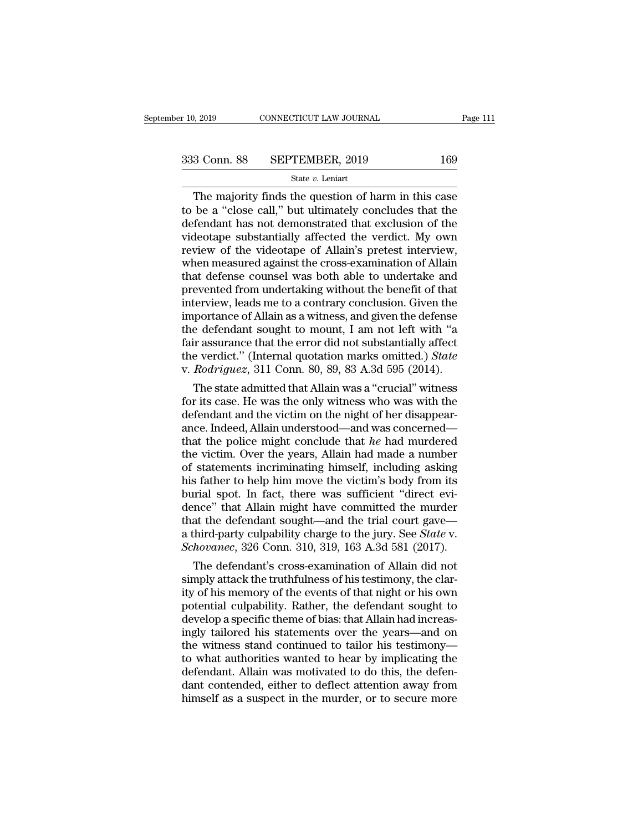## State *v.* Leniart

 $\begin{array}{r|l}\n & \text{COMNETICUT LAW JOURNAL} & \text{Page 111}\n \hline\n 3 & \text{Conn. } 88 & \text{SEPTEMBER, } 2019 & 169\n \hline\n & \text{State } v. \text{ Leninart}\n \end{array}$ The majority finds the question of harm in this case<br>
be a "close call," but ultimately concludes that the<br>
fendant has not 333 Conn. 88 SEPTEMBER, 2019 169<br>  $\frac{\text{State } v. \text{ Leniat}}{\text{The majority finds the question of harm in this case}}$ <br>
to be a "close call," but ultimately concludes that the<br>
defendant has not demonstrated that exclusion of the<br>
videotane substantially affected the verdic 333 Conn. 88 SEPTEMBER, 2019 169<br>
State v. Leniart<br>
The majority finds the question of harm in this case<br>
to be a "close call," but ultimately concludes that the<br>
defendant has not demonstrated that exclusion of the<br>
vide 333 Conn. 88 SEPTEMBER, 2019 169<br>
State v. Leniart<br>
The majority finds the question of harm in this case<br>
to be a "close call," but ultimately concludes that the<br>
defendant has not demonstrated that exclusion of the<br>
vide The majority finds the question of harm in this case<br>to be a "close call," but ultimately concludes that the<br>defendant has not demonstrated that exclusion of the<br>videotape substantially affected the verdict. My own<br>review State  $v$ . Leniart<br>
The majority finds the question of harm in this case<br>
to be a "close call," but ultimately concludes that the<br>
defendant has not demonstrated that exclusion of the<br>
videotape substantially affected the The majority finds the question of harm in this case<br>to be a "close call," but ultimately concludes that the<br>defendant has not demonstrated that exclusion of the<br>videotape substantially affected the verdict. My own<br>review to be a "close call," but ultimately concludes that the defendant has not demonstrated that exclusion of the videotape substantially affected the verdict. My own review of the videotape of Allain's pretest interview, when defendant has not demonstrated that exclusion of the videotape substantially affected the verdict. My own review of the videotape of Allain's pretest interview, when measured against the cross-examination of Allain that de videotape substantially affected the verdict. My own<br>review of the videotape of Allain's pretest interview,<br>when measured against the cross-examination of Allain<br>that defense counsel was both able to undertake and<br>prevente review of the videotape of Allain's pretest interview,<br>when measured against the cross-examination of Allain<br>that defense counsel was both able to undertake and<br>prevented from undertaking without the benefit of that<br>interv when measured against the cross-examination of Allain<br>that defense counsel was both able to undertake and<br>prevented from undertaking without the benefit of that<br>interview, leads me to a contrary conclusion. Given the<br>impo that defense counsel was both able to undertake and<br>prevented from undertaking without the benefit of that<br>interview, leads me to a contrary conclusion. Given the<br>importance of Allain as a witness, and given the defense<br>th prevented from undertaking without the benefit of that<br>interview, leads me to a contrary conclusion. Given the<br>importance of Allain as a witness, and given the defense<br>the defendant sought to mount, I am not left with "a<br>f terview, leads me to a contrary conclusion. Given the<br>portance of Allain as a witness, and given the defense<br>e defendant sought to mount, I am not left with "a<br>ir assurance that the error did not substantially affect<br>e ver importance of Allain as a witness, and given the defense<br>the defendant sought to mount, I am not left with "a<br>fair assurance that the error did not substantially affect<br>the verdict." (Internal quotation marks omitted.) *S* 

the defendant sought to mount, 1 am not left with "a<br>fair assurance that the error did not substantially affect<br>the verdict." (Internal quotation marks omitted.) *State*<br>v. Rodriguez, 311 Conn. 80, 89, 83 A.3d 595 (2014). fair assurance that the error did not substantially affect<br>the verdict." (Internal quotation marks omitted.) *State*<br>v. Rodriguez, 311 Conn. 80, 89, 83 A.3d 595 (2014).<br>The state admitted that Allain was a "crucial" witne the verdict." (Internal quotation marks omitted.) *State*<br>v. *Rodriguez*, 311 Conn. 80, 89, 83 A.3d 595 (2014).<br>The state admitted that Allain was a "crucial" witness<br>for its case. He was the only witness who was with the<br> v. *Rodriguez*, 311 Conn. 80, 89, 83 A.3d 595 (2014).<br>The state admitted that Allain was a "crucial" witness<br>for its case. He was the only witness who was with the<br>defendant and the victim on the night of her disappear-<br>a The state admitted that Allain was a "crucial" witness<br>for its case. He was the only witness who was with the<br>defendant and the victim on the night of her disappear-<br>ance. Indeed, Allain understood—and was concerned—<br>that for its case. He was the only witness who was with the defendant and the victim on the night of her disappear-<br>ance. Indeed, Allain understood—and was concerned—<br>that the police might conclude that he had murdered<br>the vict defendant and the victim on the night of her disappearance. Indeed, Allain understood—and was concerned—<br>that the police might conclude that he had murdered<br>the victim. Over the years, Allain had made a number<br>of statement ance. Indeed, Allain understood—and was concerned—<br>that the police might conclude that *he* had murdered<br>the victim. Over the years, Allain had made a number<br>of statements incriminating himself, including asking<br>his fathe that the police might conclude that *he* had murdered<br>the victim. Over the years, Allain had made a number<br>of statements incriminating himself, including asking<br>his father to help him move the victim's body from its<br>buria the victim. Over the years, Allain had made a number<br>of statements incriminating himself, including asking<br>his father to help him move the victim's body from its<br>burial spot. In fact, there was sufficient "direct evi-<br>denc of statements incriminating himself, including asking<br>his father to help him move the victim's body from its<br>burial spot. In fact, there was sufficient "direct evi-<br>dence" that Allain might have committed the murder<br>that t is father to help him move the victim's body from its<br>irial spot. In fact, there was sufficient "direct evi-<br>nce" that Allain might have committed the murder<br>at the defendant sought—and the trial court gave—<br>hird-party cul burial spot. In fact, there was sufficient "direct evidence" that Allain might have committed the murder<br>that the defendant sought—and the trial court gave—<br>a third-party culpability charge to the jury. See *State* v.<br>*Sch* 

dence" that Allam might have committed the murder<br>that the defendant sought—and the trial court gave—<br>a third-party culpability charge to the jury. See *State* v.<br>*Schovanec*, 326 Conn. 310, 319, 163 A.3d 581 (2017).<br>The d that the defendant sought—and the trial court gave—<br>a third-party culpability charge to the jury. See *State* v.<br>*Schovanec*, 326 Conn. 310, 319, 163 A.3d 581 (2017).<br>The defendant's cross-examination of Allain did not<br>si a third-party culpability charge to the jury. See *State* v.<br>Schovanec, 326 Conn. 310, 319, 163 A.3d 581 (2017).<br>The defendant's cross-examination of Allain did not<br>simply attack the truthfulness of his testimony, the clar Schovanec, 326 Conn. 310, 319, 163 A.3d 581 (2017).<br>
The defendant's cross-examination of Allain did not<br>
simply attack the truthfulness of his testimony, the clar-<br>
ity of his memory of the events of that night or his own The defendant's cross-examination of Allain did not<br>simply attack the truthfulness of his testimony, the clar-<br>ity of his memory of the events of that night or his own<br>potential culpability. Rather, the defendant sought to simply attack the truthfulness of his testimony, the clarity of his memory of the events of that night or his own<br>potential culpability. Rather, the defendant sought to<br>develop a specific theme of bias: that Allain had inc ity of his memory of the events of that night or his own<br>potential culpability. Rather, the defendant sought to<br>develop a specific theme of bias: that Allain had increas-<br>ingly tailored his statements over the years—and on potential culpability. Rather, the defendant sought to<br>develop a specific theme of bias: that Allain had increas-<br>ingly tailored his statements over the years—and on<br>the witness stand continued to tailor his testimony—<br>to develop a specific theme of bias: that Allain had increasingly tailored his statements over the years—and on the witness stand continued to tailor his testimony—to what authorities wanted to hear by implicating the defenda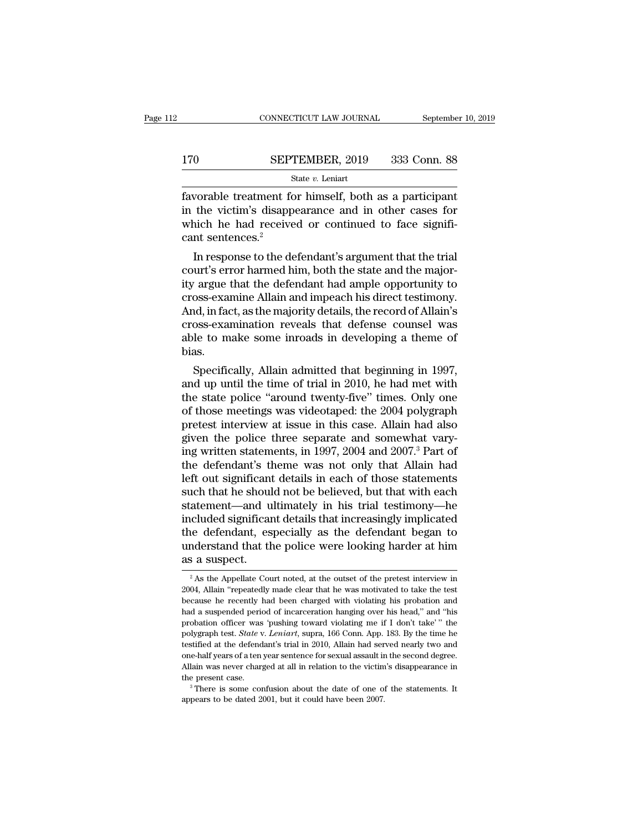## $\begin{tabular}{lll} \multicolumn{2}{l} \multicolumn{2}{l}{{\small\bf CONNECTICUT LAW JOURNAL}} & \multicolumn{2}{l}{September 10, 2019} \end{tabular}$   $\begin{tabular}{ll} \multicolumn{2}{l}{{\small\bf 170}} & \multicolumn{2}{l}{{\bf SEPTEMBER, 2019}} & 333 & {\bf Conn.}\ 88 \\ & \multicolumn{2}{l}{\bf State}\ v. \ Leniart & \end{tabular}$ State *v.* Leniart

Favorable treatment for himself, both as a participant<br>
in the victim's disappearance and in other cases for<br>
the hoth as a participant<br>
the victim's disappearance and in other cases for<br>
thigh he had received or continued 170 SEPTEMBER, 2019 333 Conn. 88<br>
State v. Leniart<br>
favorable treatment for himself, both as a participant<br>
in the victim's disappearance and in other cases for<br>
which he had received or continued to face signifi-<br>
cant s 170 SEPTEMBER, 2019 333 Conn. 88<br>
State v. Leniart<br>
favorable treatment for himself, both as a participant<br>
in the victim's disappearance and in other cases for<br>
which he had received or continued to face signifi-<br>
cant s EPT<br>
SEPT<br>
s<br>
favorable treatment for<br>
in the victim's disapp<br>
which he had receive<br>
cant sentences.<sup>2</sup><br>
In response to the de State v. Leniart<br>
State v. Leniart<br>
Vorable treatment for himself, both as a participant<br>
the victim's disappearance and in other cases for<br>
nich he had received or continued to face signifi-<br>
In response to the defendant favorable treatment for himself, both as a participant<br>
in the victim's disappearance and in other cases for<br>
which he had received or continued to face significant<br>
sentences.<sup>2</sup><br>
In response to the defendant's argument t

rationalist that the victim's disappearance and in other cases for<br>which he had received or continued to face signifi-<br>cant sentences.<sup>2</sup><br>In response to the defendant's argument that the trial<br>court's error harmed him, bot In the victim's disappearance and in other cases for<br>which he had received or continued to face signifi-<br>cant sentences.<sup>2</sup><br>In response to the defendant's argument that the trial<br>court's error harmed him, both the state an which he had received or continued to face significant sentences.<sup>2</sup><br>In response to the defendant's argument that the trial<br>court's error harmed him, both the state and the major-<br>ity argue that the defendant had ample opp cant sentences.<br>
In response to the defendant's argument that the trial<br>
court's error harmed him, both the state and the major-<br>
ity argue that the defendant had ample opportunity to<br>
cross-examine Allain and impeach his In response to the defendant's argument that the trial<br>court's error harmed him, both the state and the major-<br>ity argue that the defendant had ample opportunity to<br>cross-examine Allain and impeach his direct testimony.<br>An bias. Targue that the defendant had ample opportunity to<br>oss-examine Allain and impeach his direct testimony.<br>Ind, in fact, as the majority details, the record of Allain's<br>oss-examination reveals that defense counsel was<br>le to m cross-examine Ailain and impeach his direct testimony.<br>And, in fact, as the majority details, the record of Allain's<br>cross-examination reveals that defense counsel was<br>able to make some inroads in developing a theme of<br>bia

And, in fact, as the majority details, the record of Alliam s<br>cross-examination reveals that defense counsel was<br>able to make some inroads in developing a theme of<br>bias.<br>Specifically, Allain admitted that beginning in 1997 cross-examination revears that detense counser was<br>able to make some inroads in developing a theme of<br>bias.<br>Specifically, Allain admitted that beginning in 1997,<br>and up until the time of trial in 2010, he had met with<br>the able to make some inroads in developing a theme of<br>bias.<br>Specifically, Allain admitted that beginning in 1997,<br>and up until the time of trial in 2010, he had met with<br>the state police "around twenty-five" times. Only one<br>o bias.<br>Specifically, Allain admitted that beginning in 1997,<br>and up until the time of trial in 2010, he had met with<br>the state police "around twenty-five" times. Only one<br>of those meetings was videotaped: the 2004 polygraph Specifically, Allain admitted that beginning in 1997,<br>and up until the time of trial in 2010, he had met with<br>the state police "around twenty-five" times. Only one<br>of those meetings was videotaped: the 2004 polygraph<br>prete and up until the time of trial in 2010, he had met with<br>the state police "around twenty-five" times. Only one<br>of those meetings was videotaped: the 2004 polygraph<br>pretest interview at issue in this case. Allain had also<br>gi the state police "around twenty-five" times. Only one<br>of those meetings was videotaped: the 2004 polygraph<br>pretest interview at issue in this case. Allain had also<br>given the police three separate and somewhat vary-<br>ing wri of those meetings was videotaped: the 2004 polygraph<br>pretest interview at issue in this case. Allain had also<br>given the police three separate and somewhat vary-<br>ing written statements, in 1997, 2004 and 2007.<sup>3</sup> Part of<br>th pretest interview at issue in this case. Allain had also<br>given the police three separate and somewhat vary-<br>ing written statements, in 1997, 2004 and 2007.<sup>3</sup> Part of<br>the defendant's theme was not only that Allain had<br>left given the police three separate and somewhat vary-<br>ing written statements, in 1997, 2004 and 2007.<sup>3</sup> Part of<br>the defendant's theme was not only that Allain had<br>left out significant details in each of those statements<br>such ing written statements, in 1997, 2004 and 2007.<sup>3</sup> Part of<br>the defendant's theme was not only that Allain had<br>left out significant details in each of those statements<br>such that he should not be believed, but that with each the defendant's theme was not only that Allain had<br>left out significant details in each of those statements<br>such that he should not be believed, but that with each<br>statement—and ultimately in his trial testimony—he<br>include left out significant<br>such that he shoul<br>statement—and u<br>included significan<br>the defendant, es<br>understand that th<br>as a suspect.<br> $\frac{2}{\sqrt{3}}$ As the Appellate Cou included significant details that increasingly implicated<br>the defendant, especially as the defendant began to<br>nderstand that the police were looking harder at him<br>is a suspect.<br><sup>2</sup> As the Appellate Court noted, at the outs the defendant, especially as the defendant began to understand that the police were looking harder at him<br>as a suspect.<br> $\frac{1}{2}$ As the Appellate Court noted, at the outset of the pretest interview in<br>2004, Allain "repeat

understand that the police were looking harder at him<br>as a suspect.<br> $\frac{1}{2}$ As the Appellate Court noted, at the outset of the pretest interview in<br>2004, Allain "repeatedly made clear that he was motivated to take the te understand that the police were looking harder at him<br>as a suspect.<br> $\frac{1}{2}$ As the Appellate Court noted, at the outset of the pretest interview in<br>2004, Allain "repeatedly made clear that he was motivated to take the te <sup>2</sup> As the Appellate Court noted, at the outset of the pretest interview in 2004, Allain "repeatedly made clear that he was motivated to take the test because he recently had been charged with violating his probation and <sup>2</sup> As the Appellate Court noted, at the outset of the pretest interview in 2004, Allain "repeatedly made clear that he was motivated to take the test because he recently had been charged with violating his probation and 2004, Allain "repeatedly made clear that he was motivated to take the test<br>because he recently had been charged with violating his probation and<br>had a suspended period of incarceration hanging over his head," and "his<br>prob because he recently had been charged with violating his probation and had a suspended period of incarceration hanging over his head," and "his probation officer was 'pushing toward violating me if I don't take" " the poly because the mediator of incarceration hanging over his head," and "his probation officer was 'pushing toward violating me if I don't take'" the polygraph test. *State* v. *Leniart*, supra, 166 Conn. App. 183. By the time probation officer was 'pushing toward violating me if I don't take'" the polygraph test. *State* v. *Leniart*, supra, 166 Conn. App. 183. By the time he testified at the defendant's trial in 2010, Allain had served nearly testified at the defendant's trial in 2010, Allain had served nearly two and one-half years of a ten year sentence for sexual assault in the second degree. Allain was never charged at all in relation to the victim's disap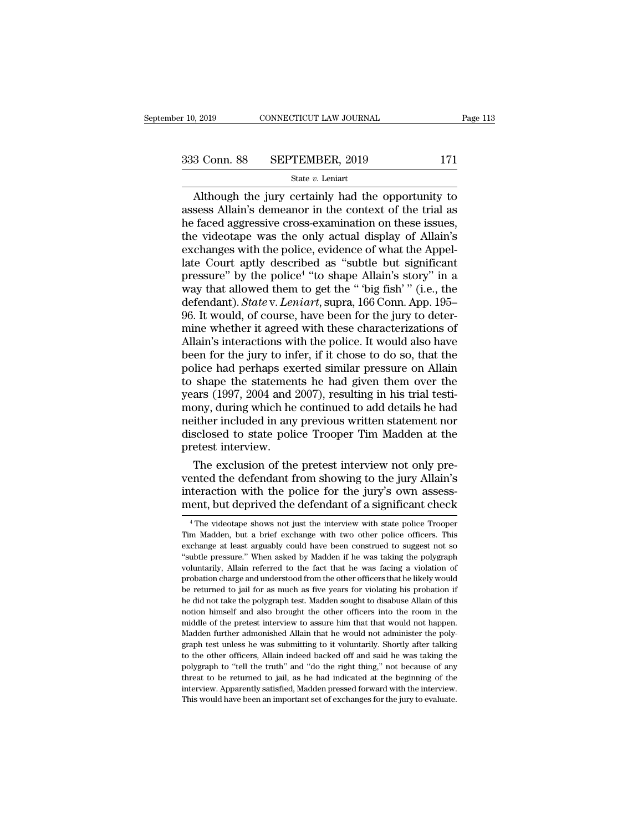# $\begin{array}{r}\n \text{r} \ 10, 2019 \quad \text{CONNECTICUT LAW JOURNAL} \quad \text{Page 113}\n \end{array}$ <br>
333 Conn. 88 SEPTEMBER, 2019 171<br>
State v. Leniart

## State *v.* Leniart

 $\begin{array}{r|l} \text{Page 113} \end{array}$ <br>  $\begin{array}{r|l} \text{Page 113} \end{array}$ <br>  $\begin{array}{r|l} \text{State } v. \text{ Leniat} \end{array}$ <br>  $\begin{array}{r|l} \text{State } v. \text{ Leniat} \end{array}$ <br>
Although the jury certainly had the opportunity to<br>
sess Allain's demeanor in the context of the trial 333 Conn. 88 SEPTEMBER, 2019 171<br>
State v. Leniart<br>
Although the jury certainly had the opportunity to<br>
assess Allain's demeanor in the context of the trial as<br>
the faced aggressive cross-examination on these issues,<br>
the 333 Conn. 88 SEPTEMBER, 2019 171<br>
State v. Leniart<br>
Although the jury certainly had the opportunity to<br>
assess Allain's demeanor in the context of the trial as<br>
the faced aggressive cross-examination on these issues,<br>
the 333 Conn. 88 SEPTEMBER, 2019 171<br>
State v. Leniart<br>
Although the jury certainly had the opportunity to<br>
assess Allain's demeanor in the context of the trial as<br>
the faced aggressive cross-examination on these issues,<br>
the Solution of the polices with the polices with the polices with the polices with the polices with the police, evidence of what the Appel-<br>late Court apply described as "subtle but significant pressure" by the police<sup>4</sup> "to State v. Leniart<br>
Although the jury certainly had the opportunity to<br>
assess Allain's demeanor in the context of the trial as<br>
he faced aggressive cross-examination on these issues,<br>
the videotape was the only actual disp Although the jury certainly<br>assess Allain's demeanor in th<br>he faced aggressive cross-exan<br>the videotape was the only a<br>exchanges with the police, evidence<br>late Court aptly described as<br>pressure" by the police<sup>4</sup> "to sl<br>wa ainly had the opportunity to<br>
in the context of the trial as<br>
-examination on these issues,<br>
nly actual display of Allain's<br>
e, evidence of what the Appel-<br>
ed as "subtle but significant<br>
"to shape Allain's story" in a<br>
p assess Allain's demeanor in the context of the trial as<br>he faced aggressive cross-examination on these issues,<br>the videotape was the only actual display of Allain's<br>exchanges with the police, evidence of what the Appel-<br>la he faced aggressive cross-examination on these issues,<br>the videotape was the only actual display of Allain's<br>exchanges with the police, evidence of what the Appel-<br>late Court aptly described as "subtle but significant<br>pres the videotape was the only actual display of Allain's<br>exchanges with the police, evidence of what the Appel-<br>late Court aptly described as "subtle but significant<br>pressure" by the police<sup>4</sup> "to shape Allain's story" in a<br>w exchanges with the police, evidence of what the Appellate Court aptly described as "subtle but significant pressure" by the police<sup>4</sup> "to shape Allain's story" in a way that allowed them to get the " "big fish" " (i.e., th late Court aptly described as "subtle but significant<br>pressure" by the police<sup>4</sup> "to shape Allain's story" in a<br>way that allowed them to get the " 'big fish' " (i.e., the<br>defendant). *State* v. *Leniart*, supra, 166 Conn. pressure" by the police<sup>4</sup> "to shape Allain's story" in a<br>way that allowed them to get the " 'big fish' " (i.e., the<br>defendant). *State* v. *Leniart*, supra, 166 Conn. App. 195–<br>96. It would, of course, have been for the j way that allowed them to get the "big fish'" (i.e., the defendant). *State* v. *Leniart*, supra, 166 Conn. App. 195–96. It would, of course, have been for the jury to determine whether it agreed with these characterizatio defendant). *State* v. *Leniart*, supra, 166 Conn. App. 195–96. It would, of course, have been for the jury to determine whether it agreed with these characterizations of Allain's interactions with the police. It would als 96. It would, of course, have been for the jury to determine whether it agreed with these characterizations of Allain's interactions with the police. It would also have been for the jury to infer, if it chose to do so, tha mine whether it agreed with these characterizations of Allain's interactions with the police. It would also have<br>been for the jury to infer, if it chose to do so, that the<br>police had perhaps exerted similar pressure on All Allain's interactions with the police. It would also have<br>been for the jury to infer, if it chose to do so, that the<br>police had perhaps exerted similar pressure on Allain<br>to shape the statements he had given them over the<br> been for the jury to infer, if it chose to do so, that the police had perhaps exerted similar pressure on Allain to shape the statements he had given them over the years (1997, 2004 and 2007), resulting in his trial testim police had perhaps except<br>to shape the statemen<br>years (1997, 2004 and 3<br>mony, during which he<br>neither included in any<br>disclosed to state poli<br>pretest interview.<br>The exclusion of the shape the statements he had given them over the<br>ars (1997, 2004 and 2007), resulting in his trial testi-<br>ony, during which he continued to add details he had<br>ither included in any previous written statement nor<br>sclosed to years (1997, 2004 and 2007), resulting in his trial testi-<br>mony, during which he continued to add details he had<br>neither included in any previous written statement nor<br>disclosed to state police Trooper Tim Madden at the<br>pr

mony, during which he continued to add details he had<br>neither included in any previous written statement nor<br>disclosed to state police Trooper Tim Madden at the<br>pretest interview.<br>The exclusion of the pretest interview not merither included in any previous written statement nor<br>disclosed to state police Trooper Tim Madden at the<br>pretest interview.<br>The exclusion of the pretest interview not only pre-<br>vented the defendant from showing to the j The exclusion of the pretest interview not only pre-<br>ented the defendant from showing to the jury Allain's<br>teraction with the police for the jury's own assess-<br>ent, but deprived the defendant of a significant check<br><sup>4</sup>The vented the defendant from showing to the jury Allain's<br>interaction with the police for the jury's own assess-<br>ment, but deprived the defendant of a significant check<br><sup>4</sup>The videotape shows not just the interview with state

interaction with the police for the jury's own assessment, but deprived the defendant of a significant check<br><sup>4</sup> The videotape shows not just the interview with state police Trooper<br>Tim Madden, but a brief exchange with tw metrice correction what the police for the jury's own assessment, but deprived the defendant of a significant check<br>
<sup>4</sup> The videotape shows not just the interview with state police Trooper<br>
Tim Madden, but a brief exchang Thent, Dut deprived the deferred to the significant check<br>
<sup>4</sup> The videotape shows not just the interview with state police Trooper<br>
Tim Madden, but a brief exchange with two other police officers. This<br>
exchange at least <sup>4</sup> The videotape shows not just the interview with state police Trooper Tim Madden, but a brief exchange with two other police officers. This exchange at least arguably could have been construed to suggest not so "subtle Tim Madden, but a brief exchange with two other police officers. This exchange at least arguably could have been construed to suggest not so "subtle pressure." When asked by Madden if he was taking the polygraph voluntaril exchange at least arguably could have been construed to suggest not so exchange at least arguably could have been construed to suggest not so "subtle pressure." When asked by Madden if he was facing a violation of probatio "subtle pressure." When asked by Madden if he was taking the polygraph<br>"subtle pressure." When asked by Madden if he was facing a violation of<br>probation charge and understood from the other officers that he likely would<br>be voluntarily, Allain referred to the fact that he was facing a violation of probation charge and understood from the other officers that he likely would be returned to jail for as much as five years for violating his probat probation charge and understood from the other officers that he likely would<br>be returned to jail for as much as five years for violating his probation if<br>he did not take the polygraph test. Madden sought to disabuse Allain per eturned to jail for as much as five years for violating his probation if the did not take the polygraph test. Madden sought to disabuse Allain of this notion himself and also brought the other officers into the room in be did not take the polygraph test. Madden sought to disabuse Allain of this motion himself and also brought the other officers into the room in the middle of the pretest interview to assure him that that would not happen. notion himself and also brought the other officers into the room in the middle of the pretest interview to assure him that that would not happen. Madden further admonished Allain that he would not administer the polygraph moddle of the pretest interview to assure him that that would not happen.<br>Madden further admonished Allain that he would not administer the poly-<br>graph test unless he was submitting to it voluntarily. Shortly after talking middle of the pretest interview to assure him that that would not happen. Madden further admonished Allain that he would not administer the polygraph test unless he was submitting to it voluntarily. Shortly after talking t graph test unless he was submitting to it voluntarily. Shortly after talking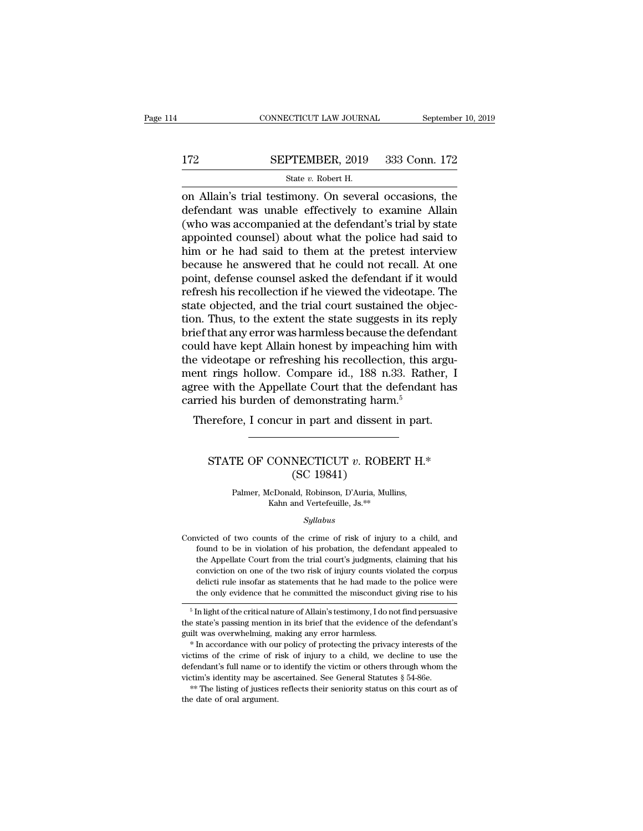# CONNECTICUT LAW JOURNAL September 10, 2019<br>172 SEPTEMBER, 2019 333 Conn. 172<br>State v. Robert H.

CONNECTICUT LAW JOURNAL Septembe<br>
SEPTEMBER, 2019 333 Conn. 172<br>
State *v.* Robert H.<br>
on Allain's trial testimony. On several occasions, the CONNECTICUT LAW JOURNAL September 10, 2019<br>
SEPTEMBER, 2019 333 Conn. 172<br>
State v. Robert H.<br>
On Allain's trial testimony. On several occasions, the<br>
defendant was unable effectively to examine Allain<br>
(who was accompanie 172 SEPTEMBER, 2019 333 Conn. 172<br>
State v. Robert H.<br>
on Allain's trial testimony. On several occasions, the<br>
defendant was unable effectively to examine Allain<br>
(who was accompanied at the defendant's trial by state<br>
ap 172 SEPTEMBER, 2019 333 Conn. 172<br>
State v. Robert H.<br>
on Allain's trial testimony. On several occasions, the<br>
defendant was unable effectively to examine Allain<br>
(who was accompanied at the defendant's trial by state<br>
ap **EXEPTEMBER, 2019** 333 Conn. 172<br>
State v. Robert H.<br>
on Allain's trial testimony. On several occasions, the<br>
defendant was unable effectively to examine Allain<br>
(who was accompanied at the defendant's trial by state<br>
app him or he had said to them at the pretest interview state  $v$ . Robert H.<br>
on Allain's trial testimony. On several occasions, the<br>
defendant was unable effectively to examine Allain<br>
(who was accompanied at the defendant's trial by state<br>
appointed counsel) about what the p on Allain's trial testimony. On several occasions, the<br>defendant was unable effectively to examine Allain<br>(who was accompanied at the defendant's trial by state<br>appointed counsel) about what the police had said to<br>him or h defendant was unable effectively to examine Allain<br>(who was accompanied at the defendant's trial by state<br>appointed counsel) about what the police had said to<br>him or he had said to them at the pretest interview<br>because he (who was accompanied at the defendant's trial by state<br>appointed counsel) about what the police had said to<br>him or he had said to them at the pretest interview<br>because he answered that he could not recall. At one<br>point, de appointed counsel) about what the police had said to<br>him or he had said to them at the pretest interview<br>because he answered that he could not recall. At one<br>point, defense counsel asked the defendant if it would<br>refresh h him or he had said to them at the pretest interview<br>because he answered that he could not recall. At one<br>point, defense counsel asked the defendant if it would<br>refresh his recollection if he viewed the videotape. The<br>state because he answered that he could not recall. At one<br>point, defense counsel asked the defendant if it would<br>refresh his recollection if he viewed the videotape. The<br>state objected, and the trial court sustained the objec-<br> point, defense counsel asked the defendant if it would<br>refresh his recollection if he viewed the videotape. The<br>state objected, and the trial court sustained the objec-<br>tion. Thus, to the extent the state suggests in its r refresh his recollection if he viewed the videotape. The<br>state objected, and the trial court sustained the objec-<br>tion. Thus, to the extent the state suggests in its reply<br>brief that any error was harmless because the defe state objected, and the trial court sustained the objection. Thus, to the extent the state suggests in its reply brief that any error was harmless because the defendant could have kept Allain honest by impeaching him with tion. Thus, to the extent the state suggests in its i<br>brief that any error was harmless because the defen<br>could have kept Allain honest by impeaching him<br>the videotape or refreshing his recollection, this a<br>ment rings hol Figure 1 that any error was harmless because the defendant<br>uld have kept Allain honest by impeaching him with<br>e videotape or refreshing his recollection, this argu-<br>ent rings hollow. Compare id., 188 n.33. Rather, I<br>ree wi rings honow. Compare 1d., 188 11.55. Kather, 1<br>
i with the Appellate Court that the defendant has<br>
ed his burden of demonstrating harm.<sup>5</sup><br>
erefore, I concur in part and dissent in part.<br>
STATE OF CONNECTICUT *v*. ROBERT H

## ate Court that the Common<br>demonstrating harmonic in part and dissent<br>NECTICUT v. ROB<br>(SC 19841)<br>ald, Robinson, D'Auria, Mu TE OF CONNECTICUT  $v$ . ROBERT H.<br>
(SC 19841)<br>
Palmer, McDonald, Robinson, D'Auria, Mullins,<br>
Kahn and Vertefeuille, Js.\*\* CONNECTICUT *v*. ROBER<br>
(SC 19841)<br>
IcDonald, Robinson, D'Auria, Mullins<br>
Kahn and Vertefeuille, Js.\*\*<br>
Syllabus

*Syllabus*

( $\text{O}C$  19041)<br>
Palmer, McDonald, Robinson, D'Auria, Mullins,<br>
Kahn and Vertefeuille, Js.\*\*<br>
Syllabus<br>
Convicted of two counts of the crime of risk of injury to a child, and<br>
found to be in violation of his probation, t Falmer, McDonald, Robinson, D'Auria, Mullins,<br>Kahn and Vertefeuille, Js.<sup>\*\*</sup><br>Syllabus<br>victed of two counts of the crime of risk of injury to a child, and<br>found to be in violation of his probation, the defendant appealed t Kahn and Vertefeuille, Js.\*\*<br>Syllabus<br>victed of two counts of the crime of risk of injury to a child, and<br>found to be in violation of his probation, the defendant appealed to<br>the Appellate Court from the trial court's judg Syllabus<br>Syllabus<br>since of the crime of risk of injury to a child, and<br>found to be in violation of his probation, the defendant appealed to<br>the Appellate Court from the trial court's judgments, claiming that his<br>conviction *Syllabus*<br>size of two counts of the crime of risk of injury to a child, and<br>found to be in violation of his probation, the defendant appealed to<br>the Appellate Court from the trial court's judgments, claiming that his<br>conv victed of two counts of the crime of risk of injury to a child, and<br>found to be in violation of his probation, the defendant appealed to<br>the Appellate Court from the trial court's judgments, claiming that his<br>conviction on from the critical nature of Allain's testimony, I do not find persuasive the Appellate Court from the trial court's judgments, claiming that his conviction on one of the two risk of injury counts violated the corpus delic the Appenate Court from the trial courts judgments, claiming that his conviction on one of the two risk of injury counts violated the corpus delicti rule insofar as statements that he had made to the police were the only e

guilt was overwhelming, making any error harmless.<br>
<sup>5</sup> In light of the critical nature of Allain's testimony, I do not find persuasive<br>
<sup>5</sup> In light of the critical nature of Allain's testimony, I do not find persuasive<br>

In the only evidence that he committed the misconduct giving rise to his<br>  $\frac{1}{2}$  in light of the critical nature of Allain's testimony, I do not find persuasive<br>
the state's passing mention in its brief that the eviden <sup>5</sup> In light of the critical nature of Allain's testimony, I do not find persuasive the state's passing mention in its brief that the evidence of the defendant's guilt was overwhelming, making any error harmless.  $*$  In a in the state's passing mention in its brief that the evidence of the defendant's guilt was overwhelming, making any error harmless.<br>
\* In accordance with our policy of protecting the privacy interests of the victims of the guilt was overwhelming, making any error harmless.<br>
\* In accordance with our policy of protecting the privacy interests of the victims of the crime of risk of injury to a child, we decline to use the defendant's full name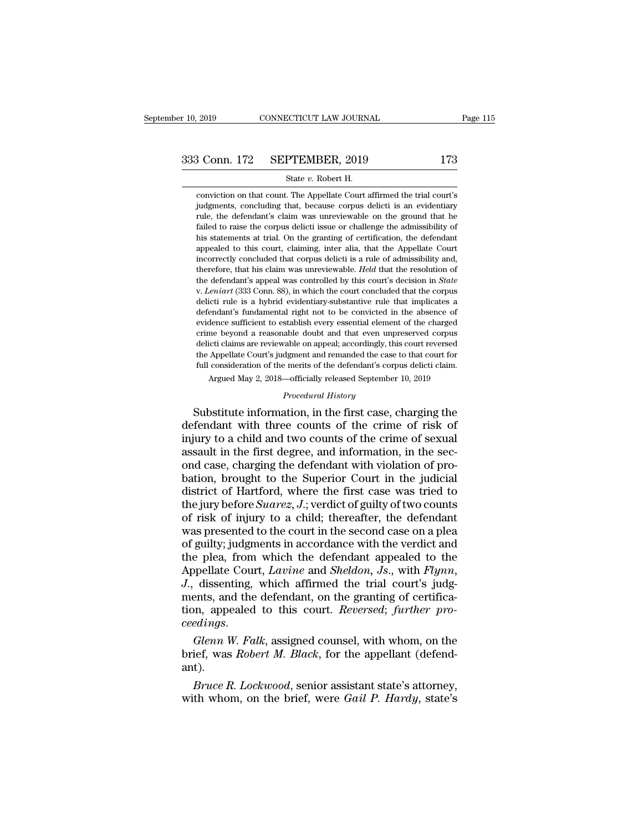# $\begin{array}{r}\n \text{r} 10, 2019 \quad \text{CONNECTICUT LAW JOURNAL} \quad \text{Page 115}\n \end{array}$ <br>
333 Conn. 172 SEPTEMBER, 2019 173<br>
State v. Robert H.

9. 2019 CONNECTICUT LAW JOURNAL<br>
3 Conn. 172 SEPTEMBER, 2019 173<br>
State *v*. Robert H.<br>
conviction on that count. The Appellate Court affirmed the trial court's Conn. 172 SEPTEMBER, 2019 173<br>
State v. Robert H.<br>
conviction on that count. The Appellate Court affirmed the trial court's<br>
judgments, concluding that, because corpus delicti is an evidentiary  $\begin{array}{r@{\quad}l} \text{3} & \text{Conn. } 172 & \text{SEPTEMBER, } 2019 & 173 \text{} \\ \text{State } v. \text{ Robert H.} \end{array}$  conviction on that count. The Appellate Court affirmed the trial court's judgments, concluding that, because corpus delicti is an evidentiary rule Frule, the defendant's claim was unreviewable on the ground that conviction on that count. The Appellate Court affirmed the trial court's judgments, concluding that, because corpus delicti is an evidentiary rule, the defe Failed to raise the corpus deliction of that counter and conviction on that count. The Appellate Court affirmed the trial court's judgments, concluding that, because corpus delicti is an evidentiary rule, the defendant's c State v. Robert H.<br>
conviction on that count. The Appellate Court affirmed the trial court's<br>
judgments, concluding that, because corpus delicti is an evidentiary<br>
rule, the defendant's claim was unreviewable on the ground conviction on that count. The Appellate Court affirmed the trial court's judgments, concluding that, because corpus delicti is an evidentiary rule, the defendant's claim was unreviewable on the ground that he failed to rai conviction on that count. The Appenaee Court annihied the that courts<br>judgments, concluding that, because corpus delicti is an evidentiary<br>rule, the defendant's claim was unreviewable on the ground that he<br>failed to raise Judgineins, concluding that, because corpus defict is an evidentially rule, the defendant's claim was unreviewable on the ground that he failed to raise the corpus delicti issue or challenge the admissibility of his statem the defendant's claim was uneverwable on the ground that he failed to raise the corpus delicti issue or challenge the admissibility of his statements at trial. On the granting of certification, the defendant appealed to th definition at that the granting of certification, the defendant appealed to this court, claiming, inter alia, that the Appellate Court incorrectly concluded that corpus delicti is a rule of admissibility and, therefore, th appeared to this court, claiming, inter and, that the Appearace Court<br>incorrectly concluded that corpus delicti is a rule of admissibility and,<br>therefore, that his claim was unreviewable. *Held* that the resolution of<br>the incorrectly concluded that corpus denct is a rue of admissionity and,<br>therefore, that his claim was unreviewable. *Held* that the resolution of<br>the defendant's appeal was controlled by this court's decision in *State*<br>v. delection and in Scrime beyond a reasonable doubt and the resolution of the defendant's appeal was controlled by this court's decision in *State* v. *Leniart* (333 Conn. 88), in which the court concluded that the corpus de delicti claims are reviewable on appeal; accordingly, this court is decision in *state*<br>v. *Leniart* (333 Conn. 88), in which the court concluded that the corpus<br>delicti rule is a hybrid evidentiary-substantive rule that i v. Lehtart (555 Collit. 86), in which the court concluded that the corpus<br>delicti rule is a hybrid evidentiary-substantive rule that implicates a<br>defendant's fundamental right not to be convicted in the absence of<br>evidence defierd rule is a hybrid evidentiary-substantive rule that infpicates a defendant's fundamental right not to be convicted in the absence of evidence sufficient to establish every essential element of the charged crime beyo dence sufficient to establish every essential element of the charged<br>me beyond a reasonable doubt and that even unpreserved corpus<br>icti claims are reviewable on appeal; accordingly, this court reversed<br>Appellate Court's ju % crime beyond a reasonable doubt and that even unpreserved corpus<br>delicti claims are reviewable on appeal; accordingly, this court reversed<br>the Appellate Court's judgment and remanded the case to that court for<br>full consi France beyond a reasonable doubt and that even unpreserved corpus<br>delicti claims are reviewable on appeal; accordingly, this court reversed<br>the Appellate Court's judgment and remanded the case to that court for<br>full consid

delicti claims are reviewable on appeal; accordingly, this court reversed<br>the Appellate Court's judgment and remanded the case to that court for<br>full consideration of the merits of the defendant's corpus delicti claim.<br>Arg the Appellate Court's judgment and remanded the case to that court for<br>full consideration of the merits of the defendant's corpus delicti claim.<br>Argued May 2, 2018—officially released September 10, 2019<br>*Procedural History* France May 2, 2018—officially released September 10, 2019<br>*Procedural History*<br>Substitute information, in the first case, charging the<br>defendant with three counts of the crime of risk of<br>injury to a child and two counts of Argued May 2, 2018—omcially released september 10, 2019<br>
Procedural History<br>
Substitute information, in the first case, charging the<br>
defendant with three counts of the crime of risk of<br>
injury to a child and two counts of **Example 19** Frocedural History<br>
Substitute information, in the first case, charging the<br>
defendant with three counts of the crime of risk of<br>
injury to a child and two counts of the crime of sexual<br>
assault in the first Substitute information, in the first case, charging the<br>defendant with three counts of the crime of risk of<br>injury to a child and two counts of the crime of sexual<br>assault in the first degree, and information, in the sec-<br> defendant with three counts of the crime of risk of<br>injury to a child and two counts of the crime of sexual<br>assault in the first degree, and information, in the sec-<br>ond case, charging the defendant with violation of pro-<br> injury to a child and two counts of the crime of sexual<br>assault in the first degree, and information, in the sec-<br>ond case, charging the defendant with violation of pro-<br>bation, brought to the Superior Court in the judicia assault in the first degree, and information, in the sec-<br>ond case, charging the defendant with violation of pro-<br>bation, brought to the Superior Court in the judicial<br>district of Hartford, where the first case was tried ond case, charging the defendant with violation of probation, brought to the Superior Court in the judicial district of Hartford, where the first case was tried to the jury before *Suarez*, *J*.; verdict of guilty of two c bation, brought to the Superior Court in the judicial<br>district of Hartford, where the first case was tried to<br>the jury before *Suarez*, *J*.; verdict of guilty of two counts<br>of risk of injury to a child; thereafter, the d district of Hartford, where the first case was tried to<br>the jury before *Suarez*, *J*.; verdict of guilty of two counts<br>of risk of injury to a child; thereafter, the defendant<br>was presented to the court in the second case of risk of injury to a child; thereafter, the defendant<br>was presented to the court in the second case on a plea<br>of guilty; judgments in accordance with the verdict and<br>the plea, from which the defendant appealed to the<br>App was presented to the court in the second case on a plea<br>of guilty; judgments in accordance with the verdict and<br>the plea, from which the defendant appealed to the<br>Appellate Court, *Lavine* and *Sheldon*, *Js.*, with *Flynn* the plea, from which the defendant appealed to the<br>Appellate Court, *Lavine* and *Sheldon*, *Js.*, with *Flynn*,<br>*J.*, dissenting, which affirmed the trial court's judg-<br>ments, and the defendant, on the granting of certifi Appellate Court, *Lavine* and *Sheldon*, *Js.*, with *Flynn*, *J.*, dissenting, which affirmed the trial court's judgments, and the defendant, on the granting of certification, appealed to this court. *Reversed*; *further* 

ant). Filis, and the detendant, on the granting of certification, appealed to this court. *Reversed*; *further pro-*<br>*Blenn W. Falk*, assigned counsel, with whom, on the lief, was *Robert M. Black*, for the appellant (defend-<br>t) ceedings.<br>Glenn W. Falk, assigned counsel, with whom, on the<br>brief, was *Robert M. Black*, for the appellant (defend-<br>ant).<br>*Bruce R. Lockwood*, senior assistant state's attorney,<br>with whom, on the brief, were *Gail P. Har*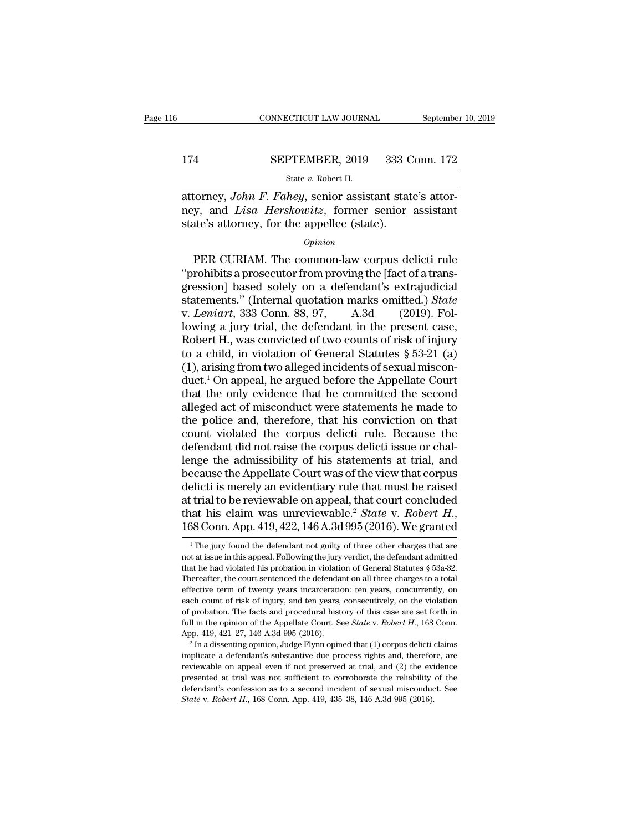## CONNECTICUT LAW JOURNAL September 10, 2019<br>174 SEPTEMBER, 2019 333 Conn. 172<br>State v. Robert H. CONNECTICUT LAW JOURNAL Septembe<br>
State *v.* Robert H.<br>
State *v.* Robert H.<br>
attorney, *John F. Fahey*, senior assistant state's attor-

CONNECTICUT LAW JOURNAL September<br>
174 SEPTEMBER, 2019 333 Conn. 172<br>
<sup>31</sup> State v. Robert H.<br>
2019 333 Conn. 172<br>
2019 333 Conn. 172<br>
2019 335 Conn. 172<br>
2019 335 Conn. 172<br>
2019 335 Conn. 172<br>
2019 335 Conn. 172<br>
2019 33 174 SEPTEMBER, 2019 333 Conn. 172<br>
State v. Robert H.<br>
attorney, John F. Fahey, senior assistant state's attor-<br>
mey, and *Lisa Herskowitz*, former senior assistant<br>
state's attorney, for the appellee (state). 174 SEPTEMBER, 2019 333 C<br>
State v. Robert H.<br>
attorney, *John F. Fahey*, senior assistant stately, and *Lisa Herskowitz*, former senior<br>
state's attorney, for the appellee (state).<br> *Opinion* State v. Robert H.<br>
State v. Robert H.<br>
State's attorney, John F. Fahey, senior assistant state's attorney, for the appellee (state).<br>  $\frac{Opinion}{opinion}$ <br>
PER CURIAM. The common-law corpus delicti rule<br>
rohibits a prosecutor fr

## *Opinion*

attorney, *John F. Fahey*, senior assistant state's attor-<br>
ney, and *Lisa Herskowitz*, former senior assistant<br>
state's attorney, for the appellee (state).<br> *Opinion*<br>
PER CURIAM. The common-law corpus delicti rule<br>
"proh extractively, solend in an associate state s attention, and Lisa Herskowitz, former senior assistant state's attorney, for the appellee (state).<br>  $o$ <sub>*pinion*<br>
PER CURIAM. The common-law corpus delicti rule<br>
"prohibits a</sub> state's attorney, for the appellee (state).<br> *Opinion*<br>
PER CURIAM. The common-law corpus delicti rule<br>
"prohibits a prosecutor from proving the [fact of a trans-<br>
gression] based solely on a defendant's extrajudicial<br>
sta *Opinion*<br> *Definion*<br>
PER CURIAM. The common-law corpus delicti rule<br>
"prohibits a prosecutor from proving the [fact of a transgression] based solely on a defendant's extrajudicial<br>
statements." (Internal quotation marks *Opinion*<br>
PER CURIAM. The common-law corpus delicti rule<br>
"prohibits a prosecutor from proving the [fact of a transgression] based solely on a defendant's extrajudicial<br>
statements." (Internal quotation marks omitted.) PER CURIAM. The common-law corpus delicti rule<br>"prohibits a prosecutor from proving the [fact of a transgression] based solely on a defendant's extrajudicial<br>statements." (Internal quotation marks omitted.) *State*<br>v. *Le* "prohibits a prosecutor from proving the [fact of a transgression] based solely on a defendant's extrajudicial statements." (Internal quotation marks omitted.) *State* v. *Leniart*, 333 Conn. 88, 97, A.3d (2019). Followin gression] based solely on a defendant's extrajudicial<br>statements." (Internal quotation marks omitted.) *State*<br>v. *Leniart*, 333 Conn. 88, 97, A.3d (2019). Fol-<br>lowing a jury trial, the defendant in the present case,<br>Rober statements." (Internal quotation marks omitted.) *State*<br>v. *Leniart*, 333 Conn. 88, 97, A.3d (2019). Fol-<br>lowing a jury trial, the defendant in the present case,<br>Robert H., was convicted of two counts of risk of injury<br>t v. Leniart, 333 Conn. 88, 97, A.3d (2019). Fol-<br>lowing a jury trial, the defendant in the present case,<br>Robert H., was convicted of two counts of risk of injury<br>to a child, in violation of General Statutes § 53-21 (a)<br>(1) lowing a jury trial, the defendant in the present case,<br>Robert H., was convicted of two counts of risk of injury<br>to a child, in violation of General Statutes  $\S$  53-21 (a)<br>(1), arising from two alleged incidents of sexual Robert H., was convicted of two counts of risk of injury<br>to a child, in violation of General Statutes  $\S$  53-21 (a)<br>(1), arising from two alleged incidents of sexual miscon-<br>duct.<sup>1</sup> On appeal, he argued before the Appell to a child, in violation of General Statutes  $\S$  53-21 (a)<br>(1), arising from two alleged incidents of sexual miscon-<br>duct.<sup>1</sup> On appeal, he argued before the Appellate Court<br>that the only evidence that he committed the se (1), arising from two alleged incidents of sexual misconduct.<sup>1</sup> On appeal, he argued before the Appellate Court that the only evidence that he committed the second alleged act of misconduct were statements he made to the duct.<sup>1</sup> On appeal, he argued before the Appellate Court<br>that the only evidence that he committed the second<br>alleged act of misconduct were statements he made to<br>the police and, therefore, that his conviction on that<br>count that the only evidence that he committed the second<br>alleged act of misconduct were statements he made to<br>the police and, therefore, that his conviction on that<br>count violated the corpus delicti rule. Because the<br>defendant alleged act of misconduct were statements he made to<br>the police and, therefore, that his conviction on that<br>count violated the corpus delicti rule. Because the<br>defendant did not raise the corpus delicti issue or chal-<br>leng the police and, therefore, that his conviction on that<br>count violated the corpus delicti rule. Because the<br>defendant did not raise the corpus delicti issue or chal-<br>lenge the admissibility of his statements at trial, and<br> count violated the corpus delicti rule. Because the<br>defendant did not raise the corpus delicti issue or chal-<br>lenge the admissibility of his statements at trial, and<br>because the Appellate Court was of the view that corpus<br> elicti is merely an evidentiary rule that must be raised<br>t trial to be reviewable on appeal, that court concluded<br>at his claim was unreviewable.<sup>2</sup> *State* v. *Robert H.*,<br> $38$  Conn. App. 419, 422, 146 A.3d 995 (2016). We at trial to be reviewable on appeal, that court concluded<br>that his claim was unreviewable.<sup>2</sup> State v. Robert H.,<br>168 Conn. App. 419, 422, 146 A.3d 995 (2016). We granted<br><sup>1</sup>The jury found the defendant not guilty of thre

that his claim was unreviewable.<sup>2</sup> State v. Robert H., 168 Conn. App. 419, 422, 146 A.3d 995 (2016). We granted  $\frac{1}{1}$ The jury found the defendant not guilty of three other charges that are not at issue in this appeal 168 Conn. App. 419, 422, 146 A.3d 995 (2016). We granted<br>
<sup>1</sup> The jury found the defendant not guilty of three other charges that are<br>
not at issue in this appeal. Following the jury verdict, the defendant admitted<br>
that From CONIII. App. 419, 422, 140 A.3d 995 (2010). We graftled<br>
<sup>1</sup> The jury found the defendant not guilty of three other charges that are<br>
not at issue in this appeal. Following the jury verdict, the defendant admitted<br>
t <sup>1</sup> The jury found the defendant not guilty of three other charges that are not at issue in this appeal. Following the jury verdict, the defendant admitted that he had violated his probation in violation of General Statut of the facts and probation. The facts and probation in violation of General Statutes § 53a-32.<br>Thereafter, the court sentenced the defendant on all three charges to a total effective term of twenty years incarceration: te of probation. The facts and procedural history of this case are set forth in full in the opinion of the Appellate Court. See *State* v. *Robert H*., 168 Conn. App. 419, 421–27, 146 A.3d 995 (2016).<br><sup>2</sup> In a dissenting opin Thereafter, the court sentenced the defendant on all three charges to a total effective term of twenty years incarceration: ten years, concurrently, on each count of risk of injury, and ten years, consecutively, on the vi each count of risk of injury, and ten years, consecutively, on the violation of probation. The facts and procedural history of this case are set forth in full in the opinion of the Appellate Court. See *State v. Robert H.* 

of probation. The facts and procedural history of this case are set forth in full in the opinion of the Appellate Court. See *State* v. *Robert H.*, 168 Conn. App. 419, 421–27, 146 A.3d 995 (2016).<br><sup>2</sup> In a dissenting opi presented at trial was not sufficient to corroborate the reliability of the Appellate Court. See *State v. Robert H.*, 168 Conn. App. 419, 421–27, 146 A.3d 995 (2016).<br><sup>2</sup> In a dissenting opinion, Judge Flynn opined that App. 419, 421–27, 146 A.3d 995 (2016).<br>App. 419, 421–27, 146 A.3d 995 (2016).<br><sup>2</sup> In a dissenting opinion, Judge Flynn opined that (1) corpus delicti claims<br>implicate a defendant's substantive due process rights and, ther implicate a defendant's substantive due process rights and, therefore, are reviewable on appeal even if not preserved at trial, and (2) the evidence presented at trial was not sufficient to corroborate the reliability of t